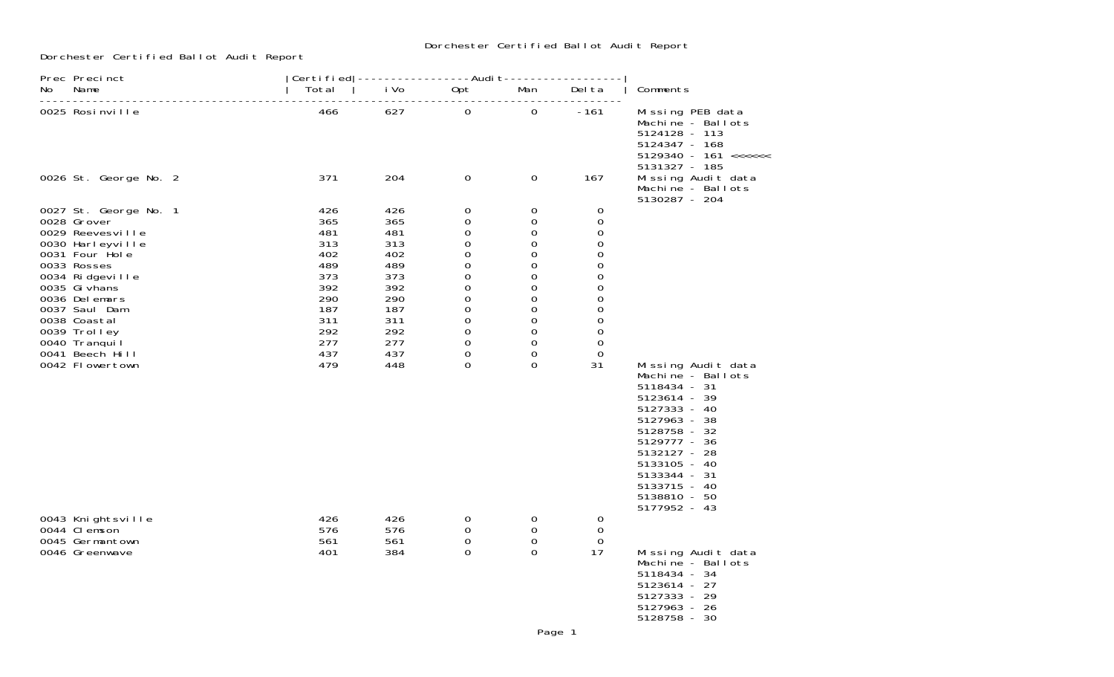## Dorchester Certified Ballot Audit Report

Dorchester Certified Ballot Audit Report

| Prec Precinct                                                                                                                                                                                                                                           | Certi fi ed   -----------------Audi t-----------------                                         |                                                                                                |                                                                                                                                                                                                                                             |                                                                                                                    |                                                                                                                                                       |                                                                                                                                                                                                                                         |
|---------------------------------------------------------------------------------------------------------------------------------------------------------------------------------------------------------------------------------------------------------|------------------------------------------------------------------------------------------------|------------------------------------------------------------------------------------------------|---------------------------------------------------------------------------------------------------------------------------------------------------------------------------------------------------------------------------------------------|--------------------------------------------------------------------------------------------------------------------|-------------------------------------------------------------------------------------------------------------------------------------------------------|-----------------------------------------------------------------------------------------------------------------------------------------------------------------------------------------------------------------------------------------|
| Name<br>No.                                                                                                                                                                                                                                             | Total                                                                                          | i Vo                                                                                           | Opt                                                                                                                                                                                                                                         | Man                                                                                                                | Del ta                                                                                                                                                | Comments                                                                                                                                                                                                                                |
| 0025 Rosinville                                                                                                                                                                                                                                         | 466<br>371                                                                                     | 627<br>204                                                                                     | $\mathbf 0$                                                                                                                                                                                                                                 | $\mathbf 0$<br>$\mathbf 0$                                                                                         | $-161$<br>167                                                                                                                                         | Missing PEB data<br>Machine - Ballots<br>5124128 - 113<br>5124347 - 168<br>$5129340 - 161$ <<<<<<br>5131327 - 185                                                                                                                       |
| 0026 St. George No. 2                                                                                                                                                                                                                                   |                                                                                                |                                                                                                | $\mathbf 0$                                                                                                                                                                                                                                 |                                                                                                                    |                                                                                                                                                       | Missing Audit data<br>Machine - Ballots<br>5130287 - 204                                                                                                                                                                                |
| 0027 St. George No. 1<br>0028 Grover<br>0029 Reevesville<br>0030 Harleyville<br>0031 Four Hole<br>0033 Rosses<br>0034 Ridgeville<br>0035 Gi vhans<br>0036 Delemars<br>0037 Saul Dam<br>0038 Coastal<br>0039 Trolley<br>0040 Tranquil<br>0041 Beech Hill | 426<br>365<br>481<br>313<br>402<br>489<br>373<br>392<br>290<br>187<br>311<br>292<br>277<br>437 | 426<br>365<br>481<br>313<br>402<br>489<br>373<br>392<br>290<br>187<br>311<br>292<br>277<br>437 | 0<br>$\mathbf 0$<br>$\mbox{O}$<br>$\mathsf{O}\xspace$<br>$\mathsf{O}\xspace$<br>$\mbox{O}$<br>0<br>$\mbox{O}$<br>$\mbox{O}$<br>$\mathsf{O}\xspace$<br>$\mathsf{O}\xspace$<br>$\boldsymbol{0}$<br>$\mathsf{O}\xspace$<br>$\mathsf{O}\xspace$ | 0<br>$\Omega$<br>0<br>$\Omega$<br>0<br>$\Omega$<br>0<br>0<br>$\mathbf 0$<br>0<br>$\Omega$<br>0<br>$\mathbf 0$<br>0 | $\mathbf 0$<br>$\Omega$<br>$\mathbf 0$<br>$\mathbf 0$<br>0<br>$\Omega$<br>0<br>0<br>0<br>0<br>$\mathbf 0$<br>$\Omega$<br>$\boldsymbol{0}$<br>$\Omega$ |                                                                                                                                                                                                                                         |
| 0042 Flowertown                                                                                                                                                                                                                                         | 479                                                                                            | 448                                                                                            | $\Omega$                                                                                                                                                                                                                                    | 0                                                                                                                  | 31                                                                                                                                                    | Missing Audit data<br>Machine - Ballots<br>5118434 - 31<br>5123614 - 39<br>5127333 - 40<br>5127963 - 38<br>5128758 - 32<br>5129777 - 36<br>5132127 - 28<br>5133105 - 40<br>5133344 - 31<br>5133715 - 40<br>5138810 - 50<br>5177952 - 43 |
| 0043 Knightsville<br>0044 CI emson<br>0045 Germantown<br>0046 Greenwave                                                                                                                                                                                 | 426<br>576<br>561<br>401                                                                       | 426<br>576<br>561<br>384                                                                       | 0<br>$\mathbf 0$<br>$\boldsymbol{0}$<br>$\mathbf 0$                                                                                                                                                                                         | 0<br>0<br>0<br>$\mathbf 0$                                                                                         | 0<br>0<br>0<br>17                                                                                                                                     | Missing Audit data<br>Machine - Ballots<br>5118434 - 34<br>5123614 - 27<br>5127333 - 29<br>5127963 - 26<br>5128758 - 30                                                                                                                 |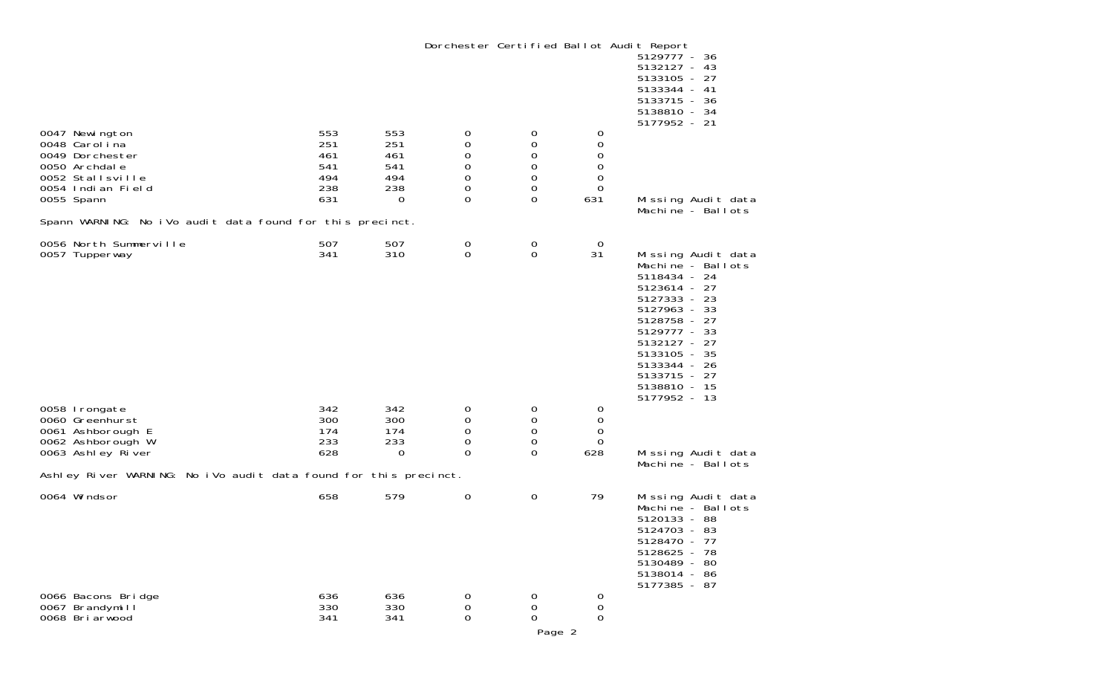Dorchester Certified Ballot Audit Report 5129777 - 36 $5132127 - 43$  $5133105 - 27$  5133344 - 41 $5133715 - 36$  5138810 - 34 $5177952 - 21$ 0047 Newington 553 553 0 0 0 0048 Carolina 251 251 0 0 0 $\Omega$ 0049 Dorchester 461 461 0 0 0 $\mathbf 0$ 0050 Archdale 541 541 0 0 0 $\overline{0}$ 0052 Stallsville 494 494 0 0 0 $\overline{0}$ 0054 Indian Field 238 238 0 0 0631 0055 Spann 631 0 0 0 631 Missing Audit data Machine - Ballots Spann WARNING: No iVo audit data found for this precinct. 0056 North Summerville 507 507 0 0 0 $31$ 0057 Tupperway 341 310 0 0 31 Missing Audit data Machine - Ballots 5118434 - 24 5123614 - 27 5127333 - 23 $5127963 - 33$  5128758 - 27 $5129777 - 33$  5132127 - 27 5133105 - 35 5133344 - 26 5133715 - 27 5138810 - 15 $5177952 - 13$ 0058 Irongate 342 342 0 0 0 0060 Greenhurst  $\Omega$ 0061 Ashborough E 174 174 0 0 0 0062 Ashborough W 233 233 0 0 0 Missing Audit data Machine - Ballots Ashley River WARNING: No iVo audit data found for this precinct. 0064 Windsor **658** 579 0 0 79 Missing Audit data Machine - Ballots 5120133 - 88 $5124703 - 83$  5128470 - 77 5128625 - 78 5130489 - 80 5138014 - 86 5177385 - 870066 Bacons Bridge 636 636 0 0 0

0067 Brandymill 330 330 0 0 0

0068 Briarwood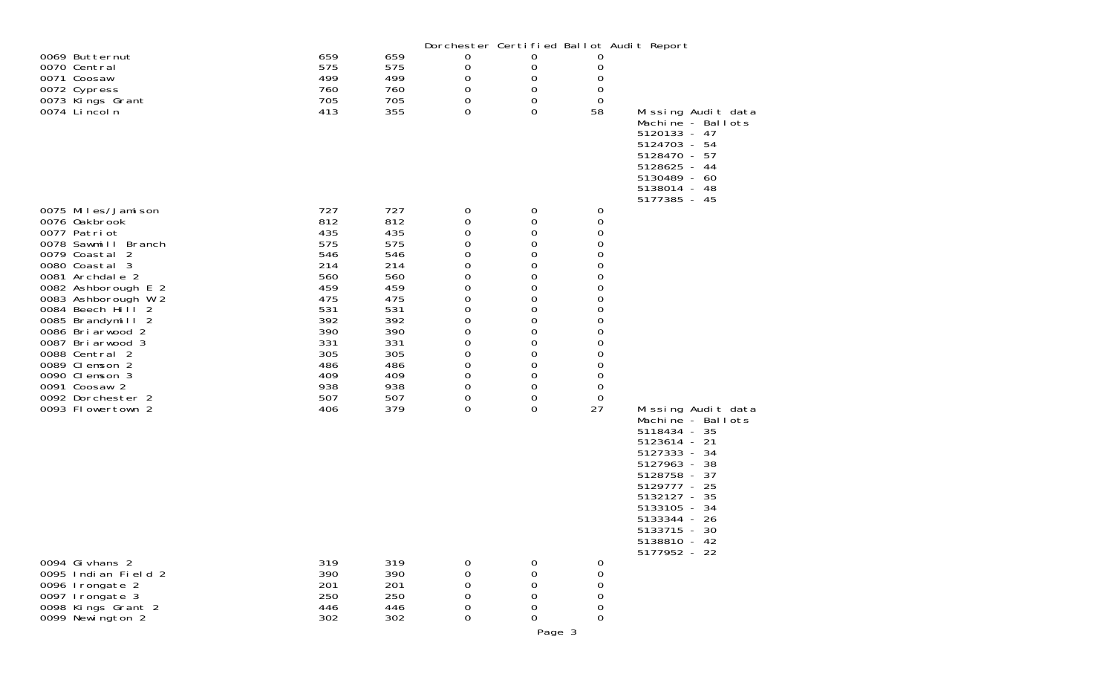|                                                                                                      |                                 |                                 |                       |                                                         |                                                                              | Dorchester Certified Ballot Audit Report                                                                                                                                                                          |
|------------------------------------------------------------------------------------------------------|---------------------------------|---------------------------------|-----------------------|---------------------------------------------------------|------------------------------------------------------------------------------|-------------------------------------------------------------------------------------------------------------------------------------------------------------------------------------------------------------------|
| 0069 Butternut<br>0070 Central<br>0071 Coosaw<br>0072 Cypress<br>0073 Kings Grant                    | 659<br>575<br>499<br>760<br>705 | 659<br>575<br>499<br>760<br>705 | 0<br>0<br>0<br>0<br>0 | 0<br>0<br>0<br>0<br>0                                   | 0<br>0<br>0<br>0<br>0                                                        |                                                                                                                                                                                                                   |
| 0074 Li ncol n                                                                                       | 413                             | 355                             | 0                     | $\Omega$                                                | 58                                                                           | Missing Audit data<br>Machine - Ballots<br>5120133 - 47<br>5124703 - 54<br>5128470 - 57<br>5128625 - 44<br>5130489 - 60<br>5138014 - 48<br>5177385 - 45                                                           |
| 0075 Miles/Jamison<br>0076 0akbrook<br>0077 Patriot<br>0078 Sawmill Branch<br>0079 Coastal 2         | 727<br>812<br>435<br>575<br>546 | 727<br>812<br>435<br>575<br>546 | 0<br>0<br>0<br>0<br>0 | 0<br>0<br>0<br>0<br>0                                   | 0<br>0<br>0<br>$\mathbf 0$<br>0                                              |                                                                                                                                                                                                                   |
| 0080 Coastal 3<br>0081 Archdale 2<br>0082 Ashborough E 2<br>0083 Ashborough W 2<br>0084 Beech Hill 2 | 214<br>560<br>459<br>475<br>531 | 214<br>560<br>459<br>475<br>531 | 0<br>0<br>0<br>0      | $\mathbf 0$<br>0<br>0<br>$\mathbf 0$                    | 0<br>$\mathbf 0$<br>0<br>$\mathbf 0$                                         |                                                                                                                                                                                                                   |
| 0085 Brandymill 2<br>0086 Briarwood 2<br>0087 Briarwood 3<br>0088 Central 2                          | 392<br>390<br>331<br>305        | 392<br>390<br>331<br>305        | 0<br>0<br>0<br>0<br>0 | 0<br>0<br>$\mathbf 0$<br>0<br>0                         | 0<br>$\mathbf 0$<br>0<br>0<br>$\mathbf 0$                                    |                                                                                                                                                                                                                   |
| 0089 Clemson 2<br>0090 Clemson 3<br>0091 Coosaw 2<br>0092 Dorchester 2<br>0093 Flowertown 2          | 486<br>409<br>938<br>507<br>406 | 486<br>409<br>938<br>507<br>379 | 0<br>0<br>0<br>0<br>0 | $\mathbf 0$<br>0<br>0<br>$\mathbf 0$<br>0               | $\boldsymbol{0}$<br>$\mathbf 0$<br>$\mathbf 0$<br>0<br>27                    | Missing Audit data                                                                                                                                                                                                |
|                                                                                                      |                                 |                                 |                       |                                                         |                                                                              | Machine - Ballots<br>5118434 - 35<br>5123614 - 21<br>5127333 - 34<br>5127963 - 38<br>5128758 - 37<br>5129777 - 25<br>5132127 - 35<br>5133105 - 34<br>5133344 - 26<br>5133715 - 30<br>5138810 - 42<br>5177952 - 22 |
| 0094 Gi vhans 2<br>0095 Indian Field 2<br>0096 Irongate 2<br>0097 Irongate 3<br>0098 Kings Grant 2   | 319<br>390<br>201<br>250<br>446 | 319<br>390<br>201<br>250<br>446 | 0<br>0<br>0<br>0<br>0 | 0<br>$\mathbf 0$<br>0<br>$\mbox{O}$<br>$\boldsymbol{0}$ | 0<br>$\boldsymbol{0}$<br>$\boldsymbol{0}$<br>$\mathbf 0$<br>$\boldsymbol{0}$ |                                                                                                                                                                                                                   |
| 0099 Newington 2                                                                                     | 302                             | 302                             | 0                     | 0                                                       | $\mathbf 0$                                                                  |                                                                                                                                                                                                                   |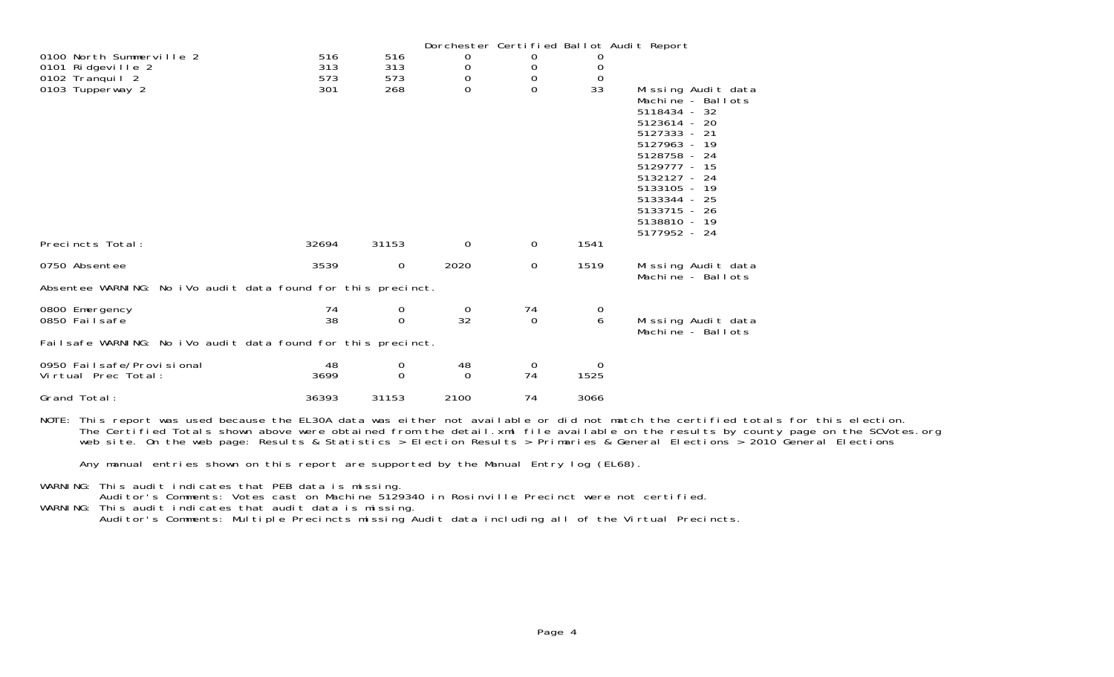|                                                                  |                   |                   |                |             |                   | Dorchester Certified Ballot Audit Report                                                                                                                                                                                                |
|------------------------------------------------------------------|-------------------|-------------------|----------------|-------------|-------------------|-----------------------------------------------------------------------------------------------------------------------------------------------------------------------------------------------------------------------------------------|
| 0100 North Summerville 2<br>0101 Ridgeville 2<br>0102 Tranquil 2 | 516<br>313<br>573 | 516<br>313<br>573 | 0<br>0<br>0    | U<br>0<br>0 | O<br>0<br>0       |                                                                                                                                                                                                                                         |
| 0103 Tupperway 2                                                 | 301               | 268               | $\Omega$       | 0           | 33                | Missing Audit data<br>Machine - Ballots<br>5118434 - 32<br>5123614 - 20<br>5127333 - 21<br>5127963 - 19<br>5128758 - 24<br>5129777 - 15<br>5132127 - 24<br>5133105 - 19<br>5133344 - 25<br>5133715 - 26<br>5138810 - 19<br>5177952 - 24 |
| Precincts Total:                                                 | 32694             | 31153             | 0              | $\mathbf 0$ | 1541              |                                                                                                                                                                                                                                         |
| 0750 Absentee                                                    | 3539              | $\mathbf 0$       | 2020           | 0           | 1519              | Missing Audit data<br>Machine - Ballots                                                                                                                                                                                                 |
| Absentee WARNING: No iVo audit data found for this precinct.     |                   |                   |                |             |                   |                                                                                                                                                                                                                                         |
| 0800 Emergency<br>0850 Fail safe                                 | 74<br>38          | 0<br>$\Omega$     | $\Omega$<br>32 | 74<br>0     | $\mathbf{O}$<br>6 | Missing Audit data<br>Machine - Ballots                                                                                                                                                                                                 |
| Failsafe WARNING: No iVo audit data found for this precinct.     |                   |                   |                |             |                   |                                                                                                                                                                                                                                         |
| 0950 Failsafe/Provisional<br>Virtual Prec Total:                 | 48<br>3699        | 0<br>$\Omega$     | 48<br>$\Omega$ | 0<br>74     | $\Omega$<br>1525  |                                                                                                                                                                                                                                         |
| Grand Total:                                                     | 36393             | 31153             | 2100           | 74          | 3066              |                                                                                                                                                                                                                                         |

NOTE: This report was used because the EL30A data was either not available or did not match the certified totals for this election. The Certified Totals shown above were obtained from the detail.xml file available on the results by county page on the SCVotes.org web site. On the web page: Results & Statistics > Election Results > Primaries & General Elections > 2010 General Elections

Any manual entries shown on this report are supported by the Manual Entry log (EL68).

WARNING: This audit indicates that PEB data is missing.

Auditor's Comments: Votes cast on Machine 5129340 in Rosinville Precinct were not certified.

WARNING: This audit indicates that audit data is missing.

Auditor's Comments: Multiple Precincts missing Audit data including all of the Virtual Precincts.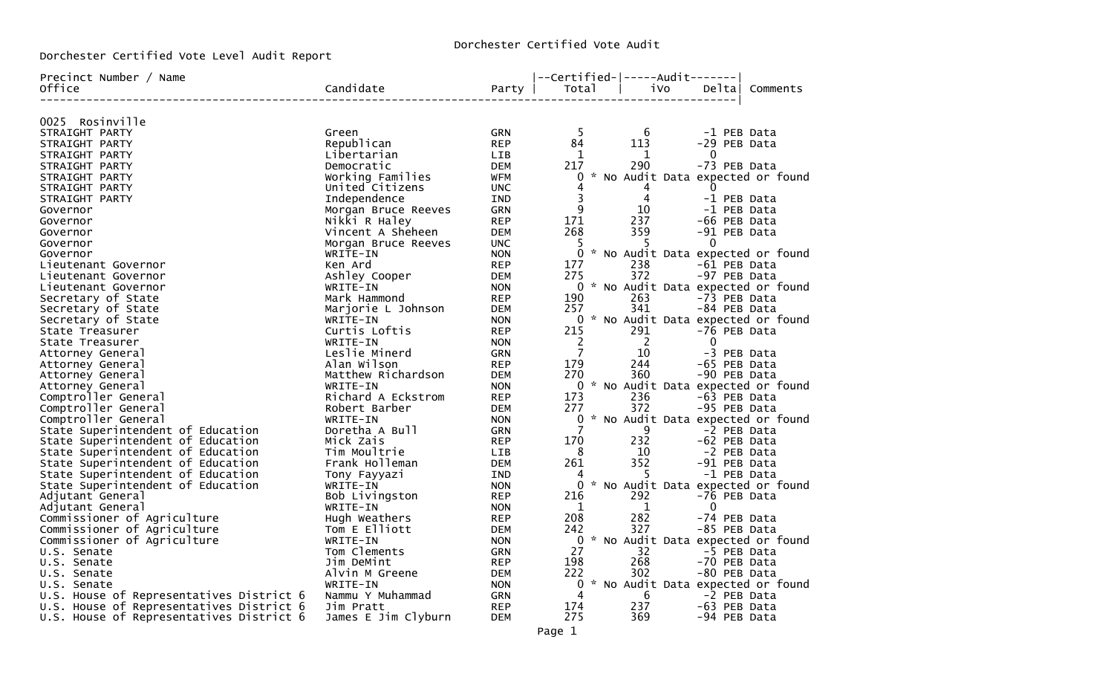Dorchester Certified Vote Level Audit Report

| Precinct Number / Name                   |                     |            | --Certified- -----Audit------- |                                     |              |          |
|------------------------------------------|---------------------|------------|--------------------------------|-------------------------------------|--------------|----------|
| Office                                   | Candidate           | Party      | Total                          | iVo                                 | Deltal       | Comments |
| 0025 Rosinville                          |                     |            |                                |                                     |              |          |
| STRAIGHT PARTY                           | Green               | GRN        | -5                             | - 6                                 | -1 PEB Data  |          |
| STRAIGHT PARTY                           | Republican          | <b>REP</b> | 84                             | 113                                 | -29 PEB Data |          |
| STRAIGHT PARTY                           | Libertarian         | LIB        | 1                              | 1                                   | $\bf{0}$     |          |
| STRAIGHT PARTY                           | Democratic          | <b>DEM</b> | 217                            | 290                                 | -73 PEB Data |          |
| STRAIGHT PARTY                           | Working Families    | <b>WFM</b> |                                | 0 * No Audit Data expected or found |              |          |
| STRAIGHT PARTY                           | United Citizens     | <b>UNC</b> | 4                              | $\overline{4}$                      | $\Omega$     |          |
| STRAIGHT PARTY                           | Independence        | <b>IND</b> | $\overline{\mathbf{3}}$        | $\overline{4}$                      | -1 PEB Data  |          |
| Governor                                 | Morgan Bruce Reeves | <b>GRN</b> | 9                              | 10                                  | -1 PEB Data  |          |
| Governor                                 | Nikki R Haley       | <b>REP</b> | 171                            | 237                                 | -66 PEB Data |          |
| Governor                                 | Vincent A Sheheen   | <b>DEM</b> | 268                            | 359                                 | -91 PEB Data |          |
| Governor                                 | Morgan Bruce Reeves | <b>UNC</b> | -5                             | -5                                  | $\mathbf 0$  |          |
| Governor                                 | WRITE-IN            | <b>NON</b> |                                | 0 * No Audit Data expected or found |              |          |
| Lieutenant Governor                      | Ken Ard             | <b>REP</b> | 177                            | 238                                 | -61 PEB Data |          |
| Lieutenant Governor                      | Ashley Cooper       | <b>DEM</b> | 275                            | 372                                 | -97 PEB Data |          |
| Lieutenant Governor                      | WRITE-IN            | <b>NON</b> |                                | 0 * No Audit Data expected or found |              |          |
| Secretary of State                       | Mark Hammond        | <b>REP</b> | 190                            | 263                                 | -73 PEB Data |          |
| Secretary of State                       | Marjorie L Johnson  | DEM        | 257                            | 341                                 | -84 PEB Data |          |
| Secretary of State                       | WRITE-IN            | <b>NON</b> |                                | 0 * No Audit Data expected or found |              |          |
| State Treasurer                          | Curtis Loftis       | <b>REP</b> | 215                            | 291                                 | -76 PEB Data |          |
| State Treasurer                          | WRITE-IN            | <b>NON</b> | $\overline{2}$                 | $\overline{\phantom{0}}$            | $\Omega$     |          |
| Attorney General                         | Leslie Minerd       | <b>GRN</b> | $\overline{7}$                 | 10                                  | -3 PEB Data  |          |
| Attorney General                         | Alan Wilson         | <b>REP</b> | 179                            | 244                                 | -65 PEB Data |          |
| Attorney General                         | Matthew Richardson  | <b>DEM</b> | 270                            | 360                                 | -90 PEB Data |          |
| Attorney General                         | WRITE-IN            | <b>NON</b> |                                | 0 * No Audit Data expected or found |              |          |
| Comptroller General                      | Richard A Eckstrom  | <b>REP</b> | 173                            | 236                                 | -63 PEB Data |          |
| Comptroller General                      | Robert Barber       | <b>DEM</b> | 277                            | 372                                 | -95 PEB Data |          |
| Comptroller General                      | WRITE-IN            | <b>NON</b> |                                | 0 * No Audit Data expected or found |              |          |
| State Superintendent of Education        | Doretha A Bull      | <b>GRN</b> | $\overline{7}$                 | 9                                   | -2 PEB Data  |          |
| State Superintendent of Education        | Mick Zais           | <b>REP</b> | 170                            | 232                                 | -62 PEB Data |          |
| State Superintendent of Education        | Tim Moultrie        | <b>LIB</b> | 8                              | 10                                  | -2 PEB Data  |          |
| State Superintendent of Education        | Frank Holleman      | DEM        | 261                            | 352                                 | -91 PEB Data |          |
| State Superintendent of Education        | Tony Fayyazi        | IND        | 4                              | - 5                                 | -1 PEB Data  |          |
| State Superintendent of Education        | WRITE-IN            | <b>NON</b> |                                | 0 * No Audit Data expected or found |              |          |
| Adjutant General                         | Bob Livingston      | <b>REP</b> | 216                            | 292                                 | -76 PEB Data |          |
| Adjutant General                         | WRITE-IN            | <b>NON</b> | 1                              | $\mathbf{1}$                        | $\bf{0}$     |          |
| Commissioner of Agriculture              | Hugh Weathers       | <b>REP</b> | 208                            | 282                                 | -74 PEB Data |          |
| Commissioner of Agriculture              | Tom E Elliott       | <b>DEM</b> | 242                            | 327                                 | -85 PEB Data |          |
| Commissioner of Agriculture              | WRITE-IN            | <b>NON</b> | $\Omega$                       | * No Audit Data expected or found   |              |          |
| U.S. Senate                              | Tom Clements        | <b>GRN</b> | 27                             | 32                                  | -5 PEB Data  |          |
| U.S. Senate                              | Jim DeMint          | <b>REP</b> | 198                            | 268                                 | -70 PEB Data |          |
| U.S. Senate                              | Alvin M Greene      | DEM        | 222                            | 302                                 | -80 PEB Data |          |
| U.S. Senate                              | WRITE-IN            | <b>NON</b> |                                | 0 * No Audit Data expected or found |              |          |
| U.S. House of Representatives District 6 | Nammu Y Muhammad    | <b>GRN</b> | 4                              | 6                                   | -2 PEB Data  |          |
| U.S. House of Representatives District 6 | Jim Pratt           | <b>REP</b> | 174                            | 237                                 | -63 PEB Data |          |
| U.S. House of Representatives District 6 | James E Jim Clyburn | <b>DEM</b> | 275                            | 369                                 | -94 PEB Data |          |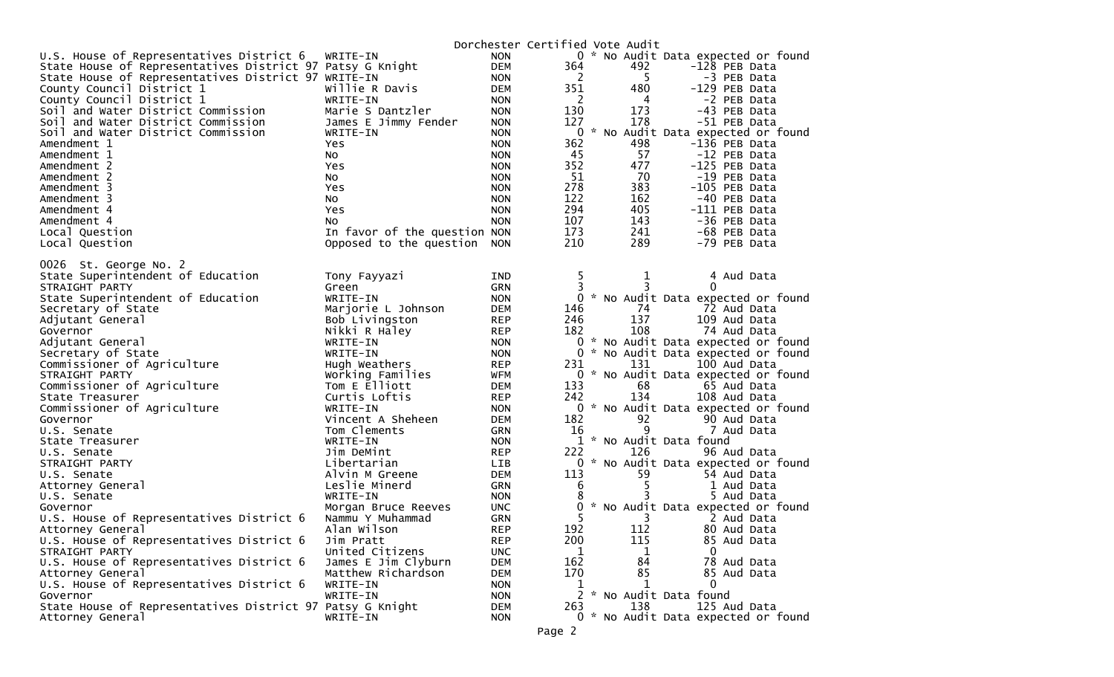|                                                           |                              |            | Dorchester Certified Vote Audit |     |                                     |
|-----------------------------------------------------------|------------------------------|------------|---------------------------------|-----|-------------------------------------|
| U.S. House of Representatives District 6                  | WRITE-IN                     | <b>NON</b> |                                 |     | 0 * No Audit Data expected or found |
| State House of Representatives District 97 Patsy G Knight |                              | <b>DEM</b> | 364                             | 492 | -128 PEB Data                       |
| State House of Representatives District 97 WRITE-IN       |                              | <b>NON</b> | 2                               | 5   | -3 PEB Data                         |
| County Council District 1                                 | Willie R Davis               | <b>DEM</b> | 351                             | 480 | -129 PEB Data                       |
| County Council District 1                                 | WRITE-IN                     | <b>NON</b> | $\overline{2}$                  | 4   | -2 PEB Data                         |
| Soil and Water District Commission                        | Marie S Dantzler             | <b>NON</b> | 130                             | 173 | -43 PEB Data                        |
| Soil and Water District Commission                        | James E Jimmy Fender         | <b>NON</b> | 127                             | 178 | -51 PEB Data                        |
| Soil and Water District Commission                        | WRITE-IN                     | <b>NON</b> |                                 |     | 0 * No Audit Data expected or found |
| Amendment 1                                               | Yes.                         | <b>NON</b> | 362                             | 498 | -136 PEB Data                       |
| Amendment 1                                               | No                           | <b>NON</b> | 45                              | 57  | -12 PEB Data                        |
| Amendment 2                                               | Yes.                         | <b>NON</b> | 352                             | 477 | -125 PEB Data                       |
| Amendment 2                                               | NO.                          | <b>NON</b> | 51                              | 70  | -19 PEB Data                        |
| Amendment 3                                               | Yes                          | <b>NON</b> | 278                             | 383 | -105 PEB Data                       |
| Amendment 3                                               | NO.                          | <b>NON</b> | 122                             | 162 | -40 PEB Data                        |
| Amendment 4                                               | Yes                          | <b>NON</b> | 294                             | 405 | -111 PEB Data                       |
| Amendment 4                                               | NO.                          | <b>NON</b> | 107                             | 143 | -36 PEB Data                        |
| Local Question                                            | In favor of the question NON |            | 173                             | 241 | -68 PEB Data                        |
| Local Question                                            | Opposed to the question      | <b>NON</b> | 210                             | 289 | -79 PEB Data                        |
|                                                           |                              |            |                                 |     |                                     |
| 0026 St. George No. 2                                     |                              |            |                                 |     |                                     |
| State Superintendent of Education                         | Tony Fayyazi                 | <b>IND</b> | 5.                              | 1   | 4 Aud Data                          |
| STRAIGHT PARTY                                            | Green                        | <b>GRN</b> | 3                               | 3   | 0                                   |
| State Superintendent of Education                         | WRITE-IN                     | <b>NON</b> |                                 |     | 0 * No Audit Data expected or found |
| Secretary of State                                        | Marjorie L Johnson           | <b>DEM</b> | 146                             | 74  | 72 Aud Data                         |
| Adjutant General                                          | Bob Livingston               | <b>REP</b> | 246                             | 137 | 109 Aud Data                        |
| Governor                                                  | Nikki R Haley                | <b>REP</b> | 182                             | 108 | 74 Aud Data                         |
| Adjutant General                                          | WRITE-IN                     | <b>NON</b> |                                 |     | 0 * No Audit Data expected or found |
| Secretary of State                                        | WRITE-IN                     | <b>NON</b> |                                 |     | 0 * No Audit Data expected or found |
| Commissioner of Agriculture                               | Hugh Weathers                | <b>REP</b> | 231                             | 131 | 100 Aud Data                        |
| STRAIGHT PARTY                                            | Working Families             | <b>WFM</b> |                                 |     | 0 * No Audit Data expected or found |
| Commissioner of Agriculture                               | Tom E Elliott                | DEM        | 133                             | 68  | 65 Aud Data                         |
| State Treasurer                                           | Curtis Loftis                | <b>REP</b> | 242                             | 134 | 108 Aud Data                        |
| Commissioner of Agriculture                               | WRITE-IN                     | <b>NON</b> |                                 |     | 0 * No Audit Data expected or found |
| Governor                                                  | Vincent A Sheheen            | <b>DEM</b> | 182                             | 92  | 90 Aud Data                         |
| U.S. Senate                                               | Tom Clements                 | GRN        | 16                              | 9   | 7 Aud Data                          |
| State Treasurer                                           | WRITE-IN                     | <b>NON</b> |                                 |     | 1 * No Audit Data found             |
| U.S. Senate                                               | Jim DeMint                   | <b>REP</b> | 222                             | 126 | 96 Aud Data                         |
| STRAIGHT PARTY                                            | Libertarian                  | <b>LIB</b> | 0                               |     | * No Audit Data expected or found   |
| U.S. Senate                                               | Alvin M Greene               | <b>DEM</b> | 113                             | 59  | 54 Aud Data                         |
| Attorney General                                          | Leslie Minerd                | GRN        | 6                               | 5   | 1 Aud Data                          |
| U.S. Senate                                               | WRITE-IN                     | <b>NON</b> |                                 |     | 5 Aud Data                          |
| Governor                                                  | Morgan Bruce Reeves          | UNC.       |                                 |     | * No Audit Data expected or found   |
| U.S. House of Representatives District 6                  | Nammu Y Muhammad             | <b>GRN</b> | 5.                              | 3   | 2 Aud Data                          |
| Attorney General                                          | Alan Wilson                  | <b>REP</b> | 192                             | 112 | 80 Aud Data                         |
| U.S. House of Representatives District 6                  | Jim Pratt                    | <b>REP</b> | 200                             | 115 | 85 Aud Data                         |
| STRAIGHT PARTY                                            | United Citizens              | <b>UNC</b> | 1                               | 1   | 0                                   |
| U.S. House of Representatives District 6                  | James E Jim Clyburn          | <b>DEM</b> | 162                             | 84  | 78 Aud Data                         |
| Attorney General                                          | Matthew Richardson           | <b>DEM</b> | 170                             | 85  | 85 Aud Data                         |
| U.S. House of Representatives District 6                  | WRITE-IN                     | <b>NON</b> | 1                               | 1   | $\Omega$                            |
| Governor                                                  | WRITE-IN                     | <b>NON</b> |                                 |     | 2 * No Audit Data found             |
| State House of Representatives District 97 Patsy G Knight |                              | <b>DEM</b> | 263                             | 138 | 125 Aud Data                        |
| Attorney General                                          | WRITE-IN                     | <b>NON</b> |                                 |     | 0 * No Audit Data expected or found |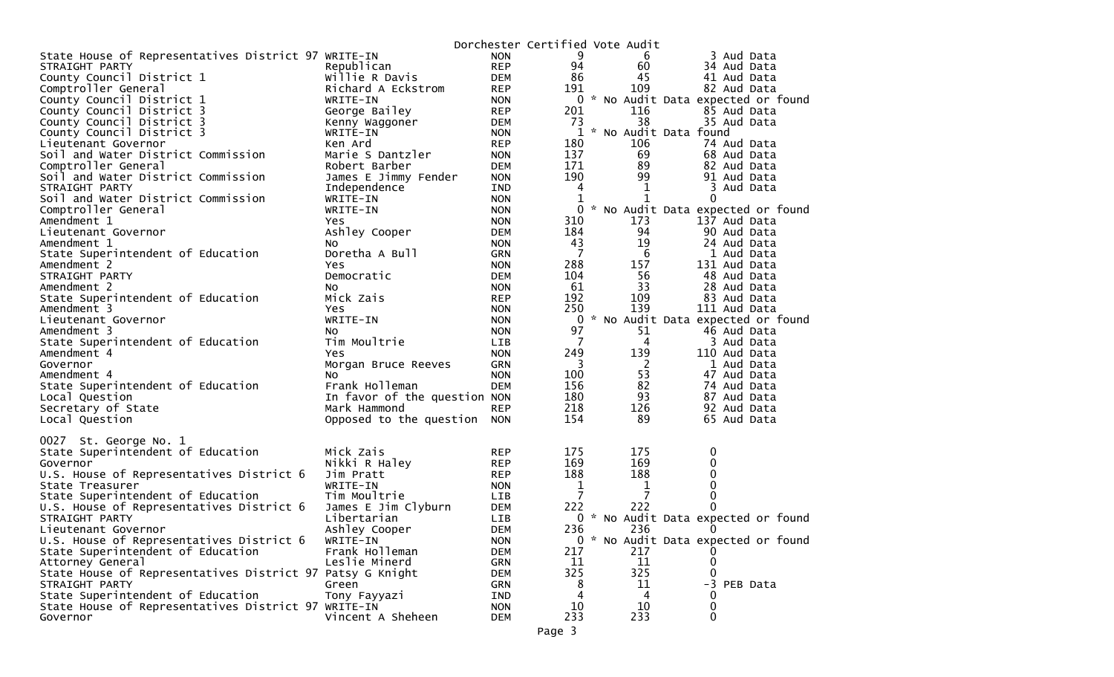|                                                           |                              |            | Dorchester Certified Vote Audit |                       |                                     |
|-----------------------------------------------------------|------------------------------|------------|---------------------------------|-----------------------|-------------------------------------|
| State House of Representatives District 97 WRITE-IN       |                              | <b>NON</b> | 9                               | 6                     | 3 Aud Data                          |
| STRAIGHT PARTY                                            | Republican                   | <b>REP</b> | 94                              | 60                    | 34 Aud Data                         |
| County Council District 1                                 | Willie R Davis               | DEM        | 86                              | 45                    | 41 Aud Data                         |
| Comptroller General                                       | Richard A Eckstrom           | <b>REP</b> | 191                             | 109                   | 82 Aud Data                         |
| County Council District 1                                 | WRITE-IN                     | <b>NON</b> |                                 |                       | 0 * No Audit Data expected or found |
| County Council District 3                                 | George Bailey                | <b>REP</b> | 201                             | 116                   | 85 Aud Data                         |
| County Council District 3                                 | Kenny Waggoner               | DEM        | 73                              | 38                    | 35 Aud Data                         |
| County Council District 3                                 | WRITE-IN                     | <b>NON</b> | 1                               | * No Audit Data found |                                     |
| Lieutenant Governor                                       | Ken Ard                      | <b>REP</b> | 180                             | 106                   | 74 Aud Data                         |
| Soil and Water District Commission                        | Marie S Dantzler             | <b>NON</b> | 137                             | 69                    | 68 Aud Data                         |
| Comptroller General                                       | Robert Barber                | DEM        | 171                             | 89                    | 82 Aud Data                         |
| Soil and Water District Commission                        | James E Jimmy Fender         | <b>NON</b> | 190                             | 99                    | 91 Aud Data                         |
| STRAIGHT PARTY                                            | Independence                 | IND        | 4                               | 1                     | 3 Aud Data                          |
| Soil and Water District Commission                        | WRITE-IN                     | <b>NON</b> |                                 | 1                     | 0                                   |
| Comptroller General                                       | WRITE-IN                     | <b>NON</b> | 0                               |                       | * No Audit Data expected or found   |
| Amendment 1                                               | Yes.                         | <b>NON</b> | 310                             | 173                   | 137 Aud Data                        |
| Lieutenant Governor                                       | Ashley Cooper                | DEM        | 184                             | 94                    | 90 Aud Data                         |
| Amendment 1                                               | NO.                          | <b>NON</b> | 43                              | 19                    | 24 Aud Data                         |
| State Superintendent of Education                         | Doretha A Bull               | <b>GRN</b> | $\overline{7}$                  | 6                     | 1 Aud Data                          |
| Amendment 2                                               | Yes.                         | <b>NON</b> | 288                             | 157                   | 131 Aud Data                        |
| STRAIGHT PARTY                                            | Democratic                   | <b>DEM</b> | 104                             | 56                    | 48 Aud Data                         |
| Amendment 2                                               | NO.                          | <b>NON</b> | 61                              | 33                    | 28 Aud Data                         |
| State Superintendent of Education                         | Mick Zais                    | <b>REP</b> | 192                             | 109                   | 83 Aud Data                         |
| Amendment 3                                               | Yes                          | <b>NON</b> | 250                             | 139                   | 111 Aud Data                        |
| Lieutenant Governor                                       | WRITE-IN                     | <b>NON</b> | 0                               |                       | * No Audit Data expected or found   |
| Amendment 3                                               | NO.                          | <b>NON</b> | 97                              | 51                    | 46 Aud Data                         |
| State Superintendent of Education                         | Tim Moultrie                 | LIB        | $\overline{7}$                  | 4                     | 3 Aud Data                          |
| Amendment 4                                               | Yes                          | <b>NON</b> | 249                             | 139                   | 110 Aud Data                        |
| Governor                                                  | Morgan Bruce Reeves          | <b>GRN</b> | $\overline{\mathbf{3}}$         | 2                     | 1 Aud Data                          |
| Amendment 4                                               | NO.                          | <b>NON</b> | 100                             | 53                    | 47 Aud Data                         |
| State Superintendent of Education                         | Frank Holleman               | <b>DEM</b> | 156                             | 82                    | 74 Aud Data                         |
| Local Question                                            | In favor of the question NON |            | 180                             | 93                    | 87 Aud Data                         |
| Secretary of State                                        | Mark Hammond                 | <b>REP</b> | 218                             | 126                   | 92 Aud Data                         |
| Local Question                                            | Opposed to the question      | <b>NON</b> | 154                             | 89                    | 65 Aud Data                         |
|                                                           |                              |            |                                 |                       |                                     |
| 0027 St. George No. 1                                     |                              |            |                                 |                       |                                     |
| State Superintendent of Education                         | Mick Zais                    | <b>REP</b> | 175                             | 175                   | 0                                   |
| Governor                                                  | Nikki R Haley                | <b>REP</b> | 169                             | 169                   | 0                                   |
| U.S. House of Representatives District 6                  | Jim Pratt                    | <b>REP</b> | 188                             | 188                   | 0                                   |
| State Treasurer                                           | WRITE-IN                     | <b>NON</b> | 1                               | 1                     | 0                                   |
| State Superintendent of Education                         | Tim Moultrie                 | LIB        | $\overline{7}$                  | $\overline{7}$        | 0                                   |
| U.S. House of Representatives District 6                  | James E Jim Clyburn          | DEM        | 222                             | 222                   | 0                                   |
| STRAIGHT PARTY                                            | Libertarian                  | LIB        |                                 |                       | 0 * No Audit Data expected or found |
| Lieutenant Governor                                       | Ashley Cooper                | <b>DEM</b> | 236                             | 236                   | $\Omega$                            |
| U.S. House of Representatives District 6                  | WRITE-IN                     | <b>NON</b> |                                 |                       | 0 * No Audit Data expected or found |
| State Superintendent of Education                         | Frank Holleman               | <b>DEM</b> | 217                             | 217                   |                                     |
| Attorney General                                          | Leslie Minerd                | GRN        | 11                              | 11                    | $\Omega$                            |
| State House of Representatives District 97 Patsy G Knight |                              | <b>DEM</b> | 325                             | 325                   |                                     |
| STRAIGHT PARTY                                            | Green                        | <b>GRN</b> | 8                               | 11                    | -3 PEB Data                         |
| State Superintendent of Education                         | Tony Fayyazi                 | IND        | 4                               | 4                     | $\Omega$                            |
| State House of Representatives District 97 WRITE-IN       |                              | <b>NON</b> | 10                              | 10                    | $\mathbf 0$                         |
| Governor                                                  | Vincent A Sheheen            | <b>DEM</b> | 233                             | 233                   | 0                                   |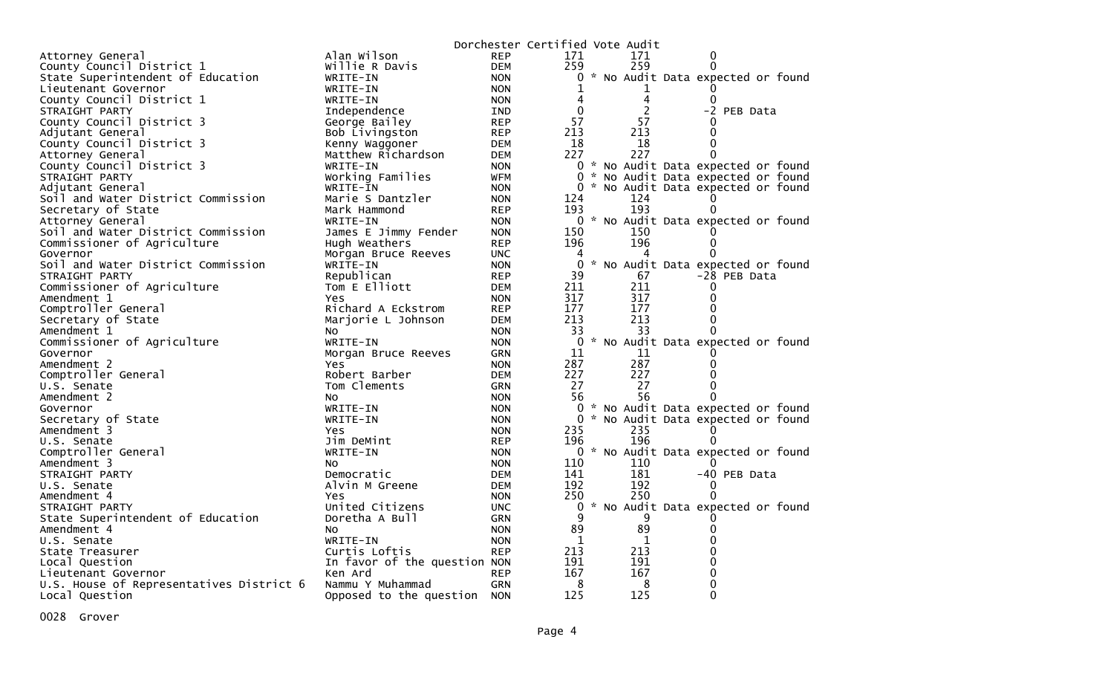|                                          |                              |            | Dorchester Certified Vote Audit |     |                                     |
|------------------------------------------|------------------------------|------------|---------------------------------|-----|-------------------------------------|
| Attorney General                         | Alan Wilson                  | <b>REP</b> | 171                             | 171 | 0                                   |
| County Council District 1                | Willie R Davis               | <b>DEM</b> | 259                             | 259 | 0                                   |
| State Superintendent of Education        | WRITE-IN                     | <b>NON</b> | $\mathbf{0}$                    |     | * No Audit Data expected or found   |
| Lieutenant Governor                      | WRITE-IN                     | <b>NON</b> | 1                               | 1   |                                     |
| County Council District 1                | WRITE-IN                     | <b>NON</b> | 4                               | 4   |                                     |
| STRAIGHT PARTY                           | Independence                 | <b>IND</b> | $\Omega$                        | 2   | -2 PEB Data                         |
| County Council District 3                | George Bailey                | <b>REP</b> | 57                              | 57  |                                     |
| Adjutant General                         | Bob Livingston               | <b>REP</b> | 213                             | 213 | 0                                   |
| County Council District 3                | Kenny Waggoner               | <b>DEM</b> | 18                              | 18  | $\Omega$                            |
| Attorney General                         | Matthew Richardson           | <b>DEM</b> | 227                             | 227 | ∩                                   |
| County Council District 3                | WRITE-IN                     | <b>NON</b> |                                 |     | 0 * No Audit Data expected or found |
| STRAIGHT PARTY                           | Working Families             | WFM        | $\Omega$                        |     | * No Audit Data expected or found   |
| Adjutant General                         | WRITE-IN                     | <b>NON</b> | 0                               |     | * No Audit Data expected or found   |
| Soil and Water District Commission       | Marie S Dantzler             | <b>NON</b> | 124                             | 124 |                                     |
| Secretary of State                       | Mark Hammond                 | <b>REP</b> | 193                             | 193 | 0                                   |
| Attorney General                         | WRITE-IN                     | <b>NON</b> |                                 |     | 0 * No Audit Data expected or found |
| Soil and Water District Commission       | James E Jimmy Fender         | <b>NON</b> | 150                             | 150 |                                     |
| Commissioner of Agriculture              | Hugh Weathers                | <b>REP</b> | 196                             | 196 | 0                                   |
| Governor                                 | Morgan Bruce Reeves          | <b>UNC</b> | 4                               |     | O                                   |
| Soil and Water District Commission       | WRITE-IN                     | <b>NON</b> | $\mathbf{0}$                    |     | * No Audit Data expected or found   |
| STRAIGHT PARTY                           | Republican                   | <b>REP</b> | 39                              | 67  | -28 PEB Data                        |
| Commissioner of Agriculture              | Tom E Elliott                | <b>DEM</b> | 211                             | 211 | 0                                   |
| Amendment 1                              | Yes                          | <b>NON</b> | 317                             | 317 | 0                                   |
| Comptroller General                      | Richard A Eckstrom           | <b>REP</b> | 177                             | 177 | 0                                   |
| Secretary of State                       | Marjorie L Johnson           | <b>DEM</b> | 213                             | 213 | 0                                   |
| Amendment 1                              | NO.                          | <b>NON</b> | 33                              | 33  | 0                                   |
| Commissioner of Agriculture              | WRITE-IN                     | <b>NON</b> | $\mathbf 0$                     |     | * No Audit Data expected or found   |
| Governor                                 |                              | <b>GRN</b> | 11                              | 11  |                                     |
| Amendment 2                              | Morgan Bruce Reeves<br>Yes.  | <b>NON</b> | 287                             | 287 | 0                                   |
| Comptroller General                      | Robert Barber                |            | 227                             | 227 | 0                                   |
|                                          | Tom Clements                 | <b>DEM</b> | 27                              | 27  | $\Omega$                            |
| U.S. Senate                              |                              | GRN        | 56                              | 56  | 0                                   |
| Amendment 2                              | NO.                          | <b>NON</b> |                                 |     |                                     |
| Governor                                 | WRITE-IN                     | <b>NON</b> | 0                               |     | * No Audit Data expected or found   |
| Secretary of State                       | WRITE-IN                     | <b>NON</b> | $\Omega$                        |     | * No Audit Data expected or found   |
| Amendment 3                              | Yes.                         | <b>NON</b> | 235                             | 235 | $\Omega$                            |
| U.S. Senate                              | Jim DeMint                   | <b>REP</b> | 196                             | 196 | 0                                   |
| Comptroller General                      | WRITE-IN                     | <b>NON</b> |                                 |     | 0 * No Audit Data expected or found |
| Amendment 3                              | NO.                          | <b>NON</b> | 110                             | 110 |                                     |
| STRAIGHT PARTY                           | Democratic                   | <b>DEM</b> | 141                             | 181 | -40 PEB Data                        |
| U.S. Senate                              | Alvin M Greene               | DEM        | 192                             | 192 | 0                                   |
| Amendment 4                              | Yes                          | <b>NON</b> | 250                             | 250 | 0                                   |
| STRAIGHT PARTY                           | United Citizens              | <b>UNC</b> | 0                               |     | * No Audit Data expected or found   |
| State Superintendent of Education        | Doretha A Bull               | GRN        | 9                               | 9   |                                     |
| Amendment 4                              | NO.                          | <b>NON</b> | 89                              | 89  | 0                                   |
| U.S. Senate                              | WRITE-IN                     | <b>NON</b> | 1                               | 1   | 0                                   |
| State Treasurer                          | Curtis Loftis                | <b>REP</b> | 213                             | 213 | 0                                   |
| Local Question                           | In favor of the question NON |            | 191                             | 191 | 0                                   |
| Lieutenant Governor                      | Ken Ard                      | <b>REP</b> | 167                             | 167 | 0                                   |
| U.S. House of Representatives District 6 | Nammu Y Muhammad             | <b>GRN</b> | 8                               | 8   | 0                                   |
| Local Question                           | Opposed to the question      | <b>NON</b> | 125                             | 125 | $\Omega$                            |

0028 Grover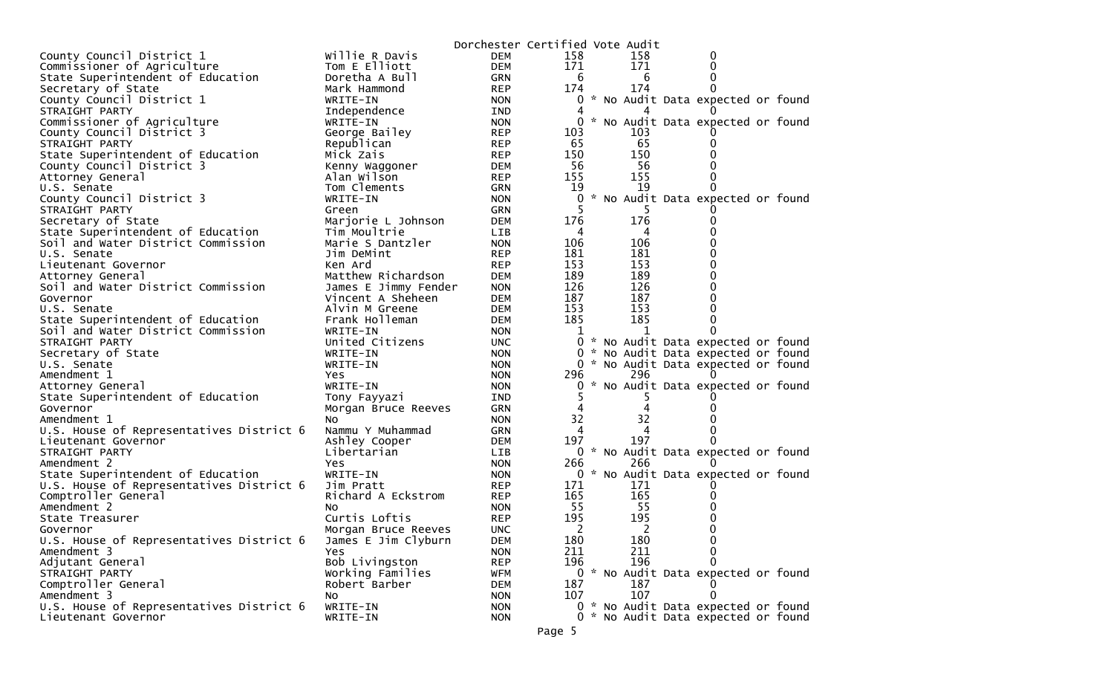|                                          |                      |            | Dorchester Certified Vote Audit |     |                                     |  |
|------------------------------------------|----------------------|------------|---------------------------------|-----|-------------------------------------|--|
| County Council District 1                | Willie R Davis       | <b>DEM</b> | 158                             | 158 | 0                                   |  |
| Commissioner of Agriculture              | Tom E Elliott        | <b>DEM</b> | 171                             | 171 | 0                                   |  |
| State Superintendent of Education        | Doretha A Bull       | GRN        | 6                               | 6   | 0                                   |  |
| Secretary of State                       | Mark Hammond         | <b>REP</b> | 174                             | 174 | $\Omega$                            |  |
| County Council District 1                | WRITE-IN             | <b>NON</b> | 0                               |     | * No Audit Data expected or found   |  |
| STRAIGHT PARTY                           | Independence         | IND        |                                 |     |                                     |  |
| Commissioner of Agriculture              | WRITE-IN             | <b>NON</b> |                                 |     | * No Audit Data expected or found   |  |
| County Council District 3                | George Bailey        | <b>REP</b> | 103                             | 103 |                                     |  |
| STRAIGHT PARTY                           | Republican           | <b>REP</b> | 65                              | 65  |                                     |  |
| State Superintendent of Education        | Mick Zais            | <b>REP</b> | 150                             | 150 |                                     |  |
| County Council District 3                | Kenny Waggoner       | <b>DEM</b> | 56                              | 56  |                                     |  |
| Attorney General                         | Alan Wilson          | <b>REP</b> | 155                             | 155 |                                     |  |
| U.S. Senate                              | Tom Clements         | GRN        | 19                              | 19  |                                     |  |
| County Council District 3                | WRITE-IN             | <b>NON</b> | 0                               |     | * No Audit Data expected or found   |  |
| STRAIGHT PARTY                           | Green                | GRN        |                                 |     |                                     |  |
| Secretary of State                       | Marjorie L Johnson   | DEM        | 176                             | 176 |                                     |  |
| State Superintendent of Education        | Tim Moultrie         | LIB        | 4                               | 4   | 0                                   |  |
| Soil and Water District Commission       | Marie S Dantzler     | <b>NON</b> | 106                             | 106 |                                     |  |
| U.S. Senate                              | Jim DeMint           | <b>REP</b> | 181                             | 181 | 0                                   |  |
| Lieutenant Governor                      | Ken Ard              | <b>REP</b> | 153                             | 153 | 0                                   |  |
| Attorney General                         | Matthew Richardson   | <b>DEM</b> | 189                             | 189 |                                     |  |
| Soil and Water District Commission       | James E Jimmy Fender | <b>NON</b> | 126                             | 126 |                                     |  |
| Governor                                 | Vincent A Sheheen    | DEM        | 187                             | 187 |                                     |  |
| U.S. Senate                              | Alvin M Greene       | <b>DEM</b> | 153                             | 153 |                                     |  |
| State Superintendent of Education        | Frank Holleman       | <b>DEM</b> | 185                             | 185 |                                     |  |
| Soil and Water District Commission       | WRITE-IN             | <b>NON</b> | 1                               | 1   | $\Omega$                            |  |
| STRAIGHT PARTY                           | United Citizens      | UNC.       | 0                               |     | * No Audit Data expected or found   |  |
| Secretary of State                       | WRITE-IN             | <b>NON</b> | 0                               |     | * No Audit Data expected or found   |  |
| U.S. Senate                              | WRITE-IN             | <b>NON</b> |                                 |     | 0 * No Audit Data expected or found |  |
| Amendment 1                              | <b>Yes</b>           | <b>NON</b> | 296                             | 296 |                                     |  |
| Attorney General                         | WRITE-IN             | <b>NON</b> | 0                               |     | * No Audit Data expected or found   |  |
| State Superintendent of Education        | Tony Fayyazi         | IND        | 5.                              | 5   |                                     |  |
| Governor                                 | Morgan Bruce Reeves  | GRN        | 4                               | 4   |                                     |  |
| Amendment 1                              | NO.                  | <b>NON</b> | 32                              | 32  |                                     |  |
| U.S. House of Representatives District 6 | Nammu Y Muhammad     | <b>GRN</b> | 4                               | 4   | $\Omega$                            |  |
| Lieutenant Governor                      | Ashley Cooper        | <b>DEM</b> | 197                             | 197 |                                     |  |
| STRAIGHT PARTY                           | Libertarian          | LIB        |                                 |     | 0 * No Audit Data expected or found |  |
| Amendment 2                              | <b>Yes</b>           | <b>NON</b> | 266                             | 266 |                                     |  |
| State Superintendent of Education        | WRITE-IN             | <b>NON</b> |                                 |     | 0 * No Audit Data expected or found |  |
| U.S. House of Representatives District 6 | Jim Pratt            | <b>REP</b> | 171                             | 171 |                                     |  |
| Comptroller General                      | Richard A Eckstrom   | <b>REP</b> | 165                             | 165 |                                     |  |
| Amendment 2                              | NO.                  | <b>NON</b> | 55                              | 55  |                                     |  |
| State Treasurer                          | Curtis Loftis        | <b>REP</b> | 195                             | 195 |                                     |  |
| Governor                                 | Morgan Bruce Reeves  | <b>UNC</b> | 2                               | 2   | 0                                   |  |
| U.S. House of Representatives District 6 | James E Jim Clyburn  | <b>DEM</b> | 180                             | 180 | 0                                   |  |
| Amendment 3                              | Yes                  | <b>NON</b> | 211                             | 211 | 0                                   |  |
| Adjutant General                         | Bob Livingston       | <b>REP</b> | 196                             | 196 | 0                                   |  |
| STRAIGHT PARTY                           | Working Families     | <b>WFM</b> |                                 |     | 0 * No Audit Data expected or found |  |
| Comptroller General                      | Robert Barber        | <b>DEM</b> | 187                             | 187 |                                     |  |
| Amendment 3                              | No                   | <b>NON</b> | 107                             | 107 | $\Omega$                            |  |
| U.S. House of Representatives District 6 | WRITE-IN             | <b>NON</b> |                                 |     | 0 * No Audit Data expected or found |  |
| Lieutenant Governor                      | WRITE-IN             | <b>NON</b> |                                 |     | 0 * No Audit Data expected or found |  |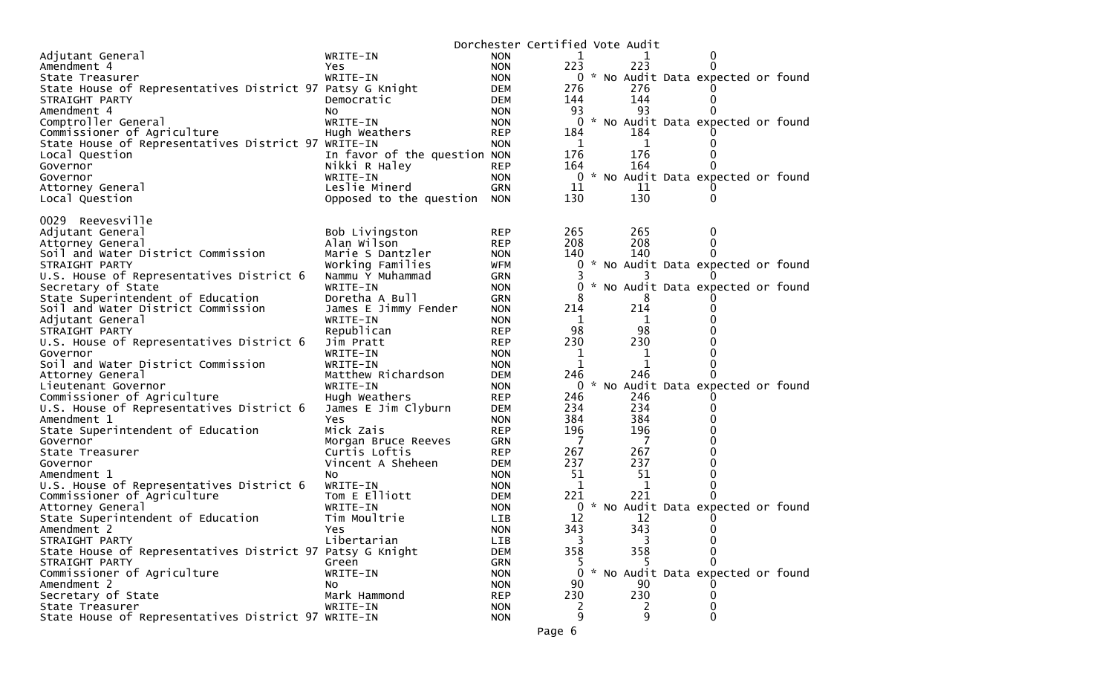|                                                           |                                |                          | Dorchester Certified Vote Audit |               |                   |                                     |  |
|-----------------------------------------------------------|--------------------------------|--------------------------|---------------------------------|---------------|-------------------|-------------------------------------|--|
| Adjutant General                                          | WRITE-IN                       | <b>NON</b>               | 1                               |               |                   | 0                                   |  |
| Amendment 4                                               | Yes.                           | <b>NON</b>               | 223                             |               | 223               | $\Omega$                            |  |
| State Treasurer                                           | WRITE-IN                       | <b>NON</b>               |                                 |               |                   | 0 * No Audit Data expected or found |  |
| State House of Representatives District 97 Patsy G Knight |                                | <b>DEM</b>               | 276                             |               | 276               |                                     |  |
| STRAIGHT PARTY                                            | Democratic                     | <b>DEM</b>               | 144                             |               | 144               | 0                                   |  |
| Amendment 4                                               | NO.                            | <b>NON</b>               | 93                              |               | 93                |                                     |  |
| Comptroller General                                       | WRITE-IN                       | <b>NON</b>               | 0                               |               |                   | * No Audit Data expected or found   |  |
| Commissioner of Agriculture                               | Hugh Weathers                  | <b>REP</b>               | 184                             |               | 184               |                                     |  |
| State House of Representatives District 97 WRITE-IN       |                                | <b>NON</b>               | 1                               |               | 1                 |                                     |  |
| Local Question                                            | In favor of the question NON   |                          | 176                             |               | 176               | 0                                   |  |
| Governor                                                  | Nikki R Haley                  | <b>REP</b>               | 164                             |               | 164               | $\Omega$                            |  |
| Governor                                                  | WRITE-IN                       | <b>NON</b>               | 0                               | $\mathcal{H}$ |                   | No Audit Data expected or found     |  |
| Attorney General                                          | Leslie Minerd                  | <b>GRN</b>               | 11                              |               | 11                |                                     |  |
| Local Question                                            | Opposed to the question        | <b>NON</b>               | 130                             |               | 130               | 0                                   |  |
|                                                           |                                |                          |                                 |               |                   |                                     |  |
| Reevesville<br>0029                                       |                                |                          |                                 |               |                   |                                     |  |
| Adjutant General                                          | Bob Livingston                 | <b>REP</b>               | 265                             |               | 265               | 0                                   |  |
| Attorney General                                          | Alan Wilson                    | <b>REP</b>               | 208                             |               | 208               | 0                                   |  |
| Soil and Water District Commission                        | Marie S Dantzler               | <b>NON</b>               | 140                             |               | 140               |                                     |  |
| STRAIGHT PARTY                                            | Working Families               | <b>WFM</b>               | 0                               |               |                   | * No Audit Data expected or found   |  |
| U.S. House of Representatives District 6                  | Nammu Y Muhammad               | <b>GRN</b>               |                                 |               |                   |                                     |  |
| Secretary of State                                        | WRITE-IN                       | <b>NON</b>               | 0                               |               |                   | * No Audit Data expected or found   |  |
| State Superintendent of Education                         | Doretha A Bull                 | <b>GRN</b>               | 8                               |               | 8                 |                                     |  |
| Soil and Water District Commission                        | James E Jimmy Fender           | <b>NON</b>               | 214                             |               | 214               | 0<br>U                              |  |
| Adjutant General                                          | WRITE-IN                       | <b>NON</b>               | 1                               |               | 1                 |                                     |  |
| STRAIGHT PARTY                                            | Republican                     | <b>REP</b>               | 98                              |               | 98                | O                                   |  |
| U.S. House of Representatives District 6                  | Jim Pratt                      | <b>REP</b>               | 230                             |               | 230               | 0                                   |  |
| Governor                                                  | WRITE-IN                       | <b>NON</b>               | 1<br>$\mathbf 1$                |               | 1<br>$\mathbf{1}$ | 0                                   |  |
| Soil and Water District Commission                        | WRITE-IN<br>Matthew Richardson | <b>NON</b>               | 246                             |               | 246               |                                     |  |
| Attorney General                                          | WRITE-IN                       | <b>DEM</b><br><b>NON</b> | 0                               |               |                   | No Audit Data expected or found     |  |
| Lieutenant Governor<br>Commissioner of Agriculture        | Hugh Weathers                  | <b>REP</b>               | 246                             |               | 246               |                                     |  |
| U.S. House of Representatives District 6                  | James E Jim Clyburn            | <b>DEM</b>               | 234                             |               | 234               |                                     |  |
| Amendment 1                                               | Yes.                           | <b>NON</b>               | 384                             |               | 384               | 0                                   |  |
| State Superintendent of Education                         | Mick Zais                      | <b>REP</b>               | 196                             |               | 196               | 0                                   |  |
| Governor                                                  | Morgan Bruce Reeves            | <b>GRN</b>               | 7                               |               | $\overline{7}$    | 0                                   |  |
| State Treasurer                                           | Curtis Loftis                  | <b>REP</b>               | 267                             |               | 267               | 0                                   |  |
| Governor                                                  | Vincent A Sheheen              | <b>DEM</b>               | 237                             |               | 237               | 0                                   |  |
| Amendment 1                                               | No.                            | <b>NON</b>               | 51                              |               | 51                | 0                                   |  |
| U.S. House of Representatives District 6                  | WRITE-IN                       | <b>NON</b>               | $\mathbf 1$                     |               | 1                 | 0                                   |  |
| Commissioner of Agriculture                               | Tom E Elliott                  | <b>DEM</b>               | 221                             |               | 221               | <sup>0</sup>                        |  |
| Attorney General                                          | WRITE-IN                       | <b>NON</b>               | 0                               |               |                   | No Audit Data expected or found     |  |
| State Superintendent of Education                         | Tim Moultrie                   | LIB                      | 12                              |               | 12                |                                     |  |
| Amendment 2                                               | Yes                            | <b>NON</b>               | 343                             |               | 343               | 0                                   |  |
| STRAIGHT PARTY                                            | Libertarian                    | LIB                      | 3                               |               |                   | $\mathbf 0$                         |  |
| State House of Representatives District 97 Patsy G Knight |                                | <b>DEM</b>               | 358                             |               | 358               | 0                                   |  |
| STRAIGHT PARTY                                            | Green                          | <b>GRN</b>               |                                 |               |                   | 0                                   |  |
| Commissioner of Agriculture                               | WRITE-IN                       | <b>NON</b>               | 0                               |               |                   | * No Audit Data expected or found   |  |
| Amendment 2                                               | No                             | <b>NON</b>               | 90                              |               | 90                |                                     |  |
| Secretary of State                                        | Mark Hammond                   | <b>REP</b>               | 230                             |               | 230               | 0                                   |  |
| State Treasurer                                           | WRITE-IN                       | <b>NON</b>               | 2                               |               |                   | 0                                   |  |
| State House of Representatives District 97 WRITE-IN       |                                | <b>NON</b>               | 9                               |               | 9                 | 0                                   |  |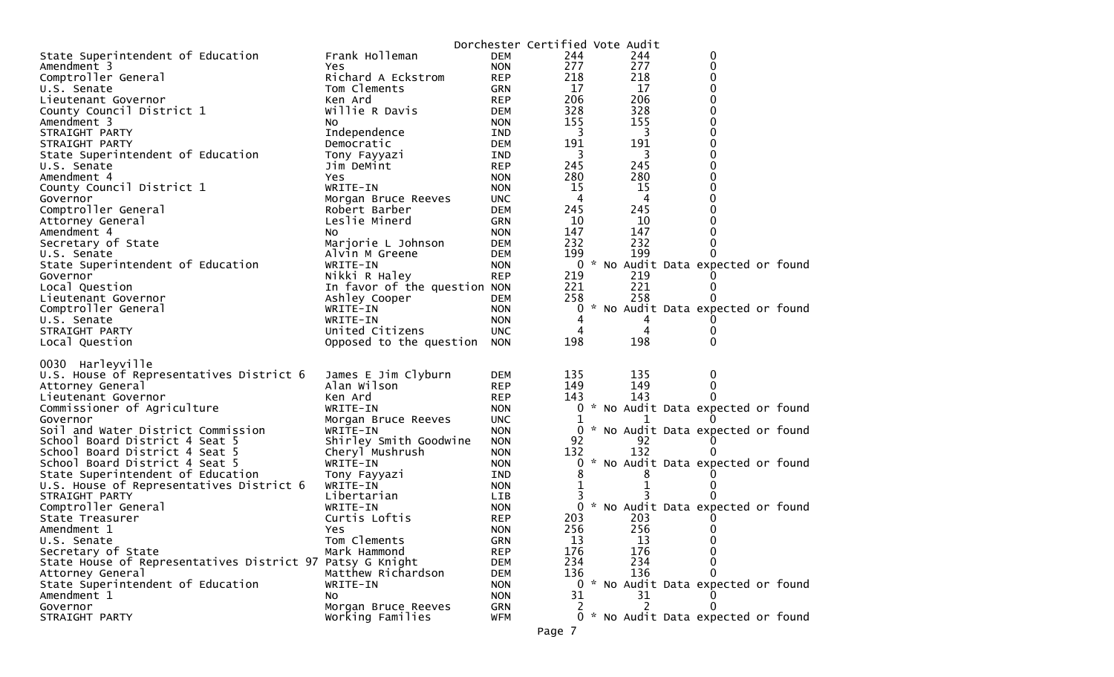|                                                           |                              |            | Dorchester Certified Vote Audit |     |                                     |  |
|-----------------------------------------------------------|------------------------------|------------|---------------------------------|-----|-------------------------------------|--|
| State Superintendent of Education                         | Frank Holleman               | <b>DEM</b> | 244                             | 244 | 0                                   |  |
| Amendment 3                                               | Yes                          | <b>NON</b> | 277                             | 277 | 0                                   |  |
| Comptroller General                                       | Richard A Eckstrom           | <b>REP</b> | 218                             | 218 | $\mathbf 0$                         |  |
| U.S. Senate                                               | Tom Clements                 | <b>GRN</b> | 17                              | 17  | 0                                   |  |
| Lieutenant Governor                                       | Ken Ard                      | <b>REP</b> | 206                             | 206 | 0                                   |  |
| County Council District 1                                 | Willie R Davis               | DEM        | 328                             | 328 | 0                                   |  |
| Amendment 3                                               | NO.                          | <b>NON</b> | 155                             | 155 | $\mathbf 0$                         |  |
| STRAIGHT PARTY                                            | Independence                 | IND        | 3                               | 3   | 0                                   |  |
| STRAIGHT PARTY                                            | Democratic                   | <b>DEM</b> | 191                             | 191 | 0                                   |  |
| State Superintendent of Education                         | Tony Fayyazi                 | IND.       | 3                               | 3   | 0                                   |  |
| U.S. Senate                                               | Jim DeMint                   | <b>REP</b> | 245                             | 245 | 0                                   |  |
| Amendment 4                                               | Yes                          | <b>NON</b> | 280                             | 280 | 0                                   |  |
| County Council District 1                                 | WRITE-IN                     | <b>NON</b> | 15                              | 15  | 0                                   |  |
| Governor                                                  | Morgan Bruce Reeves          | <b>UNC</b> | 4                               | 4   | 0                                   |  |
| Comptroller General                                       | Robert Barber                | <b>DEM</b> | 245                             | 245 | 0                                   |  |
| Attorney General                                          | Leslie Minerd                | <b>GRN</b> | 10                              | -10 | 0                                   |  |
| Amendment 4                                               | No.                          | <b>NON</b> | 147                             | 147 | 0                                   |  |
| Secretary of State                                        | Marjorie L Johnson           | <b>DEM</b> | 232                             | 232 | 0                                   |  |
| U.S. Senate                                               | Alvin M Greene               | <b>DEM</b> | 199                             | 199 |                                     |  |
| State Superintendent of Education                         | WRITE-IN                     | <b>NON</b> |                                 |     | 0 * No Audit Data expected or found |  |
| Governor                                                  | Nikki R Haley                | <b>REP</b> | 219                             | 219 |                                     |  |
| Local Question                                            | In favor of the question NON |            | 221                             | 221 |                                     |  |
| Lieutenant Governor                                       | Ashley Cooper                | <b>DEM</b> | 258                             | 258 |                                     |  |
| Comptroller General                                       | WRITE-IN                     | <b>NON</b> | 0                               |     | * No Audit Data expected or found   |  |
| U.S. Senate                                               | WRITE-IN                     | <b>NON</b> | 4                               | 4   |                                     |  |
| STRAIGHT PARTY                                            | United Citizens              | <b>UNC</b> | 4                               | 4   | 0                                   |  |
| Local Question                                            | Opposed to the question      | <b>NON</b> | 198                             | 198 | $\Omega$                            |  |
| 0030 Harleyville                                          |                              |            |                                 |     |                                     |  |
| U.S. House of Representatives District 6                  | James E Jim Clyburn          | <b>DEM</b> | 135                             | 135 | 0                                   |  |
| Attorney General                                          | Alan Wilson                  | <b>REP</b> | 149                             | 149 | 0                                   |  |
| Lieutenant Governor                                       | Ken Ard                      | <b>REP</b> | 143                             | 143 |                                     |  |
| Commissioner of Agriculture                               | WRITE-IN                     | <b>NON</b> |                                 |     | 0 * No Audit Data expected or found |  |
| Governor                                                  | Morgan Bruce Reeves          | <b>UNC</b> |                                 |     |                                     |  |
| Soil and Water District Commission                        | WRITE-IN                     | <b>NON</b> |                                 |     | 0 * No Audit Data expected or found |  |
| School Board District 4 Seat 5                            | Shirley Smith Goodwine       | <b>NON</b> | 92                              | 92  |                                     |  |
| School Board District 4 Seat 5                            | Cheryl Mushrush              | <b>NON</b> | 132                             | 132 |                                     |  |
| School Board District 4 Seat 5                            | WRITE-IN                     | <b>NON</b> | 0                               |     | * No Audit Data expected or found   |  |
| State Superintendent of Education                         | Tony Fayyazi                 | IND        | 8                               | 8   |                                     |  |
| U.S. House of Representatives District 6                  | WRITE-IN                     | <b>NON</b> | 1                               |     |                                     |  |
| STRAIGHT PARTY                                            | Libertarian                  | <b>LIB</b> |                                 |     |                                     |  |
| Comptroller General                                       | WRITE-IN                     | <b>NON</b> | $\mathbf{0}$                    |     | * No Audit Data expected or found   |  |
| State Treasurer                                           | Curtis Loftis                | <b>REP</b> | 203                             | 203 |                                     |  |
| Amendment 1                                               | Yes                          | <b>NON</b> | 256                             | 256 | 0                                   |  |
| U.S. Senate                                               | Tom Clements                 | GRN        | 13                              | 13  | 0                                   |  |
| Secretary of State                                        | Mark Hammond                 | <b>REP</b> | 176                             | 176 | 0                                   |  |
| State House of Representatives District 97 Patsy G Knight |                              | <b>DEM</b> | 234                             | 234 |                                     |  |
| Attorney General                                          | Matthew Richardson           | <b>DEM</b> | 136                             | 136 | 0                                   |  |
| State Superintendent of Education                         | WRITE-IN                     | <b>NON</b> |                                 |     | 0 * No Audit Data expected or found |  |
| Amendment 1                                               | No                           | <b>NON</b> | 31                              | 31  |                                     |  |
| Governor                                                  | Morgan Bruce Reeves          | GRN        | 2                               | 2   |                                     |  |
| STRAIGHT PARTY                                            | Working Families             | <b>WFM</b> |                                 |     | 0 * No Audit Data expected or found |  |
|                                                           |                              |            |                                 |     |                                     |  |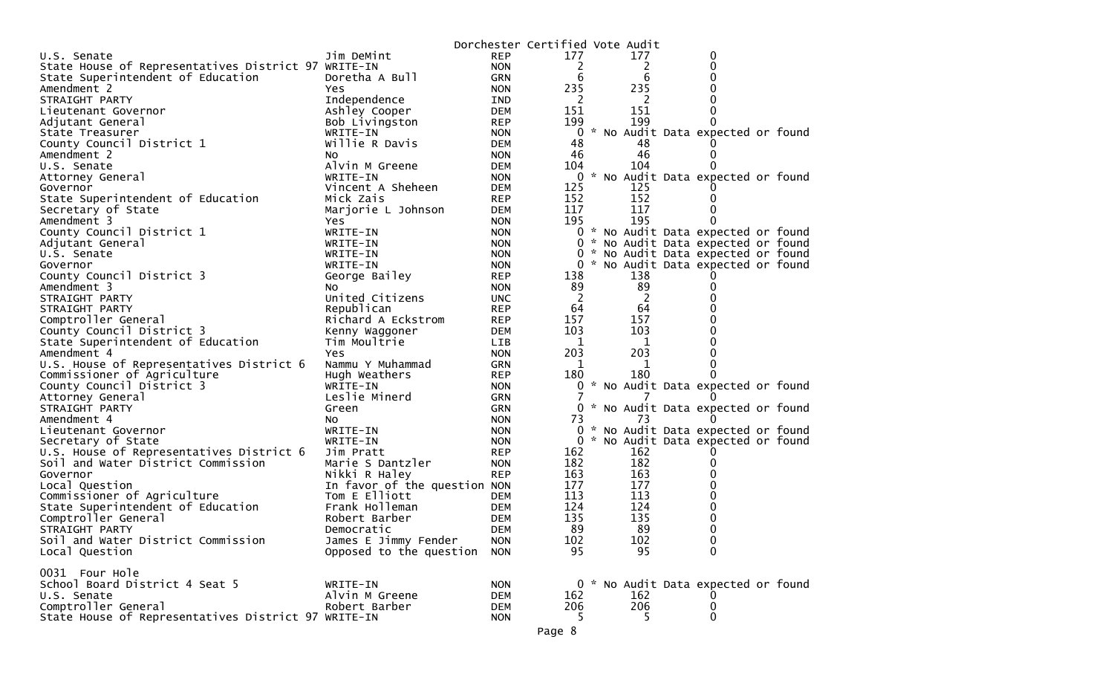|                                                     |                              |            | Dorchester Certified Vote Audit |     |                                     |  |
|-----------------------------------------------------|------------------------------|------------|---------------------------------|-----|-------------------------------------|--|
| U.S. Senate                                         | Jim DeMint                   | <b>REP</b> | 177                             | 177 | 0                                   |  |
| State House of Representatives District 97 WRITE-IN |                              | <b>NON</b> | 2                               | 2   | 0                                   |  |
| State Superintendent of Education                   | Doretha A Bull               | <b>GRN</b> | 6                               | 6   | 0                                   |  |
| Amendment 2                                         | Yes                          | <b>NON</b> | 235                             | 235 | 0                                   |  |
| STRAIGHT PARTY                                      | Independence                 | IND        | -2                              | 2   | 0                                   |  |
| Lieutenant Governor                                 | Ashley Cooper                | <b>DEM</b> | 151                             | 151 | 0                                   |  |
| Adjutant General                                    | Bob Livingston               | <b>REP</b> | 199                             | 199 | 0                                   |  |
| State Treasurer                                     | WRITE-IN                     | <b>NON</b> | 0                               |     | * No Audit Data expected or found   |  |
| County Council District 1                           | Willie R Davis               | <b>DEM</b> | 48                              | 48  | $\Omega$                            |  |
| Amendment 2                                         | NO.                          | <b>NON</b> | 46                              | 46  | 0                                   |  |
| U.S. Senate                                         | Alvin M Greene               | <b>DEM</b> | 104                             | 104 | 0                                   |  |
| Attorney General                                    | WRITE-IN                     | <b>NON</b> | 0                               |     | * No Audit Data expected or found   |  |
| Governor                                            | Vincent A Sheheen            | <b>DEM</b> | 125                             | 125 |                                     |  |
| State Superintendent of Education                   | Mick Zais                    | <b>REP</b> | 152                             | 152 | 0                                   |  |
| Secretary of State                                  | Marjorie L Johnson           | <b>DEM</b> | 117                             | 117 | 0                                   |  |
| Amendment 3                                         | Yes.                         | <b>NON</b> | 195                             | 195 | $\Omega$                            |  |
| County Council District 1                           | WRITE-IN                     | <b>NON</b> |                                 |     | 0 * No Audit Data expected or found |  |
| Adjutant General                                    | WRITE-IN                     | <b>NON</b> |                                 |     | 0 * No Audit Data expected or found |  |
| U.S. Senate                                         | WRITE-IN                     | <b>NON</b> | 0                               |     | * No Audit Data expected or found   |  |
| Governor                                            | WRITE-IN                     | <b>NON</b> |                                 |     | 0 * No Audit Data expected or found |  |
| County Council District 3                           | George Bailey                | <b>REP</b> | 138                             | 138 | U                                   |  |
| Amendment 3                                         | NO.                          | <b>NON</b> | 89                              | 89  | 0                                   |  |
| STRAIGHT PARTY                                      | United Citizens              | <b>UNC</b> | 2                               | 2   | 0                                   |  |
| STRAIGHT PARTY                                      | Republican                   | <b>REP</b> | 64                              | 64  | 0                                   |  |
| Comptroller General                                 | Richard A Eckstrom           | <b>REP</b> | 157                             | 157 | 0                                   |  |
| County Council District 3                           | Kenny Waggoner               | <b>DEM</b> | 103                             | 103 | 0                                   |  |
| State Superintendent of Education                   | Tim Moultrie                 | LIB        | 1                               | 1   | 0                                   |  |
| Amendment 4                                         | Yes.                         | <b>NON</b> | 203                             | 203 | 0                                   |  |
| U.S. House of Representatives District 6            | Nammu Y Muhammad             | <b>GRN</b> | 1                               | 1   | 0                                   |  |
| Commissioner of Agriculture                         | Hugh Weathers                | <b>REP</b> | 180                             | 180 | 0                                   |  |
| County Council District 3                           | WRITE-IN                     | <b>NON</b> |                                 |     | * No Audit Data expected or found   |  |
| Attorney General                                    | Leslie Minerd                | <b>GRN</b> |                                 |     | $\Omega$                            |  |
| STRAIGHT PARTY                                      | Green                        | <b>GRN</b> |                                 |     | 0 * No Audit Data expected or found |  |
| Amendment 4                                         | NO.                          | <b>NON</b> | 73                              | 73  | $\Omega$                            |  |
| Lieutenant Governor                                 | WRITE-IN                     | <b>NON</b> | 0                               |     | * No Audit Data expected or found   |  |
| Secretary of State                                  | WRITE-IN                     | <b>NON</b> | 0                               |     | * No Audit Data expected or found   |  |
| U.S. House of Representatives District 6            | Jim Pratt                    | <b>REP</b> | 162                             | 162 | 0                                   |  |
| Soil and Water District Commission                  | Marie S Dantzler             | <b>NON</b> | 182                             | 182 | 0                                   |  |
| Governor                                            | Nikki R Haley                | <b>REP</b> | 163                             | 163 | 0                                   |  |
| Local Question                                      | In favor of the question NON |            | 177                             | 177 | 0                                   |  |
| Commissioner of Agriculture                         | Tom E Elliott                | <b>DEM</b> | 113                             | 113 | 0                                   |  |
| State Superintendent of Education                   | Frank Holleman               | <b>DEM</b> | 124                             | 124 | 0                                   |  |
|                                                     |                              |            | 135                             | 135 | 0                                   |  |
| Comptroller General                                 | Robert Barber                | <b>DEM</b> |                                 |     | 0                                   |  |
| STRAIGHT PARTY                                      | Democratic                   | <b>DEM</b> | 89                              | 89  |                                     |  |
| Soil and Water District Commission                  | James E Jimmy Fender         | <b>NON</b> | 102                             | 102 | 0                                   |  |
| Local Question                                      | Opposed to the question      | <b>NON</b> | 95                              | 95  | $\mathbf{0}$                        |  |
| 0031 Four Hole                                      |                              |            |                                 |     |                                     |  |
|                                                     |                              |            |                                 |     |                                     |  |
| School Board District 4 Seat 5                      | WRITE-IN                     | <b>NON</b> |                                 |     | 0 * No Audit Data expected or found |  |
| U.S. Senate                                         | Alvin M Greene               | DEM        | 162                             | 162 | 0                                   |  |
| Comptroller General                                 | Robert Barber                | <b>DEM</b> | 206                             | 206 | 0                                   |  |
| State House of Representatives District 97 WRITE-IN |                              | <b>NON</b> | 5.                              | 5   | $\Omega$                            |  |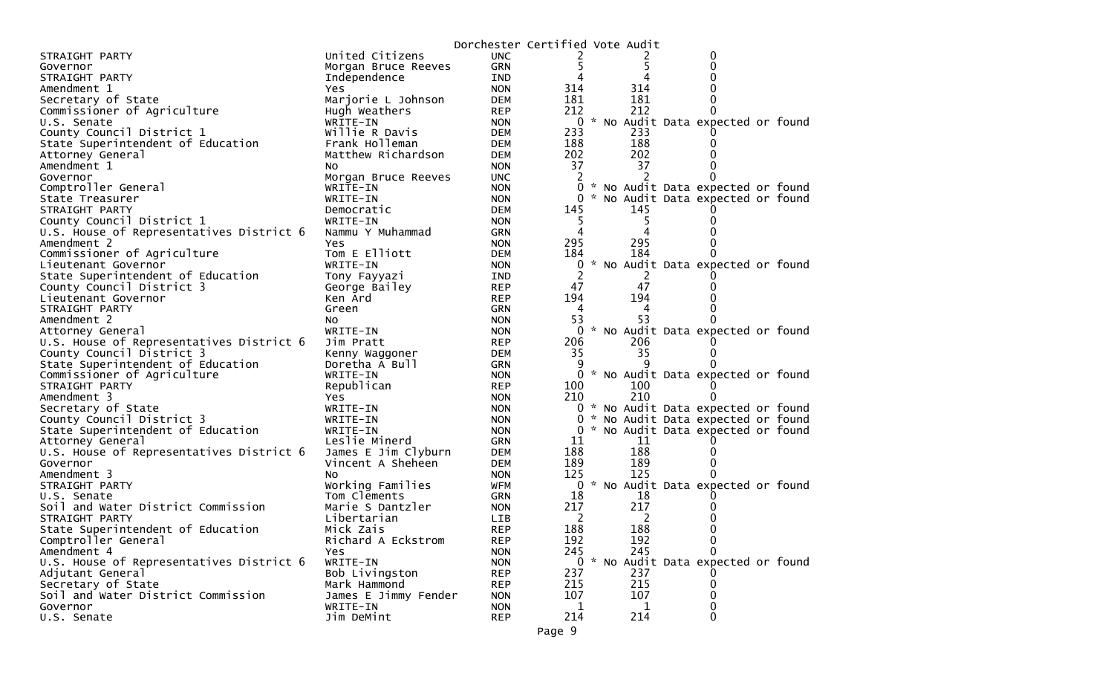|                                          |                      | Dorchester Certified Vote Audit |                |     |                                     |  |
|------------------------------------------|----------------------|---------------------------------|----------------|-----|-------------------------------------|--|
| STRAIGHT PARTY                           | United Citizens      | <b>UNC</b>                      |                |     | 0                                   |  |
| Governor                                 | Morgan Bruce Reeves  | <b>GRN</b>                      | 5.             | 5   |                                     |  |
| STRAIGHT PARTY                           | Independence         | <b>IND</b>                      | 4              | 4   |                                     |  |
| Amendment 1                              | Yes                  | <b>NON</b>                      | 314            | 314 |                                     |  |
| Secretary of State                       | Marjorie L Johnson   | <b>DEM</b>                      | 181            | 181 |                                     |  |
| Commissioner of Agriculture              | Hugh Weathers        | <b>REP</b>                      | 212            | 212 |                                     |  |
| U.S. Senate                              | WRITE-IN             | <b>NON</b>                      | $\mathbf{0}$   |     | * No Audit Data expected or found   |  |
| County Council District 1                | Willie R Davis       | DEM                             | 233            | 233 |                                     |  |
| State Superintendent of Education        | Frank Holleman       | <b>DEM</b>                      | 188            | 188 |                                     |  |
| Attorney General                         | Matthew Richardson   | <b>DEM</b>                      | 202            | 202 |                                     |  |
| Amendment 1                              | NO.                  | <b>NON</b>                      | 37             | 37  |                                     |  |
| Governor                                 | Morgan Bruce Reeves  | <b>UNC</b>                      | 2              | 2   |                                     |  |
| Comptroller General                      | WRITE-IN             | <b>NON</b>                      | 0              |     | * No Audit Data expected or found   |  |
| State Treasurer                          | WRITE-IN             | <b>NON</b>                      |                |     | 0 * No Audit Data expected or found |  |
| STRAIGHT PARTY                           | Democratic           | <b>DEM</b>                      | 145            | 145 |                                     |  |
| County Council District 1                | WRITE-IN             | <b>NON</b>                      |                |     |                                     |  |
| U.S. House of Representatives District 6 | Nammu Y Muhammad     | GRN                             | 4              |     |                                     |  |
| Amendment 2                              | Yes                  | <b>NON</b>                      | 295            | 295 |                                     |  |
| Commissioner of Agriculture              | Tom E Elliott        | <b>DEM</b>                      | 184            | 184 |                                     |  |
| Lieutenant Governor                      | WRITE-IN             | <b>NON</b>                      | 0              |     | * No Audit Data expected or found   |  |
| State Superintendent of Education        | Tony Fayyazi         | IND                             | 2              | 2   |                                     |  |
| County Council District 3                | George Bailey        | <b>REP</b>                      | 47             | 47  |                                     |  |
| Lieutenant Governor                      | Ken Ard              | <b>REP</b>                      | 194            | 194 |                                     |  |
| STRAIGHT PARTY                           | Green                | <b>GRN</b>                      | 4              | 4   |                                     |  |
| Amendment 2                              | NO.                  | <b>NON</b>                      | 53             | 53  |                                     |  |
| Attorney General                         | WRITE-IN             | <b>NON</b>                      | $\overline{0}$ |     | * No Audit Data expected or found   |  |
| U.S. House of Representatives District 6 | Jim Pratt            | <b>REP</b>                      | 206            | 206 |                                     |  |
| County Council District 3                | Kenny Waggoner       | <b>DEM</b>                      | 35             | 35  |                                     |  |
| State Superintendent of Education        | Doretha A Bull       | GRN                             | 9              | q   |                                     |  |
| Commissioner of Agriculture              | WRITE-IN             | <b>NON</b>                      | 0              |     | * No Audit Data expected or found   |  |
| STRAIGHT PARTY                           | Republican           | <b>REP</b>                      | 100            | 100 |                                     |  |
| Amendment 3                              | Yes                  | <b>NON</b>                      | 210            | 210 |                                     |  |
| Secretary of State                       | WRITE-IN             | <b>NON</b>                      |                |     | 0 * No Audit Data expected or found |  |
| County Council District 3                | WRITE-IN             | <b>NON</b>                      | 0              |     | * No Audit Data expected or found   |  |
| State Superintendent of Education        | WRITE-IN             | <b>NON</b>                      |                |     | 0 * No Audit Data expected or found |  |
| Attorney General                         | Leslie Minerd        | GRN                             | 11             | 11  |                                     |  |
| U.S. House of Representatives District 6 | James E Jim Clyburn  | <b>DEM</b>                      | 188            | 188 |                                     |  |
| Governor                                 | Vincent A Sheheen    | <b>DEM</b>                      | 189            | 189 |                                     |  |
| Amendment 3                              | NO.                  | <b>NON</b>                      | 125            | 125 |                                     |  |
| STRAIGHT PARTY                           | Working Families     | WFM                             |                |     | 0 * No Audit Data expected or found |  |
| U.S. Senate                              | Tom Clements         | <b>GRN</b>                      | 18             | 18  |                                     |  |
| Soil and Water District Commission       | Marie S Dantzler     | <b>NON</b>                      | 217            | 217 |                                     |  |
| STRAIGHT PARTY                           | Libertarian          | <b>LIB</b>                      | 2              | 2   |                                     |  |
| State Superintendent of Education        | Mick Zais            | <b>REP</b>                      | 188            | 188 | 0                                   |  |
| Comptroller General                      | Richard A Eckstrom   | <b>REP</b>                      | 192            | 192 | 0                                   |  |
| Amendment 4                              | Yes                  | <b>NON</b>                      | 245            | 245 | 0                                   |  |
| U.S. House of Representatives District 6 | WRITE-IN             | <b>NON</b>                      |                |     | 0 * No Audit Data expected or found |  |
| Adjutant General                         | Bob Livingston       | <b>REP</b>                      | 237            | 237 |                                     |  |
| Secretary of State                       | Mark Hammond         | <b>REP</b>                      | 215            | 215 | 0                                   |  |
| Soil and Water District Commission       | James E Jimmy Fender | <b>NON</b>                      | 107            | 107 | 0                                   |  |
| Governor                                 | WRITE-IN             | <b>NON</b>                      | 1              | 1   | 0                                   |  |
| U.S. Senate                              | Jim DeMint           | <b>REP</b>                      | 214            | 214 | 0                                   |  |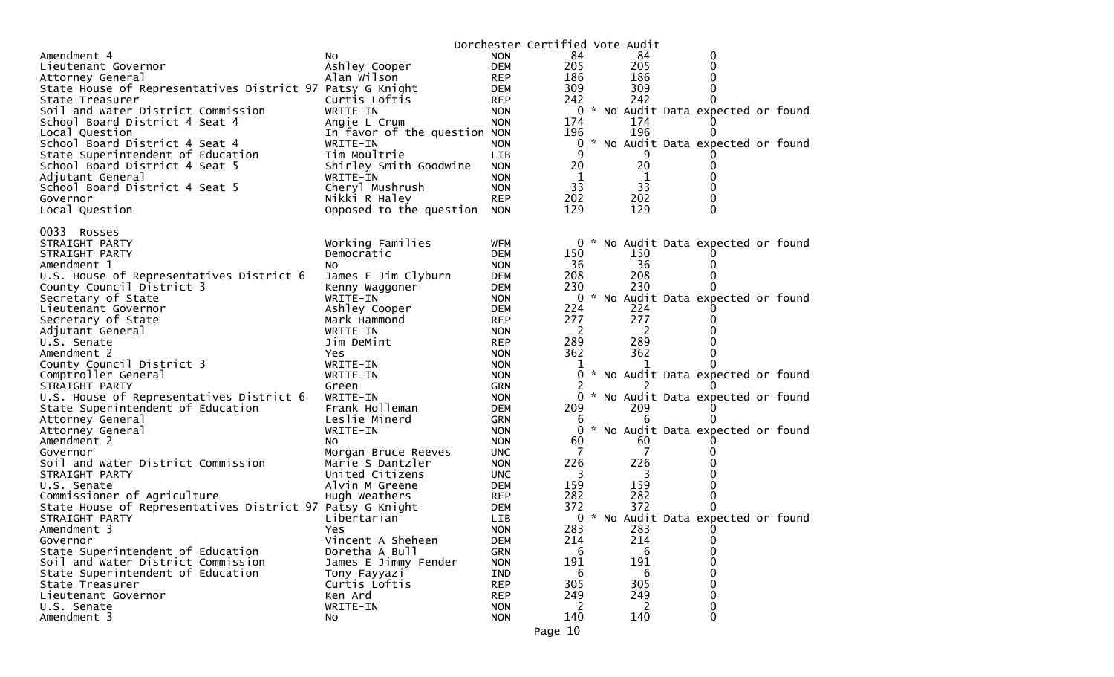|                                                           |                               |                          | Dorchester Certified Vote Audit |     |                                     |  |
|-----------------------------------------------------------|-------------------------------|--------------------------|---------------------------------|-----|-------------------------------------|--|
| Amendment 4                                               | No.                           | <b>NON</b>               | 84                              | 84  | 0                                   |  |
| Lieutenant Governor                                       | Ashley Cooper                 | <b>DEM</b>               | 205                             | 205 | 0                                   |  |
| Attorney General                                          | Alan Wilson                   | <b>REP</b>               | 186                             | 186 | 0                                   |  |
| State House of Representatives District 97 Patsy G Knight |                               | <b>DEM</b>               | 309                             | 309 | 0                                   |  |
| State Treasurer                                           | Curtis Loftis                 | <b>REP</b>               | 242                             | 242 | $\Omega$                            |  |
| Soil and Water District Commission                        | WRITE-IN                      | <b>NON</b>               |                                 |     | 0 * No Audit Data expected or found |  |
| School Board District 4 Seat 4                            | Angie L Crum                  | <b>NON</b>               | 174                             | 174 | Ü                                   |  |
| Local Question                                            | In favor of the question NON  |                          | 196                             | 196 | 0                                   |  |
| School Board District 4 Seat 4                            | WRITE-IN                      | <b>NON</b>               | 0                               |     | * No Audit Data expected or found   |  |
| State Superintendent of Education                         | Tim Moultrie                  | LIB                      | 9                               | 9   |                                     |  |
| School Board District 4 Seat 5                            | Shirley Smith Goodwine        | <b>NON</b>               | 20                              | 20  | 0                                   |  |
| Adjutant General                                          | WRITE-IN                      | <b>NON</b>               | $\mathbf{1}$                    | 1   | 0                                   |  |
| School Board District 4 Seat 5                            | Cheryl Mushrush               | <b>NON</b>               | 33                              | 33  | 0                                   |  |
| Governor                                                  | Nikki R Haley                 | <b>REP</b>               | 202                             | 202 | 0                                   |  |
| Local Question                                            | Opposed to the question NON   |                          | 129                             | 129 | $\mathbf 0$                         |  |
|                                                           |                               |                          |                                 |     |                                     |  |
| 0033<br>Rosses                                            |                               |                          |                                 |     |                                     |  |
| STRAIGHT PARTY                                            | Working Families              | <b>WFM</b>               |                                 |     | 0 * No Audit Data expected or found |  |
| STRAIGHT PARTY                                            | Democratic                    | <b>DEM</b>               | 150                             | 150 |                                     |  |
| Amendment 1                                               | NO.                           | <b>NON</b>               | 36                              | -36 | 0                                   |  |
| U.S. House of Representatives District 6                  | James E Jim Clyburn           | <b>DEM</b>               | 208                             | 208 | 0                                   |  |
| County Council District 3                                 | Kenny Waggoner                | <b>DEM</b>               | 230                             | 230 | 0                                   |  |
| Secretary of State<br>Lieutenant Governor                 | WRITE-IN                      | <b>NON</b><br><b>DEM</b> | 224                             | 224 | 0 * No Audit Data expected or found |  |
|                                                           | Ashley Cooper<br>Mark Hammond |                          | 277                             | 277 | 0                                   |  |
| Secretary of State                                        |                               | <b>REP</b>               | 2                               | 2   | 0                                   |  |
| Adjutant General<br>U.S. Senate                           | WRITE-IN<br>Jim DeMint        | <b>NON</b>               | 289                             | 289 | 0                                   |  |
| Amendment 2                                               | Yes                           | <b>REP</b><br><b>NON</b> | 362                             | 362 | 0                                   |  |
| County Council District 3                                 | WRITE-IN                      | <b>NON</b>               |                                 | 1   | 0                                   |  |
| Comptroller General                                       | WRITE-IN                      | <b>NON</b>               | 0                               |     | * No Audit Data expected or found   |  |
| STRAIGHT PARTY                                            | Green                         | <b>GRN</b>               |                                 |     |                                     |  |
| U.S. House of Representatives District 6                  | WRITE-IN                      | <b>NON</b>               | 0                               |     | * No Audit Data expected or found   |  |
| State Superintendent of Education                         | Frank Holleman                | <b>DEM</b>               | 209                             | 209 | 0                                   |  |
| Attorney General                                          | Leslie Minerd                 | <b>GRN</b>               | b                               | 6   | 0                                   |  |
| Attorney General                                          | WRITE-IN                      | <b>NON</b>               | $\Omega$                        |     | * No Audit Data expected or found   |  |
| Amendment 2                                               | NO.                           | <b>NON</b>               | 60                              | 60  |                                     |  |
| Governor                                                  | Morgan Bruce Reeves           | <b>UNC</b>               | 7                               |     | 0                                   |  |
| Soil and Water District Commission                        | Marie S Dantzler              | <b>NON</b>               | 226                             | 226 |                                     |  |
| STRAIGHT PARTY                                            | United Citizens               | <b>UNC</b>               | 3                               | 3   | Ω                                   |  |
| U.S. Senate                                               | Alvin M Greene                | <b>DEM</b>               | 159                             | 159 | 0                                   |  |
| Commissioner of Agriculture                               | Hugh Weathers                 | <b>REP</b>               | 282                             | 282 | 0                                   |  |
| State House of Representatives District 97 Patsy G Knight |                               | DEM                      | 372                             | 372 | 0                                   |  |
| STRAIGHT PARTY                                            | Libertarian                   | LIB.                     | 0                               |     | * No Audit Data expected or found   |  |
| Amendment 3                                               | Yes                           | <b>NON</b>               | 283                             | 283 | 0                                   |  |
| Governor                                                  | Vincent A Sheheen             | <b>DEM</b>               | 214                             | 214 | 0                                   |  |
| State Superintendent of Education                         | Doretha A Bull                | <b>GRN</b>               | 6                               | 6   | 0                                   |  |
| Soil and Water District Commission                        | James E Jimmy Fender          | <b>NON</b>               | 191                             | 191 | 0                                   |  |
| State Superintendent of Education                         | Tony Fayyazi                  | IND                      | 6                               | 6   | 0                                   |  |
| State Treasurer                                           | Curtis Loftis                 | <b>REP</b>               | 305                             | 305 | 0                                   |  |
| Lieutenant Governor                                       | Ken Ard                       | <b>REP</b>               | 249                             | 249 | 0                                   |  |
| U.S. Senate                                               | WRITE-IN                      | <b>NON</b>               | 2                               | 2   | 0                                   |  |
| Amendment 3                                               | NO.                           | <b>NON</b>               | 140                             | 140 | 0                                   |  |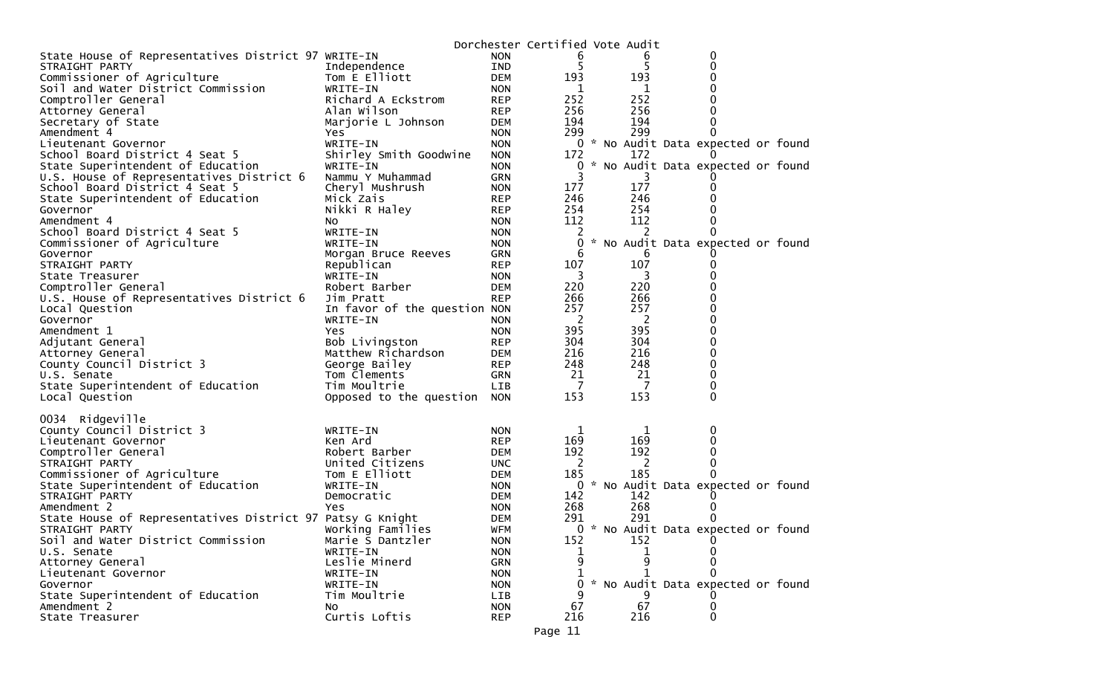|                                                           |                              |            | Dorchester Certified Vote Audit |                |                                     |  |
|-----------------------------------------------------------|------------------------------|------------|---------------------------------|----------------|-------------------------------------|--|
| State House of Representatives District 97 WRITE-IN       |                              | <b>NON</b> | 6                               | b              | 0                                   |  |
| STRAIGHT PARTY                                            | Independence                 | <b>IND</b> | 5                               | 5              | $\mathbf{0}$                        |  |
| Commissioner of Agriculture                               | Tom E Elliott                | <b>DEM</b> | 193                             | 193            | 0                                   |  |
| Soil and Water District Commission                        | WRITE-IN                     | <b>NON</b> | 1                               | 1              | 0                                   |  |
| Comptroller General                                       | Richard A Eckstrom           | <b>REP</b> | 252                             | 252            | $\Omega$                            |  |
| Attorney General                                          | Alan Wilson                  | <b>REP</b> | 256                             | 256            | 0                                   |  |
| Secretary of State                                        | Marjorie L Johnson           | DEM        | 194                             | 194            | 0                                   |  |
| Amendment 4                                               | Yes                          | <b>NON</b> | 299                             | 299            | $\Omega$                            |  |
| Lieutenant Governor                                       | WRITE-IN                     | <b>NON</b> |                                 |                | 0 * No Audit Data expected or found |  |
| School Board District 4 Seat 5                            | Shirley Smith Goodwine       | <b>NON</b> | 172                             | 172            |                                     |  |
| State Superintendent of Education                         | WRITE-IN                     | <b>NON</b> | 0                               |                | * No Audit Data expected or found   |  |
| U.S. House of Representatives District 6                  | Nammu Y Muhammad             | GRN        | 3                               |                |                                     |  |
| School Board District 4 Seat 5                            | Cheryl Mushrush              | <b>NON</b> | 177                             | 177            | 0                                   |  |
| State Superintendent of Education                         | Mick Zais                    | <b>REP</b> | 246                             | 246            | 0                                   |  |
| Governor                                                  | Nikki R Haley                | REP        | 254                             | 254            | 0                                   |  |
| Amendment 4                                               | NO.                          | <b>NON</b> | 112                             | 112            | 0                                   |  |
| School Board District 4 Seat 5                            | WRITE-IN                     | <b>NON</b> | 2                               | 2              | $\Omega$                            |  |
| Commissioner of Agriculture                               | WRITE-IN                     | <b>NON</b> | 0                               |                | * No Audit Data expected or found   |  |
| Governor                                                  | Morgan Bruce Reeves          | GRN        | 6                               | 6              |                                     |  |
| STRAIGHT PARTY                                            | Republican                   | <b>REP</b> | 107                             | 107            | 0                                   |  |
| State Treasurer                                           | WRITE-IN                     | <b>NON</b> | 3                               | 3              | 0                                   |  |
| Comptroller General                                       | Robert Barber                | <b>DEM</b> | 220                             | 220            | 0                                   |  |
| U.S. House of Representatives District 6                  | Jim Pratt                    | <b>REP</b> | 266                             | 266            | 0                                   |  |
| Local Question                                            | In favor of the question NON |            | 257                             | 257            | 0                                   |  |
| Governor                                                  | WRITE-IN                     | <b>NON</b> | $\overline{\phantom{0}}$        | $\overline{2}$ | 0                                   |  |
| Amendment 1                                               | Yes                          | <b>NON</b> | 395                             | 395            | 0                                   |  |
| Adjutant General                                          | Bob Livingston               | REP        | 304                             | 304            | 0                                   |  |
| Attorney General                                          | Matthew Richardson           | <b>DEM</b> | 216                             | 216            | 0                                   |  |
| County Council District 3                                 | George Bailey                | REP        | 248                             | 248            | 0                                   |  |
| U.S. Senate                                               | Tom Clements                 | GRN        | 21<br>$\overline{7}$            | 21<br>7        | 0                                   |  |
| State Superintendent of Education                         | Tim Moultrie                 | LIB        | 153                             | 153            | 0<br>$\Omega$                       |  |
| Local Question                                            | Opposed to the question NON  |            |                                 |                |                                     |  |
| 0034 Ridgeville                                           |                              |            |                                 |                |                                     |  |
| County Council District 3                                 | WRITE-IN                     | <b>NON</b> | 1                               | 1              | $\bf{0}$                            |  |
| Lieutenant Governor                                       | Ken Ard                      | <b>REP</b> | 169                             | 169            | 0                                   |  |
| Comptroller General                                       | Robert Barber                | DEM        | 192                             | 192            | 0                                   |  |
| STRAIGHT PARTY                                            | United Citizens              | <b>UNC</b> | 2                               | -2             | $\mathbf 0$                         |  |
| Commissioner of Agriculture                               | Tom E Elliott                | DEM        | 185                             | 185            | $\Omega$                            |  |
| State Superintendent of Education                         | WRITE-IN                     | <b>NON</b> | 0                               |                | * No Audit Data expected or found   |  |
| STRAIGHT PARTY                                            | Democratic                   | DEM        | 142                             | 142            | 0                                   |  |
| Amendment 2                                               | Yes                          | <b>NON</b> | 268                             | 268            | 0                                   |  |
| State House of Representatives District 97 Patsy G Knight |                              | <b>DEM</b> | 291                             | 291            | 0                                   |  |
| STRAIGHT PARTY                                            | Working Families             | <b>WFM</b> |                                 |                | 0 * No Audit Data expected or found |  |
| Soil and Water District Commission                        | Marie S Dantzler             | <b>NON</b> | 152                             | 152            | 0                                   |  |
| U.S. Senate                                               | WRITE-IN                     | <b>NON</b> | 1                               |                | $\Omega$                            |  |
| Attorney General                                          | Leslie Minerd                | <b>GRN</b> | 9                               | 9              | 0                                   |  |
| Lieutenant Governor                                       | WRITE-IN                     | <b>NON</b> | 1                               |                | 0                                   |  |
| Governor                                                  | WRITE-IN                     | <b>NON</b> | 0                               |                | No Audit Data expected or found     |  |
| State Superintendent of Education                         | Tim Moultrie                 | LIB        | 9                               | 9              |                                     |  |
| Amendment 2                                               | No                           | <b>NON</b> | 67                              | 67             | 0                                   |  |
| State Treasurer                                           | Curtis Loftis                | <b>REP</b> | 216                             | 216            | $\Omega$                            |  |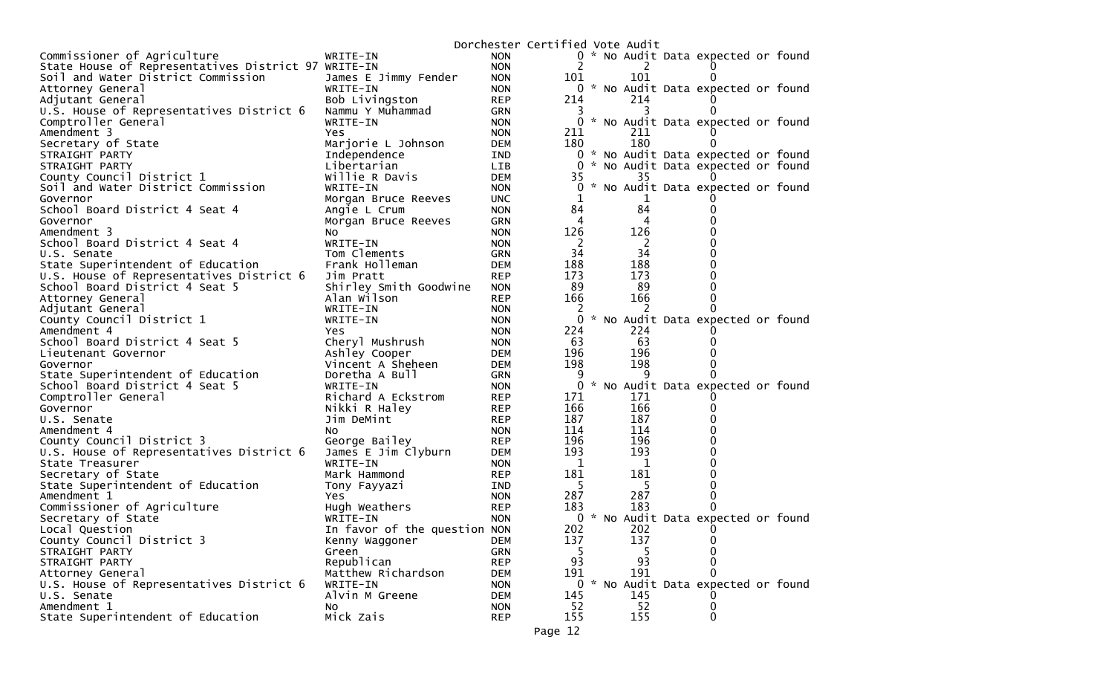|                                                     |                                |            | Dorchester Certified Vote Audit |  |              |                                     |  |
|-----------------------------------------------------|--------------------------------|------------|---------------------------------|--|--------------|-------------------------------------|--|
| Commissioner of Agriculture                         | WRITE-IN                       | <b>NON</b> |                                 |  |              | 0 * No Audit Data expected or found |  |
| State House of Representatives District 97 WRITE-IN |                                | <b>NON</b> |                                 |  | 2            |                                     |  |
| Soil and Water District Commission                  | James E Jimmy Fender           | <b>NON</b> | 101                             |  | 101          | $\mathbf{0}$                        |  |
| Attorney General                                    | WRITE-IN                       | <b>NON</b> | 0                               |  |              | * No Audit Data expected or found   |  |
| Adjutant General                                    | Bob Livingston                 | <b>REP</b> | 214                             |  | 214          |                                     |  |
| U.S. House of Representatives District 6            | Nammu Y Muhammad               | <b>GRN</b> | 3                               |  | 3            | $\Omega$                            |  |
| Comptroller General                                 | WRITE-IN                       | <b>NON</b> | 0                               |  |              | * No Audit Data expected or found   |  |
| Amendment 3                                         | Yes.                           | <b>NON</b> | 211                             |  | 211          |                                     |  |
| Secretary of State                                  | Marjorie L Johnson             | <b>DEM</b> | 180                             |  | 180          | $\Omega$                            |  |
| STRAIGHT PARTY                                      | Independence                   | IND        |                                 |  |              | 0 * No Audit Data expected or found |  |
| STRAIGHT PARTY                                      | Libertarian                    | LIB        | 0                               |  |              | * No Audit Data expected or found   |  |
| County Council District 1                           | Willie R Davis                 | <b>DEM</b> | 35                              |  | 35           |                                     |  |
| Soil and Water District Commission                  | WRITE-IN                       | <b>NON</b> | 0                               |  |              | * No Audit Data expected or found   |  |
| Governor                                            | Morgan Bruce Reeves            | <b>UNC</b> |                                 |  |              |                                     |  |
| School Board District 4 Seat 4                      | Angie L Crum                   | <b>NON</b> | 84                              |  | 84           |                                     |  |
| Governor                                            | Morgan Bruce Reeves            | <b>GRN</b> | 4                               |  | 4            |                                     |  |
| Amendment 3                                         | NO.                            | <b>NON</b> | 126                             |  | 126          |                                     |  |
| School Board District 4 Seat 4                      | WRITE-IN                       | <b>NON</b> | 2                               |  | <sup>2</sup> |                                     |  |
| U.S. Senate                                         | Tom Clements                   | <b>GRN</b> | 34                              |  | 34           |                                     |  |
| State Superintendent of Education                   | Frank Holleman                 | <b>DEM</b> | 188                             |  | 188          |                                     |  |
| U.S. House of Representatives District 6            | Jim Pratt                      | <b>REP</b> | 173                             |  | 173          |                                     |  |
| School Board District 4 Seat 5                      | Shirley Smith Goodwine         | <b>NON</b> | 89                              |  | 89           | 0                                   |  |
| Attorney General                                    | Alan Wilson                    | <b>REP</b> | 166                             |  | 166          |                                     |  |
| Adjutant General                                    | WRITE-IN                       | <b>NON</b> | 2                               |  |              |                                     |  |
| County Council District 1                           | WRITE-IN                       | <b>NON</b> | 0                               |  |              | * No Audit Data expected or found   |  |
| Amendment 4                                         | Yes                            | <b>NON</b> | 224                             |  | 224          |                                     |  |
| School Board District 4 Seat 5                      | Cheryl Mushrush                | <b>NON</b> | 63                              |  | 63           |                                     |  |
| Lieutenant Governor                                 | Ashley Cooper                  | <b>DEM</b> | 196                             |  | 196          |                                     |  |
| Governor                                            | Vincent A Sheheen              | <b>DEM</b> | 198                             |  | 198          |                                     |  |
| State Superintendent of Education                   | Doretha A Bull                 | <b>GRN</b> | 9                               |  | q            |                                     |  |
| School Board District 4 Seat 5                      | WRITE-IN                       | <b>NON</b> | 0                               |  |              | * No Audit Data expected or found   |  |
| Comptroller General                                 | Richard A Eckstrom             | <b>REP</b> | 171                             |  | 171          |                                     |  |
| Governor                                            | Nikki R Haley                  | <b>REP</b> | 166                             |  | 166          |                                     |  |
| U.S. Senate                                         | Jim DeMint                     | <b>REP</b> | 187                             |  | 187          |                                     |  |
| Amendment 4                                         | NO.                            | <b>NON</b> | 114                             |  | 114          |                                     |  |
| County Council District 3                           | George Bailey                  | <b>REP</b> | 196                             |  | 196          |                                     |  |
| U.S. House of Representatives District 6            | James E Jim Clyburn            | <b>DEM</b> | 193                             |  | 193          |                                     |  |
| State Treasurer                                     | WRITE-IN                       | <b>NON</b> | 1                               |  | 1            |                                     |  |
| Secretary of State                                  | Mark Hammond                   | <b>REP</b> | 181                             |  | 181          |                                     |  |
| State Superintendent of Education                   | Tony Fayyazi                   | IND        | -5                              |  | -5           |                                     |  |
| Amendment 1                                         | Yes.                           | <b>NON</b> | 287                             |  | 287          | 0                                   |  |
| Commissioner of Agriculture                         | Hugh Weathers                  | <b>REP</b> | 183                             |  | 183          |                                     |  |
| Secretary of State                                  | WRITE-IN                       | <b>NON</b> |                                 |  |              | 0 * No Audit Data expected or found |  |
| Local Question<br>County Council District 3         | In favor of the question NON   |            | 202                             |  | 202          | $\Omega$                            |  |
|                                                     | Kenny Waggoner                 | <b>DEM</b> | 137                             |  | 137          | 0                                   |  |
| STRAIGHT PARTY                                      | Green                          | <b>GRN</b> | 5<br>93                         |  | 93           | 0<br>0                              |  |
| STRAIGHT PARTY                                      | Republican                     | <b>REP</b> |                                 |  |              | 0                                   |  |
| Attorney General                                    | Matthew Richardson<br>WRITE-IN | <b>DEM</b> | 191                             |  | 191          |                                     |  |
| U.S. House of Representatives District 6            | Alvin M Greene                 | <b>NON</b> | 0                               |  | 145          | * No Audit Data expected or found   |  |
| U.S. Senate<br>Amendment 1                          |                                | <b>DEM</b> | 145                             |  |              |                                     |  |
|                                                     | No                             | <b>NON</b> | 52                              |  | 52           | 0                                   |  |
| State Superintendent of Education                   | Mick Zais                      | <b>REP</b> | 155                             |  | 155          | 0                                   |  |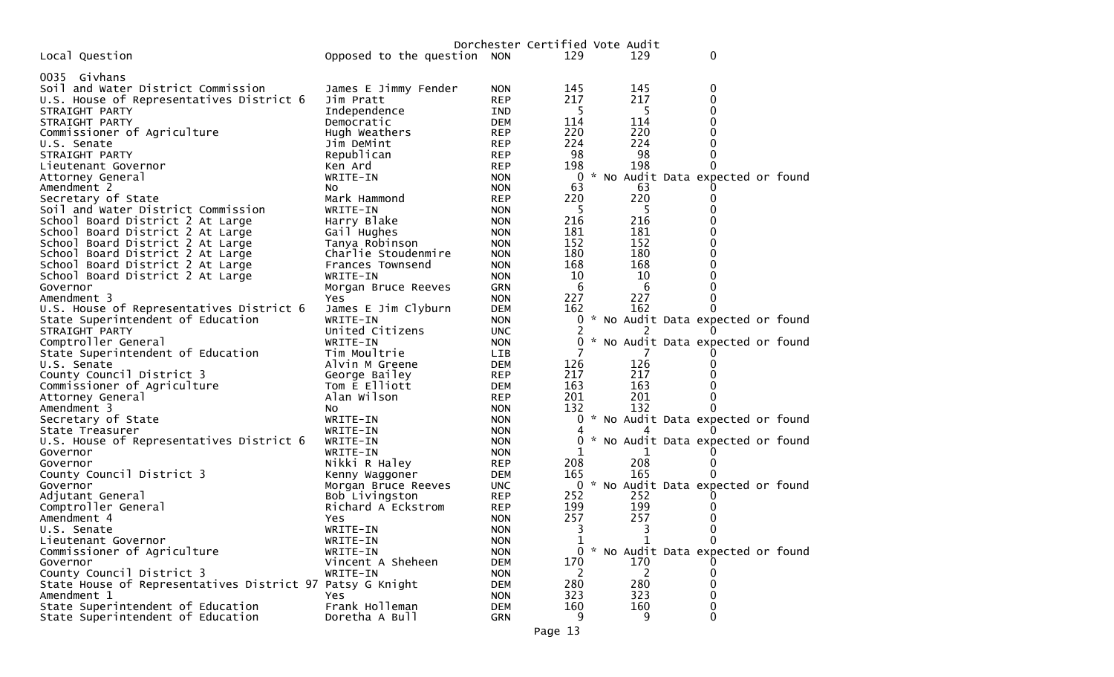|                                                           |                             |            |              | Dorchester Certified Vote Audit |                                   |
|-----------------------------------------------------------|-----------------------------|------------|--------------|---------------------------------|-----------------------------------|
| Local Question                                            | Opposed to the question NON |            | 129          | 129                             | 0                                 |
| 0035 Givhans                                              |                             |            |              |                                 |                                   |
| Soil and Water District Commission                        | James E Jimmy Fender        | <b>NON</b> | 145          | 145                             | 0                                 |
| U.S. House of Representatives District 6                  | Jim Pratt                   | <b>REP</b> | 217          | 217                             | 0                                 |
| STRAIGHT PARTY                                            | Independence                | IND        | 5            | 5                               | 0                                 |
| STRAIGHT PARTY                                            | Democratic                  | DEM        | 114          | 114                             | 0                                 |
| Commissioner of Agriculture                               | Hugh Weathers               | <b>REP</b> | 220          | 220                             | 0                                 |
| U.S. Senate                                               | Jim DeMint                  | <b>REP</b> | 224          | 224                             | 0                                 |
| STRAIGHT PARTY                                            | Republican                  | <b>REP</b> | 98           | 98                              | 0                                 |
| Lieutenant Governor                                       | Ken Ard                     | <b>REP</b> | 198          | 198                             | 0                                 |
|                                                           | WRITE-IN                    | <b>NON</b> | 0            |                                 | * No Audit Data expected or found |
| Attorney General<br>Amendment 2                           |                             |            | 63           | 63                              |                                   |
|                                                           | NO.                         | <b>NON</b> |              | 220                             |                                   |
| Secretary of State                                        | Mark Hammond                | <b>REP</b> | 220<br>-5    | -5                              | 0<br>0                            |
| Soil and Water District Commission                        | WRITE-IN                    | <b>NON</b> |              |                                 |                                   |
| School Board District 2 At Large                          | Harry Blake                 | <b>NON</b> | 216          | 216                             | 0                                 |
| School Board District 2 At Large                          | Gail Hughes                 | <b>NON</b> | 181          | 181                             | 0                                 |
| School Board District 2 At Large                          | Tanya Robinson              | <b>NON</b> | 152          | 152                             | 0                                 |
| School Board District 2 At Large                          | Charlie Stoudenmire         | <b>NON</b> | 180          | 180                             | 0                                 |
| School Board District 2 At Large                          | Frances Townsend            | <b>NON</b> | 168          | 168                             | 0                                 |
| School Board District 2 At Large                          | WRITE-IN                    | <b>NON</b> | 10           | 10                              | 0                                 |
| Governor                                                  | Morgan Bruce Reeves         | <b>GRN</b> | 6            | 6                               | 0                                 |
| Amendment 3                                               | Yes                         | <b>NON</b> | 227          | 227                             | 0                                 |
| U.S. House of Representatives District 6                  | James E Jim Clyburn         | <b>DEM</b> | 162          | 162                             | 0                                 |
| State Superintendent of Education                         | WRITE-IN                    | <b>NON</b> |              |                                 | * No Audit Data expected or found |
| STRAIGHT PARTY                                            | United Citizens             | <b>UNC</b> | 2            | 2                               | $_{0}$                            |
| Comptroller General                                       | WRITE-IN                    | <b>NON</b> | 0            |                                 | * No Audit Data expected or found |
| State Superintendent of Education                         | Tim Moultrie                | LIB        |              |                                 |                                   |
| U.S. Senate                                               | Alvin M Greene              | <b>DEM</b> | 126          | 126                             | 0                                 |
| County Council District 3                                 | George Bailey               | <b>REP</b> | 217          | 217                             |                                   |
| Commissioner of Agriculture                               | Tom E Elliott               | <b>DEM</b> | 163          | 163                             | 0                                 |
| Attorney General                                          | Alan Wilson                 | <b>REP</b> | 201          | 201                             | 0                                 |
| Amendment 3                                               | No.                         | <b>NON</b> | 132          | 132                             | 0                                 |
| Secretary of State                                        | WRITE-IN                    | <b>NON</b> | 0            |                                 | * No Audit Data expected or found |
| State Treasurer                                           | WRITE-IN                    | <b>NON</b> |              |                                 |                                   |
| U.S. House of Representatives District 6                  | WRITE-IN                    | <b>NON</b> | 0            |                                 | * No Audit Data expected or found |
| Governor                                                  | WRITE-IN                    | <b>NON</b> |              |                                 |                                   |
| Governor                                                  | Nikki R Haley               | <b>REP</b> | 208          | 208                             | 0                                 |
| County Council District 3                                 | Kenny Waggoner              | <b>DEM</b> | 165          | 165                             |                                   |
| Governor                                                  | Morgan Bruce Reeves         | <b>UNC</b> | 0            |                                 | * No Audit Data expected or found |
| Adjutant General                                          | Bob Livingston              | <b>REP</b> | 252          | 252                             |                                   |
| Comptroller General                                       | Richard A Eckstrom          | <b>REP</b> | 199          | 199                             | 0                                 |
| Amendment 4                                               | Yes                         | <b>NON</b> | 257          | 257                             | 0                                 |
| U.S. Senate                                               | WRITE-IN                    | <b>NON</b> | 3            | 3                               | 0                                 |
| Lieutenant Governor                                       | WRITE-IN                    | <b>NON</b> | T.           |                                 | 0                                 |
| Commissioner of Agriculture                               | WRITE-IN                    | <b>NON</b> | $\Omega$     |                                 | * No Audit Data expected or found |
| Governor                                                  | Vincent A Sheheen           | <b>DEM</b> | 170          | 170                             |                                   |
| County Council District 3                                 | WRITE-IN                    | <b>NON</b> | <sup>2</sup> | 2                               | 0                                 |
| State House of Representatives District 97 Patsy G Knight |                             | DEM        | 280          | 280                             | 0                                 |
| Amendment 1                                               | <b>Yes</b>                  | <b>NON</b> | 323          | 323                             | 0                                 |
| State Superintendent of Education                         | Frank Holleman              | DEM        | 160          | 160                             | 0                                 |
| State Superintendent of Education                         | Doretha A Bull              | <b>GRN</b> | 9            | 9                               | 0                                 |
|                                                           |                             |            |              |                                 |                                   |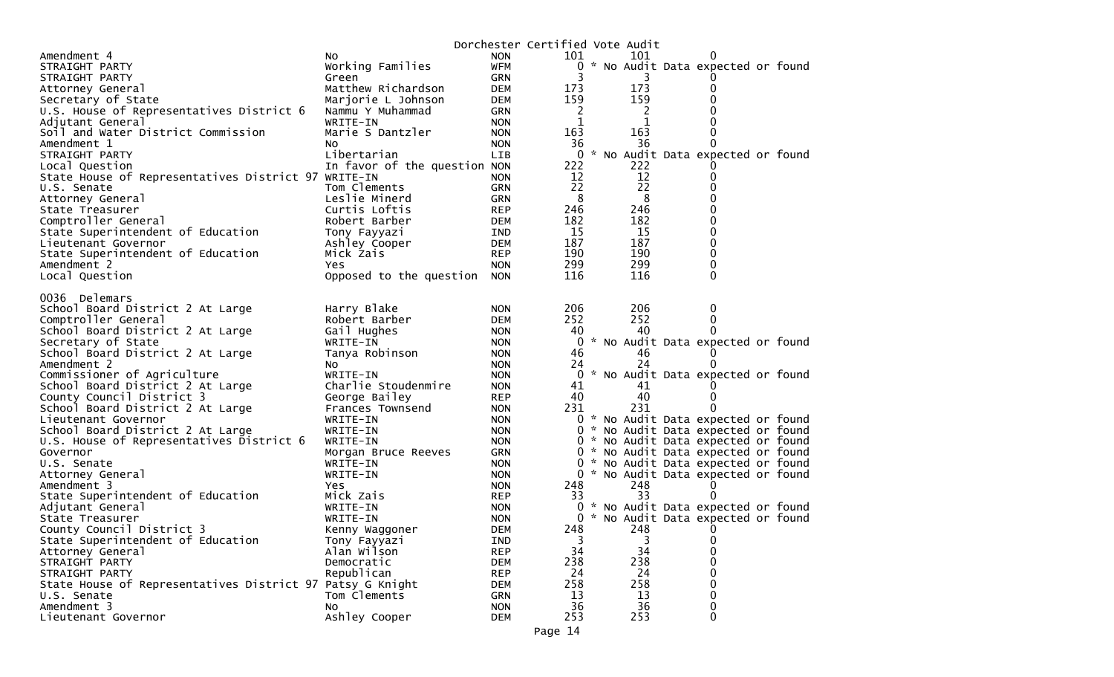|                                                           |                              |                          | Dorchester Certified Vote Audit |          |                                     |  |
|-----------------------------------------------------------|------------------------------|--------------------------|---------------------------------|----------|-------------------------------------|--|
| Amendment 4                                               | NO.                          | <b>NON</b>               | 101                             | 101      |                                     |  |
| STRAIGHT PARTY                                            | Working Families             | <b>WFM</b>               |                                 |          | 0 * No Audit Data expected or found |  |
| STRAIGHT PARTY                                            | Green                        | GRN                      | 3                               | 3        |                                     |  |
| Attorney General                                          | Matthew Richardson           | <b>DEM</b>               | 173                             | 173      | 0                                   |  |
| Secretary of State                                        | Marjorie L Johnson           | <b>DEM</b>               | 159                             | 159      | 0                                   |  |
| U.S. House of Representatives District 6                  | Nammu Y Muhammad             | GRN                      | 2                               | 2        |                                     |  |
| Adjutant General                                          | WRITE-IN                     | <b>NON</b>               | 1                               | 1        |                                     |  |
| Soil and Water District Commission                        | Marie S Dantzler             | <b>NON</b>               | 163                             | 163      | 0                                   |  |
| Amendment 1                                               | NO.                          | <b>NON</b>               | 36                              | 36       | $\Omega$                            |  |
| STRAIGHT PARTY                                            | Libertarian                  | LIB                      |                                 |          | 0 * No Audit Data expected or found |  |
| Local Question                                            | In favor of the question NON |                          | 222                             | 222      |                                     |  |
| State House of Representatives District 97 WRITE-IN       |                              |                          | 12                              | 12       | 0                                   |  |
| U.S. Senate                                               | Tom Clements                 | <b>NON</b><br><b>GRN</b> | 22                              | 22       | 0                                   |  |
|                                                           |                              |                          | 8                               |          |                                     |  |
| Attorney General                                          | Leslie Minerd                | <b>GRN</b>               | 246                             | 8<br>246 | 0<br>0                              |  |
| State Treasurer                                           | Curtis Loftis                | <b>REP</b>               |                                 |          |                                     |  |
| Comptroller General                                       | Robert Barber                | <b>DEM</b>               | 182                             | 182      | $\Omega$                            |  |
| State Superintendent of Education                         | Tony Fayyazi                 | IND                      | 15                              | 15       | 0                                   |  |
| Lieutenant Governor                                       | Ashley Cooper                | <b>DEM</b>               | 187                             | 187      | 0                                   |  |
| State Superintendent of Education                         | Mick Zais                    | <b>REP</b>               | 190                             | 190      | $\mathbf 0$                         |  |
| Amendment 2                                               | <b>Yes</b>                   | <b>NON</b>               | 299                             | 299      | 0                                   |  |
| Local Question                                            | Opposed to the question      | <b>NON</b>               | 116                             | 116      | 0                                   |  |
|                                                           |                              |                          |                                 |          |                                     |  |
| 0036 Delemars                                             |                              |                          |                                 |          |                                     |  |
| School Board District 2 At Large                          | Harry Blake                  | <b>NON</b>               | 206                             | 206      | 0                                   |  |
| Comptroller General                                       | Robert Barber                | <b>DEM</b>               | 252                             | 252      | 0                                   |  |
| School Board District 2 At Large                          | Gail Hughes                  | <b>NON</b>               | 40                              | 40       | $\Omega$                            |  |
| Secretary of State                                        | WRITE-IN                     | <b>NON</b>               |                                 |          | 0 * No Audit Data expected or found |  |
| School Board District 2 At Large                          | Tanya Robinson               | <b>NON</b>               | 46                              | 46       |                                     |  |
| Amendment 2                                               | NO.                          | <b>NON</b>               | 24                              | 24       |                                     |  |
| Commissioner of Agriculture                               | WRITE-IN                     | <b>NON</b>               |                                 |          | 0 * No Audit Data expected or found |  |
| School Board District 2 At Large                          | Charlie Stoudenmire          | <b>NON</b>               | 41                              | 41       |                                     |  |
| County Council District 3                                 | George Bailey                | <b>REP</b>               | 40                              | 40       | 0                                   |  |
| School Board District 2 At Large                          | Frances Townsend             | <b>NON</b>               | 231                             | 231      | $\Omega$                            |  |
| Lieutenant Governor                                       | WRITE-IN                     | <b>NON</b>               |                                 |          | 0 * No Audit Data expected or found |  |
| School Board District 2 At Large                          | WRITE-IN                     | <b>NON</b>               |                                 |          | 0 * No Audit Data expected or found |  |
| U.S. House of Representatives District 6                  | WRITE-IN                     | <b>NON</b>               |                                 |          | 0 * No Audit Data expected or found |  |
| Governor                                                  | Morgan Bruce Reeves          | <b>GRN</b>               |                                 |          | 0 * No Audit Data expected or found |  |
| U.S. Senate                                               | WRITE-IN                     | <b>NON</b>               |                                 |          | 0 * No Audit Data expected or found |  |
| Attorney General                                          | WRITE-IN                     | <b>NON</b>               |                                 |          | 0 * No Audit Data expected or found |  |
| Amendment 3                                               | Yes                          | <b>NON</b>               | 248                             | 248      |                                     |  |
| State Superintendent of Education                         | Mick Zais                    | <b>REP</b>               | 33                              | 33       |                                     |  |
| Adjutant General                                          | WRITE-IN                     | <b>NON</b>               |                                 |          | 0 * No Audit Data expected or found |  |
| State Treasurer                                           | WRITE-IN                     | <b>NON</b>               |                                 |          | 0 * No Audit Data expected or found |  |
| County Council District 3                                 | Kenny Waggoner               | DEM                      | 248                             | 248      | 0                                   |  |
| State Superintendent of Education                         | Tony Fayyazi                 | IND                      | 3                               | 3        | 0                                   |  |
| Attorney General                                          | Alan Wilson                  | <b>REP</b>               | 34                              | 34       | 0                                   |  |
| STRAIGHT PARTY                                            | Democratic                   | <b>DEM</b>               | 238                             | 238      | 0                                   |  |
| STRAIGHT PARTY                                            | Republican                   |                          | 24                              | 24       | 0                                   |  |
|                                                           |                              | <b>REP</b>               | 258                             | 258      | 0                                   |  |
| State House of Representatives District 97 Patsy G Knight |                              | DEM                      |                                 |          |                                     |  |
| U.S. Senate                                               | Tom Clements                 | <b>GRN</b>               | 13                              | 13       | 0                                   |  |
| Amendment 3                                               | NO.                          | <b>NON</b>               | 36                              | 36       | 0                                   |  |
| Lieutenant Governor                                       | Ashley Cooper                | <b>DEM</b>               | 253                             | 253      | 0                                   |  |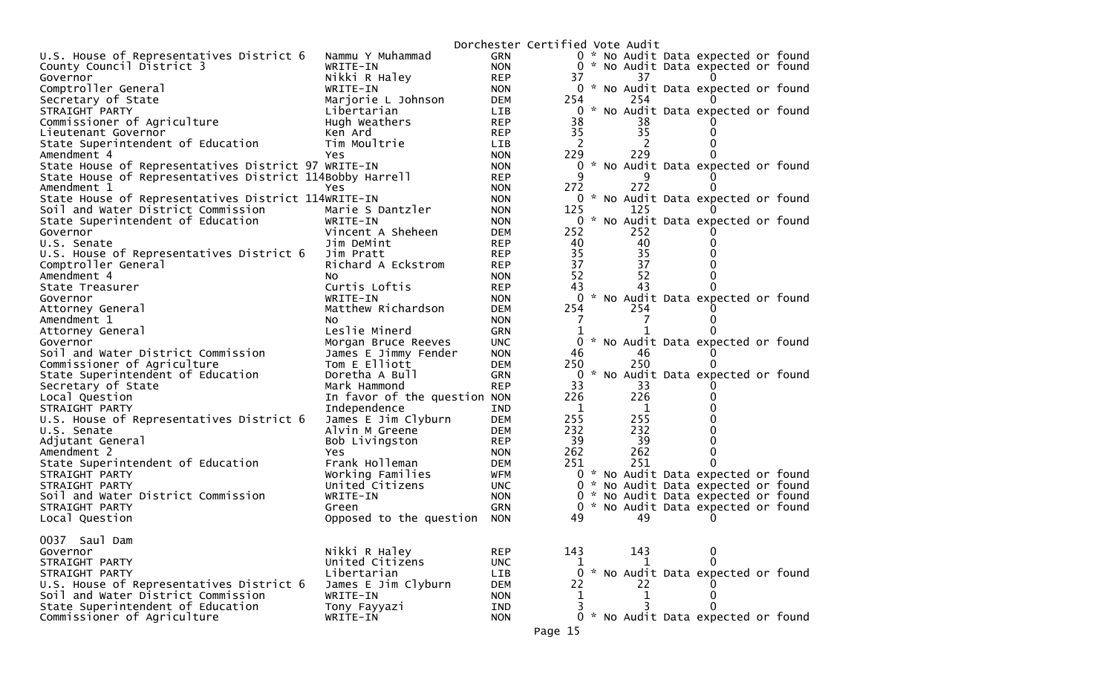|                                                          |                              |            | Dorchester Certified Vote Audit                   |  |
|----------------------------------------------------------|------------------------------|------------|---------------------------------------------------|--|
| U.S. House of Representatives District 6                 | Nammu Y Muhammad             | <b>GRN</b> | 0 * No Audit Data expected or found               |  |
| County Council District 3                                | WRITE-IN                     | <b>NON</b> | 0 * No Audit Data expected or found               |  |
| Governor                                                 | Nikki R Haley                | <b>REP</b> | 37<br>37                                          |  |
| Comptroller General                                      | WRITE-IN                     | <b>NON</b> | 0 * No Audit Data expected or found               |  |
| Secretary of State                                       | Marjorie L Johnson           | <b>DEM</b> | 254<br>254                                        |  |
| STRAIGHT PARTY                                           | Libertarian                  | LIB.       | * No Audit Data expected or found<br>0            |  |
| Commissioner of Agriculture                              | Hugh Weathers                | <b>REP</b> | 38<br>38                                          |  |
| Lieutenant Governor                                      | Ken Ard                      | <b>REP</b> | 35<br>35                                          |  |
| State Superintendent of Education                        | Tim Moultrie                 | LIB        | 2                                                 |  |
| Amendment 4                                              | <b>Yes</b>                   | <b>NON</b> | 229<br>229                                        |  |
| State House of Representatives District 97 WRITE-IN      |                              | <b>NON</b> | * No Audit Data expected or found<br>0            |  |
| State House of Representatives District 114Bobby Harrell |                              | <b>REP</b> | 9                                                 |  |
| Amendment 1                                              | Yes                          | <b>NON</b> | 272<br>272                                        |  |
| State House of Representatives District 114WRITE-IN      |                              | <b>NON</b> | 0 * No Audit Data expected or found               |  |
| Soil and Water District Commission                       | Marie S Dantzler             | <b>NON</b> | 125<br>125                                        |  |
| State Superintendent of Education                        | WRITE-IN                     | <b>NON</b> | 0 * No Audit Data expected or found               |  |
| Governor                                                 | Vincent A Sheheen            | <b>DEM</b> | 252<br>252                                        |  |
| U.S. Senate                                              | Jim DeMint                   | <b>REP</b> | 40<br>40                                          |  |
| U.S. House of Representatives District 6                 | Jim Pratt                    | <b>REP</b> | 35<br>35                                          |  |
| Comptroller General                                      | Richard A Eckstrom           | <b>REP</b> | 37<br>37                                          |  |
| Amendment 4                                              | NO.                          | <b>NON</b> | 52<br>52                                          |  |
| State Treasurer                                          | Curtis Loftis                | <b>REP</b> | 43<br>43                                          |  |
| Governor                                                 | WRITE-IN                     | <b>NON</b> | 0 * No Audit Data expected or found               |  |
| Attorney General                                         | Matthew Richardson           | DEM        | 254<br>254                                        |  |
| Amendment 1                                              | NO.                          | <b>NON</b> | 7                                                 |  |
| Attorney General                                         | Leslie Minerd                | <b>GRN</b> |                                                   |  |
| Governor                                                 | Morgan Bruce Reeves          | <b>UNC</b> | No Audit Data expected or found<br>0<br>*         |  |
| Soil and Water District Commission                       | James E Jimmy Fender         | <b>NON</b> | 46<br>46                                          |  |
| Commissioner of Agriculture                              | Tom E Elliott                | <b>DEM</b> | 250<br>250                                        |  |
| State Superintendent of Education                        | Doretha A Bull               | <b>GRN</b> | * No Audit Data expected or found<br>$\Omega$     |  |
| Secretary of State                                       | Mark Hammond                 | <b>REP</b> | 33<br>33                                          |  |
| Local Question                                           | In favor of the question NON |            | 226<br>226                                        |  |
| STRAIGHT PARTY                                           | Independence                 | <b>IND</b> | 1<br>1                                            |  |
| U.S. House of Representatives District 6                 | James E Jim Clyburn          | <b>DEM</b> | 255<br>255                                        |  |
| U.S. Senate                                              | Alvin M Greene               | <b>DEM</b> | 232<br>232                                        |  |
| Adjutant General                                         | Bob Livingston               | <b>REP</b> | 39<br>-39                                         |  |
| Amendment 2                                              | Yes                          | <b>NON</b> | 262<br>262<br>0                                   |  |
| State Superintendent of Education                        | Frank Holleman               | <b>DEM</b> | 251<br>251<br>0                                   |  |
| STRAIGHT PARTY                                           | Working Families             | WFM        | 0 * No Audit Data expected or found               |  |
| STRAIGHT PARTY                                           | United Citizens              | UNC.       | 0 * No Audit Data expected or found               |  |
| Soil and Water District Commission                       | WRITE-IN                     | <b>NON</b> | 0 * No Audit Data expected or found               |  |
| STRAIGHT PARTY                                           | Green                        | GRN        | * No Audit Data expected or found<br>0            |  |
| Local Question                                           | Opposed to the question      | <b>NON</b> | 49<br>49<br>O                                     |  |
| 0037 Saul Dam                                            |                              |            |                                                   |  |
| Governor                                                 | Nikki R Haley                | <b>REP</b> | 143<br>143<br>0                                   |  |
| STRAIGHT PARTY                                           | United Citizens              | <b>UNC</b> | 0<br>1                                            |  |
| STRAIGHT PARTY                                           | Libertarian                  | LIB        | $\mathbf{0}$<br>* No Audit Data expected or found |  |
| U.S. House of Representatives District 6                 | James E Jim Clyburn          | <b>DEM</b> | 22<br>22                                          |  |
| Soil and Water District Commission                       | WRITE-IN                     | <b>NON</b> | 1<br>$\mathbf 1$<br>0                             |  |
| State Superintendent of Education                        | Tony Fayyazi                 | IND        | 3<br>3                                            |  |
| Commissioner of Agriculture                              | WRITE-IN                     | <b>NON</b> | 0 * No Audit Data expected or found               |  |
|                                                          |                              |            |                                                   |  |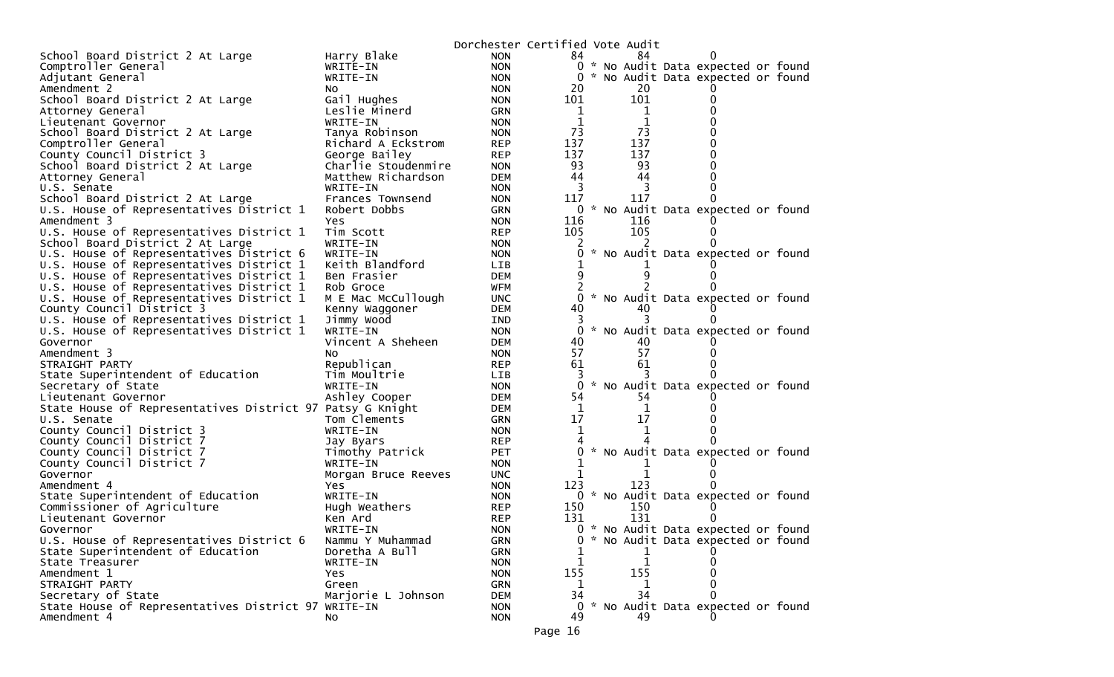|                                                                                      |                              | Dorchester Certified Vote Audit |                      |     |                                     |  |
|--------------------------------------------------------------------------------------|------------------------------|---------------------------------|----------------------|-----|-------------------------------------|--|
| School Board District 2 At Large                                                     | Harry Blake                  | <b>NON</b>                      | 84                   | 84  |                                     |  |
| Comptroller General                                                                  | WRITE-IN                     | <b>NON</b>                      |                      |     | 0 * No Audit Data expected or found |  |
| Adjutant General                                                                     | WRITE-IN                     | <b>NON</b>                      |                      |     | 0 * No Audit Data expected or found |  |
| Amendment 2                                                                          | NO.                          | <b>NON</b>                      | 20                   | 20  |                                     |  |
| School Board District 2 At Large                                                     | Gail Hughes                  | <b>NON</b>                      | 101                  | 101 |                                     |  |
| Attorney General                                                                     | Leslie Minerd                | <b>GRN</b>                      | 1                    | 1   |                                     |  |
| Lieutenant Governor                                                                  | WRITE-IN                     | <b>NON</b>                      | 1                    | 1   |                                     |  |
| School Board District 2 At Large                                                     | Tanya Robinson               | <b>NON</b>                      | 73                   | 73  |                                     |  |
| Comptroller General                                                                  | Richard A Eckstrom           | <b>REP</b>                      | 137                  | 137 | 0                                   |  |
| County Council District 3                                                            | George Bailey                | <b>REP</b>                      | 137                  | 137 | 0                                   |  |
| School Board District 2 At Large                                                     | Charlie Stoudenmire          | <b>NON</b>                      | 93                   | 93  |                                     |  |
| Attorney General                                                                     | Matthew Richardson           | <b>DEM</b>                      | 44                   | 44  |                                     |  |
| U.S. Senate                                                                          | WRITE-IN                     | <b>NON</b>                      | 3                    | 3   | 0                                   |  |
| School Board District 2 At Large                                                     | Frances Townsend             | <b>NON</b>                      | 117                  | 117 |                                     |  |
| U.S. House of Representatives District 1                                             | Robert Dobbs                 | <b>GRN</b>                      | 0                    |     | * No Audit Data expected or found   |  |
| Amendment 3                                                                          | Yes                          | <b>NON</b>                      | 116                  | 116 |                                     |  |
| U.S. House of Representatives District 1                                             | Tim Scott                    | <b>REP</b>                      | 105                  | 105 | 0                                   |  |
| School Board District 2 At Large                                                     | WRITE-IN                     | <b>NON</b>                      |                      |     |                                     |  |
| U.S. House of Representatives District 6                                             | WRITE-IN                     | <b>NON</b>                      |                      |     | * No Audit Data expected or found   |  |
| U.S. House of Representatives District 1                                             | Keith Blandford              | LIB.                            |                      |     |                                     |  |
| U.S. House of Representatives District 1                                             | Ben Frasier                  | <b>DEM</b>                      | 9                    |     |                                     |  |
| U.S. House of Representatives District 1<br>U.S. House of Representatives District 1 | Rob Groce                    | WFM                             | 2                    |     | * No Audit Data expected or found   |  |
| County Council District 3                                                            | M E Mac McCullough           | <b>UNC</b><br><b>DEM</b>        | $\overline{0}$<br>40 | 40  |                                     |  |
| U.S. House of Representatives District 1                                             | Kenny Waggoner<br>Jimmy Wood | IND                             | 3                    |     |                                     |  |
| U.S. House of Representatives District 1                                             | WRITE-IN                     | <b>NON</b>                      | 0                    |     | * No Audit Data expected or found   |  |
| Governor                                                                             | Vincent A Sheheen            | <b>DEM</b>                      | 40                   | 40  |                                     |  |
| Amendment 3                                                                          | NO.                          | <b>NON</b>                      | 57                   | 57  |                                     |  |
| STRAIGHT PARTY                                                                       | Republican                   | <b>REP</b>                      | 61                   | 61  |                                     |  |
| State Superintendent of Education                                                    | Tim Moultrie                 | LIB.                            |                      |     |                                     |  |
| Secretary of State                                                                   | WRITE-IN                     | <b>NON</b>                      | 0                    |     | * No Audit Data expected or found   |  |
| Lieutenant Governor                                                                  | Ashley Cooper                | <b>DEM</b>                      | 54                   | 54  |                                     |  |
| State House of Representatives District 97 Patsy G Knight                            |                              | DEM                             | 1                    | 1   |                                     |  |
| U.S. Senate                                                                          | Tom Clements                 | <b>GRN</b>                      | 17                   | 17  |                                     |  |
| County Council District 3                                                            | WRITE-IN                     | <b>NON</b>                      | 1                    |     |                                     |  |
| County Council District 7                                                            | Jay Byars                    | <b>REP</b>                      |                      |     |                                     |  |
| County Council District 7                                                            | Timothy Patrick              | <b>PET</b>                      |                      |     | 0 * No Audit Data expected or found |  |
| County Council District 7                                                            | WRITE-IN                     | <b>NON</b>                      |                      |     |                                     |  |
| Governor                                                                             | Morgan Bruce Reeves          | <b>UNC</b>                      |                      |     |                                     |  |
| Amendment 4                                                                          | Yes.                         | <b>NON</b>                      | 123                  | 123 |                                     |  |
| State Superintendent of Education                                                    | WRITE-IN                     | <b>NON</b>                      |                      |     | 0 * No Audit Data expected or found |  |
| Commissioner of Agriculture                                                          | Hugh Weathers                | <b>REP</b>                      | 150                  | 150 |                                     |  |
| Lieutenant Governor                                                                  | Ken Ard                      | <b>REP</b>                      | 131                  | 131 |                                     |  |
| Governor                                                                             | WRITE-IN                     | <b>NON</b>                      |                      |     | 0 * No Audit Data expected or found |  |
| U.S. House of Representatives District 6                                             | Nammu Y Muhammad             | <b>GRN</b>                      | 0                    |     | * No Audit Data expected or found   |  |
| State Superintendent of Education                                                    | Doretha A Bull               | <b>GRN</b>                      |                      | 1   |                                     |  |
| State Treasurer                                                                      | WRITE-IN                     | <b>NON</b>                      |                      |     | 0                                   |  |
| Amendment 1                                                                          | Yes.                         | <b>NON</b>                      | 155                  | 155 | 0                                   |  |
| STRAIGHT PARTY                                                                       | Green                        | <b>GRN</b>                      | 1                    | ı   | 0                                   |  |
| Secretary of State                                                                   | Marjorie L Johnson           | <b>DEM</b>                      | 34                   | 34  | 0                                   |  |
| State House of Representatives District 97 WRITE-IN                                  |                              | <b>NON</b>                      | 49                   | 49  | 0 * No Audit Data expected or found |  |
| Amendment 4                                                                          | No                           | <b>NON</b>                      |                      |     |                                     |  |
|                                                                                      |                              |                                 | Page 16              |     |                                     |  |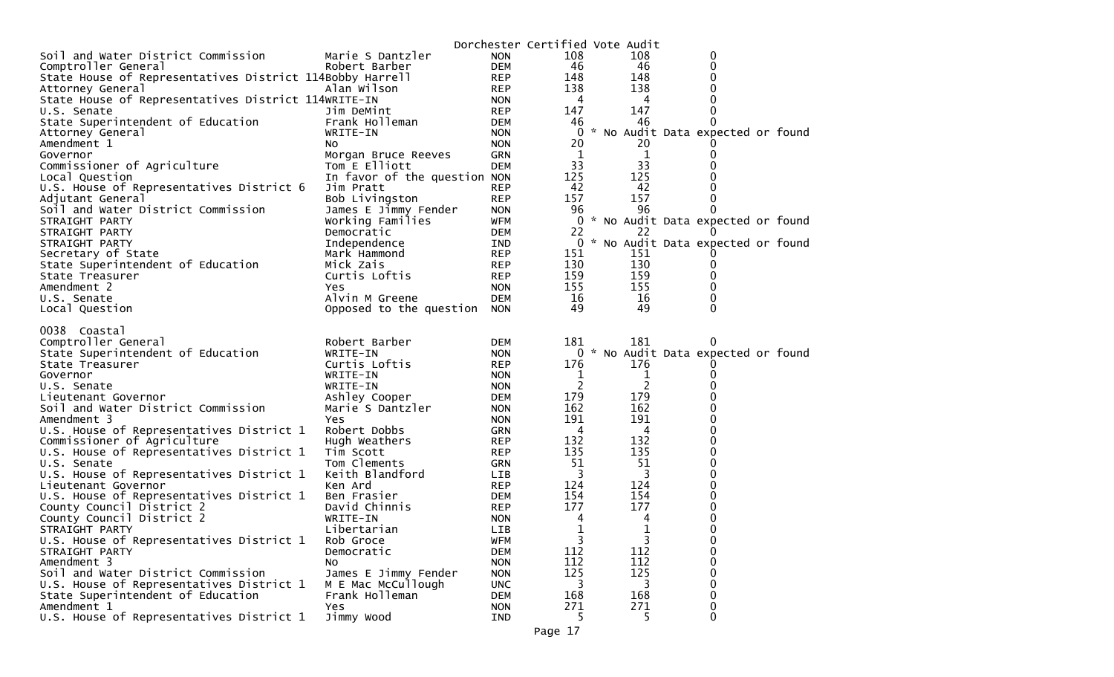|                                                           |                                   |                          | Dorchester Certified Vote Audit |                     |                                     |
|-----------------------------------------------------------|-----------------------------------|--------------------------|---------------------------------|---------------------|-------------------------------------|
| Soil and Water District Commission                        | Marie S Dantzler                  | <b>NON</b>               | 108                             | 108                 | 0                                   |
| Comptroller General                                       | Robert Barber                     | <b>DEM</b>               | 46                              | 46                  | 0                                   |
| State House of Representatives District 114Bobby Harrell  |                                   | <b>REP</b>               | 148                             | 148                 | 0                                   |
| Attorney General                                          | Alan Wilson                       | <b>REP</b>               | 138                             | 138                 | 0                                   |
| State House of Representatives District 114WRITE-IN       |                                   | <b>NON</b>               | 4                               | 4                   | 0                                   |
| U.S. Senate                                               | Jim DeMint                        | <b>REP</b>               | 147                             | 147                 | 0                                   |
| State Superintendent of Education                         | Frank Holleman                    | <b>DEM</b>               | 46                              | 46                  | $\Omega$                            |
| Attorney General                                          | WRITE-IN                          | <b>NON</b>               | 0                               |                     | * No Audit Data expected or found   |
| Amendment 1                                               | NO.                               | <b>NON</b>               | 20                              | 20                  |                                     |
| Governor                                                  | Morgan Bruce Reeves               | <b>GRN</b>               | 1                               | 1                   | 0                                   |
| Commissioner of Agriculture                               | Tom E Elliott                     | <b>DEM</b>               | 33                              | 33                  | 0                                   |
| Local Question                                            | In favor of the question NON      |                          | 125                             | 125                 |                                     |
| U.S. House of Representatives District 6                  | Jim Pratt                         | <b>REP</b>               | 42                              | 42                  | 0                                   |
| Adjutant General                                          | Bob Livingston                    | <b>REP</b>               | 157                             | 157                 | 0                                   |
| Soil and Water District Commission                        | James E Jimmy Fender              | <b>NON</b>               | 96                              | 96                  | 0                                   |
| STRAIGHT PARTY                                            | Working Families                  | <b>WFM</b>               | $\Omega$                        |                     | * No Audit Data expected or found   |
| STRAIGHT PARTY                                            | Democratic                        | <b>DEM</b>               | 22                              | 22                  |                                     |
| STRAIGHT PARTY                                            | Independence                      | IND                      | 0                               |                     | * No Audit Data expected or found   |
| Secretary of State                                        | Mark Hammond                      | <b>REP</b>               | 151                             | 151                 |                                     |
| State Superintendent of Education                         | Mick Zais                         | <b>REP</b>               | 130                             | 130                 | 0                                   |
| State Treasurer                                           | Curtis Loftis                     | <b>REP</b>               | 159                             | 159                 | 0                                   |
| Amendment 2                                               | Yes                               | <b>NON</b>               | 155                             | 155                 | 0                                   |
| U.S. Senate                                               | Alvin M Greene                    | <b>DEM</b>               | 16                              | 16                  | 0                                   |
| Local Question                                            | Opposed to the question           | <b>NON</b>               | 49                              | 49                  | $\Omega$                            |
| 0038 Coastal                                              |                                   |                          | 181                             | 181                 |                                     |
| Comptroller General                                       | Robert Barber                     | <b>DEM</b>               |                                 |                     | O                                   |
| State Superintendent of Education                         | WRITE-IN<br>Curtis Loftis         | <b>NON</b>               |                                 | 176                 | 0 * No Audit Data expected or found |
| State Treasurer                                           |                                   | <b>REP</b>               | 176                             |                     |                                     |
| Governor<br>U.S. Senate                                   | WRITE-IN<br>WRITE-IN              | <b>NON</b>               | 1<br>2                          | 1<br>$\overline{2}$ | 0<br>$\Omega$                       |
|                                                           |                                   | <b>NON</b>               | 179                             | 179                 | 0                                   |
| Lieutenant Governor<br>Soil and Water District Commission | Ashley Cooper<br>Marie S Dantzler | <b>DEM</b><br><b>NON</b> | 162                             | 162                 | 0                                   |
| Amendment 3                                               | Yes                               |                          | 191                             | 191                 | $\Omega$                            |
| U.S. House of Representatives District 1                  | Robert Dobbs                      | <b>NON</b><br><b>GRN</b> | 4                               | 4                   | 0                                   |
| Commissioner of Agriculture                               | Hugh Weathers                     | <b>REP</b>               | 132                             | 132                 | 0                                   |
| U.S. House of Representatives District 1                  | Tim Scott                         | <b>REP</b>               | 135                             | 135                 | 0                                   |
| U.S. Senate                                               | Tom Clements                      | <b>GRN</b>               | 51                              | 51                  | 0                                   |
| U.S. House of Representatives District 1                  | Keith Blandford                   | <b>LIB</b>               | 3                               | 3                   | 0                                   |
| Lieutenant Governor                                       | Ken Ard                           | <b>REP</b>               | 124                             | 124                 | 0                                   |
| U.S. House of Representatives District 1                  | Ben Frasier                       | <b>DEM</b>               | 154                             | 154                 | 0                                   |
| County Council District 2                                 | David Chinnis                     | <b>REP</b>               | 177                             | 177                 | 0                                   |
| County Council District 2                                 | WRITE-IN                          | <b>NON</b>               | 4                               | 4                   | 0                                   |
| STRAIGHT PARTY                                            | Libertarian                       | <b>LIB</b>               | 1                               | $\mathbf{1}$        | 0                                   |
| U.S. House of Representatives District 1                  | Rob Groce                         | <b>WFM</b>               | 3                               | 3                   | 0                                   |
| STRAIGHT PARTY                                            | Democratic                        | <b>DEM</b>               | 112                             | 112                 | 0                                   |
| Amendment 3                                               | NO.                               | <b>NON</b>               | 112                             | 112                 | 0                                   |
| Soil and Water District Commission                        | James E Jimmy Fender              | <b>NON</b>               | 125                             | 125                 | 0                                   |
| U.S. House of Representatives District 1                  | M E Mac McCullough                | <b>UNC</b>               | 3                               | 3                   | 0                                   |
| State Superintendent of Education                         | Frank Holleman                    | <b>DEM</b>               | 168                             | 168                 | 0                                   |
| Amendment 1                                               | Yes                               | <b>NON</b>               | 271                             | 271                 | 0                                   |
| U.S. House of Representatives District 1                  | Jimmy Wood                        | <b>IND</b>               | 5.                              | 5                   | 0                                   |
|                                                           |                                   |                          |                                 |                     |                                     |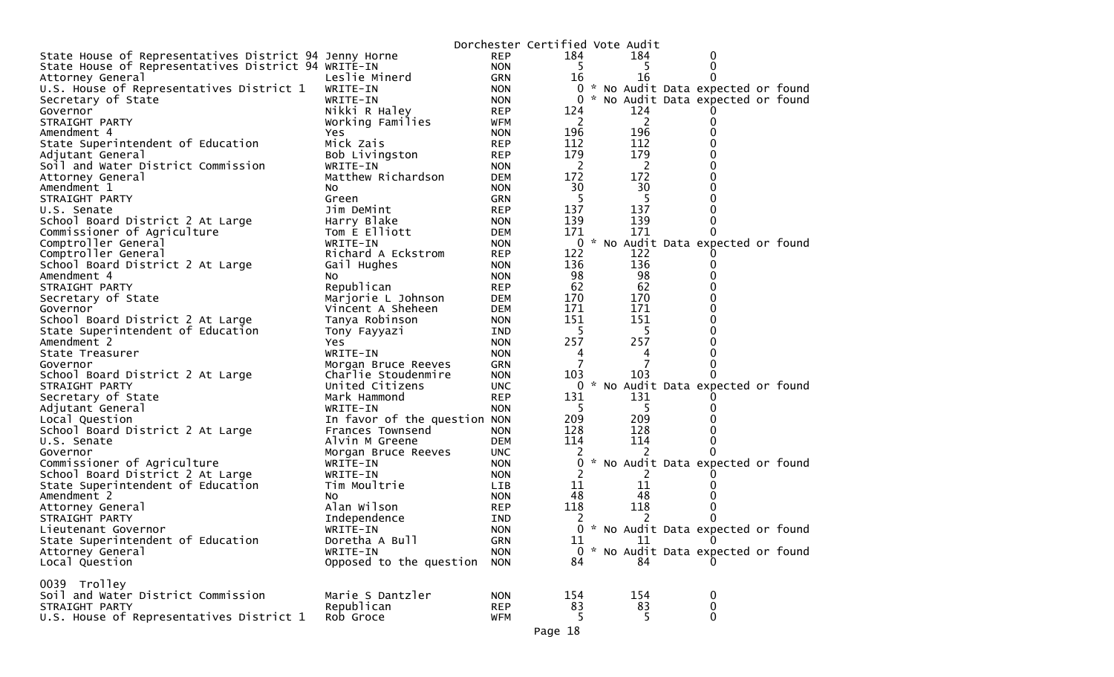|                                                        |                              |            | Dorchester Certified Vote Audit |                |                                     |
|--------------------------------------------------------|------------------------------|------------|---------------------------------|----------------|-------------------------------------|
| State House of Representatives District 94 Jenny Horne |                              | <b>REP</b> | 184                             | 184            | 0                                   |
| State House of Representatives District 94 WRITE-IN    |                              | <b>NON</b> | 5                               |                | 0                                   |
| Attorney General                                       | Leslie Minerd                | <b>GRN</b> | 16                              | 16             | 0                                   |
| U.S. House of Representatives District 1               | WRITE-IN                     | <b>NON</b> |                                 |                | 0 * No Audit Data expected or found |
| Secretary of State                                     | WRITE-IN                     | <b>NON</b> | 0                               |                | * No Audit Data expected or found   |
| Governor                                               | Nikki R Haley                | <b>REP</b> | 124                             | 124            |                                     |
| STRAIGHT PARTY                                         | Working Families             | <b>WFM</b> | 2                               | $\overline{2}$ | 0                                   |
| Amendment 4                                            | Yes.                         | <b>NON</b> | 196                             | 196            | 0                                   |
| State Superintendent of Education                      | Mick Zais                    | <b>REP</b> | 112                             | 112            | 0                                   |
| Adjutant General                                       | Bob Livingston               | <b>REP</b> | 179                             | 179            | 0                                   |
| Soil and Water District Commission                     | WRITE-IN                     | <b>NON</b> | $\overline{2}$                  | $\overline{2}$ | 0                                   |
| Attorney General                                       | Matthew Richardson           | <b>DEM</b> | 172                             | 172            | 0                                   |
| Amendment 1                                            | No.                          | <b>NON</b> | 30                              | 30             | 0                                   |
| STRAIGHT PARTY                                         | Green                        | <b>GRN</b> | 5                               | 5              | 0                                   |
| U.S. Senate                                            | Jim DeMint                   | <b>REP</b> | 137                             | 137            | 0                                   |
| School Board District 2 At Large                       | Harry Blake                  | <b>NON</b> | 139                             | 139            | 0                                   |
| Commissioner of Agriculture                            | Tom E Elliott                | DEM        | 171                             | 171            | 0                                   |
| Comptroller General                                    | WRITE-IN                     | <b>NON</b> | $\mathbf 0$                     |                | * No Audit Data expected or found   |
| Comptroller General                                    | Richard A Eckstrom           | <b>REP</b> | 122                             | 122            |                                     |
| School Board District 2 At Large                       |                              | <b>NON</b> | 136                             | 136            | 0                                   |
|                                                        | Gail Hughes                  |            | 98                              | 98             |                                     |
| Amendment 4                                            | NO.                          | <b>NON</b> | 62                              | 62             | 0                                   |
| STRAIGHT PARTY                                         | Republican                   | <b>REP</b> |                                 |                |                                     |
| Secretary of State                                     | Marjorie L Johnson           | DEM        | 170                             | 170            | 0<br>0                              |
| Governor                                               | Vincent A Sheheen            | DEM        | 171                             | 171            |                                     |
| School Board District 2 At Large                       | Tanya Robinson               | <b>NON</b> | 151                             | 151            | 0                                   |
| State Superintendent of Education                      | Tony Fayyazi                 | IND        | 5                               | 5.             | 0                                   |
| Amendment 2                                            | Yes                          | <b>NON</b> | 257                             | 257            | 0                                   |
| State Treasurer                                        | WRITE-IN                     | <b>NON</b> | 4                               | 4              | 0                                   |
| Governor                                               | Morgan Bruce Reeves          | <b>GRN</b> | 7                               | 7              | 0                                   |
| School Board District 2 At Large                       | Charlie Stoudenmire          | <b>NON</b> | 103                             | 103            | 0                                   |
| STRAIGHT PARTY                                         | United Citizens              | <b>UNC</b> | 0                               |                | No Audit Data expected or found     |
| Secretary of State                                     | Mark Hammond                 | <b>REP</b> | 131                             | 131            |                                     |
| Adjutant General                                       | WRITE-IN                     | <b>NON</b> | 5                               | 5.             | $_{0}$                              |
| Local Question                                         | In favor of the question NON |            | 209                             | 209            |                                     |
| School Board District 2 At Large                       | Frances Townsend             | <b>NON</b> | 128                             | 128            | 0                                   |
| U.S. Senate                                            | Alvin M Greene               | <b>DEM</b> | 114                             | 114            | 0                                   |
| Governor                                               | Morgan Bruce Reeves          | <b>UNC</b> | 2                               | 2              |                                     |
| Commissioner of Agriculture                            | WRITE-IN                     | <b>NON</b> | 0                               |                | * No Audit Data expected or found   |
| School Board District 2 At Large                       | WRITE-IN                     | <b>NON</b> | 2                               | 2              |                                     |
| State Superintendent of Education                      | Tim Moultrie                 | LIB        | 11                              | 11             |                                     |
| Amendment 2                                            | NO.                          | <b>NON</b> | 48                              | 48             |                                     |
| Attorney General                                       | Alan Wilson                  | <b>REP</b> | 118                             | 118            | 0                                   |
| STRAIGHT PARTY                                         | Independence                 | <b>IND</b> | 2                               | 2              |                                     |
| Lieutenant Governor                                    | WRITE-IN                     | <b>NON</b> |                                 |                | 0 * No Audit Data expected or found |
| State Superintendent of Education                      | Doretha A Bull               | <b>GRN</b> | 11                              | 11             | 0                                   |
| Attorney General                                       | WRITE-IN                     | <b>NON</b> | $\Omega$                        |                | * No Audit Data expected or found   |
| Local Question                                         | Opposed to the question      | <b>NON</b> | 84                              | 84             |                                     |
|                                                        |                              |            |                                 |                |                                     |
| 0039 Trolley                                           |                              |            |                                 |                |                                     |
| Soil and Water District Commission                     | Marie S Dantzler             | <b>NON</b> | 154                             | 154            | 0                                   |
| STRAIGHT PARTY                                         | Republican                   | <b>REP</b> | 83                              | 83             | 0                                   |
| U.S. House of Representatives District 1               | Rob Groce                    | <b>WFM</b> | 5                               | 5              | $\mathbf{0}$                        |
|                                                        |                              |            |                                 |                |                                     |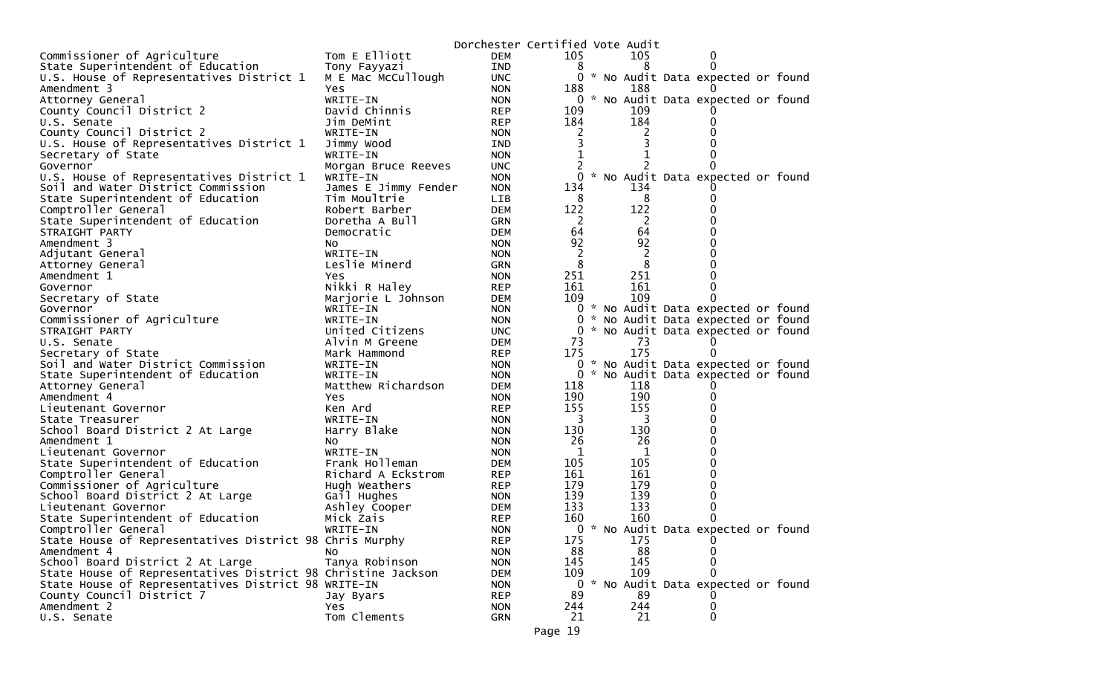|                                                              |                              | Dorchester Certified Vote Audit |                |    |                |                                          |  |
|--------------------------------------------------------------|------------------------------|---------------------------------|----------------|----|----------------|------------------------------------------|--|
| Commissioner of Agriculture                                  | Tom E Elliott                | <b>DEM</b>                      | 105            |    | 105            | 0                                        |  |
| State Superintendent of Education                            | Tony Fayyazi                 | IND                             | 8              |    | 8              |                                          |  |
| U.S. House of Representatives District 1                     | M E Mac McCullough           | <b>UNC</b>                      |                |    |                | 0 * No Audit Data expected or found      |  |
| Amendment 3                                                  | <b>Yes</b>                   | <b>NON</b>                      | 188            |    | 188            |                                          |  |
| Attorney General                                             | WRITE-IN                     | <b>NON</b>                      |                |    |                | 0 * No Audit Data expected or found      |  |
| County Council District 2                                    | David Chinnis                | <b>REP</b>                      | 109            |    | 109            |                                          |  |
| U.S. Senate                                                  | Jim DeMint                   | <b>REP</b>                      | 184            |    | 184            |                                          |  |
| County Council District 2                                    | WRITE-IN                     | <b>NON</b>                      | 2              |    | 2              |                                          |  |
| U.S. House of Representatives District 1                     | Jimmy Wood                   | IND                             |                |    |                |                                          |  |
| Secretary of State                                           | WRITE-IN                     | <b>NON</b>                      |                |    |                |                                          |  |
| Governor                                                     | Morgan Bruce Reeves          | <b>UNC</b>                      | 2              |    |                |                                          |  |
| U.S. House of Representatives District 1                     | WRITE-IN                     | <b>NON</b>                      | 0              |    |                | * No Audit Data expected or found        |  |
| Soil and Water District Commission                           | James E Jimmy Fender         | <b>NON</b>                      | 134            |    | 134            |                                          |  |
| State Superintendent of Education                            | Tim Moultrie                 | LIB                             | 8              |    | 8              |                                          |  |
| Comptroller General                                          | Robert Barber                | <b>DEM</b>                      | 122            |    | 122            |                                          |  |
| State Superintendent of Education                            | Doretha A Bull               | <b>GRN</b>                      | 2              |    | 2              |                                          |  |
| STRAIGHT PARTY                                               | Democratic                   | <b>DEM</b>                      | 64             |    | 64             | ი                                        |  |
| Amendment 3                                                  | NO.                          | <b>NON</b>                      | 92             |    | 92             |                                          |  |
| Adjutant General                                             | WRITE-IN                     | <b>NON</b>                      | 2              |    | $\overline{2}$ |                                          |  |
| Attorney General                                             | Leslie Minerd                | <b>GRN</b>                      | 8              |    | 8              |                                          |  |
| Amendment 1                                                  | Yes                          | <b>NON</b>                      | 251            |    | 251            |                                          |  |
| Governor                                                     | Nikki R Haley                | <b>REP</b>                      | 161            |    | 161            |                                          |  |
| Secretary of State                                           | Marjorie L Johnson           | <b>DEM</b>                      | 109            |    | 109            |                                          |  |
| Governor                                                     | WRITE-IN                     | <b>NON</b>                      |                |    |                | 0 * No Audit Data expected or found      |  |
| Commissioner of Agriculture                                  | WRITE-IN                     | <b>NON</b>                      | 0              | ×. |                | No Audit Data expected or found          |  |
| STRAIGHT PARTY                                               | United Citizens              | <b>UNC</b>                      |                |    |                | 0 * No Audit Data expected or found      |  |
| U.S. Senate                                                  | Alvin M Greene               | DEM                             | 73             |    | 73             |                                          |  |
| Secretary of State                                           | Mark Hammond                 | <b>REP</b>                      | 175            |    | 175            |                                          |  |
| Soil and Water District Commission                           | WRITE-IN                     | <b>NON</b>                      |                |    |                | 0 * No Audit Data expected or found      |  |
| State Superintendent of Education                            | WRITE-IN                     | <b>NON</b>                      | $\overline{0}$ |    |                | * No Audit Data expected or found        |  |
| Attorney General                                             | Matthew Richardson           | <b>DEM</b>                      | 118            |    | 118            |                                          |  |
| Amendment 4                                                  | <b>Yes</b>                   | <b>NON</b>                      | 190            |    | 190            |                                          |  |
| Lieutenant Governor                                          | Ken Ard                      | <b>REP</b>                      | 155            |    | 155            |                                          |  |
| State Treasurer                                              | WRITE-IN                     | <b>NON</b>                      | 3              |    | 3              |                                          |  |
| School Board District 2 At Large                             | Harry Blake                  | <b>NON</b>                      | 130            |    | 130            |                                          |  |
| Amendment 1                                                  | NO.                          | <b>NON</b>                      | 26             |    | 26             | n                                        |  |
| Lieutenant Governor                                          | WRITE-IN                     | <b>NON</b>                      | 1              |    | 1              | 0                                        |  |
| State Superintendent of Education                            | Frank Holleman               | <b>DEM</b>                      | 105            |    | 105            |                                          |  |
| Comptroller General                                          | Richard A Eckstrom           | <b>REP</b>                      | 161<br>179     |    | 161<br>179     | 0                                        |  |
| Commissioner of Agriculture                                  | Hugh Weathers                | <b>REP</b>                      | 139            |    | 139            | 0                                        |  |
| School Board District 2 At Large<br>Lieutenant Governor      | Gail Hughes<br>Ashley Cooper | <b>NON</b><br><b>DEM</b>        | 133            |    | 133            |                                          |  |
| State Superintendent of Education                            |                              |                                 | 160            |    | 160            |                                          |  |
|                                                              | Mick Zais                    | <b>REP</b><br><b>NON</b>        |                |    |                |                                          |  |
| Comptroller General                                          | WRITE-IN                     |                                 | 175            |    | 175            | 0 * No Audit Data expected or found<br>0 |  |
| State House of Representatives District 98 Chris Murphy      |                              | <b>REP</b>                      | 88             |    | 88             | 0                                        |  |
| Amendment 4<br>School Board District 2 At Large              | NO.<br>Tanya Robinson        | <b>NON</b><br><b>NON</b>        | 145            |    | 145            | 0                                        |  |
| State House of Representatives District 98 Christine Jackson |                              |                                 | 109            |    | 109            | 0                                        |  |
| State House of Representatives District 98 WRITE-IN          |                              | <b>DEM</b><br><b>NON</b>        | $\mathbf{0}$   |    |                | * No Audit Data expected or found        |  |
| County Council District 7                                    | Jay Byars                    | <b>REP</b>                      | 89             |    | 89             |                                          |  |
| Amendment 2                                                  | Yes                          | <b>NON</b>                      | 244            |    | 244            | 0                                        |  |
| U.S. Senate                                                  | Tom Clements                 | GRN                             | 21             |    | 21             | 0                                        |  |
|                                                              |                              |                                 |                |    |                |                                          |  |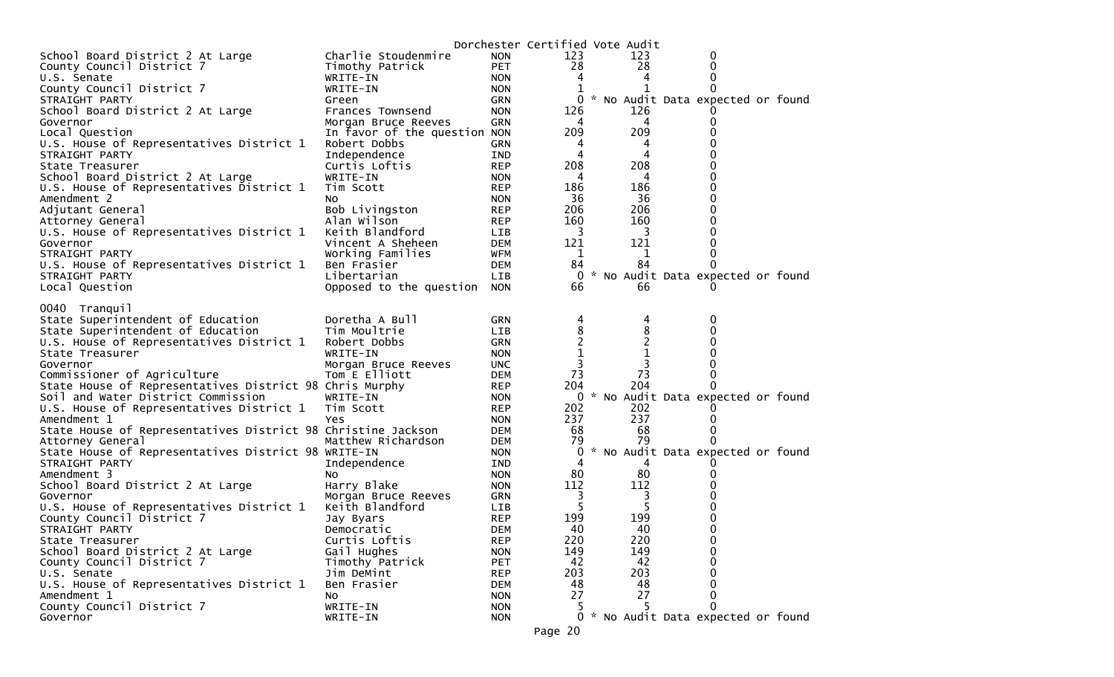|                                                              |                              |            | Dorchester Certified Vote Audit |                |                                     |  |
|--------------------------------------------------------------|------------------------------|------------|---------------------------------|----------------|-------------------------------------|--|
| School Board District 2 At Large                             | Charlie Stoudenmire          | <b>NON</b> | 123                             | 123            | 0                                   |  |
| County Council District 7                                    | Timothy Patrick              | <b>PET</b> | 28                              | 28             | 0                                   |  |
| U.S. Senate                                                  | WRITE-IN                     | <b>NON</b> | 4                               | 4              | 0                                   |  |
| County Council District 7                                    | WRITE-IN                     | <b>NON</b> |                                 |                | $\Omega$                            |  |
| STRAIGHT PARTY                                               | Green                        | <b>GRN</b> | 0                               |                | * No Audit Data expected or found   |  |
| School Board District 2 At Large                             | Frances Townsend             | <b>NON</b> | 126                             | 126            |                                     |  |
| Governor                                                     | Morgan Bruce Reeves          | <b>GRN</b> | 4                               | 4              | $\Omega$                            |  |
| Local Question                                               | In favor of the question NON |            | 209                             | 209            | O                                   |  |
| U.S. House of Representatives District 1                     | Robert Dobbs                 | <b>GRN</b> | 4                               | 4              |                                     |  |
| STRAIGHT PARTY                                               | Independence                 | IND        | 4                               | 4              |                                     |  |
| State Treasurer                                              | Curtis Loftis                | <b>REP</b> | 208                             | 208            | 0                                   |  |
| School Board District 2 At Large                             | WRITE-IN                     | <b>NON</b> | 4                               | 4              |                                     |  |
| U.S. House of Representatives District 1                     | Tim Scott                    | <b>REP</b> | 186                             | 186            | 0                                   |  |
| Amendment 2                                                  | NO.                          | <b>NON</b> | 36                              | 36             | 0                                   |  |
| Adjutant General                                             | Bob Livingston               | <b>REP</b> | 206                             | 206            |                                     |  |
| Attorney General                                             | Alan Wilson                  | <b>REP</b> | 160                             | 160            | O                                   |  |
| U.S. House of Representatives District 1                     | Keith Blandford              | LIB        | - 3                             | 3              | 0                                   |  |
| Governor                                                     | Vincent A Sheheen            | <b>DEM</b> | 121                             | 121            |                                     |  |
| STRAIGHT PARTY                                               | Working Families             | WFM        | 1                               | 1              | 0                                   |  |
| U.S. House of Representatives District 1                     | Ben Frasier                  | <b>DEM</b> | 84                              | 84             | 0                                   |  |
| STRAIGHT PARTY                                               | Libertarian                  | LIB        | 0                               |                | * No Audit Data expected or found   |  |
| Local Question                                               | Opposed to the question NON  |            | 66                              | 66             |                                     |  |
|                                                              |                              |            |                                 |                |                                     |  |
| 0040 Tranquil                                                |                              |            |                                 |                |                                     |  |
| State Superintendent of Education                            | Doretha A Bull               | <b>GRN</b> | 4                               | 4              | 0                                   |  |
| State Superintendent of Education                            | Tim Moultrie                 | LIB        | 8                               | 8              | 0                                   |  |
| U.S. House of Representatives District 1                     | Robert Dobbs                 | <b>GRN</b> | $\overline{c}$                  | $\overline{c}$ |                                     |  |
| State Treasurer                                              | WRITE-IN                     | <b>NON</b> | 1                               | $\mathbf 1$    |                                     |  |
| Governor                                                     | Morgan Bruce Reeves          | <b>UNC</b> | 3                               | 3              |                                     |  |
| Commissioner of Agriculture                                  | Tom E Elliott                | <b>DEM</b> | 73                              | 73             | 0                                   |  |
| State House of Representatives District 98 Chris Murphy      |                              | <b>REP</b> | 204                             | 204            |                                     |  |
| Soil and Water District Commission                           | WRITE-IN                     | <b>NON</b> |                                 |                | 0 * No Audit Data expected or found |  |
| U.S. House of Representatives District 1                     | Tim Scott                    | <b>REP</b> | 202                             | 202            |                                     |  |
| Amendment 1                                                  | Yes                          | <b>NON</b> | 237                             | 237            |                                     |  |
| State House of Representatives District 98 Christine Jackson |                              | <b>DEM</b> | 68                              | 68             |                                     |  |
| Attorney General                                             | Matthew Richardson           | <b>DEM</b> | 79                              | 79             | $\Omega$                            |  |
| State House of Representatives District 98 WRITE-IN          |                              | <b>NON</b> | 0                               |                | * No Audit Data expected or found   |  |
| STRAIGHT PARTY                                               | Independence                 | IND        | 4                               | 4              |                                     |  |
| Amendment 3                                                  | NO.                          | <b>NON</b> | 80                              | 80             |                                     |  |
| School Board District 2 At Large                             | Harry Blake                  | <b>NON</b> | 112                             | 112            |                                     |  |
| Governor                                                     | Morgan Bruce Reeves          | GRN        | 3                               | 3              |                                     |  |
| U.S. House of Representatives District 1                     | Keith Blandford              | LIB        | -5                              | 5              |                                     |  |
| County Council District 7                                    | Jay Byars                    | <b>REP</b> | 199                             | 199            |                                     |  |
| STRAIGHT PARTY                                               | Democratic                   | <b>DEM</b> | 40                              | 40             | 0                                   |  |
| State Treasurer                                              | Curtis Loftis                | <b>REP</b> | 220                             | 220            | $\bf{0}$                            |  |
| School Board District 2 At Large                             | Gail Hughes                  | <b>NON</b> | 149                             | 149            | $\mathbf 0$                         |  |
| County Council District 7                                    | Timothy Patrick              | PET        | 42                              | 42             | $\Omega$                            |  |
| U.S. Senate                                                  | Jim DeMint                   | <b>REP</b> | 203                             | 203            | $\Omega$                            |  |
| U.S. House of Representatives District 1                     | Ben Frasier                  | <b>DEM</b> | 48                              | 48             | $\Omega$                            |  |
| Amendment 1                                                  | No                           | <b>NON</b> | 27                              | 27             | $\Omega$                            |  |
| County Council District 7                                    | WRITE-IN                     | <b>NON</b> |                                 |                | 0                                   |  |
| Governor                                                     | WRITE-IN                     | <b>NON</b> |                                 |                | 0 * No Audit Data expected or found |  |
|                                                              |                              |            |                                 |                |                                     |  |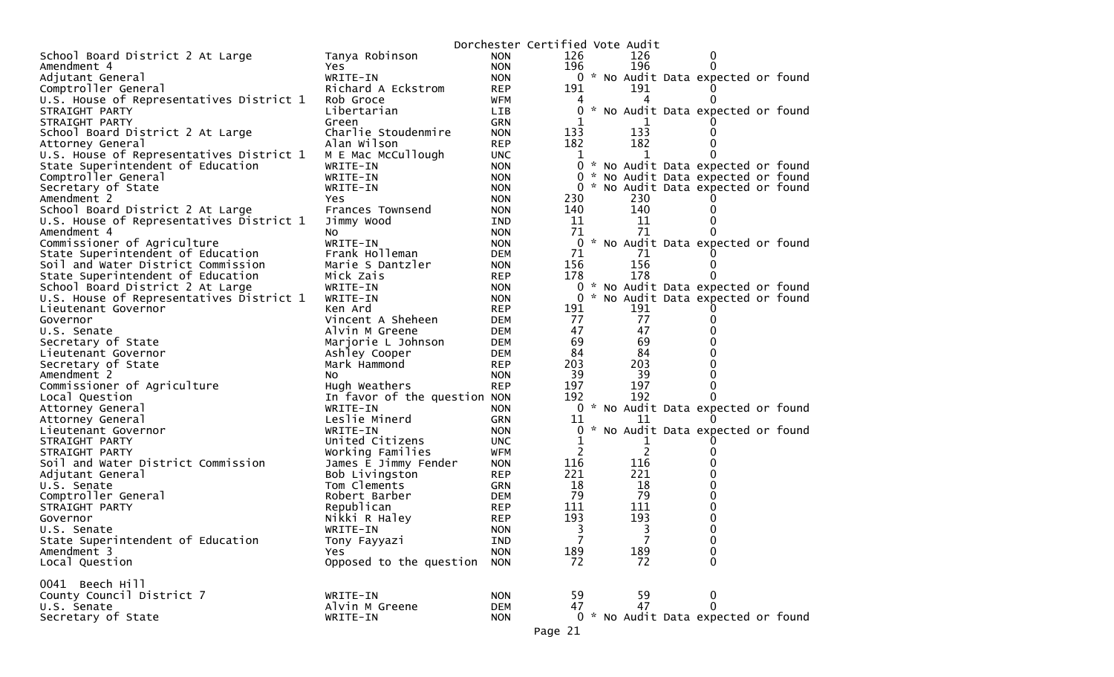|                                          |                                     |                          | Dorchester Certified Vote Audit |  |     |                                     |  |
|------------------------------------------|-------------------------------------|--------------------------|---------------------------------|--|-----|-------------------------------------|--|
| School Board District 2 At Large         | Tanya Robinson                      | <b>NON</b>               | 126                             |  | 126 | 0                                   |  |
| Amendment 4                              | Yes                                 | <b>NON</b>               | 196                             |  | 196 | 0                                   |  |
| Adjutant General                         | WRITE-IN                            | <b>NON</b>               |                                 |  |     | 0 * No Audit Data expected or found |  |
| Comptroller General                      | Richard A Eckstrom                  | <b>REP</b>               | 191                             |  | 191 |                                     |  |
| U.S. House of Representatives District 1 | Rob Groce                           | WFM                      |                                 |  | 4   |                                     |  |
| STRAIGHT PARTY                           | Libertarian                         | <b>LIB</b>               | 0                               |  |     | * No Audit Data expected or found   |  |
| STRAIGHT PARTY                           | Green                               | <b>GRN</b>               |                                 |  |     |                                     |  |
| School Board District 2 At Large         | Charlie Stoudenmire                 | <b>NON</b>               | 133                             |  | 133 |                                     |  |
| Attorney General                         | Alan Wilson                         | <b>REP</b>               | 182                             |  | 182 |                                     |  |
| U.S. House of Representatives District 1 | M E Mac McCullough                  | <b>UNC</b>               | 1                               |  |     |                                     |  |
| State Superintendent of Education        | WRITE-IN                            | <b>NON</b>               |                                 |  |     | 0 * No Audit Data expected or found |  |
| Comptroller General                      | WRITE-IN                            | <b>NON</b>               | $\mathbf{0}$                    |  |     | * No Audit Data expected or found   |  |
| Secretary of State                       | WRITE-IN                            | <b>NON</b>               | $\Omega$                        |  |     | * No Audit Data expected or found   |  |
| Amendment 2                              | <b>Yes</b>                          | <b>NON</b>               | 230                             |  | 230 |                                     |  |
| School Board District 2 At Large         | Frances Townsend                    | <b>NON</b>               | 140                             |  | 140 | 0                                   |  |
| U.S. House of Representatives District 1 | Jimmy Wood                          | <b>IND</b>               | 11                              |  | 11  |                                     |  |
| Amendment 4                              | NO.                                 | <b>NON</b>               | 71                              |  | 71  | 0                                   |  |
| Commissioner of Agriculture              | WRITE-IN                            | <b>NON</b>               | 0                               |  |     | * No Audit Data expected or found   |  |
| State Superintendent of Education        | Frank Holleman                      | <b>DEM</b>               | 71                              |  | 71  |                                     |  |
| Soil and Water District Commission       | Marie S Dantzler                    | <b>NON</b>               | 156                             |  | 156 | 0                                   |  |
| State Superintendent of Education        | Mick Zais                           | <b>REP</b>               | 178                             |  | 178 | 0                                   |  |
| School Board District 2 At Large         | WRITE-IN                            | <b>NON</b>               | 0                               |  |     | * No Audit Data expected or found   |  |
| U.S. House of Representatives District 1 | WRITE-IN                            | <b>NON</b>               | 0                               |  | 191 | * No Audit Data expected or found   |  |
| Lieutenant Governor                      | Ken Ard                             | <b>REP</b>               | 191<br>77                       |  | 77  |                                     |  |
| Governor                                 | Vincent A Sheheen<br>Alvin M Greene | <b>DEM</b>               | 47                              |  | 47  | 0                                   |  |
| U.S. Senate<br>Secretary of State        | Marjorie L Johnson                  | <b>DEM</b><br><b>DEM</b> | 69                              |  | 69  |                                     |  |
| Lieutenant Governor                      | Ashley Cooper                       | <b>DEM</b>               | 84                              |  | 84  |                                     |  |
| Secretary of State                       | Mark Hammond                        | <b>REP</b>               | 203                             |  | 203 |                                     |  |
| Amendment 2                              | No.                                 | <b>NON</b>               | 39                              |  | -39 |                                     |  |
| Commissioner of Agriculture              | Hugh Weathers                       | <b>REP</b>               | 197                             |  | 197 | 0                                   |  |
| Local Question                           | In favor of the question NON        |                          | 192                             |  | 192 | 0                                   |  |
| Attorney General                         | WRITE-IN                            | <b>NON</b>               |                                 |  |     | 0 * No Audit Data expected or found |  |
| Attorney General                         | Leslie Minerd                       | <b>GRN</b>               | 11                              |  | 11  |                                     |  |
| Lieutenant Governor                      | WRITE-IN                            | <b>NON</b>               | 0                               |  |     | * No Audit Data expected or found   |  |
| STRAIGHT PARTY                           | United Citizens                     | <b>UNC</b>               | T                               |  |     |                                     |  |
| STRAIGHT PARTY                           | Working Families                    | WFM                      | 2                               |  | 2   |                                     |  |
| Soil and Water District Commission       | James E Jimmy Fender                | <b>NON</b>               | 116                             |  | 116 |                                     |  |
| Adjutant General                         | Bob Livingston                      | <b>REP</b>               | 221                             |  | 221 |                                     |  |
| U.S. Senate                              | Tom Clements                        | GRN                      | 18                              |  | 18  | 0                                   |  |
| Comptroller General                      | Robert Barber                       | DEM                      | 79                              |  | 79  | 0                                   |  |
| STRAIGHT PARTY                           | Republican                          | <b>REP</b>               | 111                             |  | 111 | 0                                   |  |
| Governor                                 | Nikki R Haley                       | <b>REP</b>               | 193                             |  | 193 | 0                                   |  |
| U.S. Senate                              | WRITE-IN                            | <b>NON</b>               | 3                               |  | 3   | 0                                   |  |
| State Superintendent of Education        | Tony Fayyazi                        | IND                      | 7                               |  | 7   | 0                                   |  |
| Amendment 3                              | Yes                                 | <b>NON</b>               | 189                             |  | 189 | 0                                   |  |
| Local Question                           | Opposed to the question             | <b>NON</b>               | 72                              |  | 72  | $\Omega$                            |  |
|                                          |                                     |                          |                                 |  |     |                                     |  |
| 0041 Beech Hill                          |                                     |                          |                                 |  |     |                                     |  |
| County Council District 7                | WRITE-IN                            | <b>NON</b>               | 59                              |  | 59  | 0                                   |  |
| U.S. Senate                              | Alvin M Greene                      | <b>DEM</b>               | 47                              |  | 47  | $\mathbf 0$                         |  |
| Secretary of State                       | WRITE-IN                            | <b>NON</b>               |                                 |  |     | 0 * No Audit Data expected or found |  |
|                                          |                                     |                          | Page 21                         |  |     |                                     |  |
|                                          |                                     |                          |                                 |  |     |                                     |  |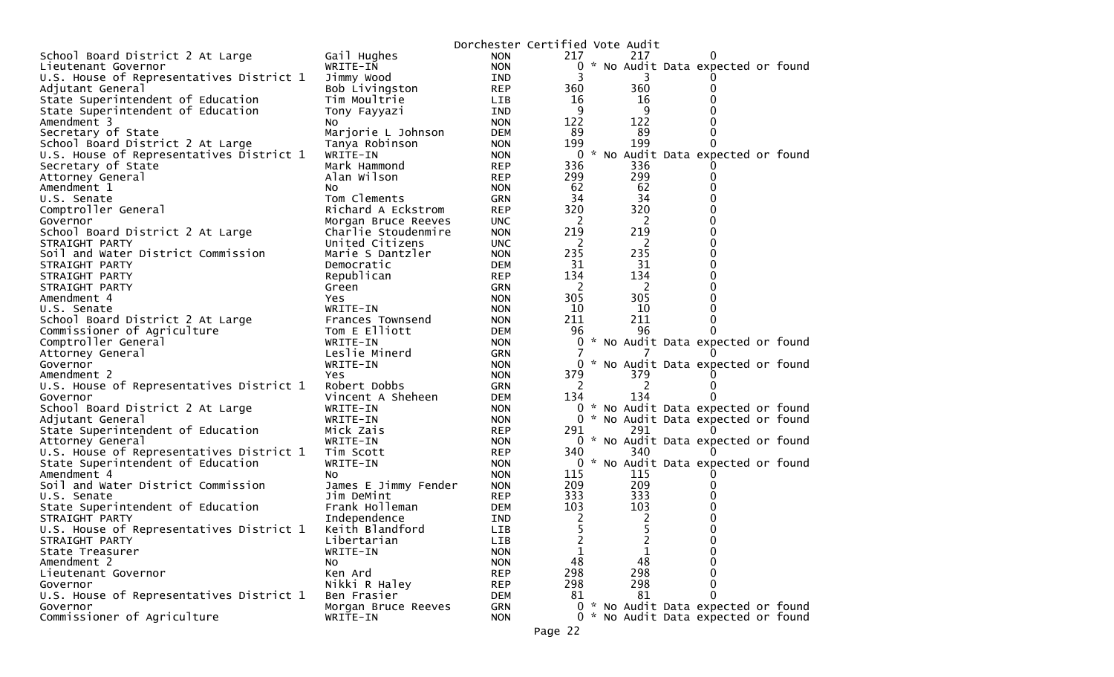|                                                  |                       | Dorchester Certified Vote Audit |                |                |                                     |  |
|--------------------------------------------------|-----------------------|---------------------------------|----------------|----------------|-------------------------------------|--|
| School Board District 2 At Large                 | Gail Hughes           | <b>NON</b>                      | 217            | 217            |                                     |  |
| Lieutenant Governor                              | WRITE-IN              | <b>NON</b>                      | 0              |                | * No Audit Data expected or found   |  |
| U.S. House of Representatives District 1         | Jimmy Wood            | IND                             | 3              | 3              |                                     |  |
| Adjutant General                                 | Bob Livingston        | <b>REP</b>                      | 360            | 360            |                                     |  |
| State Superintendent of Education                | Tim Moultrie          | LIB                             | 16             | 16             |                                     |  |
| State Superintendent of Education                | Tony Fayyazi          | IND                             | 9              | 9              |                                     |  |
| Amendment 3                                      | No                    | <b>NON</b>                      | 122            | 122            |                                     |  |
| Secretary of State                               | Marjorie L Johnson    | <b>DEM</b>                      | 89             | 89             |                                     |  |
| School Board District 2 At Large                 | Tanya Robinson        | <b>NON</b>                      | 199            | 199            |                                     |  |
| U.S. House of Representatives District 1         | WRITE-IN              | <b>NON</b>                      | 0              |                | * No Audit Data expected or found   |  |
| Secretary of State                               | Mark Hammond          | <b>REP</b>                      | 336            | 336            |                                     |  |
| Attorney General                                 | Alan Wilson           | <b>REP</b>                      | 299            | 299            |                                     |  |
| Amendment 1                                      | No                    | <b>NON</b>                      | 62             | 62             |                                     |  |
| U.S. Senate                                      | Tom Clements          | <b>GRN</b>                      | 34             | 34             |                                     |  |
| Comptroller General                              | Richard A Eckstrom    | <b>REP</b>                      | 320            | 320            |                                     |  |
| Governor                                         | Morgan Bruce Reeves   | <b>UNC</b>                      | 2              | 2              |                                     |  |
| School Board District 2 At Large                 | Charlie Stoudenmire   | <b>NON</b>                      | 219            | 219            |                                     |  |
| STRAIGHT PARTY                                   | United Citizens       | <b>UNC</b>                      | 2              | 2              |                                     |  |
| Soil and Water District Commission               | Marie S Dantzler      | <b>NON</b>                      | 235            | 235            |                                     |  |
| STRAIGHT PARTY                                   | Democratic            | <b>DEM</b>                      | 31             | 31             |                                     |  |
| STRAIGHT PARTY                                   | Republican            | <b>REP</b>                      | 134            | 134            |                                     |  |
| STRAIGHT PARTY                                   | Green                 | GRN                             | 2              | 2              |                                     |  |
| Amendment 4                                      | Yes.                  | <b>NON</b>                      | 305            | 305            |                                     |  |
| U.S. Senate                                      | WRITE-IN              | <b>NON</b>                      | 10             | 10             |                                     |  |
| School Board District 2 At Large                 | Frances Townsend      | <b>NON</b>                      | 211            | 211            |                                     |  |
| Commissioner of Agriculture                      | Tom E Elliott         | <b>DEM</b>                      | 96             | 96             |                                     |  |
| Comptroller General                              | WRITE-IN              | <b>NON</b>                      | 0              |                | * No Audit Data expected or found   |  |
| Attorney General                                 | Leslie Minerd         | GRN                             |                |                |                                     |  |
| Governor                                         | WRITE-IN              | <b>NON</b>                      | $\Omega$       |                | * No Audit Data expected or found   |  |
| Amendment 2                                      | Yes                   | <b>NON</b>                      | 379            | 379            |                                     |  |
| U.S. House of Representatives District 1         | Robert Dobbs          | <b>GRN</b>                      | 2              | 2              |                                     |  |
| Governor                                         | Vincent A Sheheen     | <b>DEM</b>                      | 134            | 134            |                                     |  |
| School Board District 2 At Large                 | WRITE-IN              | <b>NON</b>                      | 0              |                | * No Audit Data expected or found   |  |
| Adjutant General                                 | WRITE-IN              | <b>NON</b>                      |                |                | 0 * No Audit Data expected or found |  |
| State Superintendent of Education                | Mick Zais             | <b>REP</b>                      | 291            | 291            |                                     |  |
| Attorney General                                 | WRITE-IN              | <b>NON</b>                      |                | 340            | 0 * No Audit Data expected or found |  |
| U.S. House of Representatives District 1         | Tim Scott<br>WRITE-IN | <b>REP</b><br><b>NON</b>        | 340<br>0       |                | * No Audit Data expected or found   |  |
| State Superintendent of Education<br>Amendment 4 | No.                   |                                 | 115            | 115            |                                     |  |
| Soil and Water District Commission               | James E Jimmy Fender  | <b>NON</b><br><b>NON</b>        | 209            | 209            |                                     |  |
| U.S. Senate                                      | Jim DeMint            | <b>REP</b>                      | 333            | 333            |                                     |  |
| State Superintendent of Education                | Frank Holleman        | DEM                             | 103            | 103            |                                     |  |
| STRAIGHT PARTY                                   | Independence          | IND                             | 2              | 2              |                                     |  |
| U.S. House of Representatives District 1         | Keith Blandford       | LIB                             |                |                |                                     |  |
| STRAIGHT PARTY                                   | Libertarian           | <b>LIB</b>                      | $\overline{c}$ | $\overline{2}$ | 0                                   |  |
| State Treasurer                                  | WRITE-IN              | <b>NON</b>                      | 1              | 1              |                                     |  |
| Amendment 2                                      | No                    | <b>NON</b>                      | 48             | 48             | 0                                   |  |
| Lieutenant Governor                              | Ken Ard               | <b>REP</b>                      | 298            | 298            |                                     |  |
| Governor                                         | Nikki R Haley         | <b>REP</b>                      | 298            | 298            |                                     |  |
| U.S. House of Representatives District 1         | Ben Frasier           | <b>DEM</b>                      | 81             | 81             | 0                                   |  |
| Governor                                         | Morgan Bruce Reeves   | <b>GRN</b>                      |                |                | 0 * No Audit Data expected or found |  |
| Commissioner of Agriculture                      | WRITE-IN              | <b>NON</b>                      |                |                | 0 * No Audit Data expected or found |  |
|                                                  |                       |                                 |                |                |                                     |  |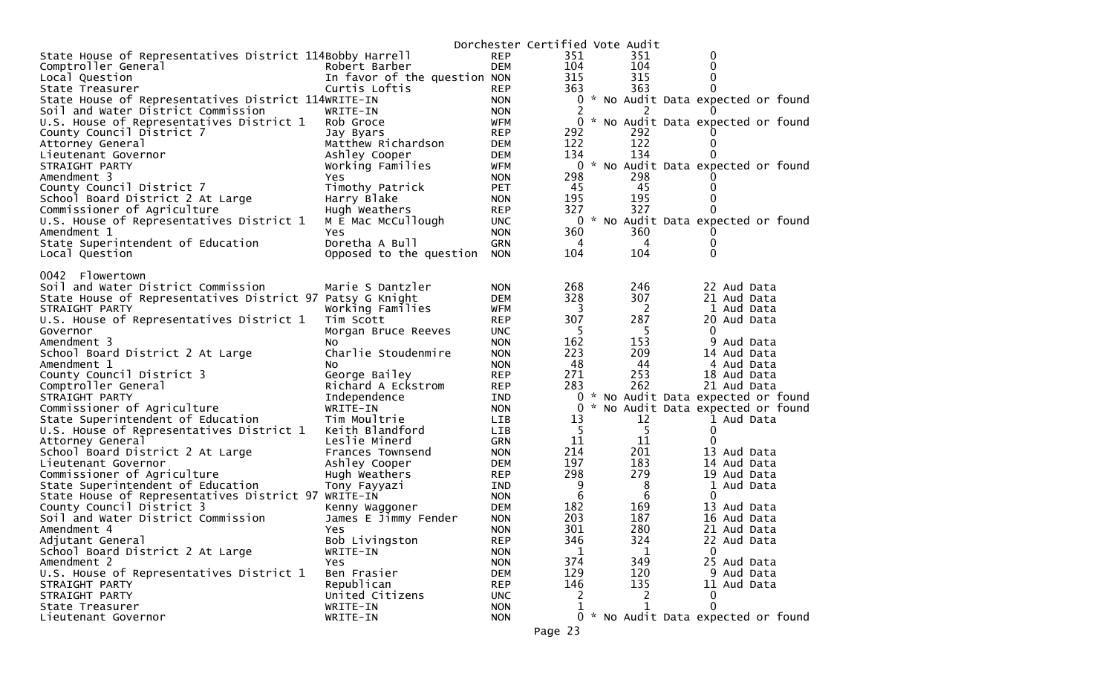|                                                           |                              |            | Dorchester Certified Vote Audit |   |     |                                     |  |
|-----------------------------------------------------------|------------------------------|------------|---------------------------------|---|-----|-------------------------------------|--|
| State House of Representatives District 114Bobby Harrell  |                              | <b>REP</b> | 351                             |   | 351 | 0                                   |  |
| Comptroller General                                       | Robert Barber                | <b>DEM</b> | 104                             |   | 104 | 0                                   |  |
| Local Question                                            | In favor of the question NON |            | 315                             |   | 315 | 0                                   |  |
| State Treasurer                                           | Curtis Loftis                | <b>REP</b> | 363                             |   | 363 | 0                                   |  |
| State House of Representatives District 114WRITE-IN       |                              | <b>NON</b> |                                 |   |     | 0 * No Audit Data expected or found |  |
| Soil and Water District Commission                        | WRITE-IN                     | <b>NON</b> |                                 |   |     |                                     |  |
| U.S. House of Representatives District 1                  | Rob Groce                    | <b>WFM</b> | 0                               |   |     | * No Audit Data expected or found   |  |
| County Council District 7                                 | Jay Byars                    | <b>REP</b> | 292                             |   | 292 |                                     |  |
| Attorney General                                          | Matthew Richardson           | <b>DEM</b> | 122                             |   | 122 |                                     |  |
| Lieutenant Governor                                       | Ashley Cooper                | <b>DEM</b> | 134                             |   | 134 |                                     |  |
| STRAIGHT PARTY                                            | Working Families             | <b>WFM</b> | 0                               |   |     | * No Audit Data expected or found   |  |
| Amendment 3                                               | Yes.                         | <b>NON</b> | 298                             |   | 298 |                                     |  |
| County Council District 7                                 | Timothy Patrick              | <b>PET</b> | 45                              |   | 45  | 0                                   |  |
| School Board District 2 At Large                          | Harry Blake                  | <b>NON</b> | 195                             |   | 195 |                                     |  |
| Commissioner of Agriculture                               | Hugh Weathers                | <b>REP</b> | 327                             |   | 327 |                                     |  |
| U.S. House of Representatives District 1                  | M E Mac McCullough           | <b>UNC</b> |                                 |   |     | 0 * No Audit Data expected or found |  |
| Amendment 1                                               | Yes.                         | <b>NON</b> | 360                             |   | 360 |                                     |  |
| State Superintendent of Education                         | Doretha A Bull               | <b>GRN</b> | 4                               |   | 4   | 0                                   |  |
| Local Question                                            | Opposed to the question NON  |            | 104                             |   | 104 | $\Omega$                            |  |
|                                                           |                              |            |                                 |   |     |                                     |  |
| 0042 Flowertown                                           |                              |            |                                 |   |     |                                     |  |
| Soil and Water District Commission                        | Marie S Dantzler             | <b>NON</b> | 268                             |   | 246 | 22 Aud Data                         |  |
| State House of Representatives District 97 Patsy G Knight |                              | <b>DEM</b> | 328                             |   | 307 | 21 Aud Data                         |  |
| STRAIGHT PARTY                                            | Working Families             | <b>WFM</b> | 3                               |   | - 2 | 1 Aud Data                          |  |
| U.S. House of Representatives District 1                  | Tim Scott                    | <b>REP</b> | 307                             |   | 287 | 20 Aud Data                         |  |
| Governor                                                  | Morgan Bruce Reeves          | <b>UNC</b> | -5                              |   | 5   | 0                                   |  |
| Amendment 3                                               | NO.                          | <b>NON</b> | 162                             |   | 153 | 9 Aud Data                          |  |
| School Board District 2 At Large                          | Charlie Stoudenmire          | <b>NON</b> | 223                             |   | 209 | 14 Aud Data                         |  |
| Amendment 1                                               | NO.                          | <b>NON</b> | 48                              |   | 44  | 4 Aud Data                          |  |
| County Council District 3                                 | George Bailey                | <b>REP</b> | 271                             |   | 253 | 18 Aud Data                         |  |
| Comptroller General                                       | Richard A Eckstrom           | <b>REP</b> | 283                             |   | 262 | 21 Aud Data                         |  |
| STRAIGHT PARTY                                            | Independence                 | IND        | 0                               | * |     | No Audit Data expected or found     |  |
| Commissioner of Agriculture                               | WRITE-IN                     | <b>NON</b> | 0                               |   |     | * No Audit Data expected or found   |  |
| State Superintendent of Education                         | Tim Moultrie                 | <b>LIB</b> | 13                              |   | 12  | 1 Aud Data                          |  |
| U.S. House of Representatives District 1                  | Keith Blandford              | <b>LIB</b> | 5                               |   | 5   | 0                                   |  |
| Attorney General                                          | Leslie Minerd                | <b>GRN</b> | 11                              |   | 11  | 0                                   |  |
| School Board District 2 At Large                          | Frances Townsend             | <b>NON</b> | 214                             |   | 201 | 13 Aud Data                         |  |
| Lieutenant Governor                                       | Ashley Cooper                | <b>DEM</b> | 197                             |   | 183 | 14 Aud Data                         |  |
| Commissioner of Agriculture                               | Hugh Weathers                | <b>REP</b> | 298                             |   | 279 | 19 Aud Data                         |  |
| State Superintendent of Education                         | Tony Fayyazi                 | IND        | 9                               |   | 8   | 1 Aud Data                          |  |
| State House of Representatives District 97 WRITE-IN       |                              | <b>NON</b> | 6                               |   | 6   | $\Omega$                            |  |
| County Council District 3                                 | Kenny Waggoner               | <b>DEM</b> | 182                             |   | 169 | 13 Aud Data                         |  |
| Soil and Water District Commission                        | James E Jimmy Fender         | <b>NON</b> | 203                             |   | 187 | 16 Aud Data                         |  |
| Amendment 4                                               | Yes                          | <b>NON</b> | 301                             |   | 280 | 21 Aud Data                         |  |
| Adjutant General                                          | Bob Livingston               | <b>REP</b> | 346                             |   | 324 | 22 Aud Data                         |  |
| School Board District 2 At Large                          | WRITE-IN                     | <b>NON</b> | 1                               |   | 1   | 0                                   |  |
| Amendment 2                                               | Yes                          | <b>NON</b> | 374                             |   | 349 | 25 Aud Data                         |  |
| U.S. House of Representatives District 1                  | Ben Frasier                  | <b>DEM</b> | 129                             |   | 120 | 9 Aud Data                          |  |
| STRAIGHT PARTY                                            | Republican                   | <b>REP</b> | 146                             |   | 135 | 11 Aud Data                         |  |
| STRAIGHT PARTY                                            | United Citizens              | <b>UNC</b> |                                 |   |     | $\Omega$                            |  |
| State Treasurer                                           | WRITE-IN                     | <b>NON</b> |                                 |   |     | $\Omega$                            |  |
| Lieutenant Governor                                       | WRITE-IN                     | <b>NON</b> |                                 |   |     | 0 * No Audit Data expected or found |  |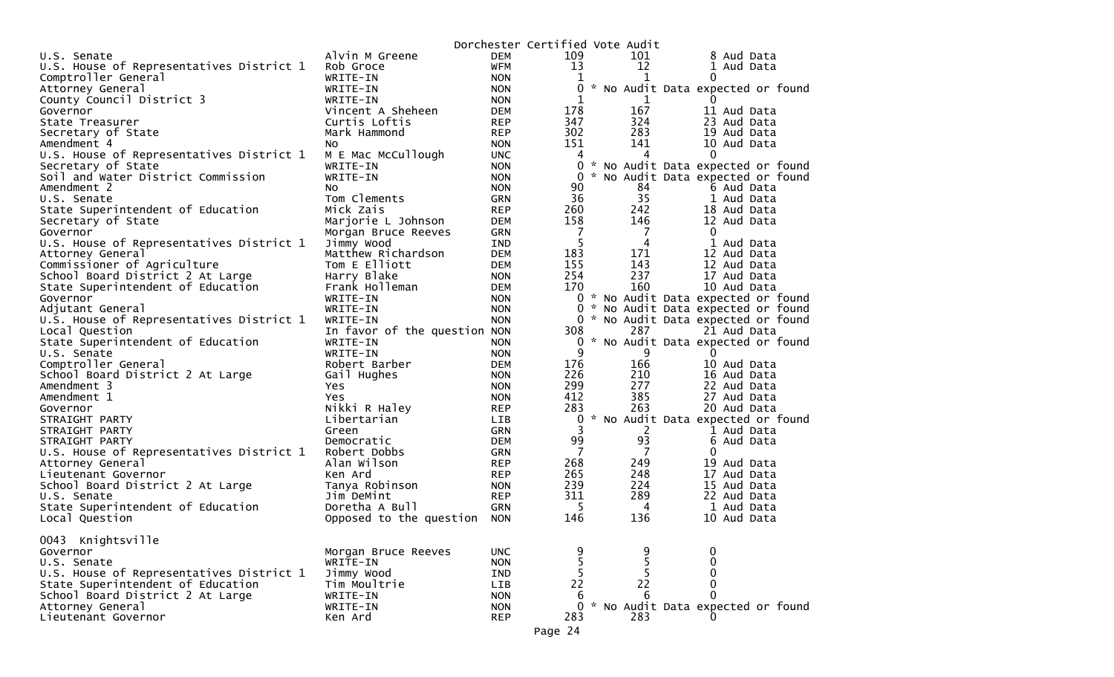|                                          |                              |                          | Dorchester Certified Vote Audit |     |                                     |
|------------------------------------------|------------------------------|--------------------------|---------------------------------|-----|-------------------------------------|
| U.S. Senate                              | Alvin M Greene               | DEM                      | 109                             | 101 | 8 Aud Data                          |
| U.S. House of Representatives District 1 | Rob Groce                    | <b>WFM</b>               | 13                              | 12  | 1 Aud Data                          |
| Comptroller General                      | WRITE-IN                     | <b>NON</b>               | 1                               | 1   | 0                                   |
| Attorney General                         | WRITE-IN                     | <b>NON</b>               | 0                               |     | * No Audit Data expected or found   |
| County Council District 3                | WRITE-IN                     | <b>NON</b>               | 1                               | 1   |                                     |
| Governor                                 | Vincent A Sheheen            | <b>DEM</b>               | 178                             | 167 | 11 Aud Data                         |
| State Treasurer                          | Curtis Loftis                | <b>REP</b>               | 347                             | 324 | 23 Aud Data                         |
| Secretary of State                       | Mark Hammond                 | <b>REP</b>               | 302                             | 283 | 19 Aud Data                         |
| Amendment 4                              | No.                          | <b>NON</b>               | 151                             | 141 | 10 Aud Data                         |
| U.S. House of Representatives District 1 | M E Mac McCullough           | <b>UNC</b>               | 4                               | 4   | 0                                   |
| Secretary of State                       | WRITE-IN                     | <b>NON</b>               |                                 |     | 0 * No Audit Data expected or found |
| Soil and Water District Commission       | WRITE-IN                     | <b>NON</b>               | $\Omega$                        |     | * No Audit Data expected or found   |
| Amendment 2                              | NO.                          | <b>NON</b>               | 90                              | 84  | 6 Aud Data                          |
| U.S. Senate                              | Tom Clements                 | <b>GRN</b>               | 36                              | 35  | 1 Aud Data                          |
| State Superintendent of Education        | Mick Zais                    | <b>REP</b>               | 260                             | 242 | 18 Aud Data                         |
| Secretary of State                       | Marjorie L Johnson           | <b>DEM</b>               | 158                             | 146 | 12 Aud Data                         |
| Governor                                 | Morgan Bruce Reeves          | <b>GRN</b>               | $\overline{7}$                  | 7   | $\mathbf{0}$                        |
| U.S. House of Representatives District 1 | Jimmy Wood                   | <b>IND</b>               | 5                               | 4   | 1 Aud Data                          |
| Attorney General                         | Matthew Richardson           | <b>DEM</b>               | 183                             | 171 | 12 Aud Data                         |
| Commissioner of Agriculture              | Tom E Elliott                | <b>DEM</b>               | 155                             | 143 | 12 Aud Data                         |
| School Board District 2 At Large         | Harry Blake                  | <b>NON</b>               | 254                             | 237 | 17 Aud Data                         |
| State Superintendent of Education        | Frank Holleman               | DEM                      | 170                             | 160 | 10 Aud Data                         |
| Governor                                 | WRITE-IN                     | <b>NON</b>               |                                 |     | 0 * No Audit Data expected or found |
| Adjutant General                         | WRITE-IN                     | <b>NON</b>               |                                 |     | 0 * No Audit Data expected or found |
| U.S. House of Representatives District 1 | WRITE-IN                     | <b>NON</b>               | 0                               |     | * No Audit Data expected or found   |
| Local Question                           | In favor of the question NON |                          | 308                             | 287 | 21 Aud Data                         |
| State Superintendent of Education        | WRITE-IN                     | <b>NON</b>               |                                 |     | 0 * No Audit Data expected or found |
| U.S. Senate                              | WRITE-IN                     | <b>NON</b>               | 9                               | 9   | 0                                   |
| Comptroller General                      | Robert Barber                | <b>DEM</b>               | 176                             | 166 | 10 Aud Data                         |
| School Board District 2 At Large         | Gail Hughes                  | <b>NON</b>               | 226                             | 210 | 16 Aud Data                         |
| Amendment 3                              | Yes                          | <b>NON</b>               | 299                             | 277 | 22 Aud Data                         |
| Amendment 1                              | Yes                          | <b>NON</b>               | 412                             | 385 | 27 Aud Data                         |
| Governor                                 | Nikki R Haley                | <b>REP</b>               | 283                             | 263 | 20 Aud Data                         |
| STRAIGHT PARTY                           | Libertarian                  | LIB                      | 0                               |     | * No Audit Data expected or found   |
| STRAIGHT PARTY                           | Green                        | GRN                      | 3                               | 2   | 1 Aud Data                          |
| STRAIGHT PARTY                           | Democratic                   | <b>DEM</b>               | 99                              | 93  | 6 Aud Data                          |
| U.S. House of Representatives District 1 | Robert Dobbs                 | <b>GRN</b>               | 7                               | 7   | 0                                   |
| Attorney General                         | Alan Wilson                  | <b>REP</b>               | 268                             | 249 | 19 Aud Data                         |
| Lieutenant Governor                      | Ken Ard                      | <b>REP</b>               | 265                             | 248 | 17 Aud Data                         |
| School Board District 2 At Large         | Tanya Robinson               | <b>NON</b>               | 239                             | 224 | 15 Aud Data                         |
| U.S. Senate                              | Jim DeMint                   | <b>REP</b>               | 311                             | 289 | 22 Aud Data                         |
| State Superintendent of Education        | Doretha A Bull               | <b>GRN</b>               | -5                              | 4   | 1 Aud Data                          |
| Local Question                           | Opposed to the question      | <b>NON</b>               | 146                             | 136 | 10 Aud Data                         |
|                                          |                              |                          |                                 |     |                                     |
| 0043 Knightsville                        |                              |                          |                                 |     |                                     |
| Governor                                 | Morgan Bruce Reeves          | <b>UNC</b>               |                                 |     | 0                                   |
| U.S. Senate                              | WRITE-IN                     | <b>NON</b>               | 5                               |     | 0                                   |
| U.S. House of Representatives District 1 | Jimmy Wood                   | IND                      | 5                               |     | 0                                   |
| State Superintendent of Education        | Tim Moultrie                 | LIB                      | 22                              | 22  | $\Omega$                            |
| School Board District 2 At Large         | WRITE-IN                     | <b>NON</b>               | 6                               | 6   |                                     |
| Attorney General                         | WRITE-IN                     |                          | 0                               |     | * No Audit Data expected or found   |
| Lieutenant Governor                      | Ken Ard                      | <b>NON</b><br><b>REP</b> | 283                             | 283 |                                     |
|                                          |                              |                          |                                 |     |                                     |
|                                          |                              |                          | Page 24                         |     |                                     |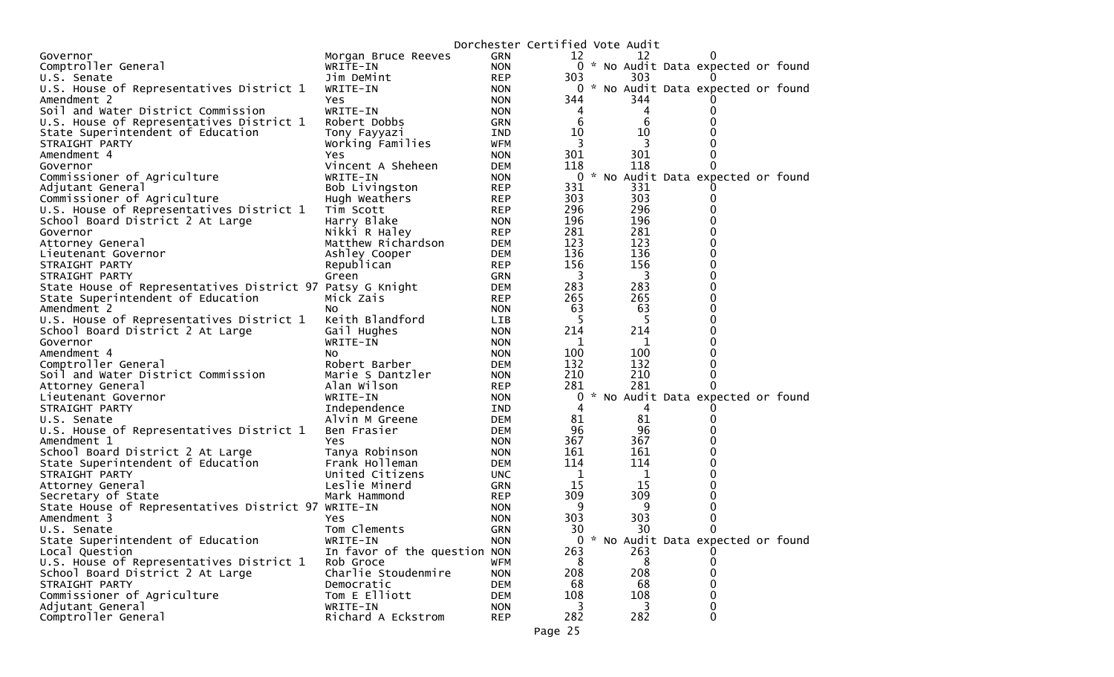|                                                           |                              | Dorchester Certified Vote Audit |                |     |                                     |  |  |
|-----------------------------------------------------------|------------------------------|---------------------------------|----------------|-----|-------------------------------------|--|--|
| Governor                                                  | Morgan Bruce Reeves          | <b>GRN</b>                      | 12             | 12  |                                     |  |  |
| Comptroller General                                       | WRITE-IN                     | <b>NON</b>                      |                |     | 0 * No Audit Data expected or found |  |  |
| U.S. Senate                                               | Jim DeMint                   | <b>REP</b>                      | 303            | 303 |                                     |  |  |
| U.S. House of Representatives District 1                  | WRITE-IN                     | <b>NON</b>                      | $\overline{0}$ |     | * No Audit Data expected or found   |  |  |
| Amendment 2                                               | Yes.                         | <b>NON</b>                      | 344            | 344 |                                     |  |  |
| Soil and Water District Commission                        | WRITE-IN                     | <b>NON</b>                      | 4              | 4   | 0                                   |  |  |
| U.S. House of Representatives District 1                  | Robert Dobbs                 | <b>GRN</b>                      | 6              | 6   |                                     |  |  |
| State Superintendent of Education                         | Tony Fayyazi                 | IND                             | 10             | 10  |                                     |  |  |
| STRAIGHT PARTY                                            |                              | <b>WFM</b>                      | 3              | 3   |                                     |  |  |
|                                                           | Working Families             |                                 |                |     |                                     |  |  |
| Amendment 4                                               | Yes.                         | <b>NON</b>                      | 301            | 301 |                                     |  |  |
| Governor                                                  | Vincent A Sheheen            | <b>DEM</b>                      | 118            | 118 | 0                                   |  |  |
| Commissioner of Agriculture                               | WRITE-IN                     | <b>NON</b>                      | $\mathbf 0$    |     | * No Audit Data expected or found   |  |  |
| Adjutant General                                          | Bob Livingston               | <b>REP</b>                      | 331            | 331 |                                     |  |  |
| Commissioner of Agriculture                               | Hugh Weathers                | <b>REP</b>                      | 303            | 303 | 0                                   |  |  |
| U.S. House of Representatives District 1                  | Tim Scott                    | <b>REP</b>                      | 296            | 296 | 0                                   |  |  |
| School Board District 2 At Large                          | Harry Blake                  | <b>NON</b>                      | 196            | 196 | 0                                   |  |  |
| Governor                                                  | Nikki R Haley                | <b>REP</b>                      | 281            | 281 | 0                                   |  |  |
| Attorney General                                          | Matthew Richardson           | <b>DEM</b>                      | 123            | 123 | 0                                   |  |  |
| Lieutenant Governor                                       | Ashley Cooper                | <b>DEM</b>                      | 136            | 136 | 0                                   |  |  |
| STRAIGHT PARTY                                            | Republican                   | <b>REP</b>                      | 156            | 156 | 0                                   |  |  |
| STRAIGHT PARTY                                            | Green                        | <b>GRN</b>                      | 3              | 3   | 0                                   |  |  |
| State House of Representatives District 97 Patsy G Knight |                              | <b>DEM</b>                      | 283            | 283 | 0                                   |  |  |
| State Superintendent of Education                         | Mick Zais                    | <b>REP</b>                      | 265            | 265 | 0                                   |  |  |
| Amendment 2                                               |                              | <b>NON</b>                      | 63             | 63  | 0                                   |  |  |
|                                                           | NO.                          |                                 |                |     | 0                                   |  |  |
| U.S. House of Representatives District 1                  | Keith Blandford              | <b>LIB</b>                      | 5              | 5   |                                     |  |  |
| School Board District 2 At Large                          | Gail Hughes                  | <b>NON</b>                      | 214            | 214 | 0                                   |  |  |
| Governor                                                  | WRITE-IN                     | <b>NON</b>                      | 1              | 1   |                                     |  |  |
| Amendment 4                                               | NO.                          | <b>NON</b>                      | 100            | 100 | 0                                   |  |  |
| Comptroller General                                       | Robert Barber                | <b>DEM</b>                      | 132            | 132 | 0                                   |  |  |
| Soil and Water District Commission                        | Marie S Dantzler             | <b>NON</b>                      | 210            | 210 | 0                                   |  |  |
| Attorney General                                          | Alan Wilson                  | <b>REP</b>                      | 281            | 281 |                                     |  |  |
| Lieutenant Governor                                       | WRITE-IN                     | <b>NON</b>                      | 0              |     | * No Audit Data expected or found   |  |  |
| STRAIGHT PARTY                                            | Independence                 | IND                             | 4              | 4   |                                     |  |  |
| U.S. Senate                                               | Alvin M Greene               | <b>DEM</b>                      | 81             | 81  | $\Omega$                            |  |  |
| U.S. House of Representatives District 1                  | Ben Frasier                  | <b>DEM</b>                      | 96             | 96  | 0                                   |  |  |
| Amendment 1                                               | <b>Yes</b>                   | <b>NON</b>                      | 367            | 367 |                                     |  |  |
| School Board District 2 At Large                          | Tanya Robinson               | <b>NON</b>                      | 161            | 161 | 0                                   |  |  |
| State Superintendent of Education                         | Frank Holleman               | <b>DEM</b>                      | 114            | 114 | 0                                   |  |  |
| STRAIGHT PARTY                                            | United Citizens              | <b>UNC</b>                      | 1              | 1   | 0                                   |  |  |
|                                                           | Leslie Minerd                | <b>GRN</b>                      | 15             | 15  | 0                                   |  |  |
| Attorney General                                          |                              |                                 |                |     |                                     |  |  |
| Secretary of State                                        | Mark Hammond                 | <b>REP</b>                      | 309            | 309 | 0                                   |  |  |
| State House of Representatives District 97 WRITE-IN       |                              | <b>NON</b>                      | 9              | 9   | 0                                   |  |  |
| Amendment 3                                               | Yes.                         | <b>NON</b>                      | 303            | 303 | 0                                   |  |  |
| U.S. Senate                                               | Tom Clements                 | <b>GRN</b>                      | 30             | 30  | 0                                   |  |  |
| State Superintendent of Education                         | WRITE-IN                     | <b>NON</b>                      |                |     | 0 * No Audit Data expected or found |  |  |
| Local Question                                            | In favor of the question NON |                                 | 263            | 263 |                                     |  |  |
| U.S. House of Representatives District 1                  | Rob Groce                    | <b>WFM</b>                      | 8              | 8   | 0                                   |  |  |
| School Board District 2 At Large                          | Charlie Stoudenmire          | <b>NON</b>                      | 208            | 208 | 0                                   |  |  |
| STRAIGHT PARTY                                            | Democratic                   | <b>DEM</b>                      | 68             | 68  | 0                                   |  |  |
| Commissioner of Agriculture                               | Tom E Elliott                | <b>DEM</b>                      | 108            | 108 | 0                                   |  |  |
| Adjutant General                                          | WRITE-IN                     | <b>NON</b>                      | 3              |     | 0                                   |  |  |
| Comptroller General                                       | Richard A Eckstrom           | <b>REP</b>                      | 282            | 282 | 0                                   |  |  |
|                                                           |                              |                                 |                |     |                                     |  |  |
|                                                           |                              |                                 | Page 25        |     |                                     |  |  |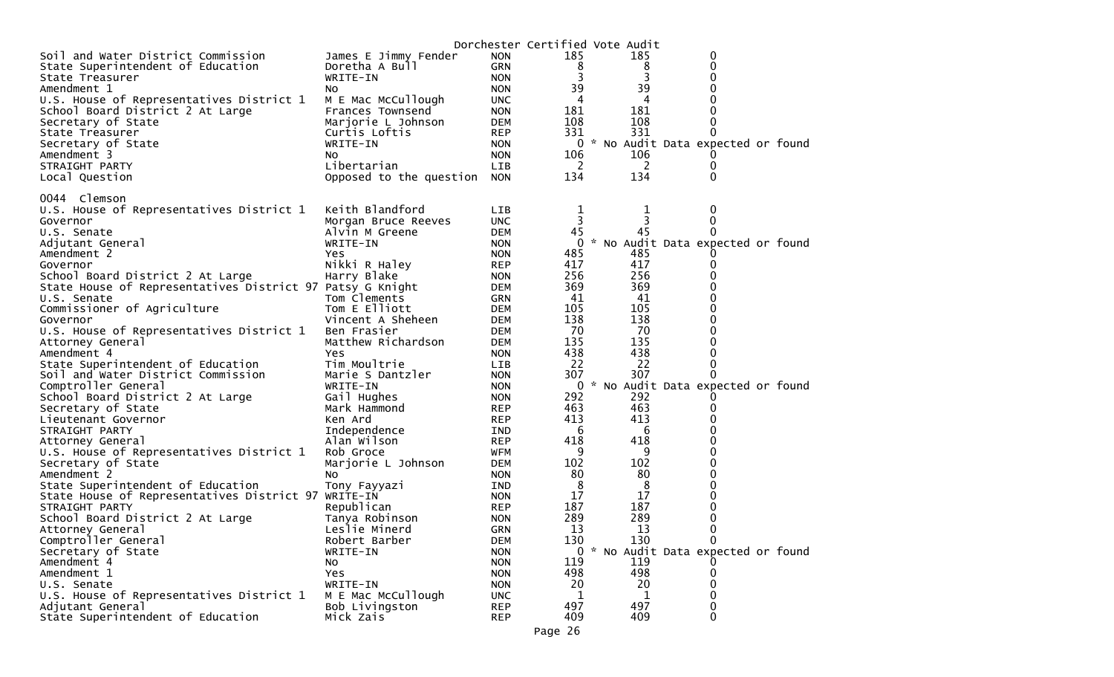|                                                           |                             |            | Dorchester Certified Vote Audit |     |                                     |  |
|-----------------------------------------------------------|-----------------------------|------------|---------------------------------|-----|-------------------------------------|--|
| Soil and Water District Commission                        | James E Jimmy Fender        | <b>NON</b> | 185                             | 185 | 0                                   |  |
| State Superintendent of Education                         | Doretha A Bull              | <b>GRN</b> | 8                               | 8   | 0                                   |  |
| State Treasurer                                           | WRITE-IN                    | <b>NON</b> | 3                               | 3   | 0                                   |  |
| Amendment 1                                               | NO.                         | <b>NON</b> | 39                              | 39  | 0                                   |  |
| U.S. House of Representatives District 1                  | M E Mac McCullough          | <b>UNC</b> | 4                               | 4   |                                     |  |
| School Board District 2 At Large                          | Frances Townsend            | <b>NON</b> | 181                             | 181 | 0                                   |  |
| Secretary of State                                        | Marjorie L Johnson          | <b>DEM</b> | 108                             | 108 | 0                                   |  |
| State Treasurer                                           | Curtis Loftis               | <b>REP</b> | 331                             | 331 | 0                                   |  |
| Secretary of State                                        | WRITE-IN                    | <b>NON</b> |                                 |     | 0 * No Audit Data expected or found |  |
| Amendment 3                                               | NO.                         | <b>NON</b> | 106                             | 106 |                                     |  |
| STRAIGHT PARTY                                            | Libertarian                 | LIB        | 2                               | 2   | 0                                   |  |
| Local Question                                            | Opposed to the question NON |            | 134                             | 134 | 0                                   |  |
| 0044 Clemson                                              |                             |            |                                 |     |                                     |  |
| U.S. House of Representatives District 1                  | Keith Blandford             | <b>LIB</b> | 1                               | 1   | 0                                   |  |
| Governor                                                  | Morgan Bruce Reeves         | <b>UNC</b> | 3                               | 3   | 0                                   |  |
| U.S. Senate                                               | Alvin M Greene              | <b>DEM</b> | 45                              | 45  | 0                                   |  |
| Adjutant General                                          | WRITE-IN                    | <b>NON</b> | 0                               |     | * No Audit Data expected or found   |  |
| Amendment 2                                               | Yes                         | <b>NON</b> | 485                             | 485 |                                     |  |
| Governor                                                  | Nikki R Haley               | <b>REP</b> | 417                             | 417 | 0                                   |  |
| School Board District 2 At Large                          | Harry Blake                 | <b>NON</b> | 256                             | 256 |                                     |  |
| State House of Representatives District 97 Patsy G Knight |                             | <b>DEM</b> | 369                             | 369 |                                     |  |
| U.S. Senate                                               | Tom Clements                | GRN        | 41                              | 41  | 0                                   |  |
| Commissioner of Agriculture                               | Tom E Elliott               | <b>DEM</b> | 105                             | 105 | 0                                   |  |
| Governor                                                  | Vincent A Sheheen           | <b>DEM</b> | 138                             | 138 |                                     |  |
| U.S. House of Representatives District 1                  | Ben Frasier                 | DEM        | 70                              | 70  | 0                                   |  |
| Attorney General                                          | Matthew Richardson          | <b>DEM</b> | 135                             | 135 | 0                                   |  |
| Amendment 4                                               | <b>Yes</b>                  | <b>NON</b> | 438                             | 438 | 0                                   |  |
| State Superintendent of Education                         | Tim Moultrie                | LIB        | 22                              | 22  | 0                                   |  |
| Soil and Water District Commission                        | Marie S Dantzler            | <b>NON</b> | 307                             | 307 | 0                                   |  |
| Comptroller General                                       | WRITE-IN                    | <b>NON</b> | 0                               |     | * No Audit Data expected or found   |  |
| School Board District 2 At Large                          | Gail Hughes                 | <b>NON</b> | 292                             | 292 |                                     |  |
| Secretary of State                                        | Mark Hammond                | <b>REP</b> | 463                             | 463 | 0                                   |  |
| Lieutenant Governor                                       | Ken Ard                     | <b>REP</b> | 413                             | 413 | 0                                   |  |
| STRAIGHT PARTY                                            | Independence                | IND        | 6                               | 6   |                                     |  |
| Attorney General                                          | Alan Wilson                 | <b>REP</b> | 418                             | 418 |                                     |  |
| U.S. House of Representatives District 1                  | Rob Groce                   | WFM        | 9                               | 9   |                                     |  |
| Secretary of State                                        | Marjorie L Johnson          | DEM        | 102                             | 102 | 0                                   |  |
| Amendment 2                                               | NO.                         | <b>NON</b> | 80                              | 80  | 0                                   |  |
| State Superintendent of Education                         | Tony Fayyazi                | IND        | 8                               | 8   | 0                                   |  |
| State House of Representatives District 97 WRITE-IN       |                             | <b>NON</b> | 17                              | 17  | 0                                   |  |
| STRAIGHT PARTY                                            | Republican                  | <b>REP</b> | 187                             | 187 | 0                                   |  |
| School Board District 2 At Large                          | Tanya Robinson              | <b>NON</b> | 289                             | 289 | 0                                   |  |
| Attorney General                                          | Leslie Minerd               | <b>GRN</b> | 13                              | 13  | 0                                   |  |
| Comptroller General                                       | Robert Barber               | <b>DEM</b> | 130                             | 130 | $\mathbf 0$                         |  |
| Secretary of State                                        | WRITE-IN                    | <b>NON</b> |                                 |     | 0 * No Audit Data expected or found |  |
| Amendment 4                                               | No                          | <b>NON</b> | 119                             | 119 |                                     |  |
| Amendment 1                                               | Yes                         | <b>NON</b> | 498                             | 498 | 0                                   |  |
| U.S. Senate                                               | WRITE-IN                    | <b>NON</b> | 20                              | 20  | 0                                   |  |
| U.S. House of Representatives District 1                  | M E Mac McCullough          | <b>UNC</b> | 1                               | 1   | 0                                   |  |
| Adjutant General                                          | Bob Livingston              | <b>REP</b> | 497                             | 497 | 0                                   |  |
| State Superintendent of Education                         | Mick Zais                   | <b>REP</b> | 409                             | 409 | 0                                   |  |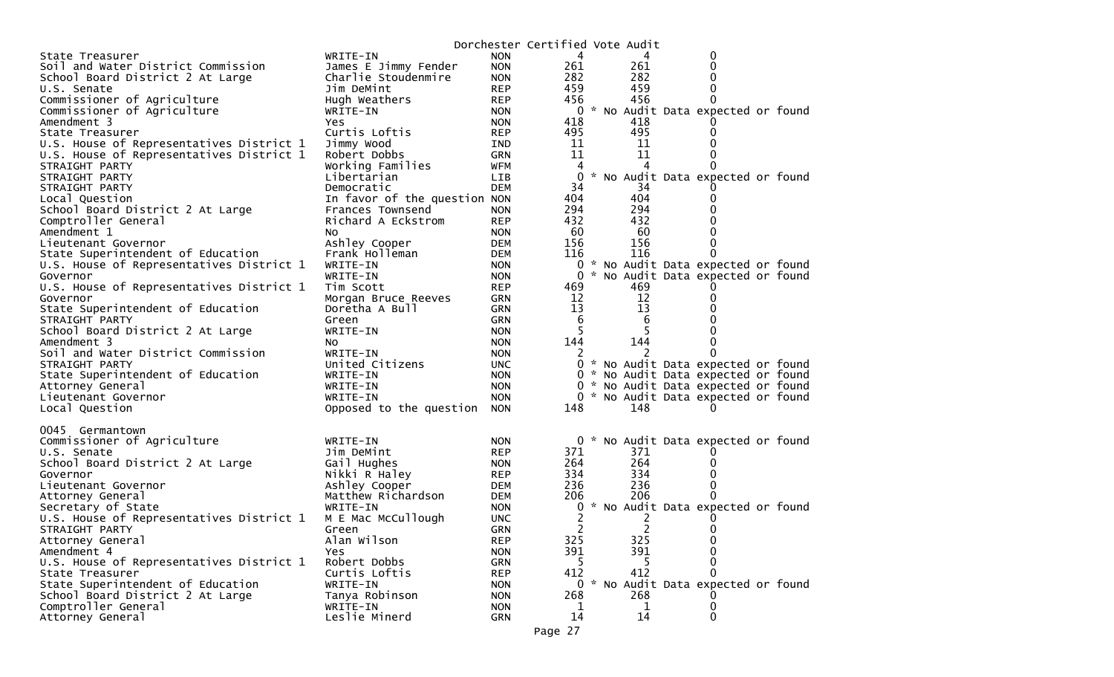|                                          |                              |            | Dorchester Certified Vote Audit |     |                                     |  |
|------------------------------------------|------------------------------|------------|---------------------------------|-----|-------------------------------------|--|
| State Treasurer                          | WRITE-IN                     | <b>NON</b> | 4                               | 4   | 0                                   |  |
| Soil and Water District Commission       | James E Jimmy Fender         | <b>NON</b> | 261                             | 261 |                                     |  |
| School Board District 2 At Large         | Charlie Stoudenmire          | <b>NON</b> | 282                             | 282 |                                     |  |
| U.S. Senate                              | Jim DeMint                   | <b>REP</b> | 459                             | 459 |                                     |  |
| Commissioner of Agriculture              | Hugh Weathers                | <b>REP</b> | 456                             | 456 |                                     |  |
| Commissioner of Agriculture              | WRITE-IN                     | <b>NON</b> | 0                               |     | * No Audit Data expected or found   |  |
| Amendment 3                              | Yes.                         | <b>NON</b> | 418                             | 418 |                                     |  |
| State Treasurer                          | Curtis Loftis                | <b>REP</b> | 495                             | 495 |                                     |  |
| U.S. House of Representatives District 1 | Jimmy Wood                   | IND        | 11                              | 11  |                                     |  |
| U.S. House of Representatives District 1 | Robert Dobbs                 | <b>GRN</b> | 11                              | 11  |                                     |  |
| STRAIGHT PARTY                           | Working Families             | <b>WFM</b> | 4                               | 4   |                                     |  |
| STRAIGHT PARTY                           | Libertarian                  | <b>LIB</b> | 0                               |     | * No Audit Data expected or found   |  |
| STRAIGHT PARTY                           | Democratic                   | <b>DEM</b> | 34                              | 34  |                                     |  |
| Local Question                           | In favor of the question NON |            | 404                             | 404 |                                     |  |
| School Board District 2 At Large         | Frances Townsend             | <b>NON</b> | 294                             | 294 |                                     |  |
| Comptroller General                      | Richard A Eckstrom           | <b>REP</b> | 432                             | 432 |                                     |  |
| Amendment 1                              | NO.                          | <b>NON</b> | 60                              | 60  |                                     |  |
| Lieutenant Governor                      | Ashley Cooper                | <b>DEM</b> | 156                             | 156 |                                     |  |
| State Superintendent of Education        | Frank Holleman               | <b>DEM</b> | 116                             | 116 |                                     |  |
| U.S. House of Representatives District 1 | WRITE-IN                     | <b>NON</b> | 0                               |     | * No Audit Data expected or found   |  |
| Governor                                 | WRITE-IN                     | <b>NON</b> | 0                               |     | * No Audit Data expected or found   |  |
| U.S. House of Representatives District 1 | Tim Scott                    | <b>REP</b> | 469                             | 469 |                                     |  |
| Governor                                 | Morgan Bruce Reeves          | <b>GRN</b> | 12                              | 12  |                                     |  |
| State Superintendent of Education        | Doretha A Bull               | <b>GRN</b> | 13                              | 13  |                                     |  |
| STRAIGHT PARTY                           | Green                        | <b>GRN</b> | 6                               | 6   |                                     |  |
| School Board District 2 At Large         | WRITE-IN                     | <b>NON</b> | 5                               |     |                                     |  |
| Amendment 3                              | NO.                          | <b>NON</b> | 144                             | 144 |                                     |  |
| Soil and Water District Commission       | WRITE-IN                     | <b>NON</b> |                                 |     |                                     |  |
| STRAIGHT PARTY                           | United Citizens              | <b>UNC</b> |                                 |     | 0 * No Audit Data expected or found |  |
| State Superintendent of Education        | WRITE-IN                     | <b>NON</b> | $\mathbf{0}$                    |     | * No Audit Data expected or found   |  |
| Attorney General                         | WRITE-IN                     | <b>NON</b> | 0                               |     | * No Audit Data expected or found   |  |
| Lieutenant Governor                      | WRITE-IN                     | <b>NON</b> |                                 |     | 0 * No Audit Data expected or found |  |
| Local Question                           | Opposed to the question      | <b>NON</b> | 148                             | 148 |                                     |  |
|                                          |                              |            |                                 |     |                                     |  |
| 0045 Germantown                          |                              |            |                                 |     |                                     |  |
| Commissioner of Agriculture              | WRITE-IN                     | <b>NON</b> | 0                               |     | * No Audit Data expected or found   |  |
| U.S. Senate                              | Jim DeMint                   | <b>REP</b> | 371                             | 371 |                                     |  |
| School Board District 2 At Large         | Gail Hughes                  | <b>NON</b> | 264                             | 264 |                                     |  |
| Governor                                 | Nikki R Haley                | <b>REP</b> | 334                             | 334 |                                     |  |
| Lieutenant Governor                      | Ashley Cooper                | <b>DEM</b> | 236                             | 236 |                                     |  |
| Attorney General                         | Matthew Richardson           | <b>DEM</b> | 206                             | 206 |                                     |  |
| Secretary of State                       | WRITE-IN                     | <b>NON</b> | 0                               |     | * No Audit Data expected or found   |  |
| U.S. House of Representatives District 1 | M E Mac McCullough           | <b>UNC</b> | 2                               |     |                                     |  |
| STRAIGHT PARTY                           | Green                        | <b>GRN</b> | 2                               | 2   | $\Omega$                            |  |
| Attorney General                         | Alan Wilson                  | <b>REP</b> | 325                             | 325 | 0                                   |  |
| Amendment 4                              | Yes.                         | <b>NON</b> | 391                             | 391 |                                     |  |
| U.S. House of Representatives District 1 | Robert Dobbs                 | <b>GRN</b> | 5                               | 5   |                                     |  |
| State Treasurer                          | Curtis Loftis                | <b>REP</b> | 412                             | 412 | 0                                   |  |
| State Superintendent of Education        | WRITE-IN                     | <b>NON</b> |                                 |     | 0 * No Audit Data expected or found |  |
| School Board District 2 At Large         | Tanya Robinson               | <b>NON</b> | 268                             | 268 |                                     |  |
| Comptroller General                      | WRITE-IN                     | <b>NON</b> | 1                               | 1   | 0                                   |  |
| Attorney General                         | Leslie Minerd                | <b>GRN</b> | 14                              | 14  | 0                                   |  |
|                                          |                              |            |                                 |     |                                     |  |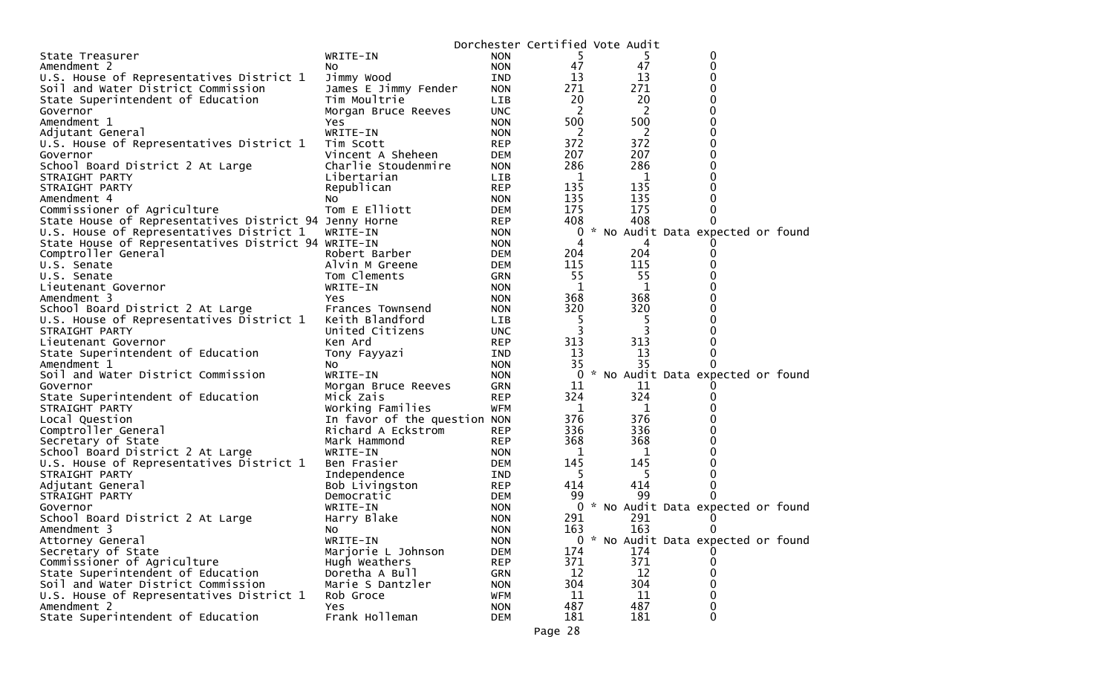|                                                        |                              |            | Dorchester Certified Vote Audit |     |                                     |
|--------------------------------------------------------|------------------------------|------------|---------------------------------|-----|-------------------------------------|
| State Treasurer                                        | WRITE-IN                     | <b>NON</b> | 5                               | 5   | 0                                   |
| Amendment 2                                            | NO.                          | <b>NON</b> | 47                              | 47  | 0                                   |
| U.S. House of Representatives District 1               | Jimmy Wood                   | <b>IND</b> | 13                              | 13  | 0                                   |
| Soil and Water District Commission                     | James E Jimmy Fender         | <b>NON</b> | 271                             | 271 | 0                                   |
| State Superintendent of Education                      | Tim Moultrie                 | LIB        | 20                              | 20  | 0                                   |
| Governor                                               | Morgan Bruce Reeves          | <b>UNC</b> | 2                               | 2   | 0                                   |
| Amendment 1                                            | Yes                          | <b>NON</b> | 500                             | 500 | 0                                   |
| Adjutant General                                       | WRITE-IN                     | <b>NON</b> | 2                               | 2   | 0                                   |
| U.S. House of Representatives District 1               | Tim Scott                    | <b>REP</b> | 372                             | 372 | 0                                   |
| Governor                                               | Vincent A Sheheen            | <b>DEM</b> | 207                             | 207 | 0                                   |
| School Board District 2 At Large                       | Charlie Stoudenmire          | <b>NON</b> | 286                             | 286 | 0                                   |
| STRAIGHT PARTY                                         | Libertarian                  | <b>LIB</b> | 1                               | 1   | 0                                   |
| STRAIGHT PARTY                                         | Republican                   | <b>REP</b> | 135                             | 135 | 0                                   |
| Amendment 4                                            | No.                          | <b>NON</b> | 135                             | 135 | 0                                   |
| Commissioner of Agriculture                            | Tom E Elliott                | <b>DEM</b> | 175                             | 175 | 0                                   |
| State House of Representatives District 94 Jenny Horne |                              | <b>REP</b> | 408                             | 408 | 0                                   |
| U.S. House of Representatives District 1               | WRITE-IN                     | <b>NON</b> | 0                               |     | * No Audit Data expected or found   |
| State House of Representatives District 94 WRITE-IN    |                              | <b>NON</b> | 4                               | 4   |                                     |
| Comptroller General                                    | Robert Barber                | <b>DEM</b> | 204                             | 204 | 0                                   |
| U.S. Senate                                            | Alvin M Greene               | <b>DEM</b> | 115                             | 115 | 0                                   |
| U.S. Senate                                            | Tom Clements                 | GRN        | 55                              | 55  | 0                                   |
| Lieutenant Governor                                    | WRITE-IN                     | <b>NON</b> | 1                               | 1   | 0                                   |
| Amendment 3                                            | Yes                          | <b>NON</b> | 368                             | 368 | 0                                   |
| School Board District 2 At Large                       | Frances Townsend             | <b>NON</b> | 320                             | 320 |                                     |
| U.S. House of Representatives District 1               | Keith Blandford              | LIB.       | 5                               | 5   | 0                                   |
| STRAIGHT PARTY                                         | United Citizens              | <b>UNC</b> | 3                               | 3   |                                     |
| Lieutenant Governor                                    | Ken Ard                      | <b>REP</b> | 313                             | 313 | 0                                   |
| State Superintendent of Education                      | Tony Fayyazi                 | <b>IND</b> | 13                              | 13  | 0                                   |
| Amendment 1                                            | NO.                          | <b>NON</b> | 35                              | 35  | 0                                   |
| Soil and Water District Commission                     | WRITE-IN                     | <b>NON</b> | 0                               |     | * No Audit Data expected or found   |
| Governor                                               | Morgan Bruce Reeves          | GRN        | 11                              | 11  |                                     |
| State Superintendent of Education                      | Mick Zais                    | <b>REP</b> | 324                             | 324 | 0                                   |
| STRAIGHT PARTY                                         | Working Families             | <b>WFM</b> | -1                              | 1   |                                     |
| Local Question                                         | In favor of the question NON |            | 376                             | 376 | 0                                   |
| Comptroller General                                    | Richard A Eckstrom           | <b>REP</b> | 336                             | 336 | 0                                   |
| Secretary of State                                     | Mark Hammond                 | <b>REP</b> | 368                             | 368 | 0                                   |
| School Board District 2 At Large                       | WRITE-IN                     | <b>NON</b> | 1                               | 1   | 0                                   |
| U.S. House of Representatives District 1               | Ben Frasier                  | <b>DEM</b> | 145                             | 145 | 0                                   |
| STRAIGHT PARTY                                         | Independence                 | IND        | 5                               | 5   | 0                                   |
| Adjutant General                                       | Bob Livingston               | <b>REP</b> | 414                             | 414 | 0                                   |
| STRAIGHT PARTY                                         | Democratic                   | <b>DEM</b> | 99                              | 99  | 0                                   |
| Governor                                               | WRITE-IN                     | <b>NON</b> | 0                               |     | * No Audit Data expected or found   |
| School Board District 2 At Large                       | Harry Blake                  | <b>NON</b> | 291                             | 291 |                                     |
| Amendment 3                                            | NO.                          | <b>NON</b> | 163                             | 163 | 0                                   |
| Attorney General                                       | WRITE-IN                     | <b>NON</b> |                                 |     | 0 * No Audit Data expected or found |
| Secretary of State                                     | Marjorie L Johnson           | <b>DEM</b> | 174                             | 174 |                                     |
| Commissioner of Agriculture                            | Hugh Weathers                | <b>REP</b> | 371                             | 371 |                                     |
| State Superintendent of Education                      | Doretha A Bull               | <b>GRN</b> | 12                              | 12  | 0                                   |
| Soil and Water District Commission                     | Marie S Dantzler             | <b>NON</b> | 304                             | 304 | 0                                   |
| U.S. House of Representatives District 1               | Rob Groce                    | <b>WFM</b> | 11                              | 11  | 0                                   |
| Amendment 2                                            | Yes                          | <b>NON</b> | 487                             | 487 | 0                                   |
| State Superintendent of Education                      | Frank Holleman               | <b>DEM</b> | 181                             | 181 | 0                                   |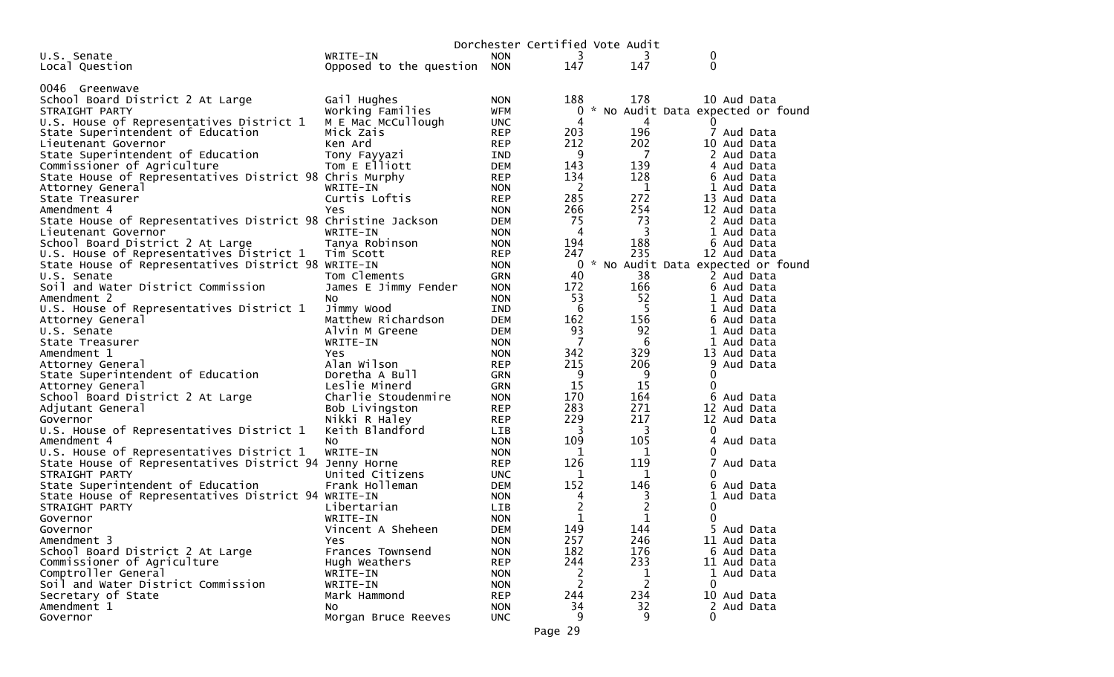|                                                              |                             |            |         | Dorchester Certified Vote Audit |                                     |  |
|--------------------------------------------------------------|-----------------------------|------------|---------|---------------------------------|-------------------------------------|--|
| U.S. Senate                                                  | WRITE-IN                    | <b>NON</b> | 3       | 3                               | 0                                   |  |
| Local Question                                               | Opposed to the question NON |            | 147     | 147                             | $\Omega$                            |  |
|                                                              |                             |            |         |                                 |                                     |  |
| 0046 Greenwave                                               |                             |            |         |                                 |                                     |  |
| School Board District 2 At Large                             | Gail Hughes                 | <b>NON</b> | 188     | 178                             | 10 Aud Data                         |  |
| STRAIGHT PARTY                                               | Working Families            | <b>WFM</b> | 0       |                                 | * No Audit Data expected or found   |  |
| U.S. House of Representatives District 1                     | M E Mac McCullough          | <b>UNC</b> | 4       | 4                               | $\Omega$                            |  |
| State Superintendent of Education                            | Mick Zais                   | <b>REP</b> | 203     | 196                             | 7 Aud Data                          |  |
| Lieutenant Governor                                          | Ken Ard                     | <b>REP</b> | 212     | 202                             | 10 Aud Data                         |  |
| State Superintendent of Education                            | Tony Fayyazi                | <b>IND</b> | 9       | 7                               | 2 Aud Data                          |  |
| Commissioner of Agriculture                                  | Tom E Elliott               | <b>DEM</b> | 143     | 139                             | 4 Aud Data                          |  |
| State House of Representatives District 98 Chris Murphy      |                             | <b>REP</b> | 134     | 128                             | 6 Aud Data                          |  |
| Attorney General                                             | WRITE-IN                    | <b>NON</b> | 2       | 1                               | 1 Aud Data                          |  |
| State Treasurer                                              | Curtis Loftis               | <b>REP</b> | 285     | 272                             | 13 Aud Data                         |  |
| Amendment 4                                                  | Yes                         | <b>NON</b> | 266     | 254                             | 12 Aud Data                         |  |
| State House of Representatives District 98 Christine Jackson |                             | <b>DEM</b> | 75      | 73                              | 2 Aud Data                          |  |
| Lieutenant Governor                                          | WRITE-IN                    | <b>NON</b> | 4       | 3                               | Aud Data<br>ı.                      |  |
| School Board District 2 At Large                             | Tanya Robinson              | <b>NON</b> | 194     | 188                             | 6 Aud Data                          |  |
| U.S. House of Representatives District 1                     | Tim Scott                   | <b>REP</b> | 247     | 235                             | 12 Aud Data                         |  |
| State House of Representatives District 98 WRITE-IN          |                             | <b>NON</b> |         |                                 | 0 * No Audit Data expected or found |  |
| U.S. Senate                                                  | Tom Clements                | <b>GRN</b> | 40      | 38                              | 2 Aud Data                          |  |
| Soil and Water District Commission                           | James E Jimmy Fender        | <b>NON</b> | 172     | 166                             | 6 Aud Data                          |  |
| Amendment 2                                                  | NO.                         | <b>NON</b> | 53      | 52                              | 1 Aud Data                          |  |
| U.S. House of Representatives District 1                     | Jimmy Wood                  | <b>IND</b> | 6       | 5                               | 1 Aud Data                          |  |
| Attorney General                                             | Matthew Richardson          | <b>DEM</b> | 162     | 156                             | 6 Aud Data                          |  |
| U.S. Senate                                                  | Alvin M Greene              | <b>DEM</b> | 93      | 92                              | Aud Data                            |  |
| State Treasurer                                              | WRITE-IN                    | <b>NON</b> | 7       | 6                               | 1 Aud Data                          |  |
| Amendment 1                                                  | Yes                         | <b>NON</b> | 342     | 329                             | 13 Aud Data                         |  |
| Attorney General                                             | Alan Wilson                 | <b>REP</b> | 215     | 206                             | Aud Data<br>9                       |  |
| State Superintendent of Education                            | Doretha A Bull              | <b>GRN</b> | 9       | 9                               | 0                                   |  |
| Attorney General                                             | Leslie Minerd               | <b>GRN</b> | 15      | 15                              | 0                                   |  |
| School Board District 2 At Large                             | Charlie Stoudenmire         | <b>NON</b> | 170     | 164                             | 6<br>Aud Data                       |  |
| Adjutant General                                             | Bob Livingston              | <b>REP</b> | 283     | 271                             | 12 Aud Data                         |  |
| Governor                                                     | Nikki R Haley               | <b>REP</b> | 229     | 217                             | 12 Aud Data                         |  |
| U.S. House of Representatives District 1                     | Keith Blandford             | <b>LIB</b> | 3       | 3                               | 0                                   |  |
| Amendment 4                                                  | No.                         | <b>NON</b> | 109     | 105                             | Aud Data<br>4                       |  |
| U.S. House of Representatives District 1                     | WRITE-IN                    | <b>NON</b> | 1       | 1                               | 0                                   |  |
| State House of Representatives District 94 Jenny Horne       |                             | <b>REP</b> | 126     | 119                             | 7<br>Aud Data                       |  |
| STRAIGHT PARTY                                               | United Citizens             | <b>UNC</b> | 1       | 1                               | 0                                   |  |
| State Superintendent of Education                            | Frank Holleman              | <b>DEM</b> | 152     | 146                             | 6<br>Aud Data                       |  |
| State House of Representatives District 94 WRITE-IN          |                             | <b>NON</b> | 4       | 3                               | 1<br>Aud Data                       |  |
| STRAIGHT PARTY                                               | Libertarian                 | <b>LIB</b> | 2       | $\overline{c}$                  | 0                                   |  |
| Governor                                                     | WRITE-IN                    | <b>NON</b> | 1       | 1                               | 0                                   |  |
| Governor                                                     | Vincent A Sheheen           | <b>DEM</b> | 149     | 144                             | 5 Aud Data                          |  |
| Amendment 3                                                  | Yes                         | <b>NON</b> | 257     | 246                             | 11 Aud Data                         |  |
| School Board District 2 At Large                             | Frances Townsend            | <b>NON</b> | 182     | 176                             | 6 Aud Data                          |  |
| Commissioner of Agriculture                                  | Hugh Weathers               | <b>REP</b> | 244     | 233                             | 11 Aud Data                         |  |
| Comptroller General                                          | WRITE-IN                    | <b>NON</b> | 2       | 1                               | 1 Aud Data                          |  |
| Soil and Water District Commission                           | WRITE-IN                    | <b>NON</b> | 2       | 2                               | 0                                   |  |
| Secretary of State                                           | Mark Hammond                | <b>REP</b> | 244     | 234                             | 10 Aud Data                         |  |
| Amendment 1                                                  | No                          | <b>NON</b> | 34      | 32                              | 2 Aud Data                          |  |
| Governor                                                     | Morgan Bruce Reeves         | <b>UNC</b> | 9       | 9                               | 0                                   |  |
|                                                              |                             |            | Page 29 |                                 |                                     |  |
|                                                              |                             |            |         |                                 |                                     |  |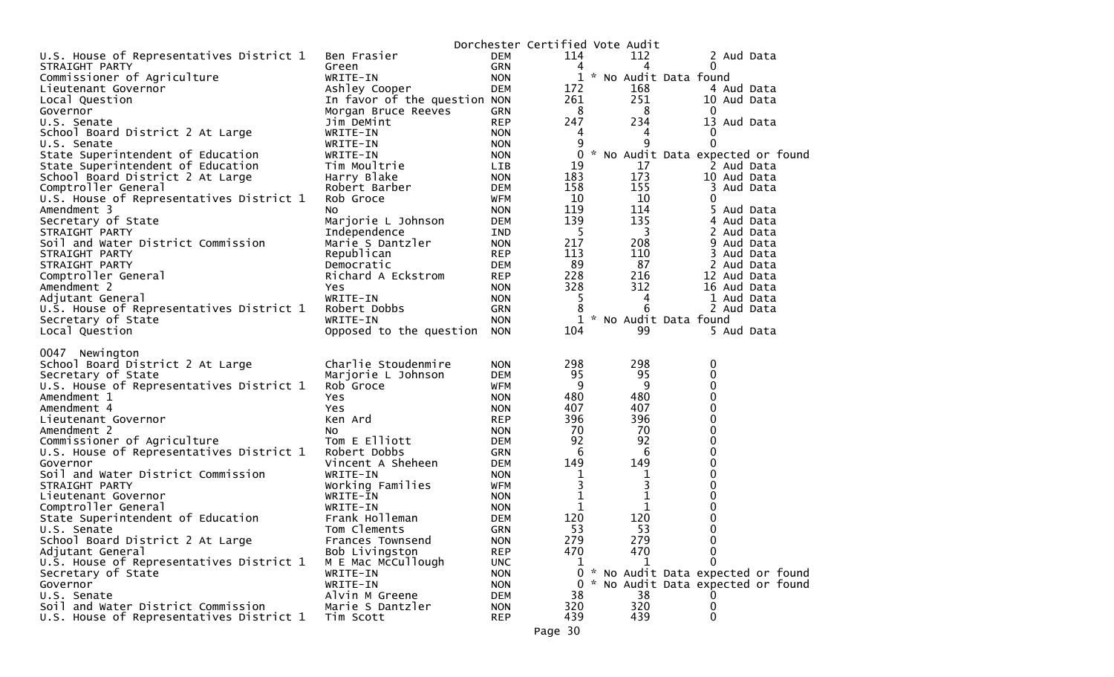|                                                                                                                                                                                                                                                                                                                                                                                                                                                                                                                                                                     |                                                                                                                                                                                                                                                                                                                 |                                                                                                                                                                                                                                                                        |                                                                                                                                 | Dorchester Certified Vote Audit                                                                                      |                                                                                                                                            |
|---------------------------------------------------------------------------------------------------------------------------------------------------------------------------------------------------------------------------------------------------------------------------------------------------------------------------------------------------------------------------------------------------------------------------------------------------------------------------------------------------------------------------------------------------------------------|-----------------------------------------------------------------------------------------------------------------------------------------------------------------------------------------------------------------------------------------------------------------------------------------------------------------|------------------------------------------------------------------------------------------------------------------------------------------------------------------------------------------------------------------------------------------------------------------------|---------------------------------------------------------------------------------------------------------------------------------|----------------------------------------------------------------------------------------------------------------------|--------------------------------------------------------------------------------------------------------------------------------------------|
| U.S. House of Representatives District 1                                                                                                                                                                                                                                                                                                                                                                                                                                                                                                                            | Ben Frasier                                                                                                                                                                                                                                                                                                     | DEM                                                                                                                                                                                                                                                                    | 114                                                                                                                             | 112                                                                                                                  | 2 Aud Data                                                                                                                                 |
| STRAIGHT PARTY                                                                                                                                                                                                                                                                                                                                                                                                                                                                                                                                                      | Green                                                                                                                                                                                                                                                                                                           | GRN                                                                                                                                                                                                                                                                    | 4                                                                                                                               | 4                                                                                                                    | 0                                                                                                                                          |
| Commissioner of Agriculture                                                                                                                                                                                                                                                                                                                                                                                                                                                                                                                                         | WRITE-IN                                                                                                                                                                                                                                                                                                        | <b>NON</b>                                                                                                                                                                                                                                                             |                                                                                                                                 |                                                                                                                      | 1 * No Audit Data found                                                                                                                    |
| Lieutenant Governor                                                                                                                                                                                                                                                                                                                                                                                                                                                                                                                                                 | Ashley Cooper                                                                                                                                                                                                                                                                                                   | <b>DEM</b>                                                                                                                                                                                                                                                             | 172                                                                                                                             | 168                                                                                                                  | 4 Aud Data                                                                                                                                 |
| Local Question                                                                                                                                                                                                                                                                                                                                                                                                                                                                                                                                                      | In favor of the question NON                                                                                                                                                                                                                                                                                    |                                                                                                                                                                                                                                                                        | 261                                                                                                                             | 251                                                                                                                  | 10 Aud Data                                                                                                                                |
| Governor                                                                                                                                                                                                                                                                                                                                                                                                                                                                                                                                                            | Morgan Bruce Reeves                                                                                                                                                                                                                                                                                             | GRN                                                                                                                                                                                                                                                                    | 8                                                                                                                               | 8                                                                                                                    | $\mathbf 0$                                                                                                                                |
| U.S. Senate                                                                                                                                                                                                                                                                                                                                                                                                                                                                                                                                                         | Jim DeMint                                                                                                                                                                                                                                                                                                      | <b>REP</b>                                                                                                                                                                                                                                                             | 247                                                                                                                             | 234                                                                                                                  | 13 Aud Data                                                                                                                                |
| School Board District 2 At Large                                                                                                                                                                                                                                                                                                                                                                                                                                                                                                                                    | WRITE-IN                                                                                                                                                                                                                                                                                                        | <b>NON</b>                                                                                                                                                                                                                                                             | 4                                                                                                                               | 4                                                                                                                    | 0                                                                                                                                          |
| U.S. Senate                                                                                                                                                                                                                                                                                                                                                                                                                                                                                                                                                         | WRITE-IN                                                                                                                                                                                                                                                                                                        | <b>NON</b>                                                                                                                                                                                                                                                             | 9                                                                                                                               | 9                                                                                                                    | 0                                                                                                                                          |
| State Superintendent of Education                                                                                                                                                                                                                                                                                                                                                                                                                                                                                                                                   | WRITE-IN                                                                                                                                                                                                                                                                                                        | <b>NON</b>                                                                                                                                                                                                                                                             | 0                                                                                                                               |                                                                                                                      | * No Audit Data expected or found                                                                                                          |
| State Superintendent of Education                                                                                                                                                                                                                                                                                                                                                                                                                                                                                                                                   | Tim Moultrie                                                                                                                                                                                                                                                                                                    | <b>LIB</b>                                                                                                                                                                                                                                                             | 19                                                                                                                              | 17                                                                                                                   | 2 Aud Data                                                                                                                                 |
| School Board District 2 At Large                                                                                                                                                                                                                                                                                                                                                                                                                                                                                                                                    | Harry Blake                                                                                                                                                                                                                                                                                                     | <b>NON</b>                                                                                                                                                                                                                                                             | 183                                                                                                                             | 173                                                                                                                  | 10 Aud Data                                                                                                                                |
| Comptroller General                                                                                                                                                                                                                                                                                                                                                                                                                                                                                                                                                 | Robert Barber                                                                                                                                                                                                                                                                                                   | <b>DEM</b>                                                                                                                                                                                                                                                             | 158                                                                                                                             | 155                                                                                                                  | 3<br>Aud Data                                                                                                                              |
| U.S. House of Representatives District 1                                                                                                                                                                                                                                                                                                                                                                                                                                                                                                                            | Rob Groce                                                                                                                                                                                                                                                                                                       | WFM                                                                                                                                                                                                                                                                    | 10                                                                                                                              | 10 <sup>°</sup>                                                                                                      | 0                                                                                                                                          |
| Amendment 3                                                                                                                                                                                                                                                                                                                                                                                                                                                                                                                                                         | No                                                                                                                                                                                                                                                                                                              | <b>NON</b>                                                                                                                                                                                                                                                             | 119                                                                                                                             | 114                                                                                                                  | 5 Aud Data                                                                                                                                 |
| Secretary of State                                                                                                                                                                                                                                                                                                                                                                                                                                                                                                                                                  | Marjorie L Johnson                                                                                                                                                                                                                                                                                              | <b>DEM</b>                                                                                                                                                                                                                                                             | 139                                                                                                                             | 135                                                                                                                  | 4 Aud Data                                                                                                                                 |
| STRAIGHT PARTY                                                                                                                                                                                                                                                                                                                                                                                                                                                                                                                                                      | Independence                                                                                                                                                                                                                                                                                                    | IND                                                                                                                                                                                                                                                                    | 5                                                                                                                               | 3                                                                                                                    | 2 Aud Data                                                                                                                                 |
| Soil and Water District Commission                                                                                                                                                                                                                                                                                                                                                                                                                                                                                                                                  | Marie S Dantzler                                                                                                                                                                                                                                                                                                | <b>NON</b>                                                                                                                                                                                                                                                             | 217                                                                                                                             | 208                                                                                                                  | 9 Aud Data                                                                                                                                 |
| STRAIGHT PARTY                                                                                                                                                                                                                                                                                                                                                                                                                                                                                                                                                      | Republican                                                                                                                                                                                                                                                                                                      | <b>REP</b>                                                                                                                                                                                                                                                             | 113                                                                                                                             | 110                                                                                                                  | 3<br>Aud Data                                                                                                                              |
| STRAIGHT PARTY                                                                                                                                                                                                                                                                                                                                                                                                                                                                                                                                                      | Democratic                                                                                                                                                                                                                                                                                                      | <b>DEM</b>                                                                                                                                                                                                                                                             | 89                                                                                                                              | 87                                                                                                                   | 2 Aud Data                                                                                                                                 |
| Comptroller General                                                                                                                                                                                                                                                                                                                                                                                                                                                                                                                                                 | Richard A Eckstrom                                                                                                                                                                                                                                                                                              | <b>REP</b>                                                                                                                                                                                                                                                             | 228                                                                                                                             | 216                                                                                                                  | 12 Aud Data                                                                                                                                |
| Amendment 2                                                                                                                                                                                                                                                                                                                                                                                                                                                                                                                                                         | Yes.                                                                                                                                                                                                                                                                                                            | <b>NON</b>                                                                                                                                                                                                                                                             | 328                                                                                                                             | 312                                                                                                                  | 16 Aud Data                                                                                                                                |
| Adjutant General                                                                                                                                                                                                                                                                                                                                                                                                                                                                                                                                                    | WRITE-IN                                                                                                                                                                                                                                                                                                        | <b>NON</b>                                                                                                                                                                                                                                                             | 5                                                                                                                               | 4                                                                                                                    | 1 Aud Data                                                                                                                                 |
| U.S. House of Representatives District 1                                                                                                                                                                                                                                                                                                                                                                                                                                                                                                                            | Robert Dobbs                                                                                                                                                                                                                                                                                                    | GRN                                                                                                                                                                                                                                                                    |                                                                                                                                 | 6                                                                                                                    | 2 Aud Data                                                                                                                                 |
| Secretary of State                                                                                                                                                                                                                                                                                                                                                                                                                                                                                                                                                  | WRITE-IN                                                                                                                                                                                                                                                                                                        | <b>NON</b>                                                                                                                                                                                                                                                             |                                                                                                                                 |                                                                                                                      | 1 * No Audit Data found                                                                                                                    |
| Local Question                                                                                                                                                                                                                                                                                                                                                                                                                                                                                                                                                      | Opposed to the question                                                                                                                                                                                                                                                                                         | <b>NON</b>                                                                                                                                                                                                                                                             | 104                                                                                                                             | 99                                                                                                                   | 5 Aud Data                                                                                                                                 |
| 0047 Newington<br>School Board District 2 At Large<br>Secretary of State<br>U.S. House of Representatives District 1<br>Amendment 1<br>Amendment 4<br>Lieutenant Governor<br>Amendment 2<br>Commissioner of Agriculture<br>U.S. House of Representatives District 1<br>Governor<br>Soil and Water District Commission<br>STRAIGHT PARTY<br>Lieutenant Governor<br>Comptroller General<br>State Superintendent of Education<br>U.S. Senate<br>School Board District 2 At Large<br>Adjutant General<br>U.S. House of Representatives District 1<br>Secretary of State | Charlie Stoudenmire<br>Marjorie L Johnson<br>Rob Groce<br>Yes<br>Yes.<br>Ken Ard<br>No.<br>Tom E Elliott<br>Robert Dobbs<br>Vincent A Sheheen<br>WRITE-IN<br>Working Families<br>WRITE-IN<br>WRITE-IN<br>Frank Holleman<br>Tom Clements<br>Frances Townsend<br>Bob Livingston<br>M E Mac McCullough<br>WRITE-IN | <b>NON</b><br><b>DEM</b><br>WFM<br><b>NON</b><br><b>NON</b><br><b>REP</b><br><b>NON</b><br><b>DEM</b><br><b>GRN</b><br><b>DEM</b><br><b>NON</b><br>WFM<br><b>NON</b><br><b>NON</b><br><b>DEM</b><br><b>GRN</b><br><b>NON</b><br><b>REP</b><br><b>UNC</b><br><b>NON</b> | 298<br>95<br>9<br>480<br>407<br>396<br>70<br>92<br>6<br>149<br>1<br>3<br>$\mathbf{1}$<br>1<br>120<br>53<br>279<br>470<br>ı<br>0 | 298<br>95<br>9<br>480<br>407<br>396<br>70<br>92<br>6<br>149<br>1<br>3<br>$\mathbf 1$<br>1<br>120<br>53<br>279<br>470 | 0<br>0<br>0<br>0<br>0<br>0<br>0<br>0<br>0<br>0<br>0<br>0<br>0<br>0<br>0<br>$\mathbf 0$<br>0<br>0<br>0<br>* No Audit Data expected or found |
| Governor<br>U.S. Senate                                                                                                                                                                                                                                                                                                                                                                                                                                                                                                                                             | WRITE-IN<br>Alvin M Greene                                                                                                                                                                                                                                                                                      | <b>NON</b><br><b>DEM</b>                                                                                                                                                                                                                                               | 38                                                                                                                              | 38                                                                                                                   | 0 * No Audit Data expected or found                                                                                                        |
| Soil and Water District Commission                                                                                                                                                                                                                                                                                                                                                                                                                                                                                                                                  | Marie S Dantzler                                                                                                                                                                                                                                                                                                | <b>NON</b>                                                                                                                                                                                                                                                             | 320                                                                                                                             | 320                                                                                                                  | 0                                                                                                                                          |
| U.S. House of Representatives District 1                                                                                                                                                                                                                                                                                                                                                                                                                                                                                                                            | Tim Scott                                                                                                                                                                                                                                                                                                       | <b>REP</b>                                                                                                                                                                                                                                                             | 439                                                                                                                             | 439                                                                                                                  | 0                                                                                                                                          |
|                                                                                                                                                                                                                                                                                                                                                                                                                                                                                                                                                                     |                                                                                                                                                                                                                                                                                                                 |                                                                                                                                                                                                                                                                        | Page 30                                                                                                                         |                                                                                                                      |                                                                                                                                            |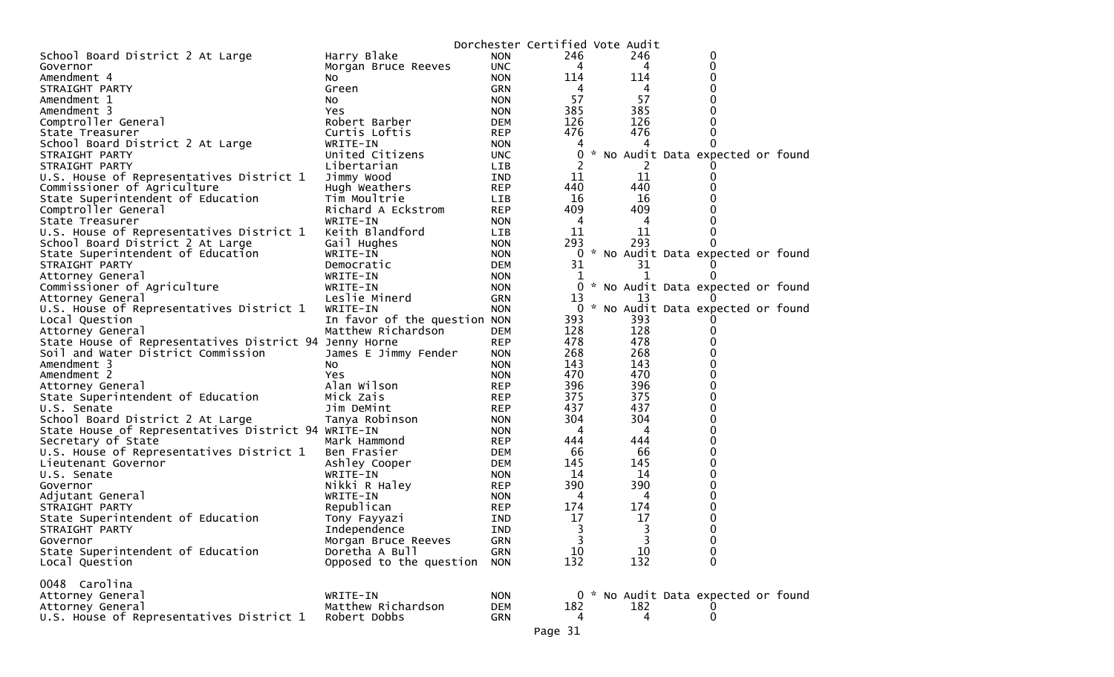| School Board District 2 At Large<br>Harry Blake<br>246<br>246<br><b>NON</b><br>0<br>0<br><b>UNC</b><br>4<br>Governor<br>Morgan Bruce Reeves<br>4<br>$\Omega$<br>Amendment 4<br>114<br>114<br><b>NON</b><br>NO.<br>0<br>STRAIGHT PARTY<br>Green<br><b>GRN</b><br>4<br>4<br>57<br>57<br><b>NON</b><br>0<br>Amendment 1<br>NO.<br>385<br>385<br>0<br>Amendment 3<br><b>NON</b><br>Yes.<br>126<br>126<br>Comptroller General<br>0<br>Robert Barber<br><b>DEM</b><br>476<br>476<br>Curtis Loftis<br><b>REP</b><br>0<br>State Treasurer<br>School Board District 2 At Large<br>WRITE-IN<br><b>NON</b><br>4<br>0<br>United Citizens<br>0<br><b>UNC</b><br>* No Audit Data expected or found<br>STRAIGHT PARTY<br>2<br>STRAIGHT PARTY<br>Libertarian<br><b>LIB</b><br>11<br>11<br>U.S. House of Representatives District 1<br>Jimmy Wood<br><b>IND</b><br>0<br>440<br>440<br>Commissioner of Agriculture<br><b>REP</b><br>Hugh Weathers<br>16<br>16<br>State Superintendent of Education<br>Tim Moultrie<br><b>LIB</b><br>409<br>409<br>Comptroller General<br>Richard A Eckstrom<br><b>REP</b><br>WRITE-IN<br><b>NON</b><br>4<br>4<br>State Treasurer<br>Keith Blandford<br>U.S. House of Representatives District 1<br>11<br>11<br><b>LIB</b><br>0<br>293<br>293<br>School Board District 2 At Large<br><b>NON</b><br>Gail Hughes<br>0<br>State Superintendent of Education<br>0<br>* No Audit Data expected or found<br>WRITE-IN<br><b>NON</b><br>31<br>31<br>STRAIGHT PARTY<br>Democratic<br><b>DEM</b><br>Attorney General<br>WRITE-IN<br><b>NON</b><br>1<br>1<br>$\Omega$<br>Commissioner of Agriculture<br>0<br>* No Audit Data expected or found<br>WRITE-IN<br><b>NON</b><br>Leslie Minerd<br>13<br>13<br>Attorney General<br><b>GRN</b><br>* No Audit Data expected or found<br>U.S. House of Representatives District 1<br>WRITE-IN<br><b>NON</b><br>0<br>Local Question<br>In favor of the question NON<br>393<br>393<br>128<br>128<br>Matthew Richardson<br>Attorney General<br><b>DEM</b><br>478<br>State House of Representatives District 94 Jenny Horne<br>478<br><b>REP</b><br>268<br>268<br>Soil and Water District Commission<br>James E Jimmy Fender<br><b>NON</b><br>143<br>143<br><b>NON</b><br>Amendment 3<br>NO.<br>470<br>470<br>0<br>Amendment 2<br><b>Yes</b><br><b>NON</b><br>396<br>396<br>$\Omega$<br>Alan Wilson<br>Attorney General<br><b>REP</b><br>375<br>375<br>State Superintendent of Education<br>0<br>Mick Zais<br><b>REP</b><br>437<br>437<br>Jim DeMint<br><b>REP</b><br>0<br>U.S. Senate<br>304<br>304<br>$\Omega$<br>School Board District 2 At Large<br>Tanya Robinson<br><b>NON</b><br>State House of Representatives District 94 WRITE-IN<br>4<br>4<br>0<br><b>NON</b><br>Secretary of State<br>0<br><b>REP</b><br>444<br>444<br>Mark Hammond<br>66<br>66<br>$\Omega$<br>U.S. House of Representatives District 1<br>Ben Frasier<br><b>DEM</b><br>145<br>Ashley Cooper<br>145<br>0<br>Lieutenant Governor<br>DEM<br>14<br>14<br>0<br>U.S. Senate<br>WRITE-IN<br><b>NON</b><br>390<br>390<br>$\Omega$<br>Nikki R Haley<br><b>REP</b><br>Governor<br>0<br>4<br>4<br>Adjutant General<br>WRITE-IN<br><b>NON</b><br>174<br>Republican<br>174<br>0<br><b>REP</b><br>STRAIGHT PARTY<br>17<br>17<br>State Superintendent of Education<br>0<br>Tony Fayyazi<br>IND<br>3<br>3<br>0<br>STRAIGHT PARTY<br>Independence<br><b>IND</b><br>3<br>3<br>Morgan Bruce Reeves<br>Governor<br><b>GRN</b><br>$\mathbf 0$<br>10<br>10<br>State Superintendent of Education<br>Doretha A Bull<br>0<br><b>GRN</b><br>$\mathbf{0}$<br>Opposed to the question<br>132<br>132<br>Local Question<br><b>NON</b><br>0048 Carolina<br>0 * No Audit Data expected or found<br>Attorney General<br>WRITE-IN<br><b>NON</b><br>Attorney General<br>Matthew Richardson<br><b>DEM</b><br>182<br>182<br>U.S. House of Representatives District 1<br>$\mathbf 0$<br>Robert Dobbs<br>GRN<br>4<br>4 |  | Dorchester Certified Vote Audit |  |  |  |
|---------------------------------------------------------------------------------------------------------------------------------------------------------------------------------------------------------------------------------------------------------------------------------------------------------------------------------------------------------------------------------------------------------------------------------------------------------------------------------------------------------------------------------------------------------------------------------------------------------------------------------------------------------------------------------------------------------------------------------------------------------------------------------------------------------------------------------------------------------------------------------------------------------------------------------------------------------------------------------------------------------------------------------------------------------------------------------------------------------------------------------------------------------------------------------------------------------------------------------------------------------------------------------------------------------------------------------------------------------------------------------------------------------------------------------------------------------------------------------------------------------------------------------------------------------------------------------------------------------------------------------------------------------------------------------------------------------------------------------------------------------------------------------------------------------------------------------------------------------------------------------------------------------------------------------------------------------------------------------------------------------------------------------------------------------------------------------------------------------------------------------------------------------------------------------------------------------------------------------------------------------------------------------------------------------------------------------------------------------------------------------------------------------------------------------------------------------------------------------------------------------------------------------------------------------------------------------------------------------------------------------------------------------------------------------------------------------------------------------------------------------------------------------------------------------------------------------------------------------------------------------------------------------------------------------------------------------------------------------------------------------------------------------------------------------------------------------------------------------------------------------------------------------------------------------------------------------------------------------------------------------------------------------------------------------------------------------------------------------------------------------------------------------------------------------------------------------------------------------------------------------------------------------------------------------------------------------------------------------------------------------------------------------------------------------------------------------------------------------------------------------------------------------------------------------------------------------------------------------------------------------------------------|--|---------------------------------|--|--|--|
|                                                                                                                                                                                                                                                                                                                                                                                                                                                                                                                                                                                                                                                                                                                                                                                                                                                                                                                                                                                                                                                                                                                                                                                                                                                                                                                                                                                                                                                                                                                                                                                                                                                                                                                                                                                                                                                                                                                                                                                                                                                                                                                                                                                                                                                                                                                                                                                                                                                                                                                                                                                                                                                                                                                                                                                                                                                                                                                                                                                                                                                                                                                                                                                                                                                                                                                                                                                                                                                                                                                                                                                                                                                                                                                                                                                                                                                                                                   |  |                                 |  |  |  |
|                                                                                                                                                                                                                                                                                                                                                                                                                                                                                                                                                                                                                                                                                                                                                                                                                                                                                                                                                                                                                                                                                                                                                                                                                                                                                                                                                                                                                                                                                                                                                                                                                                                                                                                                                                                                                                                                                                                                                                                                                                                                                                                                                                                                                                                                                                                                                                                                                                                                                                                                                                                                                                                                                                                                                                                                                                                                                                                                                                                                                                                                                                                                                                                                                                                                                                                                                                                                                                                                                                                                                                                                                                                                                                                                                                                                                                                                                                   |  |                                 |  |  |  |
|                                                                                                                                                                                                                                                                                                                                                                                                                                                                                                                                                                                                                                                                                                                                                                                                                                                                                                                                                                                                                                                                                                                                                                                                                                                                                                                                                                                                                                                                                                                                                                                                                                                                                                                                                                                                                                                                                                                                                                                                                                                                                                                                                                                                                                                                                                                                                                                                                                                                                                                                                                                                                                                                                                                                                                                                                                                                                                                                                                                                                                                                                                                                                                                                                                                                                                                                                                                                                                                                                                                                                                                                                                                                                                                                                                                                                                                                                                   |  |                                 |  |  |  |
|                                                                                                                                                                                                                                                                                                                                                                                                                                                                                                                                                                                                                                                                                                                                                                                                                                                                                                                                                                                                                                                                                                                                                                                                                                                                                                                                                                                                                                                                                                                                                                                                                                                                                                                                                                                                                                                                                                                                                                                                                                                                                                                                                                                                                                                                                                                                                                                                                                                                                                                                                                                                                                                                                                                                                                                                                                                                                                                                                                                                                                                                                                                                                                                                                                                                                                                                                                                                                                                                                                                                                                                                                                                                                                                                                                                                                                                                                                   |  |                                 |  |  |  |
|                                                                                                                                                                                                                                                                                                                                                                                                                                                                                                                                                                                                                                                                                                                                                                                                                                                                                                                                                                                                                                                                                                                                                                                                                                                                                                                                                                                                                                                                                                                                                                                                                                                                                                                                                                                                                                                                                                                                                                                                                                                                                                                                                                                                                                                                                                                                                                                                                                                                                                                                                                                                                                                                                                                                                                                                                                                                                                                                                                                                                                                                                                                                                                                                                                                                                                                                                                                                                                                                                                                                                                                                                                                                                                                                                                                                                                                                                                   |  |                                 |  |  |  |
|                                                                                                                                                                                                                                                                                                                                                                                                                                                                                                                                                                                                                                                                                                                                                                                                                                                                                                                                                                                                                                                                                                                                                                                                                                                                                                                                                                                                                                                                                                                                                                                                                                                                                                                                                                                                                                                                                                                                                                                                                                                                                                                                                                                                                                                                                                                                                                                                                                                                                                                                                                                                                                                                                                                                                                                                                                                                                                                                                                                                                                                                                                                                                                                                                                                                                                                                                                                                                                                                                                                                                                                                                                                                                                                                                                                                                                                                                                   |  |                                 |  |  |  |
|                                                                                                                                                                                                                                                                                                                                                                                                                                                                                                                                                                                                                                                                                                                                                                                                                                                                                                                                                                                                                                                                                                                                                                                                                                                                                                                                                                                                                                                                                                                                                                                                                                                                                                                                                                                                                                                                                                                                                                                                                                                                                                                                                                                                                                                                                                                                                                                                                                                                                                                                                                                                                                                                                                                                                                                                                                                                                                                                                                                                                                                                                                                                                                                                                                                                                                                                                                                                                                                                                                                                                                                                                                                                                                                                                                                                                                                                                                   |  |                                 |  |  |  |
|                                                                                                                                                                                                                                                                                                                                                                                                                                                                                                                                                                                                                                                                                                                                                                                                                                                                                                                                                                                                                                                                                                                                                                                                                                                                                                                                                                                                                                                                                                                                                                                                                                                                                                                                                                                                                                                                                                                                                                                                                                                                                                                                                                                                                                                                                                                                                                                                                                                                                                                                                                                                                                                                                                                                                                                                                                                                                                                                                                                                                                                                                                                                                                                                                                                                                                                                                                                                                                                                                                                                                                                                                                                                                                                                                                                                                                                                                                   |  |                                 |  |  |  |
|                                                                                                                                                                                                                                                                                                                                                                                                                                                                                                                                                                                                                                                                                                                                                                                                                                                                                                                                                                                                                                                                                                                                                                                                                                                                                                                                                                                                                                                                                                                                                                                                                                                                                                                                                                                                                                                                                                                                                                                                                                                                                                                                                                                                                                                                                                                                                                                                                                                                                                                                                                                                                                                                                                                                                                                                                                                                                                                                                                                                                                                                                                                                                                                                                                                                                                                                                                                                                                                                                                                                                                                                                                                                                                                                                                                                                                                                                                   |  |                                 |  |  |  |
|                                                                                                                                                                                                                                                                                                                                                                                                                                                                                                                                                                                                                                                                                                                                                                                                                                                                                                                                                                                                                                                                                                                                                                                                                                                                                                                                                                                                                                                                                                                                                                                                                                                                                                                                                                                                                                                                                                                                                                                                                                                                                                                                                                                                                                                                                                                                                                                                                                                                                                                                                                                                                                                                                                                                                                                                                                                                                                                                                                                                                                                                                                                                                                                                                                                                                                                                                                                                                                                                                                                                                                                                                                                                                                                                                                                                                                                                                                   |  |                                 |  |  |  |
|                                                                                                                                                                                                                                                                                                                                                                                                                                                                                                                                                                                                                                                                                                                                                                                                                                                                                                                                                                                                                                                                                                                                                                                                                                                                                                                                                                                                                                                                                                                                                                                                                                                                                                                                                                                                                                                                                                                                                                                                                                                                                                                                                                                                                                                                                                                                                                                                                                                                                                                                                                                                                                                                                                                                                                                                                                                                                                                                                                                                                                                                                                                                                                                                                                                                                                                                                                                                                                                                                                                                                                                                                                                                                                                                                                                                                                                                                                   |  |                                 |  |  |  |
|                                                                                                                                                                                                                                                                                                                                                                                                                                                                                                                                                                                                                                                                                                                                                                                                                                                                                                                                                                                                                                                                                                                                                                                                                                                                                                                                                                                                                                                                                                                                                                                                                                                                                                                                                                                                                                                                                                                                                                                                                                                                                                                                                                                                                                                                                                                                                                                                                                                                                                                                                                                                                                                                                                                                                                                                                                                                                                                                                                                                                                                                                                                                                                                                                                                                                                                                                                                                                                                                                                                                                                                                                                                                                                                                                                                                                                                                                                   |  |                                 |  |  |  |
|                                                                                                                                                                                                                                                                                                                                                                                                                                                                                                                                                                                                                                                                                                                                                                                                                                                                                                                                                                                                                                                                                                                                                                                                                                                                                                                                                                                                                                                                                                                                                                                                                                                                                                                                                                                                                                                                                                                                                                                                                                                                                                                                                                                                                                                                                                                                                                                                                                                                                                                                                                                                                                                                                                                                                                                                                                                                                                                                                                                                                                                                                                                                                                                                                                                                                                                                                                                                                                                                                                                                                                                                                                                                                                                                                                                                                                                                                                   |  |                                 |  |  |  |
|                                                                                                                                                                                                                                                                                                                                                                                                                                                                                                                                                                                                                                                                                                                                                                                                                                                                                                                                                                                                                                                                                                                                                                                                                                                                                                                                                                                                                                                                                                                                                                                                                                                                                                                                                                                                                                                                                                                                                                                                                                                                                                                                                                                                                                                                                                                                                                                                                                                                                                                                                                                                                                                                                                                                                                                                                                                                                                                                                                                                                                                                                                                                                                                                                                                                                                                                                                                                                                                                                                                                                                                                                                                                                                                                                                                                                                                                                                   |  |                                 |  |  |  |
|                                                                                                                                                                                                                                                                                                                                                                                                                                                                                                                                                                                                                                                                                                                                                                                                                                                                                                                                                                                                                                                                                                                                                                                                                                                                                                                                                                                                                                                                                                                                                                                                                                                                                                                                                                                                                                                                                                                                                                                                                                                                                                                                                                                                                                                                                                                                                                                                                                                                                                                                                                                                                                                                                                                                                                                                                                                                                                                                                                                                                                                                                                                                                                                                                                                                                                                                                                                                                                                                                                                                                                                                                                                                                                                                                                                                                                                                                                   |  |                                 |  |  |  |
|                                                                                                                                                                                                                                                                                                                                                                                                                                                                                                                                                                                                                                                                                                                                                                                                                                                                                                                                                                                                                                                                                                                                                                                                                                                                                                                                                                                                                                                                                                                                                                                                                                                                                                                                                                                                                                                                                                                                                                                                                                                                                                                                                                                                                                                                                                                                                                                                                                                                                                                                                                                                                                                                                                                                                                                                                                                                                                                                                                                                                                                                                                                                                                                                                                                                                                                                                                                                                                                                                                                                                                                                                                                                                                                                                                                                                                                                                                   |  |                                 |  |  |  |
|                                                                                                                                                                                                                                                                                                                                                                                                                                                                                                                                                                                                                                                                                                                                                                                                                                                                                                                                                                                                                                                                                                                                                                                                                                                                                                                                                                                                                                                                                                                                                                                                                                                                                                                                                                                                                                                                                                                                                                                                                                                                                                                                                                                                                                                                                                                                                                                                                                                                                                                                                                                                                                                                                                                                                                                                                                                                                                                                                                                                                                                                                                                                                                                                                                                                                                                                                                                                                                                                                                                                                                                                                                                                                                                                                                                                                                                                                                   |  |                                 |  |  |  |
|                                                                                                                                                                                                                                                                                                                                                                                                                                                                                                                                                                                                                                                                                                                                                                                                                                                                                                                                                                                                                                                                                                                                                                                                                                                                                                                                                                                                                                                                                                                                                                                                                                                                                                                                                                                                                                                                                                                                                                                                                                                                                                                                                                                                                                                                                                                                                                                                                                                                                                                                                                                                                                                                                                                                                                                                                                                                                                                                                                                                                                                                                                                                                                                                                                                                                                                                                                                                                                                                                                                                                                                                                                                                                                                                                                                                                                                                                                   |  |                                 |  |  |  |
|                                                                                                                                                                                                                                                                                                                                                                                                                                                                                                                                                                                                                                                                                                                                                                                                                                                                                                                                                                                                                                                                                                                                                                                                                                                                                                                                                                                                                                                                                                                                                                                                                                                                                                                                                                                                                                                                                                                                                                                                                                                                                                                                                                                                                                                                                                                                                                                                                                                                                                                                                                                                                                                                                                                                                                                                                                                                                                                                                                                                                                                                                                                                                                                                                                                                                                                                                                                                                                                                                                                                                                                                                                                                                                                                                                                                                                                                                                   |  |                                 |  |  |  |
|                                                                                                                                                                                                                                                                                                                                                                                                                                                                                                                                                                                                                                                                                                                                                                                                                                                                                                                                                                                                                                                                                                                                                                                                                                                                                                                                                                                                                                                                                                                                                                                                                                                                                                                                                                                                                                                                                                                                                                                                                                                                                                                                                                                                                                                                                                                                                                                                                                                                                                                                                                                                                                                                                                                                                                                                                                                                                                                                                                                                                                                                                                                                                                                                                                                                                                                                                                                                                                                                                                                                                                                                                                                                                                                                                                                                                                                                                                   |  |                                 |  |  |  |
|                                                                                                                                                                                                                                                                                                                                                                                                                                                                                                                                                                                                                                                                                                                                                                                                                                                                                                                                                                                                                                                                                                                                                                                                                                                                                                                                                                                                                                                                                                                                                                                                                                                                                                                                                                                                                                                                                                                                                                                                                                                                                                                                                                                                                                                                                                                                                                                                                                                                                                                                                                                                                                                                                                                                                                                                                                                                                                                                                                                                                                                                                                                                                                                                                                                                                                                                                                                                                                                                                                                                                                                                                                                                                                                                                                                                                                                                                                   |  |                                 |  |  |  |
|                                                                                                                                                                                                                                                                                                                                                                                                                                                                                                                                                                                                                                                                                                                                                                                                                                                                                                                                                                                                                                                                                                                                                                                                                                                                                                                                                                                                                                                                                                                                                                                                                                                                                                                                                                                                                                                                                                                                                                                                                                                                                                                                                                                                                                                                                                                                                                                                                                                                                                                                                                                                                                                                                                                                                                                                                                                                                                                                                                                                                                                                                                                                                                                                                                                                                                                                                                                                                                                                                                                                                                                                                                                                                                                                                                                                                                                                                                   |  |                                 |  |  |  |
|                                                                                                                                                                                                                                                                                                                                                                                                                                                                                                                                                                                                                                                                                                                                                                                                                                                                                                                                                                                                                                                                                                                                                                                                                                                                                                                                                                                                                                                                                                                                                                                                                                                                                                                                                                                                                                                                                                                                                                                                                                                                                                                                                                                                                                                                                                                                                                                                                                                                                                                                                                                                                                                                                                                                                                                                                                                                                                                                                                                                                                                                                                                                                                                                                                                                                                                                                                                                                                                                                                                                                                                                                                                                                                                                                                                                                                                                                                   |  |                                 |  |  |  |
|                                                                                                                                                                                                                                                                                                                                                                                                                                                                                                                                                                                                                                                                                                                                                                                                                                                                                                                                                                                                                                                                                                                                                                                                                                                                                                                                                                                                                                                                                                                                                                                                                                                                                                                                                                                                                                                                                                                                                                                                                                                                                                                                                                                                                                                                                                                                                                                                                                                                                                                                                                                                                                                                                                                                                                                                                                                                                                                                                                                                                                                                                                                                                                                                                                                                                                                                                                                                                                                                                                                                                                                                                                                                                                                                                                                                                                                                                                   |  |                                 |  |  |  |
|                                                                                                                                                                                                                                                                                                                                                                                                                                                                                                                                                                                                                                                                                                                                                                                                                                                                                                                                                                                                                                                                                                                                                                                                                                                                                                                                                                                                                                                                                                                                                                                                                                                                                                                                                                                                                                                                                                                                                                                                                                                                                                                                                                                                                                                                                                                                                                                                                                                                                                                                                                                                                                                                                                                                                                                                                                                                                                                                                                                                                                                                                                                                                                                                                                                                                                                                                                                                                                                                                                                                                                                                                                                                                                                                                                                                                                                                                                   |  |                                 |  |  |  |
|                                                                                                                                                                                                                                                                                                                                                                                                                                                                                                                                                                                                                                                                                                                                                                                                                                                                                                                                                                                                                                                                                                                                                                                                                                                                                                                                                                                                                                                                                                                                                                                                                                                                                                                                                                                                                                                                                                                                                                                                                                                                                                                                                                                                                                                                                                                                                                                                                                                                                                                                                                                                                                                                                                                                                                                                                                                                                                                                                                                                                                                                                                                                                                                                                                                                                                                                                                                                                                                                                                                                                                                                                                                                                                                                                                                                                                                                                                   |  |                                 |  |  |  |
|                                                                                                                                                                                                                                                                                                                                                                                                                                                                                                                                                                                                                                                                                                                                                                                                                                                                                                                                                                                                                                                                                                                                                                                                                                                                                                                                                                                                                                                                                                                                                                                                                                                                                                                                                                                                                                                                                                                                                                                                                                                                                                                                                                                                                                                                                                                                                                                                                                                                                                                                                                                                                                                                                                                                                                                                                                                                                                                                                                                                                                                                                                                                                                                                                                                                                                                                                                                                                                                                                                                                                                                                                                                                                                                                                                                                                                                                                                   |  |                                 |  |  |  |
|                                                                                                                                                                                                                                                                                                                                                                                                                                                                                                                                                                                                                                                                                                                                                                                                                                                                                                                                                                                                                                                                                                                                                                                                                                                                                                                                                                                                                                                                                                                                                                                                                                                                                                                                                                                                                                                                                                                                                                                                                                                                                                                                                                                                                                                                                                                                                                                                                                                                                                                                                                                                                                                                                                                                                                                                                                                                                                                                                                                                                                                                                                                                                                                                                                                                                                                                                                                                                                                                                                                                                                                                                                                                                                                                                                                                                                                                                                   |  |                                 |  |  |  |
|                                                                                                                                                                                                                                                                                                                                                                                                                                                                                                                                                                                                                                                                                                                                                                                                                                                                                                                                                                                                                                                                                                                                                                                                                                                                                                                                                                                                                                                                                                                                                                                                                                                                                                                                                                                                                                                                                                                                                                                                                                                                                                                                                                                                                                                                                                                                                                                                                                                                                                                                                                                                                                                                                                                                                                                                                                                                                                                                                                                                                                                                                                                                                                                                                                                                                                                                                                                                                                                                                                                                                                                                                                                                                                                                                                                                                                                                                                   |  |                                 |  |  |  |
|                                                                                                                                                                                                                                                                                                                                                                                                                                                                                                                                                                                                                                                                                                                                                                                                                                                                                                                                                                                                                                                                                                                                                                                                                                                                                                                                                                                                                                                                                                                                                                                                                                                                                                                                                                                                                                                                                                                                                                                                                                                                                                                                                                                                                                                                                                                                                                                                                                                                                                                                                                                                                                                                                                                                                                                                                                                                                                                                                                                                                                                                                                                                                                                                                                                                                                                                                                                                                                                                                                                                                                                                                                                                                                                                                                                                                                                                                                   |  |                                 |  |  |  |
|                                                                                                                                                                                                                                                                                                                                                                                                                                                                                                                                                                                                                                                                                                                                                                                                                                                                                                                                                                                                                                                                                                                                                                                                                                                                                                                                                                                                                                                                                                                                                                                                                                                                                                                                                                                                                                                                                                                                                                                                                                                                                                                                                                                                                                                                                                                                                                                                                                                                                                                                                                                                                                                                                                                                                                                                                                                                                                                                                                                                                                                                                                                                                                                                                                                                                                                                                                                                                                                                                                                                                                                                                                                                                                                                                                                                                                                                                                   |  |                                 |  |  |  |
|                                                                                                                                                                                                                                                                                                                                                                                                                                                                                                                                                                                                                                                                                                                                                                                                                                                                                                                                                                                                                                                                                                                                                                                                                                                                                                                                                                                                                                                                                                                                                                                                                                                                                                                                                                                                                                                                                                                                                                                                                                                                                                                                                                                                                                                                                                                                                                                                                                                                                                                                                                                                                                                                                                                                                                                                                                                                                                                                                                                                                                                                                                                                                                                                                                                                                                                                                                                                                                                                                                                                                                                                                                                                                                                                                                                                                                                                                                   |  |                                 |  |  |  |
|                                                                                                                                                                                                                                                                                                                                                                                                                                                                                                                                                                                                                                                                                                                                                                                                                                                                                                                                                                                                                                                                                                                                                                                                                                                                                                                                                                                                                                                                                                                                                                                                                                                                                                                                                                                                                                                                                                                                                                                                                                                                                                                                                                                                                                                                                                                                                                                                                                                                                                                                                                                                                                                                                                                                                                                                                                                                                                                                                                                                                                                                                                                                                                                                                                                                                                                                                                                                                                                                                                                                                                                                                                                                                                                                                                                                                                                                                                   |  |                                 |  |  |  |
|                                                                                                                                                                                                                                                                                                                                                                                                                                                                                                                                                                                                                                                                                                                                                                                                                                                                                                                                                                                                                                                                                                                                                                                                                                                                                                                                                                                                                                                                                                                                                                                                                                                                                                                                                                                                                                                                                                                                                                                                                                                                                                                                                                                                                                                                                                                                                                                                                                                                                                                                                                                                                                                                                                                                                                                                                                                                                                                                                                                                                                                                                                                                                                                                                                                                                                                                                                                                                                                                                                                                                                                                                                                                                                                                                                                                                                                                                                   |  |                                 |  |  |  |
|                                                                                                                                                                                                                                                                                                                                                                                                                                                                                                                                                                                                                                                                                                                                                                                                                                                                                                                                                                                                                                                                                                                                                                                                                                                                                                                                                                                                                                                                                                                                                                                                                                                                                                                                                                                                                                                                                                                                                                                                                                                                                                                                                                                                                                                                                                                                                                                                                                                                                                                                                                                                                                                                                                                                                                                                                                                                                                                                                                                                                                                                                                                                                                                                                                                                                                                                                                                                                                                                                                                                                                                                                                                                                                                                                                                                                                                                                                   |  |                                 |  |  |  |
|                                                                                                                                                                                                                                                                                                                                                                                                                                                                                                                                                                                                                                                                                                                                                                                                                                                                                                                                                                                                                                                                                                                                                                                                                                                                                                                                                                                                                                                                                                                                                                                                                                                                                                                                                                                                                                                                                                                                                                                                                                                                                                                                                                                                                                                                                                                                                                                                                                                                                                                                                                                                                                                                                                                                                                                                                                                                                                                                                                                                                                                                                                                                                                                                                                                                                                                                                                                                                                                                                                                                                                                                                                                                                                                                                                                                                                                                                                   |  |                                 |  |  |  |
|                                                                                                                                                                                                                                                                                                                                                                                                                                                                                                                                                                                                                                                                                                                                                                                                                                                                                                                                                                                                                                                                                                                                                                                                                                                                                                                                                                                                                                                                                                                                                                                                                                                                                                                                                                                                                                                                                                                                                                                                                                                                                                                                                                                                                                                                                                                                                                                                                                                                                                                                                                                                                                                                                                                                                                                                                                                                                                                                                                                                                                                                                                                                                                                                                                                                                                                                                                                                                                                                                                                                                                                                                                                                                                                                                                                                                                                                                                   |  |                                 |  |  |  |
|                                                                                                                                                                                                                                                                                                                                                                                                                                                                                                                                                                                                                                                                                                                                                                                                                                                                                                                                                                                                                                                                                                                                                                                                                                                                                                                                                                                                                                                                                                                                                                                                                                                                                                                                                                                                                                                                                                                                                                                                                                                                                                                                                                                                                                                                                                                                                                                                                                                                                                                                                                                                                                                                                                                                                                                                                                                                                                                                                                                                                                                                                                                                                                                                                                                                                                                                                                                                                                                                                                                                                                                                                                                                                                                                                                                                                                                                                                   |  |                                 |  |  |  |
|                                                                                                                                                                                                                                                                                                                                                                                                                                                                                                                                                                                                                                                                                                                                                                                                                                                                                                                                                                                                                                                                                                                                                                                                                                                                                                                                                                                                                                                                                                                                                                                                                                                                                                                                                                                                                                                                                                                                                                                                                                                                                                                                                                                                                                                                                                                                                                                                                                                                                                                                                                                                                                                                                                                                                                                                                                                                                                                                                                                                                                                                                                                                                                                                                                                                                                                                                                                                                                                                                                                                                                                                                                                                                                                                                                                                                                                                                                   |  |                                 |  |  |  |
|                                                                                                                                                                                                                                                                                                                                                                                                                                                                                                                                                                                                                                                                                                                                                                                                                                                                                                                                                                                                                                                                                                                                                                                                                                                                                                                                                                                                                                                                                                                                                                                                                                                                                                                                                                                                                                                                                                                                                                                                                                                                                                                                                                                                                                                                                                                                                                                                                                                                                                                                                                                                                                                                                                                                                                                                                                                                                                                                                                                                                                                                                                                                                                                                                                                                                                                                                                                                                                                                                                                                                                                                                                                                                                                                                                                                                                                                                                   |  |                                 |  |  |  |
|                                                                                                                                                                                                                                                                                                                                                                                                                                                                                                                                                                                                                                                                                                                                                                                                                                                                                                                                                                                                                                                                                                                                                                                                                                                                                                                                                                                                                                                                                                                                                                                                                                                                                                                                                                                                                                                                                                                                                                                                                                                                                                                                                                                                                                                                                                                                                                                                                                                                                                                                                                                                                                                                                                                                                                                                                                                                                                                                                                                                                                                                                                                                                                                                                                                                                                                                                                                                                                                                                                                                                                                                                                                                                                                                                                                                                                                                                                   |  |                                 |  |  |  |
|                                                                                                                                                                                                                                                                                                                                                                                                                                                                                                                                                                                                                                                                                                                                                                                                                                                                                                                                                                                                                                                                                                                                                                                                                                                                                                                                                                                                                                                                                                                                                                                                                                                                                                                                                                                                                                                                                                                                                                                                                                                                                                                                                                                                                                                                                                                                                                                                                                                                                                                                                                                                                                                                                                                                                                                                                                                                                                                                                                                                                                                                                                                                                                                                                                                                                                                                                                                                                                                                                                                                                                                                                                                                                                                                                                                                                                                                                                   |  |                                 |  |  |  |
|                                                                                                                                                                                                                                                                                                                                                                                                                                                                                                                                                                                                                                                                                                                                                                                                                                                                                                                                                                                                                                                                                                                                                                                                                                                                                                                                                                                                                                                                                                                                                                                                                                                                                                                                                                                                                                                                                                                                                                                                                                                                                                                                                                                                                                                                                                                                                                                                                                                                                                                                                                                                                                                                                                                                                                                                                                                                                                                                                                                                                                                                                                                                                                                                                                                                                                                                                                                                                                                                                                                                                                                                                                                                                                                                                                                                                                                                                                   |  |                                 |  |  |  |
|                                                                                                                                                                                                                                                                                                                                                                                                                                                                                                                                                                                                                                                                                                                                                                                                                                                                                                                                                                                                                                                                                                                                                                                                                                                                                                                                                                                                                                                                                                                                                                                                                                                                                                                                                                                                                                                                                                                                                                                                                                                                                                                                                                                                                                                                                                                                                                                                                                                                                                                                                                                                                                                                                                                                                                                                                                                                                                                                                                                                                                                                                                                                                                                                                                                                                                                                                                                                                                                                                                                                                                                                                                                                                                                                                                                                                                                                                                   |  |                                 |  |  |  |
|                                                                                                                                                                                                                                                                                                                                                                                                                                                                                                                                                                                                                                                                                                                                                                                                                                                                                                                                                                                                                                                                                                                                                                                                                                                                                                                                                                                                                                                                                                                                                                                                                                                                                                                                                                                                                                                                                                                                                                                                                                                                                                                                                                                                                                                                                                                                                                                                                                                                                                                                                                                                                                                                                                                                                                                                                                                                                                                                                                                                                                                                                                                                                                                                                                                                                                                                                                                                                                                                                                                                                                                                                                                                                                                                                                                                                                                                                                   |  |                                 |  |  |  |
|                                                                                                                                                                                                                                                                                                                                                                                                                                                                                                                                                                                                                                                                                                                                                                                                                                                                                                                                                                                                                                                                                                                                                                                                                                                                                                                                                                                                                                                                                                                                                                                                                                                                                                                                                                                                                                                                                                                                                                                                                                                                                                                                                                                                                                                                                                                                                                                                                                                                                                                                                                                                                                                                                                                                                                                                                                                                                                                                                                                                                                                                                                                                                                                                                                                                                                                                                                                                                                                                                                                                                                                                                                                                                                                                                                                                                                                                                                   |  |                                 |  |  |  |
|                                                                                                                                                                                                                                                                                                                                                                                                                                                                                                                                                                                                                                                                                                                                                                                                                                                                                                                                                                                                                                                                                                                                                                                                                                                                                                                                                                                                                                                                                                                                                                                                                                                                                                                                                                                                                                                                                                                                                                                                                                                                                                                                                                                                                                                                                                                                                                                                                                                                                                                                                                                                                                                                                                                                                                                                                                                                                                                                                                                                                                                                                                                                                                                                                                                                                                                                                                                                                                                                                                                                                                                                                                                                                                                                                                                                                                                                                                   |  |                                 |  |  |  |
|                                                                                                                                                                                                                                                                                                                                                                                                                                                                                                                                                                                                                                                                                                                                                                                                                                                                                                                                                                                                                                                                                                                                                                                                                                                                                                                                                                                                                                                                                                                                                                                                                                                                                                                                                                                                                                                                                                                                                                                                                                                                                                                                                                                                                                                                                                                                                                                                                                                                                                                                                                                                                                                                                                                                                                                                                                                                                                                                                                                                                                                                                                                                                                                                                                                                                                                                                                                                                                                                                                                                                                                                                                                                                                                                                                                                                                                                                                   |  |                                 |  |  |  |
|                                                                                                                                                                                                                                                                                                                                                                                                                                                                                                                                                                                                                                                                                                                                                                                                                                                                                                                                                                                                                                                                                                                                                                                                                                                                                                                                                                                                                                                                                                                                                                                                                                                                                                                                                                                                                                                                                                                                                                                                                                                                                                                                                                                                                                                                                                                                                                                                                                                                                                                                                                                                                                                                                                                                                                                                                                                                                                                                                                                                                                                                                                                                                                                                                                                                                                                                                                                                                                                                                                                                                                                                                                                                                                                                                                                                                                                                                                   |  |                                 |  |  |  |
|                                                                                                                                                                                                                                                                                                                                                                                                                                                                                                                                                                                                                                                                                                                                                                                                                                                                                                                                                                                                                                                                                                                                                                                                                                                                                                                                                                                                                                                                                                                                                                                                                                                                                                                                                                                                                                                                                                                                                                                                                                                                                                                                                                                                                                                                                                                                                                                                                                                                                                                                                                                                                                                                                                                                                                                                                                                                                                                                                                                                                                                                                                                                                                                                                                                                                                                                                                                                                                                                                                                                                                                                                                                                                                                                                                                                                                                                                                   |  |                                 |  |  |  |
|                                                                                                                                                                                                                                                                                                                                                                                                                                                                                                                                                                                                                                                                                                                                                                                                                                                                                                                                                                                                                                                                                                                                                                                                                                                                                                                                                                                                                                                                                                                                                                                                                                                                                                                                                                                                                                                                                                                                                                                                                                                                                                                                                                                                                                                                                                                                                                                                                                                                                                                                                                                                                                                                                                                                                                                                                                                                                                                                                                                                                                                                                                                                                                                                                                                                                                                                                                                                                                                                                                                                                                                                                                                                                                                                                                                                                                                                                                   |  |                                 |  |  |  |
|                                                                                                                                                                                                                                                                                                                                                                                                                                                                                                                                                                                                                                                                                                                                                                                                                                                                                                                                                                                                                                                                                                                                                                                                                                                                                                                                                                                                                                                                                                                                                                                                                                                                                                                                                                                                                                                                                                                                                                                                                                                                                                                                                                                                                                                                                                                                                                                                                                                                                                                                                                                                                                                                                                                                                                                                                                                                                                                                                                                                                                                                                                                                                                                                                                                                                                                                                                                                                                                                                                                                                                                                                                                                                                                                                                                                                                                                                                   |  |                                 |  |  |  |
|                                                                                                                                                                                                                                                                                                                                                                                                                                                                                                                                                                                                                                                                                                                                                                                                                                                                                                                                                                                                                                                                                                                                                                                                                                                                                                                                                                                                                                                                                                                                                                                                                                                                                                                                                                                                                                                                                                                                                                                                                                                                                                                                                                                                                                                                                                                                                                                                                                                                                                                                                                                                                                                                                                                                                                                                                                                                                                                                                                                                                                                                                                                                                                                                                                                                                                                                                                                                                                                                                                                                                                                                                                                                                                                                                                                                                                                                                                   |  | Page 31                         |  |  |  |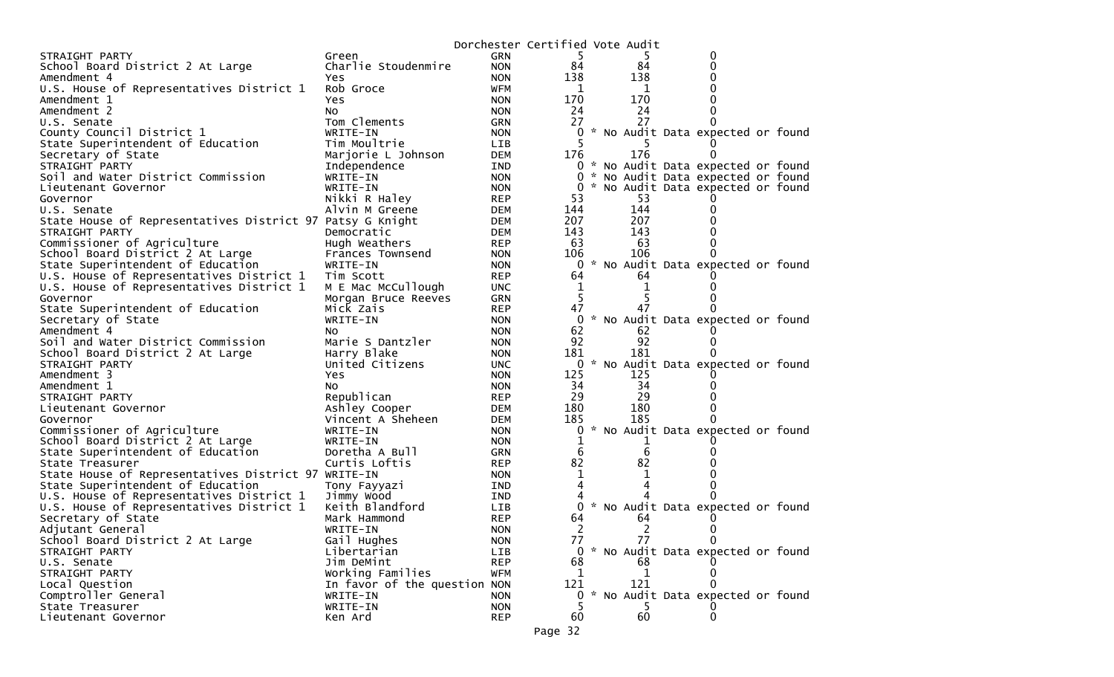|                                                                                      |                                          |                   | Dorchester Certified Vote Audit |     |                                     |  |
|--------------------------------------------------------------------------------------|------------------------------------------|-------------------|---------------------------------|-----|-------------------------------------|--|
| STRAIGHT PARTY                                                                       | Green                                    | <b>GRN</b>        | 5                               |     | 0                                   |  |
| School Board District 2 At Large                                                     | Charlie Stoudenmire                      | <b>NON</b>        | 84                              | 84  | 0                                   |  |
| Amendment 4                                                                          | Yes                                      | <b>NON</b>        | 138                             | 138 |                                     |  |
| U.S. House of Representatives District 1                                             | Rob Groce                                | <b>WFM</b>        |                                 | 1   | O                                   |  |
| Amendment 1                                                                          | Yes                                      | <b>NON</b>        | 170                             | 170 |                                     |  |
| Amendment 2                                                                          | NO.                                      | <b>NON</b>        | 24                              | 24  |                                     |  |
| U.S. Senate                                                                          | Tom Clements                             | GRN               | 27                              | 27  |                                     |  |
| County Council District 1                                                            | WRITE-IN                                 | <b>NON</b>        | 0                               |     | * No Audit Data expected or found   |  |
| State Superintendent of Education                                                    | Tim Moultrie                             | <b>LIB</b>        |                                 |     |                                     |  |
| Secretary of State                                                                   | Marjorie L Johnson                       | <b>DEM</b>        | 176                             | 176 | $\Omega$                            |  |
| STRAIGHT PARTY                                                                       | Independence                             | IND               |                                 |     | 0 * No Audit Data expected or found |  |
| Soil and Water District Commission                                                   | WRITE-IN                                 | <b>NON</b>        | 0                               |     | * No Audit Data expected or found   |  |
| Lieutenant Governor                                                                  | WRITE-IN                                 | <b>NON</b>        | 0                               |     | * No Audit Data expected or found   |  |
| Governor                                                                             | Nikki R Haley                            | <b>REP</b>        | 53                              | 53  |                                     |  |
| U.S. Senate                                                                          | Alvin M Greene                           | <b>DEM</b>        | 144                             | 144 | 0                                   |  |
| State House of Representatives District 97 Patsy G Knight                            |                                          | <b>DEM</b>        | 207                             | 207 |                                     |  |
| STRAIGHT PARTY                                                                       | Democratic                               | <b>DEM</b>        | 143                             | 143 |                                     |  |
| Commissioner of Agriculture                                                          | Hugh Weathers                            | <b>REP</b>        | 63                              | 63  |                                     |  |
| School Board District 2 At Large                                                     | Frances Townsend                         | <b>NON</b>        | 106                             | 106 |                                     |  |
| State Superintendent of Education                                                    | WRITE-IN                                 | <b>NON</b>        |                                 |     | 0 * No Audit Data expected or found |  |
| U.S. House of Representatives District 1                                             | Tim Scott                                | <b>REP</b>        | 64                              | 64  |                                     |  |
| U.S. House of Representatives District 1                                             | M E Mac McCullough                       | <b>UNC</b>        | 1                               |     |                                     |  |
| Governor                                                                             | Morgan Bruce Reeves                      | GRN               | 5                               |     |                                     |  |
| State Superintendent of Education                                                    | Mick Zais                                | <b>REP</b>        | 47                              | 47  |                                     |  |
| Secretary of State                                                                   | WRITE-IN                                 | <b>NON</b>        | 0                               |     | * No Audit Data expected or found   |  |
| Amendment 4                                                                          | NO.                                      | <b>NON</b>        | 62                              | 62  |                                     |  |
| Soil and Water District Commission                                                   | Marie S Dantzler                         | <b>NON</b>        | 92                              | 92  |                                     |  |
| School Board District 2 At Large                                                     | Harry Blake                              | <b>NON</b>        | 181                             | 181 |                                     |  |
| STRAIGHT PARTY                                                                       | United Citizens                          | <b>UNC</b>        | 0                               |     | * No Audit Data expected or found   |  |
| Amendment 3                                                                          | Yes                                      | <b>NON</b>        | 125                             | 125 |                                     |  |
| Amendment 1                                                                          | NO.                                      | <b>NON</b>        | 34                              | 34  |                                     |  |
| STRAIGHT PARTY                                                                       | Republican                               | <b>REP</b>        | 29                              | 29  |                                     |  |
| Lieutenant Governor                                                                  | Ashley Cooper                            | <b>DEM</b>        | 180                             | 180 |                                     |  |
| Governor                                                                             | Vincent A Sheheen                        | <b>DEM</b>        | 185                             | 185 | 0                                   |  |
| Commissioner of Agriculture                                                          | WRITE-IN                                 | <b>NON</b>        | 0                               |     | * No Audit Data expected or found   |  |
| School Board District 2 At Large                                                     | WRITE-IN                                 | <b>NON</b>        | 1                               |     |                                     |  |
| State Superintendent of Education                                                    | Doretha A Bull                           | GRN               | 6                               | 6   |                                     |  |
| State Treasurer                                                                      | Curtis Loftis                            | <b>REP</b>        | 82                              | 82  |                                     |  |
| State House of Representatives District 97 WRITE-IN                                  |                                          | <b>NON</b>        | 4                               |     |                                     |  |
| State Superintendent of Education                                                    | Tony Fayyazi                             | <b>IND</b>        |                                 |     |                                     |  |
| U.S. House of Representatives District 1<br>U.S. House of Representatives District 1 | Jimmy Wood<br>Keith Blandford            | IND<br><b>LIB</b> |                                 |     | * No Audit Data expected or found   |  |
|                                                                                      | Mark Hammond                             | <b>REP</b>        | 64                              | 64  |                                     |  |
| Secretary of State<br>Adjutant General                                               |                                          |                   | 2                               | 2   |                                     |  |
|                                                                                      | WRITE-IN                                 | <b>NON</b>        |                                 | 77  | 0<br>0                              |  |
| School Board District 2 At Large<br>STRAIGHT PARTY                                   | Gail Hughes<br>Libertarian               | <b>NON</b><br>LIB | 77                              |     | 0 * No Audit Data expected or found |  |
| U.S. Senate                                                                          | Jim DeMint                               | <b>REP</b>        | 68                              | 68  |                                     |  |
| STRAIGHT PARTY                                                                       | Working Families                         |                   |                                 |     |                                     |  |
|                                                                                      |                                          | <b>WFM</b>        | 1<br>121                        | 121 |                                     |  |
| Local Question<br>Comptroller General                                                | In favor of the question NON<br>WRITE-IN | <b>NON</b>        | 0                               |     | * No Audit Data expected or found   |  |
| State Treasurer                                                                      |                                          |                   |                                 |     |                                     |  |
|                                                                                      | WRITE-IN                                 | <b>NON</b>        |                                 | 60  |                                     |  |
| Lieutenant Governor                                                                  | Ken Ard                                  | <b>REP</b>        | 60                              |     | 0                                   |  |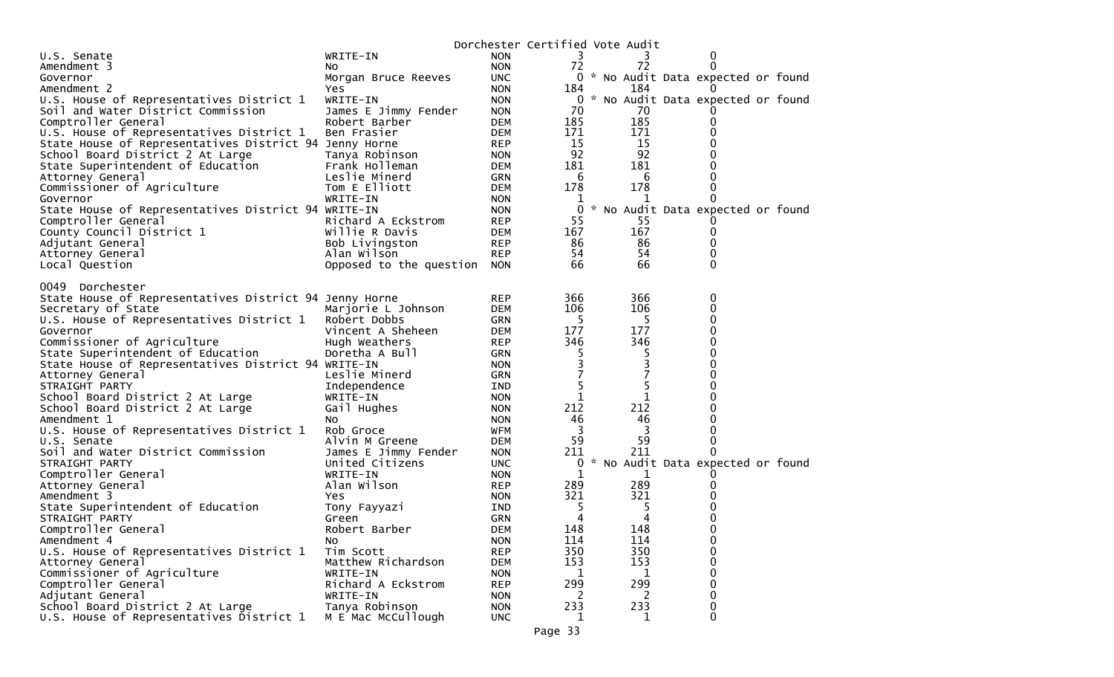|                                                        |                             |            | Dorchester Certified Vote Audit |             |                                     |  |
|--------------------------------------------------------|-----------------------------|------------|---------------------------------|-------------|-------------------------------------|--|
| U.S. Senate                                            | WRITE-IN                    | <b>NON</b> | 3                               |             | 0                                   |  |
| Amendment 3                                            | NO.                         | <b>NON</b> | 72                              | 72          | 0                                   |  |
| Governor                                               | Morgan Bruce Reeves         | <b>UNC</b> |                                 |             | 0 * No Audit Data expected or found |  |
| Amendment 2                                            | Yes.                        | <b>NON</b> | 184                             | 184         |                                     |  |
| U.S. House of Representatives District 1               | WRITE-IN                    | <b>NON</b> | $\overline{0}$                  |             | * No Audit Data expected or found   |  |
| Soil and Water District Commission                     | James E Jimmy Fender        | <b>NON</b> | 70                              | 70          |                                     |  |
| Comptroller General                                    | Robert Barber               | <b>DEM</b> | 185                             | 185         | 0                                   |  |
| U.S. House of Representatives District 1               | Ben Frasier                 | <b>DEM</b> | 171                             | 171         | 0                                   |  |
| State House of Representatives District 94 Jenny Horne |                             | <b>REP</b> | 15                              | 15          | 0                                   |  |
| School Board District 2 At Large                       | Tanya Robinson              | <b>NON</b> | 92                              | 92          |                                     |  |
| State Superintendent of Education                      | Frank Holleman              | DEM        | 181                             | 181         | 0                                   |  |
| Attorney General                                       | Leslie Minerd               | GRN        | 6                               | 6           | 0                                   |  |
| Commissioner of Agriculture                            | Tom E Elliott               | <b>DEM</b> | 178                             | 178         | 0                                   |  |
| Governor                                               | WRITE-IN                    | <b>NON</b> | 1                               | 1           | 0                                   |  |
| State House of Representatives District 94 WRITE-IN    |                             | <b>NON</b> | $\mathbf 0$                     |             | * No Audit Data expected or found   |  |
| Comptroller General                                    | Richard A Eckstrom          | <b>REP</b> | 55                              | 55          |                                     |  |
| County Council District 1                              | Willie R Davis              | <b>DEM</b> | 167                             | 167         | 0                                   |  |
| Adjutant General                                       | Bob Livingston              | <b>REP</b> | 86                              | 86          | 0                                   |  |
| Attorney General                                       | Alan Wilson                 | <b>REP</b> | 54                              | 54          | 0                                   |  |
| Local Question                                         | Opposed to the question NON |            | 66                              | 66          | 0                                   |  |
|                                                        |                             |            |                                 |             |                                     |  |
| Dorchester<br>0049                                     |                             |            |                                 |             |                                     |  |
| State House of Representatives District 94 Jenny Horne |                             | <b>REP</b> | 366                             | 366         | 0                                   |  |
| Secretary of State                                     | Marjorie L Johnson          | <b>DEM</b> | 106                             | 106         | 0                                   |  |
| U.S. House of Representatives District 1               | Robert Dobbs                | GRN        | 5                               | 5           | 0                                   |  |
| Governor                                               | Vincent A Sheheen           | <b>DEM</b> | 177                             | 177         | 0                                   |  |
| Commissioner of Agriculture                            | Hugh Weathers               | <b>REP</b> | 346                             | 346         | 0                                   |  |
| State Superintendent of Education                      | Doretha A Bull              | <b>GRN</b> | 5                               | 5           | 0                                   |  |
| State House of Representatives District 94 WRITE-IN    |                             | <b>NON</b> | 3                               | 3           | 0                                   |  |
| Attorney General                                       | Leslie Minerd               | <b>GRN</b> |                                 |             | 0                                   |  |
| STRAIGHT PARTY                                         | Independence                | IND        | 5                               | 5           | 0                                   |  |
| School Board District 2 At Large                       | WRITE-IN                    | <b>NON</b> | 1                               | $\mathbf 1$ | 0                                   |  |
| School Board District 2 At Large                       | Gail Hughes                 | <b>NON</b> | 212                             | 212         | 0                                   |  |
| Amendment 1                                            | NO.                         | <b>NON</b> | 46                              | 46          | 0                                   |  |
| U.S. House of Representatives District 1               | Rob Groce                   | WFM        | 3                               | 3           | 0                                   |  |
| U.S. Senate                                            | Alvin M Greene              | <b>DEM</b> | 59                              | 59          | 0                                   |  |
| Soil and Water District Commission                     | James E Jimmy Fender        | <b>NON</b> | 211                             | 211         | 0                                   |  |
| STRAIGHT PARTY                                         | United Citizens             | <b>UNC</b> | 0                               |             | * No Audit Data expected or found   |  |
| Comptroller General                                    | WRITE-IN                    | <b>NON</b> | 1                               | 1           | 0                                   |  |
| Attorney General                                       | Alan Wilson                 | <b>REP</b> | 289                             | 289         | 0                                   |  |
| Amendment 3                                            | Yes.                        | <b>NON</b> | 321                             | 321         | 0                                   |  |
| State Superintendent of Education                      | Tony Fayyazi                | IND        | 5                               | 5           | 0                                   |  |
| STRAIGHT PARTY                                         | Green                       | <b>GRN</b> |                                 | 4           | 0                                   |  |
| Comptroller General                                    | Robert Barber               | <b>DEM</b> | 148                             | 148         | 0                                   |  |
| Amendment 4                                            | No.                         | <b>NON</b> | 114                             | 114         | 0                                   |  |
| U.S. House of Representatives District 1               | Tim Scott                   | <b>REP</b> | 350                             | 350         | 0                                   |  |
| Attorney General                                       | Matthew Richardson          | <b>DEM</b> | 153                             | 153         | 0                                   |  |
| Commissioner of Agriculture                            | WRITE-IN                    | <b>NON</b> | 1                               | 1           | 0                                   |  |
| Comptroller General                                    | Richard A Eckstrom          | <b>REP</b> | 299                             | 299         | 0                                   |  |
| Adjutant General                                       | WRITE-IN                    | <b>NON</b> | 2                               | 2           | 0                                   |  |
| School Board District 2 At Large                       | Tanya Robinson              | <b>NON</b> | 233                             | 233         | 0                                   |  |
| U.S. House of Representatives District 1               | M E Mac McCullough          | <b>UNC</b> | 1                               | 1           | 0                                   |  |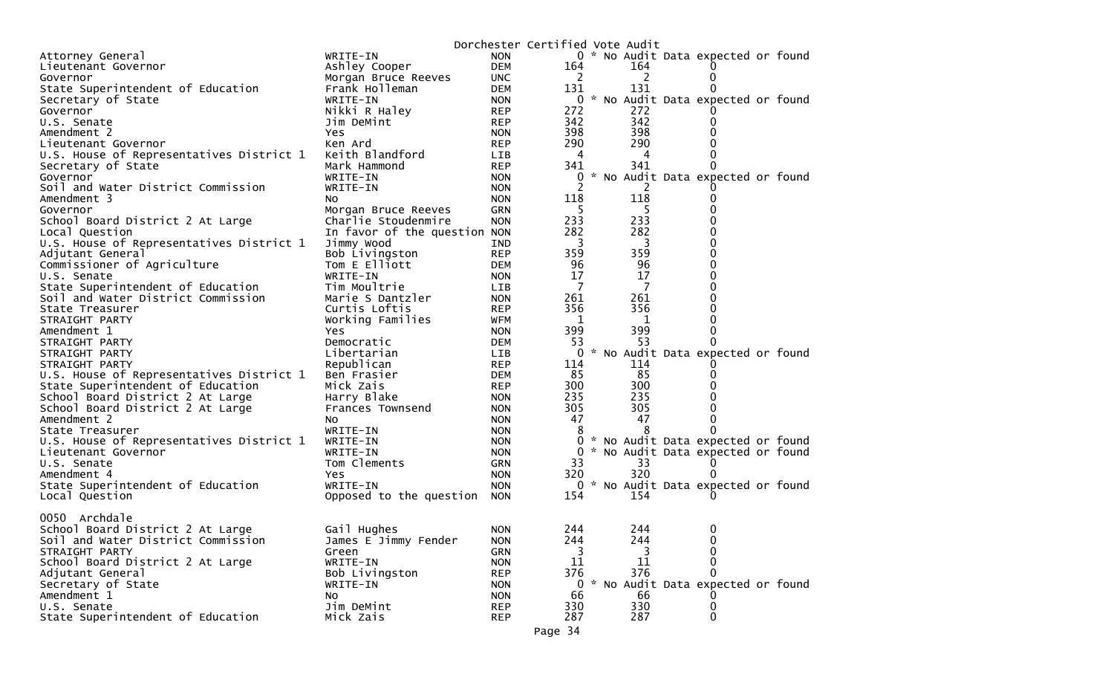|                                          |                                 |            | Dorchester Certified Vote Audit |  |     |                                     |  |
|------------------------------------------|---------------------------------|------------|---------------------------------|--|-----|-------------------------------------|--|
| Attorney General                         | WRITE-IN                        | <b>NON</b> |                                 |  |     | 0 * No Audit Data expected or found |  |
| Lieutenant Governor                      | Ashley Cooper                   | <b>DEM</b> | 164                             |  | 164 |                                     |  |
| Governor                                 | Morgan Bruce Reeves             | <b>UNC</b> | 2                               |  | 2   |                                     |  |
| State Superintendent of Education        | Frank Holleman                  | DEM        | 131                             |  | 131 |                                     |  |
| Secretary of State                       | WRITE-IN                        | <b>NON</b> |                                 |  |     | 0 * No Audit Data expected or found |  |
| Governor                                 | Nikki R Haley                   | <b>REP</b> | 272                             |  | 272 |                                     |  |
| U.S. Senate                              | Jim DeMint                      | <b>REP</b> | 342                             |  | 342 |                                     |  |
| Amendment 2                              | Yes                             | <b>NON</b> | 398                             |  | 398 |                                     |  |
| Lieutenant Governor                      | Ken Ard                         | <b>REP</b> | 290                             |  | 290 |                                     |  |
| U.S. House of Representatives District 1 | Keith Blandford                 | LIB        | 4                               |  | 4   |                                     |  |
| Secretary of State                       | Mark Hammond                    | <b>REP</b> | 341                             |  | 341 |                                     |  |
| Governor                                 | WRITE-IN                        | <b>NON</b> | 0                               |  |     | * No Audit Data expected or found   |  |
| Soil and Water District Commission       | WRITE-IN                        | <b>NON</b> |                                 |  |     |                                     |  |
| Amendment 3                              | NO.                             | <b>NON</b> | 118                             |  | 118 |                                     |  |
| Governor                                 | Morgan Bruce Reeves             | <b>GRN</b> | -5                              |  | 5   |                                     |  |
| School Board District 2 At Large         | Charlie Stoudenmire             | <b>NON</b> | 233                             |  | 233 |                                     |  |
| Local Question                           | In favor of the question NON    |            | 282                             |  | 282 |                                     |  |
| U.S. House of Representatives District 1 | Jimmy Wood                      | IND        | 3                               |  | 3   |                                     |  |
|                                          |                                 |            | 359                             |  | 359 |                                     |  |
| Adjutant General                         | Bob Livingston<br>Tom E Elliott | <b>REP</b> | 96                              |  | 96  |                                     |  |
| Commissioner of Agriculture              |                                 | <b>DEM</b> |                                 |  |     |                                     |  |
| U.S. Senate                              | WRITE-IN                        | <b>NON</b> | 17<br>- 7                       |  | 17  |                                     |  |
| State Superintendent of Education        | Tim Moultrie                    | LIB        |                                 |  | -7  |                                     |  |
| Soil and Water District Commission       | Marie S Dantzler                | <b>NON</b> | 261                             |  | 261 |                                     |  |
| State Treasurer                          | Curtis Loftis                   | <b>REP</b> | 356                             |  | 356 |                                     |  |
| STRAIGHT PARTY                           | Working Families                | <b>WFM</b> | -1                              |  | - 1 |                                     |  |
| Amendment 1                              | Yes.                            | <b>NON</b> | 399                             |  | 399 |                                     |  |
| STRAIGHT PARTY                           | Democratic                      | <b>DEM</b> | 53                              |  | 53  |                                     |  |
| STRAIGHT PARTY                           | Libertarian                     | LIB        | 0                               |  |     | * No Audit Data expected or found   |  |
| STRAIGHT PARTY                           | Republican                      | <b>REP</b> | 114                             |  | 114 |                                     |  |
| U.S. House of Representatives District 1 | Ben Frasier                     | <b>DEM</b> | 85                              |  | 85  |                                     |  |
| State Superintendent of Education        | Mick Zais                       | <b>REP</b> | 300                             |  | 300 |                                     |  |
| School Board District 2 At Large         | Harry Blake                     | <b>NON</b> | 235                             |  | 235 |                                     |  |
| School Board District 2 At Large         | Frances Townsend                | <b>NON</b> | 305                             |  | 305 |                                     |  |
| Amendment 2                              | NO.                             | <b>NON</b> | 47                              |  | 47  |                                     |  |
| State Treasurer                          | WRITE-IN                        | <b>NON</b> | 8                               |  | 8   |                                     |  |
| U.S. House of Representatives District 1 | WRITE-IN                        | <b>NON</b> | 0                               |  |     | * No Audit Data expected or found   |  |
| Lieutenant Governor                      | WRITE-IN                        | <b>NON</b> | 0                               |  |     | * No Audit Data expected or found   |  |
| U.S. Senate                              | Tom Clements                    | GRN        | 33                              |  | 33  |                                     |  |
| Amendment 4                              | Yes.                            | <b>NON</b> | 320                             |  | 320 |                                     |  |
| State Superintendent of Education        | WRITE-IN                        | <b>NON</b> |                                 |  |     | 0 * No Audit Data expected or found |  |
| Local Question                           | Opposed to the question         | <b>NON</b> | 154                             |  | 154 |                                     |  |
|                                          |                                 |            |                                 |  |     |                                     |  |
| 0050 Archdale                            |                                 |            |                                 |  |     |                                     |  |
| School Board District 2 At Large         | Gail Hughes                     | <b>NON</b> | 244                             |  | 244 | 0                                   |  |
| Soil and Water District Commission       | James E Jimmy Fender            | <b>NON</b> | 244                             |  | 244 |                                     |  |
| STRAIGHT PARTY                           | Green                           | <b>GRN</b> | 3                               |  | 3   | $\Omega$                            |  |
| School Board District 2 At Large         | WRITE-IN                        | <b>NON</b> | 11                              |  | 11  |                                     |  |
| Adjutant General                         | Bob Livingston                  | <b>REP</b> | 376                             |  | 376 |                                     |  |
| Secretary of State                       | WRITE-IN                        | <b>NON</b> | 0                               |  |     | * No Audit Data expected or found   |  |
| Amendment 1                              | No                              | <b>NON</b> | 66                              |  | 66  |                                     |  |
| U.S. Senate                              | Jim DeMint                      | <b>REP</b> | 330                             |  | 330 | 0                                   |  |
| State Superintendent of Education        | Mick Zais                       | <b>REP</b> | 287                             |  | 287 | 0                                   |  |
|                                          |                                 |            |                                 |  |     |                                     |  |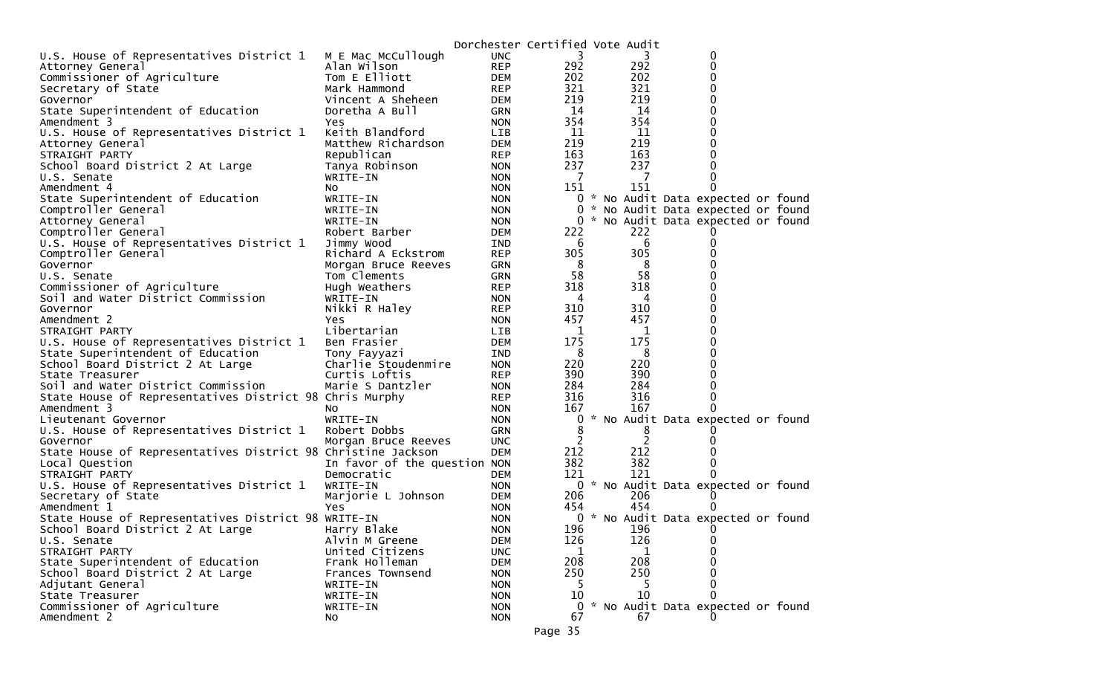|                                                              |                              |            | Dorchester Certified Vote Audit |     |                                     |  |
|--------------------------------------------------------------|------------------------------|------------|---------------------------------|-----|-------------------------------------|--|
| U.S. House of Representatives District 1                     | M E Mac McCullough           | <b>UNC</b> | 3                               | 3   | 0                                   |  |
| Attorney General                                             | Alan Wilson                  | <b>REP</b> | 292                             | 292 | 0                                   |  |
| Commissioner of Agriculture                                  | Tom E Elliott                | DEM        | 202                             | 202 | 0                                   |  |
| Secretary of State                                           | Mark Hammond                 | <b>REP</b> | 321                             | 321 | 0                                   |  |
| Governor                                                     | Vincent A Sheheen            | DEM        | 219                             | 219 | $\Omega$                            |  |
| State Superintendent of Education                            | Doretha A Bull               | <b>GRN</b> | 14                              | 14  | 0                                   |  |
| Amendment 3                                                  | Yes                          | <b>NON</b> | 354                             | 354 | 0                                   |  |
| U.S. House of Representatives District 1                     | Keith Blandford              | LIB.       | 11                              | 11  | 0                                   |  |
| Attorney General                                             | Matthew Richardson           | DEM        | 219                             | 219 | 0                                   |  |
| STRAIGHT PARTY                                               | Republican                   | <b>REP</b> | 163                             | 163 | 0                                   |  |
| School Board District 2 At Large                             | Tanya Robinson               | <b>NON</b> | 237                             | 237 | 0                                   |  |
| U.S. Senate                                                  | WRITE-IN                     | <b>NON</b> | -7                              | 7   | 0                                   |  |
| Amendment 4                                                  | NO.                          | <b>NON</b> | 151                             | 151 | 0                                   |  |
| State Superintendent of Education                            | WRITE-IN                     | NON.       |                                 |     | 0 * No Audit Data expected or found |  |
| Comptroller General                                          | WRITE-IN                     | <b>NON</b> |                                 |     | 0 * No Audit Data expected or found |  |
| Attorney General                                             | WRITE-IN                     | <b>NON</b> |                                 |     | 0 * No Audit Data expected or found |  |
| Comptroller General                                          | Robert Barber                | DEM        | 222                             | 222 |                                     |  |
| U.S. House of Representatives District 1                     | Jimmy Wood                   | IND        | 6                               | 6   | 0                                   |  |
| Comptroller General                                          | Richard A Eckstrom           | <b>REP</b> | 305                             | 305 | 0                                   |  |
| Governor                                                     | Morgan Bruce Reeves          | GRN        | 8                               | 8   | 0                                   |  |
| U.S. Senate                                                  | Tom Clements                 | GRN        | 58                              | 58  | 0                                   |  |
| Commissioner of Agriculture                                  | Hugh Weathers                | <b>REP</b> | 318                             | 318 | 0                                   |  |
| Soil and Water District Commission                           | WRITE-IN                     | <b>NON</b> | 4                               | 4   | 0                                   |  |
| Governor                                                     | Nikki R Haley                | <b>REP</b> | 310                             | 310 | 0                                   |  |
| Amendment 2                                                  | <b>Yes</b>                   | <b>NON</b> | 457                             | 457 | 0                                   |  |
| STRAIGHT PARTY                                               | Libertarian                  | LIB        | 1                               | 1   | 0                                   |  |
| U.S. House of Representatives District 1                     | Ben Frasier                  | <b>DEM</b> | 175                             | 175 | 0                                   |  |
| State Superintendent of Education                            | Tony Fayyazi                 | IND        | 8                               | 8   | 0                                   |  |
| School Board District 2 At Large                             | Charlie Stoudenmire          | <b>NON</b> | 220                             | 220 | 0                                   |  |
| State Treasurer                                              | Curtis Loftis                | <b>REP</b> | 390                             | 390 | 0                                   |  |
| Soil and Water District Commission                           | Marie S Dantzler             | <b>NON</b> | 284                             | 284 | 0                                   |  |
| State House of Representatives District 98 Chris Murphy      |                              | REP        | 316                             | 316 | 0                                   |  |
| Amendment 3                                                  | No.                          | <b>NON</b> | 167                             | 167 | 0                                   |  |
| Lieutenant Governor                                          | WRITE-IN                     | <b>NON</b> |                                 |     | 0 * No Audit Data expected or found |  |
| U.S. House of Representatives District 1                     | Robert Dobbs                 | <b>GRN</b> | 8                               | 8   |                                     |  |
| Governor                                                     | Morgan Bruce Reeves          | <b>UNC</b> | $\overline{c}$                  | 2   | 0                                   |  |
| State House of Representatives District 98 Christine Jackson |                              | <b>DEM</b> | 212                             | 212 |                                     |  |
| Local Question                                               | In favor of the question NON |            | 382                             | 382 | 0                                   |  |
| STRAIGHT PARTY                                               | Democratic                   | DEM        | 121                             | 121 | $\Omega$                            |  |
| U.S. House of Representatives District 1                     | WRITE-IN                     | <b>NON</b> |                                 |     | 0 * No Audit Data expected or found |  |
| Secretary of State                                           | Marjorie L Johnson           | DEM        | 206                             | 206 |                                     |  |
| Amendment 1                                                  | Yes                          | <b>NON</b> | 454                             | 454 |                                     |  |
| State House of Representatives District 98 WRITE-IN          |                              | <b>NON</b> |                                 |     | 0 * No Audit Data expected or found |  |
| School Board District 2 At Large                             | Harry Blake                  | <b>NON</b> | 196                             | 196 | $\Omega$                            |  |
| U.S. Senate                                                  | Alvin M Greene               | <b>DEM</b> | 126                             | 126 | 0                                   |  |
| STRAIGHT PARTY                                               | United Citizens              | <b>UNC</b> | 1                               | 1   |                                     |  |
| State Superintendent of Education                            | Frank Holleman               | <b>DEM</b> | 208                             | 208 |                                     |  |
| School Board District 2 At Large                             | Frances Townsend             | <b>NON</b> | 250                             | 250 |                                     |  |
| Adjutant General                                             | WRITE-IN                     | <b>NON</b> | 5                               |     | 0                                   |  |
| State Treasurer                                              | WRITE-IN                     | <b>NON</b> | 10                              | 10  | 0                                   |  |
| Commissioner of Agriculture                                  | WRITE-IN                     | <b>NON</b> | $\mathbf{0}$                    |     | * No Audit Data expected or found   |  |
| Amendment 2                                                  | No                           | <b>NON</b> | 67                              | 67  |                                     |  |
|                                                              |                              |            |                                 |     |                                     |  |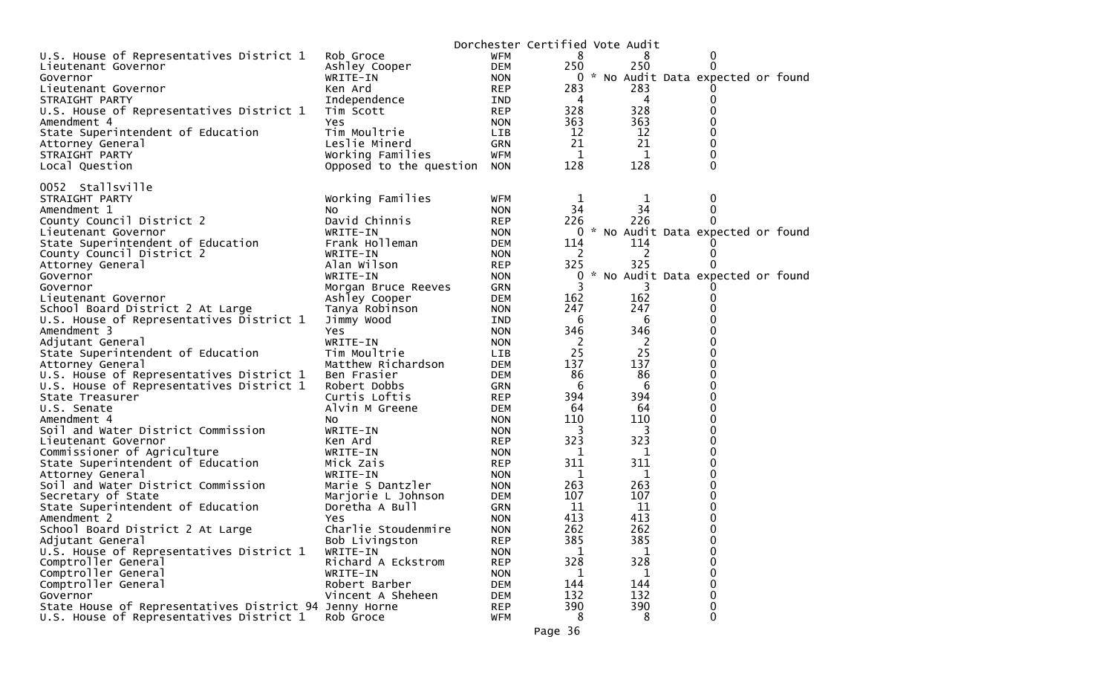|                                                                                                    |                         |                          | Dorchester Certified Vote Audit |                |                                     |
|----------------------------------------------------------------------------------------------------|-------------------------|--------------------------|---------------------------------|----------------|-------------------------------------|
| U.S. House of Representatives District 1                                                           | Rob Groce               | WFM                      | 8                               | 8              | 0                                   |
| Lieutenant Governor                                                                                | Ashley Cooper           | <b>DEM</b>               | 250                             | 250            | $\Omega$                            |
| Governor                                                                                           | WRITE-IN                | <b>NON</b>               |                                 |                | 0 * No Audit Data expected or found |
| Lieutenant Governor                                                                                | Ken Ard                 | <b>REP</b>               | 283                             | 283            |                                     |
| STRAIGHT PARTY                                                                                     | Independence            | IND                      | 4                               | 4              |                                     |
| U.S. House of Representatives District 1                                                           | Tim Scott               | <b>REP</b>               | 328                             | 328            | 0                                   |
| Amendment 4                                                                                        | Yes                     | <b>NON</b>               | 363                             | 363            | 0                                   |
| State Superintendent of Education                                                                  | Tim Moultrie            | LIB.                     | 12                              | 12             |                                     |
| Attorney General                                                                                   | Leslie Minerd           | <b>GRN</b>               | 21                              | 21             | $\Omega$                            |
| STRAIGHT PARTY                                                                                     | Working Families        | WFM                      | 1                               | 1              | 0                                   |
| Local Question                                                                                     | Opposed to the question | <b>NON</b>               | 128                             | 128            | 0                                   |
|                                                                                                    |                         |                          |                                 |                |                                     |
| 0052 Stallsville                                                                                   |                         |                          |                                 |                |                                     |
| STRAIGHT PARTY                                                                                     | Working Families        | WFM                      | 1                               | 1              | 0                                   |
| Amendment 1                                                                                        | NO                      | <b>NON</b>               | 34                              | 34             | 0                                   |
| County Council District 2                                                                          | David Chinnis           | <b>REP</b>               | 226                             | 226            |                                     |
| Lieutenant Governor                                                                                | WRITE-IN                | <b>NON</b>               |                                 |                | 0 * No Audit Data expected or found |
| State Superintendent of Education                                                                  | Frank Holleman          | <b>DEM</b>               | 114                             | 114            |                                     |
| County Council District 2                                                                          | WRITE-IN                | <b>NON</b>               | 2                               | 2              | $\Omega$                            |
| Attorney General                                                                                   | Alan Wilson             | <b>REP</b>               | 325                             | 325            |                                     |
| Governor                                                                                           | WRITE-IN                | <b>NON</b>               | 0<br>*                          |                | No Audit Data expected or found     |
| Governor                                                                                           | Morgan Bruce Reeves     | <b>GRN</b>               | 3                               | 3              |                                     |
| Lieutenant Governor                                                                                | Ashley Cooper           | <b>DEM</b>               | 162                             | 162            | 0<br>0                              |
| School Board District 2 At Large                                                                   | Tanya Robinson          | <b>NON</b>               | 247<br>6                        | 247            | 0                                   |
| U.S. House of Representatives District 1<br>Amendment 3                                            | Jimmy Wood<br>Yes       | IND                      | 346                             | 6<br>346       |                                     |
| Adjutant General                                                                                   | WRITE-IN                | <b>NON</b><br><b>NON</b> | 2                               | $\overline{2}$ | 0                                   |
| State Superintendent of Education                                                                  | Tim Moultrie            | <b>LIB</b>               | 25                              | 25             | 0                                   |
| Attorney General                                                                                   | Matthew Richardson      | <b>DEM</b>               | 137                             | 137            | 0                                   |
| U.S. House of Representatives District 1                                                           | Ben Frasier             | <b>DEM</b>               | 86                              | 86             | 0                                   |
| U.S. House of Representatives District 1                                                           | Robert Dobbs            | <b>GRN</b>               | 6                               | 6              | 0                                   |
| State Treasurer                                                                                    | Curtis Loftis           | <b>REP</b>               | 394                             | 394            | 0                                   |
| U.S. Senate                                                                                        | Alvin M Greene          | DEM                      | 64                              | 64             | $\Omega$                            |
| Amendment 4                                                                                        | NO.                     | <b>NON</b>               | 110                             | 110            | 0                                   |
| Soil and Water District Commission                                                                 | WRITE-IN                | <b>NON</b>               | 3                               | 3              | 0                                   |
| Lieutenant Governor                                                                                | Ken Ard                 | <b>REP</b>               | 323                             | 323            | 0                                   |
| Commissioner of Agriculture                                                                        | WRITE-IN                | <b>NON</b>               | 1                               | 1              | 0                                   |
| State Superintendent of Education                                                                  | Mick Zais               | <b>REP</b>               | 311                             | 311            | 0                                   |
| Attorney General                                                                                   | WRITE-IN                | <b>NON</b>               | 1                               | 1              | 0                                   |
| Soil and Water District Commission                                                                 | Marie S Dantzler        | <b>NON</b>               | 263                             | 263            | 0                                   |
| Secretary of State                                                                                 | Marjorie L Johnson      | <b>DEM</b>               | 107                             | 107            | 0                                   |
| State Superintendent of Education                                                                  | Doretha A Bull          | <b>GRN</b>               | 11                              | 11             | 0                                   |
| Amendment 2                                                                                        | Yes.                    | <b>NON</b>               | 413                             | 413            | 0                                   |
| School Board District 2 At Large                                                                   | Charlie Stoudenmire     | <b>NON</b>               | 262                             | 262            | ∩                                   |
| Adjutant General                                                                                   | Bob Livingston          | <b>REP</b>               | 385                             | 385            | 0                                   |
| U.S. House of Representatives District 1                                                           | WRITE-IN                | <b>NON</b>               | 1                               | 1              | 0                                   |
| Comptroller General                                                                                | Richard A Eckstrom      | <b>REP</b>               | 328                             | 328            | 0                                   |
| Comptroller General                                                                                | WRITE-IN                | <b>NON</b>               | $\mathbf 1$                     | 1              | $\Omega$                            |
| Comptroller General                                                                                | Robert Barber           | <b>DEM</b>               | 144                             | 144            |                                     |
| Governor                                                                                           | Vincent A Sheheen       | <b>DEM</b>               | 132<br>390                      | 132<br>390     | $\Omega$                            |
| State House of Representatives District 94 Jenny Horne<br>U.S. House of Representatives District 1 | Rob Groce               | <b>REP</b><br>WFM        | 8                               | 8              | 0<br>0                              |
|                                                                                                    |                         |                          |                                 |                |                                     |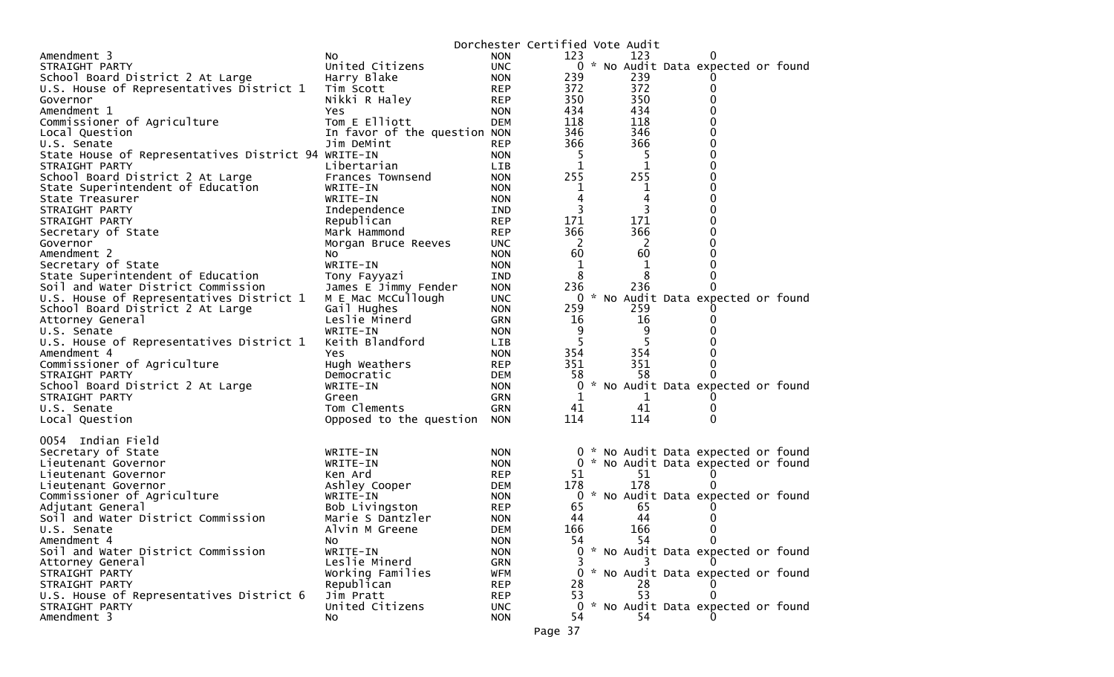|                                                        |                                |                   | Dorchester Certified Vote Audit |           |                                     |  |
|--------------------------------------------------------|--------------------------------|-------------------|---------------------------------|-----------|-------------------------------------|--|
| Amendment 3                                            | NO.                            | <b>NON</b>        | 123                             | 123       |                                     |  |
| STRAIGHT PARTY                                         | United Citizens                | <b>UNC</b>        |                                 |           | 0 * No Audit Data expected or found |  |
| School Board District 2 At Large                       | Harry Blake                    | <b>NON</b>        | 239                             | 239       |                                     |  |
| U.S. House of Representatives District 1               | Tim Scott                      | <b>REP</b>        | 372                             | 372       |                                     |  |
| Governor                                               | Nikki R Haley                  | <b>REP</b>        | 350                             | 350       |                                     |  |
| Amendment 1                                            | Yes                            | <b>NON</b>        | 434                             | 434       |                                     |  |
| Commissioner of Agriculture                            | Tom E Elliott                  | <b>DEM</b>        | 118                             | 118       |                                     |  |
| Local Question                                         | In favor of the question NON   |                   | 346                             | 346       |                                     |  |
| U.S. Senate                                            | Jim DeMint                     | <b>REP</b>        | 366                             | 366       |                                     |  |
| State House of Representatives District 94 WRITE-IN    |                                | <b>NON</b>        |                                 | -5        |                                     |  |
| STRAIGHT PARTY                                         | Libertarian                    | <b>LIB</b>        | 1                               | 1         |                                     |  |
| School Board District 2 At Large                       | Frances Townsend               | <b>NON</b>        | 255                             | 255       |                                     |  |
| State Superintendent of Education                      | WRITE-IN                       | <b>NON</b>        | 1                               | 1         |                                     |  |
| State Treasurer                                        | WRITE-IN                       | <b>NON</b>        | 4                               | 4         |                                     |  |
| STRAIGHT PARTY                                         | Independence                   | IND               | 3                               | 3         |                                     |  |
| STRAIGHT PARTY                                         | Republican                     | <b>REP</b>        | 171                             | 171       |                                     |  |
| Secretary of State                                     | Mark Hammond                   | <b>REP</b>        | 366                             | 366       |                                     |  |
| Governor                                               | Morgan Bruce Reeves            | <b>UNC</b>        | 2                               | 2         |                                     |  |
| Amendment 2                                            | No.                            | <b>NON</b>        | 60                              | 60        |                                     |  |
| Secretary of State                                     | WRITE-IN                       | <b>NON</b>        | 1                               | 1         |                                     |  |
| State Superintendent of Education                      | Tony Fayyazi                   | IND               | 8                               | 8         |                                     |  |
| Soil and Water District Commission                     | James E Jimmy Fender           | <b>NON</b>        | 236                             | 236       |                                     |  |
| U.S. House of Representatives District 1               | M E Mac McCullough             | <b>UNC</b>        | 0                               |           | * No Audit Data expected or found   |  |
| School Board District 2 At Large                       | Gail Hughes                    | <b>NON</b>        | 259                             | 259       |                                     |  |
| Attorney General                                       | Leslie Minerd                  | GRN               | 16                              | 16        |                                     |  |
| U.S. Senate                                            | WRITE-IN                       | <b>NON</b>        | 9                               | 9         |                                     |  |
| U.S. House of Representatives District 1               | Keith Blandford                | <b>LIB</b>        | 5                               | 5         |                                     |  |
| Amendment 4                                            | Yes                            | <b>NON</b>        | 354                             | 354       |                                     |  |
| Commissioner of Agriculture                            | Hugh Weathers                  | <b>REP</b>        | 351                             | 351       |                                     |  |
| STRAIGHT PARTY                                         | Democratic                     | <b>DEM</b>        | 58                              | 58        |                                     |  |
| School Board District 2 At Large                       | WRITE-IN                       | <b>NON</b>        | 0                               |           | * No Audit Data expected or found   |  |
| STRAIGHT PARTY                                         | Green                          | GRN               | 1                               | 1         |                                     |  |
| U.S. Senate                                            | Tom Clements                   | GRN               | 41                              | 41        |                                     |  |
| Local Question                                         | Opposed to the question        | <b>NON</b>        | 114                             | 114       | 0                                   |  |
|                                                        |                                |                   |                                 |           |                                     |  |
| 0054 Indian Field                                      |                                |                   |                                 |           |                                     |  |
| Secretary of State                                     | WRITE-IN                       | <b>NON</b>        |                                 |           | 0 * No Audit Data expected or found |  |
| Lieutenant Governor                                    | WRITE-IN                       | <b>NON</b>        |                                 |           | 0 * No Audit Data expected or found |  |
| Lieutenant Governor                                    | Ken Ard                        | <b>REP</b>        | 51                              | 51        |                                     |  |
| Lieutenant Governor                                    | Ashley Cooper                  | DEM               | 178                             | 178       |                                     |  |
| Commissioner of Agriculture                            | WRITE-IN                       | <b>NON</b>        | 0                               |           | * No Audit Data expected or found   |  |
| Adjutant General<br>Soil and Water District Commission | Bob Livingston                 | <b>REP</b>        | 65<br>44                        | 65<br>44  |                                     |  |
|                                                        | Marie S Dantzler               | <b>NON</b>        |                                 |           |                                     |  |
| U.S. Senate                                            | Alvin M Greene                 | <b>DEM</b>        | 166                             | 166<br>54 | 0                                   |  |
| Amendment 4                                            | NO.                            | <b>NON</b>        | 54.                             |           |                                     |  |
| Soil and Water District Commission                     | WRITE-IN<br>Leslie Minerd      | <b>NON</b>        |                                 |           | 0 * No Audit Data expected or found |  |
| Attorney General<br>STRAIGHT PARTY                     |                                | GRN               |                                 |           | * No Audit Data expected or found   |  |
|                                                        | Working Families<br>Republican | WFM<br><b>REP</b> | 28                              |           |                                     |  |
| STRAIGHT PARTY                                         | Jim Pratt                      | <b>REP</b>        | 53                              | 28<br>53  |                                     |  |
| U.S. House of Representatives District 6               |                                |                   | 0                               |           | * No Audit Data expected or found   |  |
| STRAIGHT PARTY<br>Amendment 3                          | United Citizens                | <b>UNC</b>        |                                 | 54        |                                     |  |
|                                                        | No.                            | <b>NON</b>        | 54                              |           |                                     |  |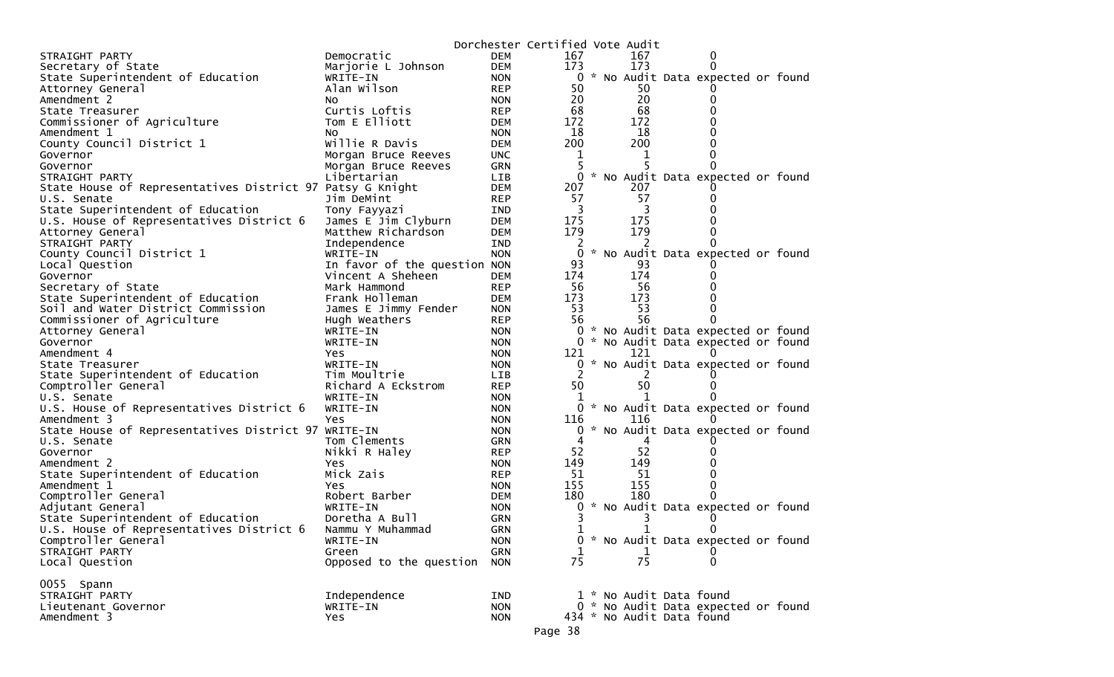|                                                           |                              |            | Dorchester Certified Vote Audit |  |                           |                                     |  |
|-----------------------------------------------------------|------------------------------|------------|---------------------------------|--|---------------------------|-------------------------------------|--|
| STRAIGHT PARTY                                            | Democratic                   | <b>DEM</b> | 167                             |  | 167                       |                                     |  |
| Secretary of State                                        | Marjorie L Johnson           | <b>DEM</b> | 173                             |  | 173                       |                                     |  |
| State Superintendent of Education                         | WRITE-IN                     | <b>NON</b> |                                 |  |                           | 0 * No Audit Data expected or found |  |
| Attorney General                                          | Alan Wilson                  | <b>REP</b> | 50                              |  | 50                        |                                     |  |
| Amendment 2                                               | <b>NO</b>                    | <b>NON</b> | 20                              |  | 20                        |                                     |  |
| State Treasurer                                           | Curtis Loftis                | <b>REP</b> | 68                              |  | 68                        |                                     |  |
| Commissioner of Agriculture                               | Tom E Elliott                | <b>DEM</b> | 172                             |  | 172                       |                                     |  |
| Amendment 1                                               | NO.                          | <b>NON</b> | 18                              |  | 18                        |                                     |  |
| County Council District 1                                 | Willie R Davis               | <b>DEM</b> | 200                             |  | 200                       |                                     |  |
| Governor                                                  | Morgan Bruce Reeves          | <b>UNC</b> | 1                               |  |                           |                                     |  |
| Governor                                                  | Morgan Bruce Reeves          | GRN        | 5                               |  |                           |                                     |  |
| STRAIGHT PARTY                                            | Libertarian                  | LIB        | 0                               |  |                           | * No Audit Data expected or found   |  |
| State House of Representatives District 97 Patsy G Knight |                              | <b>DEM</b> | 207                             |  | 207                       |                                     |  |
| U.S. Senate                                               | Jim DeMint                   | <b>REP</b> | 57                              |  | 57                        |                                     |  |
| State Superintendent of Education                         | Tony Fayyazi                 | IND        | 3                               |  | 3                         |                                     |  |
| U.S. House of Representatives District 6                  | James E Jim Clyburn          | <b>DEM</b> | 175                             |  | 175                       |                                     |  |
| Attorney General                                          | Matthew Richardson           | <b>DEM</b> | 179                             |  | 179                       |                                     |  |
| STRAIGHT PARTY                                            | Independence                 | IND        | 2                               |  | 2                         |                                     |  |
| County Council District 1                                 | WRITE-IN                     | <b>NON</b> | 0                               |  |                           | * No Audit Data expected or found   |  |
| Local Question                                            | In favor of the question NON |            | 93                              |  | 93                        |                                     |  |
|                                                           | Vincent A Sheheen            | <b>DEM</b> | 174                             |  | 174                       |                                     |  |
| Governor                                                  | Mark Hammond                 | <b>REP</b> | 56                              |  | 56                        |                                     |  |
| Secretary of State<br>State Superintendent of Education   | Frank Holleman               | <b>DEM</b> | 173                             |  | 173                       |                                     |  |
| Soil and Water District Commission                        |                              |            | 53                              |  | 53                        |                                     |  |
|                                                           | James E Jimmy Fender         | <b>NON</b> | 56                              |  | 56                        |                                     |  |
| Commissioner of Agriculture                               | Hugh Weathers                | <b>REP</b> |                                 |  |                           |                                     |  |
| Attorney General                                          | WRITE-IN                     | <b>NON</b> | 0                               |  |                           | * No Audit Data expected or found   |  |
| Governor                                                  | WRITE-IN                     | <b>NON</b> |                                 |  |                           | 0 * No Audit Data expected or found |  |
| Amendment 4                                               | <b>Yes</b>                   | <b>NON</b> | 121                             |  | 121                       |                                     |  |
| State Treasurer                                           | WRITE-IN                     | <b>NON</b> | 0                               |  |                           | * No Audit Data expected or found   |  |
| State Superintendent of Education                         | Tim Moultrie                 | LIB        | 2                               |  | 2                         |                                     |  |
| Comptroller General                                       | Richard A Eckstrom           | <b>REP</b> | 50                              |  | 50                        |                                     |  |
| U.S. Senate                                               | WRITE-IN                     | <b>NON</b> |                                 |  |                           |                                     |  |
| U.S. House of Representatives District 6                  | WRITE-IN                     | <b>NON</b> |                                 |  |                           | 0 * No Audit Data expected or found |  |
| Amendment 3                                               | Yes                          | <b>NON</b> | 116                             |  | 116                       |                                     |  |
| State House of Representatives District 97 WRITE-IN       |                              | <b>NON</b> | 0                               |  |                           | * No Audit Data expected or found   |  |
| U.S. Senate                                               | Tom Clements                 | <b>GRN</b> |                                 |  |                           |                                     |  |
| Governor                                                  | Nikki R Haley                | <b>REP</b> | 52                              |  | 52                        |                                     |  |
| Amendment 2                                               | Yes                          | <b>NON</b> | 149                             |  | 149                       |                                     |  |
| State Superintendent of Education                         | Mick Zais                    | <b>REP</b> | 51                              |  | -51                       |                                     |  |
| Amendment 1                                               | Yes.                         | <b>NON</b> | 155                             |  | 155                       |                                     |  |
| Comptroller General                                       | Robert Barber                | <b>DEM</b> | 180                             |  | 180                       |                                     |  |
| Adjutant General                                          | WRITE-IN                     | <b>NON</b> | 0                               |  |                           | * No Audit Data expected or found   |  |
| State Superintendent of Education                         | Doretha A Bull               | <b>GRN</b> |                                 |  |                           |                                     |  |
| U.S. House of Representatives District 6                  | Nammu Y Muhammad             | <b>GRN</b> | 1                               |  | 1                         |                                     |  |
| Comptroller General                                       | WRITE-IN                     | <b>NON</b> |                                 |  |                           | 0 * No Audit Data expected or found |  |
| STRAIGHT PARTY                                            | Green                        | <b>GRN</b> | 1                               |  | $\mathbf 1$               | $\Omega$                            |  |
| Local Question                                            | Opposed to the question      | <b>NON</b> | 75                              |  | 75                        | $\Omega$                            |  |
|                                                           |                              |            |                                 |  |                           |                                     |  |
| 0055 Spann                                                |                              |            |                                 |  |                           |                                     |  |
| STRAIGHT PARTY                                            | Independence                 | IND        |                                 |  | 1 * No Audit Data found   |                                     |  |
| Lieutenant Governor                                       | WRITE-IN                     | <b>NON</b> |                                 |  |                           | 0 * No Audit Data expected or found |  |
| Amendment 3                                               | Yes                          | <b>NON</b> |                                 |  | 434 * No Audit Data found |                                     |  |
|                                                           |                              |            | Page 38                         |  |                           |                                     |  |
|                                                           |                              |            |                                 |  |                           |                                     |  |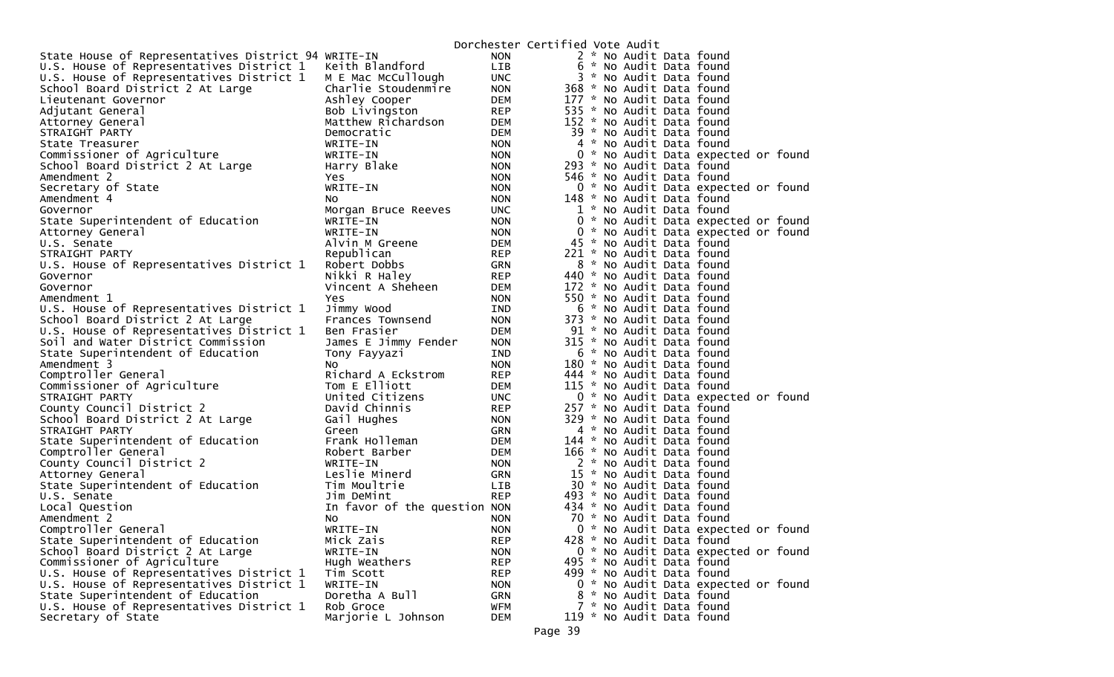|                                                     |                              |            | Dorchester Certified Vote Audit |  |                           |                                     |  |
|-----------------------------------------------------|------------------------------|------------|---------------------------------|--|---------------------------|-------------------------------------|--|
| State House of Representatives District 94 WRITE-IN |                              | <b>NON</b> |                                 |  | 2 * No Audit Data found   |                                     |  |
| U.S. House of Representatives District 1            | Keith Blandford              | LIB        |                                 |  | 6 * No Audit Data found   |                                     |  |
| U.S. House of Representatives District 1            | M E Mac McCullough           | <b>UNC</b> |                                 |  | 3 * No Audit Data found   |                                     |  |
| School Board District 2 At Large                    | Charlie Stoudenmire          | <b>NON</b> |                                 |  | 368 * No Audit Data found |                                     |  |
| Lieutenant Governor                                 | Ashley Cooper                | DEM        |                                 |  | 177 * No Audit Data found |                                     |  |
| Adjutant General                                    | Bob Livingston               | <b>REP</b> |                                 |  | 535 * No Audit Data found |                                     |  |
| Attorney General                                    | Matthew Richardson           | <b>DEM</b> |                                 |  | 152 * No Audit Data found |                                     |  |
| STRAIGHT PARTY                                      | Democratic                   | DEM        |                                 |  | 39 * No Audit Data found  |                                     |  |
| State Treasurer                                     | WRITE-IN                     | <b>NON</b> |                                 |  | 4 * No Audit Data found   |                                     |  |
| Commissioner of Agriculture                         | WRITE-IN                     | <b>NON</b> |                                 |  |                           | 0 * No Audit Data expected or found |  |
| School Board District 2 At Large                    | Harry Blake                  | <b>NON</b> |                                 |  | 293 * No Audit Data found |                                     |  |
| Amendment 2                                         | Yes                          | <b>NON</b> |                                 |  | 546 * No Audit Data found |                                     |  |
| Secretary of State                                  | WRITE-IN                     | <b>NON</b> |                                 |  |                           | 0 * No Audit Data expected or found |  |
| Amendment 4                                         | NO.                          | <b>NON</b> |                                 |  | 148 * No Audit Data found |                                     |  |
| Governor                                            | Morgan Bruce Reeves          | <b>UNC</b> |                                 |  | 1 * No Audit Data found   |                                     |  |
| State Superintendent of Education                   | WRITE-IN                     | <b>NON</b> |                                 |  |                           | 0 * No Audit Data expected or found |  |
| Attorney General                                    | WRITE-IN                     | <b>NON</b> |                                 |  |                           | 0 * No Audit Data expected or found |  |
| U.S. Senate                                         | Alvin M Greene               | <b>DEM</b> |                                 |  | 45 * No Audit Data found  |                                     |  |
| STRAIGHT PARTY                                      | Republican                   | <b>REP</b> |                                 |  | 221 * No Audit Data found |                                     |  |
| U.S. House of Representatives District 1            | Robert Dobbs                 | GRN        |                                 |  | 8 * No Audit Data found   |                                     |  |
| Governor                                            | Nikki R Haley                | <b>REP</b> |                                 |  | 440 * No Audit Data found |                                     |  |
| Governor                                            | Vincent A Sheheen            | <b>DEM</b> |                                 |  | 172 * No Audit Data found |                                     |  |
| Amendment 1                                         | Yes                          | <b>NON</b> |                                 |  | 550 * No Audit Data found |                                     |  |
| U.S. House of Representatives District 1            | Jimmy Wood                   | <b>IND</b> |                                 |  | 6 * No Audit Data found   |                                     |  |
| School Board District 2 At Large                    | Frances Townsend             | <b>NON</b> |                                 |  | 373 * No Audit Data found |                                     |  |
| U.S. House of Representatives District 1            | Ben Frasier                  | <b>DEM</b> |                                 |  | 91 * No Audit Data found  |                                     |  |
| Soil and Water District Commission                  | James E Jimmy Fender         | <b>NON</b> |                                 |  | 315 * No Audit Data found |                                     |  |
| State Superintendent of Education                   | Tony Fayyazi                 | IND        |                                 |  | 6 * No Audit Data found   |                                     |  |
| Amendment 3                                         | NO.                          | <b>NON</b> |                                 |  | 180 * No Audit Data found |                                     |  |
| Comptroller General                                 | Richard A Eckstrom           | <b>REP</b> |                                 |  | 444 * No Audit Data found |                                     |  |
| Commissioner of Agriculture                         | Tom E Elliott                | DEM        |                                 |  | 115 * No Audit Data found |                                     |  |
| STRAIGHT PARTY                                      | United Citizens              | <b>UNC</b> |                                 |  |                           | 0 * No Audit Data expected or found |  |
| County Council District 2                           | David Chinnis                | <b>REP</b> |                                 |  | 257 * No Audit Data found |                                     |  |
| School Board District 2 At Large                    | Gail Hughes                  | <b>NON</b> |                                 |  | 329 * No Audit Data found |                                     |  |
| STRAIGHT PARTY                                      | Green                        | GRN        |                                 |  | 4 * No Audit Data found   |                                     |  |
| State Superintendent of Education                   | Frank Holleman               | <b>DEM</b> |                                 |  | 144 * No Audit Data found |                                     |  |
| Comptroller General                                 | Robert Barber                | DEM        |                                 |  | 166 * No Audit Data found |                                     |  |
| County Council District 2                           | WRITE-IN                     | <b>NON</b> |                                 |  | 2 * No Audit Data found   |                                     |  |
| Attorney General                                    | Leslie Minerd                | GRN        |                                 |  | 15 * No Audit Data found  |                                     |  |
| State Superintendent of Education                   | Tim Moultrie                 | LIB        |                                 |  | 30 * No Audit Data found  |                                     |  |
| U.S. Senate                                         | Jim DeMint                   | <b>REP</b> |                                 |  | 493 * No Audit Data found |                                     |  |
| Local Question                                      | In favor of the question NON |            |                                 |  | 434 * No Audit Data found |                                     |  |
| Amendment 2                                         | No                           | <b>NON</b> |                                 |  | 70 * No Audit Data found  |                                     |  |
| Comptroller General                                 | WRITE-IN                     | <b>NON</b> |                                 |  |                           | 0 * No Audit Data expected or found |  |
| State Superintendent of Education                   | Mick Zais                    | <b>REP</b> |                                 |  | 428 * No Audit Data found |                                     |  |
| School Board District 2 At Large                    | WRITE-IN                     | <b>NON</b> |                                 |  |                           | 0 * No Audit Data expected or found |  |
| Commissioner of Agriculture                         | Hugh Weathers                | <b>REP</b> |                                 |  | 495 * No Audit Data found |                                     |  |
| U.S. House of Representatives District 1            | Tim Scott                    | <b>REP</b> |                                 |  | 499 * No Audit Data found |                                     |  |
| U.S. House of Representatives District 1            | WRITE-IN                     | <b>NON</b> |                                 |  |                           | 0 * No Audit Data expected or found |  |
| State Superintendent of Education                   | Doretha A Bull               | <b>GRN</b> |                                 |  | 8 * No Audit Data found   |                                     |  |
| U.S. House of Representatives District 1            | Rob Groce                    | <b>WFM</b> |                                 |  | 7 * No Audit Data found   |                                     |  |
| Secretary of State                                  | Marjorie L Johnson           | <b>DEM</b> |                                 |  | 119 * No Audit Data found |                                     |  |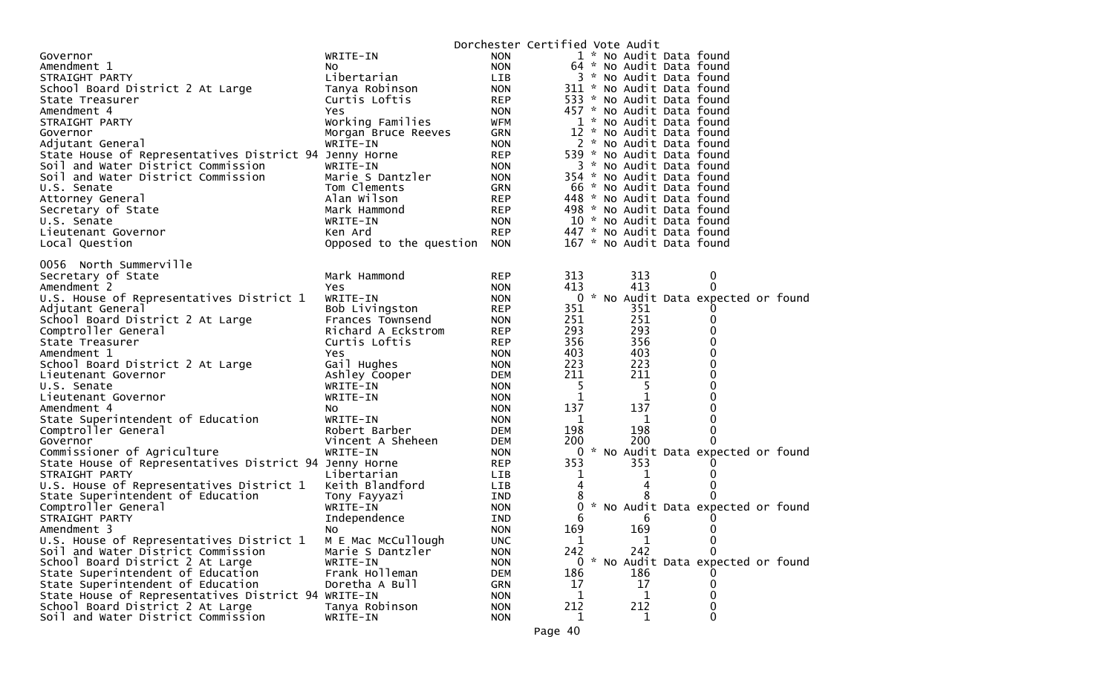| 1 * No Audit Data found<br>WRITE-IN<br><b>NON</b><br>Governor<br>64 * No Audit Data found<br><b>NON</b><br>Amendment 1<br>NO.<br>Libertarian<br>3 * No Audit Data found<br>STRAIGHT PARTY<br>LIB<br>311 * No Audit Data found<br>School Board District 2 At Large<br>Tanya Robinson<br><b>NON</b><br>533 * No Audit Data found<br>Curtis Loftis<br><b>REP</b><br>State Treasurer<br>457 * No Audit Data found<br>Amendment 4<br><b>Yes</b><br><b>NON</b><br>Working Families<br>1 * No Audit Data found<br>STRAIGHT PARTY<br>WFM<br>GRN<br>12 * No Audit Data found<br>Morgan Bruce Reeves<br>Governor<br>WRITE-IN<br>2 * No Audit Data found<br>Adjutant General<br><b>NON</b><br>539 * No Audit Data found<br>State House of Representatives District 94 Jenny Horne<br><b>REP</b><br>Soil and Water District Commission<br>WRITE-IN<br><b>NON</b><br>3 * No Audit Data found<br>Soil and Water District Commission<br>Marie S Dantzler<br>354 * No Audit Data found<br><b>NON</b><br>Tom Clements<br>66 * No Audit Data found<br><b>GRN</b><br>U.S. Senate<br>Alan Wilson<br><b>REP</b><br>448 * No Audit Data found<br>Attorney General<br>Secretary of State<br>Mark Hammond<br>498 * No Audit Data found<br>REP<br>10 * No Audit Data found<br>U.S. Senate<br>WRITE-IN<br><b>NON</b><br><b>REP</b><br>447 * No Audit Data found<br>Lieutenant Governor<br>Ken Ard<br>167 * No Audit Data found<br>Local Question<br>Opposed to the question<br><b>NON</b><br>0056 North Summerville<br>Secretary of State<br>Mark Hammond<br>313<br><b>REP</b><br>313<br>0<br>413<br>413<br>Amendment 2<br>0<br><b>NON</b><br>Yes<br>0 * No Audit Data expected or found<br>U.S. House of Representatives District 1<br>WRITE-IN<br><b>NON</b><br>351<br>351<br>Adjutant General<br>Bob Livingston<br><b>REP</b><br>251<br>251<br>School Board District 2 At Large<br>Frances Townsend<br><b>NON</b><br>293<br>293<br>Comptroller General<br>Richard A Eckstrom<br><b>REP</b><br>356<br>356<br>0<br>Curtis Loftis<br>State Treasurer<br><b>REP</b><br>0<br>403<br>403<br><b>NON</b><br>Amendment 1<br>Yes<br>0<br>223<br>223<br>Gail Hughes<br>School Board District 2 At Large<br><b>NON</b><br>0<br>211<br>211<br>Ashley Cooper<br><b>DEM</b><br>Lieutenant Governor<br>0<br>WRITE-IN<br>5.<br>5.<br>U.S. Senate<br><b>NON</b><br>1<br>1<br>Lieutenant Governor<br>WRITE-IN<br><b>NON</b><br>137<br>137<br>0<br>Amendment 4<br><b>NON</b><br>NO.<br>0<br>State Superintendent of Education<br>WRITE-IN<br><b>NON</b><br>1<br>1<br>Comptroller General<br>198<br>198<br>0<br>Robert Barber<br><b>DEM</b><br>200<br>200<br>0<br>Governor<br>Vincent A Sheheen<br><b>DEM</b><br>Commissioner of Agriculture<br>0 * No Audit Data expected or found<br>WRITE-IN<br><b>NON</b><br>353<br>353<br>State House of Representatives District 94 Jenny Horne<br><b>REP</b><br>STRAIGHT PARTY<br>Libertarian<br><b>LIB</b><br>1<br>1<br>4<br>U.S. House of Representatives District 1<br>Keith Blandford<br>LIB<br>4<br>8<br>State Superintendent of Education<br>IND<br>Tony Fayyazi<br>0<br>* No Audit Data expected or found<br>Comptroller General<br>WRITE-IN<br>0<br><b>NON</b><br>STRAIGHT PARTY<br>Independence<br>IND<br>6<br>6<br>169<br>169<br>0<br><b>NON</b><br>Amendment 3<br>No<br>U.S. House of Representatives District 1<br>M E Mac McCullough<br><b>UNC</b><br>1<br>$\bf{0}$<br>T<br>242<br>242<br>Soil and Water District Commission<br>Marie S Dantzler<br>0<br><b>NON</b><br>0 * No Audit Data expected or found<br>School Board District 2 At Large<br>WRITE-IN<br><b>NON</b><br>Frank Holleman<br>186<br>State Superintendent of Education<br>DEM<br>186<br>17<br>17<br>State Superintendent of Education<br>Doretha A Bull<br>GRN<br>0<br>State House of Representatives District 94 WRITE-IN<br><b>NON</b><br>1<br>1<br>0<br>212<br>School Board District 2 At Large<br>Tanya Robinson<br><b>NON</b><br>212<br>0<br>Soil and Water District Commission<br><b>NON</b><br>WRITE-IN<br>1<br>1 |  | Dorchester Certified Vote Audit |  |  |  |
|--------------------------------------------------------------------------------------------------------------------------------------------------------------------------------------------------------------------------------------------------------------------------------------------------------------------------------------------------------------------------------------------------------------------------------------------------------------------------------------------------------------------------------------------------------------------------------------------------------------------------------------------------------------------------------------------------------------------------------------------------------------------------------------------------------------------------------------------------------------------------------------------------------------------------------------------------------------------------------------------------------------------------------------------------------------------------------------------------------------------------------------------------------------------------------------------------------------------------------------------------------------------------------------------------------------------------------------------------------------------------------------------------------------------------------------------------------------------------------------------------------------------------------------------------------------------------------------------------------------------------------------------------------------------------------------------------------------------------------------------------------------------------------------------------------------------------------------------------------------------------------------------------------------------------------------------------------------------------------------------------------------------------------------------------------------------------------------------------------------------------------------------------------------------------------------------------------------------------------------------------------------------------------------------------------------------------------------------------------------------------------------------------------------------------------------------------------------------------------------------------------------------------------------------------------------------------------------------------------------------------------------------------------------------------------------------------------------------------------------------------------------------------------------------------------------------------------------------------------------------------------------------------------------------------------------------------------------------------------------------------------------------------------------------------------------------------------------------------------------------------------------------------------------------------------------------------------------------------------------------------------------------------------------------------------------------------------------------------------------------------------------------------------------------------------------------------------------------------------------------------------------------------------------------------------------------------------------------------------------------------------------------------------------------------------------------------------------------------------------------------------------------------------------------------------------------------------------------------------------------------------------------------------------------------------------------------------------------------------------------------|--|---------------------------------|--|--|--|
|                                                                                                                                                                                                                                                                                                                                                                                                                                                                                                                                                                                                                                                                                                                                                                                                                                                                                                                                                                                                                                                                                                                                                                                                                                                                                                                                                                                                                                                                                                                                                                                                                                                                                                                                                                                                                                                                                                                                                                                                                                                                                                                                                                                                                                                                                                                                                                                                                                                                                                                                                                                                                                                                                                                                                                                                                                                                                                                                                                                                                                                                                                                                                                                                                                                                                                                                                                                                                                                                                                                                                                                                                                                                                                                                                                                                                                                                                                                                                                                                  |  |                                 |  |  |  |
|                                                                                                                                                                                                                                                                                                                                                                                                                                                                                                                                                                                                                                                                                                                                                                                                                                                                                                                                                                                                                                                                                                                                                                                                                                                                                                                                                                                                                                                                                                                                                                                                                                                                                                                                                                                                                                                                                                                                                                                                                                                                                                                                                                                                                                                                                                                                                                                                                                                                                                                                                                                                                                                                                                                                                                                                                                                                                                                                                                                                                                                                                                                                                                                                                                                                                                                                                                                                                                                                                                                                                                                                                                                                                                                                                                                                                                                                                                                                                                                                  |  |                                 |  |  |  |
|                                                                                                                                                                                                                                                                                                                                                                                                                                                                                                                                                                                                                                                                                                                                                                                                                                                                                                                                                                                                                                                                                                                                                                                                                                                                                                                                                                                                                                                                                                                                                                                                                                                                                                                                                                                                                                                                                                                                                                                                                                                                                                                                                                                                                                                                                                                                                                                                                                                                                                                                                                                                                                                                                                                                                                                                                                                                                                                                                                                                                                                                                                                                                                                                                                                                                                                                                                                                                                                                                                                                                                                                                                                                                                                                                                                                                                                                                                                                                                                                  |  |                                 |  |  |  |
|                                                                                                                                                                                                                                                                                                                                                                                                                                                                                                                                                                                                                                                                                                                                                                                                                                                                                                                                                                                                                                                                                                                                                                                                                                                                                                                                                                                                                                                                                                                                                                                                                                                                                                                                                                                                                                                                                                                                                                                                                                                                                                                                                                                                                                                                                                                                                                                                                                                                                                                                                                                                                                                                                                                                                                                                                                                                                                                                                                                                                                                                                                                                                                                                                                                                                                                                                                                                                                                                                                                                                                                                                                                                                                                                                                                                                                                                                                                                                                                                  |  |                                 |  |  |  |
|                                                                                                                                                                                                                                                                                                                                                                                                                                                                                                                                                                                                                                                                                                                                                                                                                                                                                                                                                                                                                                                                                                                                                                                                                                                                                                                                                                                                                                                                                                                                                                                                                                                                                                                                                                                                                                                                                                                                                                                                                                                                                                                                                                                                                                                                                                                                                                                                                                                                                                                                                                                                                                                                                                                                                                                                                                                                                                                                                                                                                                                                                                                                                                                                                                                                                                                                                                                                                                                                                                                                                                                                                                                                                                                                                                                                                                                                                                                                                                                                  |  |                                 |  |  |  |
|                                                                                                                                                                                                                                                                                                                                                                                                                                                                                                                                                                                                                                                                                                                                                                                                                                                                                                                                                                                                                                                                                                                                                                                                                                                                                                                                                                                                                                                                                                                                                                                                                                                                                                                                                                                                                                                                                                                                                                                                                                                                                                                                                                                                                                                                                                                                                                                                                                                                                                                                                                                                                                                                                                                                                                                                                                                                                                                                                                                                                                                                                                                                                                                                                                                                                                                                                                                                                                                                                                                                                                                                                                                                                                                                                                                                                                                                                                                                                                                                  |  |                                 |  |  |  |
|                                                                                                                                                                                                                                                                                                                                                                                                                                                                                                                                                                                                                                                                                                                                                                                                                                                                                                                                                                                                                                                                                                                                                                                                                                                                                                                                                                                                                                                                                                                                                                                                                                                                                                                                                                                                                                                                                                                                                                                                                                                                                                                                                                                                                                                                                                                                                                                                                                                                                                                                                                                                                                                                                                                                                                                                                                                                                                                                                                                                                                                                                                                                                                                                                                                                                                                                                                                                                                                                                                                                                                                                                                                                                                                                                                                                                                                                                                                                                                                                  |  |                                 |  |  |  |
|                                                                                                                                                                                                                                                                                                                                                                                                                                                                                                                                                                                                                                                                                                                                                                                                                                                                                                                                                                                                                                                                                                                                                                                                                                                                                                                                                                                                                                                                                                                                                                                                                                                                                                                                                                                                                                                                                                                                                                                                                                                                                                                                                                                                                                                                                                                                                                                                                                                                                                                                                                                                                                                                                                                                                                                                                                                                                                                                                                                                                                                                                                                                                                                                                                                                                                                                                                                                                                                                                                                                                                                                                                                                                                                                                                                                                                                                                                                                                                                                  |  |                                 |  |  |  |
|                                                                                                                                                                                                                                                                                                                                                                                                                                                                                                                                                                                                                                                                                                                                                                                                                                                                                                                                                                                                                                                                                                                                                                                                                                                                                                                                                                                                                                                                                                                                                                                                                                                                                                                                                                                                                                                                                                                                                                                                                                                                                                                                                                                                                                                                                                                                                                                                                                                                                                                                                                                                                                                                                                                                                                                                                                                                                                                                                                                                                                                                                                                                                                                                                                                                                                                                                                                                                                                                                                                                                                                                                                                                                                                                                                                                                                                                                                                                                                                                  |  |                                 |  |  |  |
|                                                                                                                                                                                                                                                                                                                                                                                                                                                                                                                                                                                                                                                                                                                                                                                                                                                                                                                                                                                                                                                                                                                                                                                                                                                                                                                                                                                                                                                                                                                                                                                                                                                                                                                                                                                                                                                                                                                                                                                                                                                                                                                                                                                                                                                                                                                                                                                                                                                                                                                                                                                                                                                                                                                                                                                                                                                                                                                                                                                                                                                                                                                                                                                                                                                                                                                                                                                                                                                                                                                                                                                                                                                                                                                                                                                                                                                                                                                                                                                                  |  |                                 |  |  |  |
|                                                                                                                                                                                                                                                                                                                                                                                                                                                                                                                                                                                                                                                                                                                                                                                                                                                                                                                                                                                                                                                                                                                                                                                                                                                                                                                                                                                                                                                                                                                                                                                                                                                                                                                                                                                                                                                                                                                                                                                                                                                                                                                                                                                                                                                                                                                                                                                                                                                                                                                                                                                                                                                                                                                                                                                                                                                                                                                                                                                                                                                                                                                                                                                                                                                                                                                                                                                                                                                                                                                                                                                                                                                                                                                                                                                                                                                                                                                                                                                                  |  |                                 |  |  |  |
|                                                                                                                                                                                                                                                                                                                                                                                                                                                                                                                                                                                                                                                                                                                                                                                                                                                                                                                                                                                                                                                                                                                                                                                                                                                                                                                                                                                                                                                                                                                                                                                                                                                                                                                                                                                                                                                                                                                                                                                                                                                                                                                                                                                                                                                                                                                                                                                                                                                                                                                                                                                                                                                                                                                                                                                                                                                                                                                                                                                                                                                                                                                                                                                                                                                                                                                                                                                                                                                                                                                                                                                                                                                                                                                                                                                                                                                                                                                                                                                                  |  |                                 |  |  |  |
|                                                                                                                                                                                                                                                                                                                                                                                                                                                                                                                                                                                                                                                                                                                                                                                                                                                                                                                                                                                                                                                                                                                                                                                                                                                                                                                                                                                                                                                                                                                                                                                                                                                                                                                                                                                                                                                                                                                                                                                                                                                                                                                                                                                                                                                                                                                                                                                                                                                                                                                                                                                                                                                                                                                                                                                                                                                                                                                                                                                                                                                                                                                                                                                                                                                                                                                                                                                                                                                                                                                                                                                                                                                                                                                                                                                                                                                                                                                                                                                                  |  |                                 |  |  |  |
|                                                                                                                                                                                                                                                                                                                                                                                                                                                                                                                                                                                                                                                                                                                                                                                                                                                                                                                                                                                                                                                                                                                                                                                                                                                                                                                                                                                                                                                                                                                                                                                                                                                                                                                                                                                                                                                                                                                                                                                                                                                                                                                                                                                                                                                                                                                                                                                                                                                                                                                                                                                                                                                                                                                                                                                                                                                                                                                                                                                                                                                                                                                                                                                                                                                                                                                                                                                                                                                                                                                                                                                                                                                                                                                                                                                                                                                                                                                                                                                                  |  |                                 |  |  |  |
|                                                                                                                                                                                                                                                                                                                                                                                                                                                                                                                                                                                                                                                                                                                                                                                                                                                                                                                                                                                                                                                                                                                                                                                                                                                                                                                                                                                                                                                                                                                                                                                                                                                                                                                                                                                                                                                                                                                                                                                                                                                                                                                                                                                                                                                                                                                                                                                                                                                                                                                                                                                                                                                                                                                                                                                                                                                                                                                                                                                                                                                                                                                                                                                                                                                                                                                                                                                                                                                                                                                                                                                                                                                                                                                                                                                                                                                                                                                                                                                                  |  |                                 |  |  |  |
|                                                                                                                                                                                                                                                                                                                                                                                                                                                                                                                                                                                                                                                                                                                                                                                                                                                                                                                                                                                                                                                                                                                                                                                                                                                                                                                                                                                                                                                                                                                                                                                                                                                                                                                                                                                                                                                                                                                                                                                                                                                                                                                                                                                                                                                                                                                                                                                                                                                                                                                                                                                                                                                                                                                                                                                                                                                                                                                                                                                                                                                                                                                                                                                                                                                                                                                                                                                                                                                                                                                                                                                                                                                                                                                                                                                                                                                                                                                                                                                                  |  |                                 |  |  |  |
|                                                                                                                                                                                                                                                                                                                                                                                                                                                                                                                                                                                                                                                                                                                                                                                                                                                                                                                                                                                                                                                                                                                                                                                                                                                                                                                                                                                                                                                                                                                                                                                                                                                                                                                                                                                                                                                                                                                                                                                                                                                                                                                                                                                                                                                                                                                                                                                                                                                                                                                                                                                                                                                                                                                                                                                                                                                                                                                                                                                                                                                                                                                                                                                                                                                                                                                                                                                                                                                                                                                                                                                                                                                                                                                                                                                                                                                                                                                                                                                                  |  |                                 |  |  |  |
|                                                                                                                                                                                                                                                                                                                                                                                                                                                                                                                                                                                                                                                                                                                                                                                                                                                                                                                                                                                                                                                                                                                                                                                                                                                                                                                                                                                                                                                                                                                                                                                                                                                                                                                                                                                                                                                                                                                                                                                                                                                                                                                                                                                                                                                                                                                                                                                                                                                                                                                                                                                                                                                                                                                                                                                                                                                                                                                                                                                                                                                                                                                                                                                                                                                                                                                                                                                                                                                                                                                                                                                                                                                                                                                                                                                                                                                                                                                                                                                                  |  |                                 |  |  |  |
|                                                                                                                                                                                                                                                                                                                                                                                                                                                                                                                                                                                                                                                                                                                                                                                                                                                                                                                                                                                                                                                                                                                                                                                                                                                                                                                                                                                                                                                                                                                                                                                                                                                                                                                                                                                                                                                                                                                                                                                                                                                                                                                                                                                                                                                                                                                                                                                                                                                                                                                                                                                                                                                                                                                                                                                                                                                                                                                                                                                                                                                                                                                                                                                                                                                                                                                                                                                                                                                                                                                                                                                                                                                                                                                                                                                                                                                                                                                                                                                                  |  |                                 |  |  |  |
|                                                                                                                                                                                                                                                                                                                                                                                                                                                                                                                                                                                                                                                                                                                                                                                                                                                                                                                                                                                                                                                                                                                                                                                                                                                                                                                                                                                                                                                                                                                                                                                                                                                                                                                                                                                                                                                                                                                                                                                                                                                                                                                                                                                                                                                                                                                                                                                                                                                                                                                                                                                                                                                                                                                                                                                                                                                                                                                                                                                                                                                                                                                                                                                                                                                                                                                                                                                                                                                                                                                                                                                                                                                                                                                                                                                                                                                                                                                                                                                                  |  |                                 |  |  |  |
|                                                                                                                                                                                                                                                                                                                                                                                                                                                                                                                                                                                                                                                                                                                                                                                                                                                                                                                                                                                                                                                                                                                                                                                                                                                                                                                                                                                                                                                                                                                                                                                                                                                                                                                                                                                                                                                                                                                                                                                                                                                                                                                                                                                                                                                                                                                                                                                                                                                                                                                                                                                                                                                                                                                                                                                                                                                                                                                                                                                                                                                                                                                                                                                                                                                                                                                                                                                                                                                                                                                                                                                                                                                                                                                                                                                                                                                                                                                                                                                                  |  |                                 |  |  |  |
|                                                                                                                                                                                                                                                                                                                                                                                                                                                                                                                                                                                                                                                                                                                                                                                                                                                                                                                                                                                                                                                                                                                                                                                                                                                                                                                                                                                                                                                                                                                                                                                                                                                                                                                                                                                                                                                                                                                                                                                                                                                                                                                                                                                                                                                                                                                                                                                                                                                                                                                                                                                                                                                                                                                                                                                                                                                                                                                                                                                                                                                                                                                                                                                                                                                                                                                                                                                                                                                                                                                                                                                                                                                                                                                                                                                                                                                                                                                                                                                                  |  |                                 |  |  |  |
|                                                                                                                                                                                                                                                                                                                                                                                                                                                                                                                                                                                                                                                                                                                                                                                                                                                                                                                                                                                                                                                                                                                                                                                                                                                                                                                                                                                                                                                                                                                                                                                                                                                                                                                                                                                                                                                                                                                                                                                                                                                                                                                                                                                                                                                                                                                                                                                                                                                                                                                                                                                                                                                                                                                                                                                                                                                                                                                                                                                                                                                                                                                                                                                                                                                                                                                                                                                                                                                                                                                                                                                                                                                                                                                                                                                                                                                                                                                                                                                                  |  |                                 |  |  |  |
|                                                                                                                                                                                                                                                                                                                                                                                                                                                                                                                                                                                                                                                                                                                                                                                                                                                                                                                                                                                                                                                                                                                                                                                                                                                                                                                                                                                                                                                                                                                                                                                                                                                                                                                                                                                                                                                                                                                                                                                                                                                                                                                                                                                                                                                                                                                                                                                                                                                                                                                                                                                                                                                                                                                                                                                                                                                                                                                                                                                                                                                                                                                                                                                                                                                                                                                                                                                                                                                                                                                                                                                                                                                                                                                                                                                                                                                                                                                                                                                                  |  |                                 |  |  |  |
|                                                                                                                                                                                                                                                                                                                                                                                                                                                                                                                                                                                                                                                                                                                                                                                                                                                                                                                                                                                                                                                                                                                                                                                                                                                                                                                                                                                                                                                                                                                                                                                                                                                                                                                                                                                                                                                                                                                                                                                                                                                                                                                                                                                                                                                                                                                                                                                                                                                                                                                                                                                                                                                                                                                                                                                                                                                                                                                                                                                                                                                                                                                                                                                                                                                                                                                                                                                                                                                                                                                                                                                                                                                                                                                                                                                                                                                                                                                                                                                                  |  |                                 |  |  |  |
|                                                                                                                                                                                                                                                                                                                                                                                                                                                                                                                                                                                                                                                                                                                                                                                                                                                                                                                                                                                                                                                                                                                                                                                                                                                                                                                                                                                                                                                                                                                                                                                                                                                                                                                                                                                                                                                                                                                                                                                                                                                                                                                                                                                                                                                                                                                                                                                                                                                                                                                                                                                                                                                                                                                                                                                                                                                                                                                                                                                                                                                                                                                                                                                                                                                                                                                                                                                                                                                                                                                                                                                                                                                                                                                                                                                                                                                                                                                                                                                                  |  |                                 |  |  |  |
|                                                                                                                                                                                                                                                                                                                                                                                                                                                                                                                                                                                                                                                                                                                                                                                                                                                                                                                                                                                                                                                                                                                                                                                                                                                                                                                                                                                                                                                                                                                                                                                                                                                                                                                                                                                                                                                                                                                                                                                                                                                                                                                                                                                                                                                                                                                                                                                                                                                                                                                                                                                                                                                                                                                                                                                                                                                                                                                                                                                                                                                                                                                                                                                                                                                                                                                                                                                                                                                                                                                                                                                                                                                                                                                                                                                                                                                                                                                                                                                                  |  |                                 |  |  |  |
|                                                                                                                                                                                                                                                                                                                                                                                                                                                                                                                                                                                                                                                                                                                                                                                                                                                                                                                                                                                                                                                                                                                                                                                                                                                                                                                                                                                                                                                                                                                                                                                                                                                                                                                                                                                                                                                                                                                                                                                                                                                                                                                                                                                                                                                                                                                                                                                                                                                                                                                                                                                                                                                                                                                                                                                                                                                                                                                                                                                                                                                                                                                                                                                                                                                                                                                                                                                                                                                                                                                                                                                                                                                                                                                                                                                                                                                                                                                                                                                                  |  |                                 |  |  |  |
|                                                                                                                                                                                                                                                                                                                                                                                                                                                                                                                                                                                                                                                                                                                                                                                                                                                                                                                                                                                                                                                                                                                                                                                                                                                                                                                                                                                                                                                                                                                                                                                                                                                                                                                                                                                                                                                                                                                                                                                                                                                                                                                                                                                                                                                                                                                                                                                                                                                                                                                                                                                                                                                                                                                                                                                                                                                                                                                                                                                                                                                                                                                                                                                                                                                                                                                                                                                                                                                                                                                                                                                                                                                                                                                                                                                                                                                                                                                                                                                                  |  |                                 |  |  |  |
|                                                                                                                                                                                                                                                                                                                                                                                                                                                                                                                                                                                                                                                                                                                                                                                                                                                                                                                                                                                                                                                                                                                                                                                                                                                                                                                                                                                                                                                                                                                                                                                                                                                                                                                                                                                                                                                                                                                                                                                                                                                                                                                                                                                                                                                                                                                                                                                                                                                                                                                                                                                                                                                                                                                                                                                                                                                                                                                                                                                                                                                                                                                                                                                                                                                                                                                                                                                                                                                                                                                                                                                                                                                                                                                                                                                                                                                                                                                                                                                                  |  |                                 |  |  |  |
|                                                                                                                                                                                                                                                                                                                                                                                                                                                                                                                                                                                                                                                                                                                                                                                                                                                                                                                                                                                                                                                                                                                                                                                                                                                                                                                                                                                                                                                                                                                                                                                                                                                                                                                                                                                                                                                                                                                                                                                                                                                                                                                                                                                                                                                                                                                                                                                                                                                                                                                                                                                                                                                                                                                                                                                                                                                                                                                                                                                                                                                                                                                                                                                                                                                                                                                                                                                                                                                                                                                                                                                                                                                                                                                                                                                                                                                                                                                                                                                                  |  |                                 |  |  |  |
|                                                                                                                                                                                                                                                                                                                                                                                                                                                                                                                                                                                                                                                                                                                                                                                                                                                                                                                                                                                                                                                                                                                                                                                                                                                                                                                                                                                                                                                                                                                                                                                                                                                                                                                                                                                                                                                                                                                                                                                                                                                                                                                                                                                                                                                                                                                                                                                                                                                                                                                                                                                                                                                                                                                                                                                                                                                                                                                                                                                                                                                                                                                                                                                                                                                                                                                                                                                                                                                                                                                                                                                                                                                                                                                                                                                                                                                                                                                                                                                                  |  |                                 |  |  |  |
|                                                                                                                                                                                                                                                                                                                                                                                                                                                                                                                                                                                                                                                                                                                                                                                                                                                                                                                                                                                                                                                                                                                                                                                                                                                                                                                                                                                                                                                                                                                                                                                                                                                                                                                                                                                                                                                                                                                                                                                                                                                                                                                                                                                                                                                                                                                                                                                                                                                                                                                                                                                                                                                                                                                                                                                                                                                                                                                                                                                                                                                                                                                                                                                                                                                                                                                                                                                                                                                                                                                                                                                                                                                                                                                                                                                                                                                                                                                                                                                                  |  |                                 |  |  |  |
|                                                                                                                                                                                                                                                                                                                                                                                                                                                                                                                                                                                                                                                                                                                                                                                                                                                                                                                                                                                                                                                                                                                                                                                                                                                                                                                                                                                                                                                                                                                                                                                                                                                                                                                                                                                                                                                                                                                                                                                                                                                                                                                                                                                                                                                                                                                                                                                                                                                                                                                                                                                                                                                                                                                                                                                                                                                                                                                                                                                                                                                                                                                                                                                                                                                                                                                                                                                                                                                                                                                                                                                                                                                                                                                                                                                                                                                                                                                                                                                                  |  |                                 |  |  |  |
|                                                                                                                                                                                                                                                                                                                                                                                                                                                                                                                                                                                                                                                                                                                                                                                                                                                                                                                                                                                                                                                                                                                                                                                                                                                                                                                                                                                                                                                                                                                                                                                                                                                                                                                                                                                                                                                                                                                                                                                                                                                                                                                                                                                                                                                                                                                                                                                                                                                                                                                                                                                                                                                                                                                                                                                                                                                                                                                                                                                                                                                                                                                                                                                                                                                                                                                                                                                                                                                                                                                                                                                                                                                                                                                                                                                                                                                                                                                                                                                                  |  |                                 |  |  |  |
|                                                                                                                                                                                                                                                                                                                                                                                                                                                                                                                                                                                                                                                                                                                                                                                                                                                                                                                                                                                                                                                                                                                                                                                                                                                                                                                                                                                                                                                                                                                                                                                                                                                                                                                                                                                                                                                                                                                                                                                                                                                                                                                                                                                                                                                                                                                                                                                                                                                                                                                                                                                                                                                                                                                                                                                                                                                                                                                                                                                                                                                                                                                                                                                                                                                                                                                                                                                                                                                                                                                                                                                                                                                                                                                                                                                                                                                                                                                                                                                                  |  |                                 |  |  |  |
|                                                                                                                                                                                                                                                                                                                                                                                                                                                                                                                                                                                                                                                                                                                                                                                                                                                                                                                                                                                                                                                                                                                                                                                                                                                                                                                                                                                                                                                                                                                                                                                                                                                                                                                                                                                                                                                                                                                                                                                                                                                                                                                                                                                                                                                                                                                                                                                                                                                                                                                                                                                                                                                                                                                                                                                                                                                                                                                                                                                                                                                                                                                                                                                                                                                                                                                                                                                                                                                                                                                                                                                                                                                                                                                                                                                                                                                                                                                                                                                                  |  |                                 |  |  |  |
|                                                                                                                                                                                                                                                                                                                                                                                                                                                                                                                                                                                                                                                                                                                                                                                                                                                                                                                                                                                                                                                                                                                                                                                                                                                                                                                                                                                                                                                                                                                                                                                                                                                                                                                                                                                                                                                                                                                                                                                                                                                                                                                                                                                                                                                                                                                                                                                                                                                                                                                                                                                                                                                                                                                                                                                                                                                                                                                                                                                                                                                                                                                                                                                                                                                                                                                                                                                                                                                                                                                                                                                                                                                                                                                                                                                                                                                                                                                                                                                                  |  |                                 |  |  |  |
|                                                                                                                                                                                                                                                                                                                                                                                                                                                                                                                                                                                                                                                                                                                                                                                                                                                                                                                                                                                                                                                                                                                                                                                                                                                                                                                                                                                                                                                                                                                                                                                                                                                                                                                                                                                                                                                                                                                                                                                                                                                                                                                                                                                                                                                                                                                                                                                                                                                                                                                                                                                                                                                                                                                                                                                                                                                                                                                                                                                                                                                                                                                                                                                                                                                                                                                                                                                                                                                                                                                                                                                                                                                                                                                                                                                                                                                                                                                                                                                                  |  |                                 |  |  |  |
|                                                                                                                                                                                                                                                                                                                                                                                                                                                                                                                                                                                                                                                                                                                                                                                                                                                                                                                                                                                                                                                                                                                                                                                                                                                                                                                                                                                                                                                                                                                                                                                                                                                                                                                                                                                                                                                                                                                                                                                                                                                                                                                                                                                                                                                                                                                                                                                                                                                                                                                                                                                                                                                                                                                                                                                                                                                                                                                                                                                                                                                                                                                                                                                                                                                                                                                                                                                                                                                                                                                                                                                                                                                                                                                                                                                                                                                                                                                                                                                                  |  |                                 |  |  |  |
|                                                                                                                                                                                                                                                                                                                                                                                                                                                                                                                                                                                                                                                                                                                                                                                                                                                                                                                                                                                                                                                                                                                                                                                                                                                                                                                                                                                                                                                                                                                                                                                                                                                                                                                                                                                                                                                                                                                                                                                                                                                                                                                                                                                                                                                                                                                                                                                                                                                                                                                                                                                                                                                                                                                                                                                                                                                                                                                                                                                                                                                                                                                                                                                                                                                                                                                                                                                                                                                                                                                                                                                                                                                                                                                                                                                                                                                                                                                                                                                                  |  |                                 |  |  |  |
|                                                                                                                                                                                                                                                                                                                                                                                                                                                                                                                                                                                                                                                                                                                                                                                                                                                                                                                                                                                                                                                                                                                                                                                                                                                                                                                                                                                                                                                                                                                                                                                                                                                                                                                                                                                                                                                                                                                                                                                                                                                                                                                                                                                                                                                                                                                                                                                                                                                                                                                                                                                                                                                                                                                                                                                                                                                                                                                                                                                                                                                                                                                                                                                                                                                                                                                                                                                                                                                                                                                                                                                                                                                                                                                                                                                                                                                                                                                                                                                                  |  |                                 |  |  |  |
|                                                                                                                                                                                                                                                                                                                                                                                                                                                                                                                                                                                                                                                                                                                                                                                                                                                                                                                                                                                                                                                                                                                                                                                                                                                                                                                                                                                                                                                                                                                                                                                                                                                                                                                                                                                                                                                                                                                                                                                                                                                                                                                                                                                                                                                                                                                                                                                                                                                                                                                                                                                                                                                                                                                                                                                                                                                                                                                                                                                                                                                                                                                                                                                                                                                                                                                                                                                                                                                                                                                                                                                                                                                                                                                                                                                                                                                                                                                                                                                                  |  |                                 |  |  |  |
|                                                                                                                                                                                                                                                                                                                                                                                                                                                                                                                                                                                                                                                                                                                                                                                                                                                                                                                                                                                                                                                                                                                                                                                                                                                                                                                                                                                                                                                                                                                                                                                                                                                                                                                                                                                                                                                                                                                                                                                                                                                                                                                                                                                                                                                                                                                                                                                                                                                                                                                                                                                                                                                                                                                                                                                                                                                                                                                                                                                                                                                                                                                                                                                                                                                                                                                                                                                                                                                                                                                                                                                                                                                                                                                                                                                                                                                                                                                                                                                                  |  |                                 |  |  |  |
|                                                                                                                                                                                                                                                                                                                                                                                                                                                                                                                                                                                                                                                                                                                                                                                                                                                                                                                                                                                                                                                                                                                                                                                                                                                                                                                                                                                                                                                                                                                                                                                                                                                                                                                                                                                                                                                                                                                                                                                                                                                                                                                                                                                                                                                                                                                                                                                                                                                                                                                                                                                                                                                                                                                                                                                                                                                                                                                                                                                                                                                                                                                                                                                                                                                                                                                                                                                                                                                                                                                                                                                                                                                                                                                                                                                                                                                                                                                                                                                                  |  |                                 |  |  |  |
|                                                                                                                                                                                                                                                                                                                                                                                                                                                                                                                                                                                                                                                                                                                                                                                                                                                                                                                                                                                                                                                                                                                                                                                                                                                                                                                                                                                                                                                                                                                                                                                                                                                                                                                                                                                                                                                                                                                                                                                                                                                                                                                                                                                                                                                                                                                                                                                                                                                                                                                                                                                                                                                                                                                                                                                                                                                                                                                                                                                                                                                                                                                                                                                                                                                                                                                                                                                                                                                                                                                                                                                                                                                                                                                                                                                                                                                                                                                                                                                                  |  |                                 |  |  |  |
|                                                                                                                                                                                                                                                                                                                                                                                                                                                                                                                                                                                                                                                                                                                                                                                                                                                                                                                                                                                                                                                                                                                                                                                                                                                                                                                                                                                                                                                                                                                                                                                                                                                                                                                                                                                                                                                                                                                                                                                                                                                                                                                                                                                                                                                                                                                                                                                                                                                                                                                                                                                                                                                                                                                                                                                                                                                                                                                                                                                                                                                                                                                                                                                                                                                                                                                                                                                                                                                                                                                                                                                                                                                                                                                                                                                                                                                                                                                                                                                                  |  |                                 |  |  |  |
|                                                                                                                                                                                                                                                                                                                                                                                                                                                                                                                                                                                                                                                                                                                                                                                                                                                                                                                                                                                                                                                                                                                                                                                                                                                                                                                                                                                                                                                                                                                                                                                                                                                                                                                                                                                                                                                                                                                                                                                                                                                                                                                                                                                                                                                                                                                                                                                                                                                                                                                                                                                                                                                                                                                                                                                                                                                                                                                                                                                                                                                                                                                                                                                                                                                                                                                                                                                                                                                                                                                                                                                                                                                                                                                                                                                                                                                                                                                                                                                                  |  |                                 |  |  |  |
|                                                                                                                                                                                                                                                                                                                                                                                                                                                                                                                                                                                                                                                                                                                                                                                                                                                                                                                                                                                                                                                                                                                                                                                                                                                                                                                                                                                                                                                                                                                                                                                                                                                                                                                                                                                                                                                                                                                                                                                                                                                                                                                                                                                                                                                                                                                                                                                                                                                                                                                                                                                                                                                                                                                                                                                                                                                                                                                                                                                                                                                                                                                                                                                                                                                                                                                                                                                                                                                                                                                                                                                                                                                                                                                                                                                                                                                                                                                                                                                                  |  |                                 |  |  |  |
|                                                                                                                                                                                                                                                                                                                                                                                                                                                                                                                                                                                                                                                                                                                                                                                                                                                                                                                                                                                                                                                                                                                                                                                                                                                                                                                                                                                                                                                                                                                                                                                                                                                                                                                                                                                                                                                                                                                                                                                                                                                                                                                                                                                                                                                                                                                                                                                                                                                                                                                                                                                                                                                                                                                                                                                                                                                                                                                                                                                                                                                                                                                                                                                                                                                                                                                                                                                                                                                                                                                                                                                                                                                                                                                                                                                                                                                                                                                                                                                                  |  |                                 |  |  |  |
|                                                                                                                                                                                                                                                                                                                                                                                                                                                                                                                                                                                                                                                                                                                                                                                                                                                                                                                                                                                                                                                                                                                                                                                                                                                                                                                                                                                                                                                                                                                                                                                                                                                                                                                                                                                                                                                                                                                                                                                                                                                                                                                                                                                                                                                                                                                                                                                                                                                                                                                                                                                                                                                                                                                                                                                                                                                                                                                                                                                                                                                                                                                                                                                                                                                                                                                                                                                                                                                                                                                                                                                                                                                                                                                                                                                                                                                                                                                                                                                                  |  |                                 |  |  |  |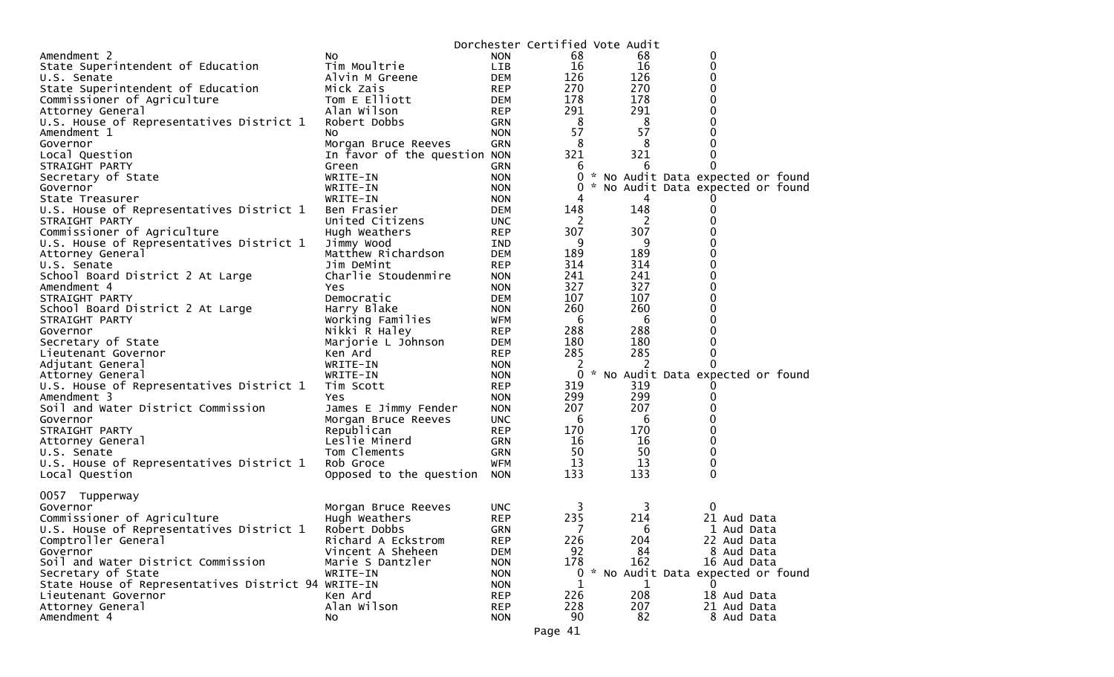|                                                     |                              |            | Dorchester Certified Vote Audit |          |                                   |  |
|-----------------------------------------------------|------------------------------|------------|---------------------------------|----------|-----------------------------------|--|
| Amendment 2                                         | NO.                          | <b>NON</b> | 68                              | 68       | 0                                 |  |
| State Superintendent of Education                   | Tim Moultrie                 | LIB        | 16                              | 16       | 0                                 |  |
| U.S. Senate                                         | Alvin M Greene               | <b>DEM</b> | 126                             | 126      | 0                                 |  |
| State Superintendent of Education                   | Mick Zais                    | <b>REP</b> | 270                             | 270      | 0                                 |  |
| Commissioner of Agriculture                         | Tom E Elliott                | <b>DEM</b> | 178                             | 178      | 0                                 |  |
| Attorney General                                    | Alan Wilson                  | <b>REP</b> | 291                             | 291      | 0                                 |  |
| U.S. House of Representatives District 1            | Robert Dobbs                 | <b>GRN</b> | 8                               | 8        | 0                                 |  |
| Amendment 1                                         | NO.                          | <b>NON</b> | 57                              | 57       | 0                                 |  |
| Governor                                            | Morgan Bruce Reeves          | GRN        | 8                               | 8        | 0                                 |  |
| Local Question                                      | In favor of the question NON |            | 321                             | 321      | 0                                 |  |
| STRAIGHT PARTY                                      | Green                        | <b>GRN</b> | 6                               | 6        | 0                                 |  |
| Secretary of State                                  | WRITE-IN                     | <b>NON</b> | 0                               |          | * No Audit Data expected or found |  |
| Governor                                            | WRITE-IN                     | <b>NON</b> | 0                               |          | * No Audit Data expected or found |  |
| State Treasurer                                     |                              | <b>NON</b> | 4                               | 4        |                                   |  |
|                                                     | WRITE-IN<br>Ben Frasier      | <b>DEM</b> | 148                             | 148      | 0                                 |  |
| U.S. House of Representatives District 1            | United Citizens              |            |                                 |          | 0                                 |  |
| STRAIGHT PARTY                                      |                              | <b>UNC</b> | -2<br>307                       | 2<br>307 |                                   |  |
| Commissioner of Agriculture                         | Hugh Weathers                | REP        |                                 |          | 0                                 |  |
| U.S. House of Representatives District 1            | Jimmy Wood                   | IND        | 9                               | 9        | 0                                 |  |
| Attorney General                                    | Matthew Richardson           | <b>DEM</b> | 189                             | 189      | 0                                 |  |
| U.S. Senate                                         | Jim DeMint                   | <b>REP</b> | 314                             | 314      | 0                                 |  |
| School Board District 2 At Large                    | Charlie Stoudenmire          | <b>NON</b> | 241                             | 241      | 0                                 |  |
| Amendment 4                                         | Yes.                         | <b>NON</b> | 327                             | 327      | 0                                 |  |
| STRAIGHT PARTY                                      | Democratic                   | <b>DEM</b> | 107                             | 107      | 0                                 |  |
| School Board District 2 At Large                    | Harry Blake                  | <b>NON</b> | 260                             | 260      | 0                                 |  |
| STRAIGHT PARTY                                      | Working Families             | WFM        | -6                              | 6        | 0                                 |  |
| Governor                                            | Nikki R Haley                | <b>REP</b> | 288                             | 288      | 0                                 |  |
| Secretary of State                                  | Marjorie L Johnson           | DEM        | 180                             | 180      | 0                                 |  |
| Lieutenant Governor                                 | Ken Ard                      | <b>REP</b> | 285                             | 285      | 0                                 |  |
| Adjutant General                                    | WRITE-IN                     | <b>NON</b> | 2                               | 2        | $\Omega$                          |  |
| Attorney General                                    | WRITE-IN                     | <b>NON</b> | 0                               |          | * No Audit Data expected or found |  |
| U.S. House of Representatives District 1            | Tim Scott                    | <b>REP</b> | 319                             | 319      |                                   |  |
| Amendment 3                                         | <b>Yes</b>                   | <b>NON</b> | 299                             | 299      | 0                                 |  |
| Soil and Water District Commission                  | James E Jimmy Fender         | <b>NON</b> | 207                             | 207      | 0                                 |  |
| Governor                                            | Morgan Bruce Reeves          | <b>UNC</b> | -6                              | 6        | 0                                 |  |
| STRAIGHT PARTY                                      | Republican                   | <b>REP</b> | 170                             | 170      | 0                                 |  |
| Attorney General                                    | Leslie Minerd                | <b>GRN</b> | 16                              | 16       | 0                                 |  |
| U.S. Senate                                         | Tom Clements                 | <b>GRN</b> | 50                              | 50       | 0                                 |  |
| U.S. House of Representatives District 1            | Rob Groce                    | <b>WFM</b> | 13                              | 13       | 0                                 |  |
| Local Question                                      | Opposed to the question NON  |            | 133                             | 133      | $\mathbf 0$                       |  |
|                                                     |                              |            |                                 |          |                                   |  |
| 0057 Tupperway                                      |                              |            |                                 |          |                                   |  |
| Governor                                            | Morgan Bruce Reeves          | <b>UNC</b> | 3                               | 3        | $\Omega$                          |  |
| Commissioner of Agriculture                         | Hugh Weathers                | <b>REP</b> | 235                             | 214      | 21 Aud Data                       |  |
| U.S. House of Representatives District 1            | Robert Dobbs                 | <b>GRN</b> | 7                               | 6        | 1 Aud Data                        |  |
| Comptroller General                                 | Richard A Eckstrom           | <b>REP</b> | 226                             | 204      | 22 Aud Data                       |  |
| Governor                                            | Vincent A Sheheen            | <b>DEM</b> | 92                              | 84       | 8 Aud Data                        |  |
| Soil and Water District Commission                  | Marie S Dantzler             | <b>NON</b> | 178                             | 162      | 16 Aud Data                       |  |
| Secretary of State                                  | WRITE-IN                     | <b>NON</b> | 0                               |          | * No Audit Data expected or found |  |
| State House of Representatives District 94 WRITE-IN |                              | <b>NON</b> | 1                               | 1        | 0                                 |  |
| Lieutenant Governor                                 | Ken Ard                      | <b>REP</b> | 226                             | 208      | 18 Aud Data                       |  |
| Attorney General                                    | Alan Wilson                  | <b>REP</b> | 228                             | 207      | 21 Aud Data                       |  |
| Amendment 4                                         | No.                          | <b>NON</b> | 90                              | 82       | 8 Aud Data                        |  |
|                                                     |                              |            |                                 |          |                                   |  |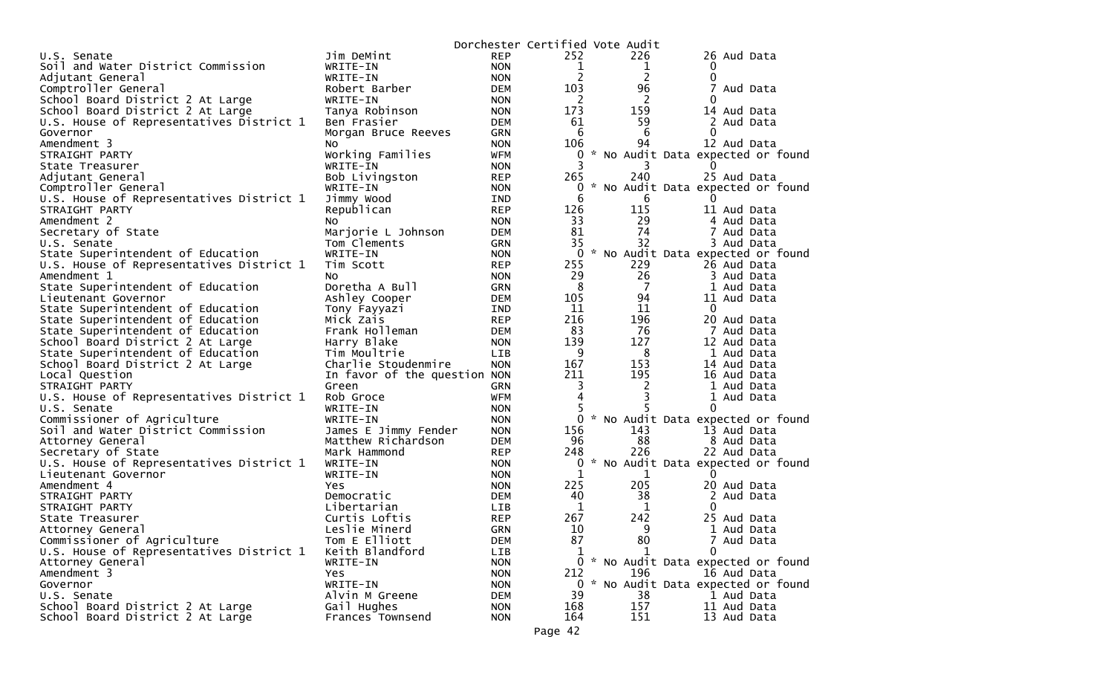|                                          |                              |            | Dorchester Certified Vote Audit |             |                                     |
|------------------------------------------|------------------------------|------------|---------------------------------|-------------|-------------------------------------|
| U.S. Senate                              | Jim DeMint                   | <b>REP</b> | 252                             | 226         | 26 Aud Data                         |
| Soil and Water District Commission       | WRITE-IN                     | <b>NON</b> | $\mathbf{1}$                    | 1           | 0                                   |
| Adjutant General                         | WRITE-IN                     | <b>NON</b> | 2                               | 2           | 0                                   |
| Comptroller General                      | Robert Barber                | DEM        | 103                             | 96          | 7<br>Aud Data                       |
| School Board District 2 At Large         | WRITE-IN                     | <b>NON</b> | 2                               | 2           | 0                                   |
| School Board District 2 At Large         | Tanya Robinson               | <b>NON</b> | 173                             | 159         | 14 Aud Data                         |
| U.S. House of Representatives District 1 | Ben Frasier                  | DEM        | 61                              | 59          | 2 Aud Data                          |
| Governor                                 | Morgan Bruce Reeves          | GRN        | 6                               | 6           | $\Omega$                            |
| Amendment 3                              | No.                          | <b>NON</b> | 106                             | 94          | 12 Aud Data                         |
| STRAIGHT PARTY                           | Working Families             | <b>WFM</b> | 0                               |             | * No Audit Data expected or found   |
| State Treasurer                          | WRITE-IN                     | <b>NON</b> |                                 |             | $\Omega$                            |
| Adjutant General                         | Bob Livingston               | <b>REP</b> | 265                             | 240         | 25 Aud Data                         |
| Comptroller General                      | WRITE-IN                     | <b>NON</b> | 0                               |             | * No Audit Data expected or found   |
| U.S. House of Representatives District 1 | Jimmy Wood                   | <b>IND</b> | 6                               | 6           | $\Omega$                            |
| STRAIGHT PARTY                           | Republican                   | <b>REP</b> | 126                             | 115         | 11 Aud Data                         |
| Amendment 2                              | NO.                          | <b>NON</b> | 33                              | 29          | 4 Aud Data                          |
| Secretary of State                       | Marjorie L Johnson           | <b>DEM</b> | 81                              | 74          | 7 Aud Data                          |
| U.S. Senate                              | Tom Clements                 | <b>GRN</b> | 35                              | 32          | 3 Aud Data                          |
| State Superintendent of Education        | WRITE-IN                     | <b>NON</b> |                                 |             | 0 * No Audit Data expected or found |
| U.S. House of Representatives District 1 | Tim Scott                    | <b>REP</b> | 255                             | 229         | 26 Aud Data                         |
| Amendment 1                              | NO.                          | <b>NON</b> | 29                              | 26          | 3 Aud Data                          |
| State Superintendent of Education        | Doretha A Bull               | <b>GRN</b> | 8                               | 7           | 1 Aud Data                          |
| Lieutenant Governor                      | Ashley Cooper                | <b>DEM</b> | 105                             | 94          | 11 Aud Data                         |
| State Superintendent of Education        | Tony Fayyazi                 | IND        | 11                              | 11          | 0                                   |
| State Superintendent of Education        | Mick Zais                    | <b>REP</b> | 216                             | 196         | 20 Aud Data                         |
| State Superintendent of Education        | Frank Holleman               | <b>DEM</b> | 83                              | 76          | 7 Aud Data                          |
| School Board District 2 At Large         | Harry Blake                  | <b>NON</b> | 139                             | 127         | 12 Aud Data                         |
| State Superintendent of Education        | Tim Moultrie                 | LIB.       | 9                               | 8           | 1 Aud Data                          |
| School Board District 2 At Large         | Charlie Stoudenmire          | <b>NON</b> | 167                             | 153         | 14 Aud Data                         |
| Local Question                           | In favor of the question NON |            | 211                             | 195         | 16 Aud Data                         |
| STRAIGHT PARTY                           | Green                        | <b>GRN</b> | 3                               | 2           | 1 Aud Data                          |
| U.S. House of Representatives District 1 | Rob Groce                    | <b>WFM</b> | 4                               | 3           | 1 Aud Data                          |
| U.S. Senate                              | WRITE-IN                     | <b>NON</b> |                                 |             | 0                                   |
| Commissioner of Agriculture              | WRITE-IN                     | <b>NON</b> |                                 |             | 0 * No Audit Data expected or found |
| Soil and Water District Commission       | James E Jimmy Fender         | <b>NON</b> | 156                             | 143         | 13 Aud Data                         |
| Attorney General                         | Matthew Richardson           | <b>DEM</b> | 96                              | 88          | 8 Aud Data                          |
| Secretary of State                       | Mark Hammond                 | <b>REP</b> | 248                             | 226         | 22 Aud Data                         |
| U.S. House of Representatives District 1 | WRITE-IN                     | <b>NON</b> | 0                               |             | * No Audit Data expected or found   |
| Lieutenant Governor                      | WRITE-IN                     | <b>NON</b> | 1                               | $\mathbf 1$ | 0                                   |
| Amendment 4                              | Yes.                         | <b>NON</b> | 225                             | 205         | 20 Aud Data                         |
| STRAIGHT PARTY                           | Democratic                   | <b>DEM</b> | 40                              | 38          | 2 Aud Data                          |
| STRAIGHT PARTY                           | Libertarian                  | LIB        | 1                               | 1           | 0                                   |
| State Treasurer                          | Curtis Loftis                | <b>REP</b> | 267                             | 242         | 25 Aud Data                         |
| Attorney General                         | Leslie Minerd                | GRN        | 10                              | q           | 1 Aud Data                          |
| Commissioner of Agriculture              | Tom E Elliott                | <b>DEM</b> | 87                              | 80          | 7 Aud Data                          |
| U.S. House of Representatives District 1 | Keith Blandford              | LIB        | 1                               | 1           | $\mathbf{0}$                        |
| Attorney General                         | WRITE-IN                     | <b>NON</b> |                                 |             | 0 * No Audit Data expected or found |
| Amendment 3                              | Yes                          | <b>NON</b> | 212                             | 196         | 16 Aud Data                         |
| Governor                                 | WRITE-IN                     | <b>NON</b> | $0 *$                           |             | No Audit Data expected or found     |
| U.S. Senate                              | Alvin M Greene               | DEM        | 39                              | 38          | 1 Aud Data                          |
| School Board District 2 At Large         | Gail Hughes                  | <b>NON</b> | 168                             | 157         | 11 Aud Data                         |
| School Board District 2 At Large         | Frances Townsend             | <b>NON</b> | 164                             | 151         | 13 Aud Data                         |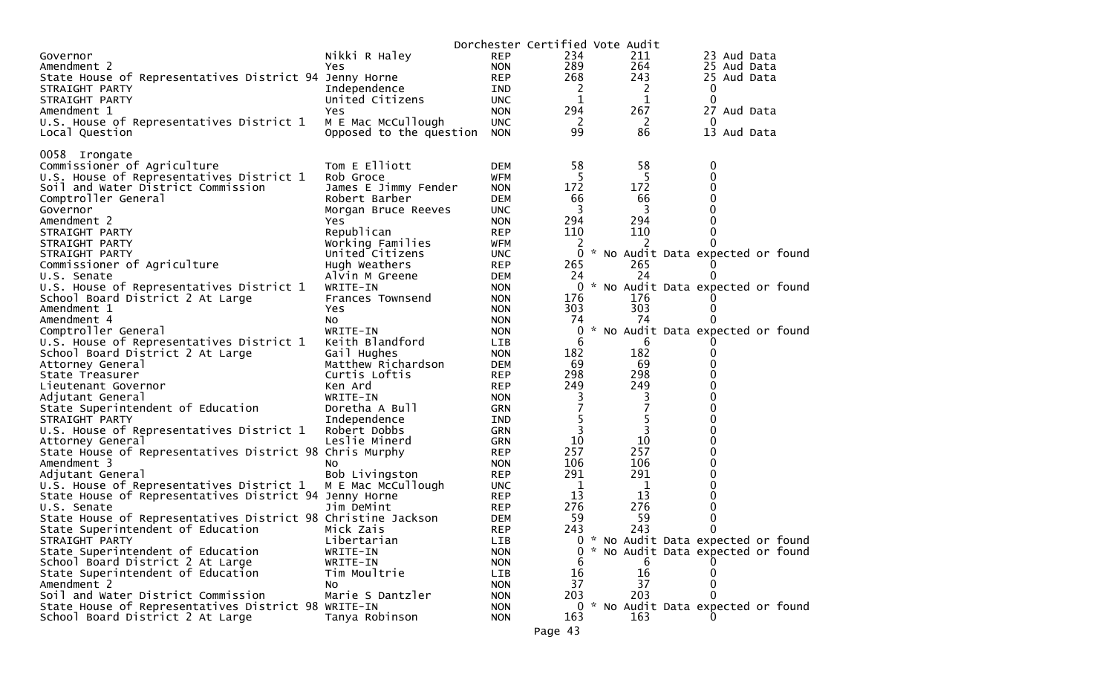|                                                              |                         |            |             | Dorchester Certified Vote Audit |                                     |
|--------------------------------------------------------------|-------------------------|------------|-------------|---------------------------------|-------------------------------------|
| Governor                                                     | Nikki R Haley           | <b>REP</b> | 234         | 211                             | 23 Aud Data                         |
| Amendment 2                                                  | Yes                     | <b>NON</b> | 289         | 264                             | 25 Aud Data                         |
| State House of Representatives District 94 Jenny Horne       |                         | <b>REP</b> | 268         | 243                             | 25 Aud Data                         |
| STRAIGHT PARTY                                               | Independence            | IND        | 2           | 2                               | $\bf{0}$                            |
| STRAIGHT PARTY                                               | United Citizens         | <b>UNC</b> | 1           | 1                               | 0                                   |
| Amendment 1                                                  | Yes                     | <b>NON</b> | 294         | 267                             | 27 Aud Data                         |
| U.S. House of Representatives District 1                     | M E Mac McCullough      | <b>UNC</b> | 2           | 2                               | 0                                   |
| Local Question                                               | Opposed to the question | <b>NON</b> | 99          | 86                              | 13 Aud Data                         |
|                                                              |                         |            |             |                                 |                                     |
| 0058 Irongate                                                |                         |            |             |                                 |                                     |
| Commissioner of Agriculture                                  | Tom E Elliott           | <b>DEM</b> | 58          | 58                              | 0                                   |
| U.S. House of Representatives District 1                     | Rob Groce               | <b>WFM</b> | 5           | 5                               | 0                                   |
| Soil and Water District Commission                           | James E Jimmy Fender    | <b>NON</b> | 172         | 172                             | 0                                   |
| Comptroller General                                          | Robert Barber           | <b>DEM</b> | 66          | 66                              | 0                                   |
| Governor                                                     | Morgan Bruce Reeves     | <b>UNC</b> | 3           | 3                               | 0                                   |
| Amendment 2                                                  |                         |            | 294         | 294                             | 0                                   |
|                                                              | Yes<br>Republican       | <b>NON</b> | 110         | 110                             | 0                                   |
| STRAIGHT PARTY                                               |                         | <b>REP</b> |             |                                 |                                     |
| STRAIGHT PARTY                                               | Working Families        | WFM        | 2           | 2                               |                                     |
| STRAIGHT PARTY                                               | United Citizens         | <b>UNC</b> | 0           |                                 | * No Audit Data expected or found   |
| Commissioner of Agriculture                                  | Hugh Weathers           | <b>REP</b> | 265         | 265                             |                                     |
| U.S. Senate                                                  | Alvin M Greene          | <b>DEM</b> | 24          | 24                              |                                     |
| U.S. House of Representatives District 1                     | WRITE-IN                | <b>NON</b> |             |                                 | 0 * No Audit Data expected or found |
| School Board District 2 At Large                             | Frances Townsend        | <b>NON</b> | 176         | 176                             |                                     |
| Amendment 1                                                  | Yes                     | <b>NON</b> | 303         | 303                             | 0                                   |
| Amendment 4                                                  | No.                     | <b>NON</b> | 74          | 74                              |                                     |
| Comptroller General                                          | WRITE-IN                | <b>NON</b> | 0           |                                 | * No Audit Data expected or found   |
| U.S. House of Representatives District 1                     | Keith Blandford         | <b>LIB</b> | 6           | 6                               |                                     |
| School Board District 2 At Large                             | Gail Hughes             | <b>NON</b> | 182         | 182                             | 0                                   |
| Attorney General                                             | Matthew Richardson      | <b>DEM</b> | 69          | 69                              | 0                                   |
| State Treasurer                                              | Curtis Loftis           | <b>REP</b> | 298         | 298                             | 0                                   |
| Lieutenant Governor                                          | Ken Ard                 | <b>REP</b> | 249         | 249                             | 0                                   |
| Adjutant General                                             | WRITE-IN                | <b>NON</b> | 3           | 3                               | 0                                   |
| State Superintendent of Education                            | Doretha A Bull          | <b>GRN</b> | 7           | 7                               | 0                                   |
| STRAIGHT PARTY                                               | Independence            | IND        | 5           | 5                               | 0                                   |
| U.S. House of Representatives District 1                     | Robert Dobbs            | <b>GRN</b> | 3           | 3                               | 0                                   |
| Attorney General                                             | Leslie Minerd           | <b>GRN</b> | 10          | 10                              | 0                                   |
| State House of Representatives District 98 Chris Murphy      |                         | <b>REP</b> | 257         | 257                             | 0                                   |
| Amendment 3                                                  | NO.                     | <b>NON</b> | 106         | 106                             | 0                                   |
| Adjutant General                                             | Bob Livingston          | <b>REP</b> | 291         | 291                             | 0                                   |
| U.S. House of Representatives District 1                     | M E Mac McCullough      | <b>UNC</b> | $\mathbf 1$ | $\mathbf 1$                     | 0                                   |
| State House of Representatives District 94 Jenny Horne       |                         | <b>REP</b> | 13          | 13                              | 0                                   |
| U.S. Senate                                                  | Jim DeMint              | <b>REP</b> | 276         | 276                             | 0                                   |
| State House of Representatives District 98 Christine Jackson |                         | <b>DEM</b> | 59          | 59                              | 0                                   |
| State Superintendent of Education                            | Mick Zais               | <b>REP</b> | 243         | 243                             | $\Omega$                            |
| STRAIGHT PARTY                                               | Libertarian             | LIB        |             |                                 | * No Audit Data expected or found   |
| State Superintendent of Education                            | WRITE-IN                | <b>NON</b> | 0           |                                 | * No Audit Data expected or found   |
| School Board District 2 At Large                             | WRITE-IN                | <b>NON</b> | 6           | 6                               |                                     |
| State Superintendent of Education                            | Tim Moultrie            | <b>LIB</b> | 16          | 16                              |                                     |
| Amendment 2                                                  | No                      | <b>NON</b> | 37          | 37                              | 0                                   |
| Soil and Water District Commission                           | Marie S Dantzler        | <b>NON</b> | 203         | 203                             |                                     |
| State House of Representatives District 98 WRITE-IN          |                         | <b>NON</b> |             |                                 | 0 * No Audit Data expected or found |
| School Board District 2 At Large                             | Tanya Robinson          | <b>NON</b> | 163         | 163                             |                                     |
|                                                              |                         |            |             |                                 |                                     |
|                                                              |                         |            | Page 43     |                                 |                                     |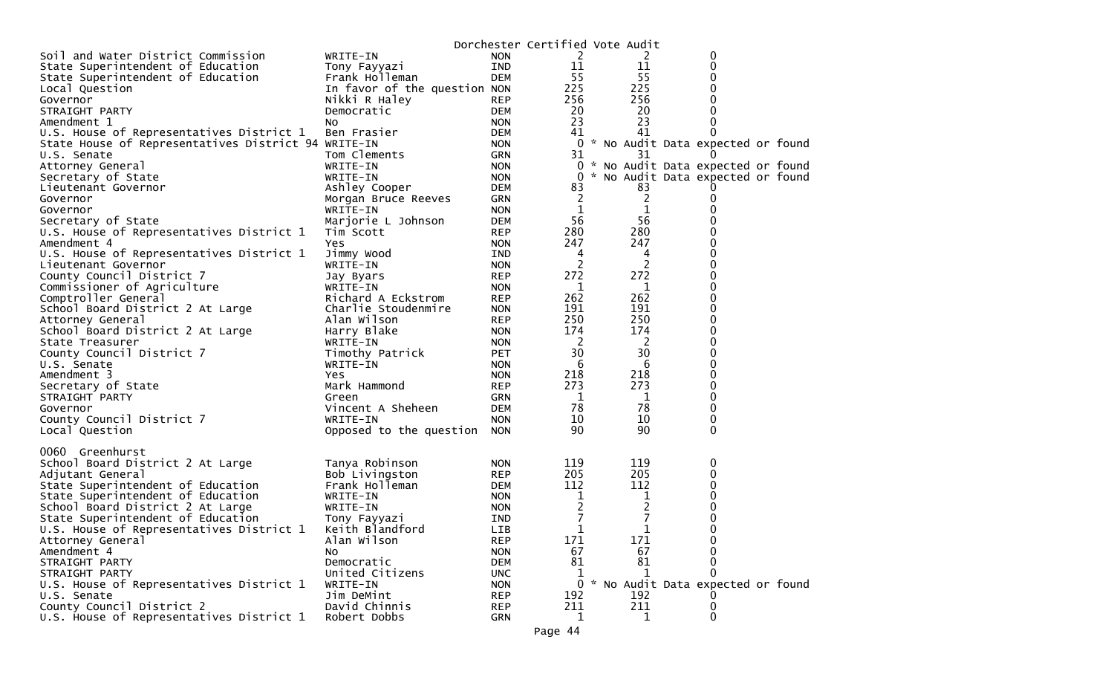|                                                                 |                              |            | Dorchester Certified Vote Audit |                     |                                     |  |
|-----------------------------------------------------------------|------------------------------|------------|---------------------------------|---------------------|-------------------------------------|--|
| Soil and Water District Commission                              | WRITE-IN                     | <b>NON</b> | 2                               | 2                   | 0                                   |  |
| State Superintendent of Education                               | Tony Fayyazi                 | IND        | 11                              | 11                  | 0                                   |  |
| State Superintendent of Education                               | Frank Holleman               | DEM        | 55                              | 55                  | 0                                   |  |
| Local Question                                                  | In favor of the question NON |            | 225                             | 225                 | 0                                   |  |
| Governor                                                        | Nikki R Haley                | <b>REP</b> | 256                             | 256                 | 0                                   |  |
| STRAIGHT PARTY                                                  | Democratic                   | DEM        | 20                              | 20                  | 0                                   |  |
| Amendment 1                                                     | NO.                          | <b>NON</b> | 23                              | 23                  | 0                                   |  |
| U.S. House of Representatives District 1                        | Ben Frasier                  | DEM        | 41                              | 41                  | 0                                   |  |
| State House of Representatives District 94 WRITE-IN             |                              | <b>NON</b> |                                 |                     | 0 * No Audit Data expected or found |  |
| U.S. Senate                                                     | Tom Clements                 | <b>GRN</b> | 31                              | 31                  |                                     |  |
| Attorney General                                                | WRITE-IN                     | <b>NON</b> |                                 |                     | 0 * No Audit Data expected or found |  |
| Secretary of State                                              | WRITE-IN                     | <b>NON</b> | 0                               |                     | * No Audit Data expected or found   |  |
| Lieutenant Governor                                             | Ashley Cooper                | DEM        | 83                              | 83                  |                                     |  |
| Governor                                                        | Morgan Bruce Reeves          | GRN        | $\overline{2}$                  | $\overline{c}$      | 0                                   |  |
| Governor                                                        | WRITE-IN                     | <b>NON</b> | 1                               | 1                   |                                     |  |
| Secretary of State                                              | Marjorie L Johnson           | DEM        | 56                              | 56                  |                                     |  |
| U.S. House of Representatives District 1                        | Tim Scott                    | <b>REP</b> | 280                             | 280                 | 0                                   |  |
| Amendment 4                                                     | Yes                          | <b>NON</b> | 247                             | 247                 | 0                                   |  |
|                                                                 |                              |            | 4                               |                     | 0                                   |  |
| U.S. House of Representatives District 1<br>Lieutenant Governor | Jimmy Wood<br>WRITE-IN       | IND        | 2                               | 4<br>$\overline{2}$ | 0                                   |  |
|                                                                 |                              | <b>NON</b> |                                 |                     | 0                                   |  |
| County Council District 7                                       | Jay Byars                    | <b>REP</b> | 272                             | 272                 |                                     |  |
| Commissioner of Agriculture                                     | WRITE-IN                     | <b>NON</b> | 1                               | 1                   | 0                                   |  |
| Comptroller General                                             | Richard A Eckstrom           | <b>REP</b> | 262                             | 262                 | 0                                   |  |
| School Board District 2 At Large                                | Charlie Stoudenmire          | <b>NON</b> | 191                             | 191                 | 0                                   |  |
| Attorney General                                                | Alan Wilson                  | <b>REP</b> | 250                             | 250                 | 0                                   |  |
| School Board District 2 At Large                                | Harry Blake                  | <b>NON</b> | 174                             | 174                 | 0                                   |  |
| State Treasurer                                                 | WRITE-IN                     | <b>NON</b> | <sup>2</sup>                    | 2                   | 0                                   |  |
| County Council District 7                                       | Timothy Patrick              | <b>PET</b> | 30                              | 30                  | 0                                   |  |
| U.S. Senate                                                     | WRITE-IN                     | <b>NON</b> | 6                               | 6                   | 0                                   |  |
| Amendment 3                                                     | <b>Yes</b>                   | <b>NON</b> | 218                             | 218                 | 0                                   |  |
| Secretary of State                                              | Mark Hammond                 | <b>REP</b> | 273                             | 273                 | 0                                   |  |
| STRAIGHT PARTY                                                  | Green                        | GRN        | 1                               | $\mathbf 1$         | 0                                   |  |
| Governor                                                        | Vincent A Sheheen            | DEM        | 78                              | 78                  | 0                                   |  |
| County Council District 7                                       | WRITE-IN                     | <b>NON</b> | 10                              | 10                  | 0                                   |  |
| Local Question                                                  | Opposed to the question      | <b>NON</b> | 90                              | 90                  | 0                                   |  |
|                                                                 |                              |            |                                 |                     |                                     |  |
| 0060 Greenhurst                                                 |                              |            |                                 |                     |                                     |  |
| School Board District 2 At Large                                | Tanya Robinson               | <b>NON</b> | 119                             | 119                 | 0                                   |  |
| Adjutant General                                                | Bob Livingston               | <b>REP</b> | 205                             | 205                 | 0                                   |  |
| State Superintendent of Education                               | Frank Holleman               | DEM        | 112                             | 112                 | 0                                   |  |
| State Superintendent of Education                               | WRITE-IN                     | <b>NON</b> | 1                               | 1                   | 0                                   |  |
| School Board District 2 At Large                                | WRITE-IN                     | <b>NON</b> | $\overline{2}$                  | 2                   | 0                                   |  |
| State Superintendent of Education                               | Tony Fayyazi                 | IND        | 7                               | 7                   | 0                                   |  |
| U.S. House of Representatives District 1                        | Keith Blandford              | LIB        | $\mathbf 1$                     | 1                   | 0                                   |  |
| Attorney General                                                | Alan Wilson                  | <b>REP</b> | 171                             | 171                 | 0                                   |  |
| Amendment 4                                                     | NO.                          | <b>NON</b> | 67                              | 67                  | 0                                   |  |
| STRAIGHT PARTY                                                  | Democratic                   | DEM        | 81                              | 81                  | 0                                   |  |
| STRAIGHT PARTY                                                  | United Citizens              | <b>UNC</b> | 1                               | 1                   |                                     |  |
| U.S. House of Representatives District 1                        | WRITE-IN                     | <b>NON</b> |                                 |                     | 0 * No Audit Data expected or found |  |
| U.S. Senate                                                     | Jim DeMint                   | <b>REP</b> | 192                             | 192                 |                                     |  |
| County Council District 2                                       | David Chinnis                | <b>REP</b> | 211                             | 211                 | 0                                   |  |
| U.S. House of Representatives District 1                        | Robert Dobbs                 | <b>GRN</b> | 1                               | 1                   | 0                                   |  |
|                                                                 |                              |            |                                 |                     |                                     |  |
|                                                                 |                              |            | Page 44                         |                     |                                     |  |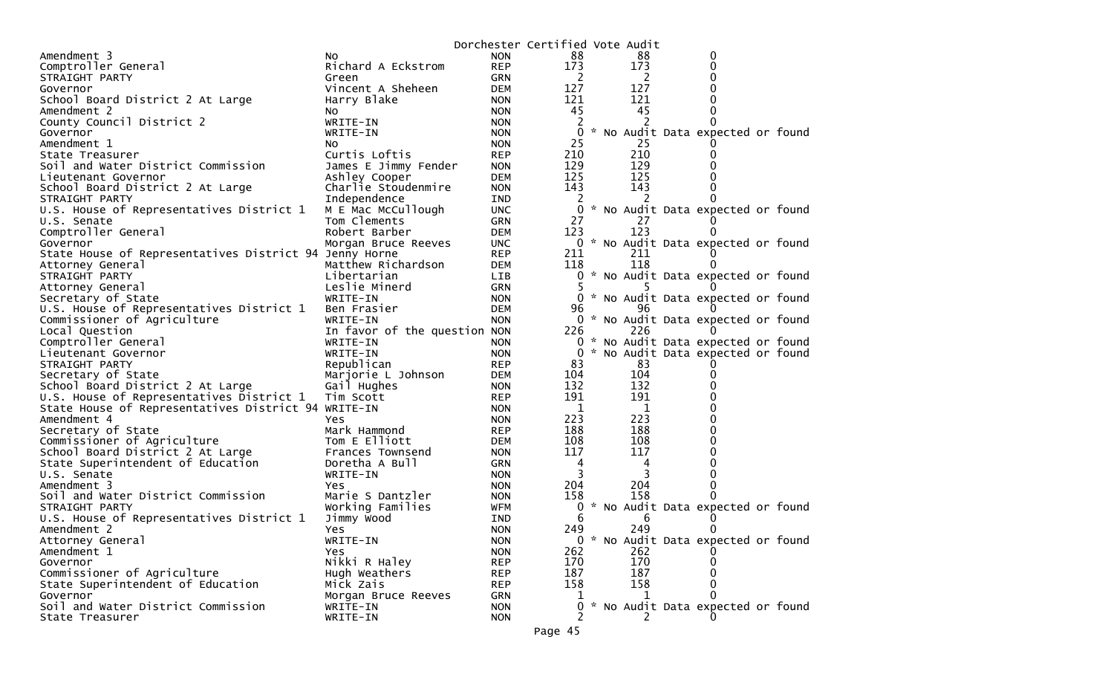|                                                        |                              |            | Dorchester Certified Vote Audit |  |     |                                     |  |
|--------------------------------------------------------|------------------------------|------------|---------------------------------|--|-----|-------------------------------------|--|
| Amendment 3                                            | NO.                          | <b>NON</b> | 88                              |  | 88  | 0                                   |  |
| Comptroller General                                    | Richard A Eckstrom           | <b>REP</b> | 173                             |  | 173 | 0                                   |  |
| STRAIGHT PARTY                                         | Green                        | GRN        | <sup>2</sup>                    |  | 2   | 0                                   |  |
| Governor                                               | Vincent A Sheheen            | DEM        | 127                             |  | 127 | 0                                   |  |
| School Board District 2 At Large                       | Harry Blake                  | <b>NON</b> | 121                             |  | 121 |                                     |  |
| Amendment 2                                            | NO.                          | <b>NON</b> | 45                              |  | 45  |                                     |  |
| County Council District 2                              | WRITE-IN                     | <b>NON</b> |                                 |  |     |                                     |  |
| Governor                                               | WRITE-IN                     | <b>NON</b> | $\overline{0}$                  |  |     | * No Audit Data expected or found   |  |
| Amendment 1                                            | NO.                          | <b>NON</b> | 25                              |  | 25  |                                     |  |
| State Treasurer                                        | Curtis Loftis                | <b>REP</b> | 210                             |  | 210 |                                     |  |
| Soil and Water District Commission                     | James E Jimmy Fender         | <b>NON</b> | 129                             |  | 129 |                                     |  |
| Lieutenant Governor                                    | Ashley Cooper                | <b>DEM</b> | 125                             |  | 125 |                                     |  |
| School Board District 2 At Large                       | Charlie Stoudenmire          | <b>NON</b> | 143                             |  | 143 |                                     |  |
| STRAIGHT PARTY                                         | Independence                 | IND        | 2                               |  |     |                                     |  |
| U.S. House of Representatives District 1               | M E Mac McCullough           | <b>UNC</b> | 0                               |  |     | * No Audit Data expected or found   |  |
| U.S. Senate                                            | Tom Clements                 | <b>GRN</b> | 27                              |  | 27  |                                     |  |
| Comptroller General                                    | Robert Barber                | <b>DEM</b> | 123                             |  | 123 | 0                                   |  |
| Governor                                               | Morgan Bruce Reeves          | <b>UNC</b> |                                 |  |     | 0 * No Audit Data expected or found |  |
| State House of Representatives District 94 Jenny Horne |                              | <b>REP</b> | 211                             |  | 211 |                                     |  |
| Attorney General                                       | Matthew Richardson           | <b>DEM</b> | 118                             |  | 118 | $\Omega$                            |  |
| STRAIGHT PARTY                                         | Libertarian                  | <b>LIB</b> |                                 |  |     | 0 * No Audit Data expected or found |  |
| Attorney General                                       | Leslie Minerd                | <b>GRN</b> |                                 |  |     |                                     |  |
| Secretary of State                                     | WRITE-IN                     | <b>NON</b> |                                 |  |     | 0 * No Audit Data expected or found |  |
| U.S. House of Representatives District 1               | Ben Frasier                  | <b>DEM</b> | 96                              |  | 96  |                                     |  |
| Commissioner of Agriculture                            | WRITE-IN                     | <b>NON</b> |                                 |  |     | 0 * No Audit Data expected or found |  |
| Local Question                                         | In favor of the question NON |            | 226                             |  | 226 | $\Omega$                            |  |
| Comptroller General                                    | WRITE-IN                     | <b>NON</b> |                                 |  |     | 0 * No Audit Data expected or found |  |
| Lieutenant Governor                                    | WRITE-IN                     | <b>NON</b> | $\Omega$                        |  |     | * No Audit Data expected or found   |  |
| STRAIGHT PARTY                                         | Republican                   | <b>REP</b> | 83                              |  | 83  |                                     |  |
| Secretary of State                                     | Marjorie L Johnson           | <b>DEM</b> | 104                             |  | 104 | 0                                   |  |
| School Board District 2 At Large                       |                              | <b>NON</b> | 132                             |  | 132 |                                     |  |
| U.S. House of Representatives District 1               | Gail Hughes<br>Tim Scott     | <b>REP</b> | 191                             |  | 191 |                                     |  |
|                                                        |                              |            | 1                               |  | 1   |                                     |  |
| State House of Representatives District 94 WRITE-IN    |                              | <b>NON</b> | 223                             |  | 223 |                                     |  |
| Amendment 4                                            | Yes                          | <b>NON</b> | 188                             |  | 188 |                                     |  |
| Secretary of State                                     | Mark Hammond                 | <b>REP</b> | 108                             |  | 108 |                                     |  |
| Commissioner of Agriculture                            | Tom E Elliott                | <b>DEM</b> | 117                             |  |     |                                     |  |
| School Board District 2 At Large                       | Frances Townsend             | <b>NON</b> |                                 |  | 117 | 0                                   |  |
| State Superintendent of Education                      | Doretha A Bull               | GRN        | 4                               |  | 4   |                                     |  |
| U.S. Senate                                            | WRITE-IN                     | <b>NON</b> | 3                               |  | 3   |                                     |  |
| Amendment 3                                            | Yes                          | <b>NON</b> | 204                             |  | 204 | 0                                   |  |
| Soil and Water District Commission                     | Marie S Dantzler             | <b>NON</b> | 158                             |  | 158 | 0                                   |  |
| STRAIGHT PARTY                                         | Working Families             | <b>WFM</b> | 0                               |  |     | * No Audit Data expected or found   |  |
| U.S. House of Representatives District 1               | Jimmy Wood                   | IND        | 6                               |  | 6   |                                     |  |
| Amendment 2                                            | Yes                          | <b>NON</b> | 249                             |  | 249 | 0                                   |  |
| Attorney General                                       | WRITE-IN                     | <b>NON</b> |                                 |  |     | 0 * No Audit Data expected or found |  |
| Amendment 1                                            | <b>Yes</b>                   | <b>NON</b> | 262                             |  | 262 |                                     |  |
| Governor                                               | Nikki R Haley                | <b>REP</b> | 170                             |  | 170 |                                     |  |
| Commissioner of Agriculture                            | Hugh Weathers                | <b>REP</b> | 187                             |  | 187 |                                     |  |
| State Superintendent of Education                      | Mick Zais                    | <b>REP</b> | 158                             |  | 158 |                                     |  |
| Governor                                               | Morgan Bruce Reeves          | GRN        |                                 |  | 1   | 0                                   |  |
| Soil and Water District Commission                     | WRITE-IN                     | <b>NON</b> |                                 |  |     | * No Audit Data expected or found   |  |
| State Treasurer                                        | WRITE-IN                     | <b>NON</b> |                                 |  |     |                                     |  |
|                                                        |                              |            | Page 45                         |  |     |                                     |  |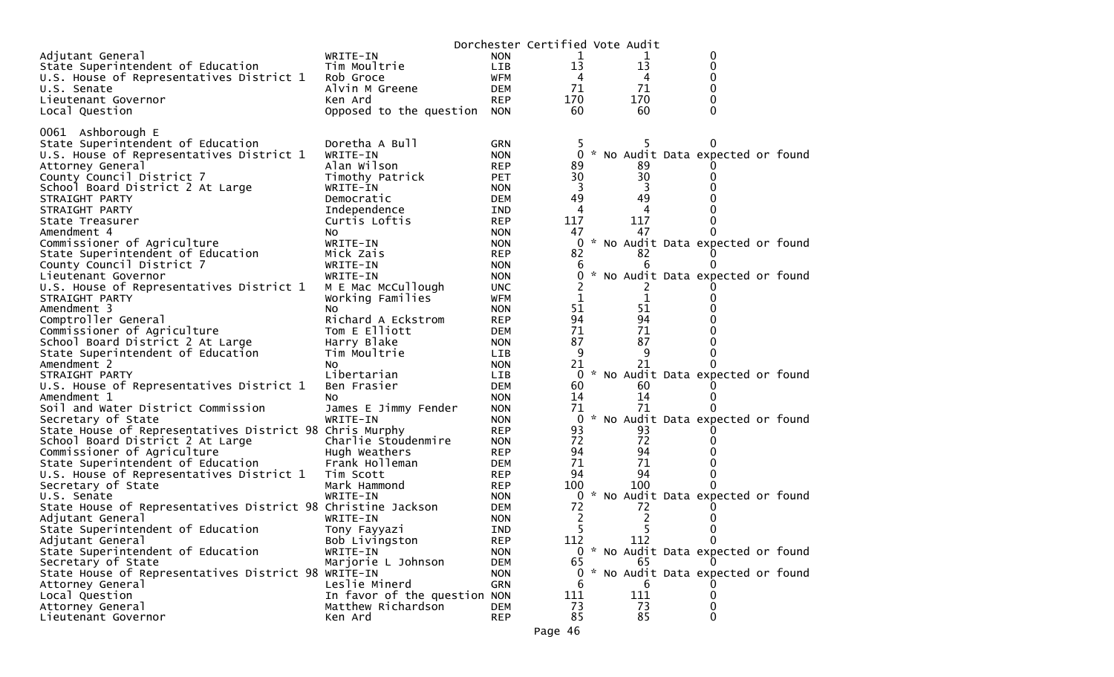|                                                               |                              |             | Dorchester Certified Vote Audit |   |                |                                     |  |
|---------------------------------------------------------------|------------------------------|-------------|---------------------------------|---|----------------|-------------------------------------|--|
| Adjutant General                                              | WRITE-IN                     | <b>NON</b>  | 1                               |   | T              | 0                                   |  |
| State Superintendent of Education                             | Tim Moultrie                 | <b>LIB</b>  | 13                              |   | 13             | 0                                   |  |
| U.S. House of Representatives District 1                      | Rob Groce                    | WFM         | 4                               |   | 4              | 0                                   |  |
| U.S. Senate                                                   | Alvin M Greene               | DEM         | 71                              |   | 71             | 0                                   |  |
| Lieutenant Governor                                           | Ken Ard                      | <b>REP</b>  | 170                             |   | 170            | 0                                   |  |
| Local Question                                                | Opposed to the question      | NON         | 60                              |   | 60             | 0                                   |  |
|                                                               |                              |             |                                 |   |                |                                     |  |
| 0061 Ashborough E                                             |                              |             |                                 |   |                |                                     |  |
| State Superintendent of Education                             | Doretha A Bull               | <b>GRN</b>  |                                 |   | 5              |                                     |  |
| U.S. House of Representatives District 1                      | WRITE-IN                     | <b>NON</b>  |                                 |   |                | 0 * No Audit Data expected or found |  |
| Attorney General                                              | Alan Wilson                  | <b>REP</b>  | 89                              |   | 89<br>30       |                                     |  |
| County Council District 7<br>School Board District 2 At Large | Timothy Patrick<br>WRITE-IN  | <b>PET</b>  | 30<br>3                         |   | 3              | 0                                   |  |
|                                                               |                              | <b>NON</b>  | 49                              |   | 49             |                                     |  |
| STRAIGHT PARTY<br>STRAIGHT PARTY                              | Democratic<br>Independence   | DEM.<br>IND | 4                               |   | 4              |                                     |  |
| State Treasurer                                               | Curtis Loftis                | <b>REP</b>  | 117                             |   | 117            |                                     |  |
| Amendment 4                                                   | No.                          | <b>NON</b>  | 47                              |   | 47             | 0                                   |  |
| Commissioner of Agriculture                                   | WRITE-IN                     | <b>NON</b>  |                                 | 0 |                | * No Audit Data expected or found   |  |
| State Superintendent of Education                             | Mick Zais                    | <b>REP</b>  | 82                              |   | 82             |                                     |  |
| County Council District 7                                     | WRITE-IN                     | <b>NON</b>  | 6                               |   | 6              |                                     |  |
| Lieutenant Governor                                           | WRITE-IN                     | <b>NON</b>  |                                 | 0 |                | * No Audit Data expected or found   |  |
| U.S. House of Representatives District 1                      | M E Mac McCullough           | UNC.        |                                 |   | $\angle$       |                                     |  |
| STRAIGHT PARTY                                                | Working Families             | WFM         | 1                               |   | 1              |                                     |  |
| Amendment 3                                                   | No                           | <b>NON</b>  | 51                              |   | 51             |                                     |  |
| Comptroller General                                           | Richard A Eckstrom           | <b>REP</b>  | 94                              |   | 94             |                                     |  |
| Commissioner of Agriculture                                   | Tom E Elliott                | <b>DEM</b>  | 71                              |   | 71             |                                     |  |
| School Board District 2 At Large                              | Harry Blake                  | <b>NON</b>  | 87                              |   | 87             |                                     |  |
| State Superintendent of Education                             | Tim Moultrie                 | LIB.        | 9                               |   | 9              | 0                                   |  |
| Amendment 2                                                   | No.                          | <b>NON</b>  | 21                              |   | 21             | 0                                   |  |
| STRAIGHT PARTY                                                | Libertarian                  | <b>LIB</b>  |                                 | 0 |                | * No Audit Data expected or found   |  |
| U.S. House of Representatives District 1                      | Ben Frasier                  | <b>DEM</b>  | 60                              |   | 60             |                                     |  |
| Amendment 1                                                   | NO                           | <b>NON</b>  | 14                              |   | 14             |                                     |  |
| Soil and Water District Commission                            | James E Jimmy Fender         | <b>NON</b>  | 71                              |   | 71             |                                     |  |
| Secretary of State                                            | WRITE-IN                     | <b>NON</b>  |                                 | 0 |                | * No Audit Data expected or found   |  |
| State House of Representatives District 98 Chris Murphy       |                              | <b>REP</b>  | 93                              |   | 93             |                                     |  |
| School Board District 2 At Large                              | Charlie Stoudenmire          | <b>NON</b>  | 72                              |   | 72             |                                     |  |
| Commissioner of Agriculture                                   | Hugh Weathers                | <b>REP</b>  | 94                              |   | 94             |                                     |  |
| State Superintendent of Education                             | Frank Holleman               | <b>DEM</b>  | 71                              |   | 71             |                                     |  |
| U.S. House of Representatives District 1                      | Tim Scott                    | <b>REP</b>  | 94                              |   | 94             | 0                                   |  |
| Secretary of State                                            | Mark Hammond                 | <b>REP</b>  | 100                             |   | 100            |                                     |  |
| U.S. Senate                                                   | WRITE-IN                     | <b>NON</b>  |                                 |   |                | 0 * No Audit Data expected or found |  |
| State House of Representatives District 98 Christine Jackson  |                              | <b>DEM</b>  | 72                              |   | 72             |                                     |  |
| Adjutant General                                              | WRITE-IN                     | <b>NON</b>  | 2                               |   | $\overline{c}$ |                                     |  |
| State Superintendent of Education                             | Tony Fayyazi                 | <b>IND</b>  |                                 | 5 | 5              | 0                                   |  |
| Adjutant General                                              | Bob Livingston               | <b>REP</b>  | 112                             |   | 112            | 0                                   |  |
| State Superintendent of Education                             | WRITE-IN                     | <b>NON</b>  |                                 |   |                | 0 * No Audit Data expected or found |  |
| Secretary of State                                            | Marjorie L Johnson           | DEM         | 65                              |   | 65             |                                     |  |
| State House of Representatives District 98 WRITE-IN           |                              | <b>NON</b>  |                                 |   |                | 0 * No Audit Data expected or found |  |
| Attorney General                                              | Leslie Minerd                | GRN         | 6                               |   | b              |                                     |  |
| Local Question                                                | In favor of the question NON |             | 111                             |   | 111            | 0                                   |  |
| Attorney General                                              | Matthew Richardson           | <b>DEM</b>  | 73                              |   | 73             | 0                                   |  |
| Lieutenant Governor                                           | Ken Ard                      | <b>REP</b>  | 85                              |   | 85             | 0                                   |  |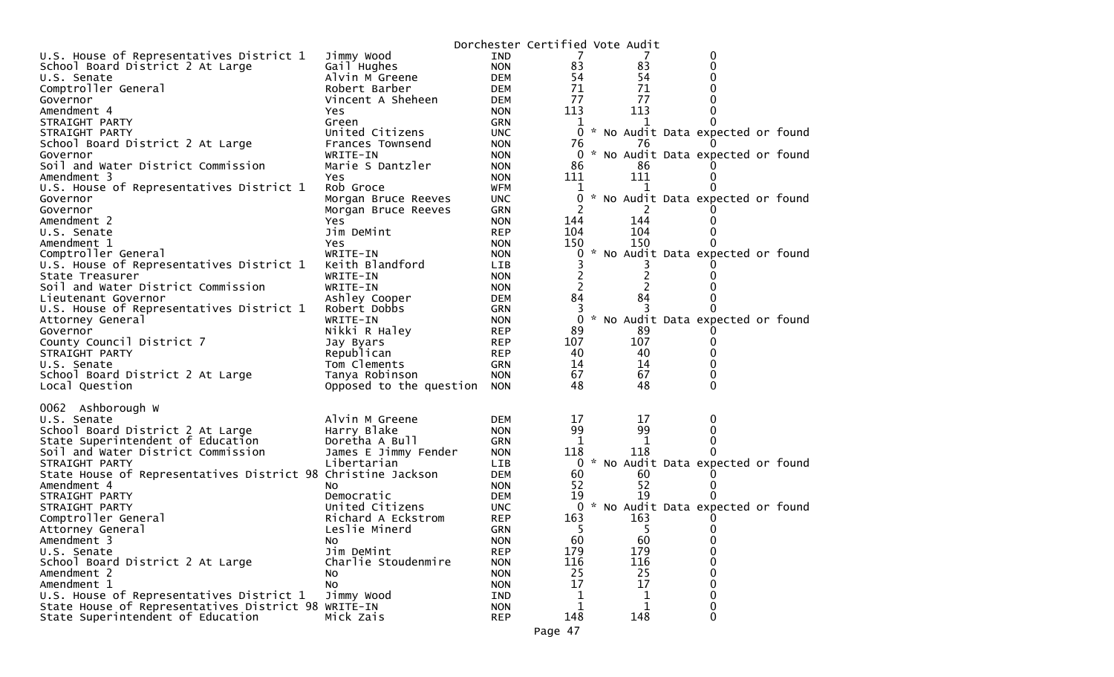|                                                              |                         |            | Dorchester Certified Vote Audit |     |                                     |  |
|--------------------------------------------------------------|-------------------------|------------|---------------------------------|-----|-------------------------------------|--|
| U.S. House of Representatives District 1                     | Jimmy Wood              | <b>IND</b> | 7                               |     | 0                                   |  |
| School Board District 2 At Large                             | Gail Hughes             | <b>NON</b> | 83                              | 83  | 0                                   |  |
| U.S. Senate                                                  | Alvin M Greene          | <b>DEM</b> | 54                              | 54  | 0                                   |  |
| Comptroller General                                          | Robert Barber           | <b>DEM</b> | 71                              | 71  | 0                                   |  |
| Governor                                                     | Vincent A Sheheen       | <b>DEM</b> | 77                              | 77  | 0                                   |  |
| Amendment 4                                                  | Yes                     | <b>NON</b> | 113                             | 113 | 0                                   |  |
| STRAIGHT PARTY                                               | Green                   | <b>GRN</b> |                                 |     |                                     |  |
| STRAIGHT PARTY                                               | United Citizens         | <b>UNC</b> | $\overline{0}$                  |     | * No Audit Data expected or found   |  |
| School Board District 2 At Large                             | Frances Townsend        | <b>NON</b> | 76                              | 76  |                                     |  |
| Governor                                                     | WRITE-IN                | <b>NON</b> |                                 |     | 0 * No Audit Data expected or found |  |
| Soil and Water District Commission                           | Marie S Dantzler        | <b>NON</b> | 86                              | 86  |                                     |  |
| Amendment 3                                                  | Yes                     | <b>NON</b> | 111                             | 111 | 0                                   |  |
| U.S. House of Representatives District 1                     | Rob Groce               | <b>WFM</b> | ı                               |     |                                     |  |
| Governor                                                     | Morgan Bruce Reeves     | <b>UNC</b> | 0                               |     | * No Audit Data expected or found   |  |
| Governor                                                     | Morgan Bruce Reeves     | GRN        | 2                               |     |                                     |  |
| Amendment 2                                                  | Yes                     | <b>NON</b> | 144                             | 144 |                                     |  |
| U.S. Senate                                                  | Jim DeMint              | <b>REP</b> | 104                             | 104 |                                     |  |
| Amendment 1                                                  | Yes                     | <b>NON</b> | 150                             | 150 |                                     |  |
| Comptroller General                                          | WRITE-IN                | <b>NON</b> | 0                               |     | No Audit Data expected or found     |  |
| U.S. House of Representatives District 1                     | Keith Blandford         | LIB        |                                 |     |                                     |  |
| State Treasurer                                              | WRITE-IN                | <b>NON</b> | 2                               | 2   |                                     |  |
| Soil and Water District Commission                           | WRITE-IN                | <b>NON</b> | 2                               |     |                                     |  |
| Lieutenant Governor                                          | Ashley Cooper           | <b>DEM</b> | 84                              | 84  |                                     |  |
| U.S. House of Representatives District 1                     | Robert Dobbs            | <b>GRN</b> | 3                               |     |                                     |  |
| Attorney General                                             | WRITE-IN                | <b>NON</b> | $\Omega$                        |     | No Audit Data expected or found     |  |
| Governor                                                     | Nikki R Haley           | <b>REP</b> | 89                              | 89  |                                     |  |
| County Council District 7                                    | Jay Byars               | <b>REP</b> | 107                             | 107 | 0                                   |  |
| STRAIGHT PARTY                                               | Republican              | <b>REP</b> | 40                              | 40  | 0                                   |  |
| U.S. Senate                                                  | Tom Clements            | GRN        | 14                              | 14  | 0                                   |  |
| School Board District 2 At Large                             | Tanya Robinson          | <b>NON</b> | 67                              | 67  | 0                                   |  |
| Local Question                                               | Opposed to the question | <b>NON</b> | 48                              | 48  | $\Omega$                            |  |
|                                                              |                         |            |                                 |     |                                     |  |
| 0062<br>Ashborough W                                         |                         |            |                                 |     |                                     |  |
| U.S. Senate                                                  | Alvin M Greene          | <b>DEM</b> | 17                              | 17  |                                     |  |
| School Board District 2 At Large                             | Harry Blake             | <b>NON</b> | 99                              | 99  | 0                                   |  |
| State Superintendent of Education                            | Doretha A Bull          | GRN        | 1                               | 1   | 0                                   |  |
| Soil and Water District Commission                           | James E Jimmy Fender    | <b>NON</b> | 118                             | 118 |                                     |  |
| STRAIGHT PARTY                                               | Libertarian             | LIB        | $\overline{0}$                  |     | * No Audit Data expected or found   |  |
| State House of Representatives District 98 Christine Jackson |                         | <b>DEM</b> | 60                              | 60  |                                     |  |
| Amendment 4                                                  | NO.                     | <b>NON</b> | 52                              | 52  |                                     |  |
| STRAIGHT PARTY                                               | Democratic              | <b>DEM</b> | 19                              | 19  |                                     |  |
| STRAIGHT PARTY                                               | United Citizens         | <b>UNC</b> | $\overline{0}$                  |     | * No Audit Data expected or found   |  |
| Comptroller General                                          | Richard A Eckstrom      | <b>REP</b> | 163                             | 163 |                                     |  |
| Attorney General                                             | Leslie Minerd           | <b>GRN</b> | 5                               | 5   | 0                                   |  |
| Amendment 3                                                  | No.                     | <b>NON</b> | 60                              | 60  | 0                                   |  |
| U.S. Senate                                                  | Jim DeMint              | <b>REP</b> | 179                             | 179 | 0                                   |  |
| School Board District 2 At Large                             | Charlie Stoudenmire     | <b>NON</b> | 116                             | 116 | 0                                   |  |
| Amendment 2                                                  | No                      | <b>NON</b> | 25                              | 25  | 0                                   |  |
| Amendment 1                                                  | No                      | <b>NON</b> | 17                              | 17  | 0                                   |  |
| U.S. House of Representatives District 1                     | Jimmy Wood              | IND        | $\mathbf 1$                     | 1   | 0                                   |  |
| State House of Representatives District 98 WRITE-IN          |                         | <b>NON</b> | 1                               | 1   | 0                                   |  |
| State Superintendent of Education                            | Mick Zais               | <b>REP</b> | 148                             | 148 | 0                                   |  |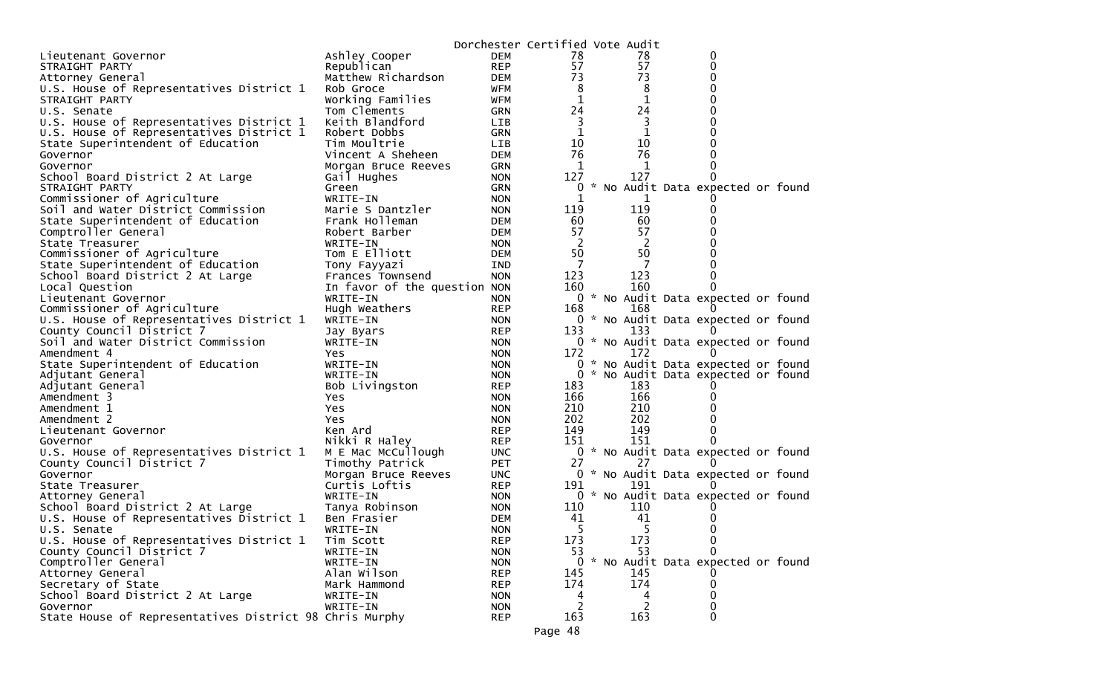|                                                         |                              |                          | Dorchester Certified Vote Audit |             |                                     |  |
|---------------------------------------------------------|------------------------------|--------------------------|---------------------------------|-------------|-------------------------------------|--|
| Lieutenant Governor                                     | Ashley Cooper                | <b>DEM</b>               | 78                              | 78          | 0                                   |  |
| STRAIGHT PARTY                                          | Republican                   | <b>REP</b>               | 57                              | 57          | 0                                   |  |
| Attorney General                                        | Matthew Richardson           | <b>DEM</b>               | 73                              | 73          | 0                                   |  |
| U.S. House of Representatives District 1                | Rob Groce                    | WFM                      | 8                               | 8           | 0                                   |  |
| STRAIGHT PARTY                                          | Working Families             | WFM                      | $\mathbf 1$                     | $\mathbf 1$ | 0                                   |  |
| U.S. Senate                                             | Tom Clements                 | <b>GRN</b>               | 24                              | 24          | 0                                   |  |
| U.S. House of Representatives District 1                | Keith Blandford              | <b>LIB</b>               | 3                               | 3           | 0                                   |  |
| U.S. House of Representatives District 1                | Robert Dobbs                 | GRN                      | $\mathbf 1$                     | 1           | 0                                   |  |
| State Superintendent of Education                       | Tim Moultrie                 | LIB                      | 10                              | 10          | 0                                   |  |
| Governor                                                | Vincent A Sheheen            | <b>DEM</b>               | 76                              | 76          | 0                                   |  |
| Governor                                                | Morgan Bruce Reeves          | GRN                      | 1                               | 1           | 0                                   |  |
| School Board District 2 At Large                        | Gail Hughes                  | <b>NON</b>               | 127                             | 127         | 0                                   |  |
| STRAIGHT PARTY                                          | Green                        | GRN                      | 0                               |             | No Audit Data expected or found     |  |
| Commissioner of Agriculture                             | WRITE-IN                     | <b>NON</b>               | 1                               | 1           |                                     |  |
| Soil and Water District Commission                      | Marie S Dantzler             | <b>NON</b>               | 119                             | 119         | 0                                   |  |
| State Superintendent of Education                       | Frank Holleman               | <b>DEM</b>               | 60                              | 60          | 0                                   |  |
| Comptroller General                                     | Robert Barber                | <b>DEM</b>               | 57                              | 57          | 0                                   |  |
| State Treasurer                                         | WRITE-IN                     | <b>NON</b>               | 2                               | 2           |                                     |  |
| Commissioner of Agriculture                             | Tom E Elliott                | <b>DEM</b>               | 50                              | 50          | 0                                   |  |
| State Superintendent of Education                       | Tony Fayyazi                 | <b>IND</b>               | 7                               | 7           |                                     |  |
| School Board District 2 At Large                        | Frances Townsend             | <b>NON</b>               | 123                             | 123         | 0                                   |  |
| Local Question                                          | In favor of the question NON |                          | 160                             | 160         | 0                                   |  |
| Lieutenant Governor<br>Commissioner of Agriculture      | WRITE-IN                     | <b>NON</b><br><b>REP</b> |                                 | 168         | 0 * No Audit Data expected or found |  |
| U.S. House of Representatives District 1                | Hugh Weathers<br>WRITE-IN    | <b>NON</b>               | 168                             |             | 0 * No Audit Data expected or found |  |
| County Council District 7                               | Jay Byars                    | <b>REP</b>               | 133                             | 133         |                                     |  |
| Soil and Water District Commission                      | WRITE-IN                     | <b>NON</b>               | 0                               |             | * No Audit Data expected or found   |  |
| Amendment 4                                             | Yes.                         | <b>NON</b>               | 172                             | 172         | $\Omega$                            |  |
| State Superintendent of Education                       | WRITE-IN                     | <b>NON</b>               | $\overline{0}$                  |             | * No Audit Data expected or found   |  |
| Adjutant General                                        | WRITE-IN                     | <b>NON</b>               | $\Omega$                        |             | * No Audit Data expected or found   |  |
| Adjutant General                                        | Bob Livingston               | <b>REP</b>               | 183                             | 183         |                                     |  |
| Amendment 3                                             | Yes                          | <b>NON</b>               | 166                             | 166         | 0                                   |  |
| Amendment 1                                             | <b>Yes</b>                   | <b>NON</b>               | 210                             | 210         | 0                                   |  |
| Amendment 2                                             | Yes.                         | <b>NON</b>               | 202                             | 202         | 0                                   |  |
| Lieutenant Governor                                     | Ken Ard                      | <b>REP</b>               | 149                             | 149         | 0                                   |  |
| Governor                                                | Nikki R Haley                | <b>REP</b>               | 151                             | 151         | 0                                   |  |
| U.S. House of Representatives District 1                | M E Mac McCullough           | <b>UNC</b>               |                                 |             | 0 * No Audit Data expected or found |  |
| County Council District 7                               | Timothy Patrick              | <b>PET</b>               | 27                              | 27          |                                     |  |
| Governor                                                | Morgan Bruce Reeves          | <b>UNC</b>               |                                 |             | 0 * No Audit Data expected or found |  |
| State Treasurer                                         | Curtis Loftis                | <b>REP</b>               | 191                             | 191         |                                     |  |
| Attorney General                                        | WRITE-IN                     | <b>NON</b>               |                                 |             | 0 * No Audit Data expected or found |  |
| School Board District 2 At Large                        | Tanya Robinson               | <b>NON</b>               | 110                             | 110         |                                     |  |
| U.S. House of Representatives District 1                | Ben Frasier                  | <b>DEM</b>               | 41                              | 41          |                                     |  |
| U.S. Senate                                             | WRITE-IN                     | <b>NON</b>               | 5                               |             | 0                                   |  |
| U.S. House of Representatives District 1                | Tim Scott                    | <b>REP</b>               | 173<br>53                       | 173<br>53   | 0                                   |  |
| County Council District 7<br>Comptroller General        | WRITE-IN<br>WRITE-IN         | <b>NON</b><br><b>NON</b> | 0                               |             | * No Audit Data expected or found   |  |
| Attorney General                                        | Alan Wilson                  | <b>REP</b>               | 145                             | 145         |                                     |  |
| Secretary of State                                      | Mark Hammond                 | REP                      | 174                             | 174         | 0                                   |  |
| School Board District 2 At Large                        | WRITE-IN                     | <b>NON</b>               | 4                               | 4           | 0                                   |  |
| Governor                                                | WRITE-IN                     | <b>NON</b>               | 2                               | 2           | 0                                   |  |
| State House of Representatives District 98 Chris Murphy |                              | <b>REP</b>               | 163                             | 163         | $\Omega$                            |  |
|                                                         |                              |                          | Page 48                         |             |                                     |  |
|                                                         |                              |                          |                                 |             |                                     |  |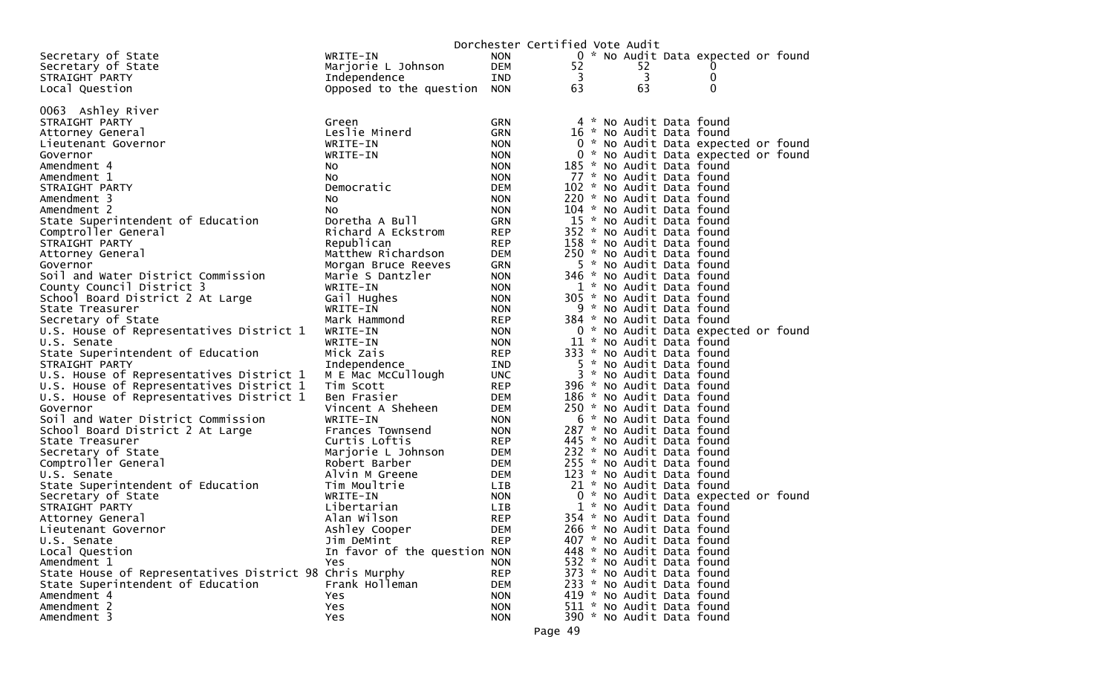|                                                                                      |                                 |                          | Dorchester Certified Vote Audit |                           |                                     |  |
|--------------------------------------------------------------------------------------|---------------------------------|--------------------------|---------------------------------|---------------------------|-------------------------------------|--|
| Secretary of State                                                                   | WRITE-IN                        | <b>NON</b>               |                                 |                           | 0 * No Audit Data expected or found |  |
| Secretary of State                                                                   | Marjorie L Johnson              | DEM                      | 52                              | 52                        | 0                                   |  |
| STRAIGHT PARTY                                                                       | Independence                    | IND                      | 3                               | 3                         | 0                                   |  |
| Local Question                                                                       | Opposed to the question         | <b>NON</b>               | 63                              | 63                        | $\mathbf 0$                         |  |
|                                                                                      |                                 |                          |                                 |                           |                                     |  |
| 0063 Ashley River                                                                    |                                 |                          |                                 |                           |                                     |  |
| STRAIGHT PARTY                                                                       | Green                           | <b>GRN</b>               |                                 |                           | 4 * No Audit Data found             |  |
| Attorney General                                                                     | Leslie Minerd                   | <b>GRN</b>               |                                 |                           | 16 * No Audit Data found            |  |
| Lieutenant Governor                                                                  | WRITE-IN                        | <b>NON</b>               |                                 |                           | 0 * No Audit Data expected or found |  |
| Governor                                                                             | WRITE-IN                        | <b>NON</b>               |                                 |                           | 0 * No Audit Data expected or found |  |
| Amendment 4                                                                          | NO.                             | <b>NON</b>               |                                 |                           | 185 * No Audit Data found           |  |
| Amendment 1                                                                          | NO.                             | <b>NON</b>               |                                 | 77 * No Audit Data found  |                                     |  |
| STRAIGHT PARTY                                                                       | Democratic                      | <b>DEM</b>               |                                 | 102 * No Audit Data found |                                     |  |
| Amendment 3                                                                          | NO.                             | <b>NON</b>               |                                 |                           | 220 * No Audit Data found           |  |
| Amendment 2                                                                          | NO.                             | <b>NON</b>               |                                 | 104 * No Audit Data found |                                     |  |
| State Superintendent of Education                                                    | Doretha A Bull                  | <b>GRN</b>               |                                 | 15 * No Audit Data found  |                                     |  |
| Comptroller General                                                                  | Richard A Eckstrom              | <b>REP</b>               |                                 |                           | 352 * No Audit Data found           |  |
| STRAIGHT PARTY                                                                       | Republican                      | <b>REP</b>               |                                 | 158 * No Audit Data found |                                     |  |
| Attorney General                                                                     | Matthew Richardson              | DEM                      |                                 |                           | 250 * No Audit Data found           |  |
| Governor                                                                             | Morgan Bruce Reeves             | GRN                      |                                 |                           | 5 * No Audit Data found             |  |
| Soil and Water District Commission                                                   | Marie S Dantzler                | <b>NON</b>               |                                 | 346 * No Audit Data found |                                     |  |
| County Council District 3                                                            | WRITE-IN                        | <b>NON</b>               |                                 | 1 * No Audit Data found   |                                     |  |
| School Board District 2 At Large                                                     | Gail Hughes                     | <b>NON</b>               |                                 |                           | 305 * No Audit Data found           |  |
| State Treasurer                                                                      | WRITE-IN                        | <b>NON</b>               |                                 |                           | 9 * No Audit Data found             |  |
| Secretary of State                                                                   | Mark Hammond                    | <b>REP</b>               |                                 | 384 * No Audit Data found |                                     |  |
| U.S. House of Representatives District 1                                             | WRITE-IN                        | <b>NON</b>               |                                 |                           | 0 * No Audit Data expected or found |  |
| U.S. Senate                                                                          | WRITE-IN                        | <b>NON</b>               |                                 | 11 * No Audit Data found  |                                     |  |
| State Superintendent of Education                                                    | Mick Zais                       | <b>REP</b>               |                                 | 333 * No Audit Data found |                                     |  |
| STRAIGHT PARTY                                                                       | Independence                    | IND                      |                                 |                           | 5 * No Audit Data found             |  |
| U.S. House of Representatives District 1<br>U.S. House of Representatives District 1 | M E Mac McCullough<br>Tim Scott | <b>UNC</b><br><b>REP</b> |                                 | 396 * No Audit Data found | 3 * No Audit Data found             |  |
| U.S. House of Representatives District 1                                             | Ben Frasier                     | DEM                      |                                 |                           | 186 * No Audit Data found           |  |
| Governor                                                                             | Vincent A Sheheen               | DEM                      |                                 |                           | 250 * No Audit Data found           |  |
| Soil and Water District Commission                                                   | WRITE-IN                        | <b>NON</b>               |                                 | 6 * No Audit Data found   |                                     |  |
| School Board District 2 At Large                                                     | Frances Townsend                | <b>NON</b>               |                                 |                           | 287 * No Audit Data found           |  |
| State Treasurer                                                                      | Curtis Loftis                   | <b>REP</b>               |                                 |                           | 445 * No Audit Data found           |  |
| Secretary of State                                                                   | Marjorie L Johnson              | DEM                      |                                 |                           | 232 * No Audit Data found           |  |
| Comptroller General                                                                  | Robert Barber                   | DEM                      |                                 |                           | 255 * No Audit Data found           |  |
| U.S. Senate                                                                          | Alvin M Greene                  | DEM                      |                                 |                           | 123 * No Audit Data found           |  |
| State Superintendent of Education                                                    | Tim Moultrie                    | LIB                      |                                 | 21 * No Audit Data found  |                                     |  |
| Secretary of State                                                                   | WRITE-IN                        | <b>NON</b>               |                                 |                           | 0 * No Audit Data expected or found |  |
| STRAIGHT PARTY                                                                       | Libertarian                     | LIB.                     |                                 | 1 * No Audit Data found   |                                     |  |
| Attorney General                                                                     | Alan Wilson                     | <b>REP</b>               |                                 | 354 * No Audit Data found |                                     |  |
| Lieutenant Governor                                                                  | Ashley Cooper                   | <b>DEM</b>               |                                 |                           | 266 * No Audit Data found           |  |
| U.S. Senate                                                                          | Jim DeMint                      | <b>REP</b>               |                                 | 407 * No Audit Data found |                                     |  |
| Local Question                                                                       | In favor of the question NON    |                          |                                 | 448 * No Audit Data found |                                     |  |
| Amendment 1                                                                          | Yes                             | <b>NON</b>               |                                 | 532 * No Audit Data found |                                     |  |
| State House of Representatives District 98 Chris Murphy                              |                                 | <b>REP</b>               |                                 | 373 * No Audit Data found |                                     |  |
| State Superintendent of Education                                                    | Frank Holleman                  | DEM                      |                                 | 233 * No Audit Data found |                                     |  |
| Amendment 4                                                                          | Yes                             | <b>NON</b>               |                                 | 419 * No Audit Data found |                                     |  |
| Amendment 2                                                                          | Yes                             | <b>NON</b>               |                                 |                           | 511 * No Audit Data found           |  |
| Amendment 3                                                                          | Yes                             | <b>NON</b>               |                                 |                           | 390 * No Audit Data found           |  |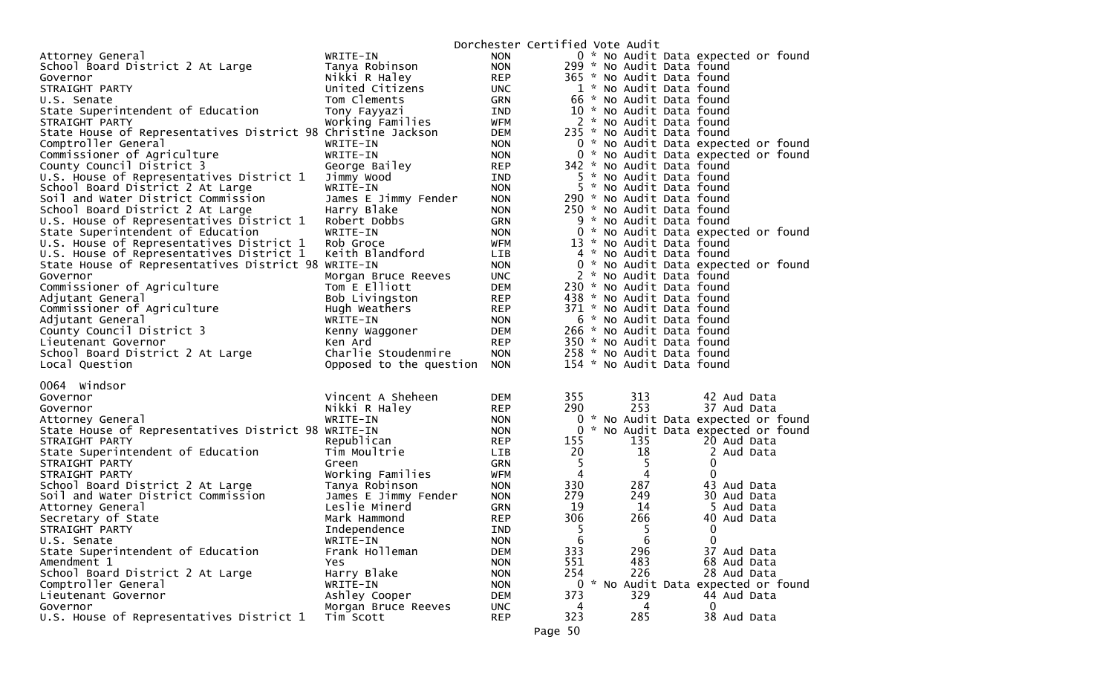| Attorney General<br>WRITE-IN<br><b>NON</b><br><b>NON</b><br>299 * No Audit Data found<br>School Board District 2 At Large<br>Tanya Robinson<br>Nikki R Haley<br><b>REP</b><br>365 * No Audit Data found<br>Governor<br>1 * No Audit Data found<br>STRAIGHT PARTY<br>United Citizens<br><b>UNC</b><br>66 * No Audit Data found<br>Tom Clements<br>GRN<br>U.S. Senate<br>State Superintendent of Education<br>10 * No Audit Data found<br>Tony Fayyazi<br>IND<br>2 * No Audit Data found<br>STRAIGHT PARTY<br>Working Families<br>WFM<br>State House of Representatives District 98 Christine Jackson<br><b>DEM</b><br>235 * No Audit Data found<br>Comptroller General<br>WRITE-IN<br><b>NON</b><br>Commissioner of Agriculture<br>WRITE-IN<br><b>NON</b><br>County Council District 3<br><b>REP</b><br>342 * No Audit Data found<br>George Bailey<br>U.S. House of Representatives District 1<br>5 * No Audit Data found<br>Jimmy Wood<br>IND<br>5 * No Audit Data found<br>School Board District 2 At Large<br>WRITE-IN<br><b>NON</b><br>Soil and Water District Commission<br><b>NON</b><br>290 * No Audit Data found<br>James E Jimmy Fender<br>School Board District 2 At Large<br>250 * No Audit Data found<br>Harry Blake<br><b>NON</b><br>U.S. House of Representatives District 1<br>9 * No Audit Data found<br>Robert Dobbs<br><b>GRN</b><br>State Superintendent of Education<br>WRITE-IN<br><b>NON</b><br>U.S. House of Representatives District 1<br>Rob Groce<br><b>WFM</b><br>13 * No Audit Data found<br>Keith Blandford<br>U.S. House of Representatives District 1<br>4 * No Audit Data found<br><b>LIB</b><br>State House of Representatives District 98 WRITE-IN<br><b>NON</b><br>2 * No Audit Data found<br>Morgan Bruce Reeves<br><b>UNC</b><br>Governor<br>Commissioner of Agriculture<br><b>DEM</b><br>230 * No Audit Data found<br>Tom E Elliott<br>Bob Livingston<br><b>REP</b><br>438 * No Audit Data found<br>Adjutant General<br>Commissioner of Agriculture<br><b>REP</b><br>371 * No Audit Data found<br>Hugh Weathers<br>WRITE-IN<br><b>NON</b><br>6 * No Audit Data found<br>Adjutant General<br>County Council District 3<br>266 * No Audit Data found<br>DEM<br>Kenny Waggoner<br><b>REP</b><br>350 * No Audit Data found<br>Lieutenant Governor<br>Ken Ard<br>School Board District 2 At Large<br>Charlie Stoudenmire<br><b>NON</b><br>258 * No Audit Data found<br>154 * No Audit Data found<br>Local Question<br>Opposed to the question<br><b>NON</b><br>0064 Windsor<br>Vincent A Sheheen<br>355<br>313<br>Governor<br>DEM<br>42 Aud Data<br>290<br>253<br>37 Aud Data<br>Nikki R Haley<br><b>REP</b><br>Governor<br>0 * No Audit Data expected or found<br>WRITE-IN<br><b>NON</b><br>Attorney General<br>State House of Representatives District 98 WRITE-IN<br>$\overline{0}$<br>* No Audit Data expected or found<br><b>NON</b><br>155<br>135<br>20 Aud Data<br>STRAIGHT PARTY<br>Republican<br><b>REP</b><br>20<br>18<br>State Superintendent of Education<br>Tim Moultrie<br>LIB<br>2 Aud Data<br>5<br>5<br>0<br>STRAIGHT PARTY<br>GRN<br>Green<br>Working Families<br><b>WFM</b><br>4<br>4<br>0<br>STRAIGHT PARTY<br>330<br>287<br>School Board District 2 At Large<br>Tanya Robinson<br><b>NON</b><br>43 Aud Data<br>279<br>249<br>30 Aud Data<br>Soil and Water District Commission<br>James E Jimmy Fender<br><b>NON</b><br>19<br>Leslie Minerd<br>14<br>Attorney General<br>GRN<br>5 Aud Data<br>306<br>266<br>Mark Hammond<br>Secretary of State<br><b>REP</b><br>40 Aud Data<br>5<br>5<br>0<br>STRAIGHT PARTY<br>Independence<br><b>IND</b><br>U.S. Senate<br>WRITE-IN<br><b>NON</b><br>6<br>0<br>6 |                                                     | Dorchester Certified Vote Audit     |
|--------------------------------------------------------------------------------------------------------------------------------------------------------------------------------------------------------------------------------------------------------------------------------------------------------------------------------------------------------------------------------------------------------------------------------------------------------------------------------------------------------------------------------------------------------------------------------------------------------------------------------------------------------------------------------------------------------------------------------------------------------------------------------------------------------------------------------------------------------------------------------------------------------------------------------------------------------------------------------------------------------------------------------------------------------------------------------------------------------------------------------------------------------------------------------------------------------------------------------------------------------------------------------------------------------------------------------------------------------------------------------------------------------------------------------------------------------------------------------------------------------------------------------------------------------------------------------------------------------------------------------------------------------------------------------------------------------------------------------------------------------------------------------------------------------------------------------------------------------------------------------------------------------------------------------------------------------------------------------------------------------------------------------------------------------------------------------------------------------------------------------------------------------------------------------------------------------------------------------------------------------------------------------------------------------------------------------------------------------------------------------------------------------------------------------------------------------------------------------------------------------------------------------------------------------------------------------------------------------------------------------------------------------------------------------------------------------------------------------------------------------------------------------------------------------------------------------------------------------------------------------------------------------------------------------------------------------------------------------------------------------------------------------------------------------------------------------------------------------------------------------------------------------------------------------------------------------------------------------------------------------------------------------------------------------------------------------------------------------------------------------------------------------------------------------------------------------------------------------------------------------------------------------------------------------------------------------------------------------------------------------------------------------|-----------------------------------------------------|-------------------------------------|
|                                                                                                                                                                                                                                                                                                                                                                                                                                                                                                                                                                                                                                                                                                                                                                                                                                                                                                                                                                                                                                                                                                                                                                                                                                                                                                                                                                                                                                                                                                                                                                                                                                                                                                                                                                                                                                                                                                                                                                                                                                                                                                                                                                                                                                                                                                                                                                                                                                                                                                                                                                                                                                                                                                                                                                                                                                                                                                                                                                                                                                                                                                                                                                                                                                                                                                                                                                                                                                                                                                                                                                                                                                                        |                                                     | 0 * No Audit Data expected or found |
|                                                                                                                                                                                                                                                                                                                                                                                                                                                                                                                                                                                                                                                                                                                                                                                                                                                                                                                                                                                                                                                                                                                                                                                                                                                                                                                                                                                                                                                                                                                                                                                                                                                                                                                                                                                                                                                                                                                                                                                                                                                                                                                                                                                                                                                                                                                                                                                                                                                                                                                                                                                                                                                                                                                                                                                                                                                                                                                                                                                                                                                                                                                                                                                                                                                                                                                                                                                                                                                                                                                                                                                                                                                        |                                                     |                                     |
|                                                                                                                                                                                                                                                                                                                                                                                                                                                                                                                                                                                                                                                                                                                                                                                                                                                                                                                                                                                                                                                                                                                                                                                                                                                                                                                                                                                                                                                                                                                                                                                                                                                                                                                                                                                                                                                                                                                                                                                                                                                                                                                                                                                                                                                                                                                                                                                                                                                                                                                                                                                                                                                                                                                                                                                                                                                                                                                                                                                                                                                                                                                                                                                                                                                                                                                                                                                                                                                                                                                                                                                                                                                        |                                                     |                                     |
|                                                                                                                                                                                                                                                                                                                                                                                                                                                                                                                                                                                                                                                                                                                                                                                                                                                                                                                                                                                                                                                                                                                                                                                                                                                                                                                                                                                                                                                                                                                                                                                                                                                                                                                                                                                                                                                                                                                                                                                                                                                                                                                                                                                                                                                                                                                                                                                                                                                                                                                                                                                                                                                                                                                                                                                                                                                                                                                                                                                                                                                                                                                                                                                                                                                                                                                                                                                                                                                                                                                                                                                                                                                        |                                                     |                                     |
|                                                                                                                                                                                                                                                                                                                                                                                                                                                                                                                                                                                                                                                                                                                                                                                                                                                                                                                                                                                                                                                                                                                                                                                                                                                                                                                                                                                                                                                                                                                                                                                                                                                                                                                                                                                                                                                                                                                                                                                                                                                                                                                                                                                                                                                                                                                                                                                                                                                                                                                                                                                                                                                                                                                                                                                                                                                                                                                                                                                                                                                                                                                                                                                                                                                                                                                                                                                                                                                                                                                                                                                                                                                        |                                                     |                                     |
|                                                                                                                                                                                                                                                                                                                                                                                                                                                                                                                                                                                                                                                                                                                                                                                                                                                                                                                                                                                                                                                                                                                                                                                                                                                                                                                                                                                                                                                                                                                                                                                                                                                                                                                                                                                                                                                                                                                                                                                                                                                                                                                                                                                                                                                                                                                                                                                                                                                                                                                                                                                                                                                                                                                                                                                                                                                                                                                                                                                                                                                                                                                                                                                                                                                                                                                                                                                                                                                                                                                                                                                                                                                        |                                                     |                                     |
|                                                                                                                                                                                                                                                                                                                                                                                                                                                                                                                                                                                                                                                                                                                                                                                                                                                                                                                                                                                                                                                                                                                                                                                                                                                                                                                                                                                                                                                                                                                                                                                                                                                                                                                                                                                                                                                                                                                                                                                                                                                                                                                                                                                                                                                                                                                                                                                                                                                                                                                                                                                                                                                                                                                                                                                                                                                                                                                                                                                                                                                                                                                                                                                                                                                                                                                                                                                                                                                                                                                                                                                                                                                        |                                                     |                                     |
|                                                                                                                                                                                                                                                                                                                                                                                                                                                                                                                                                                                                                                                                                                                                                                                                                                                                                                                                                                                                                                                                                                                                                                                                                                                                                                                                                                                                                                                                                                                                                                                                                                                                                                                                                                                                                                                                                                                                                                                                                                                                                                                                                                                                                                                                                                                                                                                                                                                                                                                                                                                                                                                                                                                                                                                                                                                                                                                                                                                                                                                                                                                                                                                                                                                                                                                                                                                                                                                                                                                                                                                                                                                        |                                                     |                                     |
|                                                                                                                                                                                                                                                                                                                                                                                                                                                                                                                                                                                                                                                                                                                                                                                                                                                                                                                                                                                                                                                                                                                                                                                                                                                                                                                                                                                                                                                                                                                                                                                                                                                                                                                                                                                                                                                                                                                                                                                                                                                                                                                                                                                                                                                                                                                                                                                                                                                                                                                                                                                                                                                                                                                                                                                                                                                                                                                                                                                                                                                                                                                                                                                                                                                                                                                                                                                                                                                                                                                                                                                                                                                        |                                                     | 0 * No Audit Data expected or found |
|                                                                                                                                                                                                                                                                                                                                                                                                                                                                                                                                                                                                                                                                                                                                                                                                                                                                                                                                                                                                                                                                                                                                                                                                                                                                                                                                                                                                                                                                                                                                                                                                                                                                                                                                                                                                                                                                                                                                                                                                                                                                                                                                                                                                                                                                                                                                                                                                                                                                                                                                                                                                                                                                                                                                                                                                                                                                                                                                                                                                                                                                                                                                                                                                                                                                                                                                                                                                                                                                                                                                                                                                                                                        |                                                     | 0 * No Audit Data expected or found |
|                                                                                                                                                                                                                                                                                                                                                                                                                                                                                                                                                                                                                                                                                                                                                                                                                                                                                                                                                                                                                                                                                                                                                                                                                                                                                                                                                                                                                                                                                                                                                                                                                                                                                                                                                                                                                                                                                                                                                                                                                                                                                                                                                                                                                                                                                                                                                                                                                                                                                                                                                                                                                                                                                                                                                                                                                                                                                                                                                                                                                                                                                                                                                                                                                                                                                                                                                                                                                                                                                                                                                                                                                                                        |                                                     |                                     |
|                                                                                                                                                                                                                                                                                                                                                                                                                                                                                                                                                                                                                                                                                                                                                                                                                                                                                                                                                                                                                                                                                                                                                                                                                                                                                                                                                                                                                                                                                                                                                                                                                                                                                                                                                                                                                                                                                                                                                                                                                                                                                                                                                                                                                                                                                                                                                                                                                                                                                                                                                                                                                                                                                                                                                                                                                                                                                                                                                                                                                                                                                                                                                                                                                                                                                                                                                                                                                                                                                                                                                                                                                                                        |                                                     |                                     |
|                                                                                                                                                                                                                                                                                                                                                                                                                                                                                                                                                                                                                                                                                                                                                                                                                                                                                                                                                                                                                                                                                                                                                                                                                                                                                                                                                                                                                                                                                                                                                                                                                                                                                                                                                                                                                                                                                                                                                                                                                                                                                                                                                                                                                                                                                                                                                                                                                                                                                                                                                                                                                                                                                                                                                                                                                                                                                                                                                                                                                                                                                                                                                                                                                                                                                                                                                                                                                                                                                                                                                                                                                                                        |                                                     |                                     |
|                                                                                                                                                                                                                                                                                                                                                                                                                                                                                                                                                                                                                                                                                                                                                                                                                                                                                                                                                                                                                                                                                                                                                                                                                                                                                                                                                                                                                                                                                                                                                                                                                                                                                                                                                                                                                                                                                                                                                                                                                                                                                                                                                                                                                                                                                                                                                                                                                                                                                                                                                                                                                                                                                                                                                                                                                                                                                                                                                                                                                                                                                                                                                                                                                                                                                                                                                                                                                                                                                                                                                                                                                                                        |                                                     |                                     |
|                                                                                                                                                                                                                                                                                                                                                                                                                                                                                                                                                                                                                                                                                                                                                                                                                                                                                                                                                                                                                                                                                                                                                                                                                                                                                                                                                                                                                                                                                                                                                                                                                                                                                                                                                                                                                                                                                                                                                                                                                                                                                                                                                                                                                                                                                                                                                                                                                                                                                                                                                                                                                                                                                                                                                                                                                                                                                                                                                                                                                                                                                                                                                                                                                                                                                                                                                                                                                                                                                                                                                                                                                                                        |                                                     |                                     |
|                                                                                                                                                                                                                                                                                                                                                                                                                                                                                                                                                                                                                                                                                                                                                                                                                                                                                                                                                                                                                                                                                                                                                                                                                                                                                                                                                                                                                                                                                                                                                                                                                                                                                                                                                                                                                                                                                                                                                                                                                                                                                                                                                                                                                                                                                                                                                                                                                                                                                                                                                                                                                                                                                                                                                                                                                                                                                                                                                                                                                                                                                                                                                                                                                                                                                                                                                                                                                                                                                                                                                                                                                                                        |                                                     |                                     |
|                                                                                                                                                                                                                                                                                                                                                                                                                                                                                                                                                                                                                                                                                                                                                                                                                                                                                                                                                                                                                                                                                                                                                                                                                                                                                                                                                                                                                                                                                                                                                                                                                                                                                                                                                                                                                                                                                                                                                                                                                                                                                                                                                                                                                                                                                                                                                                                                                                                                                                                                                                                                                                                                                                                                                                                                                                                                                                                                                                                                                                                                                                                                                                                                                                                                                                                                                                                                                                                                                                                                                                                                                                                        |                                                     | 0 * No Audit Data expected or found |
|                                                                                                                                                                                                                                                                                                                                                                                                                                                                                                                                                                                                                                                                                                                                                                                                                                                                                                                                                                                                                                                                                                                                                                                                                                                                                                                                                                                                                                                                                                                                                                                                                                                                                                                                                                                                                                                                                                                                                                                                                                                                                                                                                                                                                                                                                                                                                                                                                                                                                                                                                                                                                                                                                                                                                                                                                                                                                                                                                                                                                                                                                                                                                                                                                                                                                                                                                                                                                                                                                                                                                                                                                                                        |                                                     |                                     |
|                                                                                                                                                                                                                                                                                                                                                                                                                                                                                                                                                                                                                                                                                                                                                                                                                                                                                                                                                                                                                                                                                                                                                                                                                                                                                                                                                                                                                                                                                                                                                                                                                                                                                                                                                                                                                                                                                                                                                                                                                                                                                                                                                                                                                                                                                                                                                                                                                                                                                                                                                                                                                                                                                                                                                                                                                                                                                                                                                                                                                                                                                                                                                                                                                                                                                                                                                                                                                                                                                                                                                                                                                                                        |                                                     |                                     |
|                                                                                                                                                                                                                                                                                                                                                                                                                                                                                                                                                                                                                                                                                                                                                                                                                                                                                                                                                                                                                                                                                                                                                                                                                                                                                                                                                                                                                                                                                                                                                                                                                                                                                                                                                                                                                                                                                                                                                                                                                                                                                                                                                                                                                                                                                                                                                                                                                                                                                                                                                                                                                                                                                                                                                                                                                                                                                                                                                                                                                                                                                                                                                                                                                                                                                                                                                                                                                                                                                                                                                                                                                                                        |                                                     | 0 * No Audit Data expected or found |
|                                                                                                                                                                                                                                                                                                                                                                                                                                                                                                                                                                                                                                                                                                                                                                                                                                                                                                                                                                                                                                                                                                                                                                                                                                                                                                                                                                                                                                                                                                                                                                                                                                                                                                                                                                                                                                                                                                                                                                                                                                                                                                                                                                                                                                                                                                                                                                                                                                                                                                                                                                                                                                                                                                                                                                                                                                                                                                                                                                                                                                                                                                                                                                                                                                                                                                                                                                                                                                                                                                                                                                                                                                                        |                                                     |                                     |
|                                                                                                                                                                                                                                                                                                                                                                                                                                                                                                                                                                                                                                                                                                                                                                                                                                                                                                                                                                                                                                                                                                                                                                                                                                                                                                                                                                                                                                                                                                                                                                                                                                                                                                                                                                                                                                                                                                                                                                                                                                                                                                                                                                                                                                                                                                                                                                                                                                                                                                                                                                                                                                                                                                                                                                                                                                                                                                                                                                                                                                                                                                                                                                                                                                                                                                                                                                                                                                                                                                                                                                                                                                                        |                                                     |                                     |
|                                                                                                                                                                                                                                                                                                                                                                                                                                                                                                                                                                                                                                                                                                                                                                                                                                                                                                                                                                                                                                                                                                                                                                                                                                                                                                                                                                                                                                                                                                                                                                                                                                                                                                                                                                                                                                                                                                                                                                                                                                                                                                                                                                                                                                                                                                                                                                                                                                                                                                                                                                                                                                                                                                                                                                                                                                                                                                                                                                                                                                                                                                                                                                                                                                                                                                                                                                                                                                                                                                                                                                                                                                                        |                                                     |                                     |
|                                                                                                                                                                                                                                                                                                                                                                                                                                                                                                                                                                                                                                                                                                                                                                                                                                                                                                                                                                                                                                                                                                                                                                                                                                                                                                                                                                                                                                                                                                                                                                                                                                                                                                                                                                                                                                                                                                                                                                                                                                                                                                                                                                                                                                                                                                                                                                                                                                                                                                                                                                                                                                                                                                                                                                                                                                                                                                                                                                                                                                                                                                                                                                                                                                                                                                                                                                                                                                                                                                                                                                                                                                                        |                                                     |                                     |
|                                                                                                                                                                                                                                                                                                                                                                                                                                                                                                                                                                                                                                                                                                                                                                                                                                                                                                                                                                                                                                                                                                                                                                                                                                                                                                                                                                                                                                                                                                                                                                                                                                                                                                                                                                                                                                                                                                                                                                                                                                                                                                                                                                                                                                                                                                                                                                                                                                                                                                                                                                                                                                                                                                                                                                                                                                                                                                                                                                                                                                                                                                                                                                                                                                                                                                                                                                                                                                                                                                                                                                                                                                                        |                                                     |                                     |
|                                                                                                                                                                                                                                                                                                                                                                                                                                                                                                                                                                                                                                                                                                                                                                                                                                                                                                                                                                                                                                                                                                                                                                                                                                                                                                                                                                                                                                                                                                                                                                                                                                                                                                                                                                                                                                                                                                                                                                                                                                                                                                                                                                                                                                                                                                                                                                                                                                                                                                                                                                                                                                                                                                                                                                                                                                                                                                                                                                                                                                                                                                                                                                                                                                                                                                                                                                                                                                                                                                                                                                                                                                                        |                                                     |                                     |
|                                                                                                                                                                                                                                                                                                                                                                                                                                                                                                                                                                                                                                                                                                                                                                                                                                                                                                                                                                                                                                                                                                                                                                                                                                                                                                                                                                                                                                                                                                                                                                                                                                                                                                                                                                                                                                                                                                                                                                                                                                                                                                                                                                                                                                                                                                                                                                                                                                                                                                                                                                                                                                                                                                                                                                                                                                                                                                                                                                                                                                                                                                                                                                                                                                                                                                                                                                                                                                                                                                                                                                                                                                                        |                                                     |                                     |
|                                                                                                                                                                                                                                                                                                                                                                                                                                                                                                                                                                                                                                                                                                                                                                                                                                                                                                                                                                                                                                                                                                                                                                                                                                                                                                                                                                                                                                                                                                                                                                                                                                                                                                                                                                                                                                                                                                                                                                                                                                                                                                                                                                                                                                                                                                                                                                                                                                                                                                                                                                                                                                                                                                                                                                                                                                                                                                                                                                                                                                                                                                                                                                                                                                                                                                                                                                                                                                                                                                                                                                                                                                                        |                                                     |                                     |
|                                                                                                                                                                                                                                                                                                                                                                                                                                                                                                                                                                                                                                                                                                                                                                                                                                                                                                                                                                                                                                                                                                                                                                                                                                                                                                                                                                                                                                                                                                                                                                                                                                                                                                                                                                                                                                                                                                                                                                                                                                                                                                                                                                                                                                                                                                                                                                                                                                                                                                                                                                                                                                                                                                                                                                                                                                                                                                                                                                                                                                                                                                                                                                                                                                                                                                                                                                                                                                                                                                                                                                                                                                                        |                                                     |                                     |
|                                                                                                                                                                                                                                                                                                                                                                                                                                                                                                                                                                                                                                                                                                                                                                                                                                                                                                                                                                                                                                                                                                                                                                                                                                                                                                                                                                                                                                                                                                                                                                                                                                                                                                                                                                                                                                                                                                                                                                                                                                                                                                                                                                                                                                                                                                                                                                                                                                                                                                                                                                                                                                                                                                                                                                                                                                                                                                                                                                                                                                                                                                                                                                                                                                                                                                                                                                                                                                                                                                                                                                                                                                                        |                                                     |                                     |
|                                                                                                                                                                                                                                                                                                                                                                                                                                                                                                                                                                                                                                                                                                                                                                                                                                                                                                                                                                                                                                                                                                                                                                                                                                                                                                                                                                                                                                                                                                                                                                                                                                                                                                                                                                                                                                                                                                                                                                                                                                                                                                                                                                                                                                                                                                                                                                                                                                                                                                                                                                                                                                                                                                                                                                                                                                                                                                                                                                                                                                                                                                                                                                                                                                                                                                                                                                                                                                                                                                                                                                                                                                                        |                                                     |                                     |
|                                                                                                                                                                                                                                                                                                                                                                                                                                                                                                                                                                                                                                                                                                                                                                                                                                                                                                                                                                                                                                                                                                                                                                                                                                                                                                                                                                                                                                                                                                                                                                                                                                                                                                                                                                                                                                                                                                                                                                                                                                                                                                                                                                                                                                                                                                                                                                                                                                                                                                                                                                                                                                                                                                                                                                                                                                                                                                                                                                                                                                                                                                                                                                                                                                                                                                                                                                                                                                                                                                                                                                                                                                                        |                                                     |                                     |
|                                                                                                                                                                                                                                                                                                                                                                                                                                                                                                                                                                                                                                                                                                                                                                                                                                                                                                                                                                                                                                                                                                                                                                                                                                                                                                                                                                                                                                                                                                                                                                                                                                                                                                                                                                                                                                                                                                                                                                                                                                                                                                                                                                                                                                                                                                                                                                                                                                                                                                                                                                                                                                                                                                                                                                                                                                                                                                                                                                                                                                                                                                                                                                                                                                                                                                                                                                                                                                                                                                                                                                                                                                                        |                                                     |                                     |
|                                                                                                                                                                                                                                                                                                                                                                                                                                                                                                                                                                                                                                                                                                                                                                                                                                                                                                                                                                                                                                                                                                                                                                                                                                                                                                                                                                                                                                                                                                                                                                                                                                                                                                                                                                                                                                                                                                                                                                                                                                                                                                                                                                                                                                                                                                                                                                                                                                                                                                                                                                                                                                                                                                                                                                                                                                                                                                                                                                                                                                                                                                                                                                                                                                                                                                                                                                                                                                                                                                                                                                                                                                                        |                                                     |                                     |
|                                                                                                                                                                                                                                                                                                                                                                                                                                                                                                                                                                                                                                                                                                                                                                                                                                                                                                                                                                                                                                                                                                                                                                                                                                                                                                                                                                                                                                                                                                                                                                                                                                                                                                                                                                                                                                                                                                                                                                                                                                                                                                                                                                                                                                                                                                                                                                                                                                                                                                                                                                                                                                                                                                                                                                                                                                                                                                                                                                                                                                                                                                                                                                                                                                                                                                                                                                                                                                                                                                                                                                                                                                                        |                                                     |                                     |
|                                                                                                                                                                                                                                                                                                                                                                                                                                                                                                                                                                                                                                                                                                                                                                                                                                                                                                                                                                                                                                                                                                                                                                                                                                                                                                                                                                                                                                                                                                                                                                                                                                                                                                                                                                                                                                                                                                                                                                                                                                                                                                                                                                                                                                                                                                                                                                                                                                                                                                                                                                                                                                                                                                                                                                                                                                                                                                                                                                                                                                                                                                                                                                                                                                                                                                                                                                                                                                                                                                                                                                                                                                                        |                                                     |                                     |
|                                                                                                                                                                                                                                                                                                                                                                                                                                                                                                                                                                                                                                                                                                                                                                                                                                                                                                                                                                                                                                                                                                                                                                                                                                                                                                                                                                                                                                                                                                                                                                                                                                                                                                                                                                                                                                                                                                                                                                                                                                                                                                                                                                                                                                                                                                                                                                                                                                                                                                                                                                                                                                                                                                                                                                                                                                                                                                                                                                                                                                                                                                                                                                                                                                                                                                                                                                                                                                                                                                                                                                                                                                                        |                                                     |                                     |
|                                                                                                                                                                                                                                                                                                                                                                                                                                                                                                                                                                                                                                                                                                                                                                                                                                                                                                                                                                                                                                                                                                                                                                                                                                                                                                                                                                                                                                                                                                                                                                                                                                                                                                                                                                                                                                                                                                                                                                                                                                                                                                                                                                                                                                                                                                                                                                                                                                                                                                                                                                                                                                                                                                                                                                                                                                                                                                                                                                                                                                                                                                                                                                                                                                                                                                                                                                                                                                                                                                                                                                                                                                                        |                                                     |                                     |
|                                                                                                                                                                                                                                                                                                                                                                                                                                                                                                                                                                                                                                                                                                                                                                                                                                                                                                                                                                                                                                                                                                                                                                                                                                                                                                                                                                                                                                                                                                                                                                                                                                                                                                                                                                                                                                                                                                                                                                                                                                                                                                                                                                                                                                                                                                                                                                                                                                                                                                                                                                                                                                                                                                                                                                                                                                                                                                                                                                                                                                                                                                                                                                                                                                                                                                                                                                                                                                                                                                                                                                                                                                                        |                                                     |                                     |
|                                                                                                                                                                                                                                                                                                                                                                                                                                                                                                                                                                                                                                                                                                                                                                                                                                                                                                                                                                                                                                                                                                                                                                                                                                                                                                                                                                                                                                                                                                                                                                                                                                                                                                                                                                                                                                                                                                                                                                                                                                                                                                                                                                                                                                                                                                                                                                                                                                                                                                                                                                                                                                                                                                                                                                                                                                                                                                                                                                                                                                                                                                                                                                                                                                                                                                                                                                                                                                                                                                                                                                                                                                                        |                                                     |                                     |
|                                                                                                                                                                                                                                                                                                                                                                                                                                                                                                                                                                                                                                                                                                                                                                                                                                                                                                                                                                                                                                                                                                                                                                                                                                                                                                                                                                                                                                                                                                                                                                                                                                                                                                                                                                                                                                                                                                                                                                                                                                                                                                                                                                                                                                                                                                                                                                                                                                                                                                                                                                                                                                                                                                                                                                                                                                                                                                                                                                                                                                                                                                                                                                                                                                                                                                                                                                                                                                                                                                                                                                                                                                                        |                                                     |                                     |
|                                                                                                                                                                                                                                                                                                                                                                                                                                                                                                                                                                                                                                                                                                                                                                                                                                                                                                                                                                                                                                                                                                                                                                                                                                                                                                                                                                                                                                                                                                                                                                                                                                                                                                                                                                                                                                                                                                                                                                                                                                                                                                                                                                                                                                                                                                                                                                                                                                                                                                                                                                                                                                                                                                                                                                                                                                                                                                                                                                                                                                                                                                                                                                                                                                                                                                                                                                                                                                                                                                                                                                                                                                                        |                                                     |                                     |
|                                                                                                                                                                                                                                                                                                                                                                                                                                                                                                                                                                                                                                                                                                                                                                                                                                                                                                                                                                                                                                                                                                                                                                                                                                                                                                                                                                                                                                                                                                                                                                                                                                                                                                                                                                                                                                                                                                                                                                                                                                                                                                                                                                                                                                                                                                                                                                                                                                                                                                                                                                                                                                                                                                                                                                                                                                                                                                                                                                                                                                                                                                                                                                                                                                                                                                                                                                                                                                                                                                                                                                                                                                                        |                                                     |                                     |
|                                                                                                                                                                                                                                                                                                                                                                                                                                                                                                                                                                                                                                                                                                                                                                                                                                                                                                                                                                                                                                                                                                                                                                                                                                                                                                                                                                                                                                                                                                                                                                                                                                                                                                                                                                                                                                                                                                                                                                                                                                                                                                                                                                                                                                                                                                                                                                                                                                                                                                                                                                                                                                                                                                                                                                                                                                                                                                                                                                                                                                                                                                                                                                                                                                                                                                                                                                                                                                                                                                                                                                                                                                                        |                                                     |                                     |
| <b>DEM</b>                                                                                                                                                                                                                                                                                                                                                                                                                                                                                                                                                                                                                                                                                                                                                                                                                                                                                                                                                                                                                                                                                                                                                                                                                                                                                                                                                                                                                                                                                                                                                                                                                                                                                                                                                                                                                                                                                                                                                                                                                                                                                                                                                                                                                                                                                                                                                                                                                                                                                                                                                                                                                                                                                                                                                                                                                                                                                                                                                                                                                                                                                                                                                                                                                                                                                                                                                                                                                                                                                                                                                                                                                                             | State Superintendent of Education<br>Frank Holleman | 333<br>296<br>37 Aud Data           |
| 551<br>483<br>Amendment 1<br><b>NON</b><br>Yes<br>68 Aud Data                                                                                                                                                                                                                                                                                                                                                                                                                                                                                                                                                                                                                                                                                                                                                                                                                                                                                                                                                                                                                                                                                                                                                                                                                                                                                                                                                                                                                                                                                                                                                                                                                                                                                                                                                                                                                                                                                                                                                                                                                                                                                                                                                                                                                                                                                                                                                                                                                                                                                                                                                                                                                                                                                                                                                                                                                                                                                                                                                                                                                                                                                                                                                                                                                                                                                                                                                                                                                                                                                                                                                                                          |                                                     |                                     |
| School Board District 2 At Large<br>226<br>Harry Blake<br>254<br>28 Aud Data<br><b>NON</b>                                                                                                                                                                                                                                                                                                                                                                                                                                                                                                                                                                                                                                                                                                                                                                                                                                                                                                                                                                                                                                                                                                                                                                                                                                                                                                                                                                                                                                                                                                                                                                                                                                                                                                                                                                                                                                                                                                                                                                                                                                                                                                                                                                                                                                                                                                                                                                                                                                                                                                                                                                                                                                                                                                                                                                                                                                                                                                                                                                                                                                                                                                                                                                                                                                                                                                                                                                                                                                                                                                                                                             |                                                     |                                     |
| Comptroller General<br>WRITE-IN<br><b>NON</b><br>0                                                                                                                                                                                                                                                                                                                                                                                                                                                                                                                                                                                                                                                                                                                                                                                                                                                                                                                                                                                                                                                                                                                                                                                                                                                                                                                                                                                                                                                                                                                                                                                                                                                                                                                                                                                                                                                                                                                                                                                                                                                                                                                                                                                                                                                                                                                                                                                                                                                                                                                                                                                                                                                                                                                                                                                                                                                                                                                                                                                                                                                                                                                                                                                                                                                                                                                                                                                                                                                                                                                                                                                                     |                                                     | * No Audit Data expected or found   |
| Ashley Cooper<br>373<br>329<br>Lieutenant Governor<br>44 Aud Data<br><b>DEM</b>                                                                                                                                                                                                                                                                                                                                                                                                                                                                                                                                                                                                                                                                                                                                                                                                                                                                                                                                                                                                                                                                                                                                                                                                                                                                                                                                                                                                                                                                                                                                                                                                                                                                                                                                                                                                                                                                                                                                                                                                                                                                                                                                                                                                                                                                                                                                                                                                                                                                                                                                                                                                                                                                                                                                                                                                                                                                                                                                                                                                                                                                                                                                                                                                                                                                                                                                                                                                                                                                                                                                                                        |                                                     |                                     |
| Governor<br>Morgan Bruce Reeves<br>0<br><b>UNC</b><br>4                                                                                                                                                                                                                                                                                                                                                                                                                                                                                                                                                                                                                                                                                                                                                                                                                                                                                                                                                                                                                                                                                                                                                                                                                                                                                                                                                                                                                                                                                                                                                                                                                                                                                                                                                                                                                                                                                                                                                                                                                                                                                                                                                                                                                                                                                                                                                                                                                                                                                                                                                                                                                                                                                                                                                                                                                                                                                                                                                                                                                                                                                                                                                                                                                                                                                                                                                                                                                                                                                                                                                                                                |                                                     |                                     |
| U.S. House of Representatives District 1<br>323<br>285<br>38 Aud Data<br>Tim Scott<br><b>REP</b>                                                                                                                                                                                                                                                                                                                                                                                                                                                                                                                                                                                                                                                                                                                                                                                                                                                                                                                                                                                                                                                                                                                                                                                                                                                                                                                                                                                                                                                                                                                                                                                                                                                                                                                                                                                                                                                                                                                                                                                                                                                                                                                                                                                                                                                                                                                                                                                                                                                                                                                                                                                                                                                                                                                                                                                                                                                                                                                                                                                                                                                                                                                                                                                                                                                                                                                                                                                                                                                                                                                                                       |                                                     |                                     |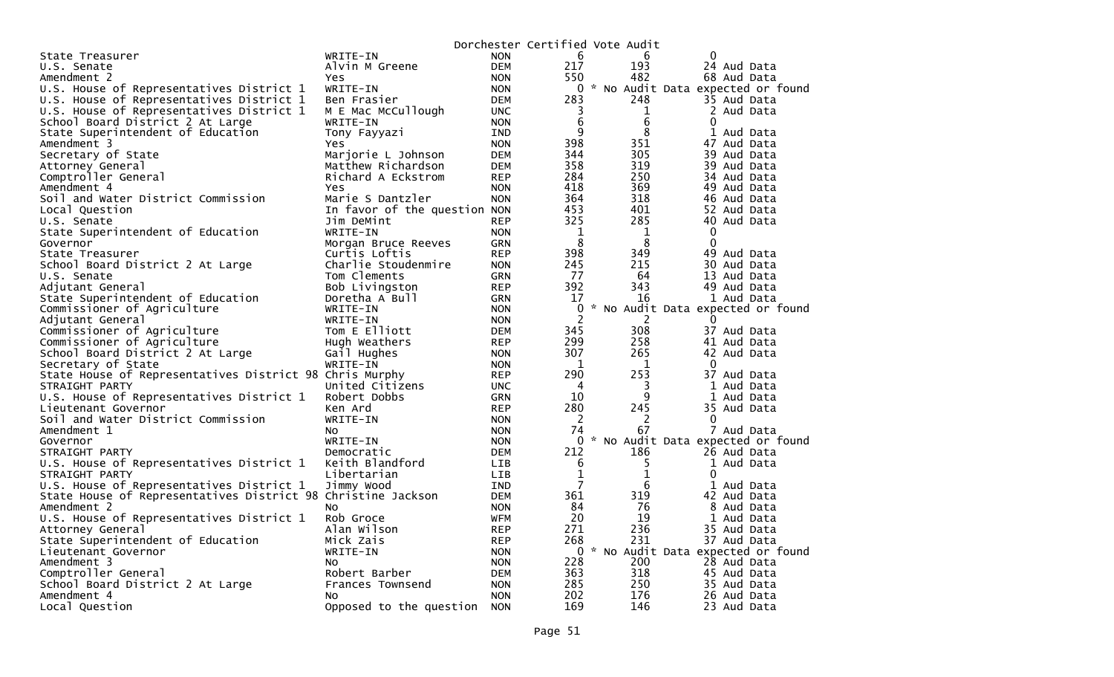|                                                              |                              |            | Dorchester Certified Vote Audit |                |                                     |
|--------------------------------------------------------------|------------------------------|------------|---------------------------------|----------------|-------------------------------------|
| State Treasurer                                              | WRITE-IN                     | <b>NON</b> | 6                               | 6              | 0                                   |
| U.S. Senate                                                  | Alvin M Greene               | <b>DEM</b> | 217                             | 193            | 24 Aud Data                         |
| Amendment 2                                                  | Yes                          | <b>NON</b> | 550                             | 482            | 68 Aud Data                         |
| U.S. House of Representatives District 1                     | WRITE-IN                     | <b>NON</b> |                                 |                | 0 * No Audit Data expected or found |
| U.S. House of Representatives District 1                     | Ben Frasier                  | <b>DEM</b> | 283                             | 248            | 35 Aud Data                         |
| U.S. House of Representatives District 1                     | M E Mac McCullough           | <b>UNC</b> | 3                               | 1              | 2 Aud Data                          |
| School Board District 2 At Large                             | WRITE-IN                     | <b>NON</b> | 6                               | 6              | $\mathbf{0}$                        |
| State Superintendent of Education                            | Tony Fayyazi                 | IND        | q                               | 8              | 1 Aud Data                          |
| Amendment 3                                                  | Yes                          | <b>NON</b> | 398                             | 351            | 47 Aud Data                         |
| Secretary of State                                           | Marjorie L Johnson           | <b>DEM</b> | 344                             | 305            | 39 Aud Data                         |
| Attorney General                                             | Matthew Richardson           | <b>DEM</b> | 358                             | 319            | 39 Aud Data                         |
| Comptroller General                                          | Richard A Eckstrom           | <b>REP</b> | 284                             | 250            | 34 Aud Data                         |
| Amendment 4                                                  | Yes.                         | <b>NON</b> | 418                             | 369            | 49 Aud Data                         |
| Soil and Water District Commission                           | Marie S Dantzler             | <b>NON</b> | 364                             | 318            | 46 Aud Data                         |
| Local Question                                               | In favor of the question NON |            | 453                             | 401            | 52 Aud Data                         |
| U.S. Senate                                                  | Jim DeMint                   | <b>REP</b> | 325                             | 285            | 40 Aud Data                         |
| State Superintendent of Education                            | WRITE-IN                     | <b>NON</b> | 1                               | 1              | 0                                   |
| Governor                                                     | Morgan Bruce Reeves          | <b>GRN</b> | 8                               | 8              | $\Omega$                            |
| State Treasurer                                              | Curtis Loftis                | <b>REP</b> | 398                             | 349            | 49 Aud Data                         |
| School Board District 2 At Large                             | Charlie Stoudenmire          | <b>NON</b> | 245                             | 215            | 30 Aud Data                         |
| U.S. Senate                                                  | Tom Clements                 | GRN        | 77                              | 64             | 13 Aud Data                         |
| Adjutant General                                             | Bob Livingston               | <b>REP</b> | 392                             | 343            | 49 Aud Data                         |
| State Superintendent of Education                            | Doretha A Bull               | <b>GRN</b> | 17                              | 16             | 1 Aud Data                          |
| Commissioner of Agriculture                                  | WRITE-IN                     | <b>NON</b> | $\Omega$                        |                | * No Audit Data expected or found   |
| Adjutant General                                             | WRITE-IN                     | <b>NON</b> | $\overline{2}$                  | $\overline{c}$ | $\Omega$                            |
| Commissioner of Agriculture                                  | Tom E Elliott                | <b>DEM</b> | 345                             | 308            | 37 Aud Data                         |
| Commissioner of Agriculture                                  | Hugh Weathers                | <b>REP</b> | 299                             | 258            | 41 Aud Data                         |
| School Board District 2 At Large                             | Gail Hughes                  | <b>NON</b> | 307                             | 265            | 42 Aud Data                         |
| Secretary of State                                           | WRITE-IN                     | <b>NON</b> | 1                               | 1              | $\mathbf{0}$                        |
| State House of Representatives District 98 Chris Murphy      |                              | <b>REP</b> | 290                             | 253            | 37 Aud Data                         |
| STRAIGHT PARTY                                               | United Citizens              | <b>UNC</b> | 4                               | 3              | 1 Aud Data                          |
| U.S. House of Representatives District 1                     | Robert Dobbs                 | <b>GRN</b> | 10                              | 9              | 1 Aud Data                          |
| Lieutenant Governor                                          | Ken Ard                      | <b>REP</b> | 280                             | 245            | 35 Aud Data                         |
| Soil and Water District Commission                           | WRITE-IN                     | <b>NON</b> | $\overline{c}$                  | $\overline{2}$ | 0                                   |
| Amendment 1                                                  | No.                          | <b>NON</b> | 74                              | 67             | 7 Aud Data                          |
| Governor                                                     | WRITE-IN                     | <b>NON</b> | $\Omega$                        |                | No Audit Data expected or found     |
| STRAIGHT PARTY                                               | Democratic                   | <b>DEM</b> | 212                             | 186            | 26 Aud Data                         |
| U.S. House of Representatives District 1                     | Keith Blandford              | LIB        | 6                               | 5              | 1 Aud Data                          |
| STRAIGHT PARTY                                               | Libertarian                  | <b>LIB</b> | $\mathbf{1}$                    | $\mathbf 1$    | $\mathbf{0}$                        |
| U.S. House of Representatives District 1                     | Jimmy Wood                   | IND        | $\overline{7}$                  | 6              | 1<br>Aud Data                       |
| State House of Representatives District 98 Christine Jackson |                              | <b>DEM</b> | 361                             | 319            | 42 Aud Data                         |
| Amendment 2                                                  | NO.                          | <b>NON</b> | 84                              | 76             | 8 Aud Data                          |
| U.S. House of Representatives District 1                     | Rob Groce                    | <b>WFM</b> | 20                              | 19             | 1 Aud Data                          |
| Attorney General                                             | Alan Wilson                  | <b>REP</b> | 271                             | 236            | 35 Aud Data                         |
| State Superintendent of Education                            | Mick Zais                    | <b>REP</b> | 268                             | 231            | 37 Aud Data                         |
| Lieutenant Governor                                          | WRITE-IN                     | <b>NON</b> | $\Omega$                        |                | * No Audit Data expected or found   |
| Amendment 3                                                  | NO.                          | <b>NON</b> | 228                             | 200            | 28 Aud Data                         |
| Comptroller General                                          | Robert Barber                | <b>DEM</b> | 363                             | 318            | 45 Aud Data                         |
| School Board District 2 At Large                             | Frances Townsend             | <b>NON</b> | 285                             | 250            | 35 Aud Data                         |
| Amendment 4                                                  | NO.                          | <b>NON</b> | 202                             | 176            | 26 Aud Data                         |
| Local Question                                               | Opposed to the question      | <b>NON</b> | 169                             | 146            | 23 Aud Data                         |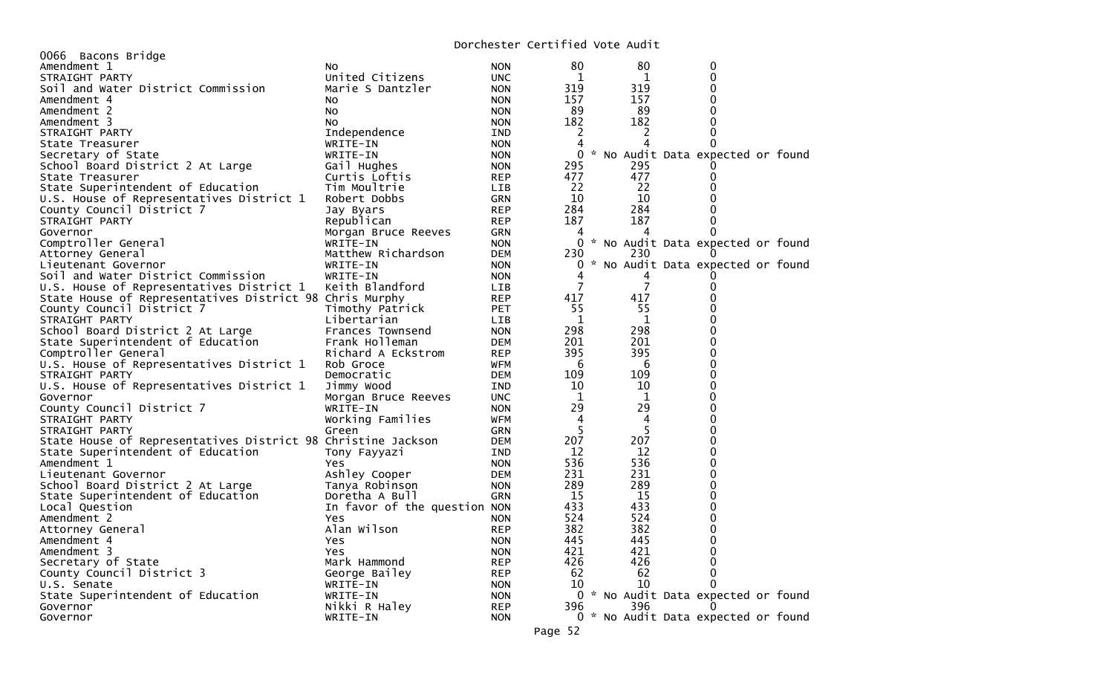## Dorchester Certified Vote Audit

|                                                              |                              |            |        | DUICHESCEI CEICIITEU VUCE AUUIC |                                     |  |
|--------------------------------------------------------------|------------------------------|------------|--------|---------------------------------|-------------------------------------|--|
| 0066 Bacons Bridge                                           |                              |            |        |                                 |                                     |  |
| Amendment 1                                                  | NO.                          | <b>NON</b> | 80     | 80                              | 0                                   |  |
| STRAIGHT PARTY                                               | United Citizens              | <b>UNC</b> | 1      | 1                               | 0                                   |  |
| Soil and Water District Commission                           | Marie S Dantzler             | <b>NON</b> | 319    | 319                             | $\Omega$                            |  |
| Amendment 4                                                  | NO.                          | <b>NON</b> | 157    | 157                             | 0                                   |  |
| Amendment 2                                                  | No.                          | <b>NON</b> | 89     | 89                              |                                     |  |
| Amendment 3                                                  | NO.                          | <b>NON</b> | 182    | 182                             | 0                                   |  |
| STRAIGHT PARTY                                               | Independence                 | IND        | 2      | 2                               | 0                                   |  |
| State Treasurer                                              | WRITE-IN                     | <b>NON</b> | 4      | 4                               | 0                                   |  |
| Secretary of State                                           | WRITE-IN                     | <b>NON</b> | 0      |                                 | * No Audit Data expected or found   |  |
| School Board District 2 At Large                             | Gail Hughes                  | <b>NON</b> | 295    | 295                             |                                     |  |
| State Treasurer                                              | Curtis Loftis                | <b>REP</b> | 477    | 477                             | $\mathbf{0}$                        |  |
| State Superintendent of Education                            | Tim Moultrie                 | <b>LIB</b> | 22     | 22                              |                                     |  |
| U.S. House of Representatives District 1                     | Robert Dobbs                 | GRN        | 10     | 10                              |                                     |  |
| County Council District 7                                    | Jay Byars                    | <b>REP</b> | 284    | 284                             |                                     |  |
| STRAIGHT PARTY                                               | Republican                   | <b>REP</b> | 187    | 187                             | 0                                   |  |
| Governor                                                     | Morgan Bruce Reeves          | <b>GRN</b> | 4      | 4                               | 0                                   |  |
| Comptroller General                                          | WRITE-IN                     | <b>NON</b> | 0      |                                 | * No Audit Data expected or found   |  |
| Attorney General                                             | Matthew Richardson           | <b>DEM</b> | 230    | 230                             |                                     |  |
| Lieutenant Governor                                          | WRITE-IN                     | <b>NON</b> | 0      |                                 | * No Audit Data expected or found   |  |
|                                                              |                              |            |        |                                 |                                     |  |
| Soil and Water District Commission                           | WRITE-IN                     | <b>NON</b> | 4<br>7 | 7                               |                                     |  |
| U.S. House of Representatives District 1                     | Keith Blandford              | LIB.       |        |                                 |                                     |  |
| State House of Representatives District 98 Chris Murphy      |                              | <b>REP</b> | 417    | 417                             |                                     |  |
| County Council District 7                                    | Timothy Patrick              | <b>PET</b> | 55     | 55                              |                                     |  |
| STRAIGHT PARTY                                               | Libertarian                  | LIB        | 1      | 1                               | 0                                   |  |
| School Board District 2 At Large                             | Frances Townsend             | <b>NON</b> | 298    | 298                             | 0                                   |  |
| State Superintendent of Education                            | Frank Holleman               | <b>DEM</b> | 201    | 201                             | $\Omega$                            |  |
| Comptroller General                                          | Richard A Eckstrom           | <b>REP</b> | 395    | 395                             | $\Omega$                            |  |
| U.S. House of Representatives District 1                     | Rob Groce                    | <b>WFM</b> | 6      | 6                               | $\Omega$                            |  |
| STRAIGHT PARTY                                               | Democratic                   | <b>DEM</b> | 109    | 109                             | 0                                   |  |
| U.S. House of Representatives District 1                     | Jimmy Wood                   | IND        | 10     | 10                              | $\Omega$                            |  |
| Governor                                                     | Morgan Bruce Reeves          | <b>UNC</b> | 1      | 1                               | 0                                   |  |
| County Council District 7                                    | WRITE-IN                     | <b>NON</b> | 29     | 29                              | 0                                   |  |
| STRAIGHT PARTY                                               | Working Families             | <b>WFM</b> | 4      | 4                               | $\Omega$                            |  |
| STRAIGHT PARTY                                               | Green                        | <b>GRN</b> | 5      | 5                               | U                                   |  |
| State House of Representatives District 98 Christine Jackson |                              | <b>DEM</b> | 207    | 207                             | 0                                   |  |
| State Superintendent of Education                            | Tony Fayyazi                 | IND        | 12     | 12                              | $\Omega$                            |  |
| Amendment 1                                                  | Yes                          | <b>NON</b> | 536    | 536                             | $\Omega$                            |  |
| Lieutenant Governor                                          | Ashley Cooper                | <b>DEM</b> | 231    | 231                             | $\Omega$                            |  |
| School Board District 2 At Large                             | Tanya Robinson               | <b>NON</b> | 289    | 289                             | $\Omega$                            |  |
| State Superintendent of Education                            | Doretha A Bull               | <b>GRN</b> | 15     | 15                              | 0                                   |  |
| Local Question                                               |                              |            | 433    | 433                             | 0                                   |  |
|                                                              | In favor of the question NON |            |        |                                 |                                     |  |
| Amendment 2                                                  | Yes                          | <b>NON</b> | 524    | 524                             | 0                                   |  |
| Attorney General                                             | Alan Wilson                  | <b>REP</b> | 382    | 382                             | 0                                   |  |
| Amendment 4                                                  | Yes                          | <b>NON</b> | 445    | 445                             | 0                                   |  |
| Amendment 3                                                  | Yes                          | <b>NON</b> | 421    | 421                             | 0                                   |  |
| Secretary of State                                           | Mark Hammond                 | <b>REP</b> | 426    | 426                             |                                     |  |
| County Council District 3                                    | George Bailey                | <b>REP</b> | 62     | 62                              | 0                                   |  |
| U.S. Senate                                                  | WRITE-IN                     | <b>NON</b> | 10     | 10                              | 0                                   |  |
| State Superintendent of Education                            | WRITE-IN                     | <b>NON</b> |        |                                 | 0 * No Audit Data expected or found |  |
| Governor                                                     | Nikki R Haley                | <b>REP</b> | 396    | 396                             |                                     |  |
| Governor                                                     | WRITE-IN                     | <b>NON</b> |        |                                 | 0 * No Audit Data expected or found |  |
|                                                              |                              |            |        |                                 |                                     |  |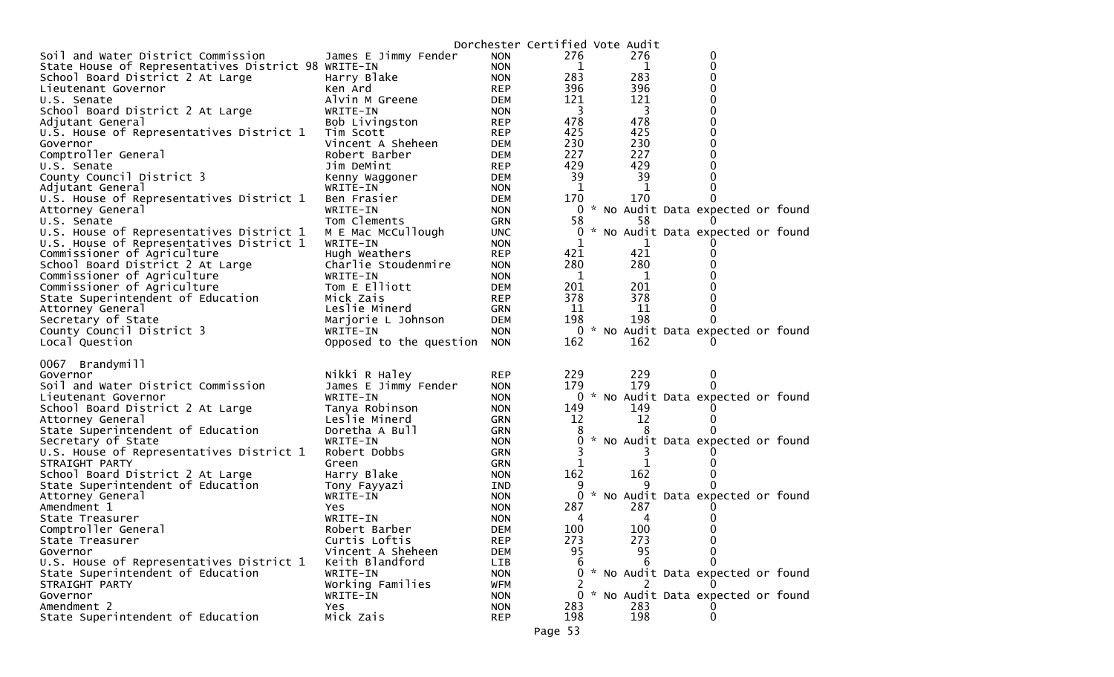|                                                     |                                |                          | Dorchester Certified Vote Audit |                         |                                        |  |
|-----------------------------------------------------|--------------------------------|--------------------------|---------------------------------|-------------------------|----------------------------------------|--|
| Soil and Water District Commission                  | James E Jimmy Fender           | <b>NON</b>               | 276                             | 276                     | 0                                      |  |
| State House of Representatives District 98 WRITE-IN |                                | <b>NON</b>               | 1                               | 1                       | 0                                      |  |
| School Board District 2 At Large                    | Harry Blake                    | <b>NON</b>               | 283                             | 283                     | 0                                      |  |
| Lieutenant Governor                                 | Ken Ard                        | REP                      | 396                             | 396                     | 0                                      |  |
| U.S. Senate                                         | Alvin M Greene                 | DEM                      | 121                             | 121                     | 0                                      |  |
| School Board District 2 At Large                    | WRITE-IN                       | <b>NON</b>               | $\overline{\mathbf{3}}$         | $\overline{\mathbf{3}}$ | 0                                      |  |
| Adjutant General                                    | Bob Livingston                 | <b>REP</b>               | 478                             | 478                     | 0                                      |  |
| U.S. House of Representatives District 1            | Tim Scott                      | <b>REP</b>               | 425                             | 425                     | 0                                      |  |
| Governor                                            | Vincent A Sheheen              | DEM                      | 230                             | 230                     | 0                                      |  |
| Comptroller General                                 | Robert Barber                  | DEM                      | 227                             | 227                     | 0                                      |  |
| U.S. Senate                                         | Jim DeMint                     | <b>REP</b>               | 429                             | 429                     | 0                                      |  |
| County Council District 3                           | Kenny Waggoner                 | DEM                      | 39                              | 39                      | 0                                      |  |
| Adjutant General                                    | WRITE-IN                       | <b>NON</b>               | -1                              | -1                      | 0                                      |  |
| U.S. House of Representatives District 1            | Ben Frasier                    | DEM                      | 170                             | 170                     | 0                                      |  |
| Attorney General                                    | WRITE-IN                       | <b>NON</b>               |                                 |                         | 0 * No Audit Data expected or found    |  |
| U.S. Senate                                         | Tom Clements                   | GRN                      | 58                              | 58                      |                                        |  |
| U.S. House of Representatives District 1            | M E Mac McCullough             | <b>UNC</b>               | 0                               |                         | * No Audit Data expected or found      |  |
| U.S. House of Representatives District 1            | WRITE-IN                       | <b>NON</b>               | 1                               | 1                       |                                        |  |
| Commissioner of Agriculture                         | Hugh Weathers                  | <b>REP</b>               | 421                             | 421                     | 0                                      |  |
| School Board District 2 At Large                    | Charlie Stoudenmire            | <b>NON</b>               | 280                             | 280                     | 0                                      |  |
| Commissioner of Agriculture                         | WRITE-IN                       | <b>NON</b>               | 1                               | $\mathbf{1}$            | 0                                      |  |
| Commissioner of Agriculture                         | Tom E Elliott                  | DEM                      | 201                             | 201                     | 0                                      |  |
| State Superintendent of Education                   | Mick Zais                      | <b>REP</b>               | 378                             | 378                     | 0                                      |  |
| Attorney General                                    | Leslie Minerd                  | GRN                      | 11                              | 11                      | 0                                      |  |
| Secretary of State                                  | Marjorie L Johnson<br>WRITE-IN | DEM                      | 198<br>$\mathbf{0}$             | 198                     | 0<br>* No Audit Data expected or found |  |
| County Council District 3<br>Local Question         | Opposed to the question        | <b>NON</b><br><b>NON</b> | 162                             | 162                     |                                        |  |
|                                                     |                                |                          |                                 |                         |                                        |  |
| 0067 Brandymill                                     |                                |                          |                                 |                         |                                        |  |
| Governor                                            | Nikki R Haley                  | <b>REP</b>               | 229                             | 229                     | 0                                      |  |
| Soil and Water District Commission                  | James E Jimmy Fender           | <b>NON</b>               | 179                             | 179                     | 0                                      |  |
| Lieutenant Governor                                 | WRITE-IN                       | <b>NON</b>               | 0                               |                         | * No Audit Data expected or found      |  |
| School Board District 2 At Large                    | Tanya Robinson                 | <b>NON</b>               | 149                             | 149                     |                                        |  |
| Attorney General                                    | Leslie Minerd                  | <b>GRN</b>               | 12                              | 12                      | 0                                      |  |
| State Superintendent of Education                   | Doretha A Bull                 | <b>GRN</b>               |                                 |                         |                                        |  |
| Secretary of State                                  | WRITE-IN                       | <b>NON</b>               | 0                               |                         | * No Audit Data expected or found      |  |
| U.S. House of Representatives District 1            | Robert Dobbs                   | <b>GRN</b>               |                                 |                         |                                        |  |
| STRAIGHT PARTY                                      | Green                          | GRN                      | 1                               | 1                       |                                        |  |
| School Board District 2 At Large                    | Harry Blake                    | <b>NON</b>               | 162                             | 162                     |                                        |  |
| State Superintendent of Education                   | Tony Fayyazi                   | IND                      |                                 | 9                       |                                        |  |
| Attorney General                                    | WRITE-IN                       | <b>NON</b>               | 0                               |                         | * No Audit Data expected or found      |  |
| Amendment 1                                         | Yes                            | <b>NON</b>               | 287                             | 287                     |                                        |  |
| State Treasurer                                     | WRITE-IN                       | <b>NON</b>               | 4                               | 4                       |                                        |  |
| Comptroller General                                 | Robert Barber                  | <b>DEM</b>               | 100                             | 100                     | 0                                      |  |
| State Treasurer                                     | Curtis Loftis                  | <b>REP</b>               | 273                             | 273                     | 0                                      |  |
| Governor                                            | Vincent A Sheheen              | <b>DEM</b>               | 95                              | 95                      | 0                                      |  |
| U.S. House of Representatives District 1            | Keith Blandford                | LIB                      | 6                               | 6                       | 0                                      |  |
| State Superintendent of Education                   | WRITE-IN                       | <b>NON</b>               | 0                               |                         | * No Audit Data expected or found      |  |
| STRAIGHT PARTY                                      | Working Families               | WFM                      |                                 |                         |                                        |  |
| Governor                                            | WRITE-IN                       | <b>NON</b>               | 0                               |                         | * No Audit Data expected or found      |  |
| Amendment 2                                         | Yes                            | <b>NON</b>               | 283                             | 283                     |                                        |  |
| State Superintendent of Education                   | Mick Zais                      | <b>REP</b>               | 198                             | 198                     | 0                                      |  |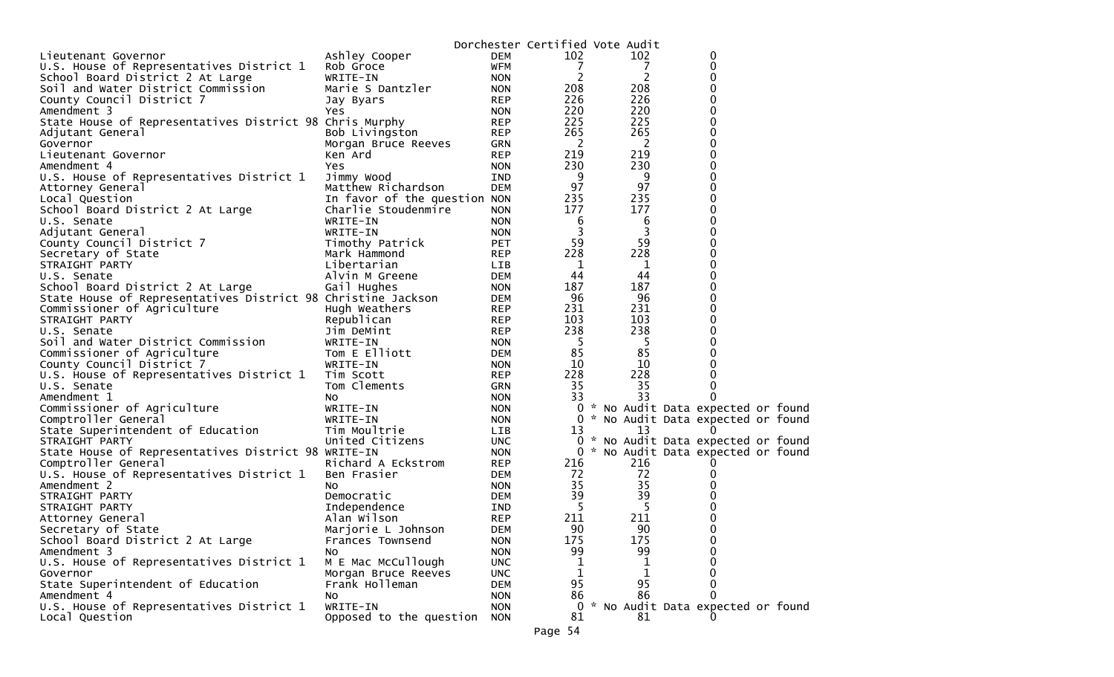|                                                              |                              |                          | Dorchester Certified Vote Audit |     |                                     |  |
|--------------------------------------------------------------|------------------------------|--------------------------|---------------------------------|-----|-------------------------------------|--|
| Lieutenant Governor                                          | Ashley Cooper                | <b>DEM</b>               | 102                             | 102 | 0                                   |  |
| U.S. House of Representatives District 1                     | Rob Groce                    | <b>WFM</b>               | 7                               | 7   | 0                                   |  |
| School Board District 2 At Large                             | WRITE-IN                     | <b>NON</b>               | 2                               | 2   | 0                                   |  |
| Soil and Water District Commission                           | Marie S Dantzler             | <b>NON</b>               | 208                             | 208 | 0                                   |  |
| County Council District 7                                    | Jay Byars                    | <b>REP</b>               | 226                             | 226 | 0                                   |  |
| Amendment 3                                                  | Yes                          | <b>NON</b>               | 220                             | 220 | 0                                   |  |
| State House of Representatives District 98 Chris Murphy      |                              | <b>REP</b>               | 225                             | 225 | 0                                   |  |
| Adjutant General                                             | Bob Livingston               | REP                      | 265                             | 265 | 0                                   |  |
| Governor                                                     | Morgan Bruce Reeves          | GRN                      | $\overline{2}$                  | 2   | 0                                   |  |
| Lieutenant Governor                                          | Ken Ard                      | <b>REP</b>               | 219                             | 219 | 0                                   |  |
| Amendment 4                                                  | Yes                          | <b>NON</b>               | 230                             | 230 | 0                                   |  |
| U.S. House of Representatives District 1                     | Jimmy Wood                   | IND                      | 9                               | 9   | 0                                   |  |
| Attorney General                                             | Matthew Richardson           | <b>DEM</b>               | 97                              | 97  | 0                                   |  |
| Local Question                                               | In favor of the question NON |                          | 235                             | 235 | 0                                   |  |
| School Board District 2 At Large                             | Charlie Stoudenmire          | <b>NON</b>               | 177                             | 177 | 0                                   |  |
| U.S. Senate                                                  | WRITE-IN                     | <b>NON</b>               | 6                               | 6   | 0                                   |  |
| Adjutant General                                             | WRITE-IN                     | <b>NON</b>               | 3                               | 3   | 0                                   |  |
| County Council District 7                                    | Timothy Patrick              | <b>PET</b>               | 59                              | 59  | 0                                   |  |
| Secretary of State                                           | Mark Hammond                 | REP                      | 228                             | 228 | 0                                   |  |
| STRAIGHT PARTY                                               | Libertarian                  | LIB                      | 1                               | 1   | 0                                   |  |
| U.S. Senate                                                  | Alvin M Greene               | DEM                      | 44                              | 44  | 0                                   |  |
| School Board District 2 At Large                             | Gail Hughes                  | <b>NON</b>               | 187                             | 187 | 0                                   |  |
| State House of Representatives District 98 Christine Jackson |                              | DEM                      | 96                              | 96  | 0                                   |  |
| Commissioner of Agriculture                                  | Hugh Weathers                | REP                      | 231                             | 231 | 0                                   |  |
| STRAIGHT PARTY                                               | Republican                   | <b>REP</b>               | 103                             | 103 | 0                                   |  |
| U.S. Senate                                                  | Jim DeMint                   | <b>REP</b>               | 238                             | 238 | 0                                   |  |
| Soil and Water District Commission                           | WRITE-IN                     | <b>NON</b>               | -5                              | -5  | 0                                   |  |
| Commissioner of Agriculture                                  | Tom E Elliott                | DEM                      | 85                              | 85  | 0                                   |  |
| County Council District 7                                    | WRITE-IN                     | <b>NON</b>               | 10                              | 10  | 0                                   |  |
| U.S. House of Representatives District 1                     | Tim Scott                    | <b>REP</b>               | 228                             | 228 | 0                                   |  |
| U.S. Senate                                                  | Tom Clements                 | GRN                      | 35                              | 35  | 0                                   |  |
| Amendment 1                                                  | NO.                          | <b>NON</b>               | 33                              | 33  | 0                                   |  |
| Commissioner of Agriculture                                  | WRITE-IN                     | <b>NON</b>               | 0                               |     | * No Audit Data expected or found   |  |
| Comptroller General                                          | WRITE-IN                     | <b>NON</b>               | 0                               |     | * No Audit Data expected or found   |  |
| State Superintendent of Education                            | Tim Moultrie                 | LIB                      | 13                              | 13  | $\Omega$                            |  |
| STRAIGHT PARTY                                               | United Citizens              | <b>UNC</b>               |                                 |     | 0 * No Audit Data expected or found |  |
| State House of Representatives District 98 WRITE-IN          |                              | <b>NON</b>               | 0                               |     | * No Audit Data expected or found   |  |
| Comptroller General                                          | Richard A Eckstrom           | <b>REP</b>               | 216                             | 216 | 0                                   |  |
| U.S. House of Representatives District 1                     | Ben Frasier                  | DEM                      | 72                              | 72  | 0                                   |  |
| Amendment 2                                                  | NO.                          | <b>NON</b>               | 35                              | 35  | 0                                   |  |
| STRAIGHT PARTY                                               | Democratic                   | DEM                      | 39                              | 39  |                                     |  |
| STRAIGHT PARTY                                               | Independence                 | IND                      | -5                              | 5   | 0                                   |  |
| Attorney General                                             | Alan Wilson                  | <b>REP</b>               | 211                             | 211 | 0                                   |  |
| Secretary of State                                           | Marjorie L Johnson           | <b>DEM</b>               | 90                              | 90  | $\mathbf 0$                         |  |
| School Board District 2 At Large                             | Frances Townsend             | <b>NON</b>               | 175                             | 175 | 0                                   |  |
| Amendment 3<br>U.S. House of Representatives District 1      | No.<br>M E Mac McCullough    | <b>NON</b>               | 99                              | 99  | 0<br>0                              |  |
|                                                              |                              | <b>UNC</b>               | 1                               | 1   |                                     |  |
| Governor<br>State Superintendent of Education                | Morgan Bruce Reeves          | <b>UNC</b>               | 1<br>95                         | 95  | 0                                   |  |
| Amendment 4                                                  | Frank Holleman               | <b>DEM</b>               | 86                              | 86  | 0                                   |  |
| U.S. House of Representatives District 1                     | NO.<br>WRITE-IN              | <b>NON</b>               | 0                               |     | * No Audit Data expected or found   |  |
| Local Question                                               |                              | <b>NON</b><br><b>NON</b> | 81                              | 81  |                                     |  |
|                                                              | Opposed to the question      |                          |                                 |     |                                     |  |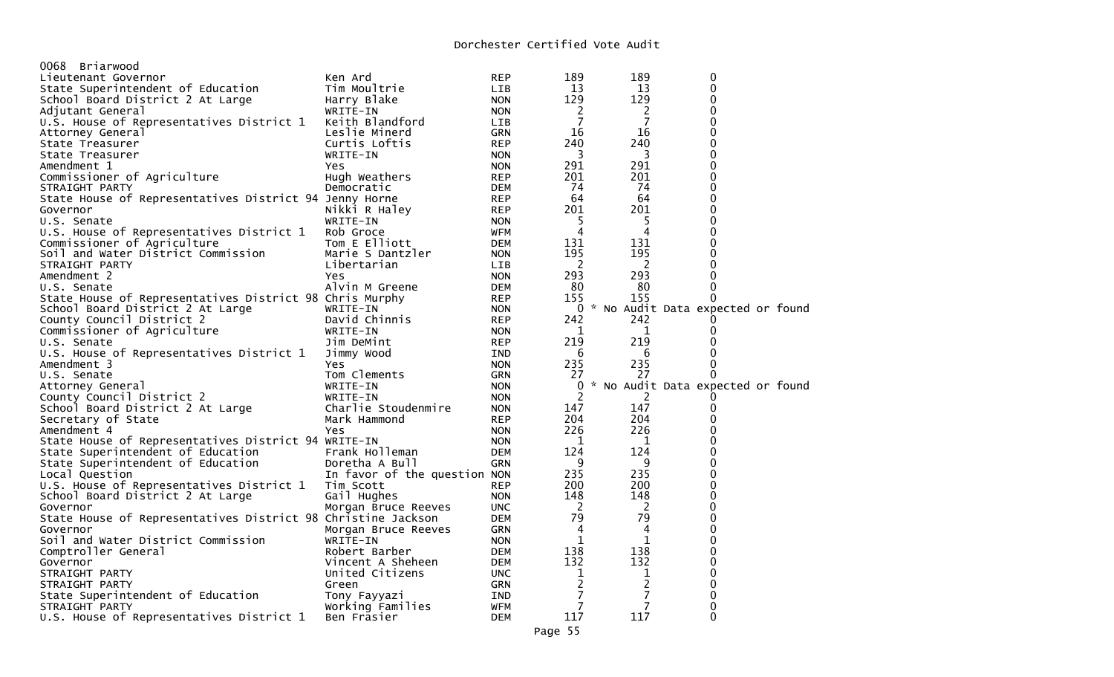| 0068 Briarwood                                               |                                  |            |                                |                                |                                     |  |
|--------------------------------------------------------------|----------------------------------|------------|--------------------------------|--------------------------------|-------------------------------------|--|
| Lieutenant Governor                                          | Ken Ard                          | <b>REP</b> | 189                            | 189                            | 0                                   |  |
| State Superintendent of Education                            | Tim Moultrie                     | LIB        | 13                             | 13                             | $\mathbf 0$                         |  |
|                                                              |                                  | <b>NON</b> | 129                            | 129                            | 0                                   |  |
| School Board District 2 At Large                             | Harry Blake                      |            | 2                              | 2                              | 0                                   |  |
| Adjutant General<br>U.S. House of Representatives District 1 | WRITE-IN                         | <b>NON</b> | 7                              | 7                              | 0                                   |  |
|                                                              | Keith Blandford<br>Leslie Minerd | LIB        | 16                             | 16                             | 0                                   |  |
| Attorney General                                             |                                  | <b>GRN</b> |                                |                                | 0                                   |  |
| State Treasurer                                              | Curtis Loftis                    | <b>REP</b> | 240                            | 240                            |                                     |  |
| State Treasurer                                              | WRITE-IN                         | <b>NON</b> | 3                              | 3                              | 0                                   |  |
| Amendment 1                                                  | Yes                              | <b>NON</b> | 291                            | 291                            | 0                                   |  |
| Commissioner of Agriculture                                  | Hugh Weathers                    | <b>REP</b> | 201                            | 201                            | 0                                   |  |
| STRAIGHT PARTY                                               | Democratic                       | DEM        | 74                             | -74                            | 0                                   |  |
| State House of Representatives District 94 Jenny Horne       |                                  | <b>REP</b> | 64                             | 64                             | 0                                   |  |
| Governor                                                     | Nikki R Haley                    | REP        | 201                            | 201                            | 0                                   |  |
| U.S. Senate                                                  | WRITE-IN                         | <b>NON</b> | 5                              | 5                              | 0                                   |  |
| U.S. House of Representatives District 1                     | Rob Groce                        | WFM        | 4                              | 4                              | 0                                   |  |
| Commissioner of Agriculture                                  | Tom E Elliott                    | DEM        | 131                            | 131                            | 0                                   |  |
| Soil and Water District Commission                           | Marie S Dantzler                 | <b>NON</b> | 195                            | 195                            | 0                                   |  |
| STRAIGHT PARTY                                               | Libertarian                      | LIB.       | <sup>2</sup>                   | 2                              | 0                                   |  |
| Amendment 2                                                  | Yes                              | <b>NON</b> | 293                            | 293                            | 0                                   |  |
| U.S. Senate                                                  | Alvin M Greene                   | DEM        | 80                             | -80                            | $\Omega$                            |  |
| State House of Representatives District 98 Chris Murphy      |                                  | <b>REP</b> | 155                            | 155                            | 0                                   |  |
| School Board District 2 At Large                             | WRITE-IN                         | <b>NON</b> |                                |                                | 0 * No Audit Data expected or found |  |
| County Council District 2                                    | David Chinnis                    | <b>REP</b> | 242                            | 242                            |                                     |  |
| Commissioner of Agriculture                                  | WRITE-IN                         | <b>NON</b> | 1                              | 1                              | 0                                   |  |
| U.S. Senate                                                  | Jim DeMint                       | <b>REP</b> | 219                            | 219                            | 0                                   |  |
| U.S. House of Representatives District 1                     | Jimmy Wood                       | IND        | 6                              | 6                              | 0                                   |  |
| Amendment 3                                                  | Yes                              | <b>NON</b> | 235                            | 235                            | 0                                   |  |
| U.S. Senate                                                  | Tom Clements                     | <b>GRN</b> | 27                             | 27                             | 0                                   |  |
| Attorney General                                             | WRITE-IN                         | <b>NON</b> | 0                              |                                | * No Audit Data expected or found   |  |
| County Council District 2                                    | WRITE-IN                         | <b>NON</b> | $\overline{2}$                 | 2                              |                                     |  |
| School Board District 2 At Large                             | Charlie Stoudenmire              | <b>NON</b> | 147                            | 147                            | 0                                   |  |
| Secretary of State                                           | Mark Hammond                     | <b>REP</b> | 204                            | 204                            | 0                                   |  |
| Amendment 4                                                  | Yes                              | <b>NON</b> | 226                            | 226                            | 0                                   |  |
| State House of Representatives District 94 WRITE-IN          |                                  | <b>NON</b> | $\mathbf{1}$                   | $\mathbf{1}$                   | 0                                   |  |
| State Superintendent of Education                            | Frank Holleman                   | DEM        | 124                            | 124                            | 0                                   |  |
| State Superintendent of Education                            | Doretha A Bull                   | <b>GRN</b> | 9                              | 9                              | 0                                   |  |
| Local Question                                               | In favor of the question NON     |            | 235                            | 235                            | 0                                   |  |
| U.S. House of Representatives District 1                     | Tim Scott                        | <b>REP</b> | 200                            | 200                            | 0                                   |  |
| School Board District 2 At Large                             | Gail Hughes                      | <b>NON</b> | 148                            | 148                            | 0                                   |  |
| Governor                                                     | Morgan Bruce Reeves              | <b>UNC</b> | $\overline{2}$                 | $\overline{2}$                 | $\Omega$                            |  |
| State House of Representatives District 98 Christine Jackson |                                  | <b>DEM</b> | 79                             | 79                             | 0                                   |  |
| Governor                                                     | Morgan Bruce Reeves              | GRN        | $\overline{4}$                 | 4                              | 0                                   |  |
| Soil and Water District Commission                           | WRITE-IN                         | <b>NON</b> | $\mathbf{1}$                   | $\mathbf 1$                    | 0                                   |  |
| Comptroller General                                          | Robert Barber                    | DEM        | 138                            | 138                            | 0                                   |  |
| Governor                                                     | Vincent A Sheheen                | DEM        | 132                            | 132                            | 0                                   |  |
| STRAIGHT PARTY                                               | United Citizens                  | <b>UNC</b> |                                |                                | 0                                   |  |
| STRAIGHT PARTY                                               | Green                            | <b>GRN</b> | $\mathbf{1}$<br>$\overline{2}$ | $\mathbf{1}$<br>$\overline{c}$ | 0                                   |  |
| State Superintendent of Education                            |                                  | IND        | 7                              | $\overline{7}$                 | 0                                   |  |
|                                                              | Tony Fayyazi                     |            | $\overline{7}$                 | $\overline{7}$                 | 0                                   |  |
| STRAIGHT PARTY                                               | Working Families                 | WFM        |                                | 117                            | $\Omega$                            |  |
| U.S. House of Representatives District 1                     | Ben Frasier                      | <b>DEM</b> | 117                            |                                |                                     |  |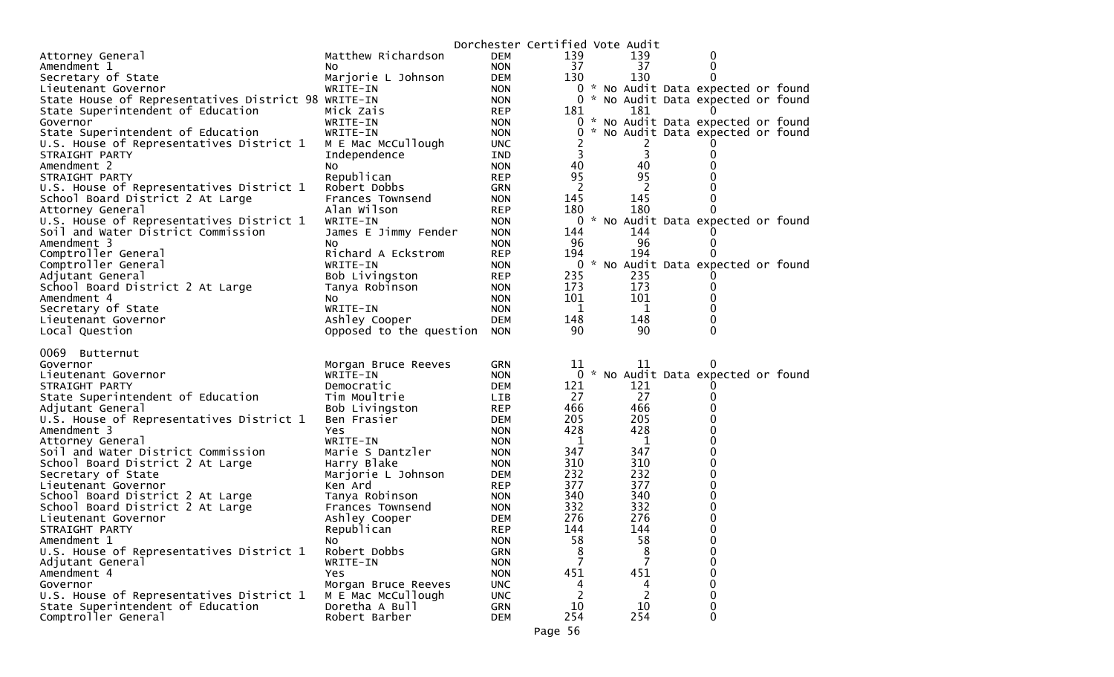|                                                     |                         |                          | Dorchester Certified Vote Audit |        |                                     |  |
|-----------------------------------------------------|-------------------------|--------------------------|---------------------------------|--------|-------------------------------------|--|
| Attorney General                                    | Matthew Richardson      | <b>DEM</b>               | 139                             | 139    | 0                                   |  |
| Amendment 1                                         | NO.                     | <b>NON</b>               | 37                              | 37     | 0                                   |  |
| Secretary of State                                  | Marjorie L Johnson      | <b>DEM</b>               | 130                             | 130    | $\Omega$                            |  |
| Lieutenant Governor                                 | WRITE-IN                | <b>NON</b>               |                                 |        | 0 * No Audit Data expected or found |  |
| State House of Representatives District 98 WRITE-IN |                         | <b>NON</b>               | 0                               |        | * No Audit Data expected or found   |  |
| State Superintendent of Education                   | Mick Zais               | <b>REP</b>               | 181                             | 181    |                                     |  |
| Governor                                            | WRITE-IN                | <b>NON</b>               |                                 |        | 0 * No Audit Data expected or found |  |
| State Superintendent of Education                   | WRITE-IN                | <b>NON</b>               | 0                               |        | * No Audit Data expected or found   |  |
| U.S. House of Representatives District 1            | M E Mac McCullough      | UNC.                     | 2<br>3                          | 2<br>3 |                                     |  |
| STRAIGHT PARTY<br>Amendment 2                       | Independence            | IND<br><b>NON</b>        | 40                              | 40     | 0<br>0                              |  |
| STRAIGHT PARTY                                      | NO.<br>Republican       | <b>REP</b>               | 95                              | 95     |                                     |  |
| U.S. House of Representatives District 1            | Robert Dobbs            | GRN                      | 2                               | 2      |                                     |  |
| School Board District 2 At Large                    | Frances Townsend        | <b>NON</b>               | 145                             | 145    | 0                                   |  |
| Attorney General                                    | Alan Wilson             | <b>REP</b>               | 180                             | 180    | 0                                   |  |
| U.S. House of Representatives District 1            | WRITE-IN                | <b>NON</b>               |                                 |        | 0 * No Audit Data expected or found |  |
| Soil and Water District Commission                  | James E Jimmy Fender    | <b>NON</b>               | 144                             | 144    |                                     |  |
| Amendment 3                                         | No.                     | <b>NON</b>               | 96                              | 96     | 0                                   |  |
| Comptroller General                                 | Richard A Eckstrom      | <b>REP</b>               | 194                             | 194    |                                     |  |
| Comptroller General                                 | WRITE-IN                | <b>NON</b>               |                                 |        | 0 * No Audit Data expected or found |  |
| Adjutant General                                    | Bob Livingston          | <b>REP</b>               | 235                             | 235    |                                     |  |
| School Board District 2 At Large                    | Tanya Robinson          | <b>NON</b>               | 173                             | 173    | 0                                   |  |
| Amendment 4                                         | NO.                     | <b>NON</b>               | 101                             | 101    | 0                                   |  |
| Secretary of State                                  | WRITE-IN                | <b>NON</b>               | $\mathbf 1$                     | 1      | 0                                   |  |
| Lieutenant Governor                                 | Ashley Cooper           | <b>DEM</b>               | 148                             | 148    | 0                                   |  |
| Local Question                                      | Opposed to the question | <b>NON</b>               | 90                              | 90     | $\Omega$                            |  |
|                                                     |                         |                          |                                 |        |                                     |  |
| 0069 Butternut                                      |                         |                          |                                 |        |                                     |  |
| Governor                                            | Morgan Bruce Reeves     | <b>GRN</b>               | 11<br>0                         | 11     | $\Omega$                            |  |
| Lieutenant Governor<br>STRAIGHT PARTY               | WRITE-IN<br>Democratic  | <b>NON</b><br><b>DEM</b> | 121                             | 121    | * No Audit Data expected or found   |  |
| State Superintendent of Education                   | Tim Moultrie            | LIB                      | 27                              | 27     | 0                                   |  |
| Adjutant General                                    | Bob Livingston          | <b>REP</b>               | 466                             | 466    | 0                                   |  |
| U.S. House of Representatives District 1            | Ben Frasier             | DEM                      | 205                             | 205    | $\Omega$                            |  |
| Amendment 3                                         | Yes.                    | <b>NON</b>               | 428                             | 428    | 0                                   |  |
| Attorney General                                    | WRITE-IN                | <b>NON</b>               | 1                               | 1      | 0                                   |  |
| Soil and Water District Commission                  | Marie S Dantzler        | <b>NON</b>               | 347                             | 347    | 0                                   |  |
| School Board District 2 At Large                    | Harry Blake             | <b>NON</b>               | 310                             | 310    | 0                                   |  |
| Secretary of State                                  | Marjorie L Johnson      | <b>DEM</b>               | 232                             | 232    | 0                                   |  |
| Lieutenant Governor                                 | Ken Ard                 | <b>REP</b>               | 377                             | 377    | 0                                   |  |
| School Board District 2 At Large                    | Tanya Robinson          | <b>NON</b>               | 340                             | 340    | 0                                   |  |
| School Board District 2 At Large                    | Frances Townsend        | <b>NON</b>               | 332                             | 332    | 0                                   |  |
| Lieutenant Governor                                 | Ashley Cooper           | DEM                      | 276                             | 276    | 0                                   |  |
| STRAIGHT PARTY                                      | Republican              | <b>REP</b>               | 144                             | 144    | $\Omega$                            |  |
| Amendment 1                                         | NO.                     | <b>NON</b>               | 58                              | 58     | 0                                   |  |
| U.S. House of Representatives District 1            | Robert Dobbs            | GRN                      | 8                               | 8      | $\Omega$                            |  |
| Adjutant General                                    | WRITE-IN                | <b>NON</b>               | 7                               |        | 0                                   |  |
| Amendment 4                                         | Yes                     | <b>NON</b>               | 451                             | 451    | 0                                   |  |
| Governor                                            | Morgan Bruce Reeves     | <b>UNC</b>               | 4                               | 4      | 0                                   |  |
| U.S. House of Representatives District 1            | M E Mac McCullough      | <b>UNC</b>               | 2                               | 2      | 0                                   |  |
| State Superintendent of Education                   | Doretha A Bull          | <b>GRN</b>               | 10                              | 10     | 0                                   |  |
| Comptroller General                                 | Robert Barber           | <b>DEM</b>               | 254                             | 254    | 0                                   |  |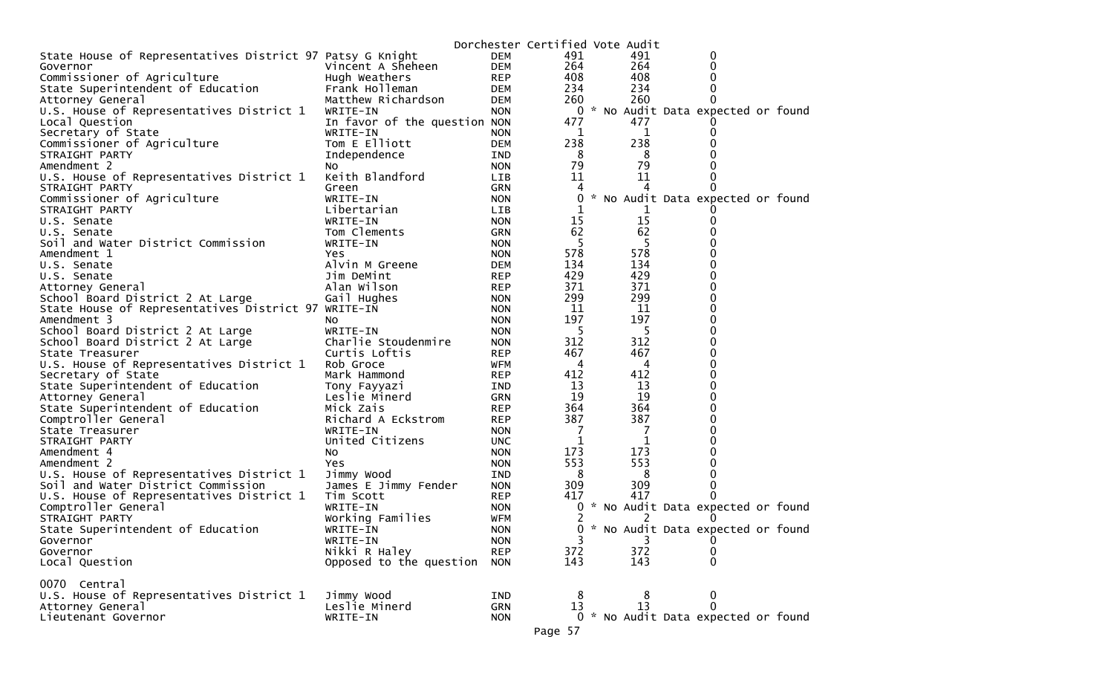|                                                           |                              |            | Dorchester Certified Vote Audit |     |                                     |  |
|-----------------------------------------------------------|------------------------------|------------|---------------------------------|-----|-------------------------------------|--|
| State House of Representatives District 97 Patsy G Knight |                              | <b>DEM</b> | 491                             | 491 | 0                                   |  |
| Governor                                                  | Vincent A Sheheen            | <b>DEM</b> | 264                             | 264 | 0                                   |  |
| Commissioner of Agriculture                               | Hugh Weathers                | <b>REP</b> | 408                             | 408 | 0                                   |  |
| State Superintendent of Education                         | Frank Holleman               | DEM        | 234                             | 234 |                                     |  |
| Attorney General                                          | Matthew Richardson           | DEM        | 260                             | 260 |                                     |  |
| U.S. House of Representatives District 1                  | WRITE-IN                     | <b>NON</b> |                                 |     | 0 * No Audit Data expected or found |  |
| Local Question                                            | In favor of the question NON |            | 477                             | 477 |                                     |  |
| Secretary of State                                        | WRITE-IN                     | <b>NON</b> | 1                               | 1   |                                     |  |
| Commissioner of Agriculture                               | Tom E Elliott                | <b>DEM</b> | 238                             | 238 |                                     |  |
| STRAIGHT PARTY                                            | Independence                 | IND        | 8                               | 8   |                                     |  |
| Amendment 2                                               | NO.                          | <b>NON</b> | 79                              | 79  |                                     |  |
| U.S. House of Representatives District 1                  | Keith Blandford              | LIB        | 11                              | 11  |                                     |  |
| STRAIGHT PARTY                                            | Green                        | GRN        | 4                               | 4   |                                     |  |
| Commissioner of Agriculture                               | WRITE-IN                     | <b>NON</b> | 0                               |     | * No Audit Data expected or found   |  |
| STRAIGHT PARTY                                            | Libertarian                  | LIB        |                                 |     |                                     |  |
| U.S. Senate                                               | WRITE-IN                     | <b>NON</b> | 15                              | 15  |                                     |  |
| U.S. Senate                                               | Tom Clements                 | GRN        | 62                              | 62  |                                     |  |
| Soil and Water District Commission                        | WRITE-IN                     | <b>NON</b> | 5                               | 5   |                                     |  |
| Amendment 1                                               | Yes                          | <b>NON</b> | 578                             | 578 |                                     |  |
| U.S. Senate                                               | Alvin M Greene               | DEM        | 134                             | 134 |                                     |  |
| U.S. Senate                                               | Jim DeMint                   | <b>REP</b> | 429                             | 429 |                                     |  |
| Attorney General                                          | Alan Wilson                  | <b>REP</b> | 371                             | 371 |                                     |  |
| School Board District 2 At Large                          | Gail Hughes                  | <b>NON</b> | 299                             | 299 |                                     |  |
| State House of Representatives District 97 WRITE-IN       |                              | <b>NON</b> | 11                              | 11  |                                     |  |
| Amendment 3                                               | NO.                          | <b>NON</b> | 197                             | 197 |                                     |  |
| School Board District 2 At Large                          | WRITE-IN                     | <b>NON</b> | -5                              | -5  |                                     |  |
| School Board District 2 At Large                          | Charlie Stoudenmire          | <b>NON</b> | 312                             | 312 |                                     |  |
| State Treasurer                                           | Curtis Loftis                | <b>REP</b> | 467                             | 467 |                                     |  |
| U.S. House of Representatives District 1                  | Rob Groce                    | WFM        | 4                               | 4   | 0                                   |  |
| Secretary of State                                        | Mark Hammond                 | <b>REP</b> | 412                             | 412 |                                     |  |
| State Superintendent of Education                         | Tony Fayyazi                 | IND        | 13                              | 13  | 0                                   |  |
| Attorney General                                          | Leslie Minerd                | GRN        | 19                              | 19  |                                     |  |
| State Superintendent of Education                         | Mick Zais                    | <b>REP</b> | 364                             | 364 |                                     |  |
| Comptroller General                                       | Richard A Eckstrom           | <b>REP</b> | 387                             | 387 |                                     |  |
| State Treasurer                                           | WRITE-IN                     | <b>NON</b> | -7                              | 7   |                                     |  |
| STRAIGHT PARTY                                            | United Citizens              | <b>UNC</b> | 1                               | 1   |                                     |  |
| Amendment 4                                               | NO.                          | <b>NON</b> | 173                             | 173 |                                     |  |
| Amendment 2                                               | Yes                          | <b>NON</b> | 553                             | 553 |                                     |  |
| U.S. House of Representatives District 1                  | Jimmy Wood                   | IND        | 8                               | 8   |                                     |  |
| Soil and Water District Commission                        | James E Jimmy Fender         | <b>NON</b> | 309                             | 309 |                                     |  |
| U.S. House of Representatives District 1                  | Tim Scott                    | <b>REP</b> | 417                             | 417 |                                     |  |
| Comptroller General                                       | WRITE-IN                     | <b>NON</b> | $\mathbf 0$                     |     | * No Audit Data expected or found   |  |
| STRAIGHT PARTY                                            | Working Families             | WFM        | 2                               | 2   |                                     |  |
| State Superintendent of Education                         | WRITE-IN                     | <b>NON</b> | 0                               |     | * No Audit Data expected or found   |  |
| Governor                                                  | WRITE-IN                     | <b>NON</b> | 3                               | 3   | 0                                   |  |
| Governor                                                  | Nikki R Haley                | <b>REP</b> | 372                             | 372 | 0                                   |  |
| Local Question                                            | Opposed to the question      | <b>NON</b> | 143                             | 143 | 0                                   |  |
|                                                           |                              |            |                                 |     |                                     |  |
| 0070 Central                                              |                              |            |                                 |     |                                     |  |
| U.S. House of Representatives District 1                  | Jimmy Wood                   | IND        | 8                               | 8   | 0                                   |  |
| Attorney General                                          | Leslie Minerd                | <b>GRN</b> | 13                              | 13  | $\Omega$                            |  |
| Lieutenant Governor                                       | WRITE-IN                     | <b>NON</b> |                                 |     | 0 * No Audit Data expected or found |  |
|                                                           |                              |            | Page 57                         |     |                                     |  |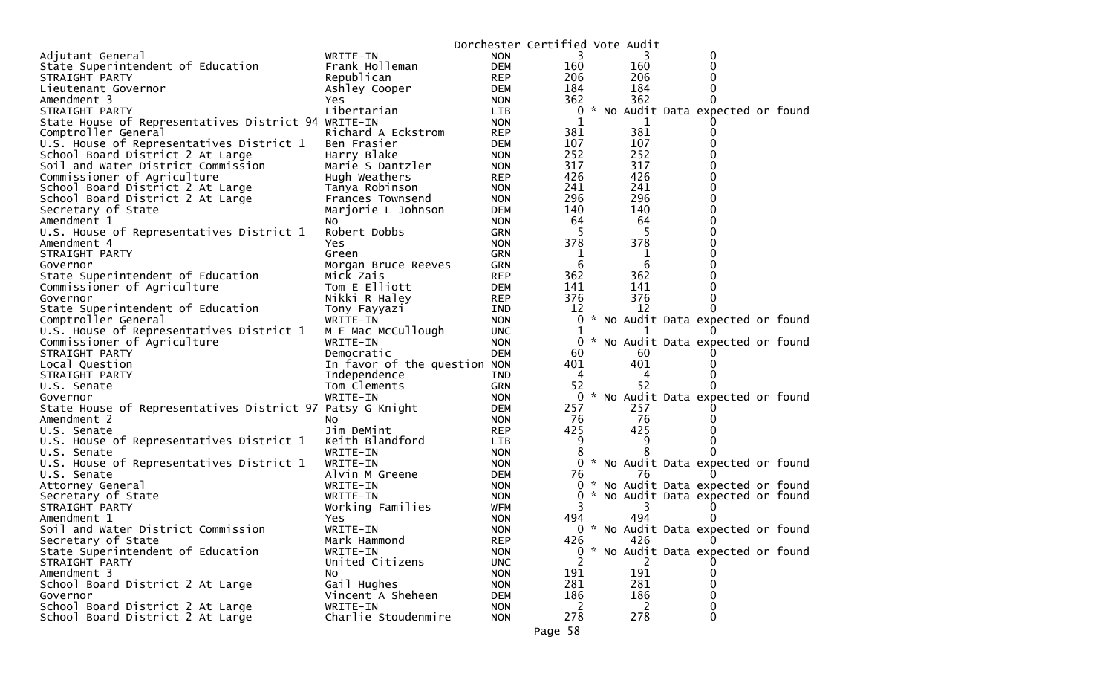|                                                           |                              |                          | Dorchester Certified Vote Audit |         |                                     |  |
|-----------------------------------------------------------|------------------------------|--------------------------|---------------------------------|---------|-------------------------------------|--|
| Adjutant General                                          | WRITE-IN                     | <b>NON</b>               | 3                               |         | 0                                   |  |
| State Superintendent of Education                         | Frank Holleman               | <b>DEM</b>               | 160                             | 160     | 0                                   |  |
| STRAIGHT PARTY                                            | Republican                   | <b>REP</b>               | 206                             | 206     | 0                                   |  |
| Lieutenant Governor                                       | Ashley Cooper                | DEM                      | 184                             | 184     | 0                                   |  |
| Amendment 3                                               | Yes                          | <b>NON</b>               | 362                             | 362     | 0                                   |  |
| STRAIGHT PARTY                                            | Libertarian                  | <b>LIB</b>               | 0                               |         | * No Audit Data expected or found   |  |
| State House of Representatives District 94 WRITE-IN       |                              | <b>NON</b>               |                                 | 1       |                                     |  |
| Comptroller General                                       | Richard A Eckstrom           | <b>REP</b>               | 381                             | 381     |                                     |  |
| U.S. House of Representatives District 1                  | Ben Frasier                  | DEM                      | 107                             | 107     |                                     |  |
| School Board District 2 At Large                          | Harry Blake                  | <b>NON</b>               | 252                             | 252     | o                                   |  |
| Soil and Water District Commission                        | Marie S Dantzler             | <b>NON</b>               | 317                             | 317     | 0                                   |  |
| Commissioner of Agriculture                               | Hugh Weathers                | <b>REP</b>               | 426                             | 426     |                                     |  |
| School Board District 2 At Large                          | Tanya Robinson               | <b>NON</b>               | 241                             | 241     | 0                                   |  |
| School Board District 2 At Large                          | Frances Townsend             | <b>NON</b>               | 296                             | 296     | 0                                   |  |
| Secretary of State                                        | Marjorie L Johnson           | DEM                      | 140                             | 140     | 0                                   |  |
| Amendment 1                                               | NO.                          | <b>NON</b>               | 64                              | 64      | o                                   |  |
| U.S. House of Representatives District 1                  | Robert Dobbs                 | <b>GRN</b>               | 5                               | 5       | 0                                   |  |
| Amendment 4                                               | Yes                          | <b>NON</b>               | 378                             | 378     |                                     |  |
| STRAIGHT PARTY                                            | Green                        | GRN                      | 1                               | 1       |                                     |  |
| Governor                                                  | Morgan Bruce Reeves          | GRN                      | -6                              | 6       |                                     |  |
| State Superintendent of Education                         | Mick Zais                    | <b>REP</b>               | 362                             | 362     |                                     |  |
| Commissioner of Agriculture                               | Tom E Elliott                | DEM                      | 141                             | 141     | o                                   |  |
| Governor                                                  | Nikki R Haley                | <b>REP</b>               | 376                             | 376     | 0                                   |  |
| State Superintendent of Education                         | Tony Fayyazi                 | IND                      | 12                              | 12      |                                     |  |
| Comptroller General                                       | WRITE-IN                     | <b>NON</b>               | 0                               |         | * No Audit Data expected or found   |  |
| U.S. House of Representatives District 1                  | M E Mac McCullough           | <b>UNC</b>               | 1                               |         |                                     |  |
| Commissioner of Agriculture                               | WRITE-IN                     | <b>NON</b>               | 0                               |         | * No Audit Data expected or found   |  |
| STRAIGHT PARTY                                            | Democratic                   | <b>DEM</b>               | 60                              | 60      |                                     |  |
| Local Question                                            | In favor of the question NON |                          | 401                             | 401     |                                     |  |
| STRAIGHT PARTY                                            | Independence                 | IND                      | 4<br>52                         | 4<br>52 |                                     |  |
| U.S. Senate                                               | Tom Clements<br>WRITE-IN     | GRN                      | $\mathbf{0}$                    |         |                                     |  |
| Governor                                                  |                              | <b>NON</b><br>DEM        | 257                             | 257     | * No Audit Data expected or found   |  |
| State House of Representatives District 97 Patsy G Knight |                              |                          | 76                              | 76      |                                     |  |
| Amendment 2                                               | NO.<br>Jim DeMint            | <b>NON</b>               | 425                             | 425     |                                     |  |
| U.S. Senate<br>U.S. House of Representatives District 1   | Keith Blandford              | <b>REP</b><br><b>LIB</b> | 9                               | 9       |                                     |  |
| U.S. Senate                                               | WRITE-IN                     | <b>NON</b>               |                                 |         |                                     |  |
| U.S. House of Representatives District 1                  | WRITE-IN                     | <b>NON</b>               |                                 |         | 0 * No Audit Data expected or found |  |
| U.S. Senate                                               | Alvin M Greene               | DEM                      | 76                              | 76      |                                     |  |
| Attorney General                                          | WRITE-IN                     | <b>NON</b>               | 0                               |         | * No Audit Data expected or found   |  |
| Secretary of State                                        | WRITE-IN                     | <b>NON</b>               | 0                               |         | * No Audit Data expected or found   |  |
| STRAIGHT PARTY                                            | Working Families             | WFM                      |                                 |         |                                     |  |
| Amendment 1                                               | Yes                          | <b>NON</b>               | 494                             | 494     |                                     |  |
| Soil and Water District Commission                        | WRITE-IN                     | <b>NON</b>               |                                 |         | 0 * No Audit Data expected or found |  |
| Secretary of State                                        | Mark Hammond                 | <b>REP</b>               | 426                             | 426     | 0                                   |  |
| State Superintendent of Education                         | WRITE-IN                     | <b>NON</b>               | $\mathbf{0}$                    |         | * No Audit Data expected or found   |  |
| STRAIGHT PARTY                                            | United Citizens              | <b>UNC</b>               | 2                               | 2       |                                     |  |
| Amendment 3                                               | No                           | <b>NON</b>               | 191                             | 191     | 0                                   |  |
| School Board District 2 At Large                          | Gail Hughes                  | <b>NON</b>               | 281                             | 281     | 0                                   |  |
| Governor                                                  | Vincent A Sheheen            | <b>DEM</b>               | 186                             | 186     | 0                                   |  |
| School Board District 2 At Large                          | WRITE-IN                     | <b>NON</b>               | 2                               | 2       | 0                                   |  |
| School Board District 2 At Large                          | Charlie Stoudenmire          | <b>NON</b>               | 278                             | 278     | 0                                   |  |
|                                                           |                              |                          |                                 |         |                                     |  |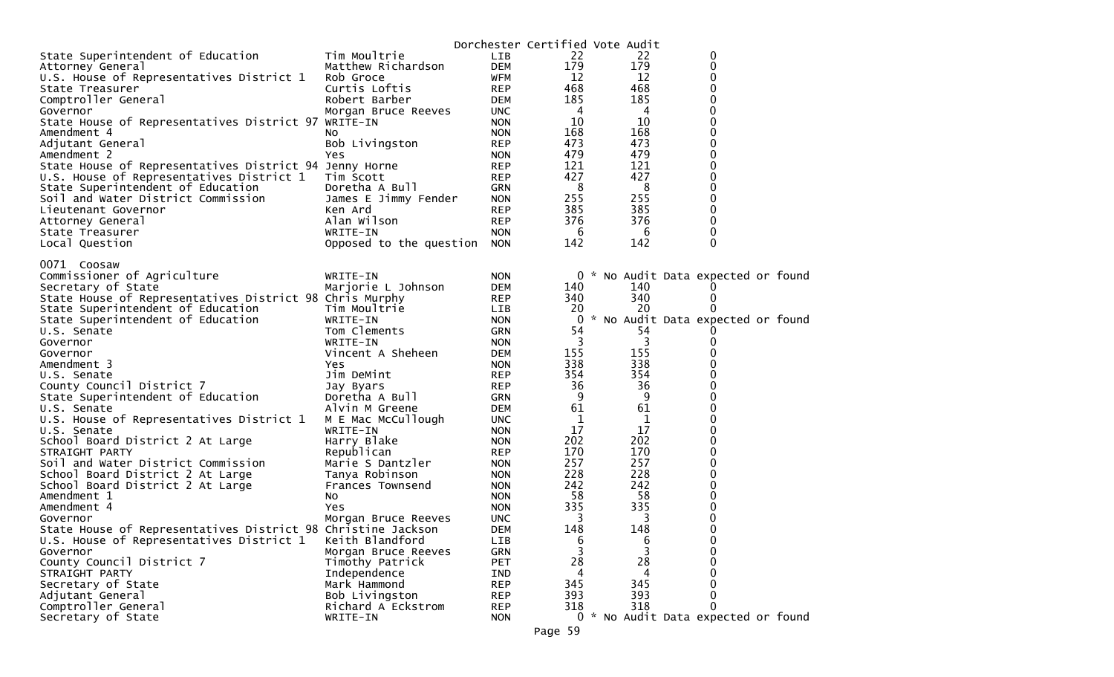|                                                              |                         |            | Dorchester Certified Vote Audit |     |                                     |  |
|--------------------------------------------------------------|-------------------------|------------|---------------------------------|-----|-------------------------------------|--|
| State Superintendent of Education                            | Tim Moultrie            | <b>LIB</b> | 22                              | 22  | 0                                   |  |
| Attorney General                                             | Matthew Richardson      | <b>DEM</b> | 179                             | 179 | 0                                   |  |
| U.S. House of Representatives District 1                     | Rob Groce               | <b>WFM</b> | 12                              | 12  | 0                                   |  |
| State Treasurer                                              | Curtis Loftis           | <b>REP</b> | 468                             | 468 | 0                                   |  |
| Comptroller General                                          | Robert Barber           | <b>DEM</b> | 185                             | 185 | 0                                   |  |
| Governor                                                     | Morgan Bruce Reeves     | <b>UNC</b> | -4                              | 4   | 0                                   |  |
| State House of Representatives District 97 WRITE-IN          |                         | <b>NON</b> | 10                              | 10  | 0                                   |  |
| Amendment 4                                                  | NO.                     | <b>NON</b> | 168                             | 168 | 0                                   |  |
| Adjutant General                                             | Bob Livingston          | <b>REP</b> | 473                             | 473 | 0                                   |  |
| Amendment 2                                                  | Yes                     | <b>NON</b> | 479                             | 479 | 0                                   |  |
| State House of Representatives District 94 Jenny Horne       |                         | <b>REP</b> | 121                             | 121 | 0                                   |  |
| U.S. House of Representatives District 1                     | Tim Scott               | <b>REP</b> | 427                             | 427 | 0                                   |  |
| State Superintendent of Education                            | Doretha A Bull          | GRN        | 8                               | 8   | 0                                   |  |
| Soil and Water District Commission                           | James E Jimmy Fender    | <b>NON</b> | 255                             | 255 | 0                                   |  |
| Lieutenant Governor                                          | Ken Ard                 | <b>REP</b> | 385                             | 385 | 0                                   |  |
| Attorney General                                             | Alan Wilson             | <b>REP</b> | 376                             | 376 | 0                                   |  |
| State Treasurer                                              | WRITE-IN                | <b>NON</b> | 6                               | 6   | 0                                   |  |
| Local Question                                               | Opposed to the question | <b>NON</b> | 142                             | 142 | 0                                   |  |
|                                                              |                         |            |                                 |     |                                     |  |
| 0071 Coosaw                                                  |                         |            |                                 |     |                                     |  |
| Commissioner of Agriculture                                  | WRITE-IN                | <b>NON</b> |                                 |     | 0 * No Audit Data expected or found |  |
| Secretary of State                                           | Marjorie L Johnson      | <b>DEM</b> | 140                             | 140 |                                     |  |
| State House of Representatives District 98 Chris Murphy      |                         | <b>REP</b> | 340                             | 340 | 0                                   |  |
| State Superintendent of Education                            | Tim Moultrie            | <b>LIB</b> | 20                              | 20  |                                     |  |
| State Superintendent of Education                            | WRITE-IN                | <b>NON</b> | 0                               |     | * No Audit Data expected or found   |  |
| U.S. Senate                                                  | Tom Clements            | GRN        | 54                              | 54  |                                     |  |
| Governor                                                     | WRITE-IN                | <b>NON</b> | $\overline{3}$                  | 3   | 0                                   |  |
| Governor                                                     | Vincent A Sheheen       | <b>DEM</b> | 155                             | 155 | 0                                   |  |
| Amendment 3                                                  | Yes                     | <b>NON</b> | 338                             | 338 | 0                                   |  |
| U.S. Senate                                                  | Jim DeMint              | <b>REP</b> | 354                             | 354 | 0                                   |  |
| County Council District 7                                    | Jay Byars               | <b>REP</b> | 36                              | 36  | 0                                   |  |
| State Superintendent of Education                            | Doretha A Bull          | GRN        | 9                               | 9   | 0                                   |  |
| U.S. Senate                                                  | Alvin M Greene          | <b>DEM</b> | 61                              | 61  | 0                                   |  |
| U.S. House of Representatives District 1                     | M E Mac McCullough      | <b>UNC</b> | 1                               | 1   | 0                                   |  |
| U.S. Senate                                                  | WRITE-IN                | <b>NON</b> | 17                              | 17  | 0                                   |  |
| School Board District 2 At Large                             | Harry Blake             | <b>NON</b> | 202                             | 202 | 0                                   |  |
| STRAIGHT PARTY                                               | Republican              | <b>REP</b> | 170                             | 170 | 0                                   |  |
| Soil and Water District Commission                           | Marie S Dantzler        | <b>NON</b> | 257                             | 257 | 0                                   |  |
| School Board District 2 At Large                             | Tanya Robinson          | <b>NON</b> | 228                             | 228 | 0                                   |  |
| School Board District 2 At Large                             | Frances Townsend        | <b>NON</b> | 242                             | 242 | 0                                   |  |
| Amendment 1                                                  | NO.                     | <b>NON</b> | 58                              | 58  | 0                                   |  |
| Amendment 4                                                  | Yes                     | <b>NON</b> | 335                             | 335 | 0                                   |  |
| Governor                                                     | Morgan Bruce Reeves     | <b>UNC</b> | 3                               | 3   | 0                                   |  |
| State House of Representatives District 98 Christine Jackson |                         | <b>DEM</b> | 148                             | 148 | 0                                   |  |
| U.S. House of Representatives District 1                     | Keith Blandford         | LIB        | 6                               | 6   | 0                                   |  |
| Governor                                                     | Morgan Bruce Reeves     | <b>GRN</b> | $\overline{3}$                  | 3   | 0                                   |  |
| County Council District 7                                    | Timothy Patrick         | PET        | 28                              | 28  | 0                                   |  |
| STRAIGHT PARTY                                               | Independence            | IND        | 4                               | 4   | 0                                   |  |
| Secretary of State                                           | Mark Hammond            | <b>REP</b> | 345                             | 345 | <sup>0</sup>                        |  |
| Adjutant General                                             | Bob Livingston          | <b>REP</b> | 393                             | 393 | 0                                   |  |
| Comptroller General                                          | Richard A Eckstrom      | <b>REP</b> | 318                             | 318 |                                     |  |
| Secretary of State                                           | WRITE-IN                | <b>NON</b> |                                 |     | 0 * No Audit Data expected or found |  |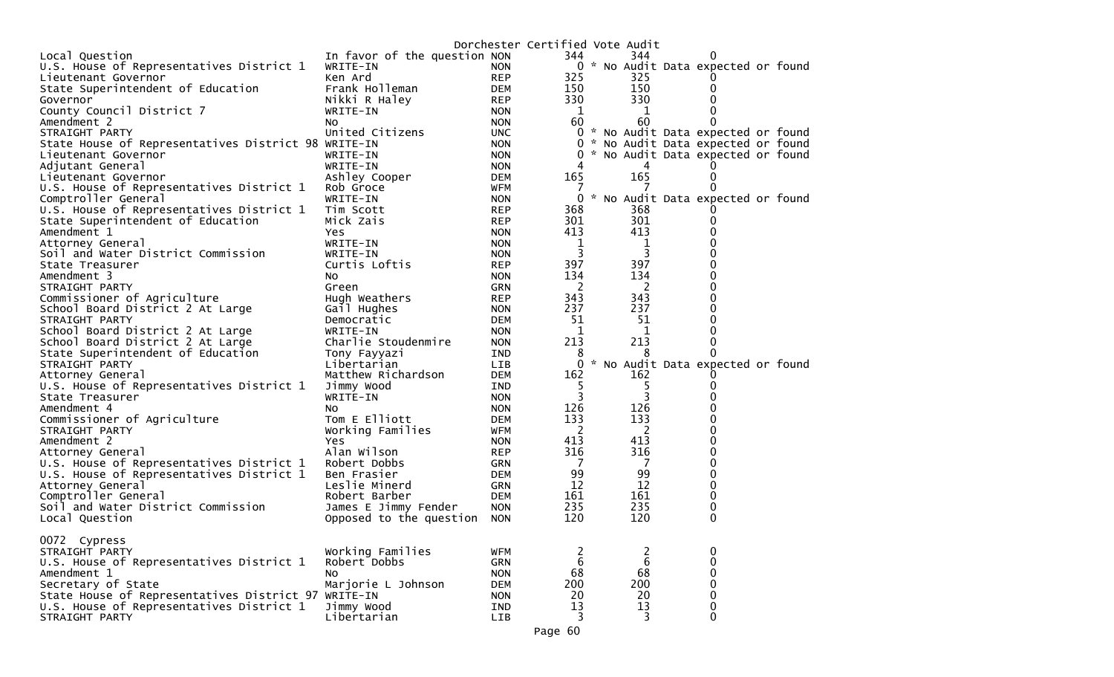|                                                     |                              |            | Dorchester Certified Vote Audit |                  |                                     |  |
|-----------------------------------------------------|------------------------------|------------|---------------------------------|------------------|-------------------------------------|--|
| Local Question                                      | In favor of the question NON |            | 344                             | 344              |                                     |  |
| U.S. House of Representatives District 1            | WRITE-IN                     | <b>NON</b> |                                 |                  | 0 * No Audit Data expected or found |  |
| Lieutenant Governor                                 | Ken Ard                      | <b>REP</b> | 325                             | 325              |                                     |  |
| State Superintendent of Education                   | Frank Holleman               | <b>DEM</b> | 150                             | 150              | 0                                   |  |
| Governor                                            | Nikki R Haley                | <b>REP</b> | 330                             | 330              | 0                                   |  |
| County Council District 7                           | WRITE-IN                     | <b>NON</b> | 1                               | $\mathbf 1$      |                                     |  |
| Amendment 2                                         | NO.                          | <b>NON</b> | 60                              | 60               |                                     |  |
| STRAIGHT PARTY                                      | United Citizens              | <b>UNC</b> |                                 |                  | 0 * No Audit Data expected or found |  |
| State House of Representatives District 98 WRITE-IN |                              | <b>NON</b> |                                 |                  | 0 * No Audit Data expected or found |  |
| Lieutenant Governor                                 | WRITE-IN                     | <b>NON</b> |                                 |                  | 0 * No Audit Data expected or found |  |
| Adjutant General                                    | WRITE-IN                     | <b>NON</b> | 4                               | 4                |                                     |  |
| Lieutenant Governor                                 | Ashley Cooper                | <b>DEM</b> | 165                             | 165              | 0                                   |  |
| U.S. House of Representatives District 1            | Rob Groce                    | <b>WFM</b> | $\prime$                        |                  |                                     |  |
| Comptroller General                                 | WRITE-IN                     | <b>NON</b> |                                 |                  | 0 * No Audit Data expected or found |  |
| U.S. House of Representatives District 1            | Tim Scott                    | <b>REP</b> | 368                             | 368              |                                     |  |
|                                                     | Mick Zais                    | <b>REP</b> | 301                             | 301              | O                                   |  |
| State Superintendent of Education                   |                              |            | 413                             | 413              | 0                                   |  |
| Amendment 1                                         | Yes                          | <b>NON</b> |                                 |                  | 0                                   |  |
| Attorney General                                    | WRITE-IN                     | <b>NON</b> | 1                               | $\mathbf{1}$     | 0                                   |  |
| Soil and Water District Commission                  | WRITE-IN                     | <b>NON</b> | 3                               | 3                |                                     |  |
| State Treasurer                                     | Curtis Loftis                | <b>REP</b> | 397                             | 397              | 0                                   |  |
| Amendment 3                                         | NO.                          | <b>NON</b> | 134                             | 134              | 0                                   |  |
| STRAIGHT PARTY                                      | Green                        | <b>GRN</b> | 2                               | 2                | 0                                   |  |
| Commissioner of Agriculture                         | Hugh Weathers                | <b>REP</b> | 343                             | 343              | 0                                   |  |
| School Board District 2 At Large                    | Gail Hughes                  | <b>NON</b> | 237                             | 237              | 0                                   |  |
| STRAIGHT PARTY                                      | Democratic                   | <b>DEM</b> | 51                              | 51               | 0                                   |  |
| School Board District 2 At Large                    | WRITE-IN                     | <b>NON</b> | 1                               | 1                | 0                                   |  |
| School Board District 2 At Large                    | Charlie Stoudenmire          | <b>NON</b> | 213                             | 213              | 0                                   |  |
| State Superintendent of Education                   | Tony Fayyazi                 | IND        | 8                               |                  |                                     |  |
| STRAIGHT PARTY                                      | Libertarian                  | <b>LIB</b> | $\mathbf{0}$                    |                  | * No Audit Data expected or found   |  |
| Attorney General                                    | Matthew Richardson           | <b>DEM</b> | 162                             | 162              |                                     |  |
| U.S. House of Representatives District 1            | Jimmy Wood                   | IND        | 5                               | 5                | O                                   |  |
| State Treasurer                                     | WRITE-IN                     | <b>NON</b> | 3                               | 3                |                                     |  |
| Amendment 4                                         | No                           | <b>NON</b> | 126                             | 126              | 0                                   |  |
| Commissioner of Agriculture                         | Tom E Elliott                | <b>DEM</b> | 133                             | 133              | 0                                   |  |
| STRAIGHT PARTY                                      | Working Families             | WFM        | -2                              | 2                | 0                                   |  |
| Amendment 2                                         | Yes                          | <b>NON</b> | 413                             | 413              | 0                                   |  |
| Attorney General                                    | Alan Wilson                  | <b>REP</b> | 316                             | 316              | 0                                   |  |
| U.S. House of Representatives District 1            | Robert Dobbs                 | <b>GRN</b> | 7                               | 7                | $\mathbf 0$                         |  |
| U.S. House of Representatives District 1            | Ben Frasier                  | <b>DEM</b> | 99                              | 99               | 0                                   |  |
| Attorney General                                    | Leslie Minerd                | <b>GRN</b> | 12                              | 12               | $\Omega$                            |  |
| Comptroller General                                 | Robert Barber                | <b>DEM</b> | 161                             | 161              | 0                                   |  |
| Soil and Water District Commission                  | James E Jimmy Fender         | <b>NON</b> | 235                             | 235              | 0                                   |  |
| Local Question                                      | Opposed to the question      | <b>NON</b> | 120                             | 120              | $\Omega$                            |  |
|                                                     |                              |            |                                 |                  |                                     |  |
| 0072 Cypress                                        |                              |            |                                 |                  |                                     |  |
| STRAIGHT PARTY                                      | Working Families             | WFM        | $rac{2}{6}$                     | 2                | 0                                   |  |
| U.S. House of Representatives District 1            | Robert Dobbs                 | <b>GRN</b> |                                 | $\boldsymbol{6}$ | $\pmb{0}$                           |  |
| Amendment 1                                         | No                           | <b>NON</b> | 68                              | 68               | 0                                   |  |
| Secretary of State                                  | Marjorie L Johnson           | <b>DEM</b> | 200                             | 200              | 0                                   |  |
| State House of Representatives District 97 WRITE-IN |                              | <b>NON</b> | 20                              | 20               | 0                                   |  |
| U.S. House of Representatives District 1            | Jimmy Wood                   | IND        | 13                              | 13               | 0                                   |  |
| STRAIGHT PARTY                                      | Libertarian                  | LIB        | 3                               | 3                | $\mathbf{0}$                        |  |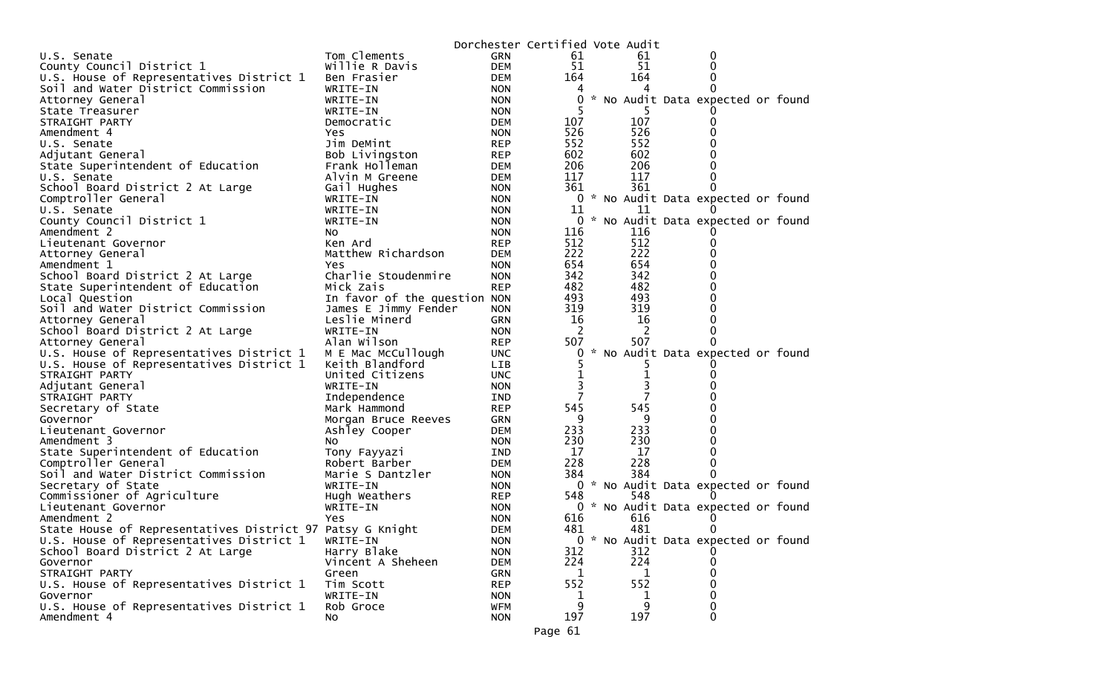|                                                           |                              |            | Dorchester Certified Vote Audit |               |     |                                     |  |
|-----------------------------------------------------------|------------------------------|------------|---------------------------------|---------------|-----|-------------------------------------|--|
| U.S. Senate                                               | Tom Clements                 | GRN        | 61                              |               | 61  | 0                                   |  |
| County Council District 1                                 | Willie R Davis               | <b>DEM</b> | 51                              |               | 51  | 0                                   |  |
| U.S. House of Representatives District 1                  | Ben Frasier                  | <b>DEM</b> | 164                             |               | 164 |                                     |  |
| Soil and Water District Commission                        | WRITE-IN                     | <b>NON</b> |                                 |               |     |                                     |  |
| Attorney General                                          | WRITE-IN                     | <b>NON</b> | 0                               |               |     | * No Audit Data expected or found   |  |
| State Treasurer                                           | WRITE-IN                     | <b>NON</b> |                                 |               |     |                                     |  |
| STRAIGHT PARTY                                            | Democratic                   | <b>DEM</b> | 107                             |               | 107 |                                     |  |
| Amendment 4                                               | Yes.                         | <b>NON</b> | 526                             |               | 526 |                                     |  |
| U.S. Senate                                               | Jim DeMint                   | <b>REP</b> | 552                             |               | 552 |                                     |  |
| Adjutant General                                          | Bob Livingston               | <b>REP</b> | 602                             |               | 602 |                                     |  |
| State Superintendent of Education                         | Frank Holleman               | DEM        | 206                             |               | 206 |                                     |  |
| U.S. Senate                                               | Alvin M Greene               | <b>DEM</b> | 117                             |               | 117 |                                     |  |
| School Board District 2 At Large                          | Gail Hughes                  | <b>NON</b> | 361                             |               | 361 |                                     |  |
| Comptroller General                                       | WRITE-IN                     | <b>NON</b> |                                 |               |     | 0 * No Audit Data expected or found |  |
| U.S. Senate                                               | WRITE-IN                     | <b>NON</b> | 11                              |               | 11  |                                     |  |
| County Council District 1                                 | WRITE-IN                     | <b>NON</b> | 0                               |               |     | * No Audit Data expected or found   |  |
| Amendment 2                                               | NO.                          | <b>NON</b> | 116                             |               | 116 |                                     |  |
| Lieutenant Governor                                       | Ken Ard                      | <b>REP</b> | 512                             |               | 512 | 0                                   |  |
| Attorney General                                          | Matthew Richardson           | <b>DEM</b> | 222                             |               | 222 |                                     |  |
| Amendment 1                                               | Yes.                         | <b>NON</b> | 654                             |               | 654 |                                     |  |
| School Board District 2 At Large                          | Charlie Stoudenmire          | <b>NON</b> | 342                             |               | 342 |                                     |  |
| State Superintendent of Education                         | Mick Zais                    | <b>REP</b> | 482                             |               | 482 |                                     |  |
| Local Question                                            | In favor of the question NON |            | 493                             |               | 493 |                                     |  |
| Soil and Water District Commission                        | James E Jimmy Fender         | <b>NON</b> | 319                             |               | 319 |                                     |  |
| Attorney General                                          | Leslie Minerd                | GRN        | 16                              |               | 16  |                                     |  |
| School Board District 2 At Large                          | WRITE-IN                     | <b>NON</b> | 2                               |               | 2   | 0                                   |  |
| Attorney General                                          | Alan Wilson                  | <b>REP</b> | 507                             |               | 507 | 0                                   |  |
| U.S. House of Representatives District 1                  | M E Mac McCullough           | <b>UNC</b> | 0                               | $\mathcal{H}$ |     | No Audit Data expected or found     |  |
| U.S. House of Representatives District 1                  | Keith Blandford              | LIB        |                                 |               |     |                                     |  |
| STRAIGHT PARTY                                            | United Citizens              | <b>UNC</b> |                                 |               | 1   |                                     |  |
| Adjutant General                                          | WRITE-IN                     | <b>NON</b> |                                 |               | 3   |                                     |  |
| STRAIGHT PARTY                                            | Independence                 | IND        | 7                               |               | 7   |                                     |  |
| Secretary of State                                        | Mark Hammond                 | <b>REP</b> | 545                             |               | 545 |                                     |  |
| Governor                                                  | Morgan Bruce Reeves          | <b>GRN</b> | 9                               |               | 9   |                                     |  |
| Lieutenant Governor                                       | Ashley Cooper                | <b>DEM</b> | 233                             |               | 233 |                                     |  |
| Amendment 3                                               | NO.                          | <b>NON</b> | 230                             |               | 230 |                                     |  |
| State Superintendent of Education                         | Tony Fayyazi                 | IND.       | 17                              |               | 17  |                                     |  |
| Comptroller General                                       | Robert Barber                | DEM        | 228                             |               | 228 |                                     |  |
| Soil and Water District Commission                        | Marie S Dantzler             | <b>NON</b> | 384                             |               | 384 |                                     |  |
| Secretary of State                                        | WRITE-IN                     | <b>NON</b> |                                 |               |     | 0 * No Audit Data expected or found |  |
| Commissioner of Agriculture                               | Hugh Weathers                | <b>REP</b> | 548                             |               | 548 |                                     |  |
| Lieutenant Governor                                       | WRITE-IN                     | <b>NON</b> | 0                               |               |     | * No Audit Data expected or found   |  |
| Amendment 2                                               | Yes                          | <b>NON</b> | 616                             |               | 616 |                                     |  |
| State House of Representatives District 97 Patsy G Knight |                              | <b>DEM</b> | 481                             |               | 481 | 0                                   |  |
| U.S. House of Representatives District 1                  | WRITE-IN                     | <b>NON</b> | 0                               | $\mathcal{H}$ |     | No Audit Data expected or found     |  |
| School Board District 2 At Large                          | Harry Blake                  | <b>NON</b> | 312                             |               | 312 |                                     |  |
| Governor                                                  | Vincent A Sheheen            | <b>DEM</b> | 224                             |               | 224 |                                     |  |
| STRAIGHT PARTY                                            | Green                        | <b>GRN</b> |                                 |               |     |                                     |  |
| U.S. House of Representatives District 1                  | Tim Scott                    | <b>REP</b> | 552                             |               | 552 | 0                                   |  |
| Governor                                                  | WRITE-IN                     | <b>NON</b> | 1                               |               | 1   | 0                                   |  |
| U.S. House of Representatives District 1                  | Rob Groce                    | <b>WFM</b> | 9                               |               | 9   | 0                                   |  |
| Amendment 4                                               | No                           | <b>NON</b> | 197                             |               | 197 | $\mathbf{0}$                        |  |
|                                                           |                              |            |                                 |               |     |                                     |  |
|                                                           |                              |            | Page 61                         |               |     |                                     |  |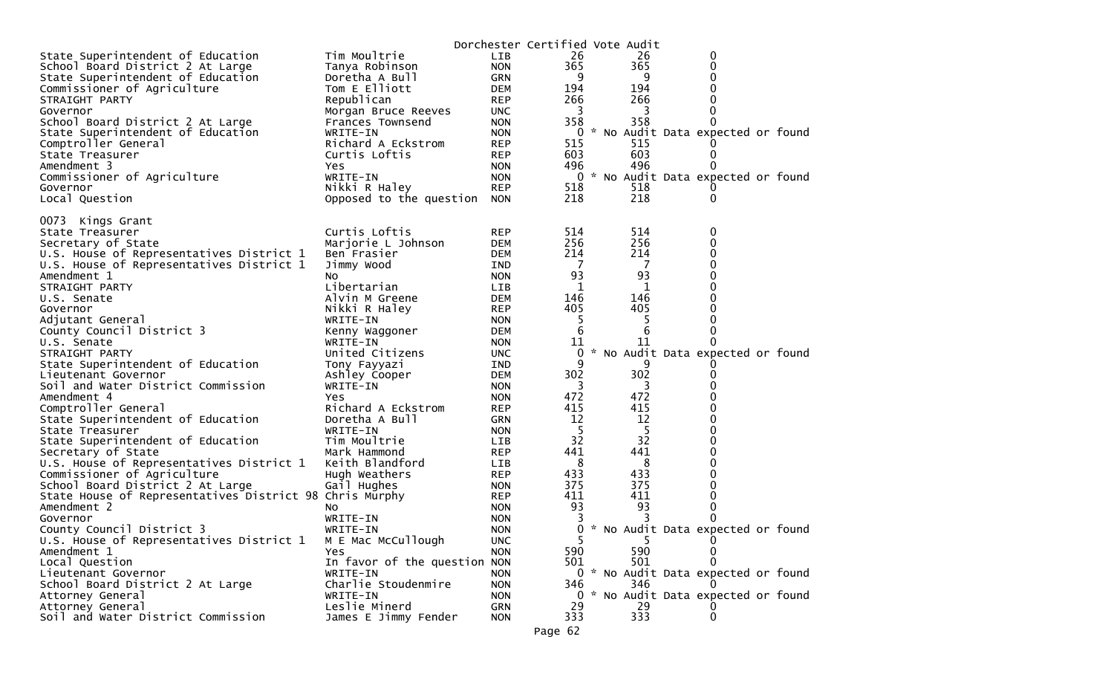|                                                         |                              |            | Dorchester Certified Vote Audit |     |                                     |  |
|---------------------------------------------------------|------------------------------|------------|---------------------------------|-----|-------------------------------------|--|
| State Superintendent of Education                       | Tim Moultrie                 | LIB        | 26                              | 26  | 0                                   |  |
| School Board District 2 At Large                        | Tanya Robinson               | <b>NON</b> | 365                             | 365 | 0                                   |  |
| State Superintendent of Education                       | Doretha A Bull               | GRN        | 9                               | 9   |                                     |  |
| Commissioner of Agriculture                             | Tom E Elliott                | <b>DEM</b> | 194                             | 194 |                                     |  |
| STRAIGHT PARTY                                          | Republican                   | <b>REP</b> | 266                             | 266 |                                     |  |
| Governor                                                | Morgan Bruce Reeves          | <b>UNC</b> | 3                               | 3   |                                     |  |
| School Board District 2 At Large                        | Frances Townsend             | <b>NON</b> | 358                             | 358 | $\Omega$                            |  |
| State Superintendent of Education                       | WRITE-IN                     | <b>NON</b> | 0                               |     | * No Audit Data expected or found   |  |
| Comptroller General                                     | Richard A Eckstrom           | <b>REP</b> | 515                             | 515 |                                     |  |
| State Treasurer                                         | Curtis Loftis                | <b>REP</b> | 603                             | 603 | $\Omega$<br>0                       |  |
| Amendment 3                                             | Yes                          | <b>NON</b> | 496                             | 496 |                                     |  |
| Commissioner of Agriculture                             | WRITE-IN<br>Nikki R Haley    | <b>NON</b> | 0                               | 518 | * No Audit Data expected or found   |  |
| Governor                                                |                              | <b>REP</b> | 518<br>218                      | 218 | 0                                   |  |
| Local Question                                          | Opposed to the question      | <b>NON</b> |                                 |     |                                     |  |
| 0073 Kings Grant                                        |                              |            |                                 |     |                                     |  |
| State Treasurer                                         | Curtis Loftis                | <b>REP</b> | 514                             | 514 | 0                                   |  |
| Secretary of State                                      | Marjorie L Johnson           | DEM        | 256                             | 256 | 0                                   |  |
| U.S. House of Representatives District 1                | Ben Frasier                  | <b>DEM</b> | 214                             | 214 | 0                                   |  |
| U.S. House of Representatives District 1                | Jimmy Wood                   | IND        | - 7                             | -7  | 0                                   |  |
| Amendment 1                                             | NO.                          | <b>NON</b> | 93                              | 93  |                                     |  |
| STRAIGHT PARTY                                          | Libertarian                  | LIB.       | 1                               | 1   |                                     |  |
| U.S. Senate                                             | Alvin M Greene               | <b>DEM</b> | 146                             | 146 |                                     |  |
| Governor                                                | Nikki R Haley                | REP        | 405                             | 405 |                                     |  |
| Adjutant General                                        | WRITE-IN                     | <b>NON</b> | 5                               | -5  |                                     |  |
| County Council District 3                               | Kenny Waggoner               | DEM        | 6                               | 6   | 0                                   |  |
| U.S. Senate                                             | WRITE-IN                     | <b>NON</b> | 11                              | 11  |                                     |  |
| STRAIGHT PARTY                                          | United Citizens              | UNC.       | 0                               |     | * No Audit Data expected or found   |  |
| State Superintendent of Education                       | Tony Fayyazi                 | IND        | 9                               | 9   |                                     |  |
| Lieutenant Governor                                     | Ashley Cooper                | <b>DEM</b> | 302                             | 302 |                                     |  |
| Soil and Water District Commission                      | WRITE-IN                     | <b>NON</b> | 3                               | 3   |                                     |  |
| Amendment 4                                             | Yes                          | <b>NON</b> | 472                             | 472 |                                     |  |
| Comptroller General                                     | Richard A Eckstrom           | <b>REP</b> | 415                             | 415 |                                     |  |
| State Superintendent of Education                       | Doretha A Bull               | GRN        | 12                              | 12  |                                     |  |
| State Treasurer                                         | WRITE-IN                     | <b>NON</b> | 5                               | 5   |                                     |  |
| State Superintendent of Education                       | Tim Moultrie                 | <b>LIB</b> | 32                              | 32  |                                     |  |
| Secretary of State                                      | Mark Hammond                 | <b>REP</b> | 441                             | 441 |                                     |  |
| U.S. House of Representatives District 1                | Keith Blandford              | LIB        | 8                               | 8   |                                     |  |
| Commissioner of Agriculture                             | Hugh Weathers                | <b>REP</b> | 433                             | 433 |                                     |  |
| School Board District 2 At Large                        | Gail Hughes                  | <b>NON</b> | 375                             | 375 |                                     |  |
| State House of Representatives District 98 Chris Murphy |                              | <b>REP</b> | 411                             | 411 |                                     |  |
| Amendment 2                                             | No.                          | <b>NON</b> | 93                              | 93  |                                     |  |
| Governor                                                | WRITE-IN                     | <b>NON</b> |                                 | 3   |                                     |  |
| County Council District 3                               | WRITE-IN                     | <b>NON</b> | 0                               |     | * No Audit Data expected or found   |  |
| U.S. House of Representatives District 1                | M E Mac McCullough           | <b>UNC</b> | 5.                              | 5   | 0                                   |  |
| Amendment 1                                             | Yes                          | <b>NON</b> | 590                             | 590 | 0                                   |  |
| Local Question                                          | In favor of the question NON |            | 501                             | 501 | 0                                   |  |
| Lieutenant Governor                                     | WRITE-IN                     | <b>NON</b> |                                 |     | 0 * No Audit Data expected or found |  |
| School Board District 2 At Large                        | Charlie Stoudenmire          | <b>NON</b> | 346                             | 346 |                                     |  |
| Attorney General                                        | WRITE-IN<br>Leslie Minerd    | <b>NON</b> | 29                              | 29  | 0 * No Audit Data expected or found |  |
| Attorney General                                        |                              | GRN        | 333                             | 333 | 0                                   |  |
| Soil and Water District Commission                      | James E Jimmy Fender         | <b>NON</b> |                                 |     |                                     |  |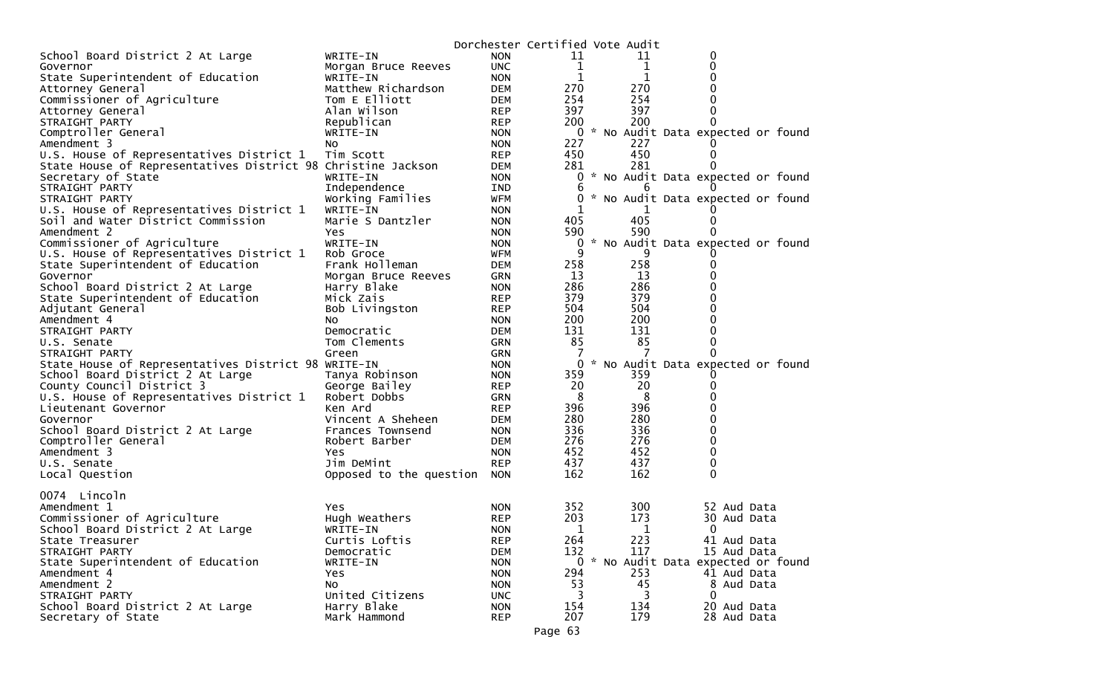|                                                              |                             | Dorchester Certified Vote Audit |           |            |                                                    |  |
|--------------------------------------------------------------|-----------------------------|---------------------------------|-----------|------------|----------------------------------------------------|--|
| School Board District 2 At Large                             | WRITE-IN                    | <b>NON</b>                      | 11        | 11         | 0                                                  |  |
| Governor                                                     | Morgan Bruce Reeves         | <b>UNC</b>                      | 1         | 1          | 0                                                  |  |
| State Superintendent of Education                            | WRITE-IN                    | <b>NON</b>                      | 1         | 1          | 0                                                  |  |
| Attorney General                                             | Matthew Richardson          | DEM                             | 270       | 270        | 0                                                  |  |
| Commissioner of Agriculture                                  | Tom E Elliott               | DEM                             | 254       | 254        | 0                                                  |  |
| Attorney General                                             | Alan Wilson                 | <b>REP</b>                      | 397       | 397        | 0                                                  |  |
| STRAIGHT PARTY                                               | Republican                  | <b>REP</b>                      | 200       | 200        | 0                                                  |  |
| Comptroller General                                          | WRITE-IN                    | <b>NON</b>                      |           |            | 0 * No Audit Data expected or found                |  |
| Amendment 3                                                  | NO.                         | <b>NON</b>                      | 227       | 227        | $\Omega$                                           |  |
| U.S. House of Representatives District 1                     | Tim Scott                   | <b>REP</b>                      | 450       | 450        | 0                                                  |  |
| State House of Representatives District 98 Christine Jackson |                             | DEM                             | 281       | 281        | 0                                                  |  |
| Secretary of State                                           | WRITE-IN                    | <b>NON</b>                      | 0         |            | * No Audit Data expected or found                  |  |
| STRAIGHT PARTY                                               | Independence                | IND                             | b         | 6          |                                                    |  |
| STRAIGHT PARTY                                               | Working Families            | <b>WFM</b>                      | 0         |            | * No Audit Data expected or found                  |  |
| U.S. House of Representatives District 1                     | WRITE-IN                    | <b>NON</b>                      |           |            |                                                    |  |
| Soil and Water District Commission                           | Marie S Dantzler            | <b>NON</b>                      | 405       | 405        | 0                                                  |  |
| Amendment 2                                                  | Yes                         | <b>NON</b>                      | 590       | 590        | 0                                                  |  |
| Commissioner of Agriculture                                  | WRITE-IN                    | <b>NON</b>                      | 0         |            | * No Audit Data expected or found                  |  |
| U.S. House of Representatives District 1                     | Rob Groce                   | WFM                             | 9         | 9          |                                                    |  |
| State Superintendent of Education                            | Frank Holleman              | <b>DEM</b>                      | 258       | 258        | 0                                                  |  |
| Governor                                                     | Morgan Bruce Reeves         | <b>GRN</b>                      | 13        | 13         | 0                                                  |  |
| School Board District 2 At Large                             | Harry Blake                 | <b>NON</b>                      | 286       | 286        | 0                                                  |  |
| State Superintendent of Education                            | Mick Zais                   | <b>REP</b>                      | 379       | 379        | 0                                                  |  |
| Adjutant General                                             | Bob Livingston              | <b>REP</b>                      | 504       | 504        | 0                                                  |  |
| Amendment 4                                                  | NO.                         | <b>NON</b>                      | 200       | 200        | 0                                                  |  |
| STRAIGHT PARTY                                               | Democratic                  | <b>DEM</b>                      | 131       | 131        | 0                                                  |  |
| U.S. Senate                                                  | Tom Clements                | GRN                             | 85        | 85         | 0                                                  |  |
| STRAIGHT PARTY                                               | Green                       | GRN                             |           |            | $\Omega$                                           |  |
| State House of Representatives District 98 WRITE-IN          |                             | <b>NON</b>                      | 0         |            | * No Audit Data expected or found                  |  |
| School Board District 2 At Large                             | Tanya Robinson              | <b>NON</b>                      | 359       | 359        | O                                                  |  |
| County Council District 3                                    | George Bailey               | <b>REP</b>                      | 20        | 20         | 0                                                  |  |
| U.S. House of Representatives District 1                     | Robert Dobbs                | GRN                             | 8         | 8          | 0                                                  |  |
| Lieutenant Governor                                          | Ken Ard                     | <b>REP</b>                      | 396       | 396        | 0                                                  |  |
| Governor                                                     | Vincent A Sheheen           | <b>DEM</b>                      | 280       | 280        | 0                                                  |  |
| School Board District 2 At Large                             | Frances Townsend            | <b>NON</b>                      | 336       | 336        | 0                                                  |  |
| Comptroller General                                          | Robert Barber               | DEM                             | 276       | 276        | 0                                                  |  |
| Amendment 3                                                  | Yes                         | <b>NON</b>                      | 452       | 452        | 0                                                  |  |
| U.S. Senate                                                  | Jim DeMint                  | <b>REP</b>                      | 437       | 437        | 0                                                  |  |
| Local Question                                               | Opposed to the question NON |                                 | 162       | 162        | 0                                                  |  |
|                                                              |                             |                                 |           |            |                                                    |  |
| 0074 Lincoln                                                 |                             |                                 | 352       |            |                                                    |  |
| Amendment 1                                                  | <b>Yes</b>                  | <b>NON</b>                      | 203       | 300<br>173 | 52 Aud Data                                        |  |
| Commissioner of Agriculture                                  | Hugh Weathers               | <b>REP</b>                      |           |            | 30 Aud Data                                        |  |
| School Board District 2 At Large                             | WRITE-IN                    | <b>NON</b>                      | 1<br>264  | 1          | 0                                                  |  |
| State Treasurer                                              | Curtis Loftis               | <b>REP</b>                      |           | 223        | 41 Aud Data                                        |  |
| STRAIGHT PARTY                                               | Democratic                  | <b>DEM</b>                      | 132       | 117        | 15 Aud Data<br>0 * No Audit Data expected or found |  |
| State Superintendent of Education                            | WRITE-IN                    | <b>NON</b>                      |           |            |                                                    |  |
| Amendment 4<br>Amendment 2                                   | Yes<br>No                   | <b>NON</b>                      | 294<br>53 | 253<br>45  | 41 Aud Data                                        |  |
| STRAIGHT PARTY                                               | United Citizens             | <b>NON</b><br><b>UNC</b>        | 3         | 3          | 8 Aud Data<br>$\mathbf{0}$                         |  |
| School Board District 2 At Large                             | Harry Blake                 | <b>NON</b>                      | 154       | 134        | 20 Aud Data                                        |  |
| Secretary of State                                           | Mark Hammond                | <b>REP</b>                      | 207       | 179        | 28 Aud Data                                        |  |
|                                                              |                             |                                 |           |            |                                                    |  |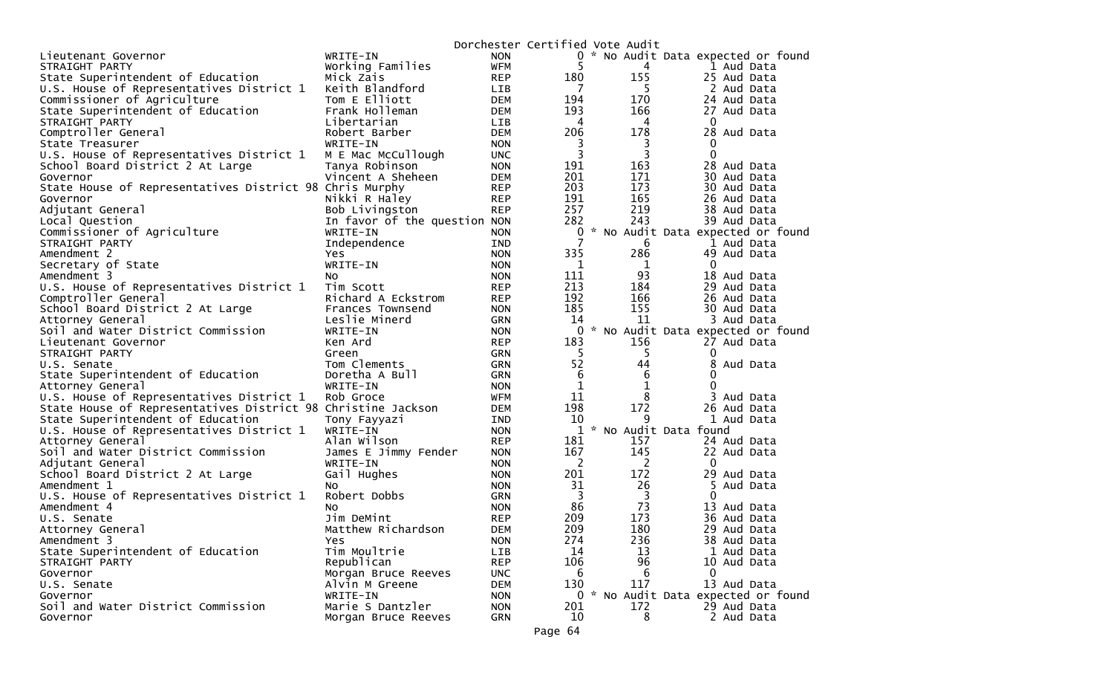|                                                              |                              |            | Dorchester Certified Vote Audit |                |                                     |
|--------------------------------------------------------------|------------------------------|------------|---------------------------------|----------------|-------------------------------------|
| Lieutenant Governor                                          | WRITE-IN                     | <b>NON</b> |                                 |                | 0 * No Audit Data expected or found |
| STRAIGHT PARTY                                               | Working Families             | <b>WFM</b> | 5                               | 4              | 1 Aud Data                          |
| State Superintendent of Education                            | Mick Zais                    | <b>REP</b> | 180                             | 155            | 25 Aud Data                         |
| U.S. House of Representatives District 1                     | Keith Blandford              | LIB        | $\overline{7}$                  | 5              | 2 Aud Data                          |
| Commissioner of Agriculture                                  | Tom E Elliott                | <b>DEM</b> | 194                             | 170            | 24 Aud Data                         |
| State Superintendent of Education                            | Frank Holleman               | <b>DEM</b> | 193                             | 166            | 27 Aud Data                         |
| STRAIGHT PARTY                                               | Libertarian                  | LIB        | 4                               | 4              | $\bf{0}$                            |
| Comptroller General                                          | Robert Barber                | <b>DEM</b> | 206                             | 178            | 28 Aud Data                         |
| State Treasurer                                              | WRITE-IN                     | <b>NON</b> | 3                               | 3              | 0                                   |
| U.S. House of Representatives District 1                     | M E Mac McCullough           | <b>UNC</b> | 3                               | 3              | $\Omega$                            |
| School Board District 2 At Large                             | Tanya Robinson               | <b>NON</b> | 191                             | 163            | 28 Aud Data                         |
| Governor                                                     | Vincent A Sheheen            | <b>DEM</b> | 201                             | 171            | 30 Aud Data                         |
| State House of Representatives District 98 Chris Murphy      |                              | <b>REP</b> | 203                             | 173            | 30 Aud Data                         |
| Governor                                                     | Nikki R Haley                | <b>REP</b> | 191                             | 165            | 26 Aud Data                         |
| Adjutant General                                             | Bob Livingston               | <b>REP</b> | 257                             | 219            | 38 Aud Data                         |
| Local Question                                               | In favor of the question NON |            | 282                             | 243            | 39 Aud Data                         |
| Commissioner of Agriculture                                  | WRITE-IN                     | <b>NON</b> | 0                               |                | * No Audit Data expected or found   |
| STRAIGHT PARTY                                               | Independence                 | IND        | 7                               | 6              | 1 Aud Data                          |
|                                                              |                              |            | 335                             | 286            |                                     |
| Amendment 2                                                  | <b>Yes</b>                   | <b>NON</b> |                                 |                | 49 Aud Data                         |
| Secretary of State                                           | WRITE-IN                     | <b>NON</b> | $\mathbf{1}$                    | 1              | $\mathbf{0}$                        |
| Amendment 3                                                  | NO.                          | <b>NON</b> | 111                             | 93             | 18 Aud Data                         |
| U.S. House of Representatives District 1                     | Tim Scott                    | <b>REP</b> | 213                             | 184            | 29 Aud Data                         |
| Comptroller General                                          | Richard A Eckstrom           | <b>REP</b> | 192                             | 166            | 26 Aud Data                         |
| School Board District 2 At Large                             | Frances Townsend             | <b>NON</b> | 185                             | 155            | 30 Aud Data                         |
| Attorney General                                             | Leslie Minerd                | GRN        | 14                              | 11             | 3 Aud Data                          |
| Soil and Water District Commission                           | WRITE-IN                     | <b>NON</b> | $\mathbf{0}$                    |                | * No Audit Data expected or found   |
| Lieutenant Governor                                          | Ken Ard                      | <b>REP</b> | 183                             | 156            | 27 Aud Data                         |
| STRAIGHT PARTY                                               | Green                        | <b>GRN</b> | 5                               | 5              | 0                                   |
| U.S. Senate                                                  | Tom Clements                 | <b>GRN</b> | 52                              | 44             | 8<br>Aud Data                       |
| State Superintendent of Education                            | Doretha A Bull               | GRN        | 6                               | 6              | 0                                   |
| Attorney General                                             | WRITE-IN                     | <b>NON</b> | $\mathbf 1$                     | $\mathbf{1}$   | 0                                   |
| U.S. House of Representatives District 1                     | Rob Groce                    | WFM        | 11                              | 8              | 3 Aud Data                          |
| State House of Representatives District 98 Christine Jackson |                              | <b>DEM</b> | 198                             | 172            | 26 Aud Data                         |
| State Superintendent of Education                            | Tony Fayyazi                 | IND        | 10                              | 9              | 1 Aud Data                          |
| U.S. House of Representatives District 1                     | WRITE-IN                     | <b>NON</b> |                                 |                | 1 * No Audit Data found             |
| Attorney General                                             | Alan Wilson                  | <b>REP</b> | 181                             | 157            | 24 Aud Data                         |
| Soil and Water District Commission                           | James E Jimmy Fender         | <b>NON</b> | 167                             | 145            | 22 Aud Data                         |
| Adjutant General                                             | WRITE-IN                     | <b>NON</b> | -2                              | $\overline{2}$ | $\Omega$                            |
| School Board District 2 At Large                             | Gail Hughes                  | <b>NON</b> | 201                             | 172            | 29 Aud Data                         |
| Amendment 1                                                  | NO.                          | <b>NON</b> | 31                              | 26             | 5 Aud Data                          |
| U.S. House of Representatives District 1                     | Robert Dobbs                 | GRN        | $\overline{3}$                  | $\overline{3}$ | $\Omega$                            |
| Amendment 4                                                  | NO.                          | <b>NON</b> | 86                              | 73             | 13 Aud Data                         |
| U.S. Senate                                                  | Jim DeMint                   | <b>REP</b> | 209                             | 173            | 36 Aud Data                         |
| Attorney General                                             | Matthew Richardson           | <b>DEM</b> | 209                             | 180            | 29 Aud Data                         |
| Amendment 3                                                  | Yes                          | <b>NON</b> | 274                             | 236            | 38 Aud Data                         |
| State Superintendent of Education                            | Tim Moultrie                 | LIB        | 14                              | 13             | 1 Aud Data                          |
| STRAIGHT PARTY                                               | Republican                   | <b>REP</b> | 106                             | 96             | 10 Aud Data                         |
| Governor                                                     | Morgan Bruce Reeves          | <b>UNC</b> | 6                               | 6              | $\Omega$                            |
| U.S. Senate                                                  | Alvin M Greene               | <b>DEM</b> | 130                             | 117            | 13 Aud Data                         |
| Governor                                                     | WRITE-IN                     | <b>NON</b> |                                 |                | 0 * No Audit Data expected or found |
| Soil and Water District Commission                           | Marie S Dantzler             | <b>NON</b> | 201                             | 172            | 29 Aud Data                         |
| Governor                                                     |                              | <b>GRN</b> | 10                              | 8              | 2 Aud Data                          |
|                                                              | Morgan Bruce Reeves          |            |                                 |                |                                     |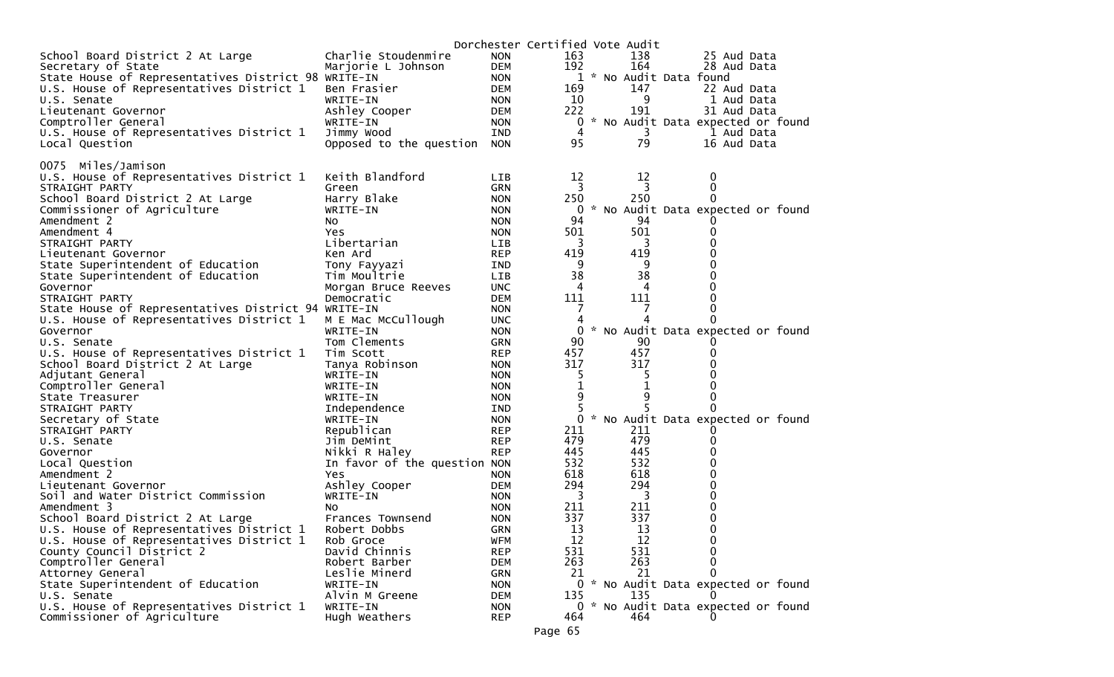|                                                     |                              |            | Dorchester Certified Vote Audit               |
|-----------------------------------------------------|------------------------------|------------|-----------------------------------------------|
| School Board District 2 At Large                    | Charlie Stoudenmire          | <b>NON</b> | 163<br>138<br>25 Aud Data                     |
| Secretary of State                                  | Marjorie L Johnson           | DEM        | 192<br>164<br>28 Aud Data                     |
| State House of Representatives District 98 WRITE-IN |                              | <b>NON</b> | 1 * No Audit Data found                       |
| U.S. House of Representatives District 1            | Ben Frasier                  | DEM        | 147<br>169<br>22 Aud Data                     |
| U.S. Senate                                         | WRITE-IN                     | <b>NON</b> | 10<br>9<br>1 Aud Data                         |
| Lieutenant Governor                                 | Ashley Cooper                | DEM        | 222<br>191<br>31 Aud Data                     |
| Comptroller General                                 | WRITE-IN                     | <b>NON</b> | * No Audit Data expected or found<br>0        |
| U.S. House of Representatives District 1            | Jimmy Wood                   | IND        | 4<br>3<br>1 Aud Data                          |
| Local Question                                      | Opposed to the question      | <b>NON</b> | 79<br>95<br>16 Aud Data                       |
|                                                     |                              |            |                                               |
| 0075 Miles/Jamison                                  |                              |            |                                               |
| U.S. House of Representatives District 1            | Keith Blandford              | <b>LIB</b> | 12<br>12<br>0                                 |
| STRAIGHT PARTY                                      |                              |            | 3<br>3<br>0                                   |
|                                                     | Green                        | <b>GRN</b> |                                               |
| School Board District 2 At Large                    | Harry Blake                  | <b>NON</b> | 250<br>250<br>0                               |
| Commissioner of Agriculture                         | WRITE-IN                     | <b>NON</b> | * No Audit Data expected or found<br>0        |
| Amendment 2                                         | NO.                          | <b>NON</b> | 94<br>94                                      |
| Amendment 4                                         | Yes                          | <b>NON</b> | 501<br>501<br>0                               |
| STRAIGHT PARTY                                      | Libertarian                  | <b>LIB</b> | $\overline{3}$<br>0<br>3                      |
| Lieutenant Governor                                 | Ken Ard                      | <b>REP</b> | 419<br>419<br>0                               |
| State Superintendent of Education                   | Tony Fayyazi                 | IND        | 9<br>9<br>0                                   |
| State Superintendent of Education                   | Tim Moultrie                 | <b>LIB</b> | 38<br>38<br>0                                 |
| Governor                                            | Morgan Bruce Reeves          | <b>UNC</b> | 4<br>0<br>4                                   |
| STRAIGHT PARTY                                      | Democratic                   | <b>DEM</b> | 111<br>111<br>0                               |
| State House of Representatives District 94 WRITE-IN |                              | <b>NON</b> | 0                                             |
| U.S. House of Representatives District 1            | M E Mac McCullough           | <b>UNC</b> | 0                                             |
| Governor                                            | WRITE-IN                     | <b>NON</b> | * No Audit Data expected or found<br>0        |
| U.S. Senate                                         | Tom Clements                 | <b>GRN</b> | 90<br>90<br>O                                 |
| U.S. House of Representatives District 1            | Tim Scott                    | <b>REP</b> | 457<br>457<br>0                               |
| School Board District 2 At Large                    | Tanya Robinson               | <b>NON</b> | 317<br>317<br>0                               |
| Adjutant General                                    | WRITE-IN                     | <b>NON</b> | 5<br>5<br>0                                   |
| Comptroller General                                 | WRITE-IN                     | <b>NON</b> | 1<br>0                                        |
|                                                     |                              |            | 9                                             |
| State Treasurer                                     | WRITE-IN                     | <b>NON</b> | 9<br>0                                        |
| STRAIGHT PARTY                                      | Independence                 | IND        | 0                                             |
| Secretary of State                                  | WRITE-IN                     | <b>NON</b> | $\Omega$<br>* No Audit Data expected or found |
| STRAIGHT PARTY                                      | Republican                   | <b>REP</b> | 211<br>211<br>O                               |
| U.S. Senate                                         | Jim DeMint                   | <b>REP</b> | 479<br>479<br>0                               |
| Governor                                            | Nikki R Haley                | <b>REP</b> | 445<br>445<br>0                               |
| Local Question                                      | In favor of the question NON |            | 532<br>532<br>0                               |
| Amendment 2                                         | Yes                          | <b>NON</b> | 618<br>618<br>0                               |
| Lieutenant Governor                                 | Ashley Cooper                | DEM        | 294<br>294<br>0                               |
| Soil and Water District Commission                  | WRITE-IN                     | <b>NON</b> | 3<br>3<br>0                                   |
| Amendment 3                                         | NO.                          | <b>NON</b> | 211<br>211<br>0                               |
| School Board District 2 At Large                    | Frances Townsend             | <b>NON</b> | 337<br>337<br>0                               |
| U.S. House of Representatives District 1            | Robert Dobbs                 | <b>GRN</b> | 13<br>$\Omega$<br>13                          |
| U.S. House of Representatives District 1            | Rob Groce                    | <b>WFM</b> | 12<br>12<br>0                                 |
| County Council District 2                           | David Chinnis                | <b>REP</b> | 531<br>531<br>0                               |
| Comptroller General                                 | Robert Barber                | <b>DEM</b> | 263<br>263<br>0                               |
| Attorney General                                    | Leslie Minerd                | <b>GRN</b> | 21<br>21<br>0                                 |
| State Superintendent of Education                   | WRITE-IN                     | <b>NON</b> | 0 * No Audit Data expected or found           |
|                                                     | Alvin M Greene               |            | 135                                           |
| U.S. Senate                                         |                              | <b>DEM</b> | 135<br>$\Omega$                               |
| U.S. House of Representatives District 1            | WRITE-IN                     | <b>NON</b> | 0 * No Audit Data expected or found           |
| Commissioner of Agriculture                         | Hugh Weathers                | <b>REP</b> | 464<br>464<br>$\Omega$                        |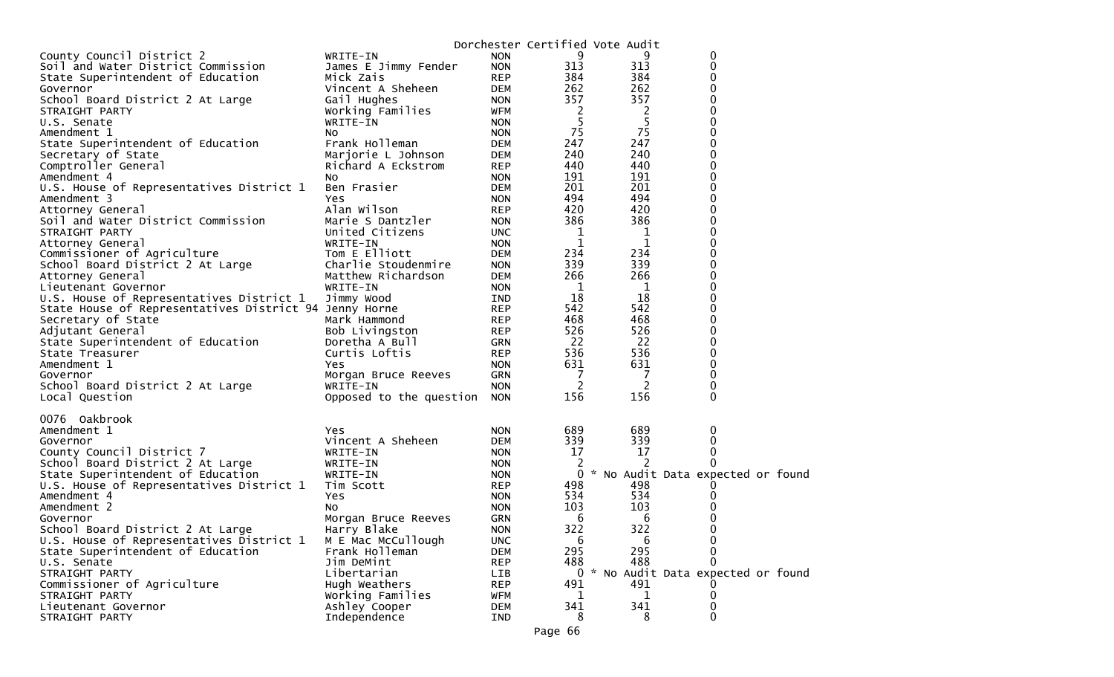|                                                        |                         |            |     | Dorchester Certified Vote Audit |                                     |  |
|--------------------------------------------------------|-------------------------|------------|-----|---------------------------------|-------------------------------------|--|
| County Council District 2                              | WRITE-IN                | <b>NON</b> | 9   | 9                               | 0                                   |  |
| Soil and Water District Commission                     | James E Jimmy Fender    | <b>NON</b> | 313 | 313                             | 0                                   |  |
| State Superintendent of Education                      | Mick Zais               | <b>REP</b> | 384 | 384                             | 0                                   |  |
| Governor                                               | Vincent A Sheheen       | <b>DEM</b> | 262 | 262                             | 0                                   |  |
| School Board District 2 At Large                       | Gail Hughes             | <b>NON</b> | 357 | 357                             | 0                                   |  |
| STRAIGHT PARTY                                         | Working Families        | WFM        | 2   | 2                               | 0                                   |  |
| U.S. Senate                                            | WRITE-IN                | <b>NON</b> | 5   | 5                               | 0                                   |  |
| Amendment 1                                            | NO.                     | <b>NON</b> | 75  | 75                              | 0                                   |  |
| State Superintendent of Education                      | Frank Holleman          | <b>DEM</b> | 247 | 247                             | 0                                   |  |
| Secretary of State                                     | Marjorie L Johnson      | <b>DEM</b> | 240 | 240                             | 0                                   |  |
| Comptroller General                                    | Richard A Eckstrom      | <b>REP</b> | 440 | 440                             | 0                                   |  |
| Amendment 4                                            | NO.                     | <b>NON</b> | 191 | 191                             | 0                                   |  |
| U.S. House of Representatives District 1               | Ben Frasier             | <b>DEM</b> | 201 | 201                             | $\mathbf 0$                         |  |
| Amendment 3                                            | Yes                     | <b>NON</b> | 494 | 494                             | 0                                   |  |
| Attorney General                                       | Alan Wilson             | <b>REP</b> | 420 | 420                             | 0                                   |  |
| Soil and Water District Commission                     | Marie S Dantzler        | <b>NON</b> | 386 | 386                             | 0                                   |  |
| STRAIGHT PARTY                                         | United Citizens         | <b>UNC</b> | 1   | 1                               | 0                                   |  |
| Attorney General                                       | WRITE-IN                | <b>NON</b> | 1   | 1                               | 0                                   |  |
| Commissioner of Agriculture                            | Tom E Elliott           | <b>DEM</b> | 234 | 234                             | 0                                   |  |
| School Board District 2 At Large                       | Charlie Stoudenmire     | <b>NON</b> | 339 | 339                             | 0                                   |  |
| Attorney General                                       | Matthew Richardson      | <b>DEM</b> | 266 | 266                             | 0                                   |  |
| Lieutenant Governor                                    | WRITE-IN                | <b>NON</b> | 1   | 1                               | 0                                   |  |
| U.S. House of Representatives District 1               | Jimmy Wood              | IND        | 18  | 18                              | 0                                   |  |
| State House of Representatives District 94 Jenny Horne |                         | <b>REP</b> | 542 | 542                             | $\mathbf 0$                         |  |
| Secretary of State                                     | Mark Hammond            | <b>REP</b> | 468 | 468                             | $\overline{0}$                      |  |
| Adjutant General                                       | Bob Livingston          | <b>REP</b> | 526 | 526                             | 0                                   |  |
| State Superintendent of Education                      | Doretha A Bull          | <b>GRN</b> | 22  | 22                              | 0                                   |  |
| State Treasurer                                        | Curtis Loftis           | <b>REP</b> | 536 | 536                             | 0                                   |  |
| Amendment 1                                            | <b>Yes</b>              | <b>NON</b> | 631 | 631                             | $\mathbf 0$                         |  |
| Governor                                               | Morgan Bruce Reeves     | <b>GRN</b> | 7   | 7                               | 0                                   |  |
| School Board District 2 At Large                       | WRITE-IN                | <b>NON</b> | 2   | 2                               | 0                                   |  |
| Local Question                                         | Opposed to the question | <b>NON</b> | 156 | 156                             | $\mathbf 0$                         |  |
|                                                        |                         |            |     |                                 |                                     |  |
| 0076 Oakbrook                                          |                         |            |     |                                 |                                     |  |
| Amendment 1                                            | <b>Yes</b>              | <b>NON</b> | 689 | 689                             | 0                                   |  |
| Governor                                               | Vincent A Sheheen       | <b>DEM</b> | 339 | 339                             | 0                                   |  |
| County Council District 7                              | WRITE-IN                | <b>NON</b> | 17  | 17                              | 0                                   |  |
| School Board District 2 At Large                       | WRITE-IN                | <b>NON</b> | 2   | 2                               | 0                                   |  |
| State Superintendent of Education                      | WRITE-IN                | <b>NON</b> | 0   |                                 | * No Audit Data expected or found   |  |
| U.S. House of Representatives District 1               | Tim Scott               | <b>REP</b> | 498 | 498                             |                                     |  |
| Amendment 4                                            | Yes                     | <b>NON</b> | 534 | 534                             |                                     |  |
| Amendment 2                                            | NO.                     | <b>NON</b> | 103 | 103                             |                                     |  |
| Governor                                               | Morgan Bruce Reeves     | <b>GRN</b> | 6   | 6                               | 0                                   |  |
| School Board District 2 At Large                       | Harry Blake             | <b>NON</b> | 322 | 322                             | 0                                   |  |
| U.S. House of Representatives District 1               | M E Mac McCullough      | <b>UNC</b> | 6   | 6                               | 0                                   |  |
| State Superintendent of Education                      | Frank Holleman          | DEM        | 295 | 295                             | 0                                   |  |
| U.S. Senate                                            | Jim DeMint              | <b>REP</b> | 488 | 488                             | 0                                   |  |
| STRAIGHT PARTY                                         | Libertarian             | <b>LIB</b> |     |                                 | 0 * No Audit Data expected or found |  |
| Commissioner of Agriculture                            | Hugh Weathers           | <b>REP</b> | 491 | 491                             |                                     |  |
| STRAIGHT PARTY                                         | Working Families        | <b>WFM</b> | 1   | 1                               | 0                                   |  |
| Lieutenant Governor                                    | Ashley Cooper           | <b>DEM</b> | 341 | 341                             | 0                                   |  |
| STRAIGHT PARTY                                         | Independence            | IND        | 8   | 8                               | 0                                   |  |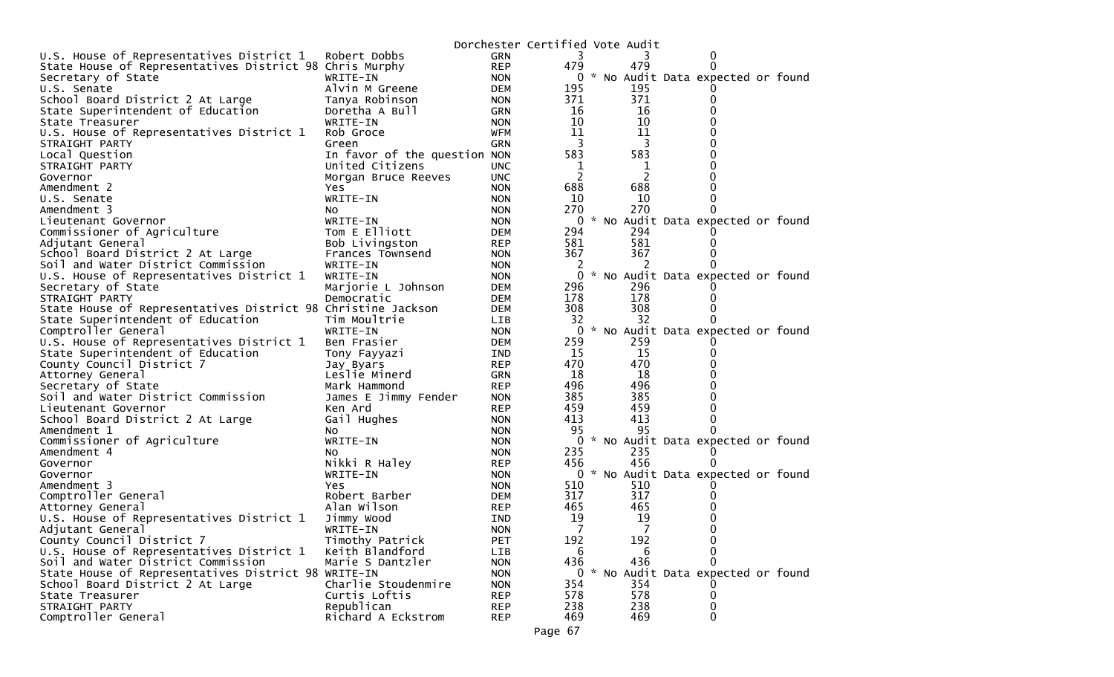|                                                              |                              |            | Dorchester Certified Vote Audit |     |                                     |  |
|--------------------------------------------------------------|------------------------------|------------|---------------------------------|-----|-------------------------------------|--|
| U.S. House of Representatives District 1                     | Robert Dobbs                 | <b>GRN</b> | 3                               |     | 0                                   |  |
| State House of Representatives District 98 Chris Murphy      |                              | <b>REP</b> | 479                             | 479 | $\Omega$                            |  |
| Secretary of State                                           | WRITE-IN                     | <b>NON</b> |                                 |     | 0 * No Audit Data expected or found |  |
| U.S. Senate                                                  | Alvin M Greene               | <b>DEM</b> | 195                             | 195 |                                     |  |
| School Board District 2 At Large                             | Tanya Robinson               | <b>NON</b> | 371                             | 371 | 0                                   |  |
| State Superintendent of Education                            | Doretha A Bull               | <b>GRN</b> | 16                              | 16  | 0                                   |  |
| State Treasurer                                              | WRITE-IN                     | <b>NON</b> | 10                              | 10  | 0                                   |  |
| U.S. House of Representatives District 1                     | Rob Groce                    | <b>WFM</b> | 11                              | 11  | $\Omega$                            |  |
| STRAIGHT PARTY                                               | Green                        | <b>GRN</b> | 3                               | 3   | 0                                   |  |
| Local Question                                               | In favor of the question NON |            | 583                             | 583 | 0                                   |  |
| STRAIGHT PARTY                                               | United Citizens              | <b>UNC</b> | 1                               | 1   | 0                                   |  |
| Governor                                                     | Morgan Bruce Reeves          | <b>UNC</b> | 2                               | 2   |                                     |  |
| Amendment 2                                                  | Yes.                         | <b>NON</b> | 688                             | 688 | 0                                   |  |
| U.S. Senate                                                  | WRITE-IN                     | <b>NON</b> | 10                              | 10  | 0                                   |  |
| Amendment 3                                                  | NO.                          | <b>NON</b> | 270                             | 270 |                                     |  |
| Lieutenant Governor                                          | WRITE-IN                     | <b>NON</b> | 0                               |     | * No Audit Data expected or found   |  |
| Commissioner of Agriculture                                  | Tom E Elliott                | <b>DEM</b> | 294                             | 294 |                                     |  |
| Adjutant General                                             | Bob Livingston               | <b>REP</b> | 581                             | 581 | 0                                   |  |
| School Board District 2 At Large                             | Frances Townsend             | <b>NON</b> | 367                             | 367 | 0                                   |  |
| Soil and Water District Commission                           | WRITE-IN                     | <b>NON</b> | 2                               | 2   |                                     |  |
| U.S. House of Representatives District 1                     | WRITE-IN                     | <b>NON</b> | 0                               |     | * No Audit Data expected or found   |  |
| Secretary of State                                           | Marjorie L Johnson           | <b>DEM</b> | 296                             | 296 |                                     |  |
| STRAIGHT PARTY                                               | Democratic                   | <b>DEM</b> | 178                             | 178 | 0                                   |  |
| State House of Representatives District 98 Christine Jackson |                              | <b>DEM</b> | 308                             | 308 |                                     |  |
| State Superintendent of Education                            | Tim Moultrie                 | <b>LIB</b> | 32                              | 32  |                                     |  |
| Comptroller General                                          | WRITE-IN                     | <b>NON</b> | 0                               |     | * No Audit Data expected or found   |  |
| U.S. House of Representatives District 1                     | Ben Frasier                  | <b>DEM</b> | 259                             | 259 |                                     |  |
| State Superintendent of Education                            | Tony Fayyazi                 | <b>IND</b> | 15                              | 15  | $\Omega$                            |  |
| County Council District 7                                    | Jay Byars                    | <b>REP</b> | 470                             | 470 | 0                                   |  |
| Attorney General                                             | Leslie Minerd                | <b>GRN</b> | 18                              | 18  |                                     |  |
| Secretary of State                                           | Mark Hammond                 | <b>REP</b> | 496                             | 496 | 0                                   |  |
| Soil and Water District Commission                           | James E Jimmy Fender         | <b>NON</b> | 385                             | 385 | 0                                   |  |
| Lieutenant Governor                                          | Ken Ard                      | <b>REP</b> | 459                             | 459 | 0                                   |  |
| School Board District 2 At Large                             | Gail Hughes                  | <b>NON</b> | 413                             | 413 | 0                                   |  |
| Amendment 1                                                  | NO.                          | <b>NON</b> | 95                              | 95  | <sup>0</sup>                        |  |
| Commissioner of Agriculture                                  | WRITE-IN                     | <b>NON</b> | 0                               |     | * No Audit Data expected or found   |  |
| Amendment 4                                                  | NO.                          | <b>NON</b> | 235                             | 235 |                                     |  |
| Governor                                                     | Nikki R Haley                | <b>REP</b> | 456                             | 456 | $\Omega$                            |  |
| Governor                                                     | WRITE-IN                     | <b>NON</b> | 0                               |     | * No Audit Data expected or found   |  |
| Amendment 3                                                  | Yes.                         | <b>NON</b> | 510                             | 510 |                                     |  |
| Comptroller General                                          | Robert Barber                | <b>DEM</b> | 317                             | 317 | 0                                   |  |
| Attorney General                                             | Alan Wilson                  | <b>REP</b> | 465                             | 465 | O                                   |  |
| U.S. House of Representatives District 1                     | Jimmy Wood                   | <b>IND</b> | 19                              | 19  | 0                                   |  |
| Adjutant General                                             | WRITE-IN                     | <b>NON</b> | 7                               | 7   | $\Omega$                            |  |
| County Council District 7                                    | Timothy Patrick              | <b>PET</b> | 192                             | 192 | 0                                   |  |
| U.S. House of Representatives District 1                     | Keith Blandford              | LIB        | 6                               | 6   | 0                                   |  |
| Soil and Water District Commission                           | Marie S Dantzler             | <b>NON</b> | 436                             | 436 | 0                                   |  |
| State House of Representatives District 98 WRITE-IN          |                              | <b>NON</b> |                                 |     | 0 * No Audit Data expected or found |  |
| School Board District 2 At Large                             | Charlie Stoudenmire          | <b>NON</b> | 354                             | 354 |                                     |  |
| State Treasurer                                              | Curtis Loftis                | <b>REP</b> | 578                             | 578 | 0                                   |  |
| STRAIGHT PARTY                                               | Republican                   | <b>REP</b> | 238                             | 238 | 0                                   |  |
| Comptroller General                                          | Richard A Eckstrom           | <b>REP</b> | 469                             | 469 | 0                                   |  |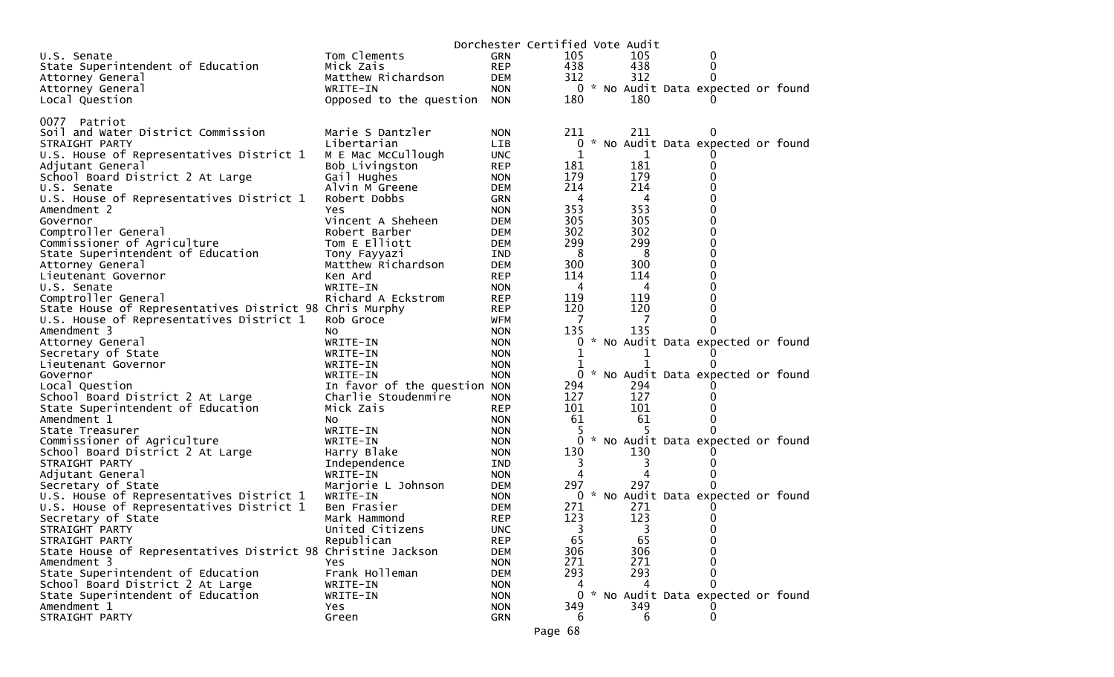|                                                              |                              |                          | Dorchester Certified Vote Audit |              |                                     |  |
|--------------------------------------------------------------|------------------------------|--------------------------|---------------------------------|--------------|-------------------------------------|--|
| U.S. Senate                                                  | Tom Clements                 | GRN                      | 105                             | 105          | 0                                   |  |
| State Superintendent of Education                            | Mick Zais                    | <b>REP</b>               | 438                             | 438          | 0                                   |  |
| Attorney General                                             | Matthew Richardson           | DEM                      | 312                             | 312          | 0                                   |  |
| Attorney General                                             | WRITE-IN                     | <b>NON</b>               |                                 |              | 0 * No Audit Data expected or found |  |
| Local Question                                               | Opposed to the question      | <b>NON</b>               | 180                             | 180          |                                     |  |
|                                                              |                              |                          |                                 |              |                                     |  |
| 0077 Patriot                                                 |                              |                          |                                 |              |                                     |  |
| Soil and Water District Commission                           | Marie S Dantzler             | <b>NON</b>               | 211                             | 211          | $\Omega$                            |  |
| STRAIGHT PARTY                                               | Libertarian                  | LIB                      | 0                               |              | * No Audit Data expected or found   |  |
| U.S. House of Representatives District 1                     | M E Mac McCullough           | <b>UNC</b>               | 1                               | 1            |                                     |  |
| Adjutant General                                             | Bob Livingston               | <b>REP</b>               | 181                             | 181          | 0                                   |  |
| School Board District 2 At Large                             | Gail Hughes                  | <b>NON</b>               | 179                             | 179          | 0                                   |  |
| U.S. Senate                                                  | Alvin M Greene               | <b>DEM</b>               | 214                             | 214          | 0                                   |  |
| U.S. House of Representatives District 1                     | Robert Dobbs                 | GRN                      | 4                               | 4            | 0                                   |  |
| Amendment 2                                                  | Yes                          | <b>NON</b>               | 353                             | 353          | 0                                   |  |
| Governor                                                     | Vincent A Sheheen            | DEM                      | 305<br>302                      | 305<br>302   | 0                                   |  |
| Comptroller General                                          | Robert Barber                | <b>DEM</b>               |                                 |              | 0                                   |  |
| Commissioner of Agriculture                                  | Tom E Elliott                | DEM                      | 299                             | 299          | 0<br>0                              |  |
| State Superintendent of Education                            | Tony Fayyazi                 | IND                      | 8<br>300                        | 8<br>300     |                                     |  |
| Attorney General                                             | Matthew Richardson           | DEM                      | 114                             |              | 0<br>0                              |  |
| Lieutenant Governor<br>U.S. Senate                           | Ken Ard<br>WRITE-IN          | <b>REP</b><br><b>NON</b> | 4                               | 114<br>4     | 0                                   |  |
| Comptroller General                                          | Richard A Eckstrom           | <b>REP</b>               | 119                             | 119          | 0                                   |  |
| State House of Representatives District 98 Chris Murphy      |                              | <b>REP</b>               | 120                             | 120          | 0                                   |  |
| U.S. House of Representatives District 1                     | Rob Groce                    | WFM                      | 7                               | 7            | 0                                   |  |
| Amendment 3                                                  | NO.                          | <b>NON</b>               | 135                             | 135          | 0                                   |  |
| Attorney General                                             | WRITE-IN                     | <b>NON</b>               | 0                               |              | * No Audit Data expected or found   |  |
| Secretary of State                                           | WRITE-IN                     | <b>NON</b>               | 1                               |              |                                     |  |
| Lieutenant Governor                                          | WRITE-IN                     | <b>NON</b>               |                                 | $\mathbf{1}$ | 0                                   |  |
| Governor                                                     | WRITE-IN                     | <b>NON</b>               | 0                               |              | * No Audit Data expected or found   |  |
| Local Question                                               | In favor of the question NON |                          | 294                             | 294          |                                     |  |
| School Board District 2 At Large                             | Charlie Stoudenmire          | <b>NON</b>               | 127                             | 127          |                                     |  |
| State Superintendent of Education                            | Mick Zais                    | <b>REP</b>               | 101                             | 101          | 0                                   |  |
| Amendment 1                                                  | NO.                          | <b>NON</b>               | 61                              | 61           | 0                                   |  |
| State Treasurer                                              | WRITE-IN                     | <b>NON</b>               |                                 |              | 0                                   |  |
| Commissioner of Agriculture                                  | WRITE-IN                     | <b>NON</b>               | 0                               |              | * No Audit Data expected or found   |  |
| School Board District 2 At Large                             | Harry Blake                  | <b>NON</b>               | 130                             | 130          |                                     |  |
| STRAIGHT PARTY                                               | Independence                 | IND                      | 3                               | 3            |                                     |  |
| Adjutant General                                             | WRITE-IN                     | <b>NON</b>               | 4                               |              | $\Omega$                            |  |
| Secretary of State                                           | Marjorie L Johnson           | DEM                      | 297                             | 297          | 0                                   |  |
| U.S. House of Representatives District 1                     | WRITE-IN                     | <b>NON</b>               |                                 |              | 0 * No Audit Data expected or found |  |
| U.S. House of Representatives District 1                     | Ben Frasier                  | DEM                      | 271                             | 271          |                                     |  |
| Secretary of State                                           | Mark Hammond                 | <b>REP</b>               | 123                             | 123          |                                     |  |
| STRAIGHT PARTY                                               | United Citizens              | <b>UNC</b>               | 3                               | 3            | 0                                   |  |
| STRAIGHT PARTY                                               | Republican                   | <b>REP</b>               | 65                              | 65           | 0                                   |  |
| State House of Representatives District 98 Christine Jackson |                              | <b>DEM</b>               | 306                             | 306          | 0                                   |  |
| Amendment 3                                                  | Yes                          | <b>NON</b>               | 271                             | 271          | 0                                   |  |
| State Superintendent of Education                            | Frank Holleman               | <b>DEM</b>               | 293                             | 293          | 0                                   |  |
| School Board District 2 At Large                             | WRITE-IN                     | <b>NON</b>               | 4                               | 4            | 0                                   |  |
| State Superintendent of Education                            | WRITE-IN                     | <b>NON</b>               | $\Omega$                        |              | * No Audit Data expected or found   |  |
| Amendment 1                                                  | Yes                          | <b>NON</b>               | 349                             | 349          |                                     |  |
| STRAIGHT PARTY                                               | Green                        | <b>GRN</b>               | 6                               | 6            | 0                                   |  |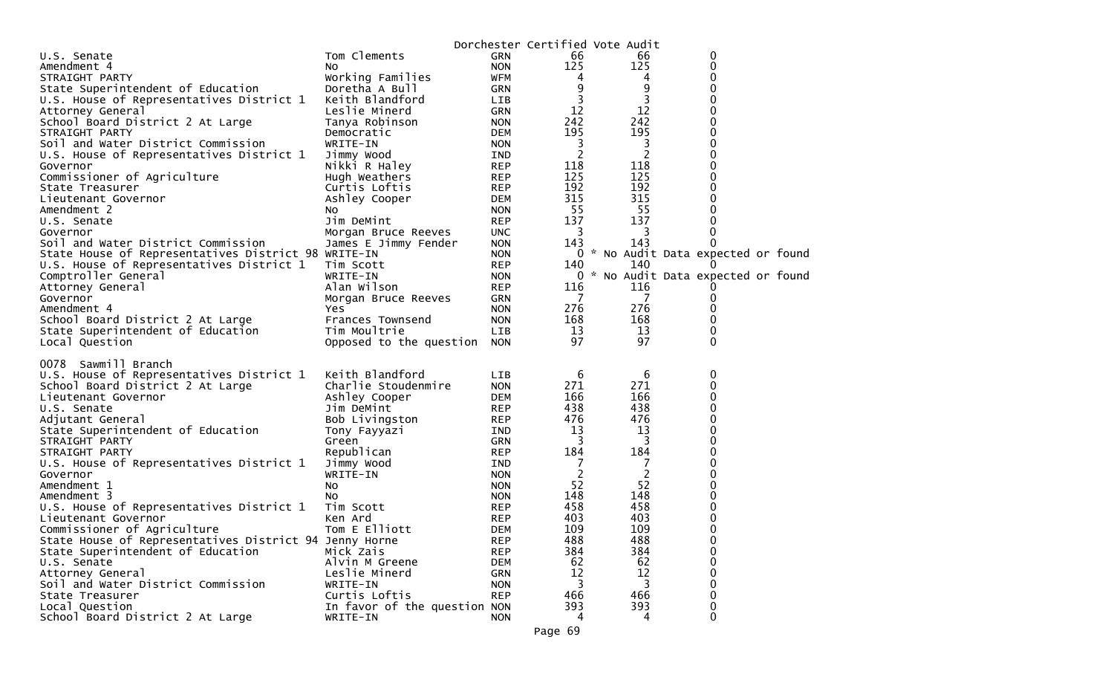|                                                        |                              |            |     | Dorchester Certified Vote Audit |                                     |  |
|--------------------------------------------------------|------------------------------|------------|-----|---------------------------------|-------------------------------------|--|
| U.S. Senate                                            | Tom Clements                 | GRN        | 66  | 66                              | 0                                   |  |
| Amendment 4                                            | NO.                          | <b>NON</b> | 125 | 125                             | 0                                   |  |
| STRAIGHT PARTY                                         | Working Families             | <b>WFM</b> | 4   | 4                               | 0                                   |  |
| State Superintendent of Education                      | Doretha A Bull               | GRN        | 9   | 9                               | 0                                   |  |
| U.S. House of Representatives District 1               | Keith Blandford              | LIB        | 3   | 3                               | 0                                   |  |
| Attorney General                                       | Leslie Minerd                | GRN        | 12  | 12                              | 0                                   |  |
| School Board District 2 At Large                       | Tanya Robinson               | <b>NON</b> | 242 | 242                             | 0                                   |  |
| STRAIGHT PARTY                                         | Democratic                   | <b>DEM</b> | 195 | 195                             | 0                                   |  |
| Soil and Water District Commission                     | WRITE-IN                     | <b>NON</b> | 3   | 3                               | 0                                   |  |
| U.S. House of Representatives District 1               | Jimmy Wood                   | <b>IND</b> | 2   | 2                               | $\overline{0}$                      |  |
| Governor                                               | Nikki R Haley                | <b>REP</b> | 118 | 118                             | 0                                   |  |
| Commissioner of Agriculture                            | Hugh Weathers                | <b>REP</b> | 125 | 125                             | $\mathbf 0$                         |  |
| State Treasurer                                        | Curtis Loftis                | <b>REP</b> | 192 | 192                             | 0                                   |  |
| Lieutenant Governor                                    | Ashley Cooper                | DEM        | 315 | 315                             | 0                                   |  |
| Amendment 2                                            | NO.                          | <b>NON</b> | 55  | 55                              | $\mathbf 0$                         |  |
| U.S. Senate                                            | Jim DeMint                   | <b>REP</b> | 137 | 137                             | 0                                   |  |
| Governor                                               | Morgan Bruce Reeves          | <b>UNC</b> | 3   | 3                               | 0                                   |  |
| Soil and Water District Commission                     | James E Jimmy Fender         | <b>NON</b> | 143 | 143                             | 0                                   |  |
| State House of Representatives District 98 WRITE-IN    |                              | <b>NON</b> |     |                                 | 0 * No Audit Data expected or found |  |
| U.S. House of Representatives District 1               | Tim Scott                    | <b>REP</b> | 140 | 140                             |                                     |  |
| Comptroller General                                    | WRITE-IN                     | <b>NON</b> |     |                                 | 0 * No Audit Data expected or found |  |
| Attorney General                                       | Alan Wilson                  | <b>REP</b> | 116 | 116                             |                                     |  |
| Governor                                               | Morgan Bruce Reeves          | <b>GRN</b> | 7   | 7                               | O                                   |  |
| Amendment 4                                            | <b>Yes</b>                   | <b>NON</b> | 276 | 276                             | 0                                   |  |
| School Board District 2 At Large                       | Frances Townsend             | <b>NON</b> | 168 | 168                             | 0                                   |  |
| State Superintendent of Education                      | Tim Moultrie                 | LIB        | 13  | 13                              | 0                                   |  |
| Local Question                                         | Opposed to the question      | <b>NON</b> | 97  | 97                              | 0                                   |  |
|                                                        |                              |            |     |                                 |                                     |  |
| 0078<br>Sawmill Branch                                 |                              |            |     |                                 |                                     |  |
| U.S. House of Representatives District 1               | Keith Blandford              | <b>LIB</b> | 6   | 6                               | 0                                   |  |
| School Board District 2 At Large                       | Charlie Stoudenmire          | <b>NON</b> | 271 | 271                             | 0                                   |  |
| Lieutenant Governor                                    | Ashley Cooper                | <b>DEM</b> | 166 | 166                             | 0                                   |  |
| U.S. Senate                                            | Jim DeMint                   | <b>REP</b> | 438 | 438                             | 0                                   |  |
| Adjutant General                                       | Bob Livingston               | <b>REP</b> | 476 | 476                             | 0                                   |  |
| State Superintendent of Education                      | Tony Fayyazi                 | <b>IND</b> | 13  | 13                              | 0                                   |  |
| STRAIGHT PARTY                                         | Green                        | GRN        | 3   | 3                               | 0                                   |  |
| STRAIGHT PARTY                                         | Republican                   | <b>REP</b> | 184 | 184                             | 0                                   |  |
| U.S. House of Representatives District 1               | Jimmy Wood                   | IND        |     | 7                               | 0                                   |  |
| Governor                                               | WRITE-IN                     | <b>NON</b> | 2   | $\overline{2}$                  | 0                                   |  |
| Amendment 1                                            | No                           | <b>NON</b> | 52  | 52                              | 0                                   |  |
| Amendment 3                                            | No                           | <b>NON</b> | 148 | 148                             | 0                                   |  |
| U.S. House of Representatives District 1               | Tim Scott                    | <b>REP</b> | 458 | 458                             | 0                                   |  |
| Lieutenant Governor                                    | Ken Ard                      | <b>REP</b> | 403 | 403                             | 0                                   |  |
| Commissioner of Agriculture                            | Tom E Elliott                | <b>DEM</b> | 109 | 109                             | $\mathbf 0$                         |  |
| State House of Representatives District 94 Jenny Horne |                              | <b>REP</b> | 488 | 488                             | 0                                   |  |
| State Superintendent of Education                      | Mick Zais                    | <b>REP</b> | 384 | 384                             | 0                                   |  |
| U.S. Senate                                            | Alvin M Greene               | DEM        | 62  | 62                              | 0                                   |  |
| Attorney General                                       | Leslie Minerd                | <b>GRN</b> | 12  | 12                              | 0                                   |  |
| Soil and Water District Commission                     | WRITE-IN                     | <b>NON</b> | 3   | 3                               | 0                                   |  |
| State Treasurer                                        | Curtis Loftis                | <b>REP</b> | 466 | 466                             | 0                                   |  |
| Local Question                                         | In favor of the question NON |            | 393 | 393                             | 0                                   |  |
| School Board District 2 At Large                       | WRITE-IN                     | <b>NON</b> | 4   | 4                               | 0                                   |  |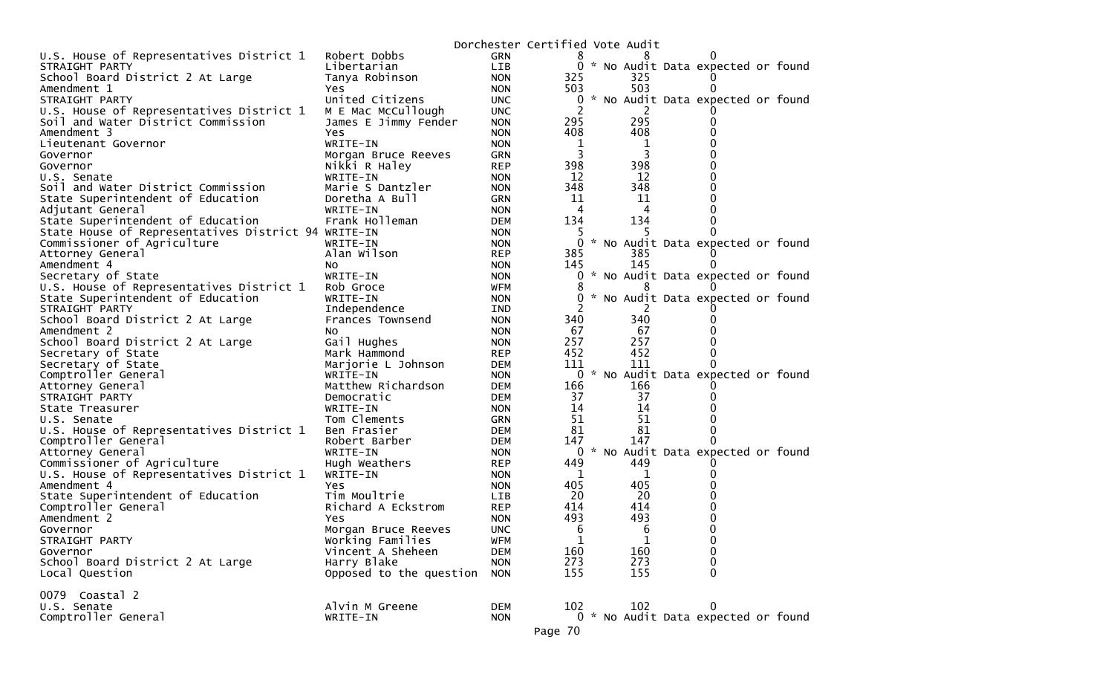|                                                     |                                         |                          | Dorchester Certified Vote Audit |                                |                                     |  |
|-----------------------------------------------------|-----------------------------------------|--------------------------|---------------------------------|--------------------------------|-------------------------------------|--|
| U.S. House of Representatives District 1            | Robert Dobbs                            | <b>GRN</b>               | ୪                               |                                |                                     |  |
| STRAIGHT PARTY                                      | Libertarian                             | LIB                      |                                 |                                | 0 * No Audit Data expected or found |  |
| School Board District 2 At Large                    | Tanya Robinson                          | <b>NON</b>               | 325                             | 325                            |                                     |  |
| Amendment 1                                         | Yes                                     | <b>NON</b>               | 503                             | 503                            |                                     |  |
| STRAIGHT PARTY                                      | United Citizens                         | <b>UNC</b>               | 0                               |                                | * No Audit Data expected or found   |  |
| U.S. House of Representatives District 1            | M E Mac McCullough                      | <b>UNC</b>               | 2                               |                                |                                     |  |
| Soil and Water District Commission                  | James E Jimmy Fender                    | <b>NON</b>               | 295                             | 295                            |                                     |  |
| Amendment 3                                         | Yes                                     | <b>NON</b>               | 408                             | 408                            |                                     |  |
| Lieutenant Governor                                 | WRITE-IN                                | <b>NON</b>               | 1<br>3                          | 1<br>3                         |                                     |  |
| Governor<br>Governor                                | Morgan Bruce Reeves<br>Nikki R Haley    | <b>GRN</b><br><b>REP</b> | 398                             | 398                            |                                     |  |
| U.S. Senate                                         | WRITE-IN                                | <b>NON</b>               | 12                              | 12                             |                                     |  |
| Soil and Water District Commission                  | Marie S Dantzler                        | <b>NON</b>               | 348                             | 348                            | O                                   |  |
| State Superintendent of Education                   | Doretha A Bull                          | <b>GRN</b>               | 11                              | 11                             |                                     |  |
| Adjutant General                                    | WRITE-IN                                | <b>NON</b>               | 4                               | 4                              |                                     |  |
| State Superintendent of Education                   | Frank Holleman                          | <b>DEM</b>               | 134                             | 134                            |                                     |  |
| State House of Representatives District 94 WRITE-IN |                                         | <b>NON</b>               | Ь                               | -5                             |                                     |  |
| Commissioner of Agriculture                         | WRITE-IN                                | <b>NON</b>               | 0                               |                                | * No Audit Data expected or found   |  |
| Attorney General                                    | Alan Wilson                             | <b>REP</b>               | 385                             | 385                            |                                     |  |
| Amendment 4                                         | NO.                                     | <b>NON</b>               | 145                             | 145                            |                                     |  |
| Secretary of State                                  | WRITE-IN                                | <b>NON</b>               | 0                               |                                | * No Audit Data expected or found   |  |
| U.S. House of Representatives District 1            | Rob Groce                               | WFM                      | 8                               | 8                              |                                     |  |
| State Superintendent of Education                   | WRITE-IN                                | <b>NON</b>               | 0                               |                                | * No Audit Data expected or found   |  |
| STRAIGHT PARTY                                      | Independence                            | <b>IND</b>               |                                 |                                |                                     |  |
| School Board District 2 At Large                    | Frances Townsend                        | <b>NON</b>               | 340                             | 340                            |                                     |  |
| Amendment 2                                         | NO.                                     | <b>NON</b>               | 67                              | 67                             |                                     |  |
| School Board District 2 At Large                    | Gail Hughes                             | <b>NON</b>               | 257<br>452                      | 257<br>452                     |                                     |  |
| Secretary of State<br>Secretary of State            | Mark Hammond<br>Marjorie L Johnson      | <b>REP</b><br><b>DEM</b> | 111                             | 111                            |                                     |  |
| Comptroller General                                 | WRITE-IN                                | <b>NON</b>               | $\mathbf{0}$                    |                                | * No Audit Data expected or found   |  |
| Attorney General                                    | Matthew Richardson                      | <b>DEM</b>               | 166                             | 166                            |                                     |  |
| STRAIGHT PARTY                                      | Democratic                              | <b>DEM</b>               | 37                              | 37                             |                                     |  |
| State Treasurer                                     | WRITE-IN                                | <b>NON</b>               | 14                              | 14                             |                                     |  |
| U.S. Senate                                         | Tom Clements                            | <b>GRN</b>               | 51                              | 51                             |                                     |  |
| U.S. House of Representatives District 1            | Ben Frasier                             | <b>DEM</b>               | 81                              | 81                             |                                     |  |
| Comptroller General                                 | Robert Barber                           | <b>DEM</b>               | 147                             | 147                            |                                     |  |
| Attorney General                                    | WRITE-IN                                | <b>NON</b>               | 0                               |                                | * No Audit Data expected or found   |  |
| Commissioner of Agriculture                         | Hugh Weathers                           | <b>REP</b>               | 449                             | 449                            |                                     |  |
| U.S. House of Representatives District 1            | WRITE-IN                                | <b>NON</b>               | 1                               | 1                              |                                     |  |
| Amendment 4                                         | Yes.                                    | <b>NON</b>               | 405                             | 405                            |                                     |  |
| State Superintendent of Education                   | Tim Moultrie                            | <b>LIB</b>               | 20                              | 20                             |                                     |  |
| Comptroller General                                 | Richard A Eckstrom                      | <b>REP</b>               | 414                             | 414                            |                                     |  |
| Amendment 2                                         | Yes.                                    | <b>NON</b>               | 493                             | 493                            | 0                                   |  |
| Governor<br>STRAIGHT PARTY                          | Morgan Bruce Reeves<br>Working Families | <b>UNC</b><br><b>WFM</b> | 6<br>1                          | $6\overline{6}$<br>$\mathbf 1$ | 0                                   |  |
| Governor                                            | Vincent A Sheheen                       | <b>DEM</b>               | 160                             | 160                            | $\mathbf 0$                         |  |
| School Board District 2 At Large                    | Harry Blake                             | <b>NON</b>               | 273                             | 273                            | $\Omega$                            |  |
| Local Question                                      | Opposed to the question                 | <b>NON</b>               | 155                             | 155                            | $\Omega$                            |  |
|                                                     |                                         |                          |                                 |                                |                                     |  |
| 0079 Coastal 2                                      |                                         |                          |                                 |                                |                                     |  |
| U.S. Senate                                         | Alvin M Greene                          | <b>DEM</b>               | 102                             | 102                            | 0                                   |  |
| Comptroller General                                 | WRITE-IN                                | <b>NON</b>               |                                 |                                | 0 * No Audit Data expected or found |  |
|                                                     |                                         |                          | Page 70                         |                                |                                     |  |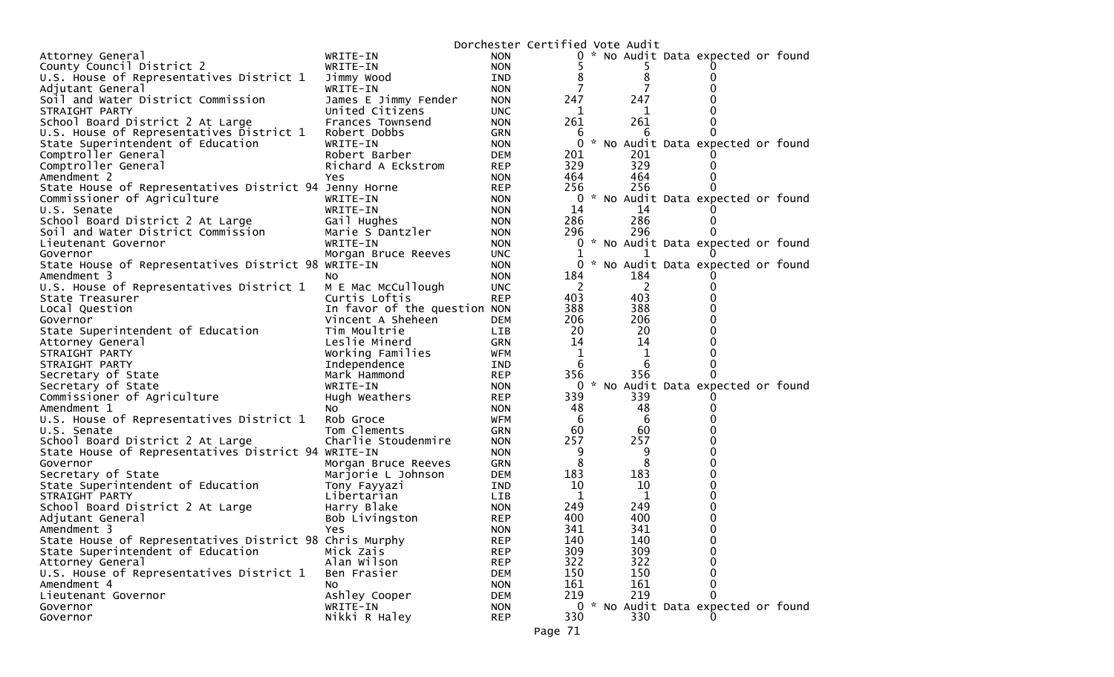|                                                         |                              |                          | Dorchester Certified Vote Audit |          |                                     |  |
|---------------------------------------------------------|------------------------------|--------------------------|---------------------------------|----------|-------------------------------------|--|
| Attorney General                                        | WRITE-IN                     | <b>NON</b>               |                                 |          | 0 * No Audit Data expected or found |  |
| County Council District 2                               | WRITE-IN                     | <b>NON</b>               |                                 |          |                                     |  |
| U.S. House of Representatives District 1                | Jimmy Wood                   | <b>IND</b>               | 8                               | 8        |                                     |  |
| Adjutant General                                        | WRITE-IN                     | <b>NON</b>               | 7                               |          |                                     |  |
| Soil and Water District Commission                      | James E Jimmy Fender         | <b>NON</b>               | 247                             | 247      |                                     |  |
| STRAIGHT PARTY                                          | United Citizens              | <b>UNC</b>               | 1                               | 1        |                                     |  |
| School Board District 2 At Large                        | Frances Townsend             | <b>NON</b>               | 261                             | 261      |                                     |  |
| U.S. House of Representatives District 1                | Robert Dobbs                 | GRN                      | 6                               | 6        |                                     |  |
| State Superintendent of Education                       | WRITE-IN                     | <b>NON</b>               | 0                               |          | * No Audit Data expected or found   |  |
| Comptroller General                                     | Robert Barber                | <b>DEM</b>               | 201                             | 201      |                                     |  |
| Comptroller General                                     | Richard A Eckstrom           | <b>REP</b>               | 329                             | 329      |                                     |  |
| Amendment 2                                             | Yes                          | <b>NON</b>               | 464                             | 464      |                                     |  |
| State House of Representatives District 94 Jenny Horne  |                              | <b>REP</b>               | 256                             | 256      |                                     |  |
| Commissioner of Agriculture                             | WRITE-IN                     | <b>NON</b>               | 0                               |          | * No Audit Data expected or found   |  |
| U.S. Senate                                             | WRITE-IN                     | <b>NON</b>               | 14                              | 14       |                                     |  |
| School Board District 2 At Large                        | Gail Hughes                  | <b>NON</b>               | 286                             | 286      |                                     |  |
| Soil and Water District Commission                      | Marie S Dantzler             | <b>NON</b>               | 296                             | 296      |                                     |  |
| Lieutenant Governor                                     | WRITE-IN                     | <b>NON</b>               | 0                               |          | * No Audit Data expected or found   |  |
| Governor                                                | Morgan Bruce Reeves          | <b>UNC</b>               | 0                               |          | * No Audit Data expected or found   |  |
| State House of Representatives District 98 WRITE-IN     |                              | <b>NON</b>               |                                 |          |                                     |  |
| Amendment 3<br>U.S. House of Representatives District 1 | NO.<br>M E Mac McCullough    | <b>NON</b><br><b>UNC</b> | 184<br>2                        | 184<br>2 |                                     |  |
| State Treasurer                                         | Curtis Loftis                | <b>REP</b>               | 403                             | 403      |                                     |  |
| Local Question                                          | In favor of the question NON |                          | 388                             | 388      |                                     |  |
| Governor                                                | Vincent A Sheheen            | <b>DEM</b>               | 206                             | 206      |                                     |  |
| State Superintendent of Education                       | Tim Moultrie                 | LIB                      | 20                              | 20       |                                     |  |
| Attorney General                                        | Leslie Minerd                | <b>GRN</b>               | 14                              | 14       |                                     |  |
| STRAIGHT PARTY                                          | Working Families             | <b>WFM</b>               | 1                               | 1        |                                     |  |
| STRAIGHT PARTY                                          | Independence                 | <b>IND</b>               | 6                               | 6        |                                     |  |
| Secretary of State                                      | Mark Hammond                 | <b>REP</b>               | 356                             | 356      |                                     |  |
| Secretary of State                                      | WRITE-IN                     | <b>NON</b>               | 0                               |          | * No Audit Data expected or found   |  |
| Commissioner of Agriculture                             | Hugh Weathers                | <b>REP</b>               | 339                             | 339      |                                     |  |
| Amendment 1                                             | NO.                          | <b>NON</b>               | 48                              | 48       |                                     |  |
| U.S. House of Representatives District 1                | Rob Groce                    | WFM                      | 6                               | -6       |                                     |  |
| U.S. Senate                                             | Tom Clements                 | <b>GRN</b>               | 60                              | 60       |                                     |  |
| School Board District 2 At Large                        | Charlie Stoudenmire          | <b>NON</b>               | 257                             | 257      |                                     |  |
| State House of Representatives District 94 WRITE-IN     |                              | <b>NON</b>               | 9                               | 9        |                                     |  |
| Governor                                                | Morgan Bruce Reeves          | GRN                      | 8                               | 8        |                                     |  |
| Secretary of State                                      | Marjorie L Johnson           | <b>DEM</b>               | 183                             | 183      |                                     |  |
| State Superintendent of Education                       | Tony Fayyazi                 | IND                      | 10                              | 10       | n                                   |  |
| STRAIGHT PARTY                                          | Libertarian                  | <b>LIB</b>               | 1                               | 1        |                                     |  |
| School Board District 2 At Large                        | Harry Blake                  | <b>NON</b>               | 249                             | 249      |                                     |  |
| Adjutant General                                        | Bob Livingston               | <b>REP</b>               | 400                             | 400      | 0                                   |  |
| Amendment 3                                             | <b>Yes</b>                   | <b>NON</b>               | 341                             | 341      | 0                                   |  |
| State House of Representatives District 98 Chris Murphy |                              | <b>REP</b>               | 140                             | 140      | 0                                   |  |
| State Superintendent of Education                       | Mick Zais                    | <b>REP</b>               | 309                             | 309      | 0                                   |  |
| Attorney General                                        | Alan Wilson                  | <b>REP</b>               | 322                             | 322      | U                                   |  |
| U.S. House of Representatives District 1                | Ben Frasier                  | <b>DEM</b>               | 150                             | 150      |                                     |  |
| Amendment 4                                             | No.                          | <b>NON</b>               | 161                             | 161      | 0                                   |  |
| Lieutenant Governor                                     | Ashley Cooper                | <b>DEM</b>               | 219                             | 219      | O                                   |  |
| Governor                                                | WRITE-IN                     | <b>NON</b>               |                                 |          | 0 * No Audit Data expected or found |  |
| Governor                                                | Nikki R Haley                | <b>REP</b>               | 330                             | 330      |                                     |  |
|                                                         |                              |                          | Page 71                         |          |                                     |  |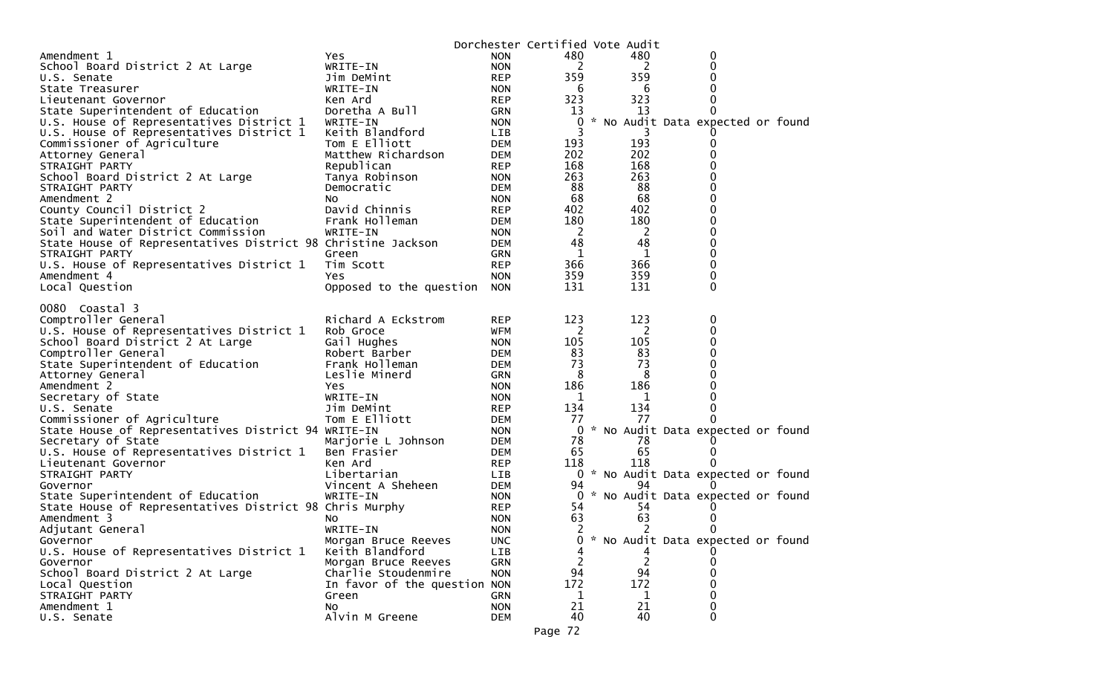|                                                              |                              |            | Dorchester Certified Vote Audit |                |                                     |  |
|--------------------------------------------------------------|------------------------------|------------|---------------------------------|----------------|-------------------------------------|--|
| Amendment 1                                                  | Yes.                         | <b>NON</b> | 480                             | 480            | 0                                   |  |
| School Board District 2 At Large                             | WRITE-IN                     | <b>NON</b> | 2                               |                | 0<br>2                              |  |
| U.S. Senate                                                  | Jim DeMint                   | <b>REP</b> | 359                             | 359            |                                     |  |
| State Treasurer                                              | WRITE-IN                     | <b>NON</b> | -6                              |                | -6                                  |  |
| Lieutenant Governor                                          | Ken Ard                      | <b>REP</b> | 323                             | 323            | 0                                   |  |
| State Superintendent of Education                            | Doretha A Bull               | GRN        | 13                              | 13             | 0                                   |  |
| U.S. House of Representatives District 1                     | WRITE-IN                     | <b>NON</b> | 0                               |                | * No Audit Data expected or found   |  |
| U.S. House of Representatives District 1                     | Keith Blandford              | LIB        | 3                               |                | 3                                   |  |
| Commissioner of Agriculture                                  | Tom E Elliott                | DEM        | 193                             | 193            | 0                                   |  |
| Attorney General                                             | Matthew Richardson           | DEM        | 202                             | 202            |                                     |  |
| STRAIGHT PARTY                                               | Republican                   | <b>REP</b> | 168                             | 168            |                                     |  |
| School Board District 2 At Large                             | Tanya Robinson               | <b>NON</b> | 263                             | 263            |                                     |  |
| STRAIGHT PARTY                                               | Democratic                   | DEM        | 88                              | 88             | <sup>0</sup>                        |  |
| Amendment 2                                                  | NO.                          | <b>NON</b> | 68                              | 68             |                                     |  |
| County Council District 2                                    | David Chinnis                | <b>REP</b> | 402                             | 402            |                                     |  |
| State Superintendent of Education                            | Frank Holleman               | DEM        | 180                             | 180            |                                     |  |
| Soil and Water District Commission                           | WRITE-IN                     | <b>NON</b> | <sup>2</sup>                    | $\overline{2}$ | 0                                   |  |
| State House of Representatives District 98 Christine Jackson |                              | DEM        | 48                              | 48             | 0                                   |  |
| STRAIGHT PARTY                                               | Green                        | GRN        | 1                               |                | 1<br>0                              |  |
| U.S. House of Representatives District 1                     | Tim Scott                    | <b>REP</b> | 366                             | 366            | 0                                   |  |
| Amendment 4                                                  | Yes.                         | <b>NON</b> | 359                             | 359            | 0                                   |  |
| Local Question                                               | Opposed to the question NON  |            | 131                             | 131            | $\Omega$                            |  |
|                                                              |                              |            |                                 |                |                                     |  |
| 0080 Coastal 3                                               |                              |            |                                 |                |                                     |  |
| Comptroller General                                          | Richard A Eckstrom           | <b>REP</b> | 123                             | 123            | 0                                   |  |
| U.S. House of Representatives District 1                     | Rob Groce                    | WFM        | 2                               |                | $\overline{2}$<br>0                 |  |
| School Board District 2 At Large                             | Gail Hughes                  | <b>NON</b> | 105                             | 105            | 0                                   |  |
| Comptroller General                                          | Robert Barber                | DEM        | 83                              | 83             |                                     |  |
| State Superintendent of Education                            | Frank Holleman               | <b>DEM</b> | 73                              | 73             |                                     |  |
| Attorney General                                             | Leslie Minerd                | GRN        | 8                               | 8              |                                     |  |
| Amendment 2                                                  | Yes                          | <b>NON</b> | 186                             | 186            | 0                                   |  |
| Secretary of State                                           | WRITE-IN                     | <b>NON</b> | 1                               |                | 1                                   |  |
| U.S. Senate                                                  | Jim DeMint                   | <b>REP</b> | 134                             | 134            |                                     |  |
| Commissioner of Agriculture                                  | Tom E Elliott                | DEM        | 77                              | 77             |                                     |  |
| State House of Representatives District 94 WRITE-IN          |                              | <b>NON</b> |                                 |                | 0 * No Audit Data expected or found |  |
| Secretary of State                                           |                              | DEM        | 78                              | 78             |                                     |  |
|                                                              | Marjorie L Johnson           |            | 65                              | 65             |                                     |  |
| U.S. House of Representatives District 1                     | Ben Frasier                  | DEM        |                                 | 118            |                                     |  |
| Lieutenant Governor                                          | Ken Ard                      | <b>REP</b> | 118                             |                |                                     |  |
| STRAIGHT PARTY                                               | Libertarian                  | LIB        |                                 |                | 0 * No Audit Data expected or found |  |
| Governor                                                     | Vincent A Sheheen            | DEM        | 94                              | 94             |                                     |  |
| State Superintendent of Education                            | WRITE-IN                     | <b>NON</b> |                                 |                | 0 * No Audit Data expected or found |  |
| State House of Representatives District 98 Chris Murphy      |                              | <b>REP</b> | 54                              | 54             |                                     |  |
| Amendment 3                                                  | NO.                          | <b>NON</b> | 63                              | 63             |                                     |  |
| Adjutant General                                             | WRITE-IN                     | <b>NON</b> | 2                               |                | 2                                   |  |
| Governor                                                     | Morgan Bruce Reeves          | <b>UNC</b> | 0                               | *              | No Audit Data expected or found     |  |
| U.S. House of Representatives District 1                     | Keith Blandford              | LIB        | 4                               |                | 4                                   |  |
| Governor                                                     | Morgan Bruce Reeves          | <b>GRN</b> | 2                               |                | $\overline{c}$<br>0                 |  |
| School Board District 2 At Large                             | Charlie Stoudenmire          | <b>NON</b> | 94                              | 94             |                                     |  |
| Local Question                                               | In favor of the question NON |            | 172                             | 172            |                                     |  |
| STRAIGHT PARTY                                               | Green                        | GRN        | 1                               |                | 1                                   |  |
| Amendment 1                                                  | No                           | <b>NON</b> | 21                              | 21             | 0                                   |  |
| U.S. Senate                                                  | Alvin M Greene               | <b>DEM</b> | 40                              | 40             | 0                                   |  |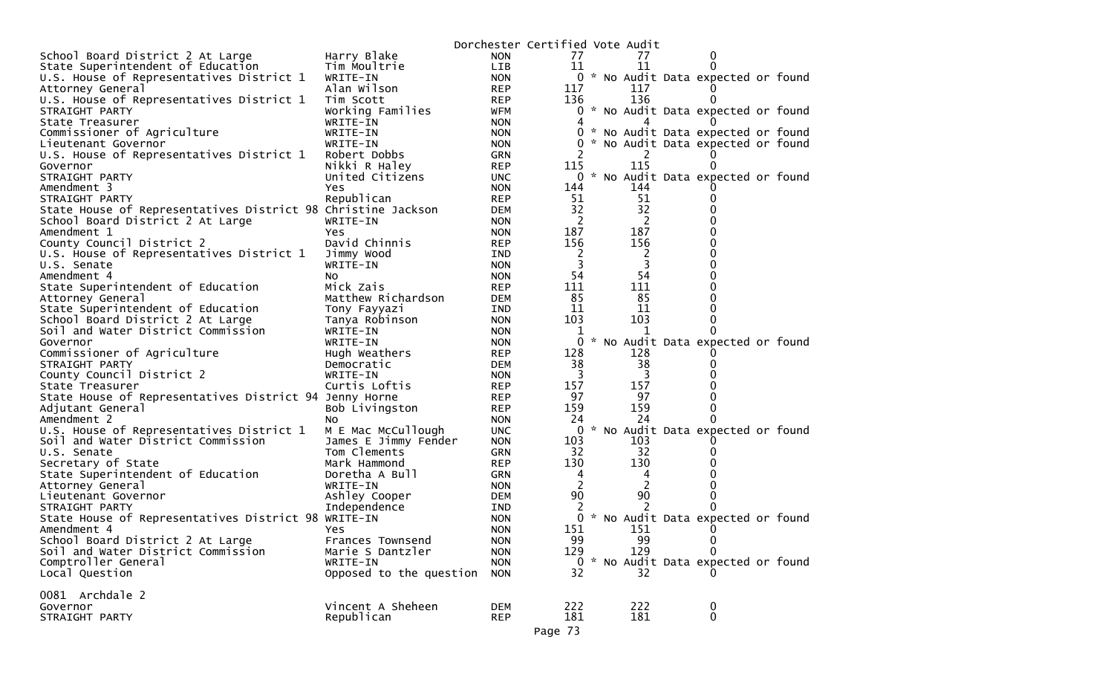|                                                              |                         |                          | Dorchester Certified Vote Audit |                       |                                     |
|--------------------------------------------------------------|-------------------------|--------------------------|---------------------------------|-----------------------|-------------------------------------|
| School Board District 2 At Large                             | Harry Blake             | <b>NON</b>               | 77                              | 77                    |                                     |
| State Superintendent of Education                            | Tim Moultrie            | LIB                      | 11                              | 11                    |                                     |
| U.S. House of Representatives District 1                     | WRITE-IN                | <b>NON</b>               |                                 |                       | 0 * No Audit Data expected or found |
| Attorney General                                             | Alan Wilson             | <b>REP</b>               | 117                             | 117                   |                                     |
| U.S. House of Representatives District 1                     | Tim Scott               | <b>REP</b>               | 136                             | 136                   |                                     |
| STRAIGHT PARTY                                               | Working Families        | WFM                      | 0                               |                       | * No Audit Data expected or found   |
| State Treasurer                                              | WRITE-IN                | <b>NON</b>               | 4                               | 4                     |                                     |
| Commissioner of Agriculture                                  | WRITE-IN                | <b>NON</b>               |                                 |                       | 0 * No Audit Data expected or found |
| Lieutenant Governor                                          | WRITE-IN                | <b>NON</b>               | 0                               |                       | * No Audit Data expected or found   |
| U.S. House of Representatives District 1                     | Robert Dobbs            | GRN                      | 2                               | 2                     |                                     |
| Governor                                                     | Nikki R Haley           | <b>REP</b>               | 115                             | 115                   |                                     |
| STRAIGHT PARTY                                               | United Citizens         | <b>UNC</b>               |                                 |                       | 0 * No Audit Data expected or found |
| Amendment 3                                                  | Yes                     | <b>NON</b>               | 144                             | 144                   |                                     |
| STRAIGHT PARTY                                               | Republican              | <b>REP</b>               | 51                              | 51<br>32              |                                     |
| State House of Representatives District 98 Christine Jackson |                         | <b>DEM</b>               | 32                              |                       |                                     |
| School Board District 2 At Large                             | WRITE-IN                | <b>NON</b>               | 2                               | $\overline{c}$<br>187 |                                     |
| Amendment 1                                                  | Yes.                    | <b>NON</b>               | 187                             |                       | Ω                                   |
| County Council District 2                                    | David Chinnis           | <b>REP</b>               | 156                             | 156                   |                                     |
| U.S. House of Representatives District 1                     | Jimmy Wood<br>WRITE-IN  | IND                      | 2<br>3                          | 2<br>3                |                                     |
| U.S. Senate<br>Amendment 4                                   |                         | <b>NON</b>               | 54                              | 54                    |                                     |
|                                                              | No.<br>Mick Zais        | <b>NON</b><br><b>REP</b> | 111                             | 111                   |                                     |
| State Superintendent of Education<br>Attorney General        | Matthew Richardson      | <b>DEM</b>               | 85                              | 85                    |                                     |
| State Superintendent of Education                            | Tony Fayyazi            | IND                      | 11                              | 11                    |                                     |
| School Board District 2 At Large                             | Tanya Robinson          | <b>NON</b>               | 103                             | 103                   | 0                                   |
| Soil and Water District Commission                           | WRITE-IN                | <b>NON</b>               | 1                               | 1                     |                                     |
| Governor                                                     | WRITE-IN                | <b>NON</b>               | 0                               |                       | * No Audit Data expected or found   |
| Commissioner of Agriculture                                  | Hugh Weathers           | <b>REP</b>               | 128                             | 128                   |                                     |
| STRAIGHT PARTY                                               | Democratic              | <b>DEM</b>               | 38                              | 38                    |                                     |
| County Council District 2                                    | WRITE-IN                | <b>NON</b>               | 3                               | 3                     |                                     |
| State Treasurer                                              | Curtis Loftis           | <b>REP</b>               | 157                             | 157                   |                                     |
| State House of Representatives District 94 Jenny Horne       |                         | <b>REP</b>               | 97                              | 97                    |                                     |
| Adjutant General                                             | Bob Livingston          | <b>REP</b>               | 159                             | 159                   | 0                                   |
| Amendment 2                                                  | No.                     | <b>NON</b>               | 24                              | 24                    | O                                   |
| U.S. House of Representatives District 1                     | M E Mac McCullough      | <b>UNC</b>               |                                 |                       | 0 * No Audit Data expected or found |
| Soil and Water District Commission                           | James E Jimmy Fender    | <b>NON</b>               | 103                             | 103                   |                                     |
| U.S. Senate                                                  | Tom Clements            | GRN                      | 32                              | 32                    |                                     |
| Secretary of State                                           | Mark Hammond            | <b>REP</b>               | 130                             | 130                   |                                     |
| State Superintendent of Education                            | Doretha A Bull          | GRN                      | 4                               | 4                     |                                     |
| Attorney General                                             | WRITE-IN                | <b>NON</b>               | 2                               | 2                     |                                     |
| Lieutenant Governor                                          | Ashley Cooper           | DEM                      | 90                              | 90                    |                                     |
| STRAIGHT PARTY                                               | Independence            | IND                      | 2                               |                       |                                     |
| State House of Representatives District 98 WRITE-IN          |                         | <b>NON</b>               | 0                               |                       | * No Audit Data expected or found   |
| Amendment 4                                                  | Yes.                    | <b>NON</b>               | 151                             | 151                   | $\Omega$                            |
| School Board District 2 At Large                             | Frances Townsend        | <b>NON</b>               | 99                              | 99                    | 0                                   |
| Soil and Water District Commission                           | Marie S Dantzler        | <b>NON</b>               | 129                             | 129                   | 0                                   |
| Comptroller General                                          | WRITE-IN                | <b>NON</b>               |                                 |                       | 0 * No Audit Data expected or found |
| Local Question                                               | Opposed to the question | <b>NON</b>               | 32                              | 32                    |                                     |
|                                                              |                         |                          |                                 |                       |                                     |
| 0081 Archdale 2                                              | Vincent A Sheheen       |                          | 222                             | 222                   |                                     |
| Governor<br>STRAIGHT PARTY                                   | Republican              | <b>DEM</b><br><b>REP</b> | 181                             | 181                   | 0<br>0                              |
|                                                              |                         |                          |                                 |                       |                                     |
|                                                              |                         |                          | Page 73                         |                       |                                     |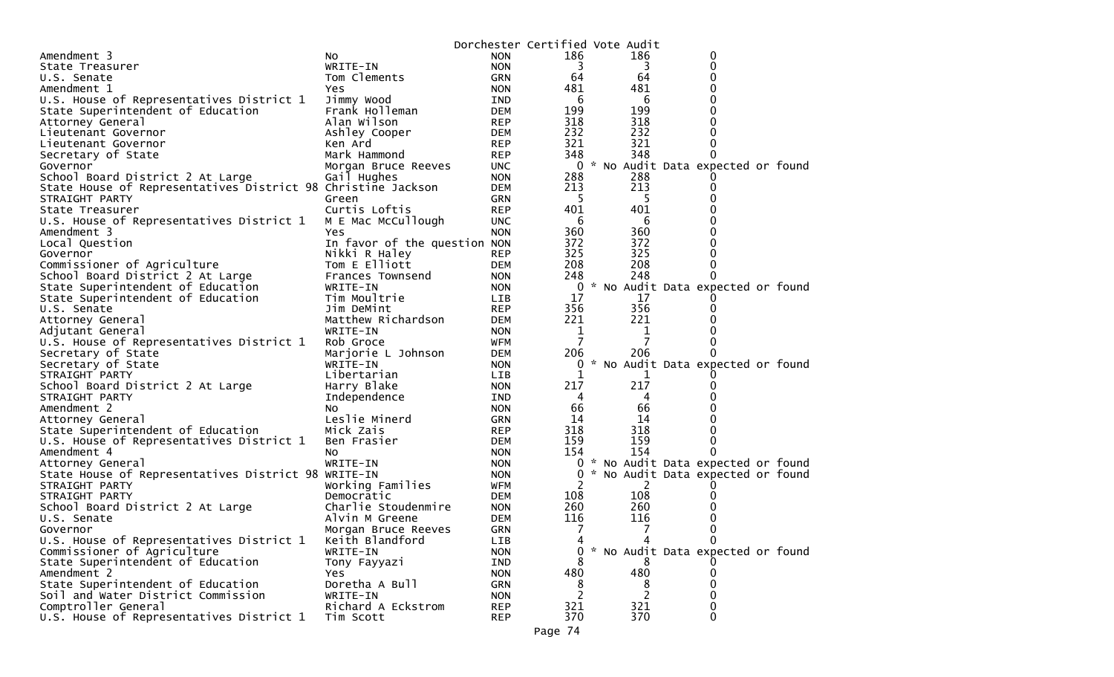|                                                              |                              |            | Dorchester Certified Vote Audit |                |                                   |  |
|--------------------------------------------------------------|------------------------------|------------|---------------------------------|----------------|-----------------------------------|--|
| Amendment 3                                                  | NO.                          | <b>NON</b> | 186                             | 186            | 0                                 |  |
| State Treasurer                                              | WRITE-IN                     | <b>NON</b> | 3                               | 3              | 0                                 |  |
| U.S. Senate                                                  | Tom Clements                 | <b>GRN</b> | 64                              | 64             |                                   |  |
| Amendment 1                                                  | Yes                          | <b>NON</b> | 481                             | 481            |                                   |  |
| U.S. House of Representatives District 1                     | Jimmy Wood                   | IND        | 6                               | 6              |                                   |  |
| State Superintendent of Education                            | Frank Holleman               | <b>DEM</b> | 199                             | 199            |                                   |  |
| Attorney General                                             | Alan Wilson                  | <b>REP</b> | 318                             | 318            |                                   |  |
| Lieutenant Governor                                          | Ashley Cooper                | DEM        | 232                             | 232            |                                   |  |
| Lieutenant Governor                                          | Ken Ard                      | <b>REP</b> | 321                             | 321            |                                   |  |
| Secretary of State                                           | Mark Hammond                 | <b>REP</b> | 348                             | 348            |                                   |  |
| Governor                                                     | Morgan Bruce Reeves          | <b>UNC</b> | $\overline{0}$                  |                | * No Audit Data expected or found |  |
| School Board District 2 At Large                             | Gail Hughes                  | <b>NON</b> | 288                             | 288            |                                   |  |
| State House of Representatives District 98 Christine Jackson |                              | <b>DEM</b> | 213                             | 213            |                                   |  |
| STRAIGHT PARTY                                               | Green                        | <b>GRN</b> | -5                              | 5              |                                   |  |
| State Treasurer                                              | Curtis Loftis                | <b>REP</b> | 401                             | 401            |                                   |  |
| U.S. House of Representatives District 1                     | M E Mac McCullough           | <b>UNC</b> | 6                               | 6              |                                   |  |
| Amendment 3                                                  | Yes                          | <b>NON</b> | 360                             | 360            |                                   |  |
| Local Question                                               | In favor of the question NON |            | 372                             | 372            |                                   |  |
| Governor                                                     | Nikki R Haley                | <b>REP</b> | 325                             | 325            |                                   |  |
| Commissioner of Agriculture                                  | Tom E Elliott                | DEM        | 208                             | 208            |                                   |  |
| School Board District 2 At Large                             | Frances Townsend             | <b>NON</b> | 248                             | 248            |                                   |  |
| State Superintendent of Education                            | WRITE-IN                     | <b>NON</b> | 0                               |                | * No Audit Data expected or found |  |
| State Superintendent of Education                            | Tim Moultrie                 | LIB        | 17                              | 17             |                                   |  |
| U.S. Senate                                                  | Jim DeMint                   | <b>REP</b> | 356                             | 356            |                                   |  |
| Attorney General                                             | Matthew Richardson           | <b>DEM</b> | 221                             | 221            |                                   |  |
| Adjutant General                                             | WRITE-IN                     | <b>NON</b> | 1                               | 1              |                                   |  |
| U.S. House of Representatives District 1                     | Rob Groce                    | <b>WFM</b> | 7                               | 7              |                                   |  |
| Secretary of State                                           | Marjorie L Johnson           | <b>DEM</b> | 206                             | 206            |                                   |  |
| Secretary of State                                           | WRITE-IN                     | <b>NON</b> | 0                               |                | * No Audit Data expected or found |  |
| STRAIGHT PARTY                                               | Libertarian                  | <b>LIB</b> | 1                               | ı              |                                   |  |
| School Board District 2 At Large                             | Harry Blake                  | <b>NON</b> | 217                             | 217            |                                   |  |
| STRAIGHT PARTY                                               | Independence                 | IND        | 4                               | 4              |                                   |  |
| Amendment 2                                                  | NO.                          | <b>NON</b> | 66                              | 66             |                                   |  |
| Attorney General                                             | Leslie Minerd                | GRN        | 14                              | 14             |                                   |  |
| State Superintendent of Education                            | Mick Zais                    | <b>REP</b> | 318                             | 318            |                                   |  |
| U.S. House of Representatives District 1                     | Ben Frasier                  | <b>DEM</b> | 159                             | 159            |                                   |  |
| Amendment 4                                                  | NO.                          | <b>NON</b> | 154                             | 154            | 0                                 |  |
| Attorney General                                             | WRITE-IN                     | <b>NON</b> | 0                               |                | * No Audit Data expected or found |  |
| State House of Representatives District 98 WRITE-IN          |                              | <b>NON</b> | 0                               |                | * No Audit Data expected or found |  |
| STRAIGHT PARTY                                               | Working Families             | WFM        | 2                               | 2              |                                   |  |
| STRAIGHT PARTY                                               | Democratic                   | <b>DEM</b> | 108                             | 108            |                                   |  |
| School Board District 2 At Large                             | Charlie Stoudenmire          | <b>NON</b> | 260                             | 260            |                                   |  |
| U.S. Senate                                                  | Alvin M Greene               | DEM        | 116                             | 116            |                                   |  |
| Governor                                                     | Morgan Bruce Reeves          | GRN        | 7                               | 7              | 0                                 |  |
| U.S. House of Representatives District 1                     | Keith Blandford              | LIB        | 4                               |                | 0                                 |  |
| Commissioner of Agriculture                                  | WRITE-IN                     | <b>NON</b> | 0                               |                | * No Audit Data expected or found |  |
| State Superintendent of Education                            | Tony Fayyazi                 | IND        |                                 |                |                                   |  |
| Amendment 2                                                  | Yes.                         | <b>NON</b> | 480                             | 480            |                                   |  |
| State Superintendent of Education                            | Doretha A Bull               | GRN        | 8                               | 8              | 0                                 |  |
| Soil and Water District Commission                           | WRITE-IN                     | <b>NON</b> | 2                               | $\overline{2}$ |                                   |  |
| Comptroller General                                          | Richard A Eckstrom           | <b>REP</b> | 321                             | 321            | 0                                 |  |
| U.S. House of Representatives District 1                     | Tim Scott                    | <b>REP</b> | 370                             | 370            | 0                                 |  |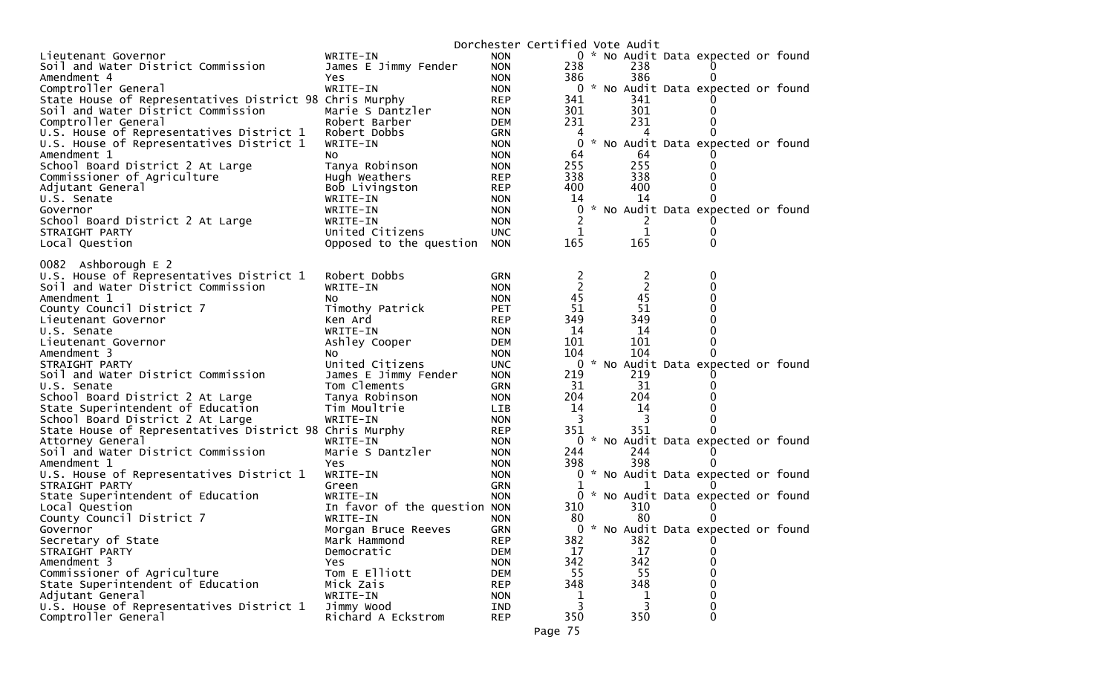|                                                         |                              |                          | Dorchester Certified Vote Audit |                                  |                                     |  |
|---------------------------------------------------------|------------------------------|--------------------------|---------------------------------|----------------------------------|-------------------------------------|--|
| Lieutenant Governor                                     | WRITE-IN                     | <b>NON</b>               |                                 |                                  | 0 * No Audit Data expected or found |  |
| Soil and Water District Commission                      | James E Jimmy Fender         | <b>NON</b>               | 238                             | 238                              |                                     |  |
| Amendment 4                                             | Yes.                         | <b>NON</b>               | 386                             | 386                              |                                     |  |
| Comptroller General                                     | WRITE-IN                     | <b>NON</b>               |                                 |                                  | 0 * No Audit Data expected or found |  |
| State House of Representatives District 98 Chris Murphy |                              | <b>REP</b>               | 341                             | 341                              |                                     |  |
| Soil and Water District Commission                      | Marie S Dantzler             | <b>NON</b>               | 301                             | 301                              | 0                                   |  |
| Comptroller General                                     | Robert Barber                | DEM                      | 231                             | 231                              |                                     |  |
| U.S. House of Representatives District 1                | Robert Dobbs                 | GRN                      | 4                               | 4                                |                                     |  |
| U.S. House of Representatives District 1                | WRITE-IN                     | <b>NON</b>               | 0                               |                                  | * No Audit Data expected or found   |  |
| Amendment 1                                             | NO.                          | <b>NON</b>               | 64                              | 64                               |                                     |  |
| School Board District 2 At Large                        | Tanya Robinson               | <b>NON</b>               | 255                             | 255                              |                                     |  |
| Commissioner of Agriculture                             | Hugh Weathers                | <b>REP</b>               | 338                             | 338                              |                                     |  |
| Adjutant General                                        | Bob Livingston               | <b>REP</b>               | 400                             | 400                              |                                     |  |
| U.S. Senate                                             | WRITE-IN                     | <b>NON</b>               | 14                              | 14                               |                                     |  |
| Governor                                                | WRITE-IN                     | <b>NON</b>               | 0                               |                                  | * No Audit Data expected or found   |  |
| School Board District 2 At Large                        | WRITE-IN                     | <b>NON</b>               | 2                               | $\overline{2}$                   |                                     |  |
| STRAIGHT PARTY                                          | United Citizens              | <b>UNC</b>               | 1                               | 1                                | 0                                   |  |
| Local Question                                          | Opposed to the question NON  |                          | 165                             | 165                              | 0                                   |  |
|                                                         |                              |                          |                                 |                                  |                                     |  |
| 0082 Ashborough E 2                                     |                              |                          |                                 |                                  |                                     |  |
| U.S. House of Representatives District 1                | Robert Dobbs                 | <b>GRN</b>               | 2                               | $\overline{c}$<br>$\overline{2}$ | 0                                   |  |
| Soil and Water District Commission                      | WRITE-IN                     | <b>NON</b>               | 2                               |                                  |                                     |  |
| Amendment 1                                             | NO.                          | <b>NON</b>               | 45<br>51                        | 45<br>51                         | 0                                   |  |
| County Council District 7                               | Timothy Patrick              | <b>PET</b>               | 349                             | 349                              |                                     |  |
| Lieutenant Governor<br>U.S. Senate                      | Ken Ard<br>WRITE-IN          | <b>REP</b><br><b>NON</b> | 14                              | 14                               |                                     |  |
| Lieutenant Governor                                     | Ashley Cooper                | <b>DEM</b>               | 101                             | 101                              |                                     |  |
| Amendment 3                                             | NO.                          | <b>NON</b>               | 104                             | 104                              |                                     |  |
| STRAIGHT PARTY                                          | United Citizens              | <b>UNC</b>               |                                 |                                  | 0 * No Audit Data expected or found |  |
| Soil and Water District Commission                      | James E Jimmy Fender         | <b>NON</b>               | 219                             | 219                              |                                     |  |
| U.S. Senate                                             | Tom Clements                 | <b>GRN</b>               | 31                              | 31                               |                                     |  |
| School Board District 2 At Large                        | Tanya Robinson               | <b>NON</b>               | 204                             | 204                              |                                     |  |
| State Superintendent of Education                       | Tim Moultrie                 | <b>LIB</b>               | 14                              | 14                               |                                     |  |
| School Board District 2 At Large                        | WRITE-IN                     | <b>NON</b>               | 3                               | 3                                |                                     |  |
| State House of Representatives District 98 Chris Murphy |                              | <b>REP</b>               | 351                             | 351                              | $\Omega$                            |  |
| Attorney General                                        | WRITE-IN                     | <b>NON</b>               | 0                               |                                  | * No Audit Data expected or found   |  |
| Soil and Water District Commission                      | Marie S Dantzler             | <b>NON</b>               | 244                             | 244                              |                                     |  |
| Amendment 1                                             | Yes.                         | <b>NON</b>               | 398                             | 398                              | $\Omega$                            |  |
| U.S. House of Representatives District 1                | WRITE-IN                     | <b>NON</b>               |                                 |                                  | 0 * No Audit Data expected or found |  |
| STRAIGHT PARTY                                          | Green                        | <b>GRN</b>               |                                 |                                  |                                     |  |
| State Superintendent of Education                       | WRITE-IN                     | <b>NON</b>               |                                 |                                  | 0 * No Audit Data expected or found |  |
| Local Question                                          | In favor of the question NON |                          | 310                             | 310                              |                                     |  |
| County Council District 7                               | WRITE-IN                     | <b>NON</b>               | 80                              | 80                               |                                     |  |
| Governor                                                | Morgan Bruce Reeves          | <b>GRN</b>               |                                 |                                  | 0 * No Audit Data expected or found |  |
| Secretary of State                                      | Mark Hammond                 | <b>REP</b>               | 382                             | 382                              | 0                                   |  |
| STRAIGHT PARTY                                          | Democratic                   | <b>DEM</b>               | 17                              | 17                               | 0                                   |  |
| Amendment 3                                             | <b>Yes</b>                   | <b>NON</b>               | 342                             | 342                              | 0                                   |  |
| Commissioner of Agriculture                             | Tom E Elliott                | <b>DEM</b>               | 55                              | 55                               | 0                                   |  |
| State Superintendent of Education                       | Mick Zais                    | <b>REP</b>               | 348                             | 348                              | 0                                   |  |
| Adjutant General                                        | WRITE-IN                     | <b>NON</b>               | 1                               | 1                                | 0                                   |  |
| U.S. House of Representatives District 1                | Jimmy Wood                   | IND                      | 3                               | 3                                | 0                                   |  |
| Comptroller General                                     | Richard A Eckstrom           | <b>REP</b>               | 350                             | 350                              | 0                                   |  |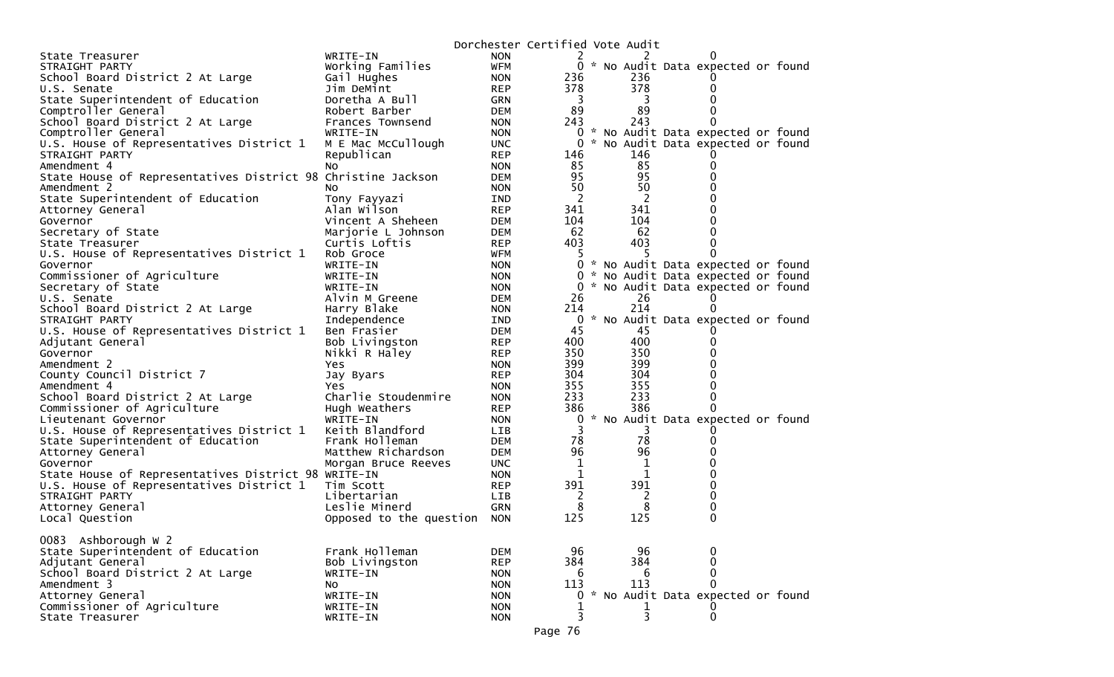|                                                              |                             | Dorchester Certified Vote Audit |                |          |                                     |  |
|--------------------------------------------------------------|-----------------------------|---------------------------------|----------------|----------|-------------------------------------|--|
| State Treasurer                                              | WRITE-IN                    | <b>NON</b>                      | 2              |          |                                     |  |
| STRAIGHT PARTY                                               | Working Families            | <b>WFM</b>                      |                |          | 0 * No Audit Data expected or found |  |
| School Board District 2 At Large                             | Gail Hughes                 | <b>NON</b>                      | 236            | 236      |                                     |  |
| U.S. Senate                                                  | Jim DeMint                  | <b>REP</b>                      | 378            | 378      | 0                                   |  |
| State Superintendent of Education                            | Doretha A Bull              | GRN                             | $\overline{3}$ | 3        |                                     |  |
| Comptroller General                                          | Robert Barber               | DEM                             | 89             | 89       |                                     |  |
| School Board District 2 At Large                             | Frances Townsend            | <b>NON</b>                      | 243            | 243      | 0                                   |  |
| Comptroller General                                          | WRITE-IN                    | <b>NON</b>                      |                |          | 0 * No Audit Data expected or found |  |
| U.S. House of Representatives District 1                     | M E Mac McCullough          | <b>UNC</b>                      | 0              |          | * No Audit Data expected or found   |  |
| STRAIGHT PARTY                                               | Republican                  | <b>REP</b>                      | 146            | 146      |                                     |  |
| Amendment 4                                                  | No.                         | <b>NON</b>                      | 85             | 85       | 0                                   |  |
| State House of Representatives District 98 Christine Jackson |                             | <b>DEM</b>                      | 95             | 95       | 0                                   |  |
| Amendment 2                                                  | NO.                         | <b>NON</b>                      | 50             | 50       | 0                                   |  |
| State Superintendent of Education                            | Tony Fayyazi                | IND                             | -2             | 2        |                                     |  |
| Attorney General                                             | Alan Wilson                 | <b>REP</b>                      | 341            | 341      |                                     |  |
| Governor                                                     | Vincent A Sheheen           | DEM                             | 104            | 104      | 0                                   |  |
| Secretary of State                                           | Marjorie L Johnson          | <b>DEM</b>                      | 62             | 62       | 0                                   |  |
| State Treasurer                                              | Curtis Loftis               | <b>REP</b>                      | 403            | 403      |                                     |  |
| U.S. House of Representatives District 1                     | Rob Groce                   | WFM                             | 5              |          | 0                                   |  |
| Governor                                                     | WRITE-IN                    | <b>NON</b>                      |                |          | 0 * No Audit Data expected or found |  |
| Commissioner of Agriculture                                  | WRITE-IN                    | <b>NON</b>                      | $\mathbf{0}$   |          | * No Audit Data expected or found   |  |
| Secretary of State                                           | WRITE-IN                    | <b>NON</b>                      | $\Omega$       |          | * No Audit Data expected or found   |  |
| U.S. Senate                                                  | Alvin M Greene              | DEM                             | 26             | 26       | 0                                   |  |
| School Board District 2 At Large                             | Harry Blake                 | <b>NON</b>                      | 214            | 214      | 0                                   |  |
| STRAIGHT PARTY                                               | Independence                | <b>IND</b>                      | 0              |          | * No Audit Data expected or found   |  |
| U.S. House of Representatives District 1                     | Ben Frasier                 | DEM                             | 45             | 45       |                                     |  |
| Adjutant General                                             | Bob Livingston              | <b>REP</b>                      | 400            | 400      | 0                                   |  |
| Governor                                                     | Nikki R Haley               | <b>REP</b>                      | 350            | 350      | 0                                   |  |
| Amendment 2                                                  | Yes                         | <b>NON</b>                      | 399            | 399      |                                     |  |
| County Council District 7                                    | Jay Byars                   | <b>REP</b>                      | 304            | 304      |                                     |  |
| Amendment 4                                                  | Yes.                        | <b>NON</b>                      | 355            | 355      | 0                                   |  |
| School Board District 2 At Large                             | Charlie Stoudenmire         | <b>NON</b>                      | 233            | 233      | 0                                   |  |
| Commissioner of Agriculture                                  | Hugh Weathers               | REP                             | 386            | 386      | 0                                   |  |
| Lieutenant Governor                                          | WRITE-IN                    | <b>NON</b>                      | 0              |          | * No Audit Data expected or found   |  |
| U.S. House of Representatives District 1                     | Keith Blandford             | LIB                             | 3              | 3        |                                     |  |
| State Superintendent of Education                            | Frank Holleman              | DEM                             | 78             | 78       | 0                                   |  |
| Attorney General                                             | Matthew Richardson          | DEM                             | 96             | 96       |                                     |  |
| Governor                                                     | Morgan Bruce Reeves         | <b>UNC</b>                      | $\mathbf 1$    | 1        |                                     |  |
| State House of Representatives District 98 WRITE-IN          |                             | <b>NON</b>                      | 1              | 1        |                                     |  |
| U.S. House of Representatives District 1                     | Tim Scott                   | <b>REP</b>                      | 391            | 391      | 0                                   |  |
| STRAIGHT PARTY                                               | Libertarian                 | LIB                             | 2              | 2        | 0                                   |  |
| Attorney General                                             | Leslie Minerd               | GRN                             | 8              | 8        | 0                                   |  |
| Local Question                                               | Opposed to the question NON |                                 | 125            | 125      | $\mathbf 0$                         |  |
|                                                              |                             |                                 |                |          |                                     |  |
| 0083 Ashborough W 2                                          |                             |                                 |                |          |                                     |  |
| State Superintendent of Education                            | Frank Holleman              | <b>DEM</b>                      | 96             | 96       | 0                                   |  |
| Adjutant General                                             | Bob Livingston              | <b>REP</b>                      | 384            | 384      | 0                                   |  |
| School Board District 2 At Large                             | WRITE-IN                    | <b>NON</b>                      | 6              | 6<br>113 | 0<br>$\Omega$                       |  |
| Amendment 3                                                  | No                          | <b>NON</b>                      | 113            |          |                                     |  |
| Attorney General                                             | WRITE-IN                    | <b>NON</b>                      | 0              |          | * No Audit Data expected or found   |  |
| Commissioner of Agriculture                                  | WRITE-IN                    | <b>NON</b>                      |                | 3        |                                     |  |
| State Treasurer                                              | WRITE-IN                    | <b>NON</b>                      | 3              |          | 0                                   |  |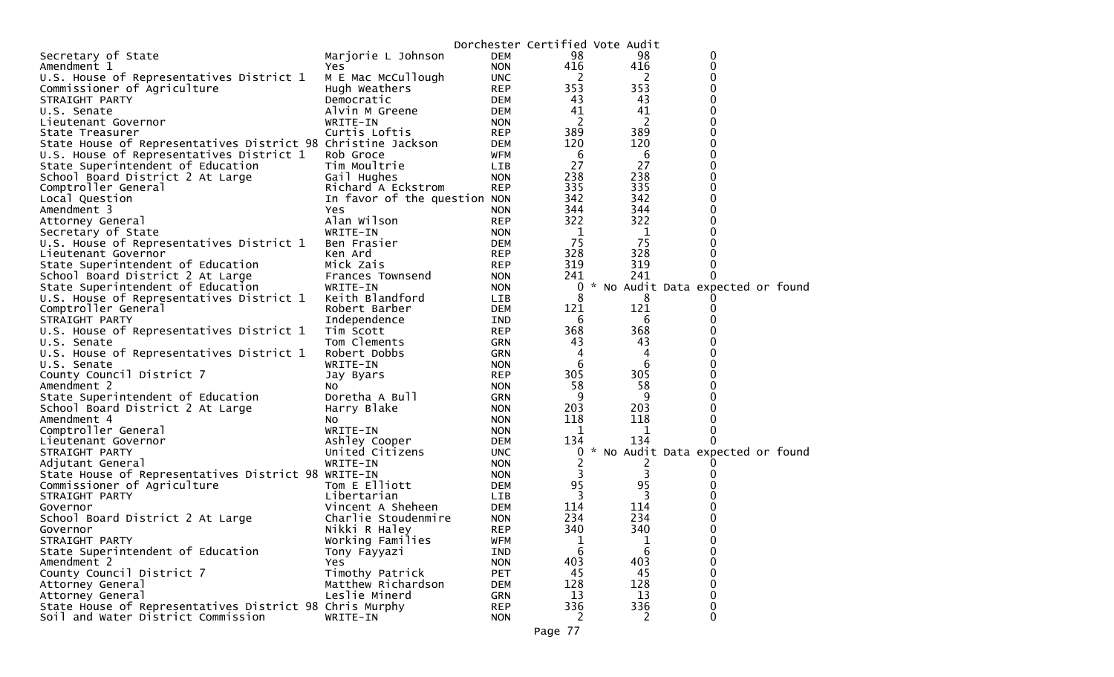|                                                              |                              |                          |             | Dorchester Certified Vote Audit |                                   |  |
|--------------------------------------------------------------|------------------------------|--------------------------|-------------|---------------------------------|-----------------------------------|--|
| Secretary of State                                           | Marjorie L Johnson           | <b>DEM</b>               | 98          | 98                              | 0                                 |  |
| Amendment 1                                                  | Yes                          | <b>NON</b>               | 416         | 416                             | $\mathbf 0$                       |  |
| U.S. House of Representatives District 1                     | M E Mac McCullough           | <b>UNC</b>               | 2           | 2                               | 0                                 |  |
| Commissioner of Agriculture                                  | Hugh Weathers                | <b>REP</b>               | 353         | 353                             | $\Omega$                          |  |
| STRAIGHT PARTY                                               | Democratic                   | <b>DEM</b>               | 43          | 43                              | $\Omega$                          |  |
| U.S. Senate                                                  | Alvin M Greene               | <b>DEM</b>               | 41          | 41                              | 0                                 |  |
| Lieutenant Governor                                          | WRITE-IN                     | <b>NON</b>               | 2           | 2                               | $\Omega$                          |  |
| State Treasurer                                              | Curtis Loftis                | <b>REP</b>               | 389         | 389                             | $\Omega$                          |  |
| State House of Representatives District 98 Christine Jackson |                              | <b>DEM</b>               | 120         | 120                             | $\Omega$                          |  |
| U.S. House of Representatives District 1                     | Rob Groce                    | <b>WFM</b>               | 6           | 6                               | 0                                 |  |
| State Superintendent of Education                            | Tim Moultrie                 | LIB                      | 27          | 27                              | $\Omega$                          |  |
| School Board District 2 At Large                             | Gail Hughes                  | <b>NON</b>               | 238         | 238                             | 0                                 |  |
| Comptroller General                                          | Richard A Eckstrom           | <b>REP</b>               | 335         | 335                             | $\Omega$                          |  |
| Local Question                                               | In favor of the question NON |                          | 342         | 342                             | $\Omega$                          |  |
| Amendment 3                                                  | Yes                          | <b>NON</b>               | 344         | 344                             | U                                 |  |
| Attorney General                                             | Alan Wilson                  | <b>REP</b>               | 322         | 322                             | 0                                 |  |
| Secretary of State                                           | WRITE-IN                     | <b>NON</b>               | -1          | 1                               | 0                                 |  |
| U.S. House of Representatives District 1                     | Ben Frasier                  | <b>DEM</b>               | 75          | 75                              |                                   |  |
| Lieutenant Governor                                          | Ken Ard                      | <b>REP</b>               | 328         | 328                             |                                   |  |
| State Superintendent of Education                            | Mick Zais                    | <b>REP</b>               | 319         | 319                             | 0                                 |  |
| School Board District 2 At Large                             | Frances Townsend             | <b>NON</b>               | 241         | 241                             |                                   |  |
| State Superintendent of Education                            | WRITE-IN                     | <b>NON</b>               | 0           |                                 | * No Audit Data expected or found |  |
| U.S. House of Representatives District 1                     | Keith Blandford              | LIB                      | 8           | 8                               |                                   |  |
| Comptroller General                                          | Robert Barber                | <b>DEM</b>               | 121         | 121                             | 0                                 |  |
| STRAIGHT PARTY                                               | Independence                 | IND                      | 6           | 6                               |                                   |  |
| U.S. House of Representatives District 1                     | Tim Scott                    | <b>REP</b>               | 368         | 368                             |                                   |  |
| U.S. Senate                                                  | Tom Clements                 | <b>GRN</b>               | 43          | 43                              |                                   |  |
| U.S. House of Representatives District 1                     | Robert Dobbs                 | <b>GRN</b>               | 4           | 4                               |                                   |  |
| U.S. Senate                                                  | WRITE-IN                     | <b>NON</b>               | 6           | 6                               | 0                                 |  |
| County Council District 7                                    | Jay Byars                    | <b>REP</b>               | 305         | 305                             |                                   |  |
| Amendment 2                                                  | NO.                          | <b>NON</b>               | 58          | 58                              | $\Omega$                          |  |
| State Superintendent of Education                            | Doretha A Bull               | <b>GRN</b>               | 9           | 9                               | 0                                 |  |
| School Board District 2 At Large                             | Harry Blake                  | <b>NON</b>               | 203         | 203                             |                                   |  |
| Amendment 4                                                  | NO.                          | <b>NON</b>               | 118         | 118                             | 0                                 |  |
| Comptroller General                                          | WRITE-IN                     | <b>NON</b>               | 1           | 1<br>134                        | 0<br>0                            |  |
| Lieutenant Governor                                          | Ashley Cooper                | <b>DEM</b>               | 134         |                                 |                                   |  |
| STRAIGHT PARTY                                               | United Citizens              | <b>UNC</b>               | $\mathbf 0$ |                                 | * No Audit Data expected or found |  |
| Adjutant General                                             | WRITE-IN                     | <b>NON</b>               | 2<br>3      |                                 |                                   |  |
| State House of Representatives District 98 WRITE-IN          | Tom E Elliott                | <b>NON</b><br><b>DEM</b> | 95          | 3<br>95                         |                                   |  |
| Commissioner of Agriculture<br>STRAIGHT PARTY                | Libertarian                  | <b>LIB</b>               | 3           | 3                               |                                   |  |
| Governor                                                     | Vincent A Sheheen            | <b>DEM</b>               | 114         | 114                             |                                   |  |
| School Board District 2 At Large                             | Charlie Stoudenmire          | <b>NON</b>               | 234         | 234                             |                                   |  |
| Governor                                                     | Nikki R Haley                | <b>REP</b>               | 340         | 340                             | $\Omega$                          |  |
| STRAIGHT PARTY                                               | Working Families             | <b>WFM</b>               | 1           | 1                               | 0                                 |  |
| State Superintendent of Education                            | Tony Fayyazi                 | IND                      | 6           | $6\phantom{1}6$                 | 0                                 |  |
| Amendment 2                                                  | <b>Yes</b>                   | <b>NON</b>               | 403         | 403                             | 0                                 |  |
| County Council District 7                                    | Timothy Patrick              | <b>PET</b>               | 45          | 45                              | 0                                 |  |
| Attorney General                                             | Matthew Richardson           | <b>DEM</b>               | 128         | 128                             | $\Omega$                          |  |
| Attorney General                                             | Leslie Minerd                | GRN                      | 13          | 13                              | 0                                 |  |
| State House of Representatives District 98 Chris Murphy      |                              | <b>REP</b>               | 336         | 336                             | 0                                 |  |
| Soil and Water District Commission                           | WRITE-IN                     | <b>NON</b>               | 2           | 2                               | $\mathbf 0$                       |  |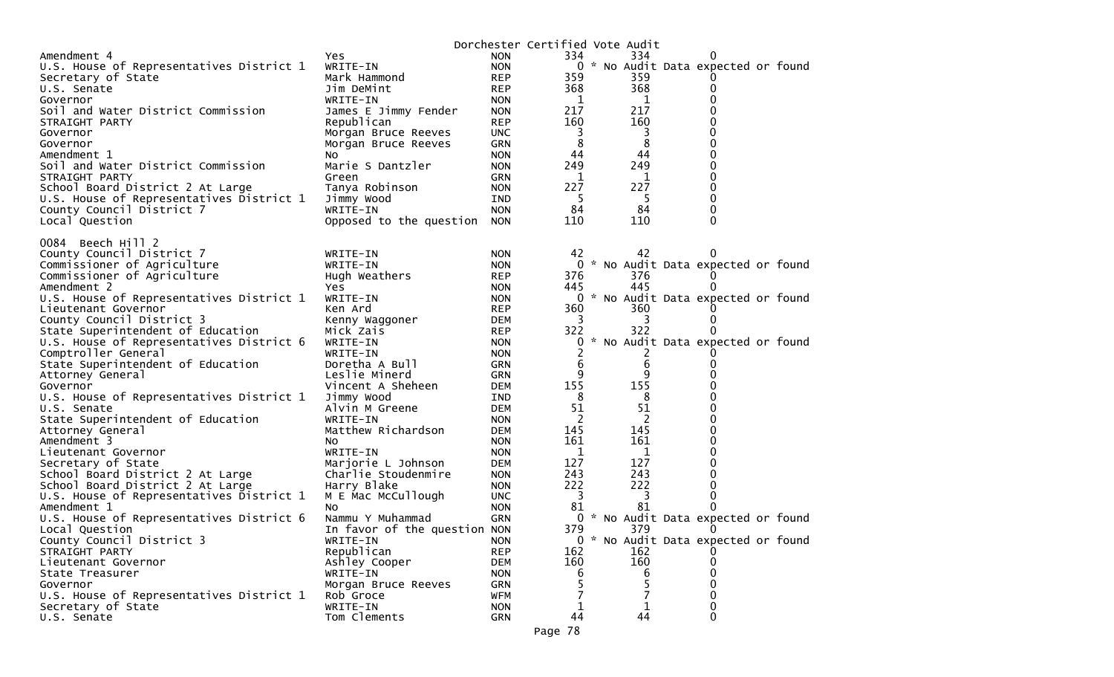|                                          |                              |            | Dorchester Certified Vote Audit |       |                                     |  |
|------------------------------------------|------------------------------|------------|---------------------------------|-------|-------------------------------------|--|
| Amendment 4                              | Yes                          | <b>NON</b> | 334                             | 334   | O                                   |  |
| U.S. House of Representatives District 1 | WRITE-IN                     | <b>NON</b> |                                 |       | 0 * No Audit Data expected or found |  |
| Secretary of State                       | Mark Hammond                 | <b>REP</b> | 359                             | 359   | O                                   |  |
| U.S. Senate                              | Jim DeMint                   | <b>REP</b> | 368                             | 368   | 0                                   |  |
| Governor                                 | WRITE-IN                     | <b>NON</b> | 1                               | 1     | 0                                   |  |
| Soil and Water District Commission       | James E Jimmy Fender         | <b>NON</b> | 217                             | 217   | 0                                   |  |
| STRAIGHT PARTY                           | Republican                   | <b>REP</b> | 160                             | 160   | 0                                   |  |
| Governor                                 | Morgan Bruce Reeves          | <b>UNC</b> | 3                               | 3     | 0                                   |  |
| Governor                                 | Morgan Bruce Reeves          | <b>GRN</b> | 8                               | 8     | 0                                   |  |
| Amendment 1                              | NO.                          | <b>NON</b> | 44                              | 44    | 0                                   |  |
| Soil and Water District Commission       | Marie S Dantzler             | <b>NON</b> | 249                             | 249   | 0                                   |  |
| STRAIGHT PARTY                           | Green                        | <b>GRN</b> | 1                               | 1     | 0                                   |  |
| School Board District 2 At Large         | Tanya Robinson               | <b>NON</b> | 227                             | 227   | 0                                   |  |
| U.S. House of Representatives District 1 | Jimmy Wood                   | <b>IND</b> | -5                              | -5    | 0                                   |  |
| County Council District 7                | WRITE-IN                     | <b>NON</b> | 84                              | 84    | 0                                   |  |
| Local Question                           | Opposed to the question      | <b>NON</b> | 110                             | 110   | 0                                   |  |
|                                          |                              |            |                                 |       |                                     |  |
| 0084 Beech Hill 2                        |                              |            |                                 |       |                                     |  |
| County Council District 7                | WRITE-IN                     | <b>NON</b> | 42                              | 42    |                                     |  |
| Commissioner of Agriculture              | WRITE-IN                     | <b>NON</b> | 0                               |       | * No Audit Data expected or found   |  |
| Commissioner of Agriculture              | Hugh Weathers                | <b>REP</b> | 376                             | 376   | U                                   |  |
| Amendment 2                              | Yes                          | <b>NON</b> | 445                             | 445   | 0                                   |  |
| U.S. House of Representatives District 1 | WRITE-IN                     | <b>NON</b> |                                 |       | 0 * No Audit Data expected or found |  |
| Lieutenant Governor                      | Ken Ard                      | <b>REP</b> | 360                             | 360   |                                     |  |
| County Council District 3                | Kenny Waggoner               | DEM        | 3                               | 3     | 0                                   |  |
| State Superintendent of Education        | Mick Zais                    | <b>REP</b> | 322                             | 322   |                                     |  |
| U.S. House of Representatives District 6 | WRITE-IN                     | <b>NON</b> | 0                               |       | * No Audit Data expected or found   |  |
| Comptroller General                      | WRITE-IN                     | <b>NON</b> |                                 | Z     |                                     |  |
| State Superintendent of Education        | Doretha A Bull               | GRN        | 6                               | $\,6$ | 0                                   |  |
| Attorney General                         | Leslie Minerd                | GRN        | 9                               | 9     | 0                                   |  |
| Governor                                 | Vincent A Sheheen            | DEM        | 155                             | 155   | 0                                   |  |
| U.S. House of Representatives District 1 | Jimmy Wood                   | IND        | 8                               | 8     | 0                                   |  |
| U.S. Senate                              | Alvin M Greene               | DEM        | 51                              | 51    | 0                                   |  |
| State Superintendent of Education        | WRITE-IN                     | <b>NON</b> | $\mathbf{2}^{\prime}$           | 2     | 0                                   |  |
| Attorney General                         | Matthew Richardson           | <b>DEM</b> | 145                             | 145   | 0                                   |  |
| Amendment 3                              | NO.                          | <b>NON</b> | 161                             | 161   | 0                                   |  |
| Lieutenant Governor                      | WRITE-IN                     | <b>NON</b> | 1                               | 1     | 0                                   |  |
| Secretary of State                       | Marjorie L Johnson           | DEM        | 127                             | 127   | 0                                   |  |
| School Board District 2 At Large         | Charlie Stoudenmire          | <b>NON</b> | 243                             | 243   | 0                                   |  |
| School Board District 2 At Large         | Harry Blake                  | <b>NON</b> | 222                             | 222   | 0                                   |  |
| U.S. House of Representatives District 1 | M E Mac McCullough           | <b>UNC</b> | 3                               | 3     | 0                                   |  |
| Amendment 1                              | No.                          | <b>NON</b> | 81                              | 81    | 0                                   |  |
| U.S. House of Representatives District 6 | Nammu Y Muhammad             | <b>GRN</b> |                                 |       | 0 * No Audit Data expected or found |  |
| Local Question                           | In favor of the question NON |            | 379                             | 379   | 0                                   |  |
| County Council District 3                | WRITE-IN                     | <b>NON</b> |                                 |       | 0 * No Audit Data expected or found |  |
| STRAIGHT PARTY                           | Republican                   | <b>REP</b> | 162                             | 162   | $\Omega$                            |  |
| Lieutenant Governor                      | Ashley Cooper                | DEM        | 160                             | 160   | 0                                   |  |
| State Treasurer                          | WRITE-IN                     | <b>NON</b> | 6                               | 6     | 0                                   |  |
| Governor                                 | Morgan Bruce Reeves          | <b>GRN</b> |                                 | 5     | 0                                   |  |
| U.S. House of Representatives District 1 | Rob Groce                    | <b>WFM</b> |                                 |       | 0                                   |  |
| Secretary of State                       | WRITE-IN                     | <b>NON</b> | 1                               | 1     | 0                                   |  |
| U.S. Senate                              | Tom Clements                 | <b>GRN</b> | 44                              | 44    | 0                                   |  |
|                                          |                              |            |                                 |       |                                     |  |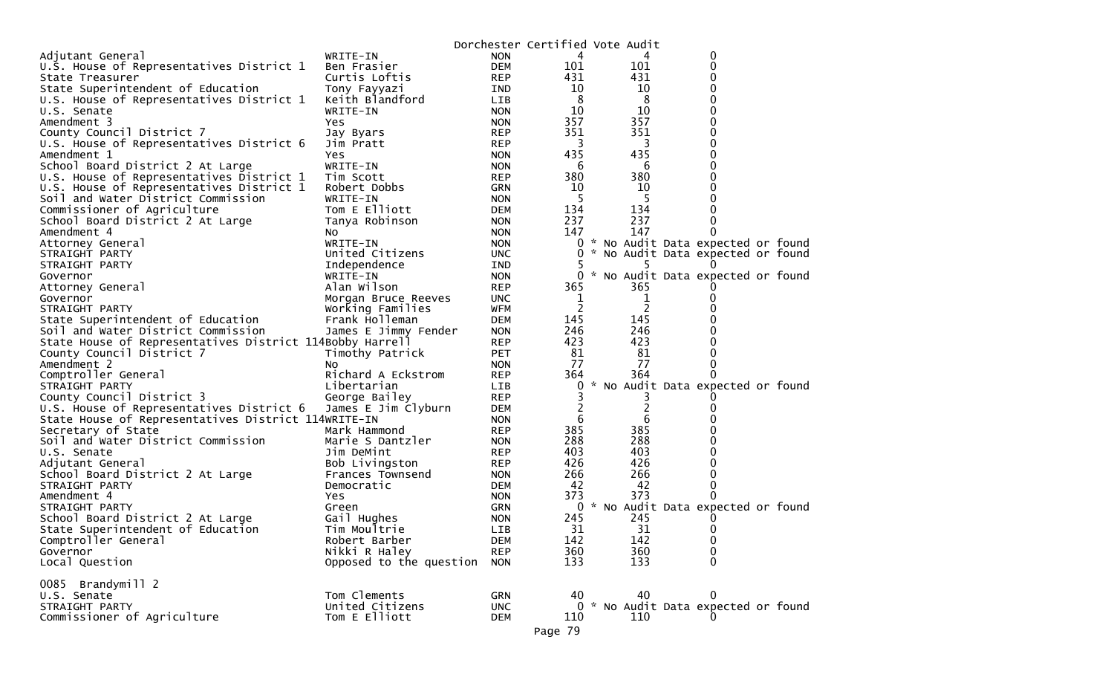|                                                          |                         |            |         | Dorchester Certified Vote Audit |                                     |  |
|----------------------------------------------------------|-------------------------|------------|---------|---------------------------------|-------------------------------------|--|
| Adjutant General                                         | WRITE-IN                | <b>NON</b> | 4       |                                 | 0                                   |  |
| U.S. House of Representatives District 1                 | Ben Frasier             | <b>DEM</b> | 101     | 101                             | 0                                   |  |
| State Treasurer                                          | Curtis Loftis           | <b>REP</b> | 431     | 431                             | 0                                   |  |
| State Superintendent of Education                        | Tony Fayyazi            | IND        | 10      | 10                              | 0                                   |  |
| U.S. House of Representatives District 1                 | Keith Blandford         | <b>LIB</b> | 8       | 8                               | 0                                   |  |
| U.S. Senate                                              | WRITE-IN                | <b>NON</b> | 10      | 10                              | 0                                   |  |
| Amendment 3                                              | Yes                     | <b>NON</b> | 357     | 357                             | 0                                   |  |
| County Council District 7                                |                         | <b>REP</b> | 351     | 351                             | 0                                   |  |
|                                                          | Jay Byars               |            | 3       | 3                               | 0                                   |  |
| U.S. House of Representatives District 6                 | Jim Pratt               | <b>REP</b> |         |                                 |                                     |  |
| Amendment 1                                              | Yes                     | <b>NON</b> | 435     | 435                             | 0                                   |  |
| School Board District 2 At Large                         | WRITE-IN                | <b>NON</b> | 6       | 6                               | 0                                   |  |
| U.S. House of Representatives District 1                 | Tim Scott               | <b>REP</b> | 380     | 380                             | 0                                   |  |
| U.S. House of Representatives District 1                 | Robert Dobbs            | <b>GRN</b> | 10      | 10                              | 0                                   |  |
| Soil and Water District Commission                       | WRITE-IN                | <b>NON</b> | 5       | 5                               | 0                                   |  |
| Commissioner of Agriculture                              | Tom E Elliott           | DEM        | 134     | 134                             |                                     |  |
| School Board District 2 At Large                         | Tanya Robinson          | <b>NON</b> | 237     | 237                             | $\Omega$                            |  |
| Amendment 4                                              | NO.                     | <b>NON</b> | 147     | 147                             | 0                                   |  |
| Attorney General                                         | WRITE-IN                | <b>NON</b> |         |                                 | 0 * No Audit Data expected or found |  |
| STRAIGHT PARTY                                           | United Citizens         | UNC.       | 0       |                                 | * No Audit Data expected or found   |  |
| STRAIGHT PARTY                                           | Independence            | IND        | 5       | 5                               |                                     |  |
| Governor                                                 | WRITE-IN                | <b>NON</b> |         |                                 | 0 * No Audit Data expected or found |  |
| Attorney General                                         | Alan Wilson             | <b>REP</b> | 365     | 365                             |                                     |  |
|                                                          |                         |            | 1       |                                 | 0                                   |  |
| Governor                                                 | Morgan Bruce Reeves     | <b>UNC</b> |         | 1                               |                                     |  |
| STRAIGHT PARTY                                           | Working Families        | WFM        | 2       | 2                               |                                     |  |
| State Superintendent of Education                        | Frank Holleman          | <b>DEM</b> | 145     | 145                             |                                     |  |
| Soil and Water District Commission                       | James E Jimmy Fender    | <b>NON</b> | 246     | 246                             |                                     |  |
| State House of Representatives District 114Bobby Harrell |                         | <b>REP</b> | 423     | 423                             |                                     |  |
| County Council District 7                                | Timothy Patrick         | <b>PET</b> | 81      | 81                              | 0                                   |  |
| Amendment 2                                              | NO.                     | <b>NON</b> | 77      | 77                              | 0                                   |  |
| Comptroller General                                      | Richard A Eckstrom      | <b>REP</b> | 364     | 364                             |                                     |  |
| STRAIGHT PARTY                                           | Libertarian             | LIB.       | 0       |                                 | * No Audit Data expected or found   |  |
| County Council District 3                                | George Bailey           | <b>REP</b> | 3       | 3                               |                                     |  |
| U.S. House of Representatives District 6                 | James E Jim Clyburn     | DEM        | 2       | 2                               | $_{0}$                              |  |
| State House of Representatives District 114WRITE-IN      |                         | <b>NON</b> | 6       | 6                               |                                     |  |
| Secretary of State                                       | Mark Hammond            | <b>REP</b> | 385     | 385                             |                                     |  |
| Soil and Water District Commission                       | Marie S Dantzler        | <b>NON</b> | 288     | 288                             | 0                                   |  |
| U.S. Senate                                              | Jim DeMint              | <b>REP</b> | 403     | 403                             | 0                                   |  |
| Adjutant General                                         | Bob Livingston          | REP        | 426     | 426                             |                                     |  |
|                                                          | Frances Townsend        |            | 266     | 266                             | 0                                   |  |
| School Board District 2 At Large                         |                         | <b>NON</b> | 42      |                                 | 0                                   |  |
| STRAIGHT PARTY                                           | Democratic              | DEM        |         | 42                              |                                     |  |
| Amendment 4                                              | Yes                     | <b>NON</b> | 373     | 373                             |                                     |  |
| STRAIGHT PARTY                                           | Green                   | <b>GRN</b> |         |                                 | 0 * No Audit Data expected or found |  |
| School Board District 2 At Large                         | Gail Hughes             | <b>NON</b> | 245     | 245                             |                                     |  |
| State Superintendent of Education                        | Tim Moultrie            | <b>LIB</b> | 31      | 31                              | 0                                   |  |
| Comptroller General                                      | Robert Barber           | <b>DEM</b> | 142     | 142                             | 0                                   |  |
| Governor                                                 | Nikki R Haley           | <b>REP</b> | 360     | 360                             | 0                                   |  |
| Local Question                                           | Opposed to the question | <b>NON</b> | 133     | 133                             | $\Omega$                            |  |
|                                                          |                         |            |         |                                 |                                     |  |
| 0085 Brandymill 2                                        |                         |            |         |                                 |                                     |  |
| U.S. Senate                                              | Tom Clements            | <b>GRN</b> | 40      | 40                              | $\mathbf{0}$                        |  |
| STRAIGHT PARTY                                           | United Citizens         | <b>UNC</b> |         |                                 | 0 * No Audit Data expected or found |  |
| Commissioner of Agriculture                              | Tom E Elliott           | <b>DEM</b> | 110     | 110                             |                                     |  |
|                                                          |                         |            | Page 79 |                                 |                                     |  |
|                                                          |                         |            |         |                                 |                                     |  |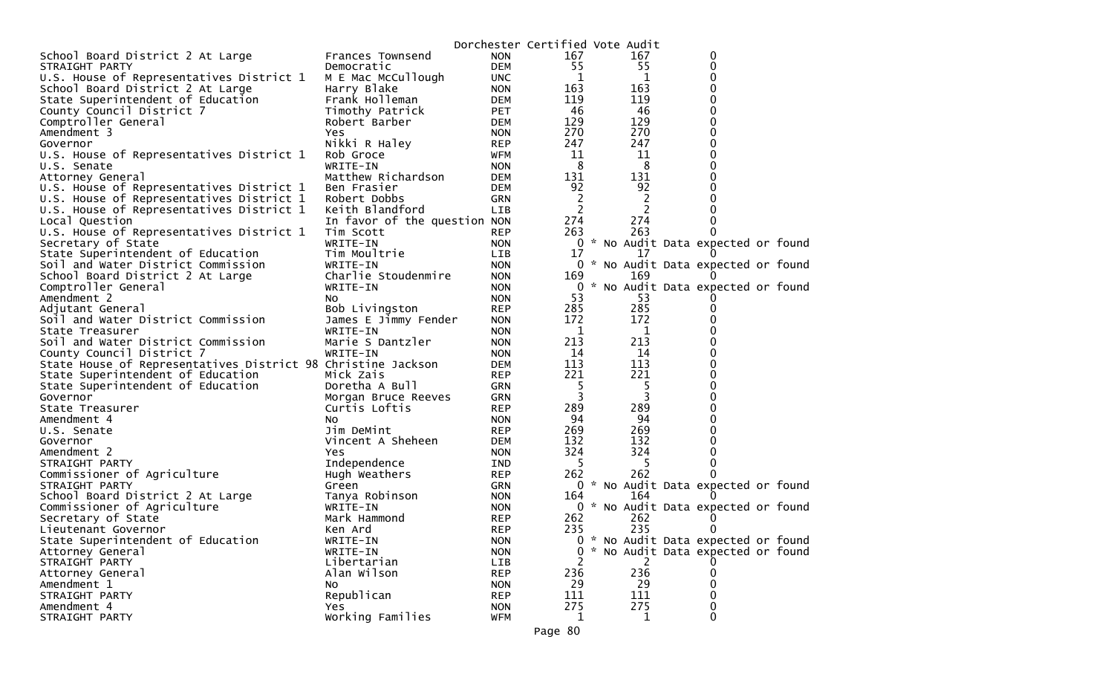|                                                              |                              |            | Dorchester Certified Vote Audit |                |                                     |  |
|--------------------------------------------------------------|------------------------------|------------|---------------------------------|----------------|-------------------------------------|--|
| School Board District 2 At Large                             | Frances Townsend             | <b>NON</b> | 167                             | 167            | 0                                   |  |
| STRAIGHT PARTY                                               | Democratic                   | <b>DEM</b> | 55                              | 55             | 0                                   |  |
| U.S. House of Representatives District 1                     | M E Mac McCullough           | <b>UNC</b> | 1                               | 1              | 0                                   |  |
| School Board District 2 At Large                             | Harry Blake                  | <b>NON</b> | 163                             | 163            | 0                                   |  |
| State Superintendent of Education                            | Frank Holleman               | DEM        | 119                             | 119            | 0                                   |  |
| County Council District 7                                    | Timothy Patrick              | PET        | 46                              | 46             | 0                                   |  |
| Comptroller General                                          | Robert Barber                | DEM        | 129                             | 129            | 0                                   |  |
| Amendment 3                                                  | Yes                          | <b>NON</b> | 270                             | 270            | 0                                   |  |
| Governor                                                     | Nikki R Haley                | <b>REP</b> | 247                             | 247            | 0                                   |  |
| U.S. House of Representatives District 1                     | Rob Groce                    | WFM        | 11                              | 11             | 0                                   |  |
| U.S. Senate                                                  | WRITE-IN                     | <b>NON</b> | 8                               | 8              | 0                                   |  |
| Attorney General                                             | Matthew Richardson           | DEM        | 131                             | 131            |                                     |  |
| U.S. House of Representatives District 1                     | Ben Frasier                  | DEM        | 92                              | 92             | 0                                   |  |
| U.S. House of Representatives District 1                     | Robert Dobbs                 | <b>GRN</b> | 2                               | $\overline{c}$ |                                     |  |
| U.S. House of Representatives District 1                     | Keith Blandford              | <b>LIB</b> | 2                               | $\overline{c}$ |                                     |  |
| Local Question                                               | In favor of the question NON |            | 274                             | 274            |                                     |  |
| U.S. House of Representatives District 1                     | Tim Scott                    | <b>REP</b> | 263                             | 263            |                                     |  |
| Secretary of State                                           | WRITE-IN                     | <b>NON</b> |                                 |                | 0 * No Audit Data expected or found |  |
| State Superintendent of Education                            | Tim Moultrie                 | LIB.       | 17                              | 17             |                                     |  |
| Soil and Water District Commission                           | WRITE-IN                     | <b>NON</b> |                                 |                | 0 * No Audit Data expected or found |  |
| School Board District 2 At Large                             | Charlie Stoudenmire          | <b>NON</b> | 169                             | 169            |                                     |  |
| Comptroller General                                          | WRITE-IN                     | <b>NON</b> | 0                               |                | * No Audit Data expected or found   |  |
| Amendment 2                                                  | NO.                          | <b>NON</b> | 53                              | 53             |                                     |  |
| Adjutant General                                             | Bob Livingston               | <b>REP</b> | 285                             | 285            | 0                                   |  |
| Soil and Water District Commission                           | James E Jimmy Fender         | <b>NON</b> | 172                             | 172            | 0                                   |  |
| State Treasurer                                              | WRITE-IN                     | <b>NON</b> | 1                               | 1              |                                     |  |
| Soil and Water District Commission                           | Marie S Dantzler             | <b>NON</b> | 213                             | 213            | 0                                   |  |
| County Council District 7                                    | WRITE-IN                     | <b>NON</b> | 14                              | 14             | 0                                   |  |
| State House of Representatives District 98 Christine Jackson |                              | DEM        | 113                             | 113            | 0                                   |  |
| State Superintendent of Education                            | Mick Zais                    | <b>REP</b> | 221                             | 221            | 0                                   |  |
| State Superintendent of Education                            | Doretha A Bull               | GRN        | 5                               | 5              | 0                                   |  |
| Governor                                                     | Morgan Bruce Reeves          | <b>GRN</b> | 3                               | 3              |                                     |  |
| State Treasurer                                              | Curtis Loftis                | <b>REP</b> | 289                             | 289            | 0                                   |  |
| Amendment 4                                                  | NO.                          | <b>NON</b> | 94                              | 94             | 0                                   |  |
| U.S. Senate                                                  | Jim DeMint                   | <b>REP</b> | 269                             | 269            |                                     |  |
| Governor                                                     | Vincent A Sheheen            | <b>DEM</b> | 132                             | 132            | 0                                   |  |
| Amendment 2                                                  | Yes                          | <b>NON</b> | 324                             | 324            | 0                                   |  |
| STRAIGHT PARTY                                               | Independence                 | IND        | 5                               | 5              | 0                                   |  |
| Commissioner of Agriculture                                  | Hugh Weathers                | <b>REP</b> | 262                             | 262            |                                     |  |
| STRAIGHT PARTY                                               | Green                        | GRN        |                                 |                | 0 * No Audit Data expected or found |  |
| School Board District 2 At Large                             | Tanya Robinson               | <b>NON</b> | 164                             | 164            |                                     |  |
| Commissioner of Agriculture                                  | WRITE-IN                     | <b>NON</b> |                                 |                | 0 * No Audit Data expected or found |  |
| Secretary of State                                           | Mark Hammond                 | <b>REP</b> | 262                             | 262            |                                     |  |
| Lieutenant Governor                                          | Ken Ard                      | <b>REP</b> | 235                             | 235            | 0                                   |  |
| State Superintendent of Education                            | WRITE-IN                     | <b>NON</b> |                                 |                | 0 * No Audit Data expected or found |  |
| Attorney General                                             | WRITE-IN                     | <b>NON</b> | 0                               |                | * No Audit Data expected or found   |  |
| STRAIGHT PARTY                                               | Libertarian                  | LIB        | 2                               | 2              |                                     |  |
| Attorney General                                             | Alan Wilson                  | <b>REP</b> | 236                             | 236            | 0                                   |  |
| Amendment 1                                                  | NO.                          | <b>NON</b> | 29                              | 29             | 0                                   |  |
| STRAIGHT PARTY                                               | Republican                   | <b>REP</b> | 111                             | 111            |                                     |  |
| Amendment 4                                                  | <b>Yes</b>                   | <b>NON</b> | 275                             | 275            | 0                                   |  |
| STRAIGHT PARTY                                               | Working Families             | <b>WFM</b> | 1                               | 1              | 0                                   |  |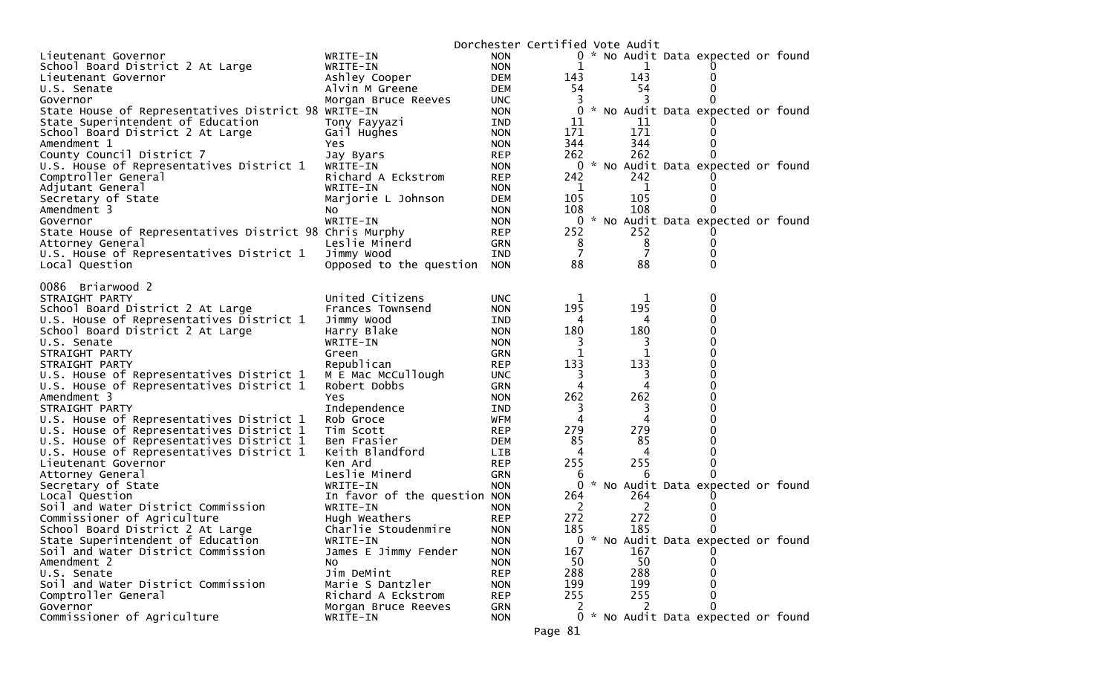|                                                         |                              |            | Dorchester Certified Vote Audit |     |                                     |  |
|---------------------------------------------------------|------------------------------|------------|---------------------------------|-----|-------------------------------------|--|
| Lieutenant Governor                                     | WRITE-IN                     | <b>NON</b> |                                 |     | 0 * No Audit Data expected or found |  |
| School Board District 2 At Large                        | WRITE-IN                     | <b>NON</b> | 1                               | 1   |                                     |  |
| Lieutenant Governor                                     | Ashley Cooper                | <b>DEM</b> | 143                             | 143 |                                     |  |
| U.S. Senate                                             | Alvin M Greene               | <b>DEM</b> | 54                              | 54  |                                     |  |
| Governor                                                | Morgan Bruce Reeves          | <b>UNC</b> |                                 |     |                                     |  |
| State House of Representatives District 98 WRITE-IN     |                              | <b>NON</b> | 0                               |     | * No Audit Data expected or found   |  |
| State Superintendent of Education                       | Tony Fayyazi                 | <b>IND</b> | 11                              | 11  |                                     |  |
| School Board District 2 At Large                        | Gail Hughes                  | <b>NON</b> | 171                             | 171 |                                     |  |
| Amendment 1                                             | Yes                          | <b>NON</b> | 344                             | 344 |                                     |  |
| County Council District 7                               | Jay Byars                    | <b>REP</b> | 262                             | 262 |                                     |  |
| U.S. House of Representatives District 1                | WRITE-IN                     | <b>NON</b> | 0                               |     | * No Audit Data expected or found   |  |
| Comptroller General                                     | Richard A Eckstrom           | <b>REP</b> | 242                             | 242 |                                     |  |
| Adjutant General                                        | WRITE-IN                     | <b>NON</b> | 1                               | 1   |                                     |  |
| Secretary of State                                      | Marjorie L Johnson           | <b>DEM</b> | 105                             | 105 |                                     |  |
| Amendment 3                                             | NO.                          | <b>NON</b> | 108                             | 108 |                                     |  |
| Governor                                                | WRITE-IN                     | <b>NON</b> |                                 |     | 0 * No Audit Data expected or found |  |
| State House of Representatives District 98 Chris Murphy |                              | <b>REP</b> | 252                             | 252 |                                     |  |
| Attorney General                                        | Leslie Minerd                | GRN        | 8                               | 8   | 0                                   |  |
| U.S. House of Representatives District 1                | Jimmy Wood                   | IND        | 7                               | 7   |                                     |  |
| Local Question                                          | Opposed to the question      | <b>NON</b> | 88                              | 88  | 0                                   |  |
|                                                         |                              |            |                                 |     |                                     |  |
| Briarwood 2<br>0086                                     |                              |            |                                 |     |                                     |  |
| STRAIGHT PARTY                                          | United Citizens              | <b>UNC</b> | 1                               | 1   | 0                                   |  |
| School Board District 2 At Large                        | Frances Townsend             | <b>NON</b> | 195                             | 195 | 0                                   |  |
| U.S. House of Representatives District 1                | Jimmy Wood                   | IND        | 4                               | 4   | 0                                   |  |
| School Board District 2 At Large                        | Harry Blake                  | <b>NON</b> | 180                             | 180 | 0                                   |  |
| U.S. Senate                                             | WRITE-IN                     | <b>NON</b> | 3                               | 3   | 0                                   |  |
| STRAIGHT PARTY                                          | Green                        | <b>GRN</b> |                                 |     | 0                                   |  |
| STRAIGHT PARTY                                          | Republican                   | <b>REP</b> | 133                             | 133 | 0                                   |  |
| U.S. House of Representatives District 1                | M E Mac McCullough           | <b>UNC</b> | 3                               | 3   | 0                                   |  |
| U.S. House of Representatives District 1                | Robert Dobbs                 | <b>GRN</b> | 4                               | 4   | 0                                   |  |
| Amendment 3                                             | Yes.                         | <b>NON</b> | 262                             | 262 | 0                                   |  |
| STRAIGHT PARTY                                          | Independence                 | IND        | 3                               | 3   | 0                                   |  |
| U.S. House of Representatives District 1                | Rob Groce                    | <b>WFM</b> | 4                               |     | 0                                   |  |
| U.S. House of Representatives District 1                | Tim Scott                    | <b>REP</b> | 279                             | 279 | 0                                   |  |
| U.S. House of Representatives District 1                | Ben Frasier                  | <b>DEM</b> | 85                              | 85  | 0                                   |  |
| U.S. House of Representatives District 1                | Keith Blandford              | LIB        | 4                               | 4   | 0                                   |  |
| Lieutenant Governor                                     | Ken Ard                      | <b>REP</b> | 255                             | 255 | 0                                   |  |
| Attorney General                                        | Leslie Minerd                | <b>GRN</b> | 6                               | 6   |                                     |  |
| Secretary of State                                      | WRITE-IN                     | <b>NON</b> | 0                               |     | * No Audit Data expected or found   |  |
| Local Question                                          | In favor of the question NON |            | 264                             | 264 |                                     |  |
| Soil and Water District Commission                      | WRITE-IN                     | <b>NON</b> | 2                               | 2   |                                     |  |
| Commissioner of Agriculture                             | Hugh Weathers                | <b>REP</b> | 272                             | 272 |                                     |  |
| School Board District 2 At Large                        | Charlie Stoudenmire          | <b>NON</b> | 185                             | 185 | 0                                   |  |
| State Superintendent of Education                       | WRITE-IN                     | <b>NON</b> |                                 |     | 0 * No Audit Data expected or found |  |
| Soil and Water District Commission                      | James E Jimmy Fender         | <b>NON</b> | 167                             | 167 |                                     |  |
| Amendment 2                                             | NO.                          | <b>NON</b> | 50                              | 50  |                                     |  |
| U.S. Senate                                             | Jim DeMint                   | <b>REP</b> | 288                             | 288 |                                     |  |
| Soil and Water District Commission                      | Marie S Dantzler             | <b>NON</b> | 199                             | 199 |                                     |  |
| Comptroller General                                     | Richard A Eckstrom           | <b>REP</b> | 255                             | 255 |                                     |  |
| Governor                                                | Morgan Bruce Reeves          | GRN        | $\mathcal{L}_{\mathcal{L}}$     |     |                                     |  |
| Commissioner of Agriculture                             | WRITE-IN                     | <b>NON</b> |                                 |     | 0 * No Audit Data expected or found |  |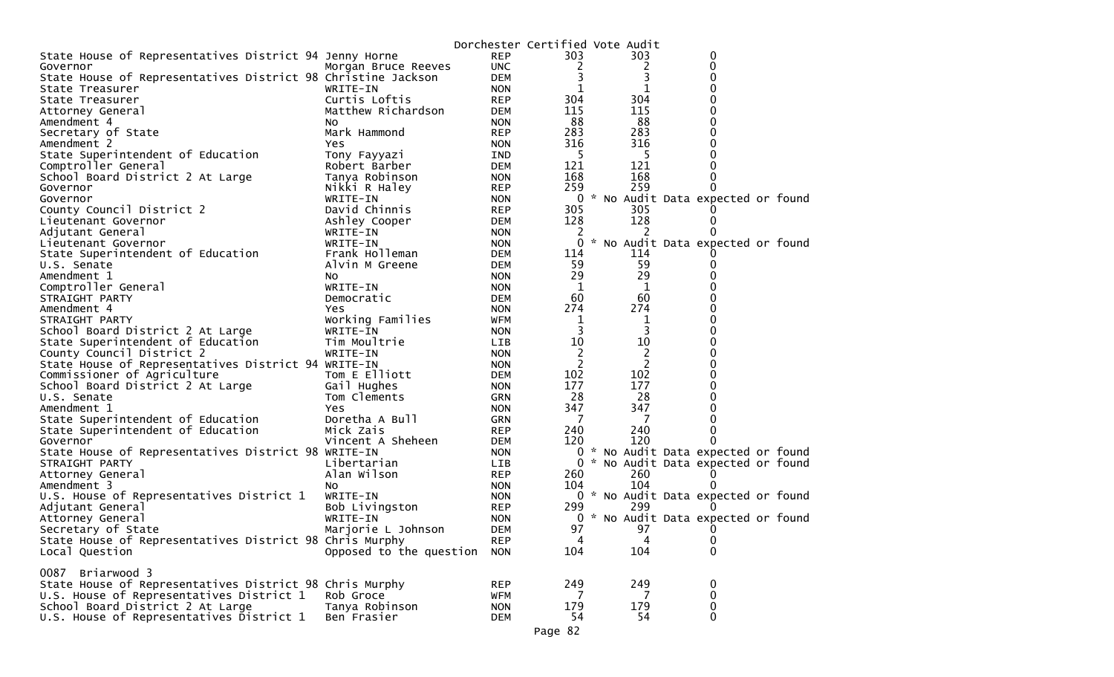|                                                              |                         |            |                | Dorchester Certified Vote Audit |                                     |  |
|--------------------------------------------------------------|-------------------------|------------|----------------|---------------------------------|-------------------------------------|--|
| State House of Representatives District 94 Jenny Horne       |                         | <b>REP</b> | 303            | 303                             | 0                                   |  |
| Governor                                                     | Morgan Bruce Reeves     | <b>UNC</b> | 2              | 2                               | $\Omega$                            |  |
| State House of Representatives District 98 Christine Jackson |                         | <b>DEM</b> | 3              | 3                               | 0                                   |  |
| State Treasurer                                              | WRITE-IN                | <b>NON</b> |                | 1                               | 0                                   |  |
| State Treasurer                                              | Curtis Loftis           | <b>REP</b> | 304            | 304                             | 0                                   |  |
| Attorney General                                             | Matthew Richardson      | DEM        | 115            | 115                             | 0                                   |  |
| Amendment 4                                                  | NO.                     | <b>NON</b> | 88             | 88                              | 0                                   |  |
| Secretary of State                                           | Mark Hammond            | <b>REP</b> | 283            | 283                             | 0                                   |  |
| Amendment 2                                                  | Yes                     | <b>NON</b> | 316            | 316                             |                                     |  |
| State Superintendent of Education                            | Tony Fayyazi            | IND        | 5              | 5                               | 0                                   |  |
| Comptroller General                                          | Robert Barber           | <b>DEM</b> | 121            | 121                             | 0                                   |  |
| School Board District 2 At Large                             | Tanya Robinson          | <b>NON</b> | 168            | 168                             | 0                                   |  |
| Governor                                                     | Nikki R Haley           | <b>REP</b> | 259            | 259                             |                                     |  |
| Governor                                                     | WRITE-IN                | <b>NON</b> |                |                                 | 0 * No Audit Data expected or found |  |
| County Council District 2                                    | David Chinnis           | <b>REP</b> | 305            | 305                             |                                     |  |
| Lieutenant Governor                                          | Ashley Cooper           | DEM        | 128            | 128                             | $\Omega$                            |  |
| Adjutant General                                             | WRITE-IN                | <b>NON</b> | 2              | 2                               |                                     |  |
| Lieutenant Governor                                          | WRITE-IN                | <b>NON</b> | 0              |                                 | * No Audit Data expected or found   |  |
| State Superintendent of Education                            | Frank Holleman          | <b>DEM</b> | 114            | 114                             |                                     |  |
| U.S. Senate                                                  | Alvin M Greene          | DEM        | 59             | 59                              | 0                                   |  |
| Amendment 1                                                  | NO.                     | <b>NON</b> | 29             | 29                              |                                     |  |
| Comptroller General                                          | WRITE-IN                | <b>NON</b> | 1              | 1                               | 0                                   |  |
| STRAIGHT PARTY                                               | Democratic              | DEM        | 60             | 60                              | 0                                   |  |
| Amendment 4                                                  | <b>Yes</b>              | <b>NON</b> | 274            | 274                             | 0                                   |  |
| STRAIGHT PARTY                                               | Working Families        | <b>WFM</b> | 1              | 1                               | 0                                   |  |
| School Board District 2 At Large                             | WRITE-IN                | <b>NON</b> | 3              | 3                               | 0                                   |  |
| State Superintendent of Education                            | Tim Moultrie            | LIB        | 10             | 10                              | 0                                   |  |
| County Council District 2                                    | WRITE-IN                | <b>NON</b> | $\overline{c}$ | 2                               | 0                                   |  |
| State House of Representatives District 94 WRITE-IN          |                         | <b>NON</b> | 2              | $\overline{c}$                  | 0                                   |  |
| Commissioner of Agriculture                                  | Tom E Elliott           | DEM        | 102            | 102                             | 0                                   |  |
| School Board District 2 At Large                             | Gail Hughes             | <b>NON</b> | 177            | 177                             | $\Omega$                            |  |
| U.S. Senate                                                  | Tom Clements            | <b>GRN</b> | 28             | 28                              | 0                                   |  |
| Amendment 1                                                  | Yes                     | <b>NON</b> | 347            | 347                             | 0                                   |  |
| State Superintendent of Education                            | Doretha A Bull          | <b>GRN</b> | 7              | 7                               | 0                                   |  |
| State Superintendent of Education                            | Mick Zais               | <b>REP</b> | 240            | 240                             | 0                                   |  |
| Governor                                                     | Vincent A Sheheen       | DEM        | 120            | 120                             | 0                                   |  |
| State House of Representatives District 98 WRITE-IN          |                         | <b>NON</b> |                |                                 | 0 * No Audit Data expected or found |  |
| STRAIGHT PARTY                                               | Libertarian             | <b>LIB</b> |                |                                 | 0 * No Audit Data expected or found |  |
| Attorney General                                             | Alan Wilson             | <b>REP</b> | 260            | 260                             |                                     |  |
| Amendment 3                                                  | NO.                     | <b>NON</b> | 104            | 104                             |                                     |  |
| U.S. House of Representatives District 1                     | WRITE-IN                | <b>NON</b> |                |                                 | 0 * No Audit Data expected or found |  |
| Adjutant General                                             | Bob Livingston          | <b>REP</b> | 299            | 299                             |                                     |  |
| Attorney General                                             | WRITE-IN                | <b>NON</b> |                |                                 | 0 * No Audit Data expected or found |  |
| Secretary of State                                           | Marjorie L Johnson      | <b>DEM</b> | 97             | 97                              | O                                   |  |
| State House of Representatives District 98 Chris Murphy      |                         | <b>REP</b> | 4              | 4                               | 0                                   |  |
| Local Question                                               | Opposed to the question | <b>NON</b> | 104            | 104                             | 0                                   |  |
|                                                              |                         |            |                |                                 |                                     |  |
| Briarwood 3<br>0087                                          |                         |            |                |                                 |                                     |  |
| State House of Representatives District 98 Chris Murphy      |                         | <b>REP</b> | 249            | 249                             | 0                                   |  |
| U.S. House of Representatives District 1                     | Rob Groce               | <b>WFM</b> | 7              | 7                               | 0                                   |  |
| School Board District 2 At Large                             | Tanya Robinson          | <b>NON</b> | 179            | 179                             | 0                                   |  |
| U.S. House of Representatives District 1                     | Ben Frasier             | <b>DEM</b> | 54             | 54                              | 0                                   |  |
|                                                              |                         |            |                |                                 |                                     |  |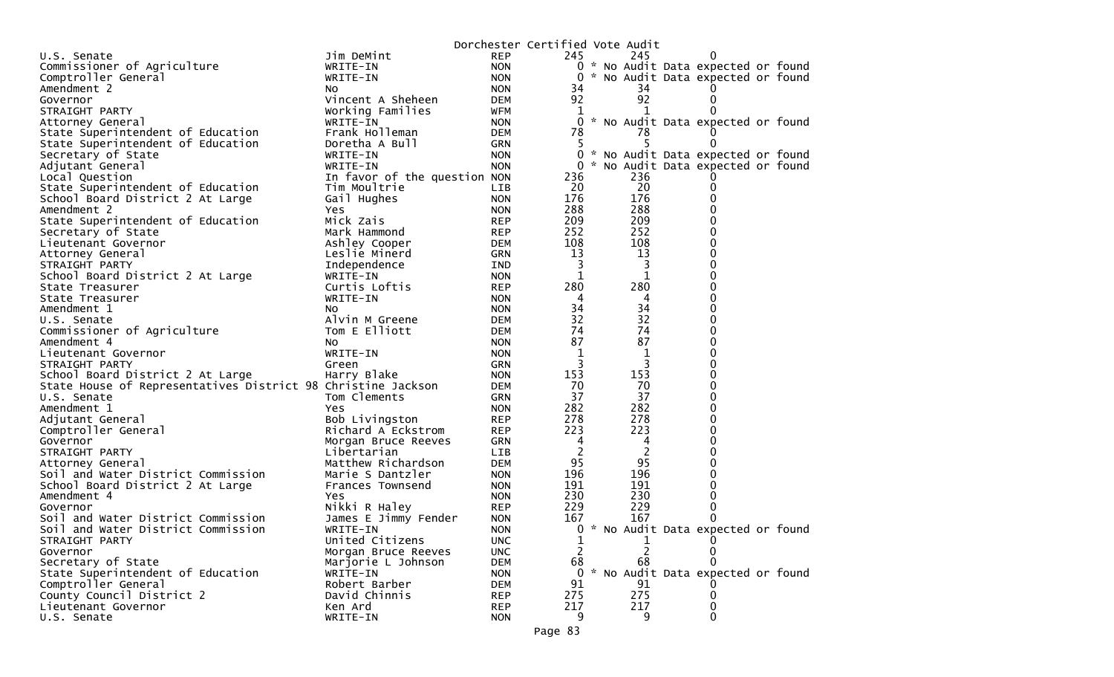|                                                              |                                      |                          | Dorchester Certified Vote Audit |                      |                                     |  |
|--------------------------------------------------------------|--------------------------------------|--------------------------|---------------------------------|----------------------|-------------------------------------|--|
| U.S. Senate                                                  | Jim DeMint                           | <b>REP</b>               | 245                             | 245                  | 0                                   |  |
| Commissioner of Agriculture                                  | WRITE-IN                             | <b>NON</b>               |                                 |                      | 0 * No Audit Data expected or found |  |
| Comptroller General                                          | WRITE-IN                             | <b>NON</b>               | 0                               |                      | * No Audit Data expected or found   |  |
| Amendment 2                                                  | NO.                                  | <b>NON</b>               | 34                              | 34                   |                                     |  |
| Governor                                                     | Vincent A Sheheen                    | DEM                      | 92                              | 92                   | 0                                   |  |
| STRAIGHT PARTY                                               | Working Families                     | WFM                      | T.                              |                      | 0                                   |  |
| Attorney General                                             | WRITE-IN                             | <b>NON</b>               | $\Omega$                        |                      | * No Audit Data expected or found   |  |
| State Superintendent of Education                            | Frank Holleman                       | DEM                      | 78                              | 78                   |                                     |  |
| State Superintendent of Education                            | Doretha A Bull                       | GRN                      | 5                               | 5                    | 0                                   |  |
| Secretary of State                                           | WRITE-IN                             | <b>NON</b>               | $\mathbf{0}$                    |                      | * No Audit Data expected or found   |  |
| Adjutant General                                             | WRITE-IN                             | <b>NON</b>               |                                 |                      | 0 * No Audit Data expected or found |  |
| Local Question                                               | In favor of the question NON         |                          | 236                             | 236                  |                                     |  |
| State Superintendent of Education                            | Tim Moultrie                         | LIB                      | 20                              | 20                   | 0                                   |  |
| School Board District 2 At Large                             | Gail Hughes                          | <b>NON</b>               | 176                             | 176                  | 0                                   |  |
| Amendment 2                                                  | Yes                                  | <b>NON</b>               | 288                             | 288                  | 0                                   |  |
| State Superintendent of Education                            | Mick Zais                            | <b>REP</b>               | 209                             | 209                  | 0                                   |  |
| Secretary of State                                           | Mark Hammond                         | <b>REP</b>               | 252                             | 252                  | 0                                   |  |
| Lieutenant Governor                                          | Ashley Cooper                        | DEM                      | 108                             | 108                  | 0                                   |  |
| Attorney General                                             | Leslie Minerd                        | GRN                      | 13                              | 13                   | 0                                   |  |
| STRAIGHT PARTY                                               | Independence                         | IND                      | 3                               | 3                    | 0                                   |  |
| School Board District 2 At Large                             | WRITE-IN                             | <b>NON</b>               | 1                               | 1                    | 0                                   |  |
| State Treasurer                                              | Curtis Loftis                        | <b>REP</b>               | 280                             | 280                  | 0                                   |  |
| State Treasurer                                              | WRITE-IN                             | <b>NON</b>               | 4                               | 4                    | 0                                   |  |
| Amendment 1                                                  | NO.                                  | <b>NON</b>               | 34                              | 34                   | 0                                   |  |
| U.S. Senate                                                  | Alvin M Greene                       | DEM                      | 32                              | 32                   | 0                                   |  |
| Commissioner of Agriculture                                  | Tom E Elliott                        | DEM                      | 74                              | 74                   | 0                                   |  |
| Amendment 4                                                  | NO.                                  | <b>NON</b>               | 87                              | 87                   | 0                                   |  |
| Lieutenant Governor                                          | WRITE-IN                             | <b>NON</b>               | 1                               | 1                    | 0                                   |  |
| STRAIGHT PARTY                                               | Green                                | GRN                      | 3                               | 3                    | 0                                   |  |
| School Board District 2 At Large                             | Harry Blake                          | <b>NON</b>               | 153                             | 153                  | 0                                   |  |
| State House of Representatives District 98 Christine Jackson |                                      | DEM                      | 70                              | 70                   | 0                                   |  |
| U.S. Senate                                                  | Tom Clements                         | GRN                      | 37                              | 37                   | 0                                   |  |
| Amendment 1                                                  | Yes                                  | <b>NON</b>               | 282                             | 282                  | 0                                   |  |
| Adjutant General                                             | Bob Livingston                       | <b>REP</b>               | 278                             | 278                  | 0                                   |  |
| Comptroller General                                          | Richard A Eckstrom                   | <b>REP</b>               | 223                             | 223                  | 0                                   |  |
| Governor                                                     | Morgan Bruce Reeves                  | GRN                      | 4                               | 4                    | 0                                   |  |
| STRAIGHT PARTY                                               | Libertarian                          | LIB                      | $\overline{c}$<br>95            | $\overline{2}$<br>95 | 0<br>0                              |  |
| Attorney General                                             | Matthew Richardson                   | <b>DEM</b>               | 196                             | 196                  | 0                                   |  |
| Soil and Water District Commission                           | Marie S Dantzler<br>Frances Townsend | <b>NON</b><br><b>NON</b> | 191                             | 191                  | 0                                   |  |
| School Board District 2 At Large<br>Amendment 4              | Yes                                  | <b>NON</b>               | 230                             | 230                  | 0                                   |  |
| Governor                                                     | Nikki R Haley                        | REP                      | 229                             | 229                  | 0                                   |  |
| Soil and Water District Commission                           | James E Jimmy Fender                 | <b>NON</b>               | 167                             | 167                  | 0                                   |  |
| Soil and Water District Commission                           | WRITE-IN                             | <b>NON</b>               |                                 |                      | 0 * No Audit Data expected or found |  |
| STRAIGHT PARTY                                               | United Citizens                      | <b>UNC</b>               | 1                               | 1                    | $\Omega$                            |  |
| Governor                                                     | Morgan Bruce Reeves                  | <b>UNC</b>               | 2                               |                      |                                     |  |
| Secretary of State                                           | Marjorie L Johnson                   | <b>DEM</b>               | 68                              | 68                   |                                     |  |
| State Superintendent of Education                            | WRITE-IN                             | <b>NON</b>               |                                 |                      | 0 * No Audit Data expected or found |  |
| Comptroller General                                          | Robert Barber                        | <b>DEM</b>               | 91                              | 91                   |                                     |  |
| County Council District 2                                    | David Chinnis                        | <b>REP</b>               | 275                             | 275                  | 0                                   |  |
| Lieutenant Governor                                          | Ken Ard                              | <b>REP</b>               | 217                             | 217                  | 0                                   |  |
| U.S. Senate                                                  | WRITE-IN                             | <b>NON</b>               | 9.                              | 9                    | 0                                   |  |
|                                                              |                                      |                          |                                 |                      |                                     |  |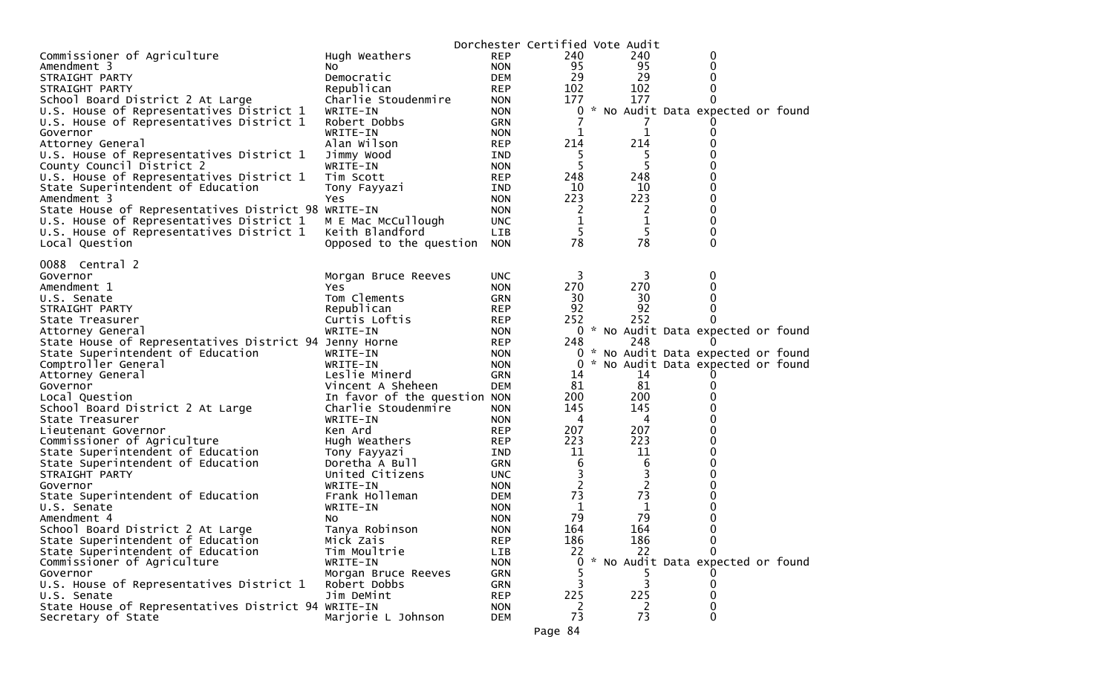|                                                                            |                              |                          | Dorchester Certified Vote Audit |     |                |                                     |  |
|----------------------------------------------------------------------------|------------------------------|--------------------------|---------------------------------|-----|----------------|-------------------------------------|--|
| Commissioner of Agriculture                                                | Hugh Weathers                | <b>REP</b>               | 240                             |     | 240            | 0                                   |  |
| Amendment 3                                                                | NO.                          | <b>NON</b>               | 95                              |     | 95             | 0                                   |  |
| STRAIGHT PARTY                                                             | Democratic                   | <b>DEM</b>               | 29                              |     | 29             | 0                                   |  |
| STRAIGHT PARTY                                                             | Republican                   | <b>REP</b>               | 102                             |     | 102            | 0                                   |  |
| School Board District 2 At Large                                           | Charlie Stoudenmire          | <b>NON</b>               | 177                             |     | 177            | 0                                   |  |
| U.S. House of Representatives District 1                                   | WRITE-IN                     | <b>NON</b>               | 0                               | *   |                | No Audit Data expected or found     |  |
| U.S. House of Representatives District 1                                   | Robert Dobbs                 | <b>GRN</b>               |                                 |     |                |                                     |  |
| Governor                                                                   | WRITE-IN                     | <b>NON</b>               | 1                               |     | 1              | 0                                   |  |
| Attorney General                                                           | Alan Wilson                  | <b>REP</b>               | 214                             |     | 214            | 0                                   |  |
| U.S. House of Representatives District 1                                   | Jimmy Wood                   | IND                      |                                 |     | ל              |                                     |  |
| County Council District 2                                                  | WRITE-IN                     | <b>NON</b>               | 5                               |     | 5              | 0                                   |  |
| U.S. House of Representatives District 1                                   | Tim Scott                    | <b>REP</b>               | 248                             |     | 248            | 0                                   |  |
| State Superintendent of Education                                          | Tony Fayyazi                 | IND                      | 10                              |     | 10             | 0                                   |  |
| Amendment 3                                                                | Yes                          | <b>NON</b>               | 223                             |     | 223            | 0                                   |  |
| State House of Representatives District 98 WRITE-IN                        |                              | <b>NON</b>               | 2                               |     | 2              | 0                                   |  |
| U.S. House of Representatives District 1                                   | M E Mac McCullough           | <b>UNC</b>               | $\mathbf 1$                     |     | $\mathbf 1$    | 0                                   |  |
| U.S. House of Representatives District 1                                   | Keith Blandford              | LIB                      | 5                               |     | 5              | 0                                   |  |
| Local Question                                                             | Opposed to the question      | <b>NON</b>               | 78                              |     | 78             | 0                                   |  |
|                                                                            |                              |                          |                                 |     |                |                                     |  |
| 0088 Central 2                                                             |                              |                          |                                 |     |                |                                     |  |
| Governor                                                                   | Morgan Bruce Reeves          | <b>UNC</b>               | 3                               |     | 3              | 0                                   |  |
| Amendment 1                                                                | Yes                          | <b>NON</b>               | 270                             |     | 270            | 0                                   |  |
| U.S. Senate                                                                | Tom Clements                 | <b>GRN</b>               | 30<br>92                        |     | 30             | 0                                   |  |
| STRAIGHT PARTY                                                             | Republican                   | <b>REP</b>               | 252                             |     | 92<br>252      | 0<br>0                              |  |
| State Treasurer                                                            | Curtis Loftis                | <b>REP</b>               |                                 |     |                | 0 * No Audit Data expected or found |  |
| Attorney General<br>State House of Representatives District 94 Jenny Horne | WRITE-IN                     | <b>NON</b><br><b>REP</b> | 248                             |     | 248            |                                     |  |
| State Superintendent of Education                                          | WRITE-IN                     |                          | 0                               | Ж., |                | No Audit Data expected or found     |  |
| Comptroller General                                                        | WRITE-IN                     | <b>NON</b><br><b>NON</b> | 0                               |     |                | * No Audit Data expected or found   |  |
| Attorney General                                                           | Leslie Minerd                | <b>GRN</b>               | 14                              |     | 14             |                                     |  |
| Governor                                                                   | Vincent A Sheheen            | <b>DEM</b>               | 81                              |     | 81             | 0                                   |  |
| Local Question                                                             | In favor of the question NON |                          | 200                             |     | 200            |                                     |  |
| School Board District 2 At Large                                           | Charlie Stoudenmire          | <b>NON</b>               | 145                             |     | 145            | 0                                   |  |
| State Treasurer                                                            | WRITE-IN                     | <b>NON</b>               | 4                               |     | 4              | 0                                   |  |
| Lieutenant Governor                                                        | Ken Ard                      | <b>REP</b>               | 207                             |     | 207            | 0                                   |  |
| Commissioner of Agriculture                                                | Hugh Weathers                | <b>REP</b>               | 223                             |     | 223            | 0                                   |  |
| State Superintendent of Education                                          | Tony Fayyazi                 | IND.                     | 11                              |     | 11             | 0                                   |  |
| State Superintendent of Education                                          | Doretha A Bull               | <b>GRN</b>               | 6                               |     | 6              | 0                                   |  |
| STRAIGHT PARTY                                                             | United Citizens              | <b>UNC</b>               | 3                               |     | 3              | 0                                   |  |
| Governor                                                                   | WRITE-IN                     | <b>NON</b>               | $\overline{c}$                  |     | $\overline{2}$ | 0                                   |  |
| State Superintendent of Education                                          | Frank Holleman               | <b>DEM</b>               | 73                              |     | 73             | 0                                   |  |
| U.S. Senate                                                                | WRITE-IN                     | <b>NON</b>               | 1                               |     | 1              | 0                                   |  |
| Amendment 4                                                                | NO.                          | <b>NON</b>               | 79                              |     | 79             | 0                                   |  |
| School Board District 2 At Large                                           | Tanya Robinson               | <b>NON</b>               | 164                             |     | 164            | 0                                   |  |
| State Superintendent of Education                                          | Mick Zais                    | <b>REP</b>               | 186                             |     | 186            | 0                                   |  |
| State Superintendent of Education                                          | Tim Moultrie                 | LIB                      | 22                              |     | 22             | 0                                   |  |
| Commissioner of Agriculture                                                | WRITE-IN                     | <b>NON</b>               | $\Omega$                        |     |                | * No Audit Data expected or found   |  |
| Governor                                                                   | Morgan Bruce Reeves          | <b>GRN</b>               |                                 |     |                |                                     |  |
| U.S. House of Representatives District 1                                   | Robert Dobbs                 | <b>GRN</b>               | 3                               |     | 3              | 0                                   |  |
| U.S. Senate                                                                | Jim DeMint                   | <b>REP</b>               | 225                             |     | 225            | 0                                   |  |
| State House of Representatives District 94 WRITE-IN                        |                              | <b>NON</b>               | 2                               |     | 2              | 0                                   |  |
| Secretary of State                                                         | Marjorie L Johnson           | <b>DEM</b>               | 73                              |     | 73             | 0                                   |  |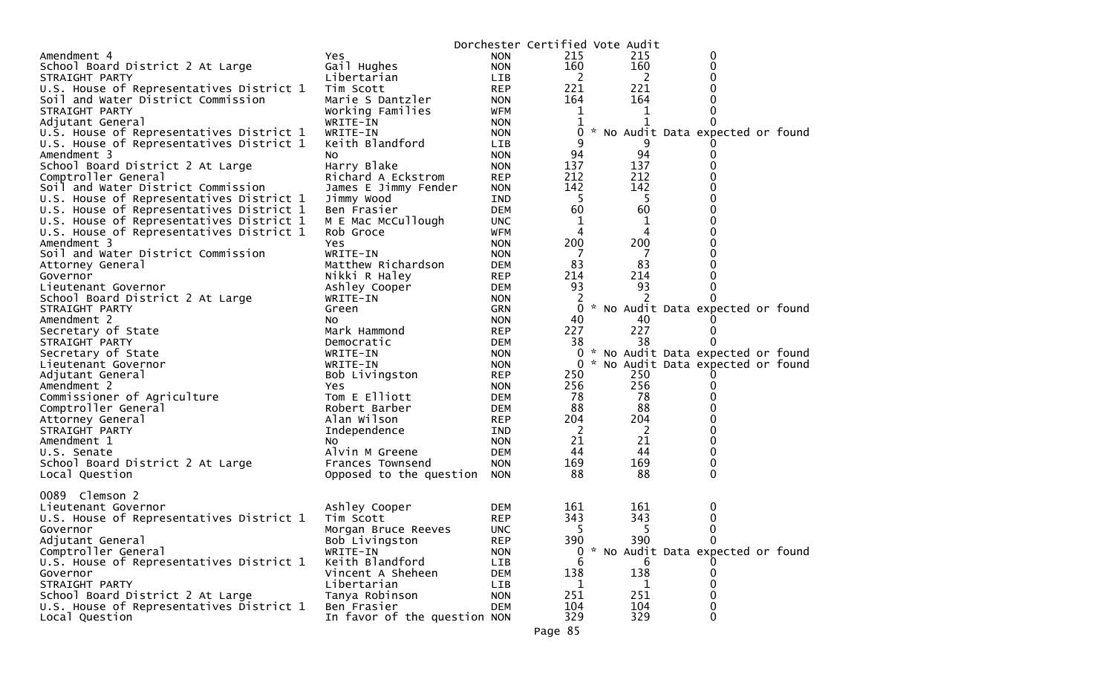| Amendment 4<br><b>NON</b><br>215<br>215<br>0<br>Yes<br>160<br>160<br>Gail Hughes<br><b>NON</b><br>0<br>School Board District 2 At Large<br>2<br>2<br>Libertarian<br>LIB<br>STRAIGHT PARTY<br>U.S. House of Representatives District 1<br>221<br>221<br><b>REP</b><br>Tim Scott<br>164<br>164<br>Soil and Water District Commission<br>Marie S Dantzler<br><b>NON</b><br>Working Families<br>WFM<br>$\mathbf{1}$<br>1<br>STRAIGHT PARTY<br>Adjutant General<br>WRITE-IN<br><b>NON</b><br>$\Omega$<br>* No Audit Data expected or found<br>U.S. House of Representatives District 1<br>WRITE-IN<br>0<br><b>NON</b><br>Keith Blandford<br>9<br>U.S. House of Representatives District 1<br>LIB<br>94<br>94<br>Amendment 3<br><b>NON</b><br>NO.<br>School Board District 2 At Large<br>137<br>137<br>Harry Blake<br><b>NON</b><br>212<br>212<br>Comptroller General<br>Richard A Eckstrom<br><b>REP</b><br>142<br>142<br>Soil and Water District Commission<br>James E Jimmy Fender<br><b>NON</b><br>-5<br>-5<br>U.S. House of Representatives District 1<br>Jimmy Wood<br>IND<br>60<br>60<br>U.S. House of Representatives District 1<br>Ben Frasier<br>DEM<br>M E Mac McCullough<br>U.S. House of Representatives District 1<br>1<br><b>UNC</b><br>1<br>4<br><b>WFM</b><br>4<br>U.S. House of Representatives District 1<br>Rob Groce<br>200<br>200<br>Amendment 3<br>Yes<br><b>NON</b><br>Soil and Water District Commission<br>WRITE-IN<br>- 7<br>-7<br><b>NON</b><br>83<br>83<br>Matthew Richardson<br>DEM<br>0<br>Attorney General<br>214<br>214<br>Nikki R Haley<br>Governor<br>REP<br>93<br>93<br>Ashley Cooper<br>DEM<br>Lieutenant Governor<br>2<br>2<br>School Board District 2 At Large<br>WRITE-IN<br><b>NON</b><br>0<br>* No Audit Data expected or found<br>0<br>GRN<br>STRAIGHT PARTY<br>Green<br>Amendment 2<br>40<br><b>NON</b><br>40<br>NO.<br>227<br>227<br>Secretary of State<br>Mark Hammond<br><b>REP</b><br>$\Omega$<br>38<br>38<br>DEM<br>0<br>STRAIGHT PARTY<br>Democratic<br>Secretary of State<br>0<br>* No Audit Data expected or found<br>WRITE-IN<br><b>NON</b><br>* No Audit Data expected or found<br>Lieutenant Governor<br>WRITE-IN<br><b>NON</b><br>0<br>250<br>250<br>Adjutant General<br><b>REP</b><br>Bob Livingston<br>256<br>256<br>Amendment 2<br>Yes<br><b>NON</b><br>0<br>78<br>78<br>Tom E Elliott<br>Commissioner of Agriculture<br>DEM<br>88<br>88<br>Comptroller General<br>Robert Barber<br>DEM<br>204<br>Alan Wilson<br>204<br>Attorney General<br><b>REP</b><br>2<br>2<br>Independence<br>STRAIGHT PARTY<br>IND<br>21<br>21<br>Amendment 1<br>0<br><b>NON</b><br>NO.<br>44<br>44<br>0<br>U.S. Senate<br>Alvin M Greene<br>DEM<br>169<br>169<br>0<br><b>NON</b><br>School Board District 2 At Large<br>Frances Townsend<br>88<br>88<br>0<br>Local Question<br>Opposed to the question<br><b>NON</b><br>0089 Clemson 2<br>Ashley Cooper<br>161<br>161<br>0<br>Lieutenant Governor<br><b>DEM</b><br>343<br>343<br>Tim Scott<br>U.S. House of Representatives District 1<br><b>REP</b><br>0<br>5<br>5<br>0<br><b>UNC</b><br>Governor<br>Morgan Bruce Reeves<br>390<br>Adjutant General<br>Bob Livingston<br><b>REP</b><br>390<br>0<br>Comptroller General<br>* No Audit Data expected or found<br>WRITE-IN<br><b>NON</b><br>0<br>U.S. House of Representatives District 1<br>Keith Blandford<br>LIB<br>6<br>6<br>138<br>Vincent A Sheheen<br>Governor<br><b>DEM</b><br>138<br>$\Omega$<br>STRAIGHT PARTY<br>0<br>Libertarian<br>LIB<br>1<br>1<br>251<br>School Board District 2 At Large<br>Tanya Robinson<br>251<br><b>NON</b><br>U.S. House of Representatives District 1<br>104<br>104<br>Ben Frasier<br><b>DEM</b><br>0<br>In favor of the question NON |                |  | Dorchester Certified Vote Audit |     |   |  |
|--------------------------------------------------------------------------------------------------------------------------------------------------------------------------------------------------------------------------------------------------------------------------------------------------------------------------------------------------------------------------------------------------------------------------------------------------------------------------------------------------------------------------------------------------------------------------------------------------------------------------------------------------------------------------------------------------------------------------------------------------------------------------------------------------------------------------------------------------------------------------------------------------------------------------------------------------------------------------------------------------------------------------------------------------------------------------------------------------------------------------------------------------------------------------------------------------------------------------------------------------------------------------------------------------------------------------------------------------------------------------------------------------------------------------------------------------------------------------------------------------------------------------------------------------------------------------------------------------------------------------------------------------------------------------------------------------------------------------------------------------------------------------------------------------------------------------------------------------------------------------------------------------------------------------------------------------------------------------------------------------------------------------------------------------------------------------------------------------------------------------------------------------------------------------------------------------------------------------------------------------------------------------------------------------------------------------------------------------------------------------------------------------------------------------------------------------------------------------------------------------------------------------------------------------------------------------------------------------------------------------------------------------------------------------------------------------------------------------------------------------------------------------------------------------------------------------------------------------------------------------------------------------------------------------------------------------------------------------------------------------------------------------------------------------------------------------------------------------------------------------------------------------------------------------------------------------------------------------------------------------------------------------------------------------------------------------------------------------------------------------------------------------------------------------------------------------------------------------------------------------------------------------------------------------------------------------------------------------------------------------------------------------------------------------------------------------------|----------------|--|---------------------------------|-----|---|--|
|                                                                                                                                                                                                                                                                                                                                                                                                                                                                                                                                                                                                                                                                                                                                                                                                                                                                                                                                                                                                                                                                                                                                                                                                                                                                                                                                                                                                                                                                                                                                                                                                                                                                                                                                                                                                                                                                                                                                                                                                                                                                                                                                                                                                                                                                                                                                                                                                                                                                                                                                                                                                                                                                                                                                                                                                                                                                                                                                                                                                                                                                                                                                                                                                                                                                                                                                                                                                                                                                                                                                                                                                                                                                                                        |                |  |                                 |     |   |  |
|                                                                                                                                                                                                                                                                                                                                                                                                                                                                                                                                                                                                                                                                                                                                                                                                                                                                                                                                                                                                                                                                                                                                                                                                                                                                                                                                                                                                                                                                                                                                                                                                                                                                                                                                                                                                                                                                                                                                                                                                                                                                                                                                                                                                                                                                                                                                                                                                                                                                                                                                                                                                                                                                                                                                                                                                                                                                                                                                                                                                                                                                                                                                                                                                                                                                                                                                                                                                                                                                                                                                                                                                                                                                                                        |                |  |                                 |     |   |  |
|                                                                                                                                                                                                                                                                                                                                                                                                                                                                                                                                                                                                                                                                                                                                                                                                                                                                                                                                                                                                                                                                                                                                                                                                                                                                                                                                                                                                                                                                                                                                                                                                                                                                                                                                                                                                                                                                                                                                                                                                                                                                                                                                                                                                                                                                                                                                                                                                                                                                                                                                                                                                                                                                                                                                                                                                                                                                                                                                                                                                                                                                                                                                                                                                                                                                                                                                                                                                                                                                                                                                                                                                                                                                                                        |                |  |                                 |     |   |  |
|                                                                                                                                                                                                                                                                                                                                                                                                                                                                                                                                                                                                                                                                                                                                                                                                                                                                                                                                                                                                                                                                                                                                                                                                                                                                                                                                                                                                                                                                                                                                                                                                                                                                                                                                                                                                                                                                                                                                                                                                                                                                                                                                                                                                                                                                                                                                                                                                                                                                                                                                                                                                                                                                                                                                                                                                                                                                                                                                                                                                                                                                                                                                                                                                                                                                                                                                                                                                                                                                                                                                                                                                                                                                                                        |                |  |                                 |     |   |  |
|                                                                                                                                                                                                                                                                                                                                                                                                                                                                                                                                                                                                                                                                                                                                                                                                                                                                                                                                                                                                                                                                                                                                                                                                                                                                                                                                                                                                                                                                                                                                                                                                                                                                                                                                                                                                                                                                                                                                                                                                                                                                                                                                                                                                                                                                                                                                                                                                                                                                                                                                                                                                                                                                                                                                                                                                                                                                                                                                                                                                                                                                                                                                                                                                                                                                                                                                                                                                                                                                                                                                                                                                                                                                                                        |                |  |                                 |     |   |  |
|                                                                                                                                                                                                                                                                                                                                                                                                                                                                                                                                                                                                                                                                                                                                                                                                                                                                                                                                                                                                                                                                                                                                                                                                                                                                                                                                                                                                                                                                                                                                                                                                                                                                                                                                                                                                                                                                                                                                                                                                                                                                                                                                                                                                                                                                                                                                                                                                                                                                                                                                                                                                                                                                                                                                                                                                                                                                                                                                                                                                                                                                                                                                                                                                                                                                                                                                                                                                                                                                                                                                                                                                                                                                                                        |                |  |                                 |     |   |  |
|                                                                                                                                                                                                                                                                                                                                                                                                                                                                                                                                                                                                                                                                                                                                                                                                                                                                                                                                                                                                                                                                                                                                                                                                                                                                                                                                                                                                                                                                                                                                                                                                                                                                                                                                                                                                                                                                                                                                                                                                                                                                                                                                                                                                                                                                                                                                                                                                                                                                                                                                                                                                                                                                                                                                                                                                                                                                                                                                                                                                                                                                                                                                                                                                                                                                                                                                                                                                                                                                                                                                                                                                                                                                                                        |                |  |                                 |     |   |  |
|                                                                                                                                                                                                                                                                                                                                                                                                                                                                                                                                                                                                                                                                                                                                                                                                                                                                                                                                                                                                                                                                                                                                                                                                                                                                                                                                                                                                                                                                                                                                                                                                                                                                                                                                                                                                                                                                                                                                                                                                                                                                                                                                                                                                                                                                                                                                                                                                                                                                                                                                                                                                                                                                                                                                                                                                                                                                                                                                                                                                                                                                                                                                                                                                                                                                                                                                                                                                                                                                                                                                                                                                                                                                                                        |                |  |                                 |     |   |  |
|                                                                                                                                                                                                                                                                                                                                                                                                                                                                                                                                                                                                                                                                                                                                                                                                                                                                                                                                                                                                                                                                                                                                                                                                                                                                                                                                                                                                                                                                                                                                                                                                                                                                                                                                                                                                                                                                                                                                                                                                                                                                                                                                                                                                                                                                                                                                                                                                                                                                                                                                                                                                                                                                                                                                                                                                                                                                                                                                                                                                                                                                                                                                                                                                                                                                                                                                                                                                                                                                                                                                                                                                                                                                                                        |                |  |                                 |     |   |  |
|                                                                                                                                                                                                                                                                                                                                                                                                                                                                                                                                                                                                                                                                                                                                                                                                                                                                                                                                                                                                                                                                                                                                                                                                                                                                                                                                                                                                                                                                                                                                                                                                                                                                                                                                                                                                                                                                                                                                                                                                                                                                                                                                                                                                                                                                                                                                                                                                                                                                                                                                                                                                                                                                                                                                                                                                                                                                                                                                                                                                                                                                                                                                                                                                                                                                                                                                                                                                                                                                                                                                                                                                                                                                                                        |                |  |                                 |     |   |  |
|                                                                                                                                                                                                                                                                                                                                                                                                                                                                                                                                                                                                                                                                                                                                                                                                                                                                                                                                                                                                                                                                                                                                                                                                                                                                                                                                                                                                                                                                                                                                                                                                                                                                                                                                                                                                                                                                                                                                                                                                                                                                                                                                                                                                                                                                                                                                                                                                                                                                                                                                                                                                                                                                                                                                                                                                                                                                                                                                                                                                                                                                                                                                                                                                                                                                                                                                                                                                                                                                                                                                                                                                                                                                                                        |                |  |                                 |     |   |  |
|                                                                                                                                                                                                                                                                                                                                                                                                                                                                                                                                                                                                                                                                                                                                                                                                                                                                                                                                                                                                                                                                                                                                                                                                                                                                                                                                                                                                                                                                                                                                                                                                                                                                                                                                                                                                                                                                                                                                                                                                                                                                                                                                                                                                                                                                                                                                                                                                                                                                                                                                                                                                                                                                                                                                                                                                                                                                                                                                                                                                                                                                                                                                                                                                                                                                                                                                                                                                                                                                                                                                                                                                                                                                                                        |                |  |                                 |     |   |  |
|                                                                                                                                                                                                                                                                                                                                                                                                                                                                                                                                                                                                                                                                                                                                                                                                                                                                                                                                                                                                                                                                                                                                                                                                                                                                                                                                                                                                                                                                                                                                                                                                                                                                                                                                                                                                                                                                                                                                                                                                                                                                                                                                                                                                                                                                                                                                                                                                                                                                                                                                                                                                                                                                                                                                                                                                                                                                                                                                                                                                                                                                                                                                                                                                                                                                                                                                                                                                                                                                                                                                                                                                                                                                                                        |                |  |                                 |     |   |  |
|                                                                                                                                                                                                                                                                                                                                                                                                                                                                                                                                                                                                                                                                                                                                                                                                                                                                                                                                                                                                                                                                                                                                                                                                                                                                                                                                                                                                                                                                                                                                                                                                                                                                                                                                                                                                                                                                                                                                                                                                                                                                                                                                                                                                                                                                                                                                                                                                                                                                                                                                                                                                                                                                                                                                                                                                                                                                                                                                                                                                                                                                                                                                                                                                                                                                                                                                                                                                                                                                                                                                                                                                                                                                                                        |                |  |                                 |     |   |  |
|                                                                                                                                                                                                                                                                                                                                                                                                                                                                                                                                                                                                                                                                                                                                                                                                                                                                                                                                                                                                                                                                                                                                                                                                                                                                                                                                                                                                                                                                                                                                                                                                                                                                                                                                                                                                                                                                                                                                                                                                                                                                                                                                                                                                                                                                                                                                                                                                                                                                                                                                                                                                                                                                                                                                                                                                                                                                                                                                                                                                                                                                                                                                                                                                                                                                                                                                                                                                                                                                                                                                                                                                                                                                                                        |                |  |                                 |     |   |  |
|                                                                                                                                                                                                                                                                                                                                                                                                                                                                                                                                                                                                                                                                                                                                                                                                                                                                                                                                                                                                                                                                                                                                                                                                                                                                                                                                                                                                                                                                                                                                                                                                                                                                                                                                                                                                                                                                                                                                                                                                                                                                                                                                                                                                                                                                                                                                                                                                                                                                                                                                                                                                                                                                                                                                                                                                                                                                                                                                                                                                                                                                                                                                                                                                                                                                                                                                                                                                                                                                                                                                                                                                                                                                                                        |                |  |                                 |     |   |  |
|                                                                                                                                                                                                                                                                                                                                                                                                                                                                                                                                                                                                                                                                                                                                                                                                                                                                                                                                                                                                                                                                                                                                                                                                                                                                                                                                                                                                                                                                                                                                                                                                                                                                                                                                                                                                                                                                                                                                                                                                                                                                                                                                                                                                                                                                                                                                                                                                                                                                                                                                                                                                                                                                                                                                                                                                                                                                                                                                                                                                                                                                                                                                                                                                                                                                                                                                                                                                                                                                                                                                                                                                                                                                                                        |                |  |                                 |     |   |  |
|                                                                                                                                                                                                                                                                                                                                                                                                                                                                                                                                                                                                                                                                                                                                                                                                                                                                                                                                                                                                                                                                                                                                                                                                                                                                                                                                                                                                                                                                                                                                                                                                                                                                                                                                                                                                                                                                                                                                                                                                                                                                                                                                                                                                                                                                                                                                                                                                                                                                                                                                                                                                                                                                                                                                                                                                                                                                                                                                                                                                                                                                                                                                                                                                                                                                                                                                                                                                                                                                                                                                                                                                                                                                                                        |                |  |                                 |     |   |  |
|                                                                                                                                                                                                                                                                                                                                                                                                                                                                                                                                                                                                                                                                                                                                                                                                                                                                                                                                                                                                                                                                                                                                                                                                                                                                                                                                                                                                                                                                                                                                                                                                                                                                                                                                                                                                                                                                                                                                                                                                                                                                                                                                                                                                                                                                                                                                                                                                                                                                                                                                                                                                                                                                                                                                                                                                                                                                                                                                                                                                                                                                                                                                                                                                                                                                                                                                                                                                                                                                                                                                                                                                                                                                                                        |                |  |                                 |     |   |  |
|                                                                                                                                                                                                                                                                                                                                                                                                                                                                                                                                                                                                                                                                                                                                                                                                                                                                                                                                                                                                                                                                                                                                                                                                                                                                                                                                                                                                                                                                                                                                                                                                                                                                                                                                                                                                                                                                                                                                                                                                                                                                                                                                                                                                                                                                                                                                                                                                                                                                                                                                                                                                                                                                                                                                                                                                                                                                                                                                                                                                                                                                                                                                                                                                                                                                                                                                                                                                                                                                                                                                                                                                                                                                                                        |                |  |                                 |     |   |  |
|                                                                                                                                                                                                                                                                                                                                                                                                                                                                                                                                                                                                                                                                                                                                                                                                                                                                                                                                                                                                                                                                                                                                                                                                                                                                                                                                                                                                                                                                                                                                                                                                                                                                                                                                                                                                                                                                                                                                                                                                                                                                                                                                                                                                                                                                                                                                                                                                                                                                                                                                                                                                                                                                                                                                                                                                                                                                                                                                                                                                                                                                                                                                                                                                                                                                                                                                                                                                                                                                                                                                                                                                                                                                                                        |                |  |                                 |     |   |  |
|                                                                                                                                                                                                                                                                                                                                                                                                                                                                                                                                                                                                                                                                                                                                                                                                                                                                                                                                                                                                                                                                                                                                                                                                                                                                                                                                                                                                                                                                                                                                                                                                                                                                                                                                                                                                                                                                                                                                                                                                                                                                                                                                                                                                                                                                                                                                                                                                                                                                                                                                                                                                                                                                                                                                                                                                                                                                                                                                                                                                                                                                                                                                                                                                                                                                                                                                                                                                                                                                                                                                                                                                                                                                                                        |                |  |                                 |     |   |  |
|                                                                                                                                                                                                                                                                                                                                                                                                                                                                                                                                                                                                                                                                                                                                                                                                                                                                                                                                                                                                                                                                                                                                                                                                                                                                                                                                                                                                                                                                                                                                                                                                                                                                                                                                                                                                                                                                                                                                                                                                                                                                                                                                                                                                                                                                                                                                                                                                                                                                                                                                                                                                                                                                                                                                                                                                                                                                                                                                                                                                                                                                                                                                                                                                                                                                                                                                                                                                                                                                                                                                                                                                                                                                                                        |                |  |                                 |     |   |  |
|                                                                                                                                                                                                                                                                                                                                                                                                                                                                                                                                                                                                                                                                                                                                                                                                                                                                                                                                                                                                                                                                                                                                                                                                                                                                                                                                                                                                                                                                                                                                                                                                                                                                                                                                                                                                                                                                                                                                                                                                                                                                                                                                                                                                                                                                                                                                                                                                                                                                                                                                                                                                                                                                                                                                                                                                                                                                                                                                                                                                                                                                                                                                                                                                                                                                                                                                                                                                                                                                                                                                                                                                                                                                                                        |                |  |                                 |     |   |  |
|                                                                                                                                                                                                                                                                                                                                                                                                                                                                                                                                                                                                                                                                                                                                                                                                                                                                                                                                                                                                                                                                                                                                                                                                                                                                                                                                                                                                                                                                                                                                                                                                                                                                                                                                                                                                                                                                                                                                                                                                                                                                                                                                                                                                                                                                                                                                                                                                                                                                                                                                                                                                                                                                                                                                                                                                                                                                                                                                                                                                                                                                                                                                                                                                                                                                                                                                                                                                                                                                                                                                                                                                                                                                                                        |                |  |                                 |     |   |  |
|                                                                                                                                                                                                                                                                                                                                                                                                                                                                                                                                                                                                                                                                                                                                                                                                                                                                                                                                                                                                                                                                                                                                                                                                                                                                                                                                                                                                                                                                                                                                                                                                                                                                                                                                                                                                                                                                                                                                                                                                                                                                                                                                                                                                                                                                                                                                                                                                                                                                                                                                                                                                                                                                                                                                                                                                                                                                                                                                                                                                                                                                                                                                                                                                                                                                                                                                                                                                                                                                                                                                                                                                                                                                                                        |                |  |                                 |     |   |  |
|                                                                                                                                                                                                                                                                                                                                                                                                                                                                                                                                                                                                                                                                                                                                                                                                                                                                                                                                                                                                                                                                                                                                                                                                                                                                                                                                                                                                                                                                                                                                                                                                                                                                                                                                                                                                                                                                                                                                                                                                                                                                                                                                                                                                                                                                                                                                                                                                                                                                                                                                                                                                                                                                                                                                                                                                                                                                                                                                                                                                                                                                                                                                                                                                                                                                                                                                                                                                                                                                                                                                                                                                                                                                                                        |                |  |                                 |     |   |  |
|                                                                                                                                                                                                                                                                                                                                                                                                                                                                                                                                                                                                                                                                                                                                                                                                                                                                                                                                                                                                                                                                                                                                                                                                                                                                                                                                                                                                                                                                                                                                                                                                                                                                                                                                                                                                                                                                                                                                                                                                                                                                                                                                                                                                                                                                                                                                                                                                                                                                                                                                                                                                                                                                                                                                                                                                                                                                                                                                                                                                                                                                                                                                                                                                                                                                                                                                                                                                                                                                                                                                                                                                                                                                                                        |                |  |                                 |     |   |  |
|                                                                                                                                                                                                                                                                                                                                                                                                                                                                                                                                                                                                                                                                                                                                                                                                                                                                                                                                                                                                                                                                                                                                                                                                                                                                                                                                                                                                                                                                                                                                                                                                                                                                                                                                                                                                                                                                                                                                                                                                                                                                                                                                                                                                                                                                                                                                                                                                                                                                                                                                                                                                                                                                                                                                                                                                                                                                                                                                                                                                                                                                                                                                                                                                                                                                                                                                                                                                                                                                                                                                                                                                                                                                                                        |                |  |                                 |     |   |  |
|                                                                                                                                                                                                                                                                                                                                                                                                                                                                                                                                                                                                                                                                                                                                                                                                                                                                                                                                                                                                                                                                                                                                                                                                                                                                                                                                                                                                                                                                                                                                                                                                                                                                                                                                                                                                                                                                                                                                                                                                                                                                                                                                                                                                                                                                                                                                                                                                                                                                                                                                                                                                                                                                                                                                                                                                                                                                                                                                                                                                                                                                                                                                                                                                                                                                                                                                                                                                                                                                                                                                                                                                                                                                                                        |                |  |                                 |     |   |  |
|                                                                                                                                                                                                                                                                                                                                                                                                                                                                                                                                                                                                                                                                                                                                                                                                                                                                                                                                                                                                                                                                                                                                                                                                                                                                                                                                                                                                                                                                                                                                                                                                                                                                                                                                                                                                                                                                                                                                                                                                                                                                                                                                                                                                                                                                                                                                                                                                                                                                                                                                                                                                                                                                                                                                                                                                                                                                                                                                                                                                                                                                                                                                                                                                                                                                                                                                                                                                                                                                                                                                                                                                                                                                                                        |                |  |                                 |     |   |  |
|                                                                                                                                                                                                                                                                                                                                                                                                                                                                                                                                                                                                                                                                                                                                                                                                                                                                                                                                                                                                                                                                                                                                                                                                                                                                                                                                                                                                                                                                                                                                                                                                                                                                                                                                                                                                                                                                                                                                                                                                                                                                                                                                                                                                                                                                                                                                                                                                                                                                                                                                                                                                                                                                                                                                                                                                                                                                                                                                                                                                                                                                                                                                                                                                                                                                                                                                                                                                                                                                                                                                                                                                                                                                                                        |                |  |                                 |     |   |  |
|                                                                                                                                                                                                                                                                                                                                                                                                                                                                                                                                                                                                                                                                                                                                                                                                                                                                                                                                                                                                                                                                                                                                                                                                                                                                                                                                                                                                                                                                                                                                                                                                                                                                                                                                                                                                                                                                                                                                                                                                                                                                                                                                                                                                                                                                                                                                                                                                                                                                                                                                                                                                                                                                                                                                                                                                                                                                                                                                                                                                                                                                                                                                                                                                                                                                                                                                                                                                                                                                                                                                                                                                                                                                                                        |                |  |                                 |     |   |  |
|                                                                                                                                                                                                                                                                                                                                                                                                                                                                                                                                                                                                                                                                                                                                                                                                                                                                                                                                                                                                                                                                                                                                                                                                                                                                                                                                                                                                                                                                                                                                                                                                                                                                                                                                                                                                                                                                                                                                                                                                                                                                                                                                                                                                                                                                                                                                                                                                                                                                                                                                                                                                                                                                                                                                                                                                                                                                                                                                                                                                                                                                                                                                                                                                                                                                                                                                                                                                                                                                                                                                                                                                                                                                                                        |                |  |                                 |     |   |  |
|                                                                                                                                                                                                                                                                                                                                                                                                                                                                                                                                                                                                                                                                                                                                                                                                                                                                                                                                                                                                                                                                                                                                                                                                                                                                                                                                                                                                                                                                                                                                                                                                                                                                                                                                                                                                                                                                                                                                                                                                                                                                                                                                                                                                                                                                                                                                                                                                                                                                                                                                                                                                                                                                                                                                                                                                                                                                                                                                                                                                                                                                                                                                                                                                                                                                                                                                                                                                                                                                                                                                                                                                                                                                                                        |                |  |                                 |     |   |  |
|                                                                                                                                                                                                                                                                                                                                                                                                                                                                                                                                                                                                                                                                                                                                                                                                                                                                                                                                                                                                                                                                                                                                                                                                                                                                                                                                                                                                                                                                                                                                                                                                                                                                                                                                                                                                                                                                                                                                                                                                                                                                                                                                                                                                                                                                                                                                                                                                                                                                                                                                                                                                                                                                                                                                                                                                                                                                                                                                                                                                                                                                                                                                                                                                                                                                                                                                                                                                                                                                                                                                                                                                                                                                                                        |                |  |                                 |     |   |  |
|                                                                                                                                                                                                                                                                                                                                                                                                                                                                                                                                                                                                                                                                                                                                                                                                                                                                                                                                                                                                                                                                                                                                                                                                                                                                                                                                                                                                                                                                                                                                                                                                                                                                                                                                                                                                                                                                                                                                                                                                                                                                                                                                                                                                                                                                                                                                                                                                                                                                                                                                                                                                                                                                                                                                                                                                                                                                                                                                                                                                                                                                                                                                                                                                                                                                                                                                                                                                                                                                                                                                                                                                                                                                                                        |                |  |                                 |     |   |  |
|                                                                                                                                                                                                                                                                                                                                                                                                                                                                                                                                                                                                                                                                                                                                                                                                                                                                                                                                                                                                                                                                                                                                                                                                                                                                                                                                                                                                                                                                                                                                                                                                                                                                                                                                                                                                                                                                                                                                                                                                                                                                                                                                                                                                                                                                                                                                                                                                                                                                                                                                                                                                                                                                                                                                                                                                                                                                                                                                                                                                                                                                                                                                                                                                                                                                                                                                                                                                                                                                                                                                                                                                                                                                                                        |                |  |                                 |     |   |  |
|                                                                                                                                                                                                                                                                                                                                                                                                                                                                                                                                                                                                                                                                                                                                                                                                                                                                                                                                                                                                                                                                                                                                                                                                                                                                                                                                                                                                                                                                                                                                                                                                                                                                                                                                                                                                                                                                                                                                                                                                                                                                                                                                                                                                                                                                                                                                                                                                                                                                                                                                                                                                                                                                                                                                                                                                                                                                                                                                                                                                                                                                                                                                                                                                                                                                                                                                                                                                                                                                                                                                                                                                                                                                                                        |                |  |                                 |     |   |  |
|                                                                                                                                                                                                                                                                                                                                                                                                                                                                                                                                                                                                                                                                                                                                                                                                                                                                                                                                                                                                                                                                                                                                                                                                                                                                                                                                                                                                                                                                                                                                                                                                                                                                                                                                                                                                                                                                                                                                                                                                                                                                                                                                                                                                                                                                                                                                                                                                                                                                                                                                                                                                                                                                                                                                                                                                                                                                                                                                                                                                                                                                                                                                                                                                                                                                                                                                                                                                                                                                                                                                                                                                                                                                                                        |                |  |                                 |     |   |  |
|                                                                                                                                                                                                                                                                                                                                                                                                                                                                                                                                                                                                                                                                                                                                                                                                                                                                                                                                                                                                                                                                                                                                                                                                                                                                                                                                                                                                                                                                                                                                                                                                                                                                                                                                                                                                                                                                                                                                                                                                                                                                                                                                                                                                                                                                                                                                                                                                                                                                                                                                                                                                                                                                                                                                                                                                                                                                                                                                                                                                                                                                                                                                                                                                                                                                                                                                                                                                                                                                                                                                                                                                                                                                                                        |                |  |                                 |     |   |  |
|                                                                                                                                                                                                                                                                                                                                                                                                                                                                                                                                                                                                                                                                                                                                                                                                                                                                                                                                                                                                                                                                                                                                                                                                                                                                                                                                                                                                                                                                                                                                                                                                                                                                                                                                                                                                                                                                                                                                                                                                                                                                                                                                                                                                                                                                                                                                                                                                                                                                                                                                                                                                                                                                                                                                                                                                                                                                                                                                                                                                                                                                                                                                                                                                                                                                                                                                                                                                                                                                                                                                                                                                                                                                                                        |                |  |                                 |     |   |  |
|                                                                                                                                                                                                                                                                                                                                                                                                                                                                                                                                                                                                                                                                                                                                                                                                                                                                                                                                                                                                                                                                                                                                                                                                                                                                                                                                                                                                                                                                                                                                                                                                                                                                                                                                                                                                                                                                                                                                                                                                                                                                                                                                                                                                                                                                                                                                                                                                                                                                                                                                                                                                                                                                                                                                                                                                                                                                                                                                                                                                                                                                                                                                                                                                                                                                                                                                                                                                                                                                                                                                                                                                                                                                                                        |                |  |                                 |     |   |  |
|                                                                                                                                                                                                                                                                                                                                                                                                                                                                                                                                                                                                                                                                                                                                                                                                                                                                                                                                                                                                                                                                                                                                                                                                                                                                                                                                                                                                                                                                                                                                                                                                                                                                                                                                                                                                                                                                                                                                                                                                                                                                                                                                                                                                                                                                                                                                                                                                                                                                                                                                                                                                                                                                                                                                                                                                                                                                                                                                                                                                                                                                                                                                                                                                                                                                                                                                                                                                                                                                                                                                                                                                                                                                                                        |                |  |                                 |     |   |  |
|                                                                                                                                                                                                                                                                                                                                                                                                                                                                                                                                                                                                                                                                                                                                                                                                                                                                                                                                                                                                                                                                                                                                                                                                                                                                                                                                                                                                                                                                                                                                                                                                                                                                                                                                                                                                                                                                                                                                                                                                                                                                                                                                                                                                                                                                                                                                                                                                                                                                                                                                                                                                                                                                                                                                                                                                                                                                                                                                                                                                                                                                                                                                                                                                                                                                                                                                                                                                                                                                                                                                                                                                                                                                                                        |                |  |                                 |     |   |  |
|                                                                                                                                                                                                                                                                                                                                                                                                                                                                                                                                                                                                                                                                                                                                                                                                                                                                                                                                                                                                                                                                                                                                                                                                                                                                                                                                                                                                                                                                                                                                                                                                                                                                                                                                                                                                                                                                                                                                                                                                                                                                                                                                                                                                                                                                                                                                                                                                                                                                                                                                                                                                                                                                                                                                                                                                                                                                                                                                                                                                                                                                                                                                                                                                                                                                                                                                                                                                                                                                                                                                                                                                                                                                                                        |                |  |                                 |     |   |  |
|                                                                                                                                                                                                                                                                                                                                                                                                                                                                                                                                                                                                                                                                                                                                                                                                                                                                                                                                                                                                                                                                                                                                                                                                                                                                                                                                                                                                                                                                                                                                                                                                                                                                                                                                                                                                                                                                                                                                                                                                                                                                                                                                                                                                                                                                                                                                                                                                                                                                                                                                                                                                                                                                                                                                                                                                                                                                                                                                                                                                                                                                                                                                                                                                                                                                                                                                                                                                                                                                                                                                                                                                                                                                                                        |                |  |                                 |     |   |  |
|                                                                                                                                                                                                                                                                                                                                                                                                                                                                                                                                                                                                                                                                                                                                                                                                                                                                                                                                                                                                                                                                                                                                                                                                                                                                                                                                                                                                                                                                                                                                                                                                                                                                                                                                                                                                                                                                                                                                                                                                                                                                                                                                                                                                                                                                                                                                                                                                                                                                                                                                                                                                                                                                                                                                                                                                                                                                                                                                                                                                                                                                                                                                                                                                                                                                                                                                                                                                                                                                                                                                                                                                                                                                                                        |                |  |                                 |     |   |  |
|                                                                                                                                                                                                                                                                                                                                                                                                                                                                                                                                                                                                                                                                                                                                                                                                                                                                                                                                                                                                                                                                                                                                                                                                                                                                                                                                                                                                                                                                                                                                                                                                                                                                                                                                                                                                                                                                                                                                                                                                                                                                                                                                                                                                                                                                                                                                                                                                                                                                                                                                                                                                                                                                                                                                                                                                                                                                                                                                                                                                                                                                                                                                                                                                                                                                                                                                                                                                                                                                                                                                                                                                                                                                                                        |                |  |                                 |     |   |  |
|                                                                                                                                                                                                                                                                                                                                                                                                                                                                                                                                                                                                                                                                                                                                                                                                                                                                                                                                                                                                                                                                                                                                                                                                                                                                                                                                                                                                                                                                                                                                                                                                                                                                                                                                                                                                                                                                                                                                                                                                                                                                                                                                                                                                                                                                                                                                                                                                                                                                                                                                                                                                                                                                                                                                                                                                                                                                                                                                                                                                                                                                                                                                                                                                                                                                                                                                                                                                                                                                                                                                                                                                                                                                                                        |                |  |                                 |     |   |  |
|                                                                                                                                                                                                                                                                                                                                                                                                                                                                                                                                                                                                                                                                                                                                                                                                                                                                                                                                                                                                                                                                                                                                                                                                                                                                                                                                                                                                                                                                                                                                                                                                                                                                                                                                                                                                                                                                                                                                                                                                                                                                                                                                                                                                                                                                                                                                                                                                                                                                                                                                                                                                                                                                                                                                                                                                                                                                                                                                                                                                                                                                                                                                                                                                                                                                                                                                                                                                                                                                                                                                                                                                                                                                                                        |                |  |                                 |     |   |  |
|                                                                                                                                                                                                                                                                                                                                                                                                                                                                                                                                                                                                                                                                                                                                                                                                                                                                                                                                                                                                                                                                                                                                                                                                                                                                                                                                                                                                                                                                                                                                                                                                                                                                                                                                                                                                                                                                                                                                                                                                                                                                                                                                                                                                                                                                                                                                                                                                                                                                                                                                                                                                                                                                                                                                                                                                                                                                                                                                                                                                                                                                                                                                                                                                                                                                                                                                                                                                                                                                                                                                                                                                                                                                                                        | Local Question |  | 329                             | 329 | 0 |  |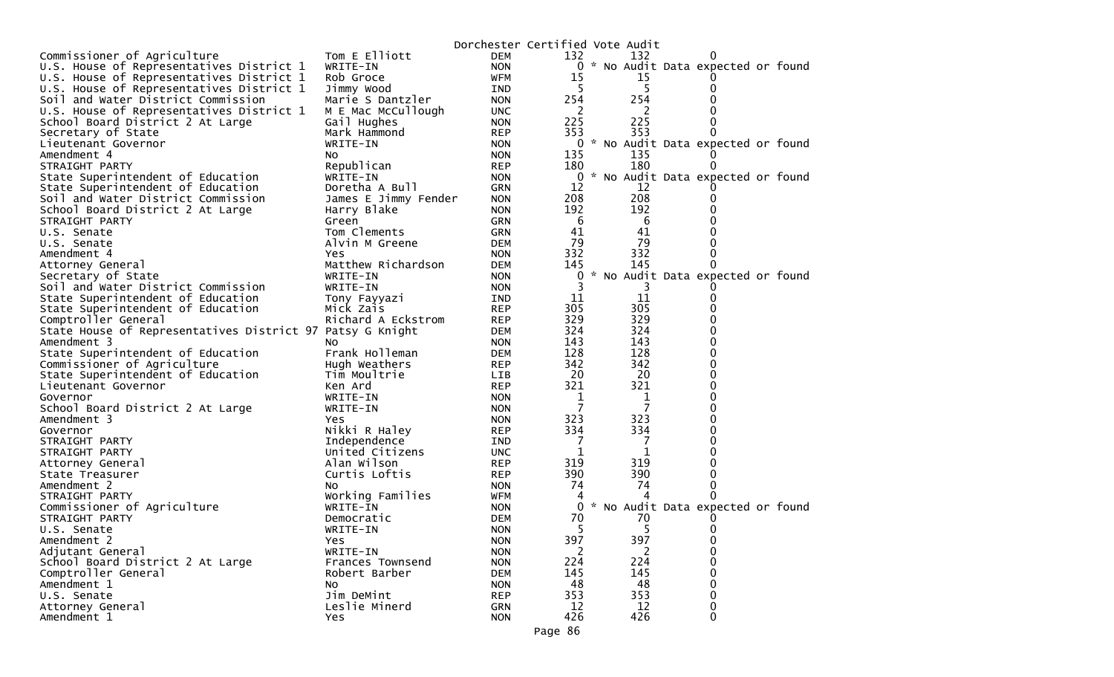|                                                           |                      | Dorchester Certified Vote Audit |     |     |                                     |  |
|-----------------------------------------------------------|----------------------|---------------------------------|-----|-----|-------------------------------------|--|
| Commissioner of Agriculture                               | Tom E Elliott        | <b>DEM</b>                      | 132 | 132 | $\Omega$                            |  |
| U.S. House of Representatives District 1                  | WRITE-IN             | <b>NON</b>                      |     |     | 0 * No Audit Data expected or found |  |
| U.S. House of Representatives District 1                  | Rob Groce            | WFM                             | 15  | 15  | $\Omega$                            |  |
| U.S. House of Representatives District 1                  | Jimmy Wood           | IND.                            |     | 5   | 0                                   |  |
| Soil and Water District Commission                        | Marie S Dantzler     | <b>NON</b>                      | 254 | 254 | 0                                   |  |
| U.S. House of Representatives District 1                  | M E Mac McCullough   | <b>UNC</b>                      | 2   | 2   |                                     |  |
| School Board District 2 At Large                          | Gail Hughes          | <b>NON</b>                      | 225 | 225 | 0                                   |  |
| Secretary of State                                        | Mark Hammond         | <b>REP</b>                      | 353 | 353 | 0                                   |  |
| Lieutenant Governor                                       | WRITE-IN             | <b>NON</b>                      | 0   |     | * No Audit Data expected or found   |  |
| Amendment 4                                               | NO.                  | <b>NON</b>                      | 135 | 135 |                                     |  |
| STRAIGHT PARTY                                            | Republican           | <b>REP</b>                      | 180 | 180 | 0                                   |  |
| State Superintendent of Education                         | WRITE-IN             | <b>NON</b>                      | 0   |     | * No Audit Data expected or found   |  |
| State Superintendent of Education                         | Doretha A Bull       | <b>GRN</b>                      | 12  | 12  |                                     |  |
| Soil and Water District Commission                        | James E Jimmy Fender | <b>NON</b>                      | 208 | 208 | 0                                   |  |
| School Board District 2 At Large                          | Harry Blake          | <b>NON</b>                      | 192 | 192 | 0                                   |  |
| STRAIGHT PARTY                                            | Green                | <b>GRN</b>                      | -6  | 6   | 0                                   |  |
| U.S. Senate                                               | Tom Clements         | <b>GRN</b>                      | 41  | 41  | 0                                   |  |
| U.S. Senate                                               | Alvin M Greene       | <b>DEM</b>                      | 79  | 79  | 0                                   |  |
| Amendment 4                                               | Yes                  | <b>NON</b>                      | 332 | 332 | 0                                   |  |
| Attorney General                                          | Matthew Richardson   | <b>DEM</b>                      | 145 | 145 | 0                                   |  |
| Secretary of State                                        | WRITE-IN             | <b>NON</b>                      | 0   |     | * No Audit Data expected or found   |  |
| Soil and Water District Commission                        | WRITE-IN             | <b>NON</b>                      |     |     |                                     |  |
| State Superintendent of Education                         | Tony Fayyazi         | IND                             | 11  | 11  | 0                                   |  |
| State Superintendent of Education                         | Mick Zais            | <b>REP</b>                      | 305 | 305 | 0                                   |  |
| Comptroller General                                       | Richard A Eckstrom   | <b>REP</b>                      | 329 | 329 | 0                                   |  |
| State House of Representatives District 97 Patsy G Knight |                      | <b>DEM</b>                      | 324 | 324 | 0                                   |  |
| Amendment 3                                               | NO.                  | <b>NON</b>                      | 143 | 143 | 0                                   |  |
| State Superintendent of Education                         | Frank Holleman       | <b>DEM</b>                      | 128 | 128 | 0                                   |  |
| Commissioner of Agriculture                               | Hugh Weathers        | <b>REP</b>                      | 342 | 342 | 0                                   |  |
| State Superintendent of Education                         | Tim Moultrie         | <b>LIB</b>                      | 20  | 20  | 0                                   |  |
| Lieutenant Governor                                       | Ken Ard              | <b>REP</b>                      | 321 | 321 | 0                                   |  |
| Governor                                                  | WRITE-IN             | <b>NON</b>                      | 1   | 1   | 0                                   |  |
| School Board District 2 At Large                          | WRITE-IN             | <b>NON</b>                      | 7   | 7   | 0                                   |  |
| Amendment 3                                               | Yes                  | <b>NON</b>                      | 323 | 323 | 0                                   |  |
| Governor                                                  | Nikki R Haley        | <b>REP</b>                      | 334 | 334 | 0                                   |  |
| STRAIGHT PARTY                                            | Independence         | <b>IND</b>                      | -7  | 7   | 0                                   |  |
| STRAIGHT PARTY                                            | United Citizens      | <b>UNC</b>                      | 1   | 1   | 0                                   |  |
| Attorney General                                          | Alan Wilson          | <b>REP</b>                      | 319 | 319 | 0                                   |  |
| State Treasurer                                           | Curtis Loftis        | <b>REP</b>                      | 390 | 390 | 0                                   |  |
| Amendment 2                                               | NO.                  | <b>NON</b>                      | 74  | 74  | 0                                   |  |
| STRAIGHT PARTY                                            | Working Families     | WFM                             | 4   |     | U                                   |  |
| Commissioner of Agriculture                               | WRITE-IN             | <b>NON</b>                      | 0   |     | * No Audit Data expected or found   |  |
| STRAIGHT PARTY                                            | Democratic           | <b>DEM</b>                      | 70  | 70  |                                     |  |
| U.S. Senate                                               | WRITE-IN             | <b>NON</b>                      | 5   | 5   | 0                                   |  |
| Amendment 2                                               | Yes                  | <b>NON</b>                      | 397 | 397 | 0                                   |  |
| Adjutant General                                          | WRITE-IN             | <b>NON</b>                      | 2   | 2   | 0                                   |  |
| School Board District 2 At Large                          | Frances Townsend     | <b>NON</b>                      | 224 | 224 | 0                                   |  |
| Comptroller General                                       | Robert Barber        | <b>DEM</b>                      | 145 | 145 | 0                                   |  |
| Amendment 1                                               | No                   | <b>NON</b>                      | 48  | 48  | 0                                   |  |
| U.S. Senate                                               | Jim DeMint           | <b>REP</b>                      | 353 | 353 | 0                                   |  |
| Attorney General                                          | Leslie Minerd        | <b>GRN</b>                      | 12  | 12  | $\pmb{0}$                           |  |
| Amendment 1                                               | Yes                  | <b>NON</b>                      | 426 | 426 | $\mathbf 0$                         |  |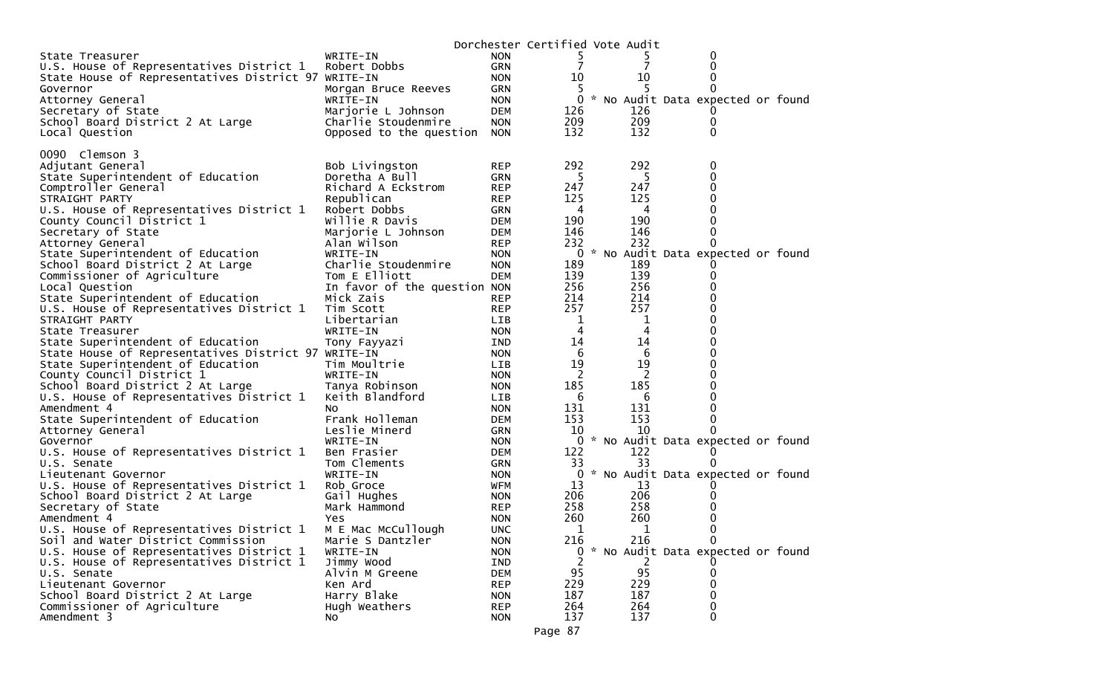|                                                     |                              |            | Dorchester Certified Vote Audit |     |                                   |  |
|-----------------------------------------------------|------------------------------|------------|---------------------------------|-----|-----------------------------------|--|
| State Treasurer                                     | WRITE-IN                     | <b>NON</b> |                                 |     | 0                                 |  |
| U.S. House of Representatives District 1            | Robert Dobbs                 | <b>GRN</b> |                                 | 7   | 0                                 |  |
| State House of Representatives District 97 WRITE-IN |                              | <b>NON</b> | 10                              | 10  | 0                                 |  |
| Governor                                            | Morgan Bruce Reeves          | GRN        | 5                               |     | 0                                 |  |
| Attorney General                                    | WRITE-IN                     | <b>NON</b> | $\overline{0}$                  |     | * No Audit Data expected or found |  |
| Secretary of State                                  | Marjorie L Johnson           | DEM        | 126                             | 126 |                                   |  |
| School Board District 2 At Large                    | Charlie Stoudenmire          | <b>NON</b> | 209                             | 209 | $\bf{0}$                          |  |
| Local Question                                      | Opposed to the question      | <b>NON</b> | 132                             | 132 | 0                                 |  |
|                                                     |                              |            |                                 |     |                                   |  |
| 0090 Clemson 3                                      |                              |            |                                 |     |                                   |  |
| Adjutant General                                    | Bob Livingston               | <b>REP</b> | 292                             | 292 | 0                                 |  |
| State Superintendent of Education                   | Doretha A Bull               | GRN        | 5                               | 5   | 0                                 |  |
| Comptroller General                                 | Richard A Eckstrom           | <b>REP</b> | 247                             | 247 | 0                                 |  |
| STRAIGHT PARTY                                      | Republican                   | <b>REP</b> | 125                             | 125 | 0                                 |  |
| U.S. House of Representatives District 1            | Robert Dobbs                 | GRN        | 4                               | 4   | 0                                 |  |
| County Council District 1                           | Willie R Davis               | DEM        | 190                             | 190 | 0                                 |  |
| Secretary of State                                  | Marjorie L Johnson           | DEM        | 146                             | 146 | 0                                 |  |
| Attorney General                                    | Alan Wilson                  | REP        | 232                             | 232 | 0                                 |  |
| State Superintendent of Education                   | WRITE-IN                     | <b>NON</b> | 0                               |     | * No Audit Data expected or found |  |
| School Board District 2 At Large                    | Charlie Stoudenmire          | <b>NON</b> | 189                             | 189 |                                   |  |
| Commissioner of Agriculture                         | Tom E Elliott                | DEM        | 139                             | 139 | 0                                 |  |
| Local Question                                      | In favor of the question NON |            | 256                             | 256 | 0                                 |  |
| State Superintendent of Education                   | Mick Zais                    | REP        | 214                             | 214 | 0                                 |  |
| U.S. House of Representatives District 1            | Tim Scott                    | REP        | 257                             | 257 | 0                                 |  |
| STRAIGHT PARTY                                      | Libertarian                  | LIB.       | $\mathbf 1$                     | 1   | 0                                 |  |
| State Treasurer                                     | WRITE-IN                     | <b>NON</b> | 4                               | 4   | 0                                 |  |
| State Superintendent of Education                   | Tony Fayyazi                 | IND        | 14                              | 14  | 0                                 |  |
| State House of Representatives District 97 WRITE-IN |                              | <b>NON</b> | 6                               | 6   | 0                                 |  |
| State Superintendent of Education                   | Tim Moultrie                 | LIB        | 19                              | 19  | 0                                 |  |
| County Council District 1                           | WRITE-IN                     | <b>NON</b> | 2                               | 2   | 0                                 |  |
| School Board District 2 At Large                    | Tanya Robinson               | <b>NON</b> | 185                             | 185 | 0                                 |  |
| U.S. House of Representatives District 1            | Keith Blandford              | LIB        | 6                               | 6   | 0                                 |  |
| Amendment 4                                         | NO.                          | <b>NON</b> | 131                             | 131 | 0                                 |  |
| State Superintendent of Education                   | Frank Holleman               | DEM        | 153                             | 153 | 0                                 |  |
| Attorney General                                    | Leslie Minerd                | GRN        | 10                              | 10  | 0                                 |  |
| Governor                                            | WRITE-IN                     | <b>NON</b> | 0                               |     | * No Audit Data expected or found |  |
| U.S. House of Representatives District 1            | Ben Frasier                  | DEM        | 122                             | 122 |                                   |  |
| U.S. Senate                                         | Tom Clements                 | <b>GRN</b> | 33                              | 33  | 0                                 |  |
| Lieutenant Governor                                 | WRITE-IN                     | <b>NON</b> | 0                               |     | * No Audit Data expected or found |  |
| U.S. House of Representatives District 1            | Rob Groce                    | WFM        | 13                              | 13  |                                   |  |
| School Board District 2 At Large                    | Gail Hughes                  | <b>NON</b> | 206                             | 206 | 0                                 |  |
| Secretary of State                                  | Mark Hammond                 | <b>REP</b> | 258                             | 258 | 0                                 |  |
| Amendment 4                                         | Yes                          | <b>NON</b> | 260                             | 260 | 0                                 |  |
| U.S. House of Representatives District 1            | M E Mac McCullough           | <b>UNC</b> | 1                               | 1   | $\Omega$                          |  |
| Soil and Water District Commission                  | Marie S Dantzler             | <b>NON</b> | 216                             | 216 | 0                                 |  |
| U.S. House of Representatives District 1            | WRITE-IN                     | <b>NON</b> | 0                               |     | * No Audit Data expected or found |  |
| U.S. House of Representatives District 1            | Jimmy Wood                   | IND        |                                 |     |                                   |  |
| U.S. Senate                                         | Alvin M Greene               | <b>DEM</b> | 95                              | 95  | 0                                 |  |
| Lieutenant Governor                                 | Ken Ard                      | <b>REP</b> | 229                             | 229 | 0                                 |  |
| School Board District 2 At Large                    | Harry Blake                  | <b>NON</b> | 187                             | 187 | 0                                 |  |
| Commissioner of Agriculture                         | Hugh Weathers                | <b>REP</b> | 264                             | 264 | 0                                 |  |
| Amendment 3                                         | NO.                          | <b>NON</b> | 137                             | 137 | 0                                 |  |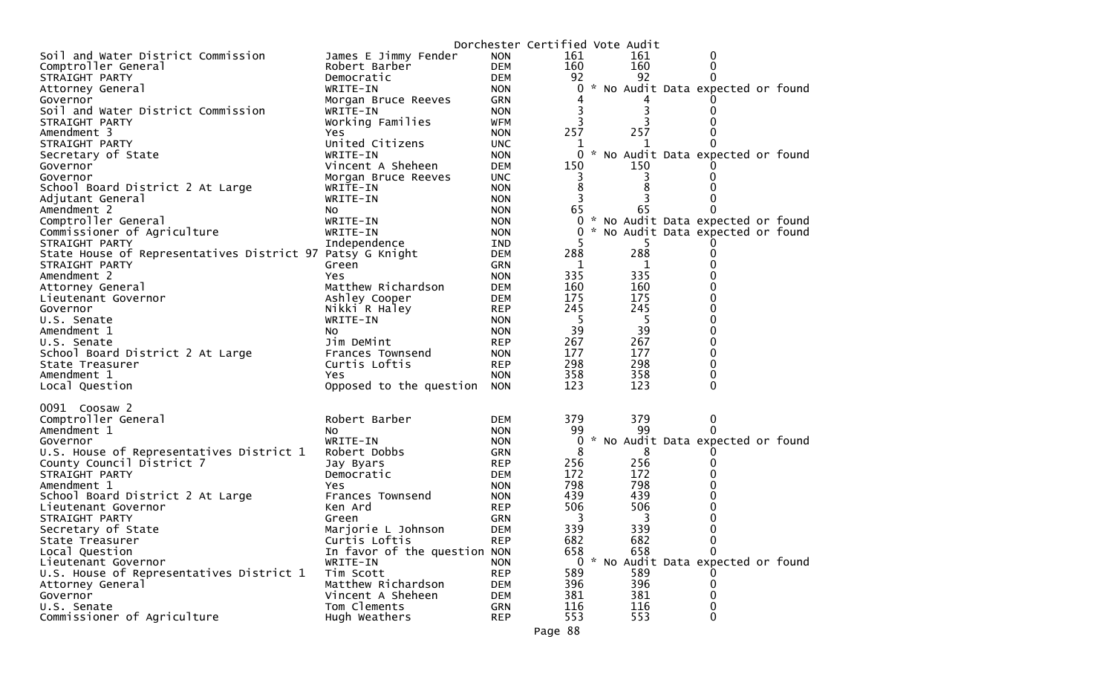|                                                              |                                 |                          | Dorchester Certified Vote Audit |            |                                                 |  |
|--------------------------------------------------------------|---------------------------------|--------------------------|---------------------------------|------------|-------------------------------------------------|--|
| Soil and Water District Commission                           | James E Jimmy Fender            | <b>NON</b>               | 161                             | 161        | 0                                               |  |
| Comptroller General                                          | Robert Barber                   | <b>DEM</b>               | 160                             | 160        | 0                                               |  |
| STRAIGHT PARTY                                               | Democratic                      | <b>DEM</b>               | 92                              | 92         | 0                                               |  |
| Attorney General                                             | WRITE-IN                        | <b>NON</b>               | 0                               |            | * No Audit Data expected or found               |  |
| Governor                                                     | Morgan Bruce Reeves             | <b>GRN</b>               |                                 |            |                                                 |  |
| Soil and Water District Commission                           | WRITE-IN                        | <b>NON</b>               |                                 | 3          | $\Omega$                                        |  |
| STRAIGHT PARTY                                               | Working Families                | <b>WFM</b>               |                                 |            |                                                 |  |
| Amendment 3                                                  | Yes<br>United Citizens          | <b>NON</b>               | 257                             | 257        |                                                 |  |
| STRAIGHT PARTY                                               |                                 | <b>UNC</b>               | 1<br>0                          | 1          | * No Audit Data expected or found               |  |
| Secretary of State<br>Governor                               | WRITE-IN<br>Vincent A Sheheen   | <b>NON</b><br><b>DEM</b> | 150                             | 150        |                                                 |  |
| Governor                                                     | Morgan Bruce Reeves             | <b>UNC</b>               | 3                               |            |                                                 |  |
| School Board District 2 At Large                             | WRITE-IN                        | <b>NON</b>               | 8                               |            |                                                 |  |
| Adjutant General                                             | WRITE-IN                        | <b>NON</b>               | 3                               |            |                                                 |  |
| Amendment 2                                                  | NO.                             | <b>NON</b>               | 65                              | 65         |                                                 |  |
| Comptroller General                                          | WRITE-IN                        | <b>NON</b>               | 0                               |            | * No Audit Data expected or found               |  |
| Commissioner of Agriculture                                  | WRITE-IN                        | <b>NON</b>               | 0                               |            | * No Audit Data expected or found               |  |
| STRAIGHT PARTY                                               | Independence                    | IND                      | 5                               | 5.         |                                                 |  |
| State House of Representatives District 97 Patsy G Knight    |                                 | <b>DEM</b>               | 288                             | 288        | 0                                               |  |
| STRAIGHT PARTY                                               | Green                           | <b>GRN</b>               | 1                               | 1          | 0                                               |  |
| Amendment 2                                                  | Yes                             | <b>NON</b>               | 335                             | 335        |                                                 |  |
| Attorney General                                             | Matthew Richardson              | <b>DEM</b>               | 160                             | 160        | 0                                               |  |
| Lieutenant Governor                                          | Ashley Cooper                   | <b>DEM</b>               | 175                             | 175        | $\Omega$                                        |  |
| Governor                                                     | Nikki R Haley                   | <b>REP</b>               | 245                             | 245        | 0                                               |  |
| U.S. Senate                                                  | WRITE-IN                        | <b>NON</b>               | -5                              | -5         | $\Omega$                                        |  |
| Amendment 1                                                  | NO.                             | <b>NON</b>               | 39                              | 39         | $\Omega$                                        |  |
| U.S. Senate                                                  | Jim DeMint                      | <b>REP</b>               | 267                             | 267        | $\Omega$                                        |  |
| School Board District 2 At Large                             | Frances Townsend                | <b>NON</b>               | 177                             | 177        | $\Omega$                                        |  |
| State Treasurer                                              | Curtis Loftis                   | <b>REP</b>               | 298                             | 298        | 0                                               |  |
| Amendment 1                                                  | Yes                             | <b>NON</b>               | 358                             | 358        | 0                                               |  |
| Local Question                                               | Opposed to the question         | <b>NON</b>               | 123                             | 123        | $\Omega$                                        |  |
| 0091 Coosaw 2                                                |                                 |                          |                                 |            |                                                 |  |
| Comptroller General                                          | Robert Barber                   | <b>DEM</b>               | 379                             | 379        | 0                                               |  |
| Amendment 1                                                  | NO.                             | <b>NON</b>               | 99                              | 99         | 0                                               |  |
| Governor                                                     | WRITE-IN                        | <b>NON</b>               | 0                               |            | * No Audit Data expected or found               |  |
| U.S. House of Representatives District 1                     | Robert Dobbs                    | <b>GRN</b>               | 8                               | 8          |                                                 |  |
| County Council District 7                                    | Jay Byars                       | <b>REP</b>               | 256                             | 256        |                                                 |  |
| STRAIGHT PARTY                                               | Democratic                      | <b>DEM</b>               | 172                             | 172        |                                                 |  |
| Amendment 1                                                  | Yes                             | <b>NON</b>               | 798                             | 798        |                                                 |  |
| School Board District 2 At Large                             | Frances Townsend                | <b>NON</b>               | 439                             | 439        |                                                 |  |
| Lieutenant Governor                                          | Ken Ard                         | <b>REP</b>               | 506                             | 506        |                                                 |  |
| STRAIGHT PARTY                                               | Green                           | <b>GRN</b>               | 3                               | 3          |                                                 |  |
| Secretary of State                                           | Marjorie L Johnson              | <b>DEM</b>               | 339                             | 339        | 0                                               |  |
| State Treasurer                                              | Curtis Loftis                   | <b>REP</b>               | 682                             | 682        | 0                                               |  |
| Local Question                                               | In favor of the question NON    |                          | 658                             | 658        | $\Omega$<br>0 * No Audit Data expected or found |  |
| Lieutenant Governor                                          | WRITE-IN                        | <b>NON</b>               |                                 |            |                                                 |  |
| U.S. House of Representatives District 1<br>Attorney General | Tim Scott<br>Matthew Richardson | <b>REP</b><br><b>DEM</b> | 589<br>396                      | 589<br>396 | 0                                               |  |
| Governor                                                     | Vincent A Sheheen               | <b>DEM</b>               | 381                             | 381        | 0                                               |  |
| U.S. Senate                                                  | Tom Clements                    | <b>GRN</b>               | 116                             | 116        | 0                                               |  |
| Commissioner of Agriculture                                  | Hugh Weathers                   | <b>REP</b>               | 553                             | 553        | 0                                               |  |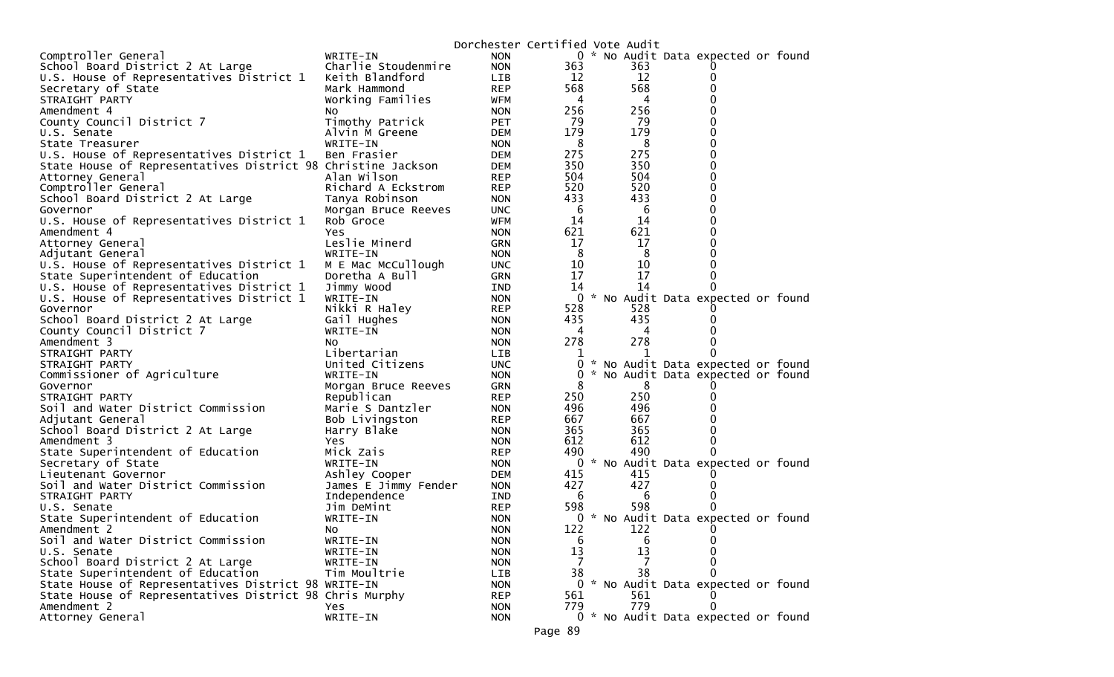|                                                               |                         | Dorchester Certified Vote Audit |             |          |                                     |  |
|---------------------------------------------------------------|-------------------------|---------------------------------|-------------|----------|-------------------------------------|--|
| Comptroller General                                           | WRITE-IN                | <b>NON</b>                      |             |          | 0 * No Audit Data expected or found |  |
| School Board District 2 At Large                              | Charlie Stoudenmire     | <b>NON</b>                      | 363         | 363      |                                     |  |
| U.S. House of Representatives District 1                      | Keith Blandford         | LIB                             | 12          | 12       |                                     |  |
| Secretary of State                                            | Mark Hammond            | <b>REP</b>                      | 568         | 568      |                                     |  |
| STRAIGHT PARTY                                                | Working Families        | WFM                             | 4           | 4        |                                     |  |
| Amendment 4                                                   | <b>NO</b>               | <b>NON</b>                      | 256         | 256      |                                     |  |
| County Council District 7                                     | Timothy Patrick         | <b>PET</b>                      | 79          | 79       |                                     |  |
| U.S. Senate                                                   | Alvin M Greene          | <b>DEM</b>                      | 179         | 179      |                                     |  |
| State Treasurer                                               | WRITE-IN                | <b>NON</b>                      | 8           | 8        |                                     |  |
| U.S. House of Representatives District 1                      | Ben Frasier             | <b>DEM</b>                      | 275         | 275      |                                     |  |
| State House of Representatives District 98 Christine Jackson  |                         | <b>DEM</b>                      | 350         | 350      |                                     |  |
| Attorney General                                              | Alan Wilson             | <b>REP</b>                      | 504         | 504      |                                     |  |
| Comptroller General                                           | Richard A Eckstrom      | <b>REP</b>                      | 520         | 520      |                                     |  |
| School Board District 2 At Large                              | Tanya Robinson          | <b>NON</b>                      | 433         | 433      |                                     |  |
| Governor                                                      | Morgan Bruce Reeves     | <b>UNC</b>                      | 6           | 6        |                                     |  |
| U.S. House of Representatives District 1                      | Rob Groce               | <b>WFM</b>                      | 14          | 14       |                                     |  |
| Amendment 4                                                   | Yes                     | <b>NON</b>                      | 621         | 621      |                                     |  |
| Attorney General                                              | Leslie Minerd           | <b>GRN</b>                      | 17          | 17       |                                     |  |
| Adjutant General                                              | WRITE-IN                | <b>NON</b>                      | 8           | 8        |                                     |  |
| U.S. House of Representatives District 1                      | M E Mac McCullough      | <b>UNC</b>                      | 10          | 10       |                                     |  |
| State Superintendent of Education                             | Doretha A Bull          | <b>GRN</b>                      | 17          | 17<br>14 |                                     |  |
| U.S. House of Representatives District 1                      | Jimmy Wood              | IND                             | 14          |          |                                     |  |
| U.S. House of Representatives District 1                      | WRITE-IN                | <b>NON</b>                      |             | 528      | 0 * No Audit Data expected or found |  |
| Governor                                                      | Nikki R Haley           | <b>REP</b>                      | 528<br>435  | 435      |                                     |  |
| School Board District 2 At Large<br>County Council District 7 | Gail Hughes<br>WRITE-IN | <b>NON</b><br><b>NON</b>        | 4           | 4        |                                     |  |
| Amendment 3                                                   | NO.                     | <b>NON</b>                      | 278         | 278      |                                     |  |
| STRAIGHT PARTY                                                | Libertarian             | <b>LIB</b>                      |             |          |                                     |  |
| STRAIGHT PARTY                                                | United Citizens         | <b>UNC</b>                      | $\mathbf 0$ |          | * No Audit Data expected or found   |  |
| Commissioner of Agriculture                                   | WRITE-IN                | <b>NON</b>                      | 0           |          | * No Audit Data expected or found   |  |
| Governor                                                      | Morgan Bruce Reeves     | <b>GRN</b>                      | 8           | 8        |                                     |  |
| STRAIGHT PARTY                                                | Republican              | <b>REP</b>                      | 250         | 250      |                                     |  |
| Soil and Water District Commission                            | Marie S Dantzler        | <b>NON</b>                      | 496         | 496      |                                     |  |
| Adjutant General                                              | Bob Livingston          | <b>REP</b>                      | 667         | 667      |                                     |  |
| School Board District 2 At Large                              | Harry Blake             | <b>NON</b>                      | 365         | 365      |                                     |  |
| Amendment 3                                                   | Yes                     | <b>NON</b>                      | 612         | 612      |                                     |  |
| State Superintendent of Education                             | Mick Zais               | <b>REP</b>                      | 490         | 490      |                                     |  |
| Secretary of State                                            | WRITE-IN                | <b>NON</b>                      | 0           |          | * No Audit Data expected or found   |  |
| Lieutenant Governor                                           | Ashley Cooper           | <b>DEM</b>                      | 415         | 415      |                                     |  |
| Soil and Water District Commission                            | James E Jimmy Fender    | <b>NON</b>                      | 427         | 427      |                                     |  |
| STRAIGHT PARTY                                                | Independence            | IND                             | 6           | 6        |                                     |  |
| U.S. Senate                                                   | Jim DeMint              | <b>REP</b>                      | 598         | 598      |                                     |  |
| State Superintendent of Education                             | WRITE-IN                | <b>NON</b>                      | 0           |          | * No Audit Data expected or found   |  |
| Amendment 2                                                   | NO.                     | <b>NON</b>                      | 122         | 122      |                                     |  |
| Soil and Water District Commission                            | WRITE-IN                | <b>NON</b>                      | 6           | 6        | 0                                   |  |
| U.S. Senate                                                   | WRITE-IN                | <b>NON</b>                      | 13          | 13       | 0                                   |  |
| School Board District 2 At Large                              | WRITE-IN                | <b>NON</b>                      | 7           |          |                                     |  |
| State Superintendent of Education                             | Tim Moultrie            | LIB                             | 38          | 38       | 0                                   |  |
| State House of Representatives District 98 WRITE-IN           |                         | <b>NON</b>                      |             |          | 0 * No Audit Data expected or found |  |
| State House of Representatives District 98 Chris Murphy       |                         | <b>REP</b>                      | 561         | 561      |                                     |  |
| Amendment 2                                                   | <b>Yes</b>              | <b>NON</b>                      | 779         | 779      | 0                                   |  |
| Attorney General                                              | WRITE-IN                | <b>NON</b>                      |             |          | 0 * No Audit Data expected or found |  |
|                                                               |                         |                                 | Page 89     |          |                                     |  |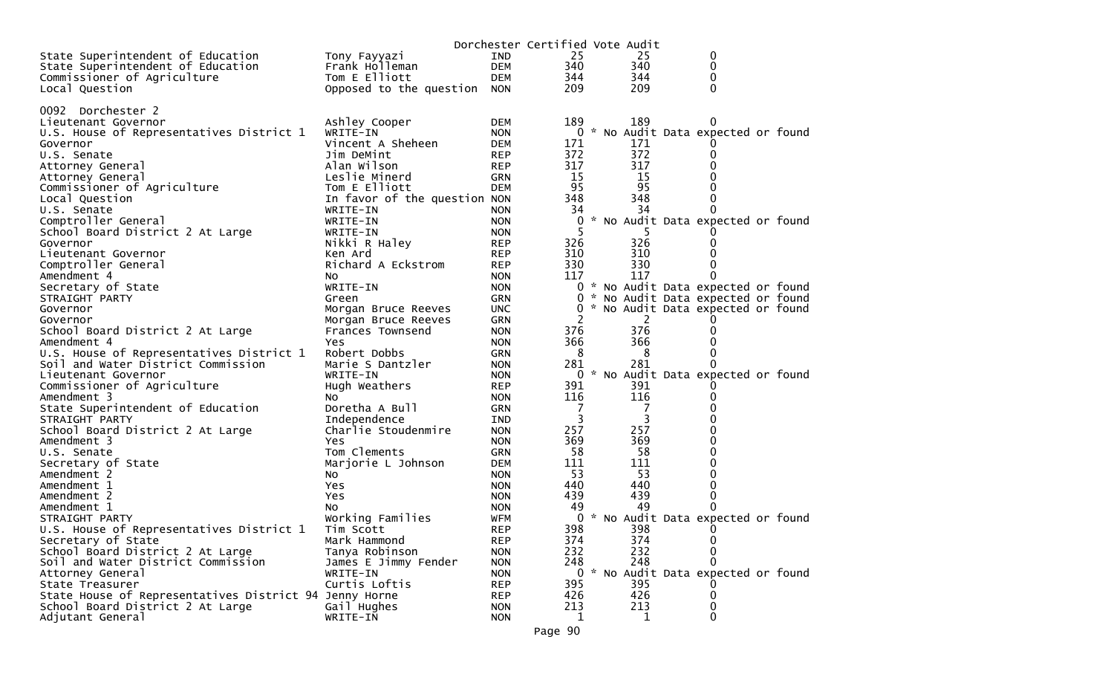|                                                        |                               |                          | Dorchester Certified Vote Audit |                |                                                                          |  |
|--------------------------------------------------------|-------------------------------|--------------------------|---------------------------------|----------------|--------------------------------------------------------------------------|--|
| State Superintendent of Education                      | Tony Fayyazi                  | <b>IND</b>               | 25                              | 25             | 0                                                                        |  |
| State Superintendent of Education                      | Frank Holleman                | <b>DEM</b>               | 340                             | 340            | 0                                                                        |  |
| Commissioner of Agriculture                            | Tom E Elliott                 | <b>DEM</b>               | 344                             | 344            | 0                                                                        |  |
| Local Question                                         | Opposed to the question       | <b>NON</b>               | 209                             | 209            | 0                                                                        |  |
|                                                        |                               |                          |                                 |                |                                                                          |  |
| 0092 Dorchester 2                                      |                               |                          |                                 |                |                                                                          |  |
| Lieutenant Governor                                    | Ashley Cooper                 | <b>DEM</b>               | 189                             | 189            |                                                                          |  |
| U.S. House of Representatives District 1               | WRITE-IN                      | <b>NON</b>               |                                 |                | 0 * No Audit Data expected or found                                      |  |
| Governor                                               | Vincent A Sheheen             | DEM                      | 171                             | 171            |                                                                          |  |
| U.S. Senate                                            | Jim DeMint                    | <b>REP</b>               | 372                             | 372            | 0                                                                        |  |
| Attorney General                                       | Alan Wilson                   | <b>REP</b>               | 317                             | 317            | 0                                                                        |  |
| Attorney General                                       | Leslie Minerd                 | GRN                      | 15                              | 15             | 0                                                                        |  |
| Commissioner of Agriculture                            | Tom E Elliott                 | <b>DEM</b>               | 95                              | 95             | 0                                                                        |  |
| Local Question                                         | In favor of the question NON  |                          | 348                             | 348            | 0                                                                        |  |
| U.S. Senate                                            | WRITE-IN                      | <b>NON</b>               | 34                              | 34             | 0                                                                        |  |
| Comptroller General                                    | WRITE-IN                      | <b>NON</b>               | 0                               |                | * No Audit Data expected or found                                        |  |
| School Board District 2 At Large                       | WRITE-IN                      | <b>NON</b>               | 5                               |                |                                                                          |  |
| Governor                                               | Nikki R Haley                 | <b>REP</b>               | 326                             | 326            | 0                                                                        |  |
| Lieutenant Governor                                    | Ken Ard<br>Richard A Eckstrom | <b>REP</b>               | 310<br>330                      | 310<br>330     | 0<br>0                                                                   |  |
| Comptroller General                                    |                               | <b>REP</b>               | 117                             | 117            | 0                                                                        |  |
| Amendment 4<br>Secretary of State                      | NO.<br>WRITE-IN               | <b>NON</b><br><b>NON</b> |                                 |                |                                                                          |  |
| STRAIGHT PARTY                                         | Green                         | <b>GRN</b>               | $\overline{0}$                  |                | 0 * No Audit Data expected or found<br>* No Audit Data expected or found |  |
| Governor                                               | Morgan Bruce Reeves           | <b>UNC</b>               |                                 |                | 0 * No Audit Data expected or found                                      |  |
| Governor                                               | Morgan Bruce Reeves           | <b>GRN</b>               | 2                               | $\overline{2}$ |                                                                          |  |
| School Board District 2 At Large                       | Frances Townsend              | <b>NON</b>               | 376                             | 376            | 0                                                                        |  |
| Amendment 4                                            | Yes                           | <b>NON</b>               | 366                             | 366            | 0                                                                        |  |
| U.S. House of Representatives District 1               | Robert Dobbs                  | <b>GRN</b>               | 8                               | 8              | 0                                                                        |  |
| Soil and Water District Commission                     | Marie S Dantzler              | <b>NON</b>               | 281                             | 281            | $\Omega$                                                                 |  |
| Lieutenant Governor                                    | WRITE-IN                      | <b>NON</b>               | 0                               |                | * No Audit Data expected or found                                        |  |
| Commissioner of Agriculture                            | Hugh Weathers                 | <b>REP</b>               | 391                             | 391            |                                                                          |  |
| Amendment 3                                            | No.                           | <b>NON</b>               | 116                             | 116            | 0                                                                        |  |
| State Superintendent of Education                      | Doretha A Bull                | <b>GRN</b>               | 7                               | 7              | 0                                                                        |  |
| STRAIGHT PARTY                                         | Independence                  | IND                      | 3                               | 3              | 0                                                                        |  |
| School Board District 2 At Large                       | Charlie Stoudenmire           | <b>NON</b>               | 257                             | 257            | 0                                                                        |  |
| Amendment 3                                            | Yes                           | <b>NON</b>               | 369                             | 369            | 0                                                                        |  |
| U.S. Senate                                            | Tom Clements                  | <b>GRN</b>               | 58                              | 58             | 0                                                                        |  |
| Secretary of State                                     | Marjorie L Johnson            | DEM                      | 111                             | 111            | 0                                                                        |  |
| Amendment 2                                            | No                            | <b>NON</b>               | 53                              | 53             | 0                                                                        |  |
| Amendment 1                                            | Yes                           | <b>NON</b>               | 440                             | 440            | $\mathbf 0$                                                              |  |
| Amendment 2                                            | Yes                           | <b>NON</b>               | 439                             | 439            | 0                                                                        |  |
| Amendment 1                                            | NO.                           | <b>NON</b>               | 49                              | 49             | 0                                                                        |  |
| STRAIGHT PARTY                                         | Working Families              | <b>WFM</b>               | 0                               |                | * No Audit Data expected or found                                        |  |
| U.S. House of Representatives District 1               | Tim Scott                     | <b>REP</b>               | 398                             | 398            | $\Omega$                                                                 |  |
| Secretary of State                                     | Mark Hammond                  | <b>REP</b>               | 374                             | 374            | 0                                                                        |  |
| School Board District 2 At Large                       | Tanya Robinson                | <b>NON</b>               | 232                             | 232            | 0                                                                        |  |
| Soil and Water District Commission                     | James E Jimmy Fender          | <b>NON</b>               | 248                             | 248            | 0                                                                        |  |
| Attorney General                                       | WRITE-IN                      | <b>NON</b>               |                                 |                | 0 * No Audit Data expected or found                                      |  |
| State Treasurer                                        | Curtis Loftis                 | <b>REP</b>               | 395                             | 395            |                                                                          |  |
| State House of Representatives District 94 Jenny Horne |                               | <b>REP</b>               | 426                             | 426            | 0                                                                        |  |
| School Board District 2 At Large                       | Gail Hughes                   | <b>NON</b>               | 213                             | 213            | 0                                                                        |  |
| Adjutant General                                       | WRITE-IN                      | <b>NON</b>               | 1                               | 1              | 0                                                                        |  |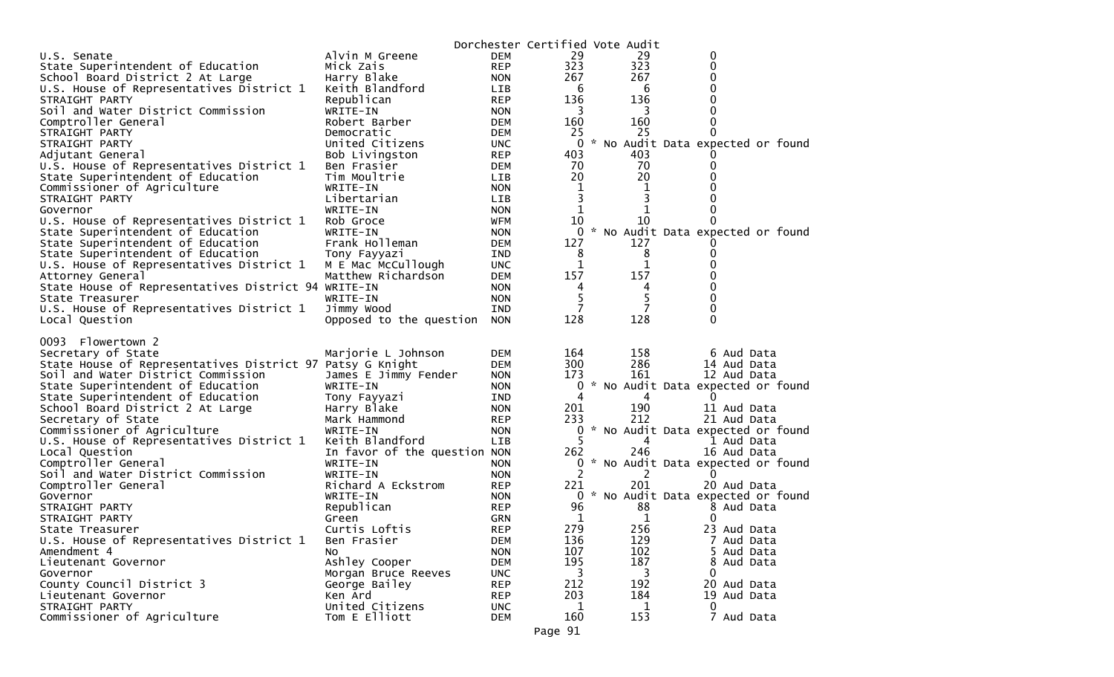|                                                             |                                          |                          | Dorchester Certified Vote Audit |          |                                                 |
|-------------------------------------------------------------|------------------------------------------|--------------------------|---------------------------------|----------|-------------------------------------------------|
| U.S. Senate                                                 | Alvin M Greene                           | <b>DEM</b>               | 29                              | 29       | 0                                               |
| State Superintendent of Education                           | Mick Zais                                | <b>REP</b>               | 323                             | 323      | 0                                               |
| School Board District 2 At Large                            | Harry Blake                              | <b>NON</b>               | 267                             | 267      | 0                                               |
| U.S. House of Representatives District 1                    | Keith Blandford                          | LIB.                     | 6                               | 6        | 0                                               |
| STRAIGHT PARTY                                              | Republican                               | REP                      | 136                             | 136      | 0                                               |
| Soil and Water District Commission                          | WRITE-IN                                 | <b>NON</b>               | 3                               | 3        | 0                                               |
| Comptroller General                                         | Robert Barber                            | <b>DEM</b>               | 160                             | 160      | 0                                               |
| STRAIGHT PARTY                                              | Democratic                               | <b>DEM</b>               | 25                              | 25       | 0                                               |
| STRAIGHT PARTY                                              | United Citizens                          | UNC.                     | 0                               |          | * No Audit Data expected or found               |
| Adjutant General                                            | Bob Livingston                           | <b>REP</b>               | 403                             | 403      |                                                 |
| U.S. House of Representatives District 1                    | Ben Frasier                              | DEM                      | 70                              | 70       | 0                                               |
| State Superintendent of Education                           | Tim Moultrie                             | LIB                      | 20                              | 20       |                                                 |
| Commissioner of Agriculture                                 | WRITE-IN                                 | <b>NON</b>               | 1                               | 1        |                                                 |
| STRAIGHT PARTY                                              | Libertarian                              | <b>LIB</b>               | 3                               | 3        |                                                 |
| Governor                                                    | WRITE-IN                                 | <b>NON</b>               | 1                               |          | 0                                               |
| U.S. House of Representatives District 1                    | Rob Groce                                | <b>WFM</b>               | 10                              | 10       |                                                 |
| State Superintendent of Education                           | WRITE-IN                                 | <b>NON</b>               | $\overline{0}$                  |          | * No Audit Data expected or found               |
| State Superintendent of Education                           | Frank Holleman                           | <b>DEM</b>               | 127                             | 127      |                                                 |
| State Superintendent of Education                           | Tony Fayyazi                             | IND                      | 8<br>$\mathbf{1}$               | 8        | 0                                               |
| U.S. House of Representatives District 1                    | M E Mac McCullough                       | <b>UNC</b>               |                                 | 1<br>157 | 0                                               |
| Attorney General                                            | Matthew Richardson                       | <b>DEM</b>               | 157<br>4                        |          | 0<br>0                                          |
| State House of Representatives District 94 WRITE-IN         | WRITE-IN                                 | <b>NON</b>               | 5                               | 4<br>5   |                                                 |
| State Treasurer<br>U.S. House of Representatives District 1 | Jimmy Wood                               | <b>NON</b><br><b>IND</b> | 7                               |          | 0<br>0                                          |
| Local Question                                              | Opposed to the question                  | <b>NON</b>               | 128                             | 128      | $\Omega$                                        |
|                                                             |                                          |                          |                                 |          |                                                 |
|                                                             |                                          |                          |                                 |          |                                                 |
|                                                             |                                          |                          |                                 |          |                                                 |
| 0093<br>Flowertown 2                                        |                                          |                          |                                 |          |                                                 |
| Secretary of State                                          | Marjorie L Johnson                       | <b>DEM</b>               | 164                             | 158      | 6 Aud Data                                      |
| State House of Representatives District 97 Patsy G Knight   |                                          | <b>DEM</b>               | 300                             | 286      | 14 Aud Data                                     |
| Soil and Water District Commission                          | James E Jimmy Fender                     | <b>NON</b>               | 173                             | 161      | 12 Aud Data                                     |
| State Superintendent of Education                           | WRITE-IN                                 | <b>NON</b>               | 0<br>4                          |          | * No Audit Data expected or found<br>0          |
| State Superintendent of Education                           | Tony Fayyazi                             | IND.                     |                                 | 4        |                                                 |
| School Board District 2 At Large                            | Harry Blake                              | <b>NON</b>               | 201                             | 190      | 11 Aud Data                                     |
| Secretary of State                                          | Mark Hammond                             | <b>REP</b>               | 233<br>0                        | 212      | 21 Aud Data                                     |
| Commissioner of Agriculture                                 | WRITE-IN                                 | <b>NON</b><br><b>LIB</b> | 5                               | 4        | * No Audit Data expected or found<br>1 Aud Data |
| U.S. House of Representatives District 1                    | Keith Blandford                          |                          | 262                             | 246      | 16 Aud Data                                     |
| Local Question<br>Comptroller General                       | In favor of the question NON<br>WRITE-IN | <b>NON</b>               | 0                               |          |                                                 |
| Soil and Water District Commission                          | WRITE-IN                                 | <b>NON</b>               | 2                               | 2        | * No Audit Data expected or found<br>$\Omega$   |
| Comptroller General                                         | Richard A Eckstrom                       | <b>REP</b>               | 221                             | 201      | 20 Aud Data                                     |
| Governor                                                    | WRITE-IN                                 | <b>NON</b>               |                                 |          | 0 * No Audit Data expected or found             |
| STRAIGHT PARTY                                              | Republican                               | <b>REP</b>               | 96                              | 88       | 8 Aud Data                                      |
| STRAIGHT PARTY                                              | Green                                    | <b>GRN</b>               | 1                               | 1        | 0                                               |
| State Treasurer                                             | Curtis Loftis                            | <b>REP</b>               | 279                             | 256      | 23 Aud Data                                     |
| U.S. House of Representatives District 1                    | Ben Frasier                              | <b>DEM</b>               | 136                             | 129      | 7 Aud Data                                      |
| Amendment 4                                                 | NO.                                      | <b>NON</b>               | 107                             | 102      | 5 Aud Data                                      |
| Lieutenant Governor                                         | Ashley Cooper                            | <b>DEM</b>               | 195                             | 187      | 8<br>Aud Data                                   |
| Governor                                                    | Morgan Bruce Reeves                      | <b>UNC</b>               | 3                               | 3        | 0                                               |
| County Council District 3                                   | George Bailey                            | <b>REP</b>               | 212                             | 192      | 20 Aud Data                                     |
| Lieutenant Governor                                         | Ken Ard                                  | <b>REP</b>               | 203                             | 184      | 19 Aud Data                                     |
| STRAIGHT PARTY<br>Commissioner of Agriculture               | United Citizens<br>Tom E Elliott         | <b>UNC</b><br><b>DEM</b> | 1<br>160                        | 1<br>153 | 0<br>7 Aud Data                                 |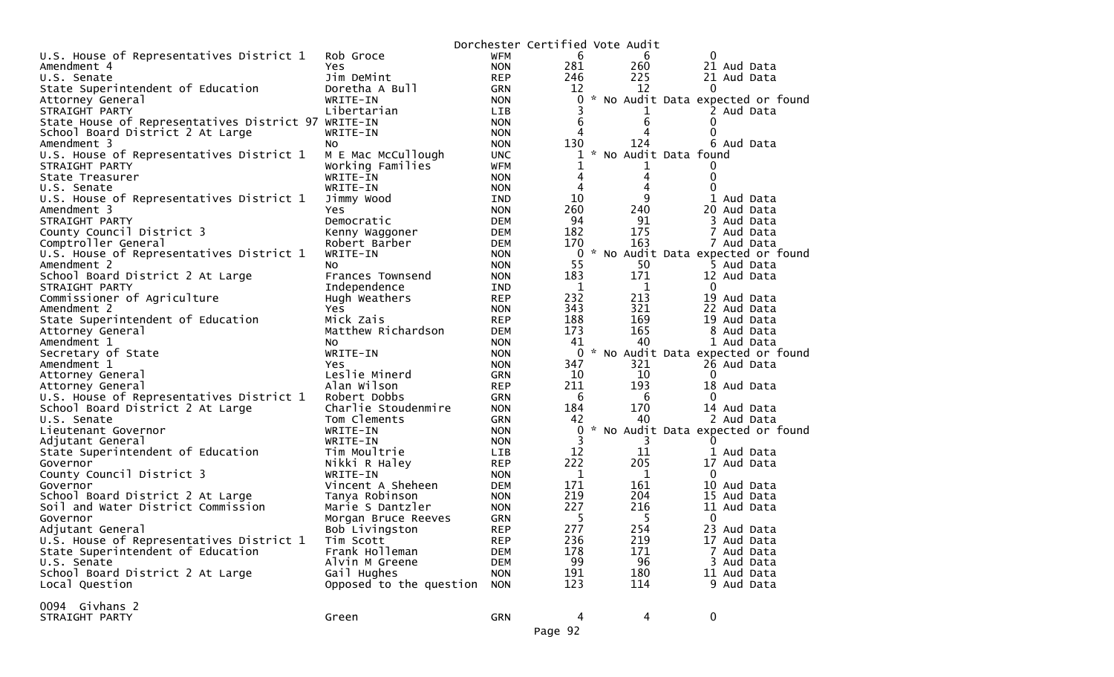|                                                              |                             |                          |              | Dorchester Certified Vote Audit |                                   |
|--------------------------------------------------------------|-----------------------------|--------------------------|--------------|---------------------------------|-----------------------------------|
| U.S. House of Representatives District 1                     | Rob Groce                   | WFM                      | 6            | 6                               | 0                                 |
| Amendment 4                                                  | Yes                         | <b>NON</b>               | 281          | 260                             | 21 Aud Data                       |
| U.S. Senate                                                  | Jim DeMint                  | <b>REP</b>               | 246          | 225                             | 21 Aud Data                       |
| State Superintendent of Education                            | Doretha A Bull              | <b>GRN</b>               | 12           | 12                              | $\Omega$                          |
| Attorney General                                             | WRITE-IN                    | <b>NON</b>               | 0            |                                 | * No Audit Data expected or found |
| STRAIGHT PARTY                                               | Libertarian                 | <b>LIB</b>               | 3            |                                 | 2 Aud Data                        |
| State House of Representatives District 97 WRITE-IN          |                             | <b>NON</b>               | 6            | 6                               | 0                                 |
| School Board District 2 At Large                             | WRITE-IN                    | <b>NON</b>               | 4            |                                 | 0                                 |
| Amendment 3                                                  | NO.                         | <b>NON</b>               | 130          | 124                             | 6 Aud Data                        |
| U.S. House of Representatives District 1                     | M E Mac McCullough          | <b>UNC</b>               | 1            | *                               | No Audit Data found               |
| STRAIGHT PARTY                                               | Working Families            | <b>WFM</b>               | 1            |                                 | 0                                 |
| State Treasurer                                              | WRITE-IN                    | <b>NON</b>               | 4            | 4                               | $\mathbf{0}$                      |
| U.S. Senate                                                  | WRITE-IN                    | <b>NON</b>               | 4            | 4                               | 0                                 |
| U.S. House of Representatives District 1                     | Jimmy Wood                  | <b>IND</b>               | 10           | 9                               | 1 Aud Data                        |
| Amendment 3                                                  | Yes.                        | <b>NON</b>               | 260          | 240                             | 20 Aud Data                       |
| STRAIGHT PARTY                                               | Democratic                  | <b>DEM</b>               | 94           | 91                              | 3 Aud Data                        |
| County Council District 3                                    | Kenny Waggoner              | <b>DEM</b>               | 182          | 175                             | 7 Aud Data                        |
| Comptroller General                                          | Robert Barber               | <b>DEM</b>               | 170          | 163                             | 7 Aud Data                        |
| U.S. House of Representatives District 1                     | WRITE-IN                    | <b>NON</b>               | 0            |                                 | No Audit Data expected or found   |
| Amendment 2                                                  | No                          | <b>NON</b>               | 55           | 50                              | 5 Aud Data                        |
| School Board District 2 At Large                             | Frances Townsend            | <b>NON</b>               | 183          | 171                             | 12 Aud Data                       |
| STRAIGHT PARTY                                               | Independence                | <b>IND</b>               | $\mathbf 1$  | 1                               | $\mathbf{0}$                      |
| Commissioner of Agriculture                                  | Hugh Weathers               | <b>REP</b>               | 232          | 213                             | 19 Aud Data                       |
| Amendment 2                                                  | <b>Yes</b>                  | <b>NON</b>               | 343          | 321                             | 22 Aud Data                       |
| State Superintendent of Education                            | Mick Zais                   | <b>REP</b>               | 188          | 169                             | 19 Aud Data                       |
| Attorney General                                             | Matthew Richardson          | <b>DEM</b>               | 173          | 165                             | 8 Aud Data                        |
| Amendment 1                                                  | NO.                         | <b>NON</b>               | 41           | 40                              | 1 Aud Data                        |
| Secretary of State                                           | WRITE-IN                    | <b>NON</b>               | $\mathbf{0}$ |                                 | * No Audit Data expected or found |
| Amendment 1                                                  | Yes                         | <b>NON</b>               | 347          | 321                             | 26 Aud Data                       |
| Attorney General                                             | Leslie Minerd               | <b>GRN</b>               | 10           | 10                              | $\Omega$                          |
| Attorney General                                             | Alan Wilson                 | <b>REP</b>               | 211          | 193                             | 18 Aud Data                       |
| U.S. House of Representatives District 1                     | Robert Dobbs                | <b>GRN</b>               | 6            | 6                               | 0                                 |
| School Board District 2 At Large                             | Charlie Stoudenmire         | <b>NON</b>               | 184          | 170                             | 14 Aud Data                       |
| U.S. Senate                                                  | Tom Clements                | <b>GRN</b>               | 42           | 40                              | 2 Aud Data                        |
| Lieutenant Governor                                          | WRITE-IN                    | <b>NON</b>               | 0            |                                 | * No Audit Data expected or found |
|                                                              | WRITE-IN                    | <b>NON</b>               | 3            | 3                               |                                   |
| Adjutant General<br>State Superintendent of Education        | Tim Moultrie                | <b>LIB</b>               | 12           | 11                              | 1 Aud Data                        |
| Governor                                                     | Nikki R Haley               | <b>REP</b>               | 222          | 205                             | 17 Aud Data                       |
| County Council District 3                                    | WRITE-IN                    | <b>NON</b>               | $\mathbf 1$  | $\mathbf{1}$                    | 0                                 |
| Governor                                                     | Vincent A Sheheen           | <b>DEM</b>               | 171          | 161                             | 10 Aud Data                       |
| School Board District 2 At Large                             | Tanya Robinson              | <b>NON</b>               | 219          | 204                             | 15 Aud Data                       |
| Soil and Water District Commission                           | Marie S Dantzler            | <b>NON</b>               | 227          | 216                             | 11 Aud Data                       |
| Governor                                                     |                             | <b>GRN</b>               | 5            | 5.                              | 0                                 |
|                                                              | Morgan Bruce Reeves         | <b>REP</b>               | 277          | 254                             | 23 Aud Data                       |
| Adjutant General<br>U.S. House of Representatives District 1 | Bob Livingston              |                          | 236          | 219                             | 17 Aud Data                       |
| State Superintendent of Education                            | Tim Scott<br>Frank Holleman | <b>REP</b>               | 178          | 171                             |                                   |
| U.S. Senate                                                  | Alvin M Greene              | <b>DEM</b><br><b>DEM</b> | 99           | 96                              | 7 Aud Data<br>3 Aud Data          |
| School Board District 2 At Large                             | Gail Hughes                 | <b>NON</b>               | 191          | 180                             | 11 Aud Data                       |
|                                                              |                             |                          | 123          | 114                             | 9 Aud Data                        |
| Local Question                                               | Opposed to the question     | <b>NON</b>               |              |                                 |                                   |
| 0094 Givhans 2                                               |                             |                          |              |                                 |                                   |
| STRAIGHT PARTY                                               | Green                       | <b>GRN</b>               | 4            | 4                               | $\mathbf 0$                       |
|                                                              |                             |                          |              |                                 |                                   |
|                                                              |                             |                          | Page 92      |                                 |                                   |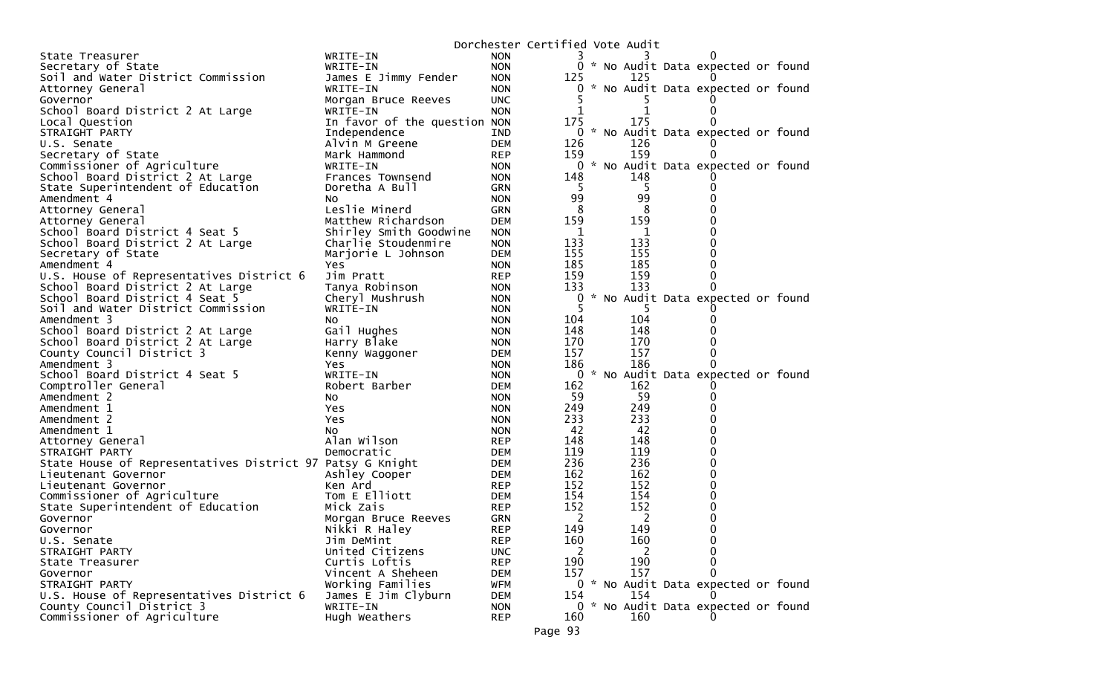|                                                           |                               |                          | Dorchester Certified Vote Audit |  |            |                                     |  |
|-----------------------------------------------------------|-------------------------------|--------------------------|---------------------------------|--|------------|-------------------------------------|--|
| State Treasurer                                           | WRITE-IN                      | <b>NON</b>               |                                 |  |            | 0                                   |  |
| Secretary of State                                        | WRITE-IN                      | <b>NON</b>               |                                 |  |            | 0 * No Audit Data expected or found |  |
| Soil and Water District Commission                        | James E Jimmy Fender          | <b>NON</b>               | 125                             |  | 125        |                                     |  |
| Attorney General                                          | WRITE-IN                      | <b>NON</b>               | 0                               |  |            | * No Audit Data expected or found   |  |
| Governor                                                  | Morgan Bruce Reeves           | <b>UNC</b>               |                                 |  | C.         |                                     |  |
| School Board District 2 At Large                          | WRITE-IN                      | <b>NON</b>               |                                 |  | 1          | $\Omega$                            |  |
| Local Question                                            | In favor of the question NON  |                          | 175                             |  | 175        |                                     |  |
| STRAIGHT PARTY                                            | Independence                  | IND.                     | 0                               |  |            | * No Audit Data expected or found   |  |
| U.S. Senate                                               | Alvin M Greene                | <b>DEM</b>               | 126                             |  | 126        |                                     |  |
| Secretary of State                                        | Mark Hammond                  | <b>REP</b>               | 159                             |  | 159        |                                     |  |
| Commissioner of Agriculture                               | WRITE-IN                      | <b>NON</b>               |                                 |  |            | 0 * No Audit Data expected or found |  |
| School Board District 2 At Large                          | Frances Townsend              | <b>NON</b>               | 148                             |  | 148        |                                     |  |
| State Superintendent of Education                         | Doretha A Bull                | GRN                      | 5<br>99                         |  | 5<br>99    | 0                                   |  |
| Amendment 4                                               | NO.<br>Leslie Minerd          | <b>NON</b><br>GRN        | 8                               |  | 8          | o                                   |  |
| Attorney General<br>Attorney General                      | Matthew Richardson            | <b>DEM</b>               | 159                             |  | 159        | 0                                   |  |
| School Board District 4 Seat 5                            | Shirley Smith Goodwine        | <b>NON</b>               | 1                               |  | 1          | 0                                   |  |
| School Board District 2 At Large                          | Charlie Stoudenmire           | <b>NON</b>               | 133                             |  | 133        | 0                                   |  |
| Secretary of State                                        | Marjorie L Johnson            | <b>DEM</b>               | 155                             |  | 155        | 0                                   |  |
| Amendment 4                                               | Yes                           | <b>NON</b>               | 185                             |  | 185        | 0                                   |  |
| U.S. House of Representatives District 6                  | Jim Pratt                     | <b>REP</b>               | 159                             |  | 159        | 0                                   |  |
| School Board District 2 At Large                          | Tanya Robinson                | <b>NON</b>               | 133                             |  | 133        | 0                                   |  |
| School Board District 4 Seat 5                            | Cheryl Mushrush               | <b>NON</b>               | 0                               |  |            | * No Audit Data expected or found   |  |
| Soil and Water District Commission                        | WRITE-IN                      | <b>NON</b>               | -5                              |  |            |                                     |  |
| Amendment 3                                               | NO.                           | <b>NON</b>               | 104                             |  | 104        | 0                                   |  |
| School Board District 2 At Large                          | Gail Hughes                   | <b>NON</b>               | 148                             |  | 148        |                                     |  |
| School Board District 2 At Large                          | Harry Blake                   | <b>NON</b>               | 170                             |  | 170        | 0                                   |  |
| County Council District 3                                 | Kenny Waggoner                | DEM                      | 157                             |  | 157        | 0                                   |  |
| Amendment 3                                               | Yes                           | <b>NON</b>               | 186                             |  | 186        | 0                                   |  |
| School Board District 4 Seat 5                            | WRITE-IN                      | <b>NON</b>               | $\mathbf{0}$                    |  |            | * No Audit Data expected or found   |  |
| Comptroller General                                       | Robert Barber                 | DEM                      | 162                             |  | 162        |                                     |  |
| Amendment 2                                               | No                            | <b>NON</b>               | 59                              |  | 59         | 0                                   |  |
| Amendment 1                                               | Yes                           | <b>NON</b>               | 249                             |  | 249        | 0                                   |  |
| Amendment 2                                               | Yes                           | <b>NON</b>               | 233                             |  | 233        | 0                                   |  |
| Amendment 1                                               | NO.                           | <b>NON</b>               | 42                              |  | 42         | 0                                   |  |
| Attorney General                                          | Alan Wilson                   | REP                      | 148                             |  | 148        | 0                                   |  |
| STRAIGHT PARTY                                            | Democratic                    | DEM                      | 119                             |  | 119        | 0                                   |  |
| State House of Representatives District 97 Patsy G Knight |                               | DEM                      | 236                             |  | 236        | 0                                   |  |
| Lieutenant Governor                                       | Ashley Cooper                 | DEM                      | 162                             |  | 162        | 0                                   |  |
| Lieutenant Governor                                       | Ken Ard                       | <b>REP</b>               | 152                             |  | 152        | 0                                   |  |
| Commissioner of Agriculture                               | Tom E Elliott                 | DEM                      | 154                             |  | 154        | 0                                   |  |
| State Superintendent of Education                         | Mick Zais                     | REP                      | 152                             |  | 152        | 0                                   |  |
| Governor                                                  | Morgan Bruce Reeves           | <b>GRN</b>               | 2                               |  | 2          | 0<br>∩                              |  |
| Governor                                                  | Nikki R Haley                 | <b>REP</b>               | 149<br>160                      |  | 149<br>160 | 0                                   |  |
| U.S. Senate<br>STRAIGHT PARTY                             | Jim DeMint<br>United Citizens | <b>REP</b><br><b>UNC</b> | 2                               |  | 2          | 0                                   |  |
| State Treasurer                                           | Curtis Loftis                 | <b>REP</b>               | 190                             |  | 190        | 0                                   |  |
| Governor                                                  | Vincent A Sheheen             | <b>DEM</b>               | 157                             |  | 157        | $\Omega$                            |  |
| STRAIGHT PARTY                                            | Working Families              | <b>WFM</b>               |                                 |  |            | 0 * No Audit Data expected or found |  |
| U.S. House of Representatives District 6                  | James E Jim Clyburn           | <b>DEM</b>               | 154                             |  | 154        |                                     |  |
| County Council District 3                                 | WRITE-IN                      | <b>NON</b>               |                                 |  |            | 0 * No Audit Data expected or found |  |
| Commissioner of Agriculture                               | Hugh Weathers                 | <b>REP</b>               | 160                             |  | 160        |                                     |  |
|                                                           |                               |                          |                                 |  |            |                                     |  |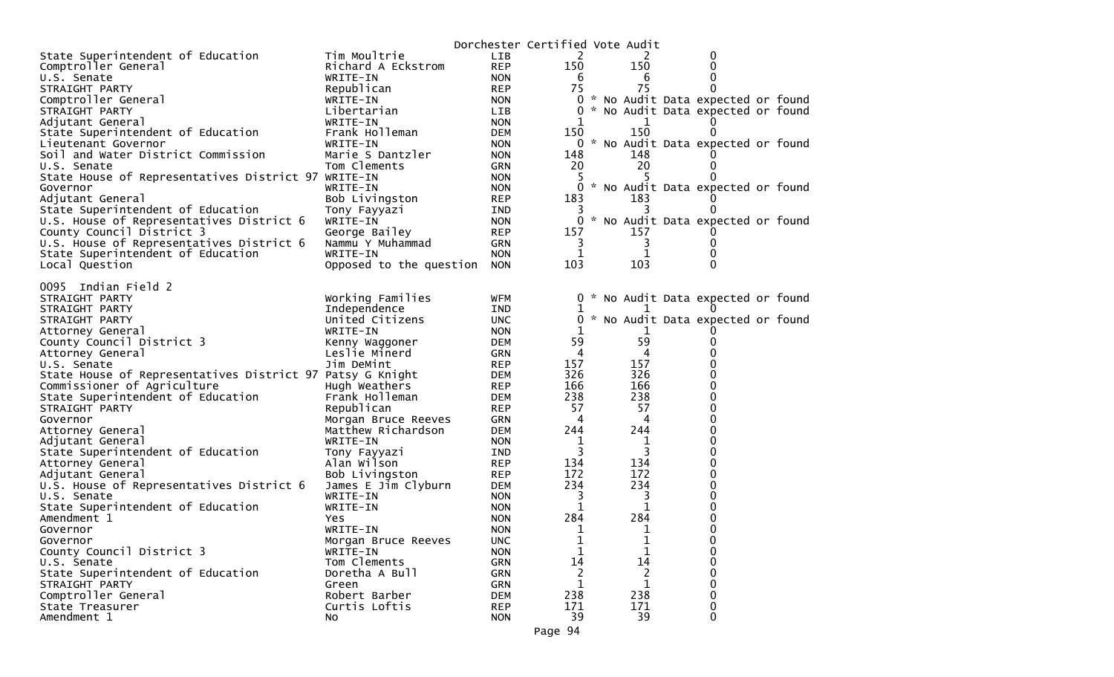|                                                           |                         |            | Dorchester Certified Vote Audit |     |                                     |  |
|-----------------------------------------------------------|-------------------------|------------|---------------------------------|-----|-------------------------------------|--|
| State Superintendent of Education                         | Tim Moultrie            | LIB        | 2                               | 2   | 0                                   |  |
| Comptroller General                                       | Richard A Eckstrom      | <b>REP</b> | 150                             | 150 | 0                                   |  |
| U.S. Senate                                               | WRITE-IN                | <b>NON</b> | 6                               | 6   | 0                                   |  |
| STRAIGHT PARTY                                            | Republican              | <b>REP</b> | 75                              | 75  | $\Omega$                            |  |
| Comptroller General                                       | WRITE-IN                | <b>NON</b> |                                 |     | 0 * No Audit Data expected or found |  |
| STRAIGHT PARTY                                            | Libertarian             | <b>LIB</b> | $\mathbf{0}$                    |     | * No Audit Data expected or found   |  |
| Adjutant General                                          | WRITE-IN                | <b>NON</b> | 1                               | 1   |                                     |  |
| State Superintendent of Education                         | Frank Holleman          | <b>DEM</b> | 150                             | 150 |                                     |  |
| Lieutenant Governor                                       | WRITE-IN                | <b>NON</b> |                                 |     | 0 * No Audit Data expected or found |  |
| Soil and Water District Commission                        | Marie S Dantzler        | <b>NON</b> | 148                             | 148 |                                     |  |
| U.S. Senate                                               | Tom Clements            | <b>GRN</b> | 20                              | 20  | $\Omega$                            |  |
| State House of Representatives District 97 WRITE-IN       |                         | <b>NON</b> | 5                               |     |                                     |  |
| Governor                                                  | WRITE-IN                | <b>NON</b> | 0                               |     | * No Audit Data expected or found   |  |
| Adjutant General                                          | Bob Livingston          | <b>REP</b> | 183                             | 183 |                                     |  |
| State Superintendent of Education                         | Tony Fayyazi            | <b>IND</b> | 3                               |     |                                     |  |
| U.S. House of Representatives District 6                  | WRITE-IN                | <b>NON</b> | 0                               |     | * No Audit Data expected or found   |  |
| County Council District 3                                 | George Bailey           | <b>REP</b> | 157                             | 157 |                                     |  |
| U.S. House of Representatives District 6                  | Nammu Y Muhammad        | <b>GRN</b> | 3                               | 3   | 0                                   |  |
| State Superintendent of Education                         | WRITE-IN                | <b>NON</b> | 1                               |     | $\Omega$                            |  |
| Local Question                                            | Opposed to the question | <b>NON</b> | 103                             | 103 | $\Omega$                            |  |
|                                                           |                         |            |                                 |     |                                     |  |
| 0095 Indian Field 2                                       |                         |            |                                 |     |                                     |  |
| STRAIGHT PARTY                                            | Working Families        | <b>WFM</b> |                                 |     | 0 * No Audit Data expected or found |  |
| STRAIGHT PARTY                                            | Independence            | IND        | 1                               |     |                                     |  |
| STRAIGHT PARTY                                            | United Citizens         | <b>UNC</b> | 0                               |     | * No Audit Data expected or found   |  |
| Attorney General                                          | WRITE-IN                | <b>NON</b> | 1                               |     |                                     |  |
| County Council District 3                                 | Kenny Waggoner          | <b>DEM</b> | 59                              | 59  | 0                                   |  |
| Attorney General                                          | Leslie Minerd           | <b>GRN</b> | 4                               | 4   | 0                                   |  |
| U.S. Senate                                               | Jim DeMint              | <b>REP</b> | 157                             | 157 | 0                                   |  |
| State House of Representatives District 97 Patsy G Knight |                         | DEM        | 326                             | 326 | 0                                   |  |
| Commissioner of Agriculture                               | Hugh Weathers           | <b>REP</b> | 166                             | 166 | $\Omega$                            |  |
| State Superintendent of Education                         | Frank Holleman          | <b>DEM</b> | 238                             | 238 | 0                                   |  |
| STRAIGHT PARTY                                            | Republican              | <b>REP</b> | 57                              | 57  | 0                                   |  |
| Governor                                                  | Morgan Bruce Reeves     | <b>GRN</b> | 4                               | 4   | $\Omega$                            |  |
| Attorney General                                          | Matthew Richardson      | <b>DEM</b> | 244                             | 244 | 0                                   |  |
| Adjutant General                                          | WRITE-IN                | <b>NON</b> | 1                               | 1   | 0                                   |  |
| State Superintendent of Education                         | Tony Fayyazi            | <b>IND</b> | 3                               | 3   | $\Omega$                            |  |
| Attorney General                                          | Alan Wilson             | <b>REP</b> | 134                             | 134 | 0                                   |  |
| Adjutant General                                          | Bob Livingston          | <b>REP</b> | 172                             | 172 | 0                                   |  |
| U.S. House of Representatives District 6                  | James E Jim Clyburn     | <b>DEM</b> | 234                             | 234 | 0                                   |  |
| U.S. Senate                                               | WRITE-IN                | <b>NON</b> | 3                               | 3   | 0                                   |  |
| State Superintendent of Education                         | WRITE-IN                | <b>NON</b> | 1                               | 1   | 0                                   |  |
| Amendment 1                                               | Yes                     | <b>NON</b> | 284                             | 284 | 0                                   |  |
|                                                           | WRITE-IN                | <b>NON</b> | 1                               | 1   | $\mathbf{0}$                        |  |
| Governor                                                  |                         |            |                                 |     |                                     |  |
| Governor                                                  | Morgan Bruce Reeves     | <b>UNC</b> | ı<br>$\mathbf 1$                | T.  | 0<br>0                              |  |
| County Council District 3                                 | WRITE-IN                | <b>NON</b> |                                 | 14  |                                     |  |
| U.S. Senate                                               | Tom Clements            | GRN        | 14                              |     | 0                                   |  |
| State Superintendent of Education                         | Doretha A Bull          | GRN        | 2                               | 2   | 0                                   |  |
| STRAIGHT PARTY                                            | Green                   | <b>GRN</b> | 1                               | 1   | $\Omega$                            |  |
| Comptroller General                                       | Robert Barber           | <b>DEM</b> | 238                             | 238 | $\Omega$                            |  |
| State Treasurer                                           | Curtis Loftis           | <b>REP</b> | 171                             | 171 | 0                                   |  |
| Amendment 1                                               | NO.                     | <b>NON</b> | 39                              | 39  | $\Omega$                            |  |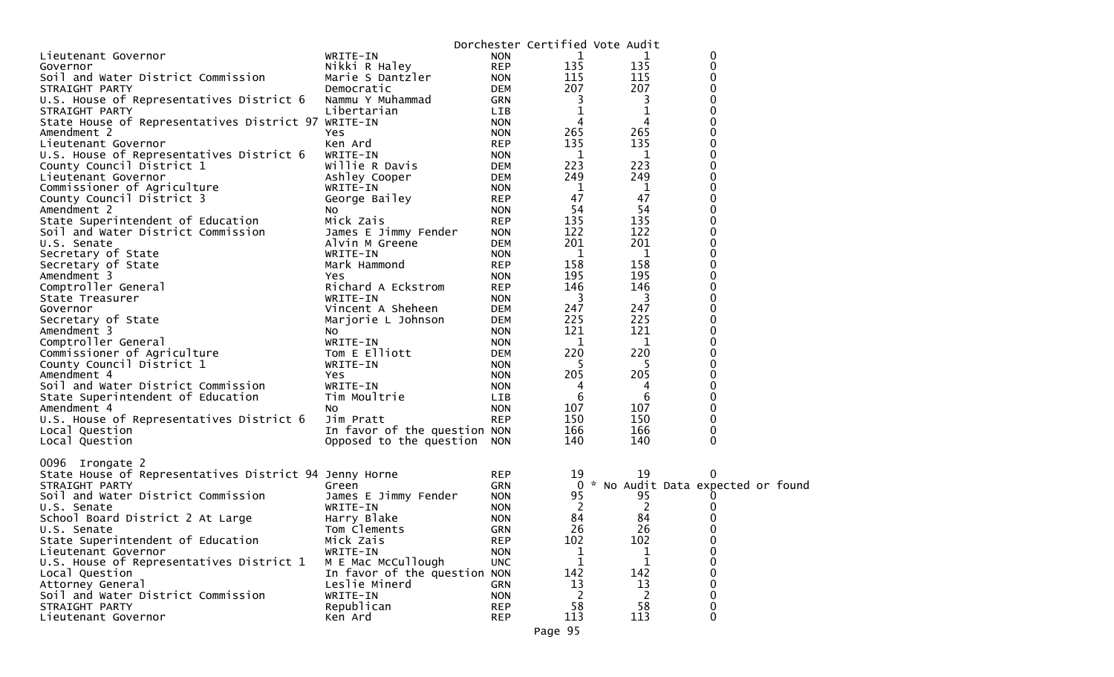|                                                                       |                                                             |                          | Dorchester Certified Vote Audit |            |                                   |  |
|-----------------------------------------------------------------------|-------------------------------------------------------------|--------------------------|---------------------------------|------------|-----------------------------------|--|
| Lieutenant Governor                                                   | WRITE-IN                                                    | <b>NON</b>               | 1                               | 1          | 0                                 |  |
| Governor                                                              | Nikki R Haley                                               | <b>REP</b>               | 135                             | 135        | 0                                 |  |
| Soil and Water District Commission                                    | Marie S Dantzler                                            | <b>NON</b>               | 115                             | 115        | 0                                 |  |
| STRAIGHT PARTY                                                        | Democratic                                                  | <b>DEM</b>               | 207                             | 207        |                                   |  |
| U.S. House of Representatives District 6                              | Nammu Y Muhammad                                            | <b>GRN</b>               | 3                               | 3          | 0                                 |  |
| STRAIGHT PARTY                                                        | Libertarian                                                 | LIB                      | 1                               | 1          | 0                                 |  |
| State House of Representatives District 97 WRITE-IN                   |                                                             | <b>NON</b>               | 4                               | 4          |                                   |  |
| Amendment 2                                                           | Yes                                                         | <b>NON</b>               | 265                             | 265        | 0                                 |  |
| Lieutenant Governor                                                   | Ken Ard                                                     | <b>REP</b>               | 135                             | 135        | 0<br>0                            |  |
| U.S. House of Representatives District 6<br>County Council District 1 | WRITE-IN<br>Willie R Davis                                  | <b>NON</b><br><b>DEM</b> | 1<br>223                        | 1<br>223   | 0                                 |  |
| Lieutenant Governor                                                   | Ashley Cooper                                               | <b>DEM</b>               | 249                             | 249        | 0                                 |  |
| Commissioner of Agriculture                                           | WRITE-IN                                                    | <b>NON</b>               | 1                               | 1          | 0                                 |  |
| County Council District 3                                             | George Bailey                                               | <b>REP</b>               | 47                              | 47         | 0                                 |  |
| Amendment 2                                                           | No.                                                         | <b>NON</b>               | 54                              | 54         | 0                                 |  |
| State Superintendent of Education                                     | Mick Zais                                                   | <b>REP</b>               | 135                             | 135        | 0                                 |  |
| Soil and Water District Commission                                    | James E Jimmy Fender                                        | <b>NON</b>               | 122                             | 122        | 0                                 |  |
| U.S. Senate                                                           | Alvin M Greene                                              | <b>DEM</b>               | 201                             | 201        | 0                                 |  |
| Secretary of State                                                    | WRITE-IN                                                    | <b>NON</b>               | 1                               | 1          | 0                                 |  |
| Secretary of State                                                    | Mark Hammond                                                | <b>REP</b>               | 158                             | 158        | 0                                 |  |
| Amendment 3                                                           | Yes                                                         | <b>NON</b>               | 195                             | 195        |                                   |  |
| Comptroller General                                                   | Richard A Eckstrom                                          | <b>REP</b>               | 146                             | 146        | 0                                 |  |
| State Treasurer                                                       | WRITE-IN                                                    | <b>NON</b>               | 3                               | 3          | 0                                 |  |
| Governor                                                              | Vincent A Sheheen                                           | <b>DEM</b>               | 247                             | 247        | 0                                 |  |
| Secretary of State                                                    | Marjorie L Johnson                                          | <b>DEM</b>               | 225                             | 225        | 0                                 |  |
| Amendment 3                                                           | No.                                                         | <b>NON</b>               | 121                             | 121        | 0                                 |  |
| Comptroller General                                                   | WRITE-IN                                                    | <b>NON</b>               | 1                               | 1          |                                   |  |
| Commissioner of Agriculture                                           | Tom E Elliott                                               | <b>DEM</b>               | 220                             | 220        | 0                                 |  |
| County Council District 1                                             | WRITE-IN                                                    | <b>NON</b>               | 5.                              | 5          | 0                                 |  |
| Amendment 4                                                           | Yes                                                         | <b>NON</b>               | 205                             | 205        |                                   |  |
| Soil and Water District Commission                                    | WRITE-IN                                                    | <b>NON</b>               | 4                               | 4          | 0                                 |  |
| State Superintendent of Education                                     | Tim Moultrie                                                | <b>LIB</b>               | 6                               | 6          | 0                                 |  |
| Amendment 4                                                           | NO.                                                         | <b>NON</b>               | 107                             | 107        | 0                                 |  |
| U.S. House of Representatives District 6                              | Jim Pratt                                                   | <b>REP</b>               | 150<br>166                      | 150        | 0                                 |  |
| Local Question                                                        | In favor of the question NON<br>Opposed to the question NON |                          | 140                             | 166<br>140 | 0<br>0                            |  |
| Local Question                                                        |                                                             |                          |                                 |            |                                   |  |
| 0096 Irongate 2                                                       |                                                             |                          |                                 |            |                                   |  |
| State House of Representatives District 94 Jenny Horne                |                                                             | <b>REP</b>               | 19                              | 19         | 0                                 |  |
| STRAIGHT PARTY                                                        | Green                                                       | <b>GRN</b>               | $\bf{0}$                        |            | * No Audit Data expected or found |  |
| Soil and Water District Commission                                    | James E Jimmy Fender                                        | <b>NON</b>               | 95                              | 95         |                                   |  |
| U.S. Senate                                                           | WRITE-IN                                                    | <b>NON</b>               | 2                               | 2          |                                   |  |
| School Board District 2 At Large                                      | Harry Blake                                                 | <b>NON</b>               | 84<br>26                        | 84<br>26   |                                   |  |
| U.S. Senate<br>State Superintendent of Education                      | Tom Clements<br>Mick Zais                                   | <b>GRN</b><br><b>REP</b> | 102                             | 102        | 0                                 |  |
| Lieutenant Governor                                                   | WRITE-IN                                                    | <b>NON</b>               |                                 |            | 0<br>$\Omega$                     |  |
| U.S. House of Representatives District 1                              | M E Mac McCullough                                          | <b>UNC</b>               | 1                               | 1          | 0                                 |  |
| Local Question                                                        | In favor of the question NON                                |                          | 142                             | 142        |                                   |  |
| Attorney General                                                      | Leslie Minerd                                               | <b>GRN</b>               | 13                              | 13         | 0                                 |  |
| Soil and Water District Commission                                    | WRITE-IN                                                    | <b>NON</b>               | 2                               | 2          | 0                                 |  |
| STRAIGHT PARTY                                                        | Republican                                                  | <b>REP</b>               | 58                              | 58         | 0                                 |  |
| Lieutenant Governor                                                   | Ken Ard                                                     | <b>REP</b>               | 113                             | 113        | 0                                 |  |
|                                                                       |                                                             |                          |                                 |            |                                   |  |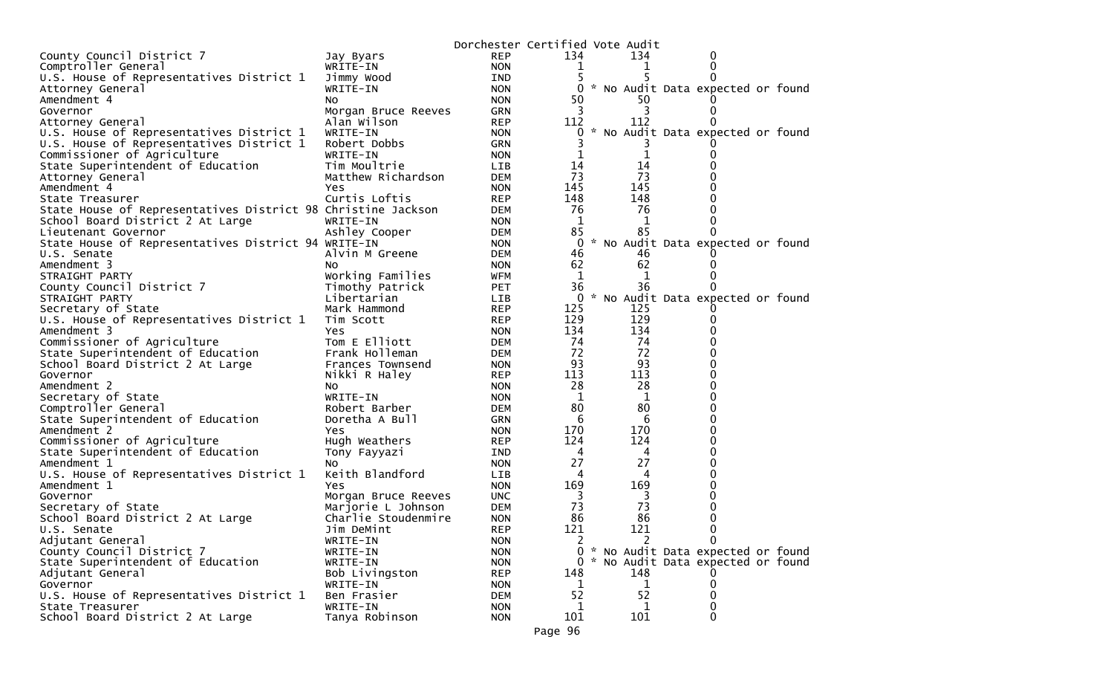|                                                              |                      | Dorchester Certified Vote Audit |              |             |                                     |  |
|--------------------------------------------------------------|----------------------|---------------------------------|--------------|-------------|-------------------------------------|--|
| County Council District 7                                    | Jay Byars            | <b>REP</b>                      | 134          | 134         | 0                                   |  |
| Comptroller General                                          | WRITE-IN             | <b>NON</b>                      | T            | T           | 0                                   |  |
| U.S. House of Representatives District 1                     | Jimmy Wood           | <b>IND</b>                      |              |             |                                     |  |
| Attorney General                                             | WRITE-IN             | <b>NON</b>                      | 0            |             | * No Audit Data expected or found   |  |
| Amendment 4                                                  | NO.                  | <b>NON</b>                      | 50           | 50          |                                     |  |
| Governor                                                     | Morgan Bruce Reeves  | <b>GRN</b>                      | 3            | 3           |                                     |  |
| Attorney General                                             | Alan Wilson          | <b>REP</b>                      | 112          | 112         |                                     |  |
| U.S. House of Representatives District 1                     | WRITE-IN             | <b>NON</b>                      | 0            |             | * No Audit Data expected or found   |  |
| U.S. House of Representatives District 1                     | Robert Dobbs         | <b>GRN</b>                      |              |             |                                     |  |
| Commissioner of Agriculture                                  | WRITE-IN             | <b>NON</b>                      |              | 1           |                                     |  |
| State Superintendent of Education                            | Tim Moultrie         | LIB                             | 14           | 14          |                                     |  |
| Attorney General                                             | Matthew Richardson   | <b>DEM</b>                      | 73           | 73          |                                     |  |
| Amendment 4                                                  | Yes                  | <b>NON</b>                      | 145          | 145         |                                     |  |
| State Treasurer                                              | Curtis Loftis        | <b>REP</b>                      | 148          | 148         |                                     |  |
| State House of Representatives District 98 Christine Jackson |                      | DEM                             | 76           | 76          |                                     |  |
| School Board District 2 At Large                             | WRITE-IN             | <b>NON</b>                      | 1            | 1           |                                     |  |
| Lieutenant Governor                                          | Ashley Cooper        | DEM                             | 85           | 85          |                                     |  |
| State House of Representatives District 94 WRITE-IN          |                      | <b>NON</b>                      | 0            |             | * No Audit Data expected or found   |  |
| U.S. Senate                                                  | Alvin M Greene       | <b>DEM</b>                      | 46           | 46          |                                     |  |
| Amendment 3                                                  | NO.                  | <b>NON</b>                      | 62           | 62          |                                     |  |
| STRAIGHT PARTY                                               | Working Families     | WFM                             | $\mathbf{1}$ | 1           |                                     |  |
| County Council District 7                                    | Timothy Patrick      | <b>PET</b>                      | 36           | 36          |                                     |  |
| STRAIGHT PARTY                                               | Libertarian          | LIB                             | $\mathbf{0}$ |             | * No Audit Data expected or found   |  |
| Secretary of State                                           | Mark Hammond         | <b>REP</b>                      | 125          | 125         |                                     |  |
| U.S. House of Representatives District 1                     |                      | <b>REP</b>                      | 129          | 129         |                                     |  |
| Amendment 3                                                  | Tim Scott            | <b>NON</b>                      | 134          | 134         |                                     |  |
|                                                              | Yes<br>Tom E Elliott |                                 | 74           | 74          |                                     |  |
| Commissioner of Agriculture                                  |                      | DEM                             |              | 72          |                                     |  |
| State Superintendent of Education                            | Frank Holleman       | <b>DEM</b>                      | 72<br>93     | 93          |                                     |  |
| School Board District 2 At Large                             | Frances Townsend     | <b>NON</b>                      |              |             |                                     |  |
| Governor                                                     | Nikki R Haley        | <b>REP</b>                      | 113          | 113<br>28   |                                     |  |
| Amendment 2                                                  | No                   | <b>NON</b>                      | 28           |             |                                     |  |
| Secretary of State                                           | WRITE-IN             | <b>NON</b>                      | 1            | 1           |                                     |  |
| Comptroller General                                          | Robert Barber        | <b>DEM</b>                      | 80           | 80          |                                     |  |
| State Superintendent of Education                            | Doretha A Bull       | <b>GRN</b>                      | 6            | 6           |                                     |  |
| Amendment 2                                                  | Yes                  | <b>NON</b>                      | 170          | 170         |                                     |  |
| Commissioner of Agriculture                                  | Hugh Weathers        | <b>REP</b>                      | 124          | 124         |                                     |  |
| State Superintendent of Education                            | Tony Fayyazi         | IND                             | 4            | 4           |                                     |  |
| Amendment 1                                                  | NO.                  | <b>NON</b>                      | 27           | 27          |                                     |  |
| U.S. House of Representatives District 1                     | Keith Blandford      | LIB                             | 4            | 4           |                                     |  |
| Amendment 1                                                  | Yes                  | <b>NON</b>                      | 169          | 169         |                                     |  |
| Governor                                                     | Morgan Bruce Reeves  | <b>UNC</b>                      | 3            | 3           |                                     |  |
| Secretary of State                                           | Marjorie L Johnson   | <b>DEM</b>                      | 73           | 73          |                                     |  |
| School Board District 2 At Large                             | Charlie Stoudenmire  | <b>NON</b>                      | 86           | 86          |                                     |  |
| U.S. Senate                                                  | Jim DeMint           | <b>REP</b>                      | 121          | 121         | 0                                   |  |
| Adjutant General                                             | WRITE-IN             | <b>NON</b>                      | 2            |             | 0                                   |  |
| County Council District 7                                    | WRITE-IN             | <b>NON</b>                      |              |             | 0 * No Audit Data expected or found |  |
| State Superintendent of Education                            | WRITE-IN             | <b>NON</b>                      |              |             | 0 * No Audit Data expected or found |  |
| Adjutant General                                             | Bob Livingston       | <b>REP</b>                      | 148          | 148         |                                     |  |
| Governor                                                     | WRITE-IN             | <b>NON</b>                      | 1            | $\mathbf 1$ | 0                                   |  |
| U.S. House of Representatives District 1                     | Ben Frasier          | <b>DEM</b>                      | 52           | 52          | 0                                   |  |
| State Treasurer                                              | WRITE-IN             | <b>NON</b>                      | 1            | 1           | 0                                   |  |
| School Board District 2 At Large                             | Tanya Robinson       | <b>NON</b>                      | 101          | 101         | 0                                   |  |
|                                                              |                      |                                 | Page 96      |             |                                     |  |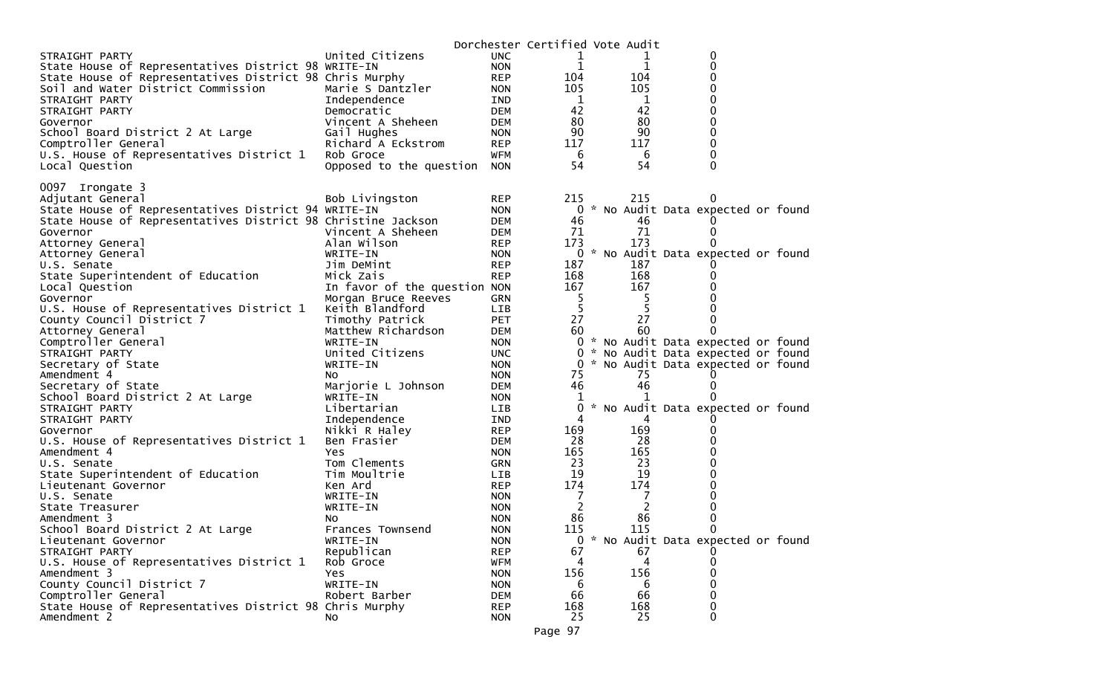|                                                              |                              |            | Dorchester Certified Vote Audit |                |                                     |  |
|--------------------------------------------------------------|------------------------------|------------|---------------------------------|----------------|-------------------------------------|--|
| STRAIGHT PARTY                                               | United Citizens              | <b>UNC</b> | 1                               |                | 0                                   |  |
| State House of Representatives District 98 WRITE-IN          |                              | <b>NON</b> | 1                               | 1              | 0                                   |  |
| State House of Representatives District 98 Chris Murphy      |                              | <b>REP</b> | 104                             | 104            | 0                                   |  |
| Soil and Water District Commission                           | Marie S Dantzler             | <b>NON</b> | 105                             | 105            | 0                                   |  |
| STRAIGHT PARTY                                               | Independence                 | IND        | $\mathbf{1}$                    | 1              | $\Omega$                            |  |
| STRAIGHT PARTY                                               | Democratic                   | <b>DEM</b> | 42                              | 42             | 0                                   |  |
| Governor                                                     | Vincent A Sheheen            | <b>DEM</b> | 80                              | 80             | 0                                   |  |
| School Board District 2 At Large                             | Gail Hughes                  | <b>NON</b> | 90                              | 90             | 0                                   |  |
| Comptroller General                                          | Richard A Eckstrom           | <b>REP</b> | 117                             | 117            | 0                                   |  |
| U.S. House of Representatives District 1                     | Rob Groce                    | WFM        | 6                               | 6              | 0                                   |  |
| Local Question                                               | Opposed to the question      | <b>NON</b> | 54                              | 54             | 0                                   |  |
|                                                              |                              |            |                                 |                |                                     |  |
| 0097 Irongate 3                                              |                              |            |                                 |                |                                     |  |
| Adjutant General                                             | Bob Livingston               | <b>REP</b> | 215                             | 215            |                                     |  |
| State House of Representatives District 94 WRITE-IN          |                              | <b>NON</b> |                                 |                | 0 * No Audit Data expected or found |  |
| State House of Representatives District 98 Christine Jackson |                              | <b>DEM</b> | 46                              | 46             | O                                   |  |
| Governor                                                     | Vincent A Sheheen            | <b>DEM</b> | 71                              | 71             | 0                                   |  |
| Attorney General                                             | Alan Wilson                  | REP        | 173                             | 173            | O                                   |  |
| Attorney General                                             | WRITE-IN                     | <b>NON</b> |                                 |                | 0 * No Audit Data expected or found |  |
| U.S. Senate                                                  | Jim DeMint                   | <b>REP</b> | 187                             | 187            |                                     |  |
| State Superintendent of Education                            | Mick Zais                    | <b>REP</b> | 168                             | 168            | O                                   |  |
| Local Question                                               | In favor of the question NON |            | 167                             | 167            | 0                                   |  |
| Governor                                                     | Morgan Bruce Reeves          | GRN        | 5                               | 5              | 0                                   |  |
| U.S. House of Representatives District 1                     | Keith Blandford              | LIB        | 5                               | 5              | 0                                   |  |
| County Council District 7                                    | Timothy Patrick              | <b>PET</b> | 27                              | 27             | 0                                   |  |
| Attorney General                                             | Matthew Richardson           | <b>DEM</b> | 60                              | 60             | 0                                   |  |
| Comptroller General                                          | WRITE-IN                     | <b>NON</b> |                                 |                | 0 * No Audit Data expected or found |  |
| STRAIGHT PARTY                                               | United Citizens              | <b>UNC</b> |                                 |                | 0 * No Audit Data expected or found |  |
| Secretary of State                                           | WRITE-IN                     | <b>NON</b> |                                 |                | 0 * No Audit Data expected or found |  |
| Amendment 4                                                  | NO.                          | <b>NON</b> | 75                              | 75             | 0                                   |  |
| Secretary of State                                           | Marjorie L Johnson           | <b>DEM</b> | 46                              | 46             | 0                                   |  |
| School Board District 2 At Large                             | WRITE-IN                     | NON.       | 1                               | 1              |                                     |  |
| STRAIGHT PARTY                                               | Libertarian                  | LIB        | 0                               |                | * No Audit Data expected or found   |  |
| STRAIGHT PARTY                                               | Independence                 | IND        | 4                               | 4              |                                     |  |
| Governor                                                     | Nikki R Haley                | <b>REP</b> | 169                             | 169            | 0                                   |  |
| U.S. House of Representatives District 1                     | Ben Frasier                  | <b>DEM</b> | 28                              | 28             | 0                                   |  |
| Amendment 4                                                  | <b>Yes</b>                   | <b>NON</b> | 165                             | 165            | 0                                   |  |
| U.S. Senate                                                  | Tom Clements                 | <b>GRN</b> | 23                              | 23             | 0                                   |  |
| State Superintendent of Education                            | Tim Moultrie                 | LIB        | 19                              | 19             | 0                                   |  |
| Lieutenant Governor                                          | Ken Ard                      | <b>REP</b> | 174                             | 174            | 0                                   |  |
| U.S. Senate                                                  | WRITE-IN                     | <b>NON</b> | 7                               | 7              | 0                                   |  |
| State Treasurer                                              | WRITE-IN                     | <b>NON</b> | 2                               | $\overline{2}$ | 0                                   |  |
| Amendment 3                                                  | No                           | <b>NON</b> | 86                              | 86             | 0                                   |  |
| School Board District 2 At Large                             | Frances Townsend             | <b>NON</b> | 115                             | 115            | $\Omega$                            |  |
| Lieutenant Governor                                          | WRITE-IN                     | <b>NON</b> |                                 |                | 0 * No Audit Data expected or found |  |
| STRAIGHT PARTY                                               | Republican                   | <b>REP</b> | 67                              | 67             |                                     |  |
| U.S. House of Representatives District 1                     | Rob Groce                    | <b>WFM</b> | 4                               | 4              |                                     |  |
| Amendment 3                                                  | Yes                          | <b>NON</b> | 156                             | 156            |                                     |  |
| County Council District 7                                    | WRITE-IN                     | <b>NON</b> | 6                               | 6              |                                     |  |
| Comptroller General                                          | Robert Barber                | <b>DEM</b> | 66                              | 66             |                                     |  |
| State House of Representatives District 98 Chris Murphy      |                              | <b>REP</b> | 168                             | 168            | 0                                   |  |
| Amendment 2                                                  | NO.                          | <b>NON</b> | 25                              | 25             | 0                                   |  |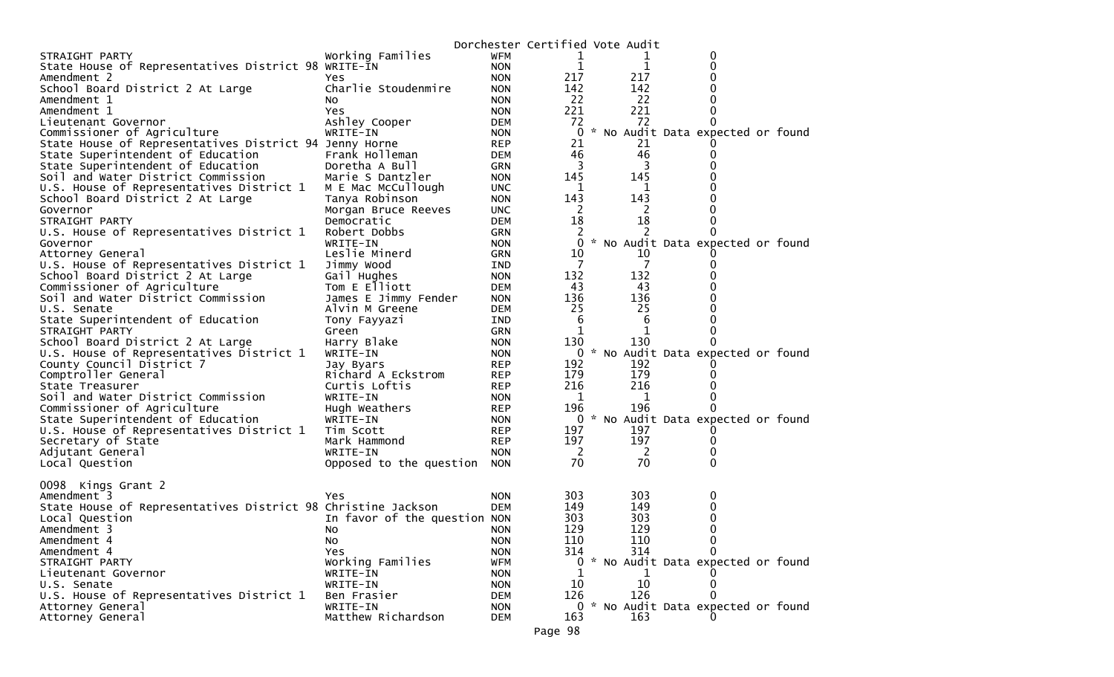|                                                              |                              |            |                | Dorchester Certified Vote Audit |                                     |  |
|--------------------------------------------------------------|------------------------------|------------|----------------|---------------------------------|-------------------------------------|--|
| STRAIGHT PARTY                                               | Working Families             | <b>WFM</b> | 1              | T                               | 0                                   |  |
| State House of Representatives District 98 WRITE-IN          |                              | <b>NON</b> | 1              | $\mathbf{1}$                    | 0                                   |  |
| Amendment 2                                                  | Yes.                         | <b>NON</b> | 217            | 217                             | 0                                   |  |
| School Board District 2 At Large                             | Charlie Stoudenmire          | <b>NON</b> | 142            | 142                             |                                     |  |
| Amendment 1                                                  | NO.                          | <b>NON</b> | 22             | 22                              |                                     |  |
| Amendment 1                                                  | Yes.                         | <b>NON</b> | 221            | 221                             | 0                                   |  |
| Lieutenant Governor                                          | Ashley Cooper                | <b>DEM</b> | 72             | 72                              | 0                                   |  |
| Commissioner of Agriculture                                  | WRITE-IN                     | <b>NON</b> | $\mathbf{0}$   |                                 | * No Audit Data expected or found   |  |
| State House of Representatives District 94 Jenny Horne       |                              | <b>REP</b> | 21             | 21                              |                                     |  |
| State Superintendent of Education                            | Frank Holleman               | DEM        | 46             | 46                              | $_{0}$                              |  |
| State Superintendent of Education                            | Doretha A Bull               | <b>GRN</b> | 3              | 3                               |                                     |  |
| Soil and Water District Commission                           | Marie S Dantzler             | <b>NON</b> | 145            | 145                             |                                     |  |
| U.S. House of Representatives District 1                     | M E Mac McCullough           | <b>UNC</b> | 1              | 1                               |                                     |  |
| School Board District 2 At Large                             | Tanya Robinson               | <b>NON</b> | 143            | 143                             |                                     |  |
| Governor                                                     | Morgan Bruce Reeves          | <b>UNC</b> | 2              | 2                               |                                     |  |
| STRAIGHT PARTY                                               | Democratic                   | <b>DEM</b> | 18             | 18                              |                                     |  |
| U.S. House of Representatives District 1                     | Robert Dobbs                 | <b>GRN</b> | 2              | 2                               |                                     |  |
| Governor                                                     | WRITE-IN                     | <b>NON</b> | 0              |                                 | * No Audit Data expected or found   |  |
| Attorney General                                             | Leslie Minerd                | <b>GRN</b> | 10             | 10                              |                                     |  |
| U.S. House of Representatives District 1                     | Jimmy Wood                   | IND.       | 7              | 7                               |                                     |  |
| School Board District 2 At Large                             | Gail Hughes                  | <b>NON</b> | 132            | 132                             |                                     |  |
| Commissioner of Agriculture                                  | Tom E Elliott                | DEM        | 43             | 43                              |                                     |  |
| Soil and Water District Commission                           | James E Jimmy Fender         | <b>NON</b> | 136            | 136                             |                                     |  |
| U.S. Senate                                                  | Alvin M Greene               | DEM        | 25             | 25                              |                                     |  |
| State Superintendent of Education                            | Tony Fayyazi                 | IND        | 6              | 6                               |                                     |  |
| STRAIGHT PARTY                                               | Green                        | <b>GRN</b> | 1              | 1                               | 0                                   |  |
| School Board District 2 At Large                             | Harry Blake                  | <b>NON</b> | 130            | 130                             | 0                                   |  |
| U.S. House of Representatives District 1                     | WRITE-IN                     | <b>NON</b> | 0              |                                 | * No Audit Data expected or found   |  |
| County Council District 7                                    | Jay Byars                    | <b>REP</b> | 192            | 192                             |                                     |  |
| Comptroller General                                          | Richard A Eckstrom           | <b>REP</b> | 179            | 179                             |                                     |  |
| State Treasurer                                              | Curtis Loftis                | <b>REP</b> | 216            | 216                             |                                     |  |
| Soil and Water District Commission                           | WRITE-IN                     | <b>NON</b> | 1              | 1                               | 0                                   |  |
| Commissioner of Agriculture                                  | Hugh Weathers                | <b>REP</b> | 196            | 196                             | 0                                   |  |
| State Superintendent of Education                            | WRITE-IN                     | <b>NON</b> | 0              |                                 | * No Audit Data expected or found   |  |
| U.S. House of Representatives District 1                     | Tim Scott                    | <b>REP</b> | 197            | 197                             |                                     |  |
|                                                              | Mark Hammond                 |            | 197            | 197                             | 0                                   |  |
| Secretary of State                                           | WRITE-IN                     | <b>REP</b> | $\overline{2}$ |                                 | 0                                   |  |
| Adjutant General                                             |                              | <b>NON</b> | 70             | 2<br>70                         | 0                                   |  |
| Local Question                                               | Opposed to the question NON  |            |                |                                 |                                     |  |
|                                                              |                              |            |                |                                 |                                     |  |
| 0098 Kings Grant 2                                           |                              |            |                |                                 |                                     |  |
| Amendment 3                                                  | Yes                          | <b>NON</b> | 303            | 303                             | 0                                   |  |
| State House of Representatives District 98 Christine Jackson |                              | <b>DEM</b> | 149            | 149                             | 0                                   |  |
| Local Question                                               | In favor of the question NON |            | 303            | 303                             |                                     |  |
| Amendment 3                                                  | No.                          | <b>NON</b> | 129            | 129                             | 0                                   |  |
| Amendment 4                                                  | No.                          | <b>NON</b> | 110            | 110                             | 0                                   |  |
| Amendment 4                                                  | Yes                          | <b>NON</b> | 314            | 314                             | 0                                   |  |
| STRAIGHT PARTY                                               | Working Families             | <b>WFM</b> |                |                                 | 0 * No Audit Data expected or found |  |
| Lieutenant Governor                                          | WRITE-IN                     | <b>NON</b> | 1              | 1                               |                                     |  |
| U.S. Senate                                                  | WRITE-IN                     | <b>NON</b> | 10             | 10                              | 0                                   |  |
| U.S. House of Representatives District 1                     | Ben Frasier                  | <b>DEM</b> | 126            | 126                             |                                     |  |
| Attorney General                                             | WRITE-IN                     | <b>NON</b> |                |                                 | 0 * No Audit Data expected or found |  |
| Attorney General                                             | Matthew Richardson           | DEM        | 163            | 163                             |                                     |  |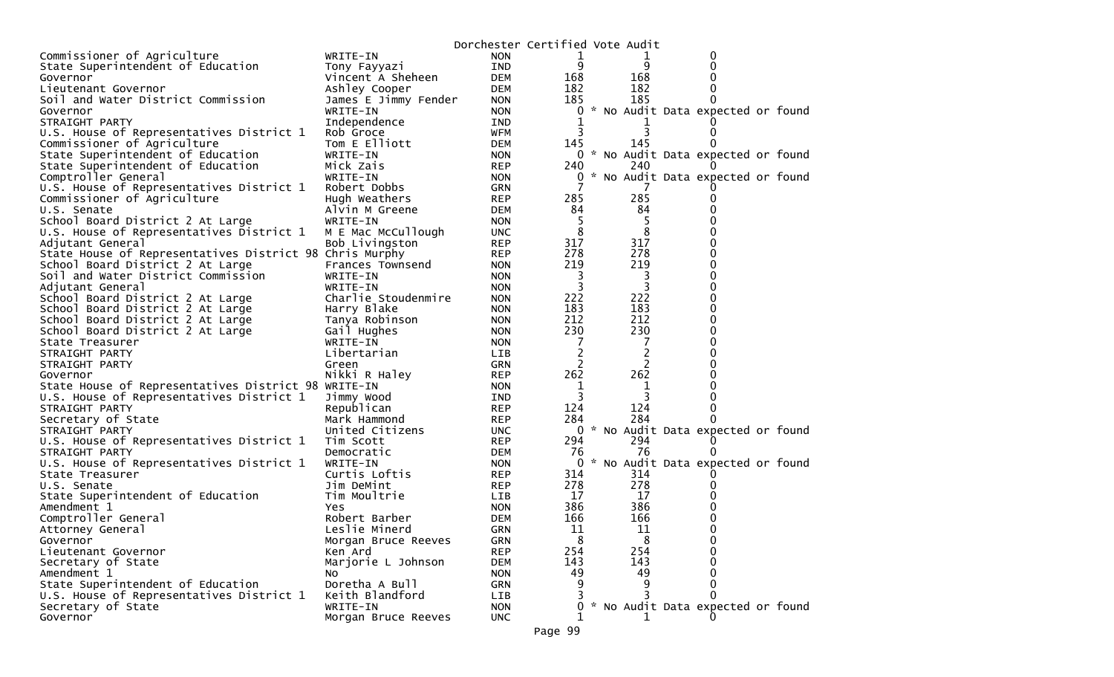|                                                         |                       | Dorchester Certified Vote Audit |          |                |                                     |  |
|---------------------------------------------------------|-----------------------|---------------------------------|----------|----------------|-------------------------------------|--|
| Commissioner of Agriculture                             | WRITE-IN              | <b>NON</b>                      | 1        |                | 0                                   |  |
| State Superintendent of Education                       | Tony Fayyazi          | IND                             | 9        | 9              | 0                                   |  |
| Governor                                                | Vincent A Sheheen     | <b>DEM</b>                      | 168      | 168            |                                     |  |
| Lieutenant Governor                                     | Ashley Cooper         | DEM                             | 182      | 182            |                                     |  |
| Soil and Water District Commission                      | James E Jimmy Fender  | <b>NON</b>                      | 185      | 185            | 0                                   |  |
| Governor                                                | WRITE-IN              | <b>NON</b>                      | 0        |                | * No Audit Data expected or found   |  |
| STRAIGHT PARTY                                          | Independence          | IND                             |          |                |                                     |  |
| U.S. House of Representatives District 1                | Rob Groce             | <b>WFM</b>                      | 3        |                |                                     |  |
| Commissioner of Agriculture                             | Tom E Elliott         | <b>DEM</b>                      | 145      | 145            |                                     |  |
| State Superintendent of Education                       | WRITE-IN              | <b>NON</b>                      |          |                | 0 * No Audit Data expected or found |  |
| State Superintendent of Education                       | Mick Zais             | <b>REP</b>                      | 240      | 240            |                                     |  |
| Comptroller General                                     | WRITE-IN              | <b>NON</b>                      | 0        |                | * No Audit Data expected or found   |  |
| U.S. House of Representatives District 1                | Robert Dobbs          | GRN                             |          |                |                                     |  |
| Commissioner of Agriculture                             | Hugh Weathers         | <b>REP</b>                      | 285      | 285            |                                     |  |
| U.S. Senate                                             | Alvin M Greene        | <b>DEM</b>                      | 84       | 84             |                                     |  |
| School Board District 2 At Large                        | WRITE-IN              | <b>NON</b>                      | -5       | 5              |                                     |  |
| U.S. House of Representatives District 1                | M E Mac McCullough    | <b>UNC</b>                      | 8        | 8              | 0                                   |  |
| Adjutant General                                        | Bob Livingston        | <b>REP</b>                      | 317      | 317            |                                     |  |
| State House of Representatives District 98 Chris Murphy |                       | <b>REP</b>                      | 278      | 278            | 0                                   |  |
| School Board District 2 At Large                        | Frances Townsend      | <b>NON</b>                      | 219      | 219            | 0                                   |  |
| Soil and Water District Commission                      | WRITE-IN              | <b>NON</b>                      | 3        | 3              |                                     |  |
| Adjutant General                                        | WRITE-IN              | <b>NON</b>                      | 3        | $\overline{3}$ | O                                   |  |
| School Board District 2 At Large                        | Charlie Stoudenmire   | <b>NON</b>                      | 222      | 222            | 0                                   |  |
| School Board District 2 At Large                        | Harry Blake           | <b>NON</b>                      | 183      | 183            | $\Omega$                            |  |
| School Board District 2 At Large                        | Tanya Robinson        | <b>NON</b>                      | 212      | 212            | $\Omega$                            |  |
| School Board District 2 At Large                        | Gail Hughes           | <b>NON</b>                      | 230      | 230            | 0                                   |  |
| State Treasurer                                         | WRITE-IN              | <b>NON</b>                      | 7        | 7              |                                     |  |
| STRAIGHT PARTY                                          | Libertarian           | LIB                             |          | $\overline{c}$ |                                     |  |
| STRAIGHT PARTY                                          | Green                 | GRN                             | 2        | 2              |                                     |  |
| Governor                                                | Nikki R Haley         | <b>REP</b>                      | 262      | 262            |                                     |  |
| State House of Representatives District 98 WRITE-IN     |                       | <b>NON</b>                      | 1        | 1              | O                                   |  |
| U.S. House of Representatives District 1                | Jimmy Wood            | IND                             | 3        | 3              |                                     |  |
| STRAIGHT PARTY                                          | Republican            | <b>REP</b>                      | 124      | 124            | 0                                   |  |
| Secretary of State                                      | Mark Hammond          | <b>REP</b>                      | 284      | 284            |                                     |  |
| STRAIGHT PARTY                                          | United Citizens       | <b>UNC</b>                      |          |                | 0 * No Audit Data expected or found |  |
| U.S. House of Representatives District 1                | Tim Scott             | <b>REP</b>                      | 294      | 294            |                                     |  |
| STRAIGHT PARTY                                          | Democratic            | <b>DEM</b>                      | 76       | 76             |                                     |  |
| U.S. House of Representatives District 1                | WRITE-IN              | <b>NON</b>                      | 0        |                | * No Audit Data expected or found   |  |
| State Treasurer                                         | Curtis Loftis         | <b>REP</b>                      | 314      | 314            |                                     |  |
| U.S. Senate                                             | Jim DeMint            | <b>REP</b>                      | 278      | 278            |                                     |  |
| State Superintendent of Education                       | Tim Moultrie          | LIB                             | 17       | 17             |                                     |  |
| Amendment 1                                             | <b>Yes</b>            | <b>NON</b>                      | 386      | 386            |                                     |  |
| Comptroller General                                     | Robert Barber         | <b>DEM</b>                      | 166      | 166            | 0                                   |  |
| Attorney General                                        | Leslie Minerd         | <b>GRN</b>                      | 11       | 11             | 0                                   |  |
| Governor                                                | Morgan Bruce Reeves   | <b>GRN</b>                      | 8<br>254 | 8<br>254       | 0<br>$\Omega$                       |  |
| Lieutenant Governor                                     | Ken Ard               | <b>REP</b>                      | 143      | 143            | $\Omega$                            |  |
| Secretary of State                                      | Marjorie L Johnson    | <b>DEM</b>                      |          |                | 0                                   |  |
| Amendment 1<br>State Superintendent of Education        | No.<br>Doretha A Bull | <b>NON</b>                      | 49       | 49<br>9        | $\Omega$                            |  |
|                                                         | Keith Blandford       | <b>GRN</b>                      |          |                | 0                                   |  |
| U.S. House of Representatives District 1                | WRITE-IN              | LIB                             |          |                | * No Audit Data expected or found   |  |
| Secretary of State                                      |                       | <b>NON</b>                      | 0        |                |                                     |  |
| Governor                                                | Morgan Bruce Reeves   | <b>UNC</b>                      |          |                |                                     |  |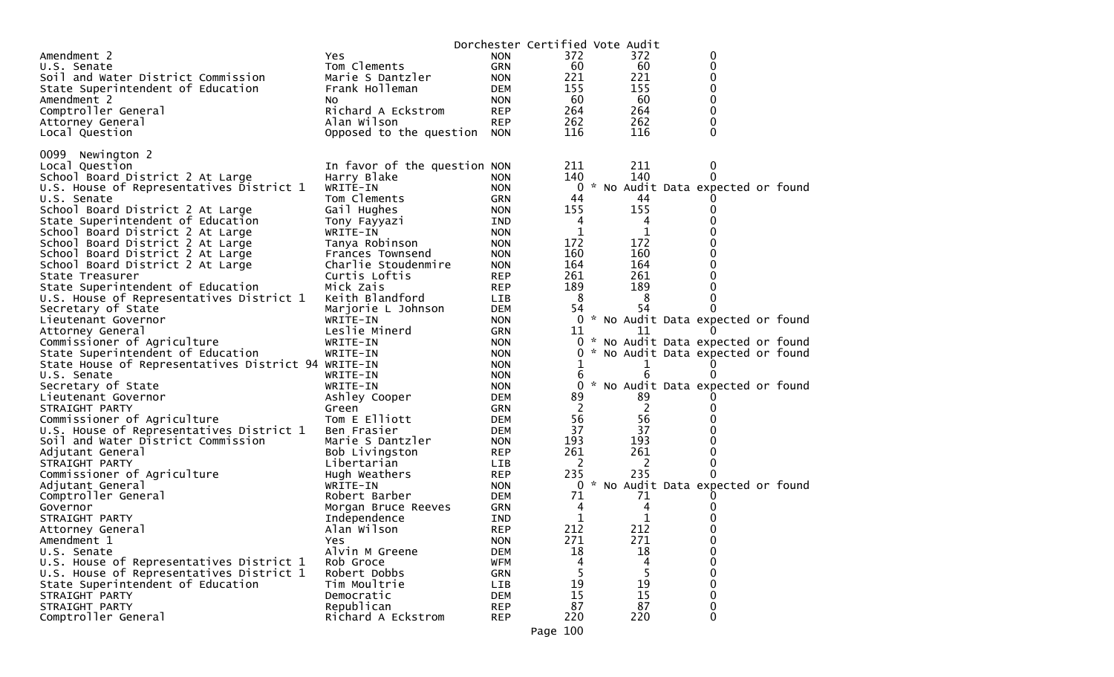|                                                     |                              |            | Dorchester Certified Vote Audit |          |                                   |  |
|-----------------------------------------------------|------------------------------|------------|---------------------------------|----------|-----------------------------------|--|
| Amendment 2                                         | Yes.                         | <b>NON</b> | 372                             | 372      | 0                                 |  |
| U.S. Senate                                         | Tom Clements                 | <b>GRN</b> | 60                              | 60       | 0                                 |  |
| Soil and Water District Commission                  | Marie S Dantzler             | <b>NON</b> | 221                             | 221      | 0                                 |  |
| State Superintendent of Education                   | Frank Holleman               | DEM        | 155                             | 155      | 0                                 |  |
| Amendment 2                                         | NO.                          | <b>NON</b> | 60                              | 60       | 0                                 |  |
| Comptroller General                                 | Richard A Eckstrom           | <b>REP</b> | 264                             | 264      | 0                                 |  |
| Attorney General                                    | Alan Wilson                  | <b>REP</b> | 262                             | 262      | $\Omega$                          |  |
| Local Question                                      | Opposed to the question      | <b>NON</b> | 116                             | 116      | 0                                 |  |
|                                                     |                              |            |                                 |          |                                   |  |
| 0099<br>Newington 2                                 |                              |            |                                 |          |                                   |  |
| Local Question                                      | In favor of the question NON |            | 211                             | 211      | 0                                 |  |
| School Board District 2 At Large                    | Harry Blake                  | <b>NON</b> | 140                             | 140      | 0                                 |  |
| U.S. House of Representatives District 1            | WRITE-IN                     | <b>NON</b> | 0                               |          | * No Audit Data expected or found |  |
| U.S. Senate                                         | Tom Clements                 | <b>GRN</b> | 44                              | 44       |                                   |  |
| School Board District 2 At Large                    | Gail Hughes                  | <b>NON</b> | 155                             | 155      | 0                                 |  |
| State Superintendent of Education                   | Tony Fayyazi                 | <b>IND</b> | 4                               | 4        | 0                                 |  |
| School Board District 2 At Large                    | WRITE-IN                     | <b>NON</b> | 1                               | 1        | 0                                 |  |
| School Board District 2 At Large                    | Tanya Robinson               | <b>NON</b> | 172                             | 172      | 0                                 |  |
| School Board District 2 At Large                    | Frances Townsend             | <b>NON</b> | 160                             | 160      | 0                                 |  |
| School Board District 2 At Large                    | Charlie Stoudenmire          | <b>NON</b> | 164                             | 164      | 0                                 |  |
| State Treasurer                                     | Curtis Loftis                | <b>REP</b> | 261                             | 261      | 0                                 |  |
| State Superintendent of Education                   | Mick Zais                    | <b>REP</b> | 189                             | 189      | $\Omega$                          |  |
| U.S. House of Representatives District 1            | Keith Blandford              | <b>LIB</b> | 8                               | 8        | 0                                 |  |
| Secretary of State                                  | Marjorie L Johnson           | <b>DEM</b> | 54                              | 54       | 0                                 |  |
| Lieutenant Governor                                 | WRITE-IN                     | <b>NON</b> | 0                               |          | * No Audit Data expected or found |  |
| Attorney General                                    | Leslie Minerd                | <b>GRN</b> | 11                              | 11       | $\theta$                          |  |
| Commissioner of Agriculture                         | WRITE-IN                     | <b>NON</b> | 0                               |          | * No Audit Data expected or found |  |
| State Superintendent of Education                   | WRITE-IN                     | <b>NON</b> | 0                               |          | * No Audit Data expected or found |  |
| State House of Representatives District 94 WRITE-IN |                              | <b>NON</b> | 1                               |          |                                   |  |
| U.S. Senate                                         | WRITE-IN                     | <b>NON</b> | 6                               | 6        |                                   |  |
| Secretary of State                                  | WRITE-IN                     | <b>NON</b> | 0                               |          | No Audit Data expected or found   |  |
| Lieutenant Governor                                 | Ashley Cooper                | <b>DEM</b> | 89                              | 89       |                                   |  |
| STRAIGHT PARTY                                      | Green                        | <b>GRN</b> | 2                               | 2        | 0                                 |  |
| Commissioner of Agriculture                         | Tom E Elliott                | <b>DEM</b> | 56                              | 56       | 0                                 |  |
| U.S. House of Representatives District 1            | Ben Frasier                  | <b>DEM</b> | 37                              | 37       | 0                                 |  |
| Soil and Water District Commission                  | Marie S Dantzler             | <b>NON</b> | 193                             | 193      | 0                                 |  |
| Adjutant General                                    | Bob Livingston               | <b>REP</b> | 261                             | 261      | 0                                 |  |
| STRAIGHT PARTY                                      | Libertarian                  | <b>LIB</b> | 2                               | 2        | 0                                 |  |
| Commissioner of Agriculture                         | Hugh Weathers                | <b>REP</b> | 235                             | 235      | $\Omega$                          |  |
| Adjutant General                                    | WRITE-IN                     | <b>NON</b> | 0                               |          | * No Audit Data expected or found |  |
| Comptroller General                                 | Robert Barber                | DEM        | 71                              | 71       |                                   |  |
| Governor                                            | Morgan Bruce Reeves          | GRN        | 4                               | 4        | $\Omega$                          |  |
| STRAIGHT PARTY                                      | Independence                 | IND        | 1                               | 1        | O                                 |  |
| Attorney General                                    | Alan Wilson                  | <b>REP</b> | 212                             | 212      | 0                                 |  |
| Amendment 1                                         | <b>Yes</b>                   | <b>NON</b> | 271                             | 271      | 0                                 |  |
| U.S. Senate                                         | Alvin M Greene               | <b>DEM</b> | 18                              | 18       | 0                                 |  |
| U.S. House of Representatives District 1            | Rob Groce                    | <b>WFM</b> | 4                               | 4        | 0                                 |  |
| U.S. House of Representatives District 1            | Robert Dobbs                 | <b>GRN</b> | 5<br>19                         | 19       | 0<br>0                            |  |
| State Superintendent of Education                   | Tim Moultrie                 | LIB        | 15                              |          | 0                                 |  |
| STRAIGHT PARTY<br>STRAIGHT PARTY                    | Democratic<br>Republican     | <b>DEM</b> | 87                              | 15<br>87 |                                   |  |
| Comptroller General                                 | Richard A Eckstrom           | <b>REP</b> | 220                             | 220      | 0<br>$\mathbf{0}$                 |  |
|                                                     |                              | <b>REP</b> |                                 |          |                                   |  |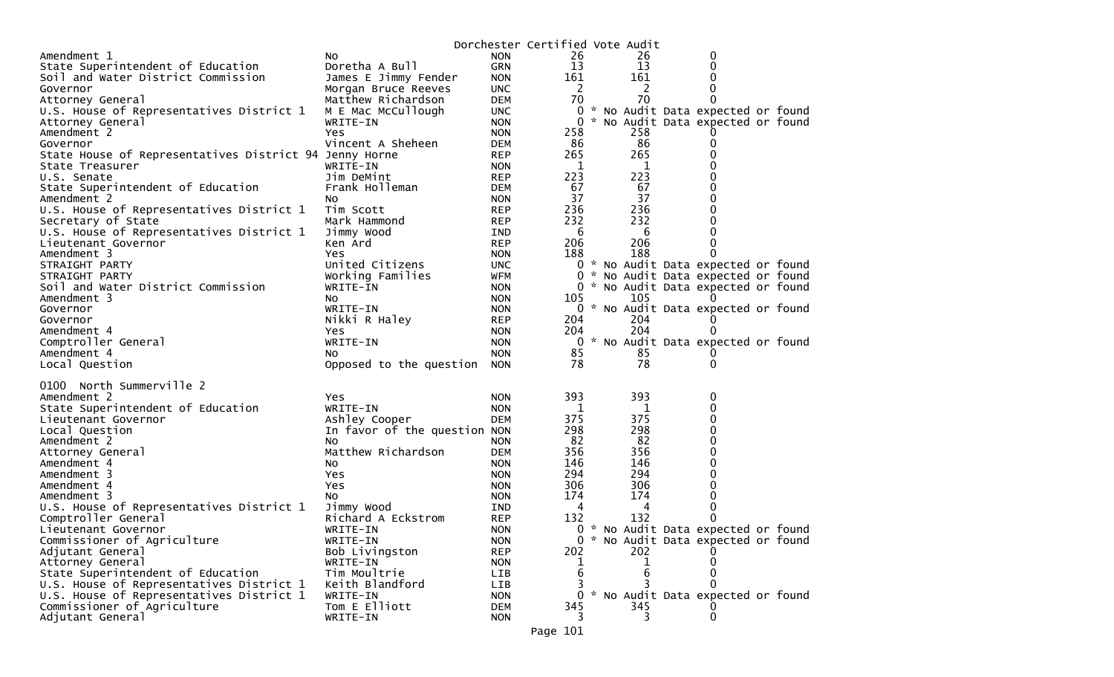|                                                        |                              |            | Dorchester Certified Vote Audit |  |          |                                     |  |
|--------------------------------------------------------|------------------------------|------------|---------------------------------|--|----------|-------------------------------------|--|
| Amendment 1                                            | NO.                          | <b>NON</b> | 26                              |  | 26       | 0                                   |  |
| State Superintendent of Education                      | Doretha A Bull               | <b>GRN</b> | 13                              |  | 13       | 0                                   |  |
| Soil and Water District Commission                     | James E Jimmy Fender         | <b>NON</b> | 161                             |  | 161      | 0                                   |  |
| Governor                                               | Morgan Bruce Reeves          | <b>UNC</b> | $\overline{2}$                  |  | 2        | 0                                   |  |
| Attorney General                                       | Matthew Richardson           | <b>DEM</b> | 70                              |  | 70       | $\Omega$                            |  |
| U.S. House of Representatives District 1               | M E Mac McCullough           | <b>UNC</b> | 0                               |  |          | * No Audit Data expected or found   |  |
| Attorney General                                       | WRITE-IN                     | <b>NON</b> | 0                               |  |          | * No Audit Data expected or found   |  |
| Amendment 2                                            | Yes                          | <b>NON</b> | 258                             |  | 258      |                                     |  |
| Governor                                               | Vincent A Sheheen            | <b>DEM</b> | 86                              |  | 86       | 0                                   |  |
| State House of Representatives District 94 Jenny Horne |                              | <b>REP</b> | 265                             |  | 265      | 0                                   |  |
| State Treasurer                                        | WRITE-IN                     | <b>NON</b> | 1                               |  | 1        | 0                                   |  |
| U.S. Senate                                            | Jim DeMint                   | <b>REP</b> | 223                             |  | 223      | 0                                   |  |
| State Superintendent of Education                      | Frank Holleman               | <b>DEM</b> | 67                              |  | 67       | 0                                   |  |
| Amendment 2                                            | NO.                          | <b>NON</b> | 37                              |  | 37       | 0                                   |  |
| U.S. House of Representatives District 1               | Tim Scott                    | <b>REP</b> | 236                             |  | 236      | 0                                   |  |
| Secretary of State                                     | Mark Hammond                 | <b>REP</b> | 232                             |  | 232      | 0                                   |  |
| U.S. House of Representatives District 1               | Jimmy Wood                   | IND        | 6                               |  | 6        | 0                                   |  |
| Lieutenant Governor                                    | Ken Ard                      | <b>REP</b> | 206                             |  | 206      | 0                                   |  |
| Amendment 3                                            | Yes                          | <b>NON</b> | 188                             |  | 188      | 0                                   |  |
| STRAIGHT PARTY                                         | United Citizens              | <b>UNC</b> |                                 |  |          | 0 * No Audit Data expected or found |  |
| STRAIGHT PARTY                                         | Working Families             | WFM        | 0                               |  |          | * No Audit Data expected or found   |  |
| Soil and Water District Commission                     | WRITE-IN                     | <b>NON</b> |                                 |  |          | 0 * No Audit Data expected or found |  |
| Amendment 3                                            | NO.                          | <b>NON</b> | 105                             |  | 105      |                                     |  |
| Governor                                               | WRITE-IN                     | <b>NON</b> |                                 |  |          | 0 * No Audit Data expected or found |  |
| Governor                                               | Nikki R Haley                | <b>REP</b> | 204                             |  | 204      | $\Omega$                            |  |
| Amendment 4                                            | Yes                          | <b>NON</b> | 204                             |  | 204      | 0                                   |  |
| Comptroller General                                    | WRITE-IN                     | <b>NON</b> | $\bf{0}$                        |  |          | * No Audit Data expected or found   |  |
| Amendment 4                                            | NO.                          | <b>NON</b> | 85                              |  | 85<br>78 | 0                                   |  |
| Local Question                                         | Opposed to the question      | <b>NON</b> | 78                              |  |          | $\mathbf{0}$                        |  |
| 0100 North Summerville 2                               |                              |            |                                 |  |          |                                     |  |
| Amendment 2                                            | Yes                          | <b>NON</b> | 393                             |  | 393      | 0                                   |  |
| State Superintendent of Education                      | WRITE-IN                     | <b>NON</b> | 1                               |  | 1        | 0                                   |  |
| Lieutenant Governor                                    | Ashley Cooper                | <b>DEM</b> | 375                             |  | 375      | 0                                   |  |
| Local Question                                         | In favor of the question NON |            | 298                             |  | 298      | 0                                   |  |
| Amendment 2                                            | NO.                          | <b>NON</b> | 82                              |  | 82       | 0                                   |  |
| Attorney General                                       | Matthew Richardson           | <b>DEM</b> | 356                             |  | 356      | 0                                   |  |
| Amendment 4                                            | No                           | <b>NON</b> | 146                             |  | 146      | 0                                   |  |
| Amendment 3                                            | Yes                          | <b>NON</b> | 294                             |  | 294      | 0                                   |  |
| Amendment 4                                            | Yes                          | <b>NON</b> | 306                             |  | 306      | 0                                   |  |
| Amendment 3                                            | No                           | <b>NON</b> | 174                             |  | 174      | 0                                   |  |
| U.S. House of Representatives District 1               | Jimmy Wood                   | IND.       | 4                               |  | 4        | 0                                   |  |
| Comptroller General                                    | Richard A Eckstrom           | <b>REP</b> | 132                             |  | 132      | 0                                   |  |
| Lieutenant Governor                                    | WRITE-IN                     | <b>NON</b> | 0                               |  |          | * No Audit Data expected or found   |  |
| Commissioner of Agriculture                            | WRITE-IN                     | <b>NON</b> |                                 |  |          | * No Audit Data expected or found   |  |
| Adjutant General                                       | Bob Livingston               | <b>REP</b> | 202                             |  | 202      |                                     |  |
| Attorney General                                       | WRITE-IN                     | <b>NON</b> | T.                              |  |          |                                     |  |
| State Superintendent of Education                      | Tim Moultrie                 | <b>LIB</b> | 6                               |  | 6        |                                     |  |
| U.S. House of Representatives District 1               | Keith Blandford              | LIB        | 3.                              |  |          | 0                                   |  |
| U.S. House of Representatives District 1               | WRITE-IN                     | <b>NON</b> | $\Omega$                        |  |          | * No Audit Data expected or found   |  |
| Commissioner of Agriculture                            | Tom E Elliott                | <b>DEM</b> | 345                             |  | 345      |                                     |  |
| Adjutant General                                       | WRITE-IN                     | <b>NON</b> |                                 |  | 3        | 0                                   |  |
|                                                        |                              |            |                                 |  |          |                                     |  |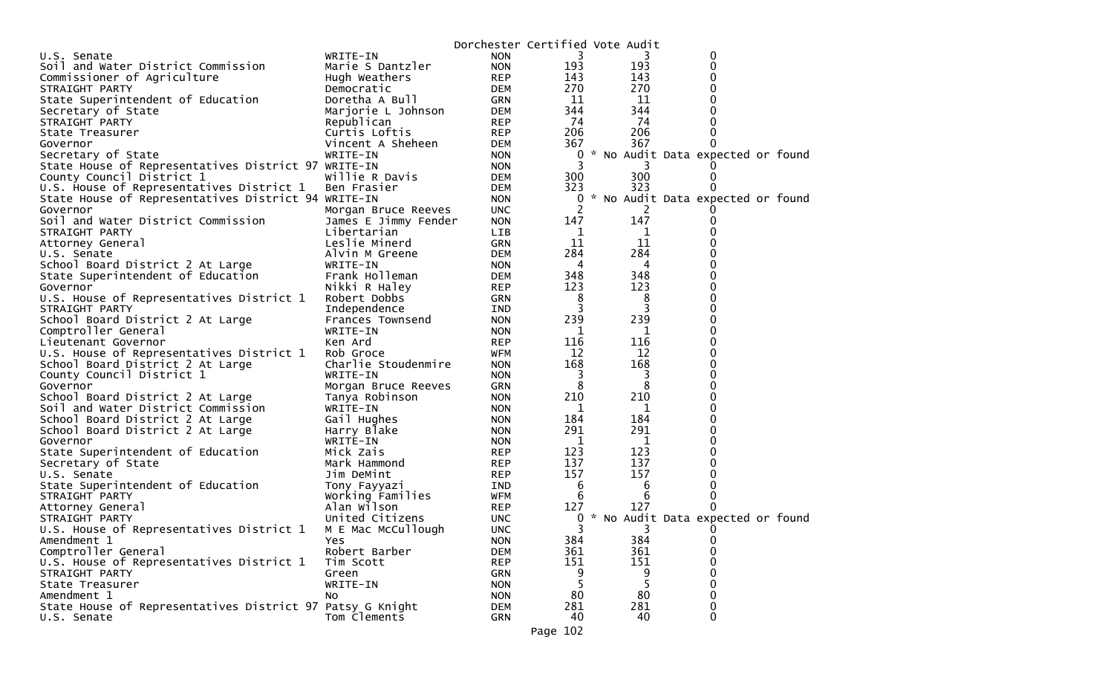| WRITE-IN<br>U.S. Senate                                        | <b>NON</b> |     |                             |                                   |  |
|----------------------------------------------------------------|------------|-----|-----------------------------|-----------------------------------|--|
|                                                                |            |     | 3                           | 0                                 |  |
| Soil and Water District Commission<br>Marie S Dantzler         | <b>NON</b> | 193 | 193                         | 0                                 |  |
| Commissioner of Agriculture<br>Hugh Weathers                   | <b>REP</b> | 143 | 143                         | $\Omega$                          |  |
| STRAIGHT PARTY<br>Democratic                                   | DEM        | 270 | 270                         | 0                                 |  |
| State Superintendent of Education<br>Doretha A Bull            | GRN        | 11  | 11                          | 0                                 |  |
| Secretary of State<br>Marjorie L Johnson                       | DEM        | 344 | 344                         |                                   |  |
| Republican<br>STRAIGHT PARTY                                   | <b>REP</b> | 74  | 74                          | 0                                 |  |
| Curtis Loftis<br>State Treasurer                               | <b>REP</b> | 206 | 206                         | 0                                 |  |
| Vincent A Sheheen<br>Governor                                  | DEM        | 367 | 367                         | 0                                 |  |
| Secretary of State<br>WRITE-IN                                 | <b>NON</b> | 0   |                             | * No Audit Data expected or found |  |
| State House of Representatives District 97 WRITE-IN            | <b>NON</b> | 3   |                             |                                   |  |
| County Council District 1<br>Willie R Davis                    | <b>DEM</b> | 300 | 300                         | 0                                 |  |
| U.S. House of Representatives District 1<br>Ben Frasier        | <b>DEM</b> | 323 | 323                         |                                   |  |
| State House of Representatives District 94 WRITE-IN            | <b>NON</b> | 0   |                             | * No Audit Data expected or found |  |
| Morgan Bruce Reeves<br>Governor                                | <b>UNC</b> | 2   | $\mathcal{L}_{\mathcal{L}}$ |                                   |  |
| Soil and Water District Commission<br>James E Jimmy Fender     | <b>NON</b> | 147 | 147                         |                                   |  |
| Libertarian<br>STRAIGHT PARTY                                  | LIB        | 1   | 1                           | 0                                 |  |
| Leslie Minerd<br>Attorney General                              | <b>GRN</b> | 11  | 11                          |                                   |  |
| Alvin M Greene<br>U.S. Senate                                  | <b>DEM</b> | 284 | 284                         | 0                                 |  |
| School Board District 2 At Large<br>WRITE-IN                   | <b>NON</b> | 4   | 4                           | 0                                 |  |
| Frank Holleman<br>State Superintendent of Education            | <b>DEM</b> | 348 | 348                         | 0                                 |  |
| Governor<br>Nikki R Haley                                      | <b>REP</b> | 123 | 123                         | $\Omega$                          |  |
| U.S. House of Representatives District 1<br>Robert Dobbs       | <b>GRN</b> | 8   | 8                           | 0                                 |  |
| STRAIGHT PARTY<br>Independence                                 | IND        | 3   | 3                           | $\Omega$                          |  |
| School Board District 2 At Large<br>Frances Townsend           | <b>NON</b> | 239 | 239                         | $\Omega$                          |  |
| Comptroller General<br>WRITE-IN                                | <b>NON</b> | 1   | 1                           | 0                                 |  |
| Lieutenant Governor<br>Ken Ard                                 | <b>REP</b> | 116 | 116                         | $\Omega$                          |  |
| U.S. House of Representatives District 1<br>Rob Groce          | WFM        | 12  | 12                          | $\Omega$                          |  |
| School Board District 2 At Large<br>Charlie Stoudenmire        | <b>NON</b> | 168 | 168                         | 0                                 |  |
| County Council District 1<br>WRITE-IN                          | <b>NON</b> | 3   | 3                           | $\Omega$                          |  |
| Governor<br>Morgan Bruce Reeves                                | <b>GRN</b> | 8   | 8                           | $\Omega$                          |  |
| School Board District 2 At Large<br>Tanya Robinson             | <b>NON</b> | 210 | 210                         | 0                                 |  |
| Soil and Water District Commission<br>WRITE-IN                 | <b>NON</b> | 1   | 1                           | 0                                 |  |
| Gail Hughes<br>School Board District 2 At Large                | <b>NON</b> | 184 | 184                         | $\Omega$                          |  |
| Harry Blake<br>School Board District 2 At Large                | <b>NON</b> | 291 | 291                         | $\Omega$                          |  |
| Governor<br>WRITE-IN                                           | <b>NON</b> | 1   | 1                           | $\Omega$                          |  |
| State Superintendent of Education<br>Mick Zais                 | <b>REP</b> | 123 | 123                         | $\Omega$                          |  |
| Secretary of State<br>Mark Hammond                             | REP        | 137 | 137                         | $\Omega$                          |  |
| Jim DeMint<br>U.S. Senate                                      | <b>REP</b> | 157 | 157                         | 0                                 |  |
| State Superintendent of Education<br>Tony Fayyazi              | IND        | 6   | 6                           | 0                                 |  |
| Working Families<br>STRAIGHT PARTY                             | WFM        | 6   | 6                           | 0                                 |  |
| Alan Wilson<br>Attorney General                                | <b>REP</b> | 127 | 127                         | 0                                 |  |
| United Citizens<br>STRAIGHT PARTY                              | <b>UNC</b> | 0   |                             | * No Audit Data expected or found |  |
| U.S. House of Representatives District 1<br>M E Mac McCullough | <b>UNC</b> | 3   | 3                           | $\Omega$                          |  |
| Amendment 1<br>Yes                                             | <b>NON</b> | 384 | 384                         | 0                                 |  |
| Comptroller General<br>Robert Barber                           | <b>DEM</b> | 361 | 361                         | $\mathbf 0$                       |  |
| U.S. House of Representatives District 1<br>Tim Scott          | <b>REP</b> | 151 | 151                         | $\Omega$                          |  |
| STRAIGHT PARTY<br>Green                                        | <b>GRN</b> |     | 9                           | $\Omega$                          |  |
| WRITE-IN<br>State Treasurer                                    | <b>NON</b> | 5   | 5                           | 0                                 |  |
| Amendment 1<br>NO.                                             | <b>NON</b> | 80  | 80                          | $\mathbf 0$                       |  |
| State House of Representatives District 97 Patsy G Knight      | <b>DEM</b> | 281 | 281                         | $\mathbf 0$                       |  |
| Tom Clements<br>U.S. Senate                                    | GRN        | 40  | 40                          | 0                                 |  |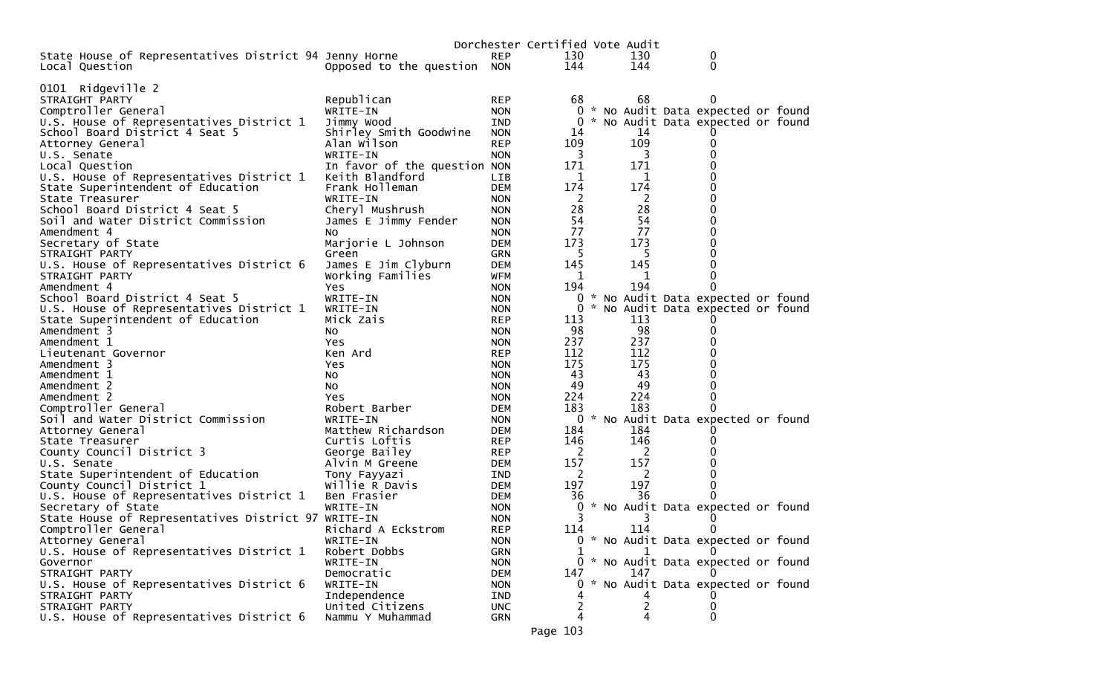|                                                        |                              | Dorchester Certified Vote Audit |     |     |                                     |
|--------------------------------------------------------|------------------------------|---------------------------------|-----|-----|-------------------------------------|
| State House of Representatives District 94 Jenny Horne |                              | <b>REP</b>                      | 130 | 130 | 0                                   |
| Local Question                                         | Opposed to the question NON  |                                 | 144 | 144 | 0                                   |
|                                                        |                              |                                 |     |     |                                     |
| 0101 Ridgeville 2                                      |                              |                                 |     |     |                                     |
| STRAIGHT PARTY                                         | Republican                   | <b>REP</b>                      | 68  | 68  | 0                                   |
| Comptroller General                                    | WRITE-IN                     | <b>NON</b>                      | 0   |     | * No Audit Data expected or found   |
| U.S. House of Representatives District 1               | Jimmy Wood                   | <b>IND</b>                      |     |     | 0 * No Audit Data expected or found |
| School Board District 4 Seat 5                         | Shirley Smith Goodwine       | <b>NON</b>                      | 14  | 14  |                                     |
| Attorney General                                       | Alan Wilson                  | <b>REP</b>                      | 109 | 109 | 0                                   |
| U.S. Senate                                            | WRITE-IN                     | <b>NON</b>                      | 3   | 3   | 0                                   |
| Local Question                                         | In favor of the question NON |                                 | 171 | 171 | 0                                   |
| U.S. House of Representatives District 1               | Keith Blandford              | <b>LIB</b>                      | 1   | 1   |                                     |
| State Superintendent of Education                      | Frank Holleman               | <b>DEM</b>                      | 174 | 174 | 0                                   |
| State Treasurer                                        | WRITE-IN                     | <b>NON</b>                      | 2   | 2   | 0                                   |
| School Board District 4 Seat 5                         | Cheryl Mushrush              | <b>NON</b>                      | 28  | 28  | 0                                   |
| Soil and Water District Commission                     | James E Jimmy Fender         | <b>NON</b>                      | 54  | 54  | 0                                   |
| Amendment 4                                            | NO.                          | <b>NON</b>                      | 77  | 77  | 0                                   |
| Secretary of State                                     | Marjorie L Johnson           | DEM                             | 173 | 173 |                                     |
| STRAIGHT PARTY                                         | Green                        | <b>GRN</b>                      | 5   | 5   | 0                                   |
| U.S. House of Representatives District 6               | James E Jim Clyburn          | <b>DEM</b>                      | 145 | 145 | 0                                   |
| STRAIGHT PARTY                                         | Working Families             | <b>WFM</b>                      | 1   | 1   | 0                                   |
| Amendment 4                                            | Yes                          | <b>NON</b>                      | 194 | 194 |                                     |
| School Board District 4 Seat 5                         | WRITE-IN                     | <b>NON</b>                      |     |     | 0 * No Audit Data expected or found |
| U.S. House of Representatives District 1               | WRITE-IN                     | <b>NON</b>                      |     |     | 0 * No Audit Data expected or found |
| State Superintendent of Education                      | Mick Zais                    | <b>REP</b>                      | 113 | 113 |                                     |
| Amendment 3                                            | NO.                          | <b>NON</b>                      | 98  | 98  | 0                                   |
| Amendment 1                                            | Yes                          | <b>NON</b>                      | 237 | 237 | 0                                   |
| Lieutenant Governor                                    | Ken Ard                      | <b>REP</b>                      | 112 | 112 | 0                                   |
| Amendment 3                                            | Yes                          | <b>NON</b>                      | 175 | 175 | 0                                   |
| Amendment 1                                            | No                           | <b>NON</b>                      | 43  | 43  | 0                                   |
| Amendment 2                                            | NO.                          | <b>NON</b>                      | 49  | 49  | 0                                   |
| Amendment 2                                            | Yes                          | <b>NON</b>                      | 224 | 224 | 0                                   |
| Comptroller General                                    | Robert Barber                | DEM                             | 183 | 183 |                                     |
| Soil and Water District Commission                     | WRITE-IN                     | <b>NON</b>                      |     |     | 0 * No Audit Data expected or found |
| Attorney General                                       | Matthew Richardson           | DEM                             | 184 | 184 |                                     |
| State Treasurer                                        | Curtis Loftis                | <b>REP</b>                      | 146 | 146 | 0                                   |
| County Council District 3                              | George Bailey                | <b>REP</b>                      | 2   | 2   |                                     |
| U.S. Senate                                            | Alvin M Greene               | DEM                             | 157 | 157 |                                     |
| State Superintendent of Education                      | Tony Fayyazi                 | IND                             | 2   | 2   | 0                                   |
| County Council District 1                              | Willie R Davis               | DEM                             | 197 | 197 | 0                                   |
| U.S. House of Representatives District 1               | Ben Frasier                  | DEM                             | 36  | 36  | 0                                   |
| Secretary of State                                     | WRITE-IN                     | <b>NON</b>                      | 0   |     | * No Audit Data expected or found   |
| State House of Representatives District 97 WRITE-IN    |                              | <b>NON</b>                      | 3   | 3   |                                     |
| Comptroller General                                    | Richard A Eckstrom           | <b>REP</b>                      | 114 | 114 | 0                                   |
| Attorney General                                       | WRITE-IN                     | <b>NON</b>                      |     |     | 0 * No Audit Data expected or found |
| U.S. House of Representatives District 1               | Robert Dobbs                 | <b>GRN</b>                      |     |     |                                     |
| Governor                                               | WRITE-IN                     | <b>NON</b>                      |     |     | 0 * No Audit Data expected or found |
| STRAIGHT PARTY                                         | Democratic                   | DEM                             | 147 | 147 |                                     |
| U.S. House of Representatives District 6               | WRITE-IN                     | <b>NON</b>                      | 0.  |     | * No Audit Data expected or found   |
| STRAIGHT PARTY                                         | Independence                 | IND                             |     |     |                                     |
| STRAIGHT PARTY                                         | United Citizens              | <b>UNC</b>                      |     | 2   |                                     |
| U.S. House of Representatives District 6               | Nammu Y Muhammad             |                                 | 4   | 4   | 0                                   |
|                                                        |                              | <b>GRN</b>                      |     |     |                                     |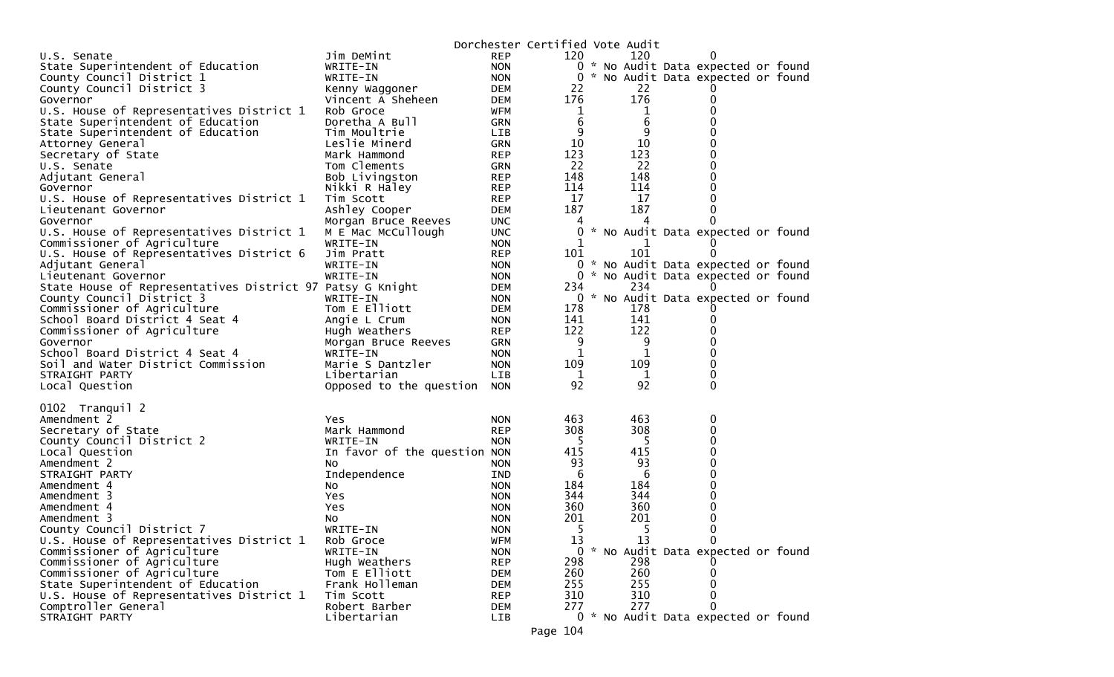|                                                              |                              |                          | Dorchester Certified Vote Audit |            |                                                                          |  |
|--------------------------------------------------------------|------------------------------|--------------------------|---------------------------------|------------|--------------------------------------------------------------------------|--|
| U.S. Senate                                                  | Jim DeMint                   | <b>REP</b>               | 120                             | 120        | 0                                                                        |  |
| State Superintendent of Education                            | WRITE-IN                     | <b>NON</b>               |                                 |            | 0 * No Audit Data expected or found                                      |  |
| County Council District 1                                    | WRITE-IN                     | <b>NON</b>               | 0                               |            | * No Audit Data expected or found                                        |  |
| County Council District 3                                    | Kenny Waggoner               | DEM                      | 22                              | 22         |                                                                          |  |
| Governor                                                     | Vincent A Sheheen            | DEM                      | 176                             | 176        | 0                                                                        |  |
| U.S. House of Representatives District 1                     | Rob Groce                    | WFM                      | 1                               | 1          | 0                                                                        |  |
| State Superintendent of Education                            | Doretha A Bull               | GRN                      | 6                               | 6          | 0                                                                        |  |
| State Superintendent of Education                            | Tim Moultrie                 | LIB                      | 9                               | 9          | 0                                                                        |  |
| Attorney General                                             | Leslie Minerd                | <b>GRN</b>               | 10                              | 10         | 0                                                                        |  |
| Secretary of State                                           | Mark Hammond                 | <b>REP</b>               | 123                             | 123        | 0                                                                        |  |
| U.S. Senate                                                  | Tom Clements                 | GRN                      | 22                              | 22         | 0                                                                        |  |
| Adjutant General                                             | Bob Livingston               | <b>REP</b>               | 148                             | 148        | 0                                                                        |  |
| Governor                                                     | Nikki R Haley                | <b>REP</b>               | 114                             | 114        | 0                                                                        |  |
| U.S. House of Representatives District 1                     | Tim Scott                    | <b>REP</b>               | 17                              | 17         | 0                                                                        |  |
| Lieutenant Governor                                          | Ashley Cooper                | <b>DEM</b>               | 187                             | 187        | 0                                                                        |  |
| Governor                                                     | Morgan Bruce Reeves          | <b>UNC</b>               | 4                               | 4          | 0                                                                        |  |
| U.S. House of Representatives District 1                     | M E Mac McCullough           | <b>UNC</b>               | 0                               |            | * No Audit Data expected or found                                        |  |
| Commissioner of Agriculture                                  | WRITE-IN                     | <b>NON</b>               |                                 | 101        |                                                                          |  |
| U.S. House of Representatives District 6<br>Adjutant General | Jim Pratt                    | <b>REP</b>               | 101                             |            | 0                                                                        |  |
| Lieutenant Governor                                          | WRITE-IN<br>WRITE-IN         | <b>NON</b><br><b>NON</b> | 0                               |            | 0 * No Audit Data expected or found<br>* No Audit Data expected or found |  |
| State House of Representatives District 97 Patsy G Knight    |                              | DEM                      | 234                             | 234        | $\Omega$                                                                 |  |
| County Council District 3                                    | WRITE-IN                     | <b>NON</b>               |                                 |            | 0 * No Audit Data expected or found                                      |  |
| Commissioner of Agriculture                                  | Tom E Elliott                | <b>DEM</b>               | 178                             | 178        |                                                                          |  |
| School Board District 4 Seat 4                               | Angie L Crum                 | <b>NON</b>               | 141                             | 141        | 0                                                                        |  |
| Commissioner of Agriculture                                  | Hugh Weathers                | <b>REP</b>               | 122                             | 122        | 0                                                                        |  |
| Governor                                                     | Morgan Bruce Reeves          | GRN                      | 9                               | 9          | 0                                                                        |  |
| School Board District 4 Seat 4                               | WRITE-IN                     | <b>NON</b>               | 1                               | 1          | 0                                                                        |  |
| Soil and Water District Commission                           | Marie S Dantzler             | <b>NON</b>               | 109                             | 109        | 0                                                                        |  |
| STRAIGHT PARTY                                               | Libertarian                  | <b>LIB</b>               | 1                               | 1          | 0                                                                        |  |
| Local Question                                               | Opposed to the question      | <b>NON</b>               | 92                              | 92         | 0                                                                        |  |
|                                                              |                              |                          |                                 |            |                                                                          |  |
| 0102 Tranquil 2                                              |                              |                          |                                 |            |                                                                          |  |
| Amendment 2                                                  | Yes.                         | <b>NON</b>               | 463                             | 463        | 0                                                                        |  |
| Secretary of State                                           | Mark Hammond                 | <b>REP</b>               | 308                             | 308        | 0                                                                        |  |
| County Council District 2                                    | WRITE-IN                     | <b>NON</b>               | -5                              | 5          | 0                                                                        |  |
| Local Question                                               | In favor of the question NON |                          | 415                             | 415        | 0                                                                        |  |
| Amendment 2                                                  | NO.                          | <b>NON</b>               | 93                              | 93         | 0                                                                        |  |
| STRAIGHT PARTY                                               | Independence                 | <b>IND</b>               | 6                               | 6          | 0                                                                        |  |
| Amendment 4                                                  | NO.                          | <b>NON</b>               | 184                             | 184        | 0                                                                        |  |
| Amendment 3                                                  | Yes                          | <b>NON</b>               | 344<br>360                      | 344<br>360 | 0<br>0                                                                   |  |
| Amendment 4<br>Amendment 3                                   | <b>Yes</b>                   | <b>NON</b><br><b>NON</b> | 201                             | 201        | 0                                                                        |  |
| County Council District 7                                    | NO.<br>WRITE-IN              | <b>NON</b>               | 5                               | -5         | U                                                                        |  |
| U.S. House of Representatives District 1                     | Rob Groce                    | <b>WFM</b>               | 13                              | 13         | 0                                                                        |  |
| Commissioner of Agriculture                                  | WRITE-IN                     | <b>NON</b>               |                                 |            | 0 * No Audit Data expected or found                                      |  |
| Commissioner of Agriculture                                  | Hugh Weathers                | <b>REP</b>               | 298                             | 298        |                                                                          |  |
| Commissioner of Agriculture                                  | Tom E Elliott                | DEM                      | 260                             | 260        |                                                                          |  |
| State Superintendent of Education                            | Frank Holleman               | DEM                      | 255                             | 255        |                                                                          |  |
| U.S. House of Representatives District 1                     | Tim Scott                    | <b>REP</b>               | 310                             | 310        |                                                                          |  |
| Comptroller General                                          | Robert Barber                | DEM                      | 277                             | 277        | 0                                                                        |  |
| STRAIGHT PARTY                                               | Libertarian                  | LIB                      |                                 |            | 0 * No Audit Data expected or found                                      |  |
|                                                              |                              |                          | Page 104                        |            |                                                                          |  |
|                                                              |                              |                          |                                 |            |                                                                          |  |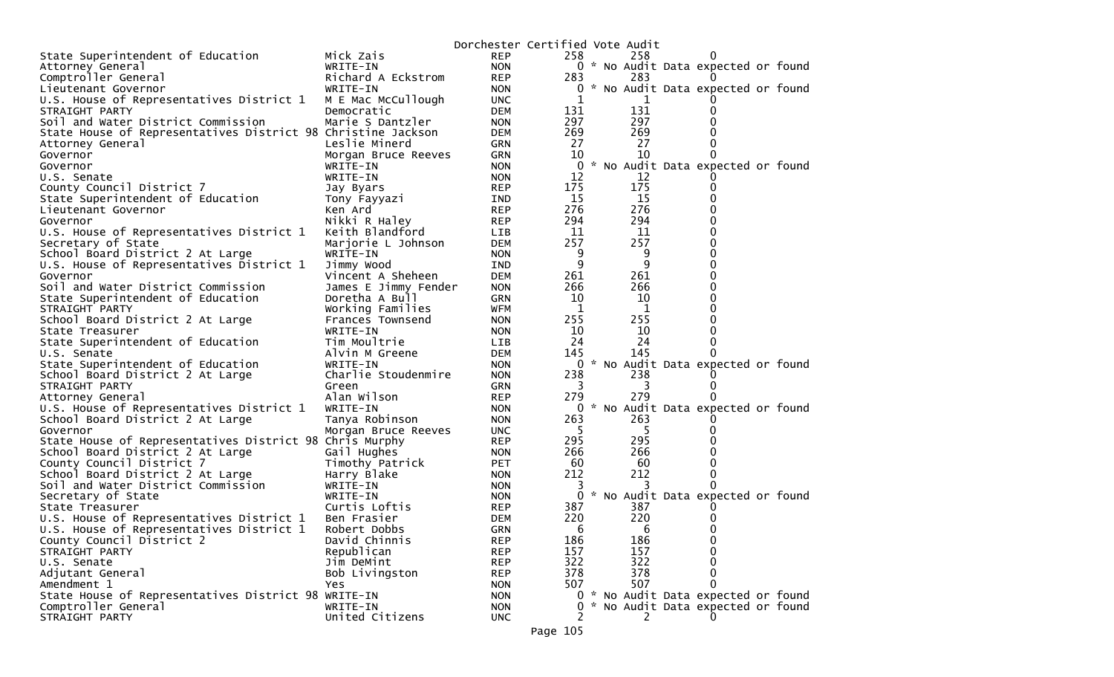|                                                                            |                           | Dorchester Certified Vote Audit |                   |            |                                     |  |
|----------------------------------------------------------------------------|---------------------------|---------------------------------|-------------------|------------|-------------------------------------|--|
| State Superintendent of Education                                          | Mick Zais                 | <b>REP</b>                      | 258               | 258        |                                     |  |
| Attorney General                                                           | WRITE-IN                  | <b>NON</b>                      |                   |            | 0 * No Audit Data expected or found |  |
| Comptroller General                                                        | Richard A Eckstrom        | <b>REP</b>                      | 283               | 283        |                                     |  |
| Lieutenant Governor                                                        | WRITE-IN                  | <b>NON</b>                      | 0                 |            | * No Audit Data expected or found   |  |
| U.S. House of Representatives District 1                                   | M E Mac McCullough        | <b>UNC</b>                      | 1                 |            |                                     |  |
| STRAIGHT PARTY                                                             | Democratic                | <b>DEM</b>                      | 131               | 131        |                                     |  |
| Soil and Water District Commission                                         | Marie S Dantzler          | <b>NON</b>                      | 297               | 297        |                                     |  |
| State House of Representatives District 98 Christine Jackson               |                           | <b>DEM</b>                      | 269               | 269        |                                     |  |
| Attorney General                                                           | Leslie Minerd             | <b>GRN</b>                      | 27                | 27         |                                     |  |
| Governor                                                                   | Morgan Bruce Reeves       | <b>GRN</b>                      | 10                | 10         |                                     |  |
| Governor                                                                   | WRITE-IN                  | <b>NON</b>                      | 0                 |            | * No Audit Data expected or found   |  |
| U.S. Senate                                                                | WRITE-IN                  | <b>NON</b>                      | 12                | 12         |                                     |  |
| County Council District 7                                                  | Jay Byars                 | <b>REP</b>                      | 175               | 175        |                                     |  |
| State Superintendent of Education                                          | Tony Fayyazi              | IND                             | 15                | 15         |                                     |  |
| Lieutenant Governor                                                        | Ken Ard                   | <b>REP</b>                      | 276               | 276        |                                     |  |
| Governor                                                                   | Nikki R Haley             | <b>REP</b>                      | 294               | 294        |                                     |  |
| U.S. House of Representatives District 1                                   | Keith Blandford           | LIB                             | 11                | 11         |                                     |  |
| Secretary of State                                                         | Marjorie L Johnson        | <b>DEM</b>                      | 257               | 257        |                                     |  |
| School Board District 2 At Large                                           | WRITE-IN                  | <b>NON</b>                      | 9                 | 9          | 0                                   |  |
| U.S. House of Representatives District 1                                   | Jimmy Wood                | IND                             | 9                 | 9          | 0                                   |  |
| Governor                                                                   | Vincent A Sheheen         | <b>DEM</b>                      | 261               | 261        |                                     |  |
| Soil and Water District Commission                                         | James E Jimmy Fender      | <b>NON</b>                      | 266               | 266        | 0                                   |  |
| State Superintendent of Education                                          | Doretha A Bull            | <b>GRN</b>                      | 10                | 10         |                                     |  |
| STRAIGHT PARTY                                                             | Working Families          | WFM                             | 1                 | 1          |                                     |  |
| School Board District 2 At Large                                           | Frances Townsend          | <b>NON</b>                      | 255               | 255        |                                     |  |
| State Treasurer                                                            | WRITE-IN                  | <b>NON</b>                      | 10                | 10         |                                     |  |
| State Superintendent of Education                                          | Tim Moultrie              | <b>LIB</b>                      | 24                | 24         |                                     |  |
| U.S. Senate                                                                | Alvin M Greene            | <b>DEM</b>                      | 145               | 145        |                                     |  |
| State Superintendent of Education                                          | WRITE-IN                  | <b>NON</b>                      | 0                 |            | * No Audit Data expected or found   |  |
| School Board District 2 At Large                                           | Charlie Stoudenmire       | <b>NON</b>                      | 238               | 238        |                                     |  |
| STRAIGHT PARTY                                                             | Green                     | <b>GRN</b>                      | 3                 | 3          |                                     |  |
| Attorney General                                                           | Alan Wilson               | <b>REP</b>                      | 279               | 279        |                                     |  |
| U.S. House of Representatives District 1                                   | WRITE-IN                  | <b>NON</b>                      | 0                 |            | * No Audit Data expected or found   |  |
| School Board District 2 At Large                                           | Tanya Robinson            | <b>NON</b>                      | 263               | 263        |                                     |  |
| Governor                                                                   | Morgan Bruce Reeves       | <b>UNC</b>                      | -5                | 5          |                                     |  |
| State House of Representatives District 98 Chris Murphy                    |                           | <b>REP</b>                      | 295               | 295        |                                     |  |
| School Board District 2 At Large                                           | Gail Hughes               | <b>NON</b>                      | 266               | 266        |                                     |  |
| County Council District 7                                                  | Timothy Patrick           | <b>PET</b>                      | 60                | 60         |                                     |  |
| School Board District 2 At Large                                           | Harry Blake               | <b>NON</b>                      | 212               | 212        |                                     |  |
| Soil and Water District Commission                                         | WRITE-IN                  | <b>NON</b>                      | 3<br>$\mathbf{0}$ |            |                                     |  |
| Secretary of State<br>State Treasurer                                      | WRITE-IN<br>Curtis Loftis | <b>NON</b><br><b>REP</b>        | 387               | 387        | * No Audit Data expected or found   |  |
|                                                                            | Ben Frasier               |                                 | 220               | 220        |                                     |  |
| U.S. House of Representatives District 1                                   |                           | <b>DEM</b>                      |                   |            |                                     |  |
| U.S. House of Representatives District 1                                   | Robert Dobbs              | <b>GRN</b>                      | 6                 | 6          |                                     |  |
| County Council District 2                                                  | David Chinnis             | <b>REP</b>                      | 186<br>157        | 186<br>157 | 0                                   |  |
| STRAIGHT PARTY                                                             | Republican<br>Jim DeMint  | <b>REP</b>                      | 322               | 322        | 0                                   |  |
| U.S. Senate                                                                |                           | <b>REP</b>                      |                   |            | 0                                   |  |
| Adjutant General                                                           | Bob Livingston            | <b>REP</b>                      | 378<br>507        | 378<br>507 | O                                   |  |
| Amendment 1                                                                | Yes                       | <b>NON</b>                      |                   |            | 0 * No Audit Data expected or found |  |
| State House of Representatives District 98 WRITE-IN<br>Comptroller General |                           | <b>NON</b>                      | 0                 |            | * No Audit Data expected or found   |  |
| STRAIGHT PARTY                                                             | WRITE-IN                  | <b>NON</b>                      |                   |            |                                     |  |
|                                                                            | United Citizens           | <b>UNC</b>                      |                   | 2          |                                     |  |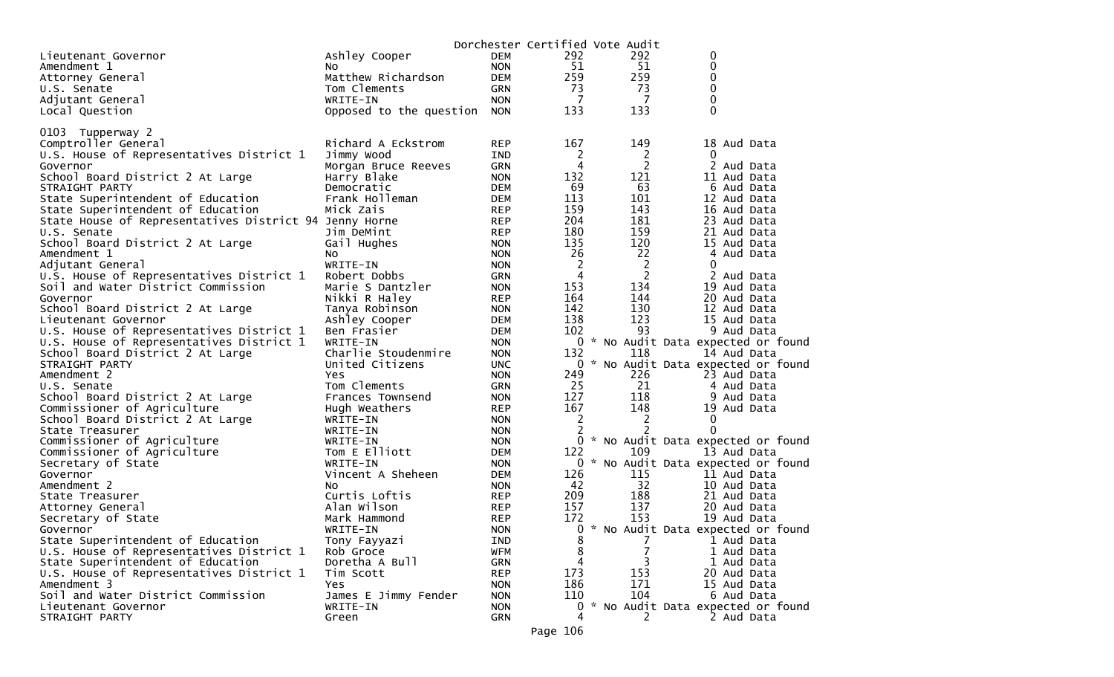|                                                        |                           |                          |            | Dorchester Certified Vote Audit |              |                                     |
|--------------------------------------------------------|---------------------------|--------------------------|------------|---------------------------------|--------------|-------------------------------------|
| Lieutenant Governor                                    | Ashley Cooper             | <b>DEM</b>               | 292        | 292                             | 0            |                                     |
| Amendment 1                                            | NO.                       | <b>NON</b>               | 51         | 51                              | 0            |                                     |
| Attorney General                                       | Matthew Richardson        | <b>DEM</b>               | 259        | 259                             | 0            |                                     |
| U.S. Senate                                            | Tom Clements              | GRN                      | 73         | 73                              | 0            |                                     |
| Adjutant General                                       | WRITE-IN                  | <b>NON</b>               | 7          | 7                               | $\mathbf{0}$ |                                     |
| Local Question                                         | Opposed to the question   | <b>NON</b>               | 133        | 133                             | 0            |                                     |
| 0103 Tupperway 2                                       |                           |                          |            |                                 |              |                                     |
| Comptroller General                                    | Richard A Eckstrom        | <b>REP</b>               | 167        | 149                             |              | 18 Aud Data                         |
| U.S. House of Representatives District 1               | Jimmy Wood                | <b>IND</b>               | 2          | 2                               | 0            |                                     |
| Governor                                               | Morgan Bruce Reeves       | <b>GRN</b>               | 4          | 2                               |              | 2 Aud Data                          |
| School Board District 2 At Large                       | Harry Blake               | <b>NON</b>               | 132        | 121                             |              | 11 Aud Data                         |
| STRAIGHT PARTY                                         | Democratic                | <b>DEM</b>               | 69         | 63                              |              | 6 Aud Data                          |
| State Superintendent of Education                      | Frank Holleman            | <b>DEM</b>               | 113        | 101                             |              | 12 Aud Data                         |
| State Superintendent of Education                      | Mick Zais                 | <b>REP</b>               | 159        | 143                             |              | 16 Aud Data                         |
| State House of Representatives District 94 Jenny Horne |                           | <b>REP</b>               | 204        | 181                             |              | 23 Aud Data                         |
| U.S. Senate                                            | Jim DeMint                | <b>REP</b>               | 180        | 159                             |              | 21 Aud Data                         |
| School Board District 2 At Large                       | Gail Hughes               | <b>NON</b>               | 135        | 120                             |              | 15 Aud Data                         |
| Amendment 1                                            | No                        | <b>NON</b>               | 26         | 22                              |              | 4 Aud Data                          |
| Adjutant General                                       | WRITE-IN                  | <b>NON</b>               | 2          | 2                               | 0            |                                     |
| U.S. House of Representatives District 1               | Robert Dobbs              | <b>GRN</b>               | 4          | $\overline{2}$                  |              | 2 Aud Data                          |
| Soil and Water District Commission                     | Marie S Dantzler          | <b>NON</b>               | 153        | 134                             |              | 19 Aud Data                         |
| Governor                                               | Nikki R Haley             | <b>REP</b>               | 164        | 144                             |              | 20 Aud Data                         |
| School Board District 2 At Large                       | Tanya Robinson            | <b>NON</b>               | 142        | 130                             |              | 12 Aud Data                         |
| Lieutenant Governor                                    | Ashley Cooper             | <b>DEM</b>               | 138        | 123                             |              | 15 Aud Data                         |
| U.S. House of Representatives District 1               | Ben Frasier               | <b>DEM</b>               | 102        | 93                              |              | 9 Aud Data                          |
| U.S. House of Representatives District 1               | WRITE-IN                  | <b>NON</b>               |            |                                 |              | 0 * No Audit Data expected or found |
| School Board District 2 At Large                       | Charlie Stoudenmire       | <b>NON</b>               | 132        | 118                             |              | 14 Aud Data                         |
| STRAIGHT PARTY                                         | United Citizens           | <b>UNC</b>               |            |                                 |              | 0 * No Audit Data expected or found |
| Amendment 2                                            | Yes                       | <b>NON</b>               | 249        | 226                             |              | 23 Aud Data                         |
| U.S. Senate                                            | Tom Clements              | <b>GRN</b>               | 25         | 21                              |              | 4 Aud Data                          |
| School Board District 2 At Large                       | Frances Townsend          | <b>NON</b>               | 127        | 118                             |              | 9 Aud Data                          |
| Commissioner of Agriculture                            | Hugh Weathers             | <b>REP</b>               | 167        | 148                             |              | 19 Aud Data                         |
| School Board District 2 At Large                       | WRITE-IN                  | <b>NON</b>               | 2          | 2                               | 0            |                                     |
| State Treasurer                                        | WRITE-IN                  | <b>NON</b>               | 2          | 2                               | $\Omega$     |                                     |
| Commissioner of Agriculture                            | WRITE-IN                  | <b>NON</b>               | 0          |                                 |              | * No Audit Data expected or found   |
| Commissioner of Agriculture                            | Tom E Elliott             | <b>DEM</b>               | 122        | 109                             |              | 13 Aud Data                         |
| Secretary of State                                     | WRITE-IN                  | <b>NON</b>               |            |                                 |              | 0 * No Audit Data expected or found |
| Governor                                               | Vincent A Sheheen         | <b>DEM</b>               | 126        | 115                             |              | 11 Aud Data                         |
| Amendment 2                                            | NO.                       | <b>NON</b>               | 42         | 32                              |              | 10 Aud Data                         |
| State Treasurer                                        | Curtis Loftis             | <b>REP</b>               | 209<br>157 | 188<br>137                      |              | 21 Aud Data                         |
| Attorney General                                       | Alan Wilson               | <b>REP</b>               | 172        | 153                             |              | 20 Aud Data                         |
| Secretary of State                                     | Mark Hammond              | <b>REP</b><br><b>NON</b> |            |                                 |              | 19 Aud Data                         |
| Governor<br>State Superintendent of Education          | WRITE-IN                  |                          | 8          | 7                               |              | 0 * No Audit Data expected or found |
| U.S. House of Representatives District 1               | Tony Fayyazi<br>Rob Groce | IND<br><b>WFM</b>        | 8          |                                 |              | 1 Aud Data<br>1 Aud Data            |
| State Superintendent of Education                      | Doretha A Bull            | <b>GRN</b>               | 4          | 3                               |              | 1 Aud Data                          |
| U.S. House of Representatives District 1               | Tim Scott                 | <b>REP</b>               | 173        | 153                             |              | 20 Aud Data                         |
| Amendment 3                                            | Yes                       | <b>NON</b>               | 186        | 171                             |              | 15 Aud Data                         |
| Soil and Water District Commission                     | James E Jimmy Fender      | <b>NON</b>               | 110        | 104                             |              | 6 Aud Data                          |
| Lieutenant Governor                                    | WRITE-IN                  | <b>NON</b>               | 0          |                                 |              | * No Audit Data expected or found   |
| STRAIGHT PARTY                                         | Green                     | GRN                      | 4          | 2                               |              | 2 Aud Data                          |
|                                                        |                           |                          |            |                                 |              |                                     |

Page 106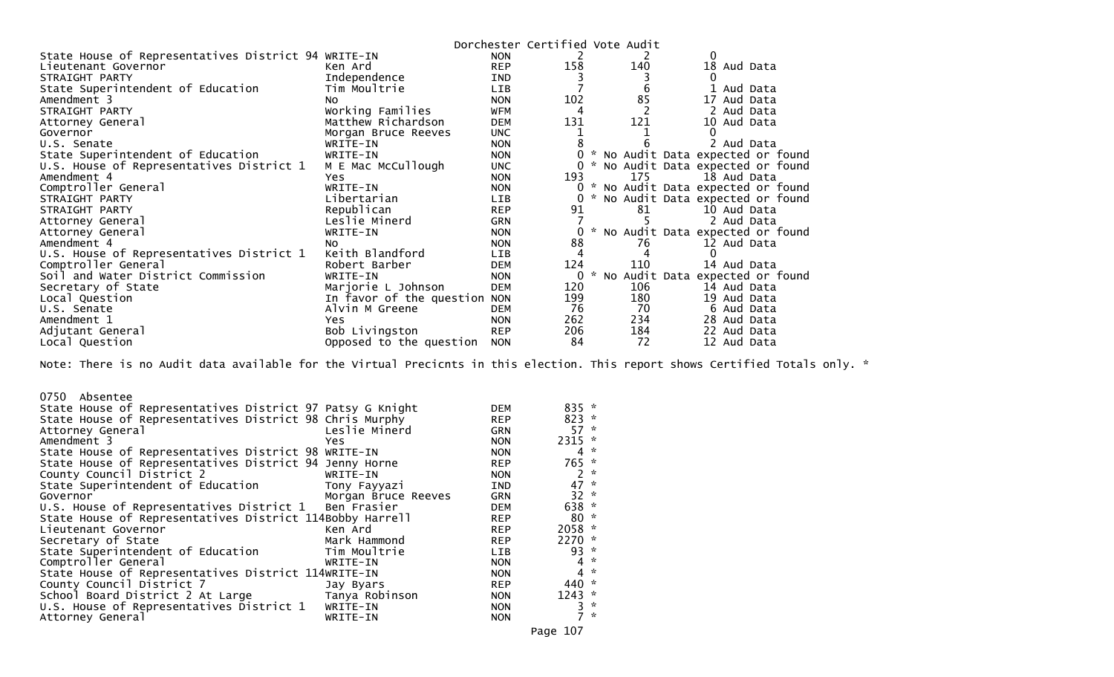|                                                     |                          |            |     | Dorchester Certified Vote Audit |                                   |
|-----------------------------------------------------|--------------------------|------------|-----|---------------------------------|-----------------------------------|
| State House of Representatives District 94 WRITE-IN |                          | <b>NON</b> | 2   |                                 |                                   |
| Lieutenant Governor                                 | Ken Ard                  | <b>REP</b> | 158 | 140                             | 18 Aud Data                       |
| STRAIGHT PARTY                                      | Independence             | <b>IND</b> |     |                                 |                                   |
| State Superintendent of Education                   | Tim Moultrie             | <b>LIB</b> |     |                                 | Aud Data                          |
| Amendment 3                                         | NO.                      | <b>NON</b> | 102 | 85                              | 17 Aud Data                       |
| STRAIGHT PARTY                                      | Working Families         | <b>WFM</b> | 4   |                                 | 2 Aud Data                        |
| Attorney General                                    | Matthew Richardson       | <b>DEM</b> | 131 | 121                             | 10<br>Aud Data                    |
| Governor                                            | Morgan Bruce Reeves      | <b>UNC</b> |     |                                 |                                   |
| U.S. Senate                                         | WRITE-IN                 | <b>NON</b> |     |                                 | 2 Aud Data                        |
| State Superintendent of Education                   | WRITE-IN                 | <b>NON</b> |     |                                 | No Audit Data expected or found   |
| U.S. House of Representatives District 1            | M E Mac McCullough       | <b>UNC</b> |     |                                 | * No Audit Data expected or found |
| Amendment 4                                         | Yes                      | <b>NON</b> | 193 | 175                             | 18 Aud Data                       |
| Comptroller General                                 | WRITE-IN                 | <b>NON</b> |     |                                 | * No Audit Data expected or found |
| STRAIGHT PARTY                                      | Libertarian              | <b>LIB</b> |     |                                 | No Audit Data expected or found   |
| STRAIGHT PARTY                                      | Republican               | <b>REP</b> | 91  | 81                              | 10 Aud Data                       |
| Attorney General                                    | Leslie Minerd            | <b>GRN</b> |     |                                 | 2 Aud Data                        |
| Attorney General                                    | WRITE-IN                 | <b>NON</b> |     |                                 | * No Audit Data expected or found |
| Amendment 4                                         | NO.                      | <b>NON</b> | 88  | 76                              | 12 Aud Data                       |
| U.S. House of Representatives District 1            | Keith Blandford          | <b>LIB</b> |     |                                 | 0                                 |
| Comptroller General                                 | Robert Barber            | <b>DEM</b> | 124 | 110                             | 14 Aud Data                       |
| Soil and Water District Commission                  | WRITE-IN                 | <b>NON</b> |     | NO                              | Audit Data expected or found      |
| Secretary of State                                  | Marjorie L Johnson       | <b>DEM</b> | 120 | 106                             | 14 Aud Data                       |
| Local Question                                      | In favor of the question | <b>NON</b> | 199 | 180                             | 19 Aud Data                       |
| U.S. Senate                                         | Alvin M Greene           | <b>DEM</b> | 76  | 70                              | 6 Aud Data                        |
| Amendment 1                                         | Yes                      | <b>NON</b> | 262 | 234                             | 28 Aud Data                       |
| Adjutant General                                    | Bob Livingston           | <b>REP</b> | 206 | 184                             | 22 Aud Data                       |
| Local Question                                      | Opposed to the question  | <b>NON</b> | 84  | 72                              | 12 Aud Data                       |

Note: There is no Audit data available for the Virtual Precicnts in this election. This report shows Certified Totals only. \*

| 0750 Absentee<br>State House of Representatives District 97 Patsy G Knight<br>State House of Representatives District 98 Chris Murphy<br>Attorney General<br>Amendment 3<br>State House of Representatives District 98 WRITE-IN<br>State House of Representatives District 94 Jenny Horne<br>County Council District 2<br>State Superintendent of Education<br>Governor<br>U.S. House of Representatives District 1<br>State House of Representatives District 114Bobby Harrell<br>Lieutenant Governor | Leslie Minerd<br>Yes.<br>WRITE-IN<br>Tony Fayyazi<br>Morgan Bruce Reeves<br>Ben Frasier<br>Ken Ard | DEM<br><b>REP</b><br><b>GRN</b><br><b>NON</b><br><b>NON</b><br><b>REP</b><br><b>NON</b><br><b>IND</b><br><b>GRN</b><br><b>DEM</b><br><b>REP</b><br><b>REP</b> | $835 *$<br>$823 *$<br>57<br>$2315$ *<br>4<br>765 *<br>2<br>$47 *$<br>$32 *$<br>638 *<br>$80 *$<br>2058 * | $\boldsymbol{\mathcal{R}}$<br>$\mathcal{R}$<br>$\sim$ |
|--------------------------------------------------------------------------------------------------------------------------------------------------------------------------------------------------------------------------------------------------------------------------------------------------------------------------------------------------------------------------------------------------------------------------------------------------------------------------------------------------------|----------------------------------------------------------------------------------------------------|---------------------------------------------------------------------------------------------------------------------------------------------------------------|----------------------------------------------------------------------------------------------------------|-------------------------------------------------------|
| Secretary of State                                                                                                                                                                                                                                                                                                                                                                                                                                                                                     | Mark Hammond                                                                                       | <b>REP</b>                                                                                                                                                    | $2270$ *                                                                                                 |                                                       |
| State Superintendent of Education                                                                                                                                                                                                                                                                                                                                                                                                                                                                      | Tim Moultrie                                                                                       | LIB                                                                                                                                                           | $93 *$                                                                                                   |                                                       |
| Comptroller General                                                                                                                                                                                                                                                                                                                                                                                                                                                                                    | WRITE-IN                                                                                           | <b>NON</b>                                                                                                                                                    | $4 *$                                                                                                    |                                                       |
| State House of Representatives District 114WRITE-IN                                                                                                                                                                                                                                                                                                                                                                                                                                                    |                                                                                                    | <b>NON</b>                                                                                                                                                    | $\overline{4}$                                                                                           | $\mathbf{z}$                                          |
| County Council District 7                                                                                                                                                                                                                                                                                                                                                                                                                                                                              | Jay Byars                                                                                          | <b>REP</b>                                                                                                                                                    | 440 *                                                                                                    |                                                       |
| School Board District 2 At Large                                                                                                                                                                                                                                                                                                                                                                                                                                                                       | Tanya Robinson                                                                                     | <b>NON</b>                                                                                                                                                    | $1243$ *                                                                                                 |                                                       |
| U.S. House of Representatives District 1                                                                                                                                                                                                                                                                                                                                                                                                                                                               | WRITE-IN                                                                                           | <b>NON</b>                                                                                                                                                    | 3                                                                                                        | $\boldsymbol{\pi}$                                    |
| Attorney General                                                                                                                                                                                                                                                                                                                                                                                                                                                                                       | WRITE-IN                                                                                           | <b>NON</b>                                                                                                                                                    |                                                                                                          | $\star$                                               |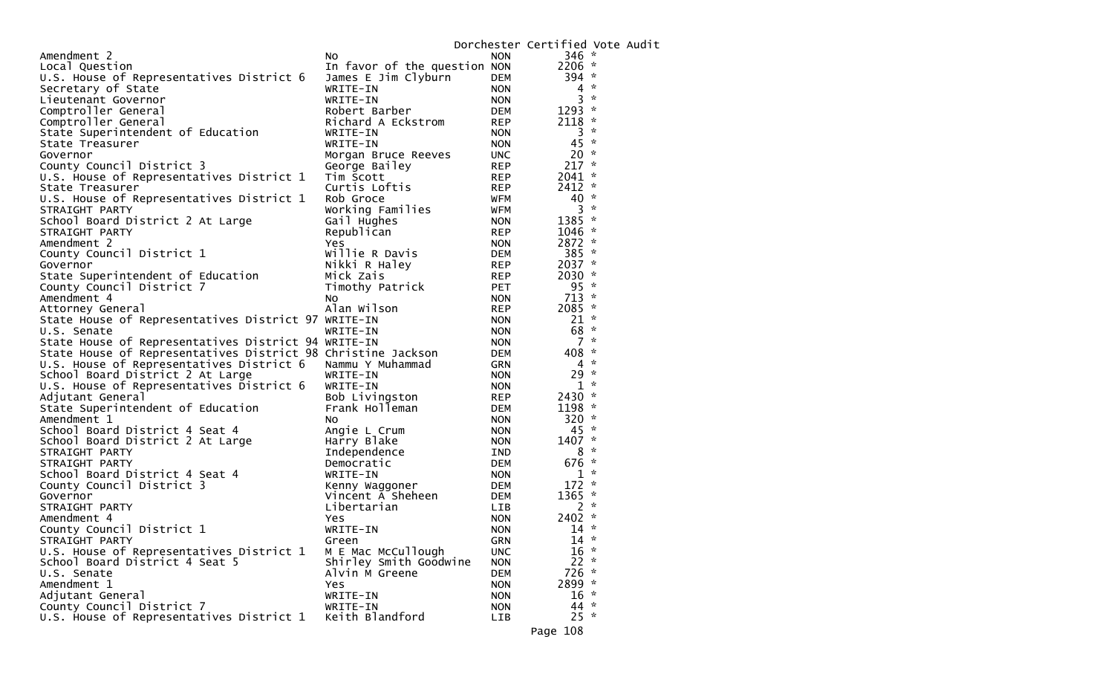|                                                              |                              |            | Dorchester Certified Vote Audit |  |
|--------------------------------------------------------------|------------------------------|------------|---------------------------------|--|
| Amendment 2                                                  | NO.                          | <b>NON</b> | $346 *$                         |  |
| Local Question                                               | In favor of the question NON |            | 2206 *                          |  |
| U.S. House of Representatives District 6                     | James E Jim Clyburn          | DEM        | 394 *                           |  |
| Secretary of State                                           | WRITE-IN                     | <b>NON</b> | $\mathcal{R}$<br>4              |  |
| Lieutenant Governor                                          | WRITE-IN                     | <b>NON</b> | $\sim$<br>3                     |  |
| Comptroller General                                          | Robert Barber                | DEM        | 1293 *                          |  |
| Comptroller General                                          | Richard A Eckstrom           | <b>REP</b> | $\boldsymbol{\pi}$<br>2118      |  |
| State Superintendent of Education                            | WRITE-IN                     | <b>NON</b> | $\boldsymbol{\pi}$<br>3         |  |
| State Treasurer                                              | WRITE-IN                     | <b>NON</b> | 45<br>$\mathcal{R}$             |  |
| Governor                                                     | Morgan Bruce Reeves          | <b>UNC</b> | $20 *$                          |  |
| County Council District 3                                    | George Bailey                | <b>REP</b> | $217 *$                         |  |
| U.S. House of Representatives District 1                     | Tim Scott                    | REP        | $2041$ *                        |  |
| State Treasurer                                              | Curtis Loftis                | <b>REP</b> | $2412$ *                        |  |
| U.S. House of Representatives District 1                     | Rob Groce                    | WFM        | $\sim$<br>40                    |  |
| STRAIGHT PARTY                                               | Working Families             | WFM        | $\sim$<br>3                     |  |
| School Board District 2 At Large                             | Gail Hughes                  | <b>NON</b> | 1385 *                          |  |
| STRAIGHT PARTY                                               | Republican                   | <b>REP</b> | $1046 *$                        |  |
| Amendment 2                                                  | Yes                          | <b>NON</b> | 2872 *                          |  |
| County Council District 1                                    | Willie R Davis               | DEM        | 385 *                           |  |
| Governor                                                     | Nikki R Haley                | <b>REP</b> | $2037 *$                        |  |
| State Superintendent of Education                            | Mick Zais                    | REP        | 2030 $*$                        |  |
| County Council District 7                                    | Timothy Patrick              | <b>PET</b> | $95 *$                          |  |
| Amendment 4                                                  | No                           | <b>NON</b> | $713 *$                         |  |
| Attorney General                                             | Alan Wilson                  | <b>REP</b> | 2085 *                          |  |
| State House of Representatives District 97 WRITE-IN          |                              | <b>NON</b> | $21 *$                          |  |
| U.S. Senate                                                  | WRITE-IN                     | <b>NON</b> | 68<br>*                         |  |
| State House of Representatives District 94 WRITE-IN          |                              | <b>NON</b> | $\mathcal{R}$<br>7              |  |
| State House of Representatives District 98 Christine Jackson |                              | DEM        | 408<br>$\mathcal{R}$            |  |
| U.S. House of Representatives District 6                     | Nammu Y Muhammad             | GRN        | $\sim$<br>4                     |  |
| School Board District 2 At Large                             | WRITE-IN                     | <b>NON</b> | 29<br>$\sim$                    |  |
| U.S. House of Representatives District 6                     | WRITE-IN                     | <b>NON</b> | $1 *$                           |  |
| Adjutant General                                             | Bob Livingston               | <b>REP</b> | 2430 $*$                        |  |
| State Superintendent of Education                            | Frank Holleman               | DEM        | $\mathcal{R}$<br>1198           |  |
| Amendment 1                                                  | NO.                          | <b>NON</b> | $320 *$                         |  |
| School Board District 4 Seat 4                               | Angie L Crum                 | <b>NON</b> | $45 *$                          |  |
| School Board District 2 At Large                             | Harry Blake                  | <b>NON</b> | 1407 *                          |  |
| STRAIGHT PARTY                                               | Independence                 | IND        | $\mathcal{H}$<br>8              |  |
| STRAIGHT PARTY                                               | Democratic                   | DEM        | 676<br>$\sim$                   |  |
| School Board District 4 Seat 4                               | WRITE-IN                     | <b>NON</b> | $\boldsymbol{\pi}$<br>1         |  |
| County Council District 3                                    | Kenny Waggoner               | DEM        | $\mathcal{H}$<br>172            |  |
| Governor                                                     | Vincent A Sheheen            | DEM        | 1365<br>$\sim$                  |  |
| STRAIGHT PARTY                                               | Libertarian                  | LIB        | $\boldsymbol{\pi}$<br>2         |  |
| Amendment 4                                                  | Yes                          | <b>NON</b> | $2402$ *                        |  |
| County Council District 1                                    | WRITE-IN                     | <b>NON</b> | $14 *$                          |  |
| STRAIGHT PARTY                                               | Green                        | GRN        | $14 *$                          |  |
| U.S. House of Representatives District 1                     | M E Mac McCullough           | <b>UNC</b> | $16 *$                          |  |
| School Board District 4 Seat 5                               | Shirley Smith Goodwine       | <b>NON</b> | $22 *$                          |  |
| U.S. Senate                                                  | Alvin M Greene               | <b>DEM</b> | $726 *$                         |  |
| Amendment 1                                                  | Yes                          | <b>NON</b> | 2899 *                          |  |
| Adjutant General                                             | WRITE-IN                     | <b>NON</b> | $16 *$                          |  |
| County Council District 7                                    | WRITE-IN                     | <b>NON</b> | $44 *$                          |  |
| U.S. House of Representatives District 1                     | Keith Blandford              | <b>LIB</b> | $25 *$                          |  |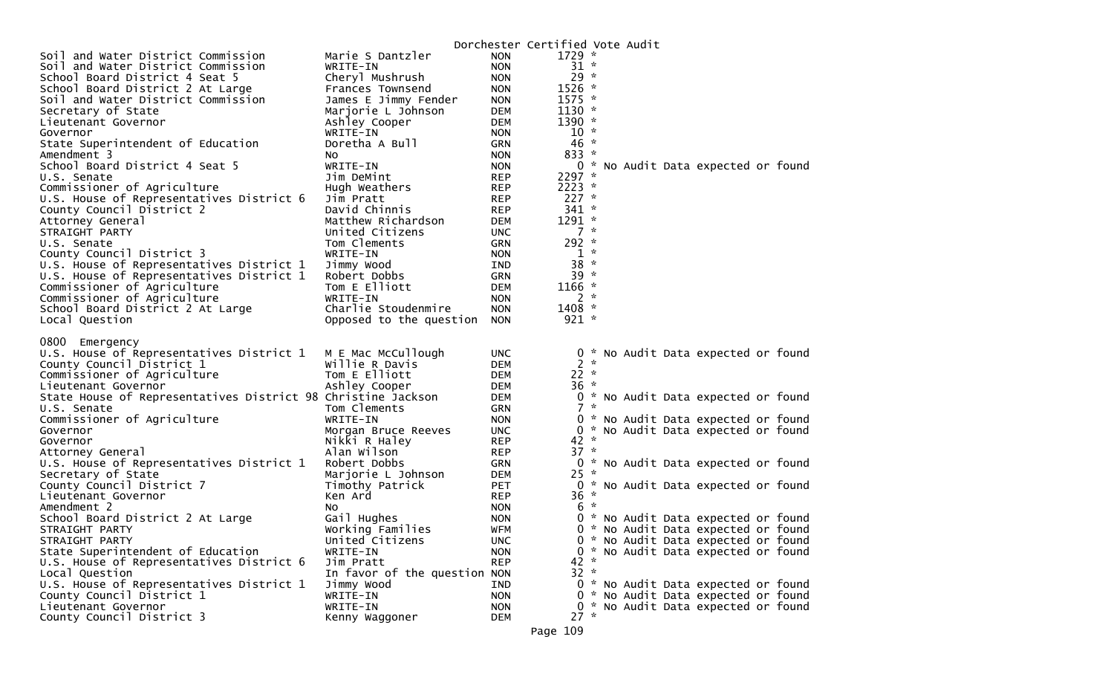| Soil and Water District Commission<br>Marie S Dantzler<br>$1729 *$<br><b>NON</b><br><b>NON</b><br>$31 *$<br>Soil and Water District Commission<br>WRITE-IN<br>$29 *$<br>School Board District 4 Seat 5<br>Cheryl Mushrush<br><b>NON</b><br>$1526$ *<br>School Board District 2 At Large<br>Frances Townsend<br><b>NON</b><br>$1575 *$<br>Soil and Water District Commission<br>James E Jimmy Fender<br><b>NON</b><br>$1130 *$<br>Secretary of State<br>Marjorie L Johnson<br><b>DEM</b><br>Ashley Cooper<br>$1390 *$<br>Lieutenant Governor<br><b>DEM</b><br>$10 *$<br><b>NON</b><br>WRITE-IN<br>Governor<br>$46 *$<br>State Superintendent of Education<br>Doretha A Bull<br><b>GRN</b><br>$833 *$<br>Amendment 3<br><b>NON</b><br>NO.<br>School Board District 4 Seat 5<br><b>NON</b><br>0 * No Audit Data expected or found<br>WRITE-IN<br>$2297$ *<br>Jim DeMint<br><b>REP</b><br>U.S. Senate<br>Commissioner of Agriculture<br>$2223$ *<br><b>REP</b><br>Hugh Weathers<br>$227$ *<br>U.S. House of Representatives District 6<br><b>REP</b><br>Jim Pratt<br>County Council District 2<br>$341 *$<br>David Chinnis<br><b>REP</b><br>$1291 *$<br>Attorney General<br>Matthew Richardson<br><b>DEM</b><br>$7 *$<br>United Citizens<br><b>UNC</b><br>STRAIGHT PARTY<br>292 *<br>Tom Clements<br>U.S. Senate<br><b>GRN</b><br>$1 *$<br>County Council District 3<br>WRITE-IN<br><b>NON</b><br>$38 *$<br>U.S. House of Representatives District 1<br>Jimmy Wood<br>IND<br>$39 *$<br>U.S. House of Representatives District 1<br>Robert Dobbs<br><b>GRN</b><br>$1166 *$<br>Commissioner of Agriculture<br>Tom E Elliott<br><b>DEM</b><br>$2 *$<br>Commissioner of Agriculture<br><b>NON</b><br>WRITE-IN<br>$1408 *$<br>Charlie Stoudenmire<br><b>NON</b><br>School Board District 2 At Large<br>$921 *$<br>Local Question<br>Opposed to the question<br><b>NON</b><br>0800 Emergency<br>U.S. House of Representatives District 1<br>M E Mac McCullough<br><b>UNC</b><br>0 * No Audit Data expected or found<br>$2 *$<br>Willie R Davis<br>County Council District 1<br><b>DEM</b><br>Commissioner of Agriculture<br>Tom E Elliott<br>$22 *$<br><b>DEM</b><br>$36 *$<br>Ashley Cooper<br>Lieutenant Governor<br>DEM<br>State House of Representatives District 98 Christine Jackson<br>0 * No Audit Data expected or found<br><b>DEM</b><br>$7 *$<br>Tom Clements<br><b>GRN</b><br>U.S. Senate<br>Commissioner of Agriculture<br>WRITE-IN<br><b>NON</b><br>0 * No Audit Data expected or found<br>0 * No Audit Data expected or found<br><b>UNC</b><br>Governor<br>Morgan Bruce Reeves<br>$42 *$<br>Nikki R Haley<br><b>REP</b><br>Governor<br>$37 *$<br>Alan Wilson<br><b>REP</b><br>Attorney General<br>U.S. House of Representatives District 1<br>0 * No Audit Data expected or found<br>Robert Dobbs<br><b>GRN</b><br>Secretary of State<br>$25 *$<br><b>DEM</b><br>Marjorie L Johnson<br>County Council District 7<br><b>PET</b><br>0 * No Audit Data expected or found<br>Timothy Patrick<br>$36 *$<br>Ken Ard<br><b>REP</b><br>Lieutenant Governor<br>$6*$<br>Amendment 2<br><b>NON</b><br>NO.<br>Gail Hughes<br>School Board District 2 At Large<br><b>NON</b><br>0 * No Audit Data expected or found<br><b>WFM</b><br>0 * No Audit Data expected or found<br>STRAIGHT PARTY<br>Working Families<br>STRAIGHT PARTY<br>United Citizens<br><b>UNC</b><br>0 * No Audit Data expected or found<br>0 * No Audit Data expected or found<br>State Superintendent of Education<br>WRITE-IN<br><b>NON</b><br><b>REP</b><br>42 *<br>U.S. House of Representatives District 6<br>Jim Pratt<br>$32 *$<br>In favor of the question NON<br>Local Question<br>U.S. House of Representatives District 1<br>IND<br>0 * No Audit Data expected or found<br>Jimmy Wood<br>County Council District 1<br>WRITE-IN<br><b>NON</b><br>0 * No Audit Data expected or found<br>Lieutenant Governor<br>WRITE-IN<br>0 * No Audit Data expected or found<br><b>NON</b><br>$27 *$ |                           |                |            | Dorchester Certified Vote Audit |  |  |  |  |
|-----------------------------------------------------------------------------------------------------------------------------------------------------------------------------------------------------------------------------------------------------------------------------------------------------------------------------------------------------------------------------------------------------------------------------------------------------------------------------------------------------------------------------------------------------------------------------------------------------------------------------------------------------------------------------------------------------------------------------------------------------------------------------------------------------------------------------------------------------------------------------------------------------------------------------------------------------------------------------------------------------------------------------------------------------------------------------------------------------------------------------------------------------------------------------------------------------------------------------------------------------------------------------------------------------------------------------------------------------------------------------------------------------------------------------------------------------------------------------------------------------------------------------------------------------------------------------------------------------------------------------------------------------------------------------------------------------------------------------------------------------------------------------------------------------------------------------------------------------------------------------------------------------------------------------------------------------------------------------------------------------------------------------------------------------------------------------------------------------------------------------------------------------------------------------------------------------------------------------------------------------------------------------------------------------------------------------------------------------------------------------------------------------------------------------------------------------------------------------------------------------------------------------------------------------------------------------------------------------------------------------------------------------------------------------------------------------------------------------------------------------------------------------------------------------------------------------------------------------------------------------------------------------------------------------------------------------------------------------------------------------------------------------------------------------------------------------------------------------------------------------------------------------------------------------------------------------------------------------------------------------------------------------------------------------------------------------------------------------------------------------------------------------------------------------------------------------------------------------------------------------------------------------------------------------------------------------------------------------------------------------------------------------------------------------------------------------------------------------------------------------------------------------------------------------------------------------------------------------------------------------------------------------------------------------------------------------------|---------------------------|----------------|------------|---------------------------------|--|--|--|--|
|                                                                                                                                                                                                                                                                                                                                                                                                                                                                                                                                                                                                                                                                                                                                                                                                                                                                                                                                                                                                                                                                                                                                                                                                                                                                                                                                                                                                                                                                                                                                                                                                                                                                                                                                                                                                                                                                                                                                                                                                                                                                                                                                                                                                                                                                                                                                                                                                                                                                                                                                                                                                                                                                                                                                                                                                                                                                                                                                                                                                                                                                                                                                                                                                                                                                                                                                                                                                                                                                                                                                                                                                                                                                                                                                                                                                                                                                                                                                                           |                           |                |            |                                 |  |  |  |  |
|                                                                                                                                                                                                                                                                                                                                                                                                                                                                                                                                                                                                                                                                                                                                                                                                                                                                                                                                                                                                                                                                                                                                                                                                                                                                                                                                                                                                                                                                                                                                                                                                                                                                                                                                                                                                                                                                                                                                                                                                                                                                                                                                                                                                                                                                                                                                                                                                                                                                                                                                                                                                                                                                                                                                                                                                                                                                                                                                                                                                                                                                                                                                                                                                                                                                                                                                                                                                                                                                                                                                                                                                                                                                                                                                                                                                                                                                                                                                                           |                           |                |            |                                 |  |  |  |  |
|                                                                                                                                                                                                                                                                                                                                                                                                                                                                                                                                                                                                                                                                                                                                                                                                                                                                                                                                                                                                                                                                                                                                                                                                                                                                                                                                                                                                                                                                                                                                                                                                                                                                                                                                                                                                                                                                                                                                                                                                                                                                                                                                                                                                                                                                                                                                                                                                                                                                                                                                                                                                                                                                                                                                                                                                                                                                                                                                                                                                                                                                                                                                                                                                                                                                                                                                                                                                                                                                                                                                                                                                                                                                                                                                                                                                                                                                                                                                                           |                           |                |            |                                 |  |  |  |  |
|                                                                                                                                                                                                                                                                                                                                                                                                                                                                                                                                                                                                                                                                                                                                                                                                                                                                                                                                                                                                                                                                                                                                                                                                                                                                                                                                                                                                                                                                                                                                                                                                                                                                                                                                                                                                                                                                                                                                                                                                                                                                                                                                                                                                                                                                                                                                                                                                                                                                                                                                                                                                                                                                                                                                                                                                                                                                                                                                                                                                                                                                                                                                                                                                                                                                                                                                                                                                                                                                                                                                                                                                                                                                                                                                                                                                                                                                                                                                                           |                           |                |            |                                 |  |  |  |  |
|                                                                                                                                                                                                                                                                                                                                                                                                                                                                                                                                                                                                                                                                                                                                                                                                                                                                                                                                                                                                                                                                                                                                                                                                                                                                                                                                                                                                                                                                                                                                                                                                                                                                                                                                                                                                                                                                                                                                                                                                                                                                                                                                                                                                                                                                                                                                                                                                                                                                                                                                                                                                                                                                                                                                                                                                                                                                                                                                                                                                                                                                                                                                                                                                                                                                                                                                                                                                                                                                                                                                                                                                                                                                                                                                                                                                                                                                                                                                                           |                           |                |            |                                 |  |  |  |  |
|                                                                                                                                                                                                                                                                                                                                                                                                                                                                                                                                                                                                                                                                                                                                                                                                                                                                                                                                                                                                                                                                                                                                                                                                                                                                                                                                                                                                                                                                                                                                                                                                                                                                                                                                                                                                                                                                                                                                                                                                                                                                                                                                                                                                                                                                                                                                                                                                                                                                                                                                                                                                                                                                                                                                                                                                                                                                                                                                                                                                                                                                                                                                                                                                                                                                                                                                                                                                                                                                                                                                                                                                                                                                                                                                                                                                                                                                                                                                                           |                           |                |            |                                 |  |  |  |  |
|                                                                                                                                                                                                                                                                                                                                                                                                                                                                                                                                                                                                                                                                                                                                                                                                                                                                                                                                                                                                                                                                                                                                                                                                                                                                                                                                                                                                                                                                                                                                                                                                                                                                                                                                                                                                                                                                                                                                                                                                                                                                                                                                                                                                                                                                                                                                                                                                                                                                                                                                                                                                                                                                                                                                                                                                                                                                                                                                                                                                                                                                                                                                                                                                                                                                                                                                                                                                                                                                                                                                                                                                                                                                                                                                                                                                                                                                                                                                                           |                           |                |            |                                 |  |  |  |  |
|                                                                                                                                                                                                                                                                                                                                                                                                                                                                                                                                                                                                                                                                                                                                                                                                                                                                                                                                                                                                                                                                                                                                                                                                                                                                                                                                                                                                                                                                                                                                                                                                                                                                                                                                                                                                                                                                                                                                                                                                                                                                                                                                                                                                                                                                                                                                                                                                                                                                                                                                                                                                                                                                                                                                                                                                                                                                                                                                                                                                                                                                                                                                                                                                                                                                                                                                                                                                                                                                                                                                                                                                                                                                                                                                                                                                                                                                                                                                                           |                           |                |            |                                 |  |  |  |  |
|                                                                                                                                                                                                                                                                                                                                                                                                                                                                                                                                                                                                                                                                                                                                                                                                                                                                                                                                                                                                                                                                                                                                                                                                                                                                                                                                                                                                                                                                                                                                                                                                                                                                                                                                                                                                                                                                                                                                                                                                                                                                                                                                                                                                                                                                                                                                                                                                                                                                                                                                                                                                                                                                                                                                                                                                                                                                                                                                                                                                                                                                                                                                                                                                                                                                                                                                                                                                                                                                                                                                                                                                                                                                                                                                                                                                                                                                                                                                                           |                           |                |            |                                 |  |  |  |  |
|                                                                                                                                                                                                                                                                                                                                                                                                                                                                                                                                                                                                                                                                                                                                                                                                                                                                                                                                                                                                                                                                                                                                                                                                                                                                                                                                                                                                                                                                                                                                                                                                                                                                                                                                                                                                                                                                                                                                                                                                                                                                                                                                                                                                                                                                                                                                                                                                                                                                                                                                                                                                                                                                                                                                                                                                                                                                                                                                                                                                                                                                                                                                                                                                                                                                                                                                                                                                                                                                                                                                                                                                                                                                                                                                                                                                                                                                                                                                                           |                           |                |            |                                 |  |  |  |  |
|                                                                                                                                                                                                                                                                                                                                                                                                                                                                                                                                                                                                                                                                                                                                                                                                                                                                                                                                                                                                                                                                                                                                                                                                                                                                                                                                                                                                                                                                                                                                                                                                                                                                                                                                                                                                                                                                                                                                                                                                                                                                                                                                                                                                                                                                                                                                                                                                                                                                                                                                                                                                                                                                                                                                                                                                                                                                                                                                                                                                                                                                                                                                                                                                                                                                                                                                                                                                                                                                                                                                                                                                                                                                                                                                                                                                                                                                                                                                                           |                           |                |            |                                 |  |  |  |  |
|                                                                                                                                                                                                                                                                                                                                                                                                                                                                                                                                                                                                                                                                                                                                                                                                                                                                                                                                                                                                                                                                                                                                                                                                                                                                                                                                                                                                                                                                                                                                                                                                                                                                                                                                                                                                                                                                                                                                                                                                                                                                                                                                                                                                                                                                                                                                                                                                                                                                                                                                                                                                                                                                                                                                                                                                                                                                                                                                                                                                                                                                                                                                                                                                                                                                                                                                                                                                                                                                                                                                                                                                                                                                                                                                                                                                                                                                                                                                                           |                           |                |            |                                 |  |  |  |  |
|                                                                                                                                                                                                                                                                                                                                                                                                                                                                                                                                                                                                                                                                                                                                                                                                                                                                                                                                                                                                                                                                                                                                                                                                                                                                                                                                                                                                                                                                                                                                                                                                                                                                                                                                                                                                                                                                                                                                                                                                                                                                                                                                                                                                                                                                                                                                                                                                                                                                                                                                                                                                                                                                                                                                                                                                                                                                                                                                                                                                                                                                                                                                                                                                                                                                                                                                                                                                                                                                                                                                                                                                                                                                                                                                                                                                                                                                                                                                                           |                           |                |            |                                 |  |  |  |  |
|                                                                                                                                                                                                                                                                                                                                                                                                                                                                                                                                                                                                                                                                                                                                                                                                                                                                                                                                                                                                                                                                                                                                                                                                                                                                                                                                                                                                                                                                                                                                                                                                                                                                                                                                                                                                                                                                                                                                                                                                                                                                                                                                                                                                                                                                                                                                                                                                                                                                                                                                                                                                                                                                                                                                                                                                                                                                                                                                                                                                                                                                                                                                                                                                                                                                                                                                                                                                                                                                                                                                                                                                                                                                                                                                                                                                                                                                                                                                                           |                           |                |            |                                 |  |  |  |  |
|                                                                                                                                                                                                                                                                                                                                                                                                                                                                                                                                                                                                                                                                                                                                                                                                                                                                                                                                                                                                                                                                                                                                                                                                                                                                                                                                                                                                                                                                                                                                                                                                                                                                                                                                                                                                                                                                                                                                                                                                                                                                                                                                                                                                                                                                                                                                                                                                                                                                                                                                                                                                                                                                                                                                                                                                                                                                                                                                                                                                                                                                                                                                                                                                                                                                                                                                                                                                                                                                                                                                                                                                                                                                                                                                                                                                                                                                                                                                                           |                           |                |            |                                 |  |  |  |  |
|                                                                                                                                                                                                                                                                                                                                                                                                                                                                                                                                                                                                                                                                                                                                                                                                                                                                                                                                                                                                                                                                                                                                                                                                                                                                                                                                                                                                                                                                                                                                                                                                                                                                                                                                                                                                                                                                                                                                                                                                                                                                                                                                                                                                                                                                                                                                                                                                                                                                                                                                                                                                                                                                                                                                                                                                                                                                                                                                                                                                                                                                                                                                                                                                                                                                                                                                                                                                                                                                                                                                                                                                                                                                                                                                                                                                                                                                                                                                                           |                           |                |            |                                 |  |  |  |  |
|                                                                                                                                                                                                                                                                                                                                                                                                                                                                                                                                                                                                                                                                                                                                                                                                                                                                                                                                                                                                                                                                                                                                                                                                                                                                                                                                                                                                                                                                                                                                                                                                                                                                                                                                                                                                                                                                                                                                                                                                                                                                                                                                                                                                                                                                                                                                                                                                                                                                                                                                                                                                                                                                                                                                                                                                                                                                                                                                                                                                                                                                                                                                                                                                                                                                                                                                                                                                                                                                                                                                                                                                                                                                                                                                                                                                                                                                                                                                                           |                           |                |            |                                 |  |  |  |  |
|                                                                                                                                                                                                                                                                                                                                                                                                                                                                                                                                                                                                                                                                                                                                                                                                                                                                                                                                                                                                                                                                                                                                                                                                                                                                                                                                                                                                                                                                                                                                                                                                                                                                                                                                                                                                                                                                                                                                                                                                                                                                                                                                                                                                                                                                                                                                                                                                                                                                                                                                                                                                                                                                                                                                                                                                                                                                                                                                                                                                                                                                                                                                                                                                                                                                                                                                                                                                                                                                                                                                                                                                                                                                                                                                                                                                                                                                                                                                                           |                           |                |            |                                 |  |  |  |  |
|                                                                                                                                                                                                                                                                                                                                                                                                                                                                                                                                                                                                                                                                                                                                                                                                                                                                                                                                                                                                                                                                                                                                                                                                                                                                                                                                                                                                                                                                                                                                                                                                                                                                                                                                                                                                                                                                                                                                                                                                                                                                                                                                                                                                                                                                                                                                                                                                                                                                                                                                                                                                                                                                                                                                                                                                                                                                                                                                                                                                                                                                                                                                                                                                                                                                                                                                                                                                                                                                                                                                                                                                                                                                                                                                                                                                                                                                                                                                                           |                           |                |            |                                 |  |  |  |  |
|                                                                                                                                                                                                                                                                                                                                                                                                                                                                                                                                                                                                                                                                                                                                                                                                                                                                                                                                                                                                                                                                                                                                                                                                                                                                                                                                                                                                                                                                                                                                                                                                                                                                                                                                                                                                                                                                                                                                                                                                                                                                                                                                                                                                                                                                                                                                                                                                                                                                                                                                                                                                                                                                                                                                                                                                                                                                                                                                                                                                                                                                                                                                                                                                                                                                                                                                                                                                                                                                                                                                                                                                                                                                                                                                                                                                                                                                                                                                                           |                           |                |            |                                 |  |  |  |  |
|                                                                                                                                                                                                                                                                                                                                                                                                                                                                                                                                                                                                                                                                                                                                                                                                                                                                                                                                                                                                                                                                                                                                                                                                                                                                                                                                                                                                                                                                                                                                                                                                                                                                                                                                                                                                                                                                                                                                                                                                                                                                                                                                                                                                                                                                                                                                                                                                                                                                                                                                                                                                                                                                                                                                                                                                                                                                                                                                                                                                                                                                                                                                                                                                                                                                                                                                                                                                                                                                                                                                                                                                                                                                                                                                                                                                                                                                                                                                                           |                           |                |            |                                 |  |  |  |  |
|                                                                                                                                                                                                                                                                                                                                                                                                                                                                                                                                                                                                                                                                                                                                                                                                                                                                                                                                                                                                                                                                                                                                                                                                                                                                                                                                                                                                                                                                                                                                                                                                                                                                                                                                                                                                                                                                                                                                                                                                                                                                                                                                                                                                                                                                                                                                                                                                                                                                                                                                                                                                                                                                                                                                                                                                                                                                                                                                                                                                                                                                                                                                                                                                                                                                                                                                                                                                                                                                                                                                                                                                                                                                                                                                                                                                                                                                                                                                                           |                           |                |            |                                 |  |  |  |  |
|                                                                                                                                                                                                                                                                                                                                                                                                                                                                                                                                                                                                                                                                                                                                                                                                                                                                                                                                                                                                                                                                                                                                                                                                                                                                                                                                                                                                                                                                                                                                                                                                                                                                                                                                                                                                                                                                                                                                                                                                                                                                                                                                                                                                                                                                                                                                                                                                                                                                                                                                                                                                                                                                                                                                                                                                                                                                                                                                                                                                                                                                                                                                                                                                                                                                                                                                                                                                                                                                                                                                                                                                                                                                                                                                                                                                                                                                                                                                                           |                           |                |            |                                 |  |  |  |  |
|                                                                                                                                                                                                                                                                                                                                                                                                                                                                                                                                                                                                                                                                                                                                                                                                                                                                                                                                                                                                                                                                                                                                                                                                                                                                                                                                                                                                                                                                                                                                                                                                                                                                                                                                                                                                                                                                                                                                                                                                                                                                                                                                                                                                                                                                                                                                                                                                                                                                                                                                                                                                                                                                                                                                                                                                                                                                                                                                                                                                                                                                                                                                                                                                                                                                                                                                                                                                                                                                                                                                                                                                                                                                                                                                                                                                                                                                                                                                                           |                           |                |            |                                 |  |  |  |  |
|                                                                                                                                                                                                                                                                                                                                                                                                                                                                                                                                                                                                                                                                                                                                                                                                                                                                                                                                                                                                                                                                                                                                                                                                                                                                                                                                                                                                                                                                                                                                                                                                                                                                                                                                                                                                                                                                                                                                                                                                                                                                                                                                                                                                                                                                                                                                                                                                                                                                                                                                                                                                                                                                                                                                                                                                                                                                                                                                                                                                                                                                                                                                                                                                                                                                                                                                                                                                                                                                                                                                                                                                                                                                                                                                                                                                                                                                                                                                                           |                           |                |            |                                 |  |  |  |  |
|                                                                                                                                                                                                                                                                                                                                                                                                                                                                                                                                                                                                                                                                                                                                                                                                                                                                                                                                                                                                                                                                                                                                                                                                                                                                                                                                                                                                                                                                                                                                                                                                                                                                                                                                                                                                                                                                                                                                                                                                                                                                                                                                                                                                                                                                                                                                                                                                                                                                                                                                                                                                                                                                                                                                                                                                                                                                                                                                                                                                                                                                                                                                                                                                                                                                                                                                                                                                                                                                                                                                                                                                                                                                                                                                                                                                                                                                                                                                                           |                           |                |            |                                 |  |  |  |  |
|                                                                                                                                                                                                                                                                                                                                                                                                                                                                                                                                                                                                                                                                                                                                                                                                                                                                                                                                                                                                                                                                                                                                                                                                                                                                                                                                                                                                                                                                                                                                                                                                                                                                                                                                                                                                                                                                                                                                                                                                                                                                                                                                                                                                                                                                                                                                                                                                                                                                                                                                                                                                                                                                                                                                                                                                                                                                                                                                                                                                                                                                                                                                                                                                                                                                                                                                                                                                                                                                                                                                                                                                                                                                                                                                                                                                                                                                                                                                                           |                           |                |            |                                 |  |  |  |  |
|                                                                                                                                                                                                                                                                                                                                                                                                                                                                                                                                                                                                                                                                                                                                                                                                                                                                                                                                                                                                                                                                                                                                                                                                                                                                                                                                                                                                                                                                                                                                                                                                                                                                                                                                                                                                                                                                                                                                                                                                                                                                                                                                                                                                                                                                                                                                                                                                                                                                                                                                                                                                                                                                                                                                                                                                                                                                                                                                                                                                                                                                                                                                                                                                                                                                                                                                                                                                                                                                                                                                                                                                                                                                                                                                                                                                                                                                                                                                                           |                           |                |            |                                 |  |  |  |  |
|                                                                                                                                                                                                                                                                                                                                                                                                                                                                                                                                                                                                                                                                                                                                                                                                                                                                                                                                                                                                                                                                                                                                                                                                                                                                                                                                                                                                                                                                                                                                                                                                                                                                                                                                                                                                                                                                                                                                                                                                                                                                                                                                                                                                                                                                                                                                                                                                                                                                                                                                                                                                                                                                                                                                                                                                                                                                                                                                                                                                                                                                                                                                                                                                                                                                                                                                                                                                                                                                                                                                                                                                                                                                                                                                                                                                                                                                                                                                                           |                           |                |            |                                 |  |  |  |  |
|                                                                                                                                                                                                                                                                                                                                                                                                                                                                                                                                                                                                                                                                                                                                                                                                                                                                                                                                                                                                                                                                                                                                                                                                                                                                                                                                                                                                                                                                                                                                                                                                                                                                                                                                                                                                                                                                                                                                                                                                                                                                                                                                                                                                                                                                                                                                                                                                                                                                                                                                                                                                                                                                                                                                                                                                                                                                                                                                                                                                                                                                                                                                                                                                                                                                                                                                                                                                                                                                                                                                                                                                                                                                                                                                                                                                                                                                                                                                                           |                           |                |            |                                 |  |  |  |  |
|                                                                                                                                                                                                                                                                                                                                                                                                                                                                                                                                                                                                                                                                                                                                                                                                                                                                                                                                                                                                                                                                                                                                                                                                                                                                                                                                                                                                                                                                                                                                                                                                                                                                                                                                                                                                                                                                                                                                                                                                                                                                                                                                                                                                                                                                                                                                                                                                                                                                                                                                                                                                                                                                                                                                                                                                                                                                                                                                                                                                                                                                                                                                                                                                                                                                                                                                                                                                                                                                                                                                                                                                                                                                                                                                                                                                                                                                                                                                                           |                           |                |            |                                 |  |  |  |  |
|                                                                                                                                                                                                                                                                                                                                                                                                                                                                                                                                                                                                                                                                                                                                                                                                                                                                                                                                                                                                                                                                                                                                                                                                                                                                                                                                                                                                                                                                                                                                                                                                                                                                                                                                                                                                                                                                                                                                                                                                                                                                                                                                                                                                                                                                                                                                                                                                                                                                                                                                                                                                                                                                                                                                                                                                                                                                                                                                                                                                                                                                                                                                                                                                                                                                                                                                                                                                                                                                                                                                                                                                                                                                                                                                                                                                                                                                                                                                                           |                           |                |            |                                 |  |  |  |  |
|                                                                                                                                                                                                                                                                                                                                                                                                                                                                                                                                                                                                                                                                                                                                                                                                                                                                                                                                                                                                                                                                                                                                                                                                                                                                                                                                                                                                                                                                                                                                                                                                                                                                                                                                                                                                                                                                                                                                                                                                                                                                                                                                                                                                                                                                                                                                                                                                                                                                                                                                                                                                                                                                                                                                                                                                                                                                                                                                                                                                                                                                                                                                                                                                                                                                                                                                                                                                                                                                                                                                                                                                                                                                                                                                                                                                                                                                                                                                                           |                           |                |            |                                 |  |  |  |  |
|                                                                                                                                                                                                                                                                                                                                                                                                                                                                                                                                                                                                                                                                                                                                                                                                                                                                                                                                                                                                                                                                                                                                                                                                                                                                                                                                                                                                                                                                                                                                                                                                                                                                                                                                                                                                                                                                                                                                                                                                                                                                                                                                                                                                                                                                                                                                                                                                                                                                                                                                                                                                                                                                                                                                                                                                                                                                                                                                                                                                                                                                                                                                                                                                                                                                                                                                                                                                                                                                                                                                                                                                                                                                                                                                                                                                                                                                                                                                                           |                           |                |            |                                 |  |  |  |  |
|                                                                                                                                                                                                                                                                                                                                                                                                                                                                                                                                                                                                                                                                                                                                                                                                                                                                                                                                                                                                                                                                                                                                                                                                                                                                                                                                                                                                                                                                                                                                                                                                                                                                                                                                                                                                                                                                                                                                                                                                                                                                                                                                                                                                                                                                                                                                                                                                                                                                                                                                                                                                                                                                                                                                                                                                                                                                                                                                                                                                                                                                                                                                                                                                                                                                                                                                                                                                                                                                                                                                                                                                                                                                                                                                                                                                                                                                                                                                                           |                           |                |            |                                 |  |  |  |  |
|                                                                                                                                                                                                                                                                                                                                                                                                                                                                                                                                                                                                                                                                                                                                                                                                                                                                                                                                                                                                                                                                                                                                                                                                                                                                                                                                                                                                                                                                                                                                                                                                                                                                                                                                                                                                                                                                                                                                                                                                                                                                                                                                                                                                                                                                                                                                                                                                                                                                                                                                                                                                                                                                                                                                                                                                                                                                                                                                                                                                                                                                                                                                                                                                                                                                                                                                                                                                                                                                                                                                                                                                                                                                                                                                                                                                                                                                                                                                                           |                           |                |            |                                 |  |  |  |  |
|                                                                                                                                                                                                                                                                                                                                                                                                                                                                                                                                                                                                                                                                                                                                                                                                                                                                                                                                                                                                                                                                                                                                                                                                                                                                                                                                                                                                                                                                                                                                                                                                                                                                                                                                                                                                                                                                                                                                                                                                                                                                                                                                                                                                                                                                                                                                                                                                                                                                                                                                                                                                                                                                                                                                                                                                                                                                                                                                                                                                                                                                                                                                                                                                                                                                                                                                                                                                                                                                                                                                                                                                                                                                                                                                                                                                                                                                                                                                                           |                           |                |            |                                 |  |  |  |  |
|                                                                                                                                                                                                                                                                                                                                                                                                                                                                                                                                                                                                                                                                                                                                                                                                                                                                                                                                                                                                                                                                                                                                                                                                                                                                                                                                                                                                                                                                                                                                                                                                                                                                                                                                                                                                                                                                                                                                                                                                                                                                                                                                                                                                                                                                                                                                                                                                                                                                                                                                                                                                                                                                                                                                                                                                                                                                                                                                                                                                                                                                                                                                                                                                                                                                                                                                                                                                                                                                                                                                                                                                                                                                                                                                                                                                                                                                                                                                                           |                           |                |            |                                 |  |  |  |  |
|                                                                                                                                                                                                                                                                                                                                                                                                                                                                                                                                                                                                                                                                                                                                                                                                                                                                                                                                                                                                                                                                                                                                                                                                                                                                                                                                                                                                                                                                                                                                                                                                                                                                                                                                                                                                                                                                                                                                                                                                                                                                                                                                                                                                                                                                                                                                                                                                                                                                                                                                                                                                                                                                                                                                                                                                                                                                                                                                                                                                                                                                                                                                                                                                                                                                                                                                                                                                                                                                                                                                                                                                                                                                                                                                                                                                                                                                                                                                                           |                           |                |            |                                 |  |  |  |  |
|                                                                                                                                                                                                                                                                                                                                                                                                                                                                                                                                                                                                                                                                                                                                                                                                                                                                                                                                                                                                                                                                                                                                                                                                                                                                                                                                                                                                                                                                                                                                                                                                                                                                                                                                                                                                                                                                                                                                                                                                                                                                                                                                                                                                                                                                                                                                                                                                                                                                                                                                                                                                                                                                                                                                                                                                                                                                                                                                                                                                                                                                                                                                                                                                                                                                                                                                                                                                                                                                                                                                                                                                                                                                                                                                                                                                                                                                                                                                                           |                           |                |            |                                 |  |  |  |  |
|                                                                                                                                                                                                                                                                                                                                                                                                                                                                                                                                                                                                                                                                                                                                                                                                                                                                                                                                                                                                                                                                                                                                                                                                                                                                                                                                                                                                                                                                                                                                                                                                                                                                                                                                                                                                                                                                                                                                                                                                                                                                                                                                                                                                                                                                                                                                                                                                                                                                                                                                                                                                                                                                                                                                                                                                                                                                                                                                                                                                                                                                                                                                                                                                                                                                                                                                                                                                                                                                                                                                                                                                                                                                                                                                                                                                                                                                                                                                                           |                           |                |            |                                 |  |  |  |  |
|                                                                                                                                                                                                                                                                                                                                                                                                                                                                                                                                                                                                                                                                                                                                                                                                                                                                                                                                                                                                                                                                                                                                                                                                                                                                                                                                                                                                                                                                                                                                                                                                                                                                                                                                                                                                                                                                                                                                                                                                                                                                                                                                                                                                                                                                                                                                                                                                                                                                                                                                                                                                                                                                                                                                                                                                                                                                                                                                                                                                                                                                                                                                                                                                                                                                                                                                                                                                                                                                                                                                                                                                                                                                                                                                                                                                                                                                                                                                                           |                           |                |            |                                 |  |  |  |  |
|                                                                                                                                                                                                                                                                                                                                                                                                                                                                                                                                                                                                                                                                                                                                                                                                                                                                                                                                                                                                                                                                                                                                                                                                                                                                                                                                                                                                                                                                                                                                                                                                                                                                                                                                                                                                                                                                                                                                                                                                                                                                                                                                                                                                                                                                                                                                                                                                                                                                                                                                                                                                                                                                                                                                                                                                                                                                                                                                                                                                                                                                                                                                                                                                                                                                                                                                                                                                                                                                                                                                                                                                                                                                                                                                                                                                                                                                                                                                                           |                           |                |            |                                 |  |  |  |  |
|                                                                                                                                                                                                                                                                                                                                                                                                                                                                                                                                                                                                                                                                                                                                                                                                                                                                                                                                                                                                                                                                                                                                                                                                                                                                                                                                                                                                                                                                                                                                                                                                                                                                                                                                                                                                                                                                                                                                                                                                                                                                                                                                                                                                                                                                                                                                                                                                                                                                                                                                                                                                                                                                                                                                                                                                                                                                                                                                                                                                                                                                                                                                                                                                                                                                                                                                                                                                                                                                                                                                                                                                                                                                                                                                                                                                                                                                                                                                                           |                           |                |            |                                 |  |  |  |  |
|                                                                                                                                                                                                                                                                                                                                                                                                                                                                                                                                                                                                                                                                                                                                                                                                                                                                                                                                                                                                                                                                                                                                                                                                                                                                                                                                                                                                                                                                                                                                                                                                                                                                                                                                                                                                                                                                                                                                                                                                                                                                                                                                                                                                                                                                                                                                                                                                                                                                                                                                                                                                                                                                                                                                                                                                                                                                                                                                                                                                                                                                                                                                                                                                                                                                                                                                                                                                                                                                                                                                                                                                                                                                                                                                                                                                                                                                                                                                                           |                           |                |            |                                 |  |  |  |  |
|                                                                                                                                                                                                                                                                                                                                                                                                                                                                                                                                                                                                                                                                                                                                                                                                                                                                                                                                                                                                                                                                                                                                                                                                                                                                                                                                                                                                                                                                                                                                                                                                                                                                                                                                                                                                                                                                                                                                                                                                                                                                                                                                                                                                                                                                                                                                                                                                                                                                                                                                                                                                                                                                                                                                                                                                                                                                                                                                                                                                                                                                                                                                                                                                                                                                                                                                                                                                                                                                                                                                                                                                                                                                                                                                                                                                                                                                                                                                                           |                           |                |            |                                 |  |  |  |  |
|                                                                                                                                                                                                                                                                                                                                                                                                                                                                                                                                                                                                                                                                                                                                                                                                                                                                                                                                                                                                                                                                                                                                                                                                                                                                                                                                                                                                                                                                                                                                                                                                                                                                                                                                                                                                                                                                                                                                                                                                                                                                                                                                                                                                                                                                                                                                                                                                                                                                                                                                                                                                                                                                                                                                                                                                                                                                                                                                                                                                                                                                                                                                                                                                                                                                                                                                                                                                                                                                                                                                                                                                                                                                                                                                                                                                                                                                                                                                                           |                           |                |            |                                 |  |  |  |  |
|                                                                                                                                                                                                                                                                                                                                                                                                                                                                                                                                                                                                                                                                                                                                                                                                                                                                                                                                                                                                                                                                                                                                                                                                                                                                                                                                                                                                                                                                                                                                                                                                                                                                                                                                                                                                                                                                                                                                                                                                                                                                                                                                                                                                                                                                                                                                                                                                                                                                                                                                                                                                                                                                                                                                                                                                                                                                                                                                                                                                                                                                                                                                                                                                                                                                                                                                                                                                                                                                                                                                                                                                                                                                                                                                                                                                                                                                                                                                                           |                           |                |            |                                 |  |  |  |  |
|                                                                                                                                                                                                                                                                                                                                                                                                                                                                                                                                                                                                                                                                                                                                                                                                                                                                                                                                                                                                                                                                                                                                                                                                                                                                                                                                                                                                                                                                                                                                                                                                                                                                                                                                                                                                                                                                                                                                                                                                                                                                                                                                                                                                                                                                                                                                                                                                                                                                                                                                                                                                                                                                                                                                                                                                                                                                                                                                                                                                                                                                                                                                                                                                                                                                                                                                                                                                                                                                                                                                                                                                                                                                                                                                                                                                                                                                                                                                                           | County Council District 3 | Kenny Waggoner | <b>DEM</b> |                                 |  |  |  |  |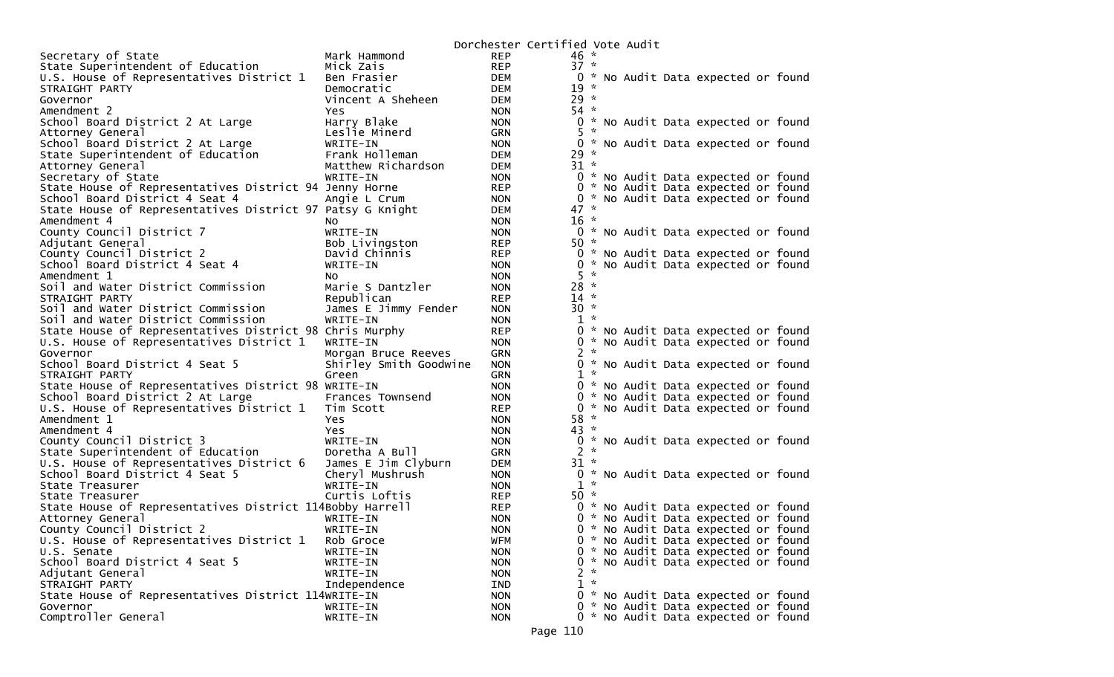|                                                                             |                             | Dorchester Certified Vote Audit |                       |                             |  |                                     |  |
|-----------------------------------------------------------------------------|-----------------------------|---------------------------------|-----------------------|-----------------------------|--|-------------------------------------|--|
| Secretary of State                                                          | Mark Hammond                | <b>REP</b>                      | $46 *$                |                             |  |                                     |  |
| State Superintendent of Education                                           | Mick Zais                   | <b>REP</b>                      | $37 *$                |                             |  |                                     |  |
| U.S. House of Representatives District 1                                    | Ben Frasier                 | DEM                             |                       |                             |  | 0 * No Audit Data expected or found |  |
| STRAIGHT PARTY                                                              | Democratic                  | DEM                             | $19 *$                |                             |  |                                     |  |
| Governor                                                                    | Vincent A Sheheen           | DEM                             | $29 *$                |                             |  |                                     |  |
| Amendment 2                                                                 | Yes                         | <b>NON</b>                      | $54 *$                |                             |  |                                     |  |
| School Board District 2 At Large                                            | Harry Blake                 | <b>NON</b>                      |                       |                             |  | 0 * No Audit Data expected or found |  |
| Attorney General                                                            | Leslie Minerd               | <b>GRN</b>                      | $5 *$                 |                             |  |                                     |  |
| School Board District 2 At Large                                            | WRITE-IN                    | <b>NON</b>                      |                       |                             |  | 0 * No Audit Data expected or found |  |
| State Superintendent of Education                                           | Frank Holleman              | DEM                             | $29 *$                |                             |  |                                     |  |
| Attorney General                                                            | Matthew Richardson          | DEM                             | $31 *$                |                             |  |                                     |  |
| Secretary of State                                                          | WRITE-IN                    | <b>NON</b>                      |                       |                             |  | 0 * No Audit Data expected or found |  |
| State House of Representatives District 94 Jenny Horne                      |                             | <b>REP</b>                      |                       |                             |  | 0 * No Audit Data expected or found |  |
| School Board District 4 Seat 4                                              | Angie L Crum                | <b>NON</b>                      | 0                     |                             |  | * No Audit Data expected or found   |  |
| State House of Representatives District 97 Patsy G Knight                   |                             | <b>DEM</b>                      | $47 *$                |                             |  |                                     |  |
| Amendment 4                                                                 | NO.                         | <b>NON</b>                      | $16 *$                |                             |  |                                     |  |
| County Council District 7                                                   | WRITE-IN                    | <b>NON</b>                      |                       |                             |  | 0 * No Audit Data expected or found |  |
| Adjutant General                                                            | Bob Livingston              | <b>REP</b>                      | $50 *$                |                             |  |                                     |  |
| County Council District 2                                                   | David Chinnis               | <b>REP</b>                      |                       |                             |  | 0 * No Audit Data expected or found |  |
| School Board District 4 Seat 4                                              | WRITE-IN                    | <b>NON</b>                      | 0                     |                             |  | * No Audit Data expected or found   |  |
| Amendment 1                                                                 | NO.                         | <b>NON</b>                      | 5.                    | $\sim$                      |  |                                     |  |
| Soil and Water District Commission                                          | Marie S Dantzler            | <b>NON</b>                      | $28 *$                |                             |  |                                     |  |
| STRAIGHT PARTY                                                              | Republican                  | <b>REP</b>                      | $14$ *                |                             |  |                                     |  |
| Soil and Water District Commission                                          | James E Jimmy Fender        | <b>NON</b>                      | $30 *$                |                             |  |                                     |  |
| Soil and Water District Commission                                          | WRITE-IN                    | <b>NON</b>                      | $1 *$                 |                             |  |                                     |  |
| State House of Representatives District 98 Chris Murphy                     |                             | <b>REP</b>                      | 0                     |                             |  | * No Audit Data expected or found   |  |
| U.S. House of Representatives District 1                                    | WRITE-IN                    | <b>NON</b>                      | 0                     |                             |  | * No Audit Data expected or found   |  |
| Governor                                                                    | Morgan Bruce Reeves         | <b>GRN</b>                      | $2 *$                 |                             |  |                                     |  |
| School Board District 4 Seat 5                                              | Shirley Smith Goodwine      | <b>NON</b>                      |                       |                             |  | 0 * No Audit Data expected or found |  |
| STRAIGHT PARTY                                                              | Green                       | <b>GRN</b>                      | $1 *$                 |                             |  |                                     |  |
| State House of Representatives District 98 WRITE-IN                         |                             | <b>NON</b>                      |                       |                             |  | 0 * No Audit Data expected or found |  |
| School Board District 2 At Large                                            | Frances Townsend            | <b>NON</b>                      | 0                     |                             |  | * No Audit Data expected or found   |  |
| U.S. House of Representatives District 1                                    | Tim Scott                   | <b>REP</b>                      | 0                     | $\mathcal{R}_{\mathcal{A}}$ |  | No Audit Data expected or found     |  |
| Amendment 1                                                                 | Yes                         | <b>NON</b>                      | $58 *$                |                             |  |                                     |  |
| Amendment 4                                                                 | Yes                         | <b>NON</b>                      | $43 *$                |                             |  |                                     |  |
| County Council District 3                                                   | WRITE-IN                    | <b>NON</b>                      |                       |                             |  | 0 * No Audit Data expected or found |  |
| State Superintendent of Education                                           | Doretha A Bull              | GRN                             | $2 *$                 |                             |  |                                     |  |
| U.S. House of Representatives District 6                                    | James E Jim Clyburn         | DEM                             | $31 *$                |                             |  |                                     |  |
|                                                                             |                             | <b>NON</b>                      |                       |                             |  | 0 * No Audit Data expected or found |  |
| School Board District 4 Seat 5                                              | Cheryl Mushrush<br>WRITE-IN | <b>NON</b>                      | $1 *$                 |                             |  |                                     |  |
| State Treasurer                                                             | Curtis Loftis               | <b>REP</b>                      | $50*$                 |                             |  |                                     |  |
| State Treasurer<br>State House of Representatives District 114Bobby Harrell |                             | <b>REP</b>                      |                       |                             |  |                                     |  |
|                                                                             |                             |                                 |                       |                             |  | 0 * No Audit Data expected or found |  |
| Attorney General                                                            | WRITE-IN                    | <b>NON</b>                      |                       |                             |  | 0 * No Audit Data expected or found |  |
| County Council District 2                                                   | WRITE-IN                    | <b>NON</b>                      |                       |                             |  | 0 * No Audit Data expected or found |  |
| U.S. House of Representatives District 1                                    | Rob Groce                   | <b>WFM</b>                      |                       |                             |  | 0 * No Audit Data expected or found |  |
| U.S. Senate                                                                 | WRITE-IN                    | <b>NON</b>                      |                       |                             |  | 0 * No Audit Data expected or found |  |
| School Board District 4 Seat 5                                              | WRITE-IN                    | <b>NON</b>                      |                       | $\sim$                      |  | 0 * No Audit Data expected or found |  |
| Adjutant General                                                            | WRITE-IN                    | <b>NON</b>                      | $\mathbf{2}^{\prime}$ |                             |  |                                     |  |
| STRAIGHT PARTY                                                              | Independence                | IND                             | $1 *$                 |                             |  |                                     |  |
| State House of Representatives District 114WRITE-IN                         |                             | <b>NON</b>                      |                       |                             |  | 0 * No Audit Data expected or found |  |
| Governor                                                                    | WRITE-IN                    | <b>NON</b>                      |                       |                             |  | 0 * No Audit Data expected or found |  |
| Comptroller General                                                         | WRITE-IN                    | <b>NON</b>                      |                       |                             |  | 0 * No Audit Data expected or found |  |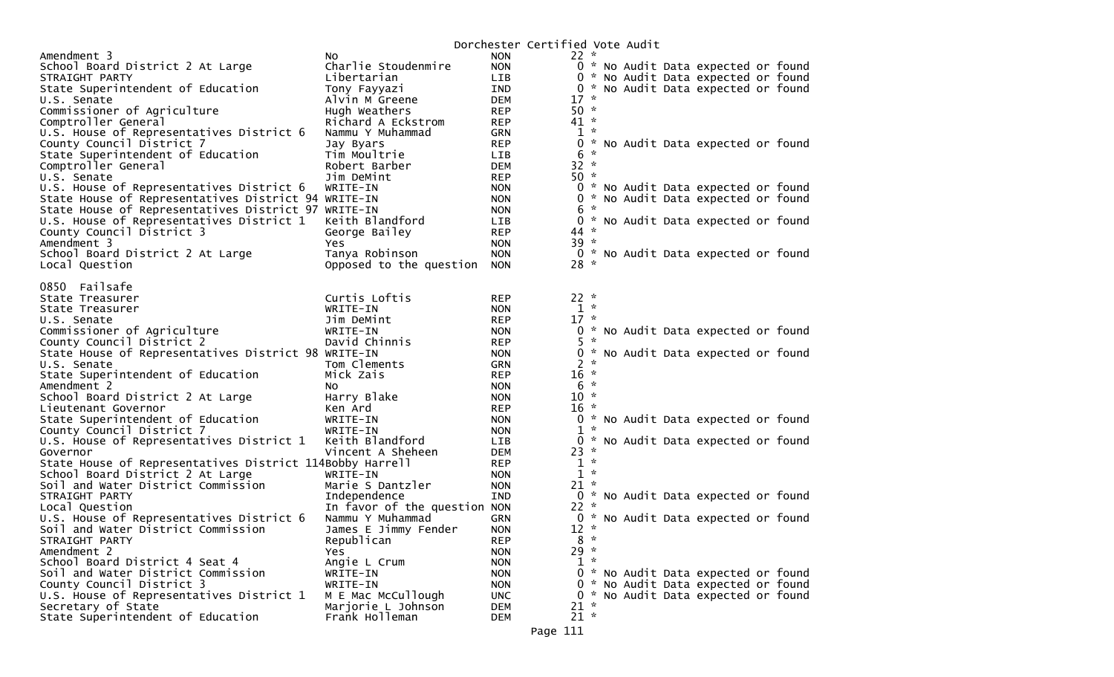|                                                                 |                              |                          | Dorchester Certified Vote Audit |              |  |                                                                            |  |
|-----------------------------------------------------------------|------------------------------|--------------------------|---------------------------------|--------------|--|----------------------------------------------------------------------------|--|
| Amendment 3                                                     | NO.                          | <b>NON</b>               | $22 *$                          |              |  |                                                                            |  |
| School Board District 2 At Large                                | Charlie Stoudenmire          | <b>NON</b>               |                                 |              |  | 0 * No Audit Data expected or found                                        |  |
| STRAIGHT PARTY                                                  | Libertarian                  | LIB                      |                                 |              |  | 0 * No Audit Data expected or found                                        |  |
| State Superintendent of Education                               | Tony Fayyazi                 | IND                      |                                 |              |  | 0 * No Audit Data expected or found                                        |  |
| U.S. Senate                                                     | Alvin M Greene               | DEM                      | $17 *$                          |              |  |                                                                            |  |
| Commissioner of Agriculture                                     | Hugh Weathers                | <b>REP</b>               | $50 *$                          |              |  |                                                                            |  |
| Comptroller General                                             | Richard A Eckstrom           | <b>REP</b>               | $41 *$                          |              |  |                                                                            |  |
| U.S. House of Representatives District 6                        | Nammu Y Muhammad             | <b>GRN</b>               |                                 | $1 *$        |  |                                                                            |  |
| County Council District 7                                       | Jay Byars                    | <b>REP</b>               | 0                               |              |  | * No Audit Data expected or found                                          |  |
| State Superintendent of Education                               | Tim Moultrie                 | <b>LIB</b>               | 6                               | $\sim$       |  |                                                                            |  |
| Comptroller General                                             | Robert Barber                | DEM                      | $32 *$                          |              |  |                                                                            |  |
| U.S. Senate                                                     | Jim DeMint                   | <b>REP</b>               | $50 *$                          |              |  |                                                                            |  |
| U.S. House of Representatives District 6                        | WRITE-IN                     | <b>NON</b>               |                                 |              |  | 0 * No Audit Data expected or found                                        |  |
| State House of Representatives District 94 WRITE-IN             |                              | <b>NON</b>               | 0                               | $\mathbf{r}$ |  | * No Audit Data expected or found                                          |  |
| State House of Representatives District 97 WRITE-IN             |                              | <b>NON</b>               | 6                               |              |  |                                                                            |  |
| U.S. House of Representatives District 1                        | Keith Blandford              | <b>LIB</b>               | $44 *$                          |              |  | 0 * No Audit Data expected or found                                        |  |
| County Council District 3                                       | George Bailey                | <b>REP</b>               |                                 |              |  |                                                                            |  |
| Amendment 3                                                     | Yes                          | <b>NON</b>               | $39 *$                          |              |  |                                                                            |  |
| School Board District 2 At Large                                | Tanya Robinson               | <b>NON</b><br><b>NON</b> | $28 *$                          |              |  | 0 * No Audit Data expected or found                                        |  |
| Local Question                                                  | Opposed to the question      |                          |                                 |              |  |                                                                            |  |
| 0850 Failsafe                                                   |                              |                          |                                 |              |  |                                                                            |  |
| State Treasurer                                                 | Curtis Loftis                | <b>REP</b>               | $22 *$                          |              |  |                                                                            |  |
| State Treasurer                                                 | WRITE-IN                     | <b>NON</b>               | $1 *$                           |              |  |                                                                            |  |
| U.S. Senate                                                     | Jim DeMint                   | <b>REP</b>               | $17 *$                          |              |  |                                                                            |  |
| Commissioner of Agriculture                                     | WRITE-IN                     | <b>NON</b>               |                                 |              |  | 0 * No Audit Data expected or found                                        |  |
| County Council District 2                                       | David Chinnis                | <b>REP</b>               | 5.                              | $\sim$       |  |                                                                            |  |
| State House of Representatives District 98 WRITE-IN             |                              | <b>NON</b>               |                                 |              |  | 0 * No Audit Data expected or found                                        |  |
| U.S. Senate                                                     | Tom Clements                 | <b>GRN</b>               |                                 | $2 *$        |  |                                                                            |  |
| State Superintendent of Education                               | Mick Zais                    | <b>REP</b>               | $16 *$                          |              |  |                                                                            |  |
| Amendment 2                                                     | NO.                          | <b>NON</b>               |                                 | $6 *$        |  |                                                                            |  |
| School Board District 2 At Large                                | Harry Blake                  | <b>NON</b>               | $10 *$                          |              |  |                                                                            |  |
| Lieutenant Governor                                             | Ken Ard                      | <b>REP</b>               | $16 *$                          |              |  |                                                                            |  |
| State Superintendent of Education                               | WRITE-IN                     | <b>NON</b>               |                                 |              |  | 0 * No Audit Data expected or found                                        |  |
| County Council District 7                                       | WRITE-IN                     | <b>NON</b>               |                                 | $1 *$        |  |                                                                            |  |
| U.S. House of Representatives District 1                        | Keith Blandford              | LIB.                     | $\mathbf{0}$                    |              |  | * No Audit Data expected or found                                          |  |
| Governor                                                        | Vincent A Sheheen            | <b>DEM</b>               | $23 *$                          |              |  |                                                                            |  |
| State House of Representatives District 114Bobby Harrell        |                              | <b>REP</b>               |                                 | $1 *$        |  |                                                                            |  |
| School Board District 2 At Large                                | WRITE-IN                     | <b>NON</b>               |                                 | $1 *$        |  |                                                                            |  |
| Soil and Water District Commission                              | Marie S Dantzler             | <b>NON</b>               | $21 *$                          |              |  |                                                                            |  |
| STRAIGHT PARTY                                                  | Independence                 | <b>IND</b>               |                                 |              |  | 0 * No Audit Data expected or found                                        |  |
| Local Question                                                  | In favor of the question NON |                          | $22 *$                          |              |  |                                                                            |  |
| U.S. House of Representatives District 6                        | Nammu Y Muhammad             | <b>GRN</b>               |                                 |              |  | 0 * No Audit Data expected or found                                        |  |
| Soil and Water District Commission                              | James E Jimmy Fender         | <b>NON</b>               | $12 *$                          |              |  |                                                                            |  |
| STRAIGHT PARTY                                                  | Republican                   | <b>REP</b>               |                                 | $8 *$        |  |                                                                            |  |
| Amendment 2<br>School Board District 4 Seat 4                   | Yes                          | <b>NON</b>               | $29 *$                          | $1 *$        |  |                                                                            |  |
|                                                                 | Angie L Crum                 | <b>NON</b>               |                                 |              |  |                                                                            |  |
| Soil and Water District Commission<br>County Council District 3 | WRITE-IN<br>WRITE-IN         | <b>NON</b>               |                                 |              |  | 0 * No Audit Data expected or found<br>0 * No Audit Data expected or found |  |
| U.S. House of Representatives District 1                        | M E Mac McCullough           | <b>NON</b><br><b>UNC</b> |                                 |              |  | 0 * No Audit Data expected or found                                        |  |
| Secretary of State                                              | Marjorie L Johnson           | <b>DEM</b>               | $21 *$                          |              |  |                                                                            |  |
| State Superintendent of Education                               | Frank Holleman               | <b>DEM</b>               | $21 *$                          |              |  |                                                                            |  |
|                                                                 |                              |                          |                                 |              |  |                                                                            |  |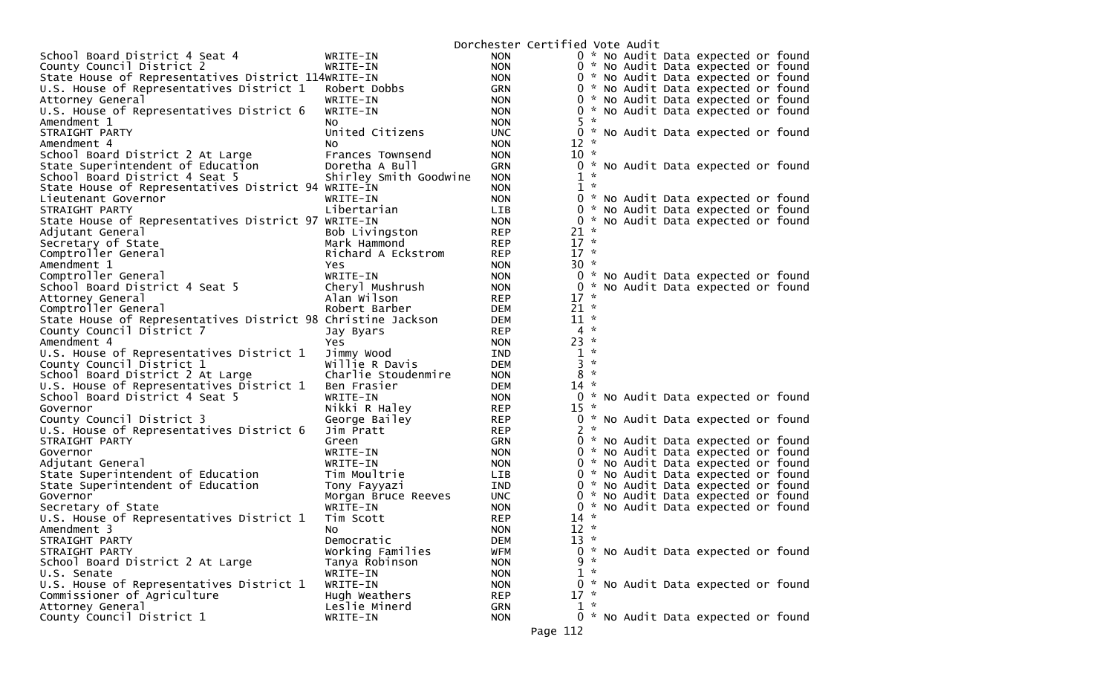|                                                              |                                 | Dorchester Certified Vote Audit |                          |                  |  |                                     |  |
|--------------------------------------------------------------|---------------------------------|---------------------------------|--------------------------|------------------|--|-------------------------------------|--|
| School Board District 4 Seat 4                               | WRITE-IN                        | <b>NON</b>                      |                          |                  |  | 0 * No Audit Data expected or found |  |
| County Council District 2                                    | WRITE-IN                        | <b>NON</b>                      |                          |                  |  | 0 * No Audit Data expected or found |  |
| State House of Representatives District 114WRITE-IN          |                                 | <b>NON</b>                      |                          |                  |  | 0 * No Audit Data expected or found |  |
| U.S. House of Representatives District 1                     | Robert Dobbs                    | GRN                             |                          |                  |  | 0 * No Audit Data expected or found |  |
| Attorney General                                             | WRITE-IN                        | <b>NON</b>                      |                          |                  |  | 0 * No Audit Data expected or found |  |
| U.S. House of Representatives District 6                     | WRITE-IN                        | <b>NON</b>                      |                          |                  |  | 0 * No Audit Data expected or found |  |
| Amendment 1                                                  | NO.                             | <b>NON</b>                      | $5 *$                    |                  |  |                                     |  |
| STRAIGHT PARTY                                               | United Citizens                 | <b>UNC</b>                      |                          |                  |  | 0 * No Audit Data expected or found |  |
| Amendment 4                                                  | No.                             | <b>NON</b>                      | $12 *$                   |                  |  |                                     |  |
| School Board District 2 At Large                             | Frances Townsend                | <b>NON</b>                      | $10 *$                   |                  |  |                                     |  |
| State Superintendent of Education                            | Doretha A Bull                  | GRN                             | 0                        |                  |  | * No Audit Data expected or found   |  |
| School Board District 4 Seat 5                               | Shirley Smith Goodwine          | <b>NON</b>                      | 1                        | $\kappa$         |  |                                     |  |
| State House of Representatives District 94 WRITE-IN          |                                 | <b>NON</b>                      | $\mathbf{1}$             | $\sim$           |  |                                     |  |
| Lieutenant Governor                                          | WRITE-IN                        | <b>NON</b>                      | 0                        |                  |  | * No Audit Data expected or found   |  |
| STRAIGHT PARTY                                               | Libertarian                     | LIB                             | 0                        |                  |  | * No Audit Data expected or found   |  |
| State House of Representatives District 97 WRITE-IN          |                                 | <b>NON</b>                      | 0                        |                  |  | * No Audit Data expected or found   |  |
| Adjutant General                                             | Bob Livingston                  | <b>REP</b>                      | $21 *$                   |                  |  |                                     |  |
| Secretary of State                                           | Mark Hammond                    | <b>REP</b>                      | $17 *$                   |                  |  |                                     |  |
| Comptroller General                                          | Richard A Eckstrom              | <b>REP</b>                      | $17 *$                   |                  |  |                                     |  |
| Amendment 1                                                  | Yes.                            | <b>NON</b>                      | $30 *$                   |                  |  |                                     |  |
| Comptroller General                                          | WRITE-IN                        | <b>NON</b>                      |                          |                  |  | 0 * No Audit Data expected or found |  |
| School Board District 4 Seat 5                               | Cheryl Mushrush                 | <b>NON</b>                      | 0                        |                  |  | * No Audit Data expected or found   |  |
| Attorney General                                             | Alan Wilson                     | <b>REP</b>                      | $17 *$                   |                  |  |                                     |  |
| Comptroller General                                          | Robert Barber                   | <b>DEM</b>                      | $21 *$                   |                  |  |                                     |  |
| State House of Representatives District 98 Christine Jackson |                                 | <b>DEM</b>                      | $11 *$                   |                  |  |                                     |  |
| County Council District 7                                    | Jay Byars                       | <b>REP</b>                      | $4 *$                    |                  |  |                                     |  |
| Amendment 4                                                  | Yes.                            | <b>NON</b>                      | $23 *$                   |                  |  |                                     |  |
| U.S. House of Representatives District 1                     | Jimmy Wood                      | IND                             | $\mathbf{1}$             | $\sim$<br>$\sim$ |  |                                     |  |
| County Council District 1                                    | Willie R Davis                  | <b>DEM</b>                      | 3                        | $\sim$           |  |                                     |  |
| School Board District 2 At Large                             | Charlie Stoudenmire             | <b>NON</b>                      | 8                        |                  |  |                                     |  |
| U.S. House of Representatives District 1                     | Ben Frasier                     | <b>DEM</b>                      | $14 *$                   |                  |  |                                     |  |
| School Board District 4 Seat 5                               | WRITE-IN                        | <b>NON</b>                      |                          |                  |  | 0 * No Audit Data expected or found |  |
| Governor                                                     | Nikki R Haley                   | <b>REP</b>                      | $15 *$                   |                  |  |                                     |  |
| County Council District 3                                    | George Bailey                   | <b>REP</b>                      |                          |                  |  | 0 * No Audit Data expected or found |  |
| U.S. House of Representatives District 6                     | Jim Pratt                       | <b>REP</b>                      | $2 *$                    |                  |  |                                     |  |
| STRAIGHT PARTY                                               | Green                           | GRN                             | 0                        |                  |  | * No Audit Data expected or found   |  |
| Governor                                                     | WRITE-IN                        | <b>NON</b>                      |                          |                  |  | 0 * No Audit Data expected or found |  |
| Adjutant General                                             | WRITE-IN                        | <b>NON</b>                      |                          |                  |  | 0 * No Audit Data expected or found |  |
| State Superintendent of Education                            | Tim Moultrie                    | LIB                             |                          |                  |  | 0 * No Audit Data expected or found |  |
| State Superintendent of Education                            | Tony Fayyazi                    | IND                             |                          |                  |  | 0 * No Audit Data expected or found |  |
| Governor                                                     | Morgan Bruce Reeves<br>WRITE-IN | <b>UNC</b>                      | 0                        |                  |  | * No Audit Data expected or found   |  |
| Secretary of State                                           |                                 | <b>NON</b>                      | $\overline{0}$<br>$14$ * |                  |  | * No Audit Data expected or found   |  |
| U.S. House of Representatives District 1<br>Amendment 3      | Tim Scott                       | <b>REP</b>                      |                          |                  |  |                                     |  |
|                                                              | No.<br>Democratic               | <b>NON</b>                      | $12 *$                   | - 20             |  |                                     |  |
| STRAIGHT PARTY                                               | Working Families                | <b>DEM</b>                      | 13                       |                  |  | 0 * No Audit Data expected or found |  |
| STRAIGHT PARTY                                               | Tanya Robinson                  | <b>WFM</b><br><b>NON</b>        |                          | $9 *$            |  |                                     |  |
| School Board District 2 At Large                             |                                 |                                 | 1                        | $\mathbf{x}$     |  |                                     |  |
| U.S. Senate<br>U.S. House of Representatives District 1      | WRITE-IN<br>WRITE-IN            | <b>NON</b><br><b>NON</b>        | 0                        |                  |  | * No Audit Data expected or found   |  |
| Commissioner of Agriculture                                  | Hugh Weathers                   | <b>REP</b>                      | $17 *$                   |                  |  |                                     |  |
| Attorney General                                             | Leslie Minerd                   | <b>GRN</b>                      | $1 *$                    |                  |  |                                     |  |
| County Council District 1                                    | WRITE-IN                        | <b>NON</b>                      |                          |                  |  | 0 * No Audit Data expected or found |  |
|                                                              |                                 |                                 |                          |                  |  |                                     |  |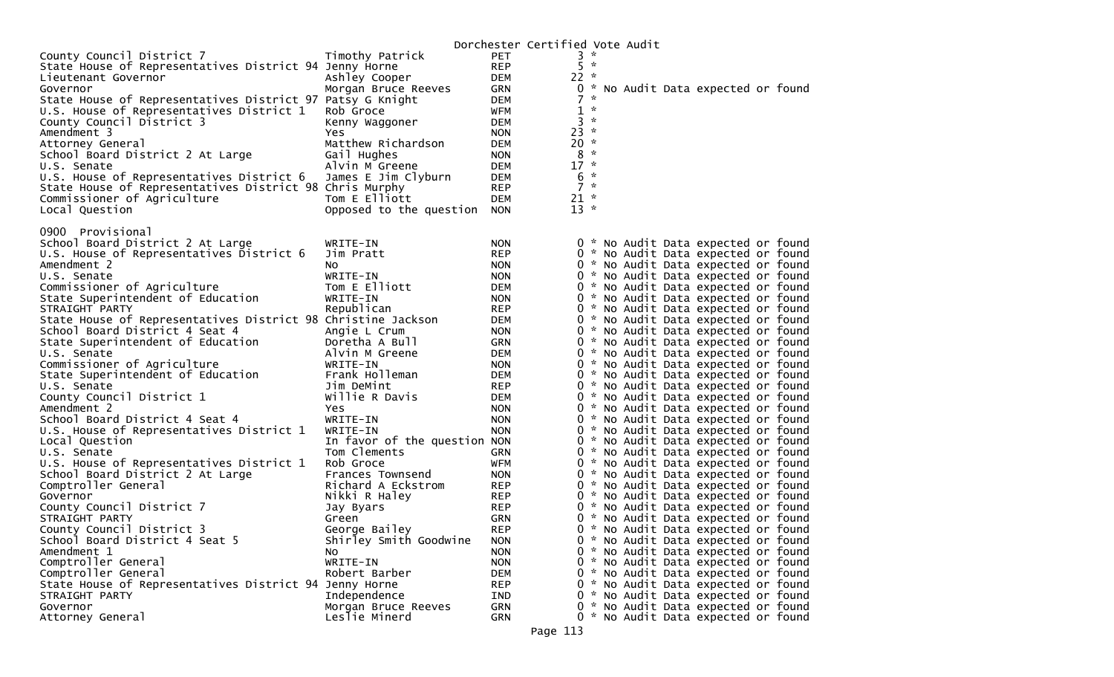|                                                              |                              |                          | Dorchester Certified Vote Audit |               |  |                                                                            |  |
|--------------------------------------------------------------|------------------------------|--------------------------|---------------------------------|---------------|--|----------------------------------------------------------------------------|--|
| County Council District 7                                    | Timothy Patrick              | <b>PET</b>               |                                 | $3 *$         |  |                                                                            |  |
| State House of Representatives District 94 Jenny Horne       |                              | <b>REP</b>               |                                 | $5 *$         |  |                                                                            |  |
| Lieutenant Governor                                          | Ashley Cooper                | <b>DEM</b>               | $22 *$                          |               |  |                                                                            |  |
| Governor                                                     | Morgan Bruce Reeves          | <b>GRN</b>               |                                 |               |  | 0 * No Audit Data expected or found                                        |  |
| State House of Representatives District 97 Patsy G Knight    |                              | <b>DEM</b>               | 7                               | $\mathcal{R}$ |  |                                                                            |  |
| U.S. House of Representatives District 1                     | Rob Groce                    | <b>WFM</b>               | $1 *$                           |               |  |                                                                            |  |
| County Council District 3                                    | Kenny Waggoner               | <b>DEM</b>               | $3 *$                           |               |  |                                                                            |  |
| Amendment 3                                                  | Yes.                         | <b>NON</b>               | $23 *$                          |               |  |                                                                            |  |
| Attorney General                                             | Matthew Richardson           | DEM                      | $20 *$                          |               |  |                                                                            |  |
| School Board District 2 At Large                             | Gail Hughes                  | <b>NON</b>               | $8 *$                           |               |  |                                                                            |  |
| U.S. Senate                                                  | Alvin M Greene               | <b>DEM</b>               | $17 *$                          |               |  |                                                                            |  |
| U.S. House of Representatives District 6                     | James E Jim Clyburn          | DEM                      | $6 *$                           |               |  |                                                                            |  |
| State House of Representatives District 98 Chris Murphy      |                              | <b>REP</b>               | $7 *$                           |               |  |                                                                            |  |
| Commissioner of Agriculture                                  | Tom E Elliott                | <b>DEM</b>               | $21 *$                          |               |  |                                                                            |  |
| Local Question                                               | Opposed to the question NON  |                          | $13 *$                          |               |  |                                                                            |  |
|                                                              |                              |                          |                                 |               |  |                                                                            |  |
| 0900 Provisional                                             |                              |                          |                                 |               |  |                                                                            |  |
| School Board District 2 At Large                             | WRITE-IN                     | <b>NON</b><br><b>REP</b> |                                 |               |  | 0 * No Audit Data expected or found                                        |  |
| U.S. House of Representatives District 6<br>Amendment 2      | Jim Pratt                    | <b>NON</b>               |                                 |               |  | 0 * No Audit Data expected or found<br>0 * No Audit Data expected or found |  |
|                                                              | NO.<br>WRITE-IN              | <b>NON</b>               |                                 |               |  | 0 * No Audit Data expected or found                                        |  |
| U.S. Senate<br>Commissioner of Agriculture                   | Tom E Elliott                | <b>DEM</b>               |                                 |               |  | 0 * No Audit Data expected or found                                        |  |
| State Superintendent of Education                            | WRITE-IN                     | <b>NON</b>               |                                 |               |  | 0 * No Audit Data expected or found                                        |  |
| STRAIGHT PARTY                                               | Republican                   | <b>REP</b>               |                                 |               |  | 0 * No Audit Data expected or found                                        |  |
| State House of Representatives District 98 Christine Jackson |                              | <b>DEM</b>               |                                 |               |  | 0 * No Audit Data expected or found                                        |  |
| School Board District 4 Seat 4                               | Angie L Crum                 | <b>NON</b>               |                                 |               |  | 0 * No Audit Data expected or found                                        |  |
| State Superintendent of Education                            | Doretha A Bull               | <b>GRN</b>               |                                 |               |  | 0 * No Audit Data expected or found                                        |  |
| U.S. Senate                                                  | Alvin M Greene               | <b>DEM</b>               |                                 |               |  | 0 * No Audit Data expected or found                                        |  |
| Commissioner of Agriculture                                  | WRITE-IN                     | <b>NON</b>               |                                 |               |  | 0 * No Audit Data expected or found                                        |  |
| State Superintendent of Education                            | Frank Holleman               | <b>DEM</b>               |                                 |               |  | 0 * No Audit Data expected or found                                        |  |
| U.S. Senate                                                  | Jim DeMint                   | <b>REP</b>               |                                 |               |  | 0 * No Audit Data expected or found                                        |  |
| County Council District 1                                    | Willie R Davis               | <b>DEM</b>               |                                 |               |  | 0 * No Audit Data expected or found                                        |  |
| Amendment 2                                                  | Yes                          | <b>NON</b>               |                                 |               |  | 0 * No Audit Data expected or found                                        |  |
| School Board District 4 Seat 4                               | WRITE-IN                     | <b>NON</b>               |                                 |               |  | 0 * No Audit Data expected or found                                        |  |
| U.S. House of Representatives District 1                     | WRITE-IN                     | <b>NON</b>               |                                 |               |  | 0 * No Audit Data expected or found                                        |  |
| Local Question                                               | In favor of the question NON |                          |                                 |               |  | 0 * No Audit Data expected or found                                        |  |
| U.S. Senate                                                  | Tom Clements                 | GRN                      |                                 |               |  | 0 * No Audit Data expected or found                                        |  |
| U.S. House of Representatives District 1                     | Rob Groce                    | <b>WFM</b>               |                                 |               |  | 0 * No Audit Data expected or found                                        |  |
| School Board District 2 At Large                             | Frances Townsend             | <b>NON</b>               |                                 |               |  | 0 * No Audit Data expected or found                                        |  |
| Comptroller General                                          | Richard A Eckstrom           | <b>REP</b>               |                                 |               |  | 0 * No Audit Data expected or found                                        |  |
| Governor                                                     | Nikki R Haley                | <b>REP</b>               |                                 |               |  | 0 * No Audit Data expected or found                                        |  |
| County Council District 7                                    | Jay Byars                    | <b>REP</b>               |                                 |               |  | 0 * No Audit Data expected or found                                        |  |
| STRAIGHT PARTY                                               | Green                        | <b>GRN</b>               |                                 |               |  | 0 * No Audit Data expected or found                                        |  |
| County Council District 3                                    | George Bailey                | <b>REP</b>               |                                 |               |  | 0 * No Audit Data expected or found                                        |  |
| School Board District 4 Seat 5                               | Shirley Smith Goodwine       | <b>NON</b>               |                                 |               |  | 0 * No Audit Data expected or found                                        |  |
| Amendment 1                                                  | NO.                          | <b>NON</b>               |                                 |               |  | 0 * No Audit Data expected or found                                        |  |
| Comptroller General                                          | WRITE-IN                     | <b>NON</b>               |                                 |               |  | 0 * No Audit Data expected or found                                        |  |
| Comptroller General                                          | Robert Barber                | <b>DEM</b>               |                                 |               |  | 0 * No Audit Data expected or found                                        |  |
| State House of Representatives District 94 Jenny Horne       |                              | <b>REP</b>               |                                 |               |  | 0 * No Audit Data expected or found                                        |  |
| STRAIGHT PARTY                                               | Independence                 | IND                      |                                 |               |  | 0 * No Audit Data expected or found                                        |  |
| Governor                                                     | Morgan Bruce Reeves          | <b>GRN</b>               |                                 |               |  | 0 * No Audit Data expected or found                                        |  |
| Attorney General                                             | Leslie Minerd                | <b>GRN</b>               |                                 |               |  | 0 * No Audit Data expected or found                                        |  |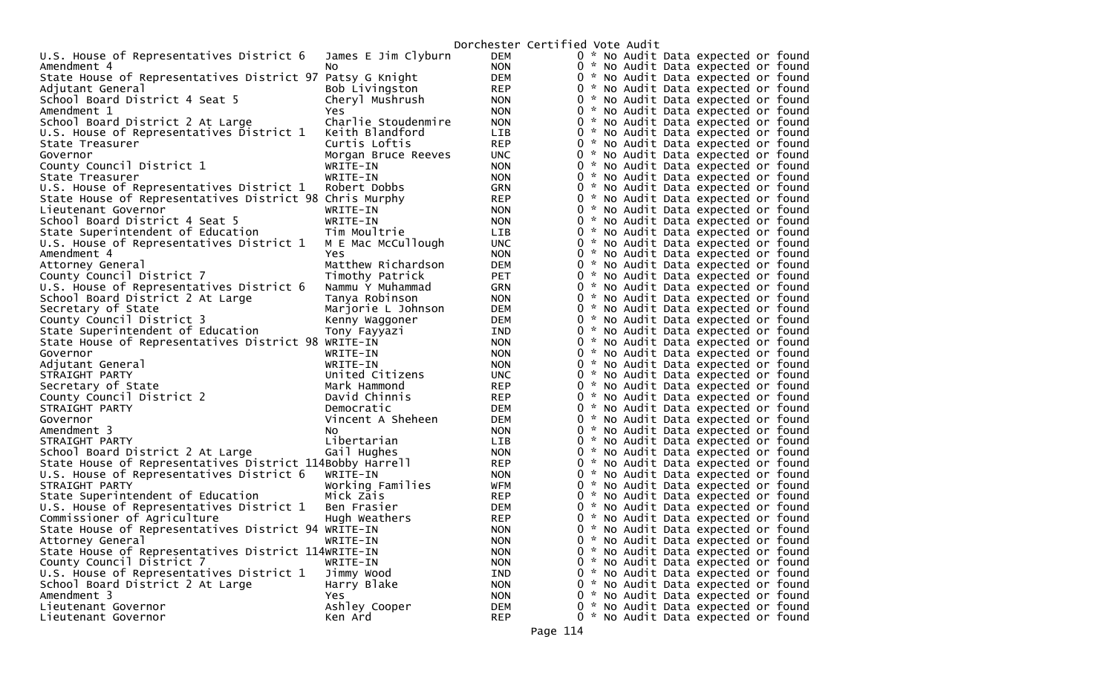| U.S. House of Representatives District 6                  | James E Jim Clyburn | <b>DEM</b> | 0 * No Audit Data expected or found    |
|-----------------------------------------------------------|---------------------|------------|----------------------------------------|
| Amendment 4                                               | No                  | <b>NON</b> | 0<br>* No Audit Data expected or found |
| State House of Representatives District 97 Patsy G Knight |                     | <b>DEM</b> | 0<br>* No Audit Data expected or found |
| Adjutant General                                          | Bob Livingston      | <b>REP</b> | 0 * No Audit Data expected or found    |
| School Board District 4 Seat 5                            | Cheryl Mushrush     | <b>NON</b> | 0<br>* No Audit Data expected or found |
| Amendment 1                                               | Yes                 | <b>NON</b> | 0<br>* No Audit Data expected or found |
| School Board District 2 At Large                          | Charlie Stoudenmire | <b>NON</b> | 0<br>* No Audit Data expected or found |
| U.S. House of Representatives District 1                  | Keith Blandford     | <b>LIB</b> | 0<br>* No Audit Data expected or found |
| State Treasurer                                           | Curtis Loftis       | <b>REP</b> | 0<br>* No Audit Data expected or found |
| Governor                                                  | Morgan Bruce Reeves | <b>UNC</b> | 0<br>* No Audit Data expected or found |
| County Council District 1                                 | WRITE-IN            | <b>NON</b> | 0 * No Audit Data expected or found    |
| State Treasurer                                           | WRITE-IN            | <b>NON</b> | 0 * No Audit Data expected or found    |
| U.S. House of Representatives District 1                  | Robert Dobbs        | <b>GRN</b> | 0 * No Audit Data expected or found    |
| State House of Representatives District 98 Chris Murphy   |                     | <b>REP</b> | 0<br>* No Audit Data expected or found |
| Lieutenant Governor                                       | WRITE-IN            | <b>NON</b> | 0 * No Audit Data expected or found    |
| School Board District 4 Seat 5                            | WRITE-IN            | <b>NON</b> | 0<br>* No Audit Data expected or found |
| State Superintendent of Education                         | Tim Moultrie        | <b>LIB</b> | 0<br>* No Audit Data expected or found |
| U.S. House of Representatives District 1                  | M E Mac McCullough  | <b>UNC</b> | 0 * No Audit Data expected or found    |
| Amendment 4                                               | <b>Yes</b>          | <b>NON</b> | 0 * No Audit Data expected or found    |
| Attorney General                                          | Matthew Richardson  | <b>DEM</b> | 0 * No Audit Data expected or found    |
| County Council District 7                                 | Timothy Patrick     | <b>PET</b> | 0<br>* No Audit Data expected or found |
| U.S. House of Representatives District 6                  | Nammu Y Muhammad    | <b>GRN</b> | 0 * No Audit Data expected or found    |
| School Board District 2 At Large                          | Tanya Robinson      | <b>NON</b> | 0<br>* No Audit Data expected or found |
| Secretary of State                                        | Marjorie L Johnson  | DEM        | 0<br>* No Audit Data expected or found |
| County Council District 3                                 | Kenny Waggoner      | <b>DEM</b> | 0 * No Audit Data expected or found    |
| State Superintendent of Education                         | Tony Fayyazı        | IND        | 0 * No Audit Data expected or found    |
| State House of Representatives District 98 WRITE-IN       |                     | <b>NON</b> | 0 * No Audit Data expected or found    |
| Governor                                                  | WRITE-IN            | <b>NON</b> | 0 * No Audit Data expected or found    |
| Adjutant General                                          | WRITE-IN            | <b>NON</b> | 0 * No Audit Data expected or found    |
| STRAIGHT PARTY                                            | United Citizens     | <b>UNC</b> | 0<br>* No Audit Data expected or found |
| Secretary of State                                        | Mark Hammond        | <b>REP</b> | 0<br>* No Audit Data expected or found |
| County Council District 2                                 | David Chinnis       | <b>REP</b> | 0 * No Audit Data expected or found    |
| STRAIGHT PARTY                                            | Democratic          | <b>DEM</b> | 0 * No Audit Data expected or found    |
| Governor                                                  | Vincent A Sheheen   | <b>DEM</b> | 0 * No Audit Data expected or found    |
| Amendment 3                                               | N <sub>O</sub>      | <b>NON</b> | 0 * No Audit Data expected or found    |
| STRAIGHT PARTY                                            | Libertarian         | <b>LIB</b> | 0 * No Audit Data expected or found    |
| School Board District 2 At Large                          | Gail Hughes         | <b>NON</b> | 0<br>* No Audit Data expected or found |
| State House of Representatives District 114Bobby Harrell  |                     | <b>REP</b> | 0 * No Audit Data expected or found    |
| U.S. House of Representatives District 6                  | WRITE-IN            | <b>NON</b> | 0 * No Audit Data expected or found    |
| STRAIGHT PARTY                                            | Working Families    | WFM        | 0 * No Audit Data expected or found    |
| State Superintendent of Education                         | Mick Zais           | <b>REP</b> | 0 * No Audit Data expected or found    |
| U.S. House of Representatives District 1                  | Ben Frasier         | <b>DEM</b> | 0 * No Audit Data expected or found    |
| Commissioner of Agriculture                               | Hugh Weathers       | <b>REP</b> | 0 * No Audit Data expected or found    |
| State House of Representatives District 94 WRITE-IN       |                     | <b>NON</b> | 0<br>* No Audit Data expected or found |
| Attorney General                                          | WRITE-IN            | <b>NON</b> | 0 * No Audit Data expected or found    |
| State House of Representatives District 114WRITE-IN       |                     | <b>NON</b> | 0 * No Audit Data expected or found    |
| County Council District 7                                 | WRITE-IN            | <b>NON</b> | 0<br>* No Audit Data expected or found |
| U.S. House of Representatives District 1                  | Jimmy Wood          | IND        | 0 * No Audit Data expected or found    |
| School Board District 2 At Large                          | Harry Blake         | <b>NON</b> | 0 * No Audit Data expected or found    |
| Amendment 3                                               | Yes.                | <b>NON</b> | 0 * No Audit Data expected or found    |
| Lieutenant Governor                                       | Ashley Cooper       | DEM        | 0<br>* No Audit Data expected or found |
| Lieutenant Governor                                       | Ken Ard             | <b>REP</b> | 0 * No Audit Data expected or found    |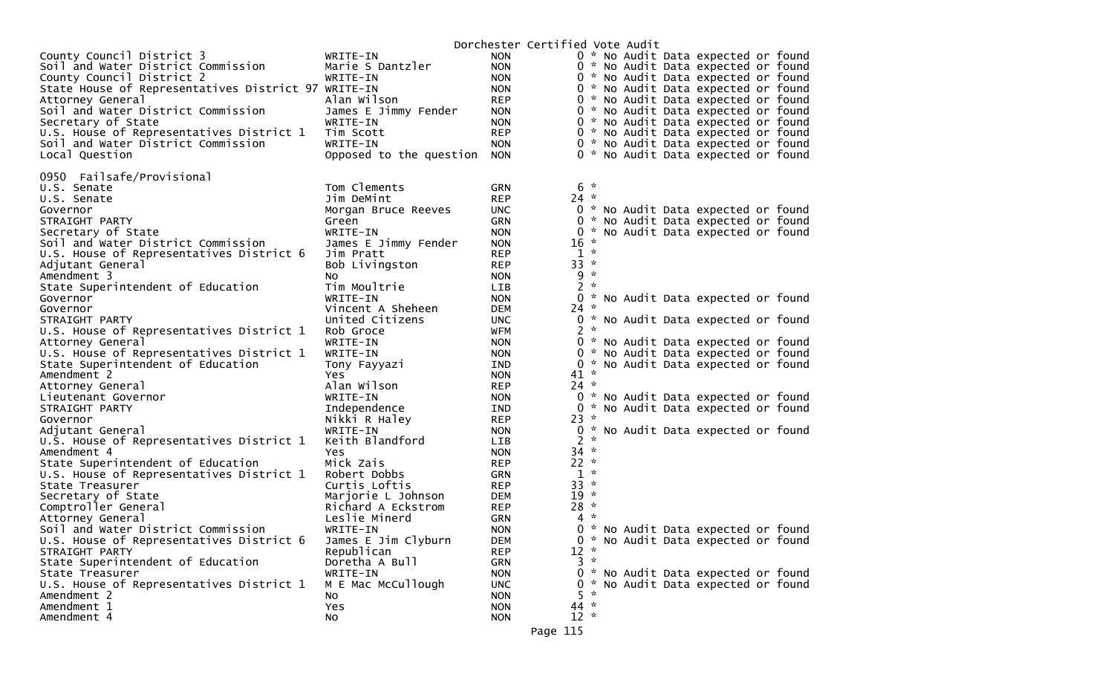|                                                     |                         |            | Dorchester Certified Vote Audit               |
|-----------------------------------------------------|-------------------------|------------|-----------------------------------------------|
| County Council District 3                           | WRITE-IN                | <b>NON</b> | 0 * No Audit Data expected or found           |
| Soil and Water District Commission                  | Marie S Dantzler        | <b>NON</b> | 0 * No Audit Data expected or found           |
| County Council District 2                           | WRITE-IN                | <b>NON</b> | 0 * No Audit Data expected or found           |
| State House of Representatives District 97 WRITE-IN |                         | <b>NON</b> | 0 * No Audit Data expected or found           |
| Attorney General                                    | Alan Wilson             | <b>REP</b> | 0 * No Audit Data expected or found           |
| Soil and Water District Commission                  | James E Jimmy Fender    | <b>NON</b> | 0 * No Audit Data expected or found           |
| Secretary of State                                  | WRITE-IN                | <b>NON</b> | 0 * No Audit Data expected or found           |
| U.S. House of Representatives District 1            | Tim Scott               | <b>REP</b> | 0 * No Audit Data expected or found           |
| Soil and Water District Commission                  | WRITE-IN                | <b>NON</b> | 0 * No Audit Data expected or found           |
| Local Question                                      | Opposed to the question | <b>NON</b> | 0 * No Audit Data expected or found           |
|                                                     |                         |            |                                               |
| 0950 Failsafe/Provisional                           |                         |            |                                               |
| U.S. Senate                                         | Tom Clements            | <b>GRN</b> | $6*$                                          |
| U.S. Senate                                         | Jim DeMint              | <b>REP</b> | $24 *$                                        |
| Governor                                            | Morgan Bruce Reeves     | <b>UNC</b> | 0 * No Audit Data expected or found           |
| STRAIGHT PARTY                                      | Green                   | <b>GRN</b> | 0 * No Audit Data expected or found           |
| Secretary of State                                  | WRITE-IN                | <b>NON</b> | * No Audit Data expected or found<br>0        |
| Soil and Water District Commission                  | James E Jimmy Fender    | <b>NON</b> | 16<br>- 22                                    |
| U.S. House of Representatives District 6            | Jim Pratt               | <b>REP</b> | $1 *$                                         |
| Adjutant General                                    | Bob Livingston          | <b>REP</b> | $33 *$                                        |
| Amendment 3                                         | NO.                     | <b>NON</b> | $9 *$                                         |
| State Superintendent of Education                   | Tim Moultrie            | <b>LIB</b> | $2 *$                                         |
| Governor                                            | WRITE-IN                | <b>NON</b> | * No Audit Data expected or found<br>0        |
| Governor                                            | Vincent A Sheheen       | DEM        | $24 *$                                        |
| STRAIGHT PARTY                                      | United Citizens         | <b>UNC</b> | 0 * No Audit Data expected or found           |
| U.S. House of Representatives District 1            | Rob Groce               | WFM        | $2 *$                                         |
| Attorney General                                    | WRITE-IN                | <b>NON</b> | 0 * No Audit Data expected or found           |
| U.S. House of Representatives District 1            | WRITE-IN                | <b>NON</b> | * No Audit Data expected or found<br>0        |
| State Superintendent of Education                   | Tony Fayyazi            | IND        | * No Audit Data expected or found<br>$\Omega$ |
| Amendment 2                                         | Yes.                    | <b>NON</b> | $41 *$                                        |
| Attorney General                                    | Alan Wilson             | <b>REP</b> | $24 *$                                        |
| Lieutenant Governor                                 | WRITE-IN                | <b>NON</b> | 0 * No Audit Data expected or found           |
| STRAIGHT PARTY                                      | Independence            | IND.       | 0 * No Audit Data expected or found           |
| Governor                                            | Nikki R Haley           | <b>REP</b> | $23 *$                                        |
| Adjutant General                                    | WRITE-IN                | <b>NON</b> | 0 * No Audit Data expected or found           |
| U.S. House of Representatives District 1            | Keith Blandford         | <b>LIB</b> | $2 *$                                         |
| Amendment 4                                         | Yes                     | <b>NON</b> | $34 *$                                        |
| State Superintendent of Education                   | Mick Zais               | <b>REP</b> | $22 *$                                        |
| U.S. House of Representatives District 1            | Robert Dobbs            | GRN        | $1 *$                                         |
| State Treasurer                                     | Curtis Loftis           | REP        | $33 *$                                        |
| Secretary of State                                  | Marjorie L Johnson      | <b>DEM</b> | $19 *$                                        |
| Comptroller General                                 | Richard A Eckstrom      | <b>REP</b> | $28 *$                                        |
| Attorney General                                    | Leslie Minerd           | <b>GRN</b> | $4 *$                                         |
| Soil and Water District Commission                  | WRITE-IN                | <b>NON</b> | 0 * No Audit Data expected or found           |
| U.S. House of Representatives District 6            | James E Jim Clyburn     | <b>DEM</b> | 0 * No Audit Data expected or found           |
| STRAIGHT PARTY                                      | Republican              | <b>REP</b> | $12 *$                                        |
| State Superintendent of Education                   | Doretha A Bull          | <b>GRN</b> | $3 *$                                         |
| State Treasurer                                     | WRITE-IN                | <b>NON</b> | 0 * No Audit Data expected or found           |
| U.S. House of Representatives District 1            | M E Mac McCullough      | <b>UNC</b> | 0 * No Audit Data expected or found<br>$5 *$  |
| Amendment 2                                         | NO.                     | <b>NON</b> |                                               |
| Amendment 1                                         | Yes                     | <b>NON</b> | $44 *$                                        |
| Amendment 4                                         | No                      | <b>NON</b> | $12 *$                                        |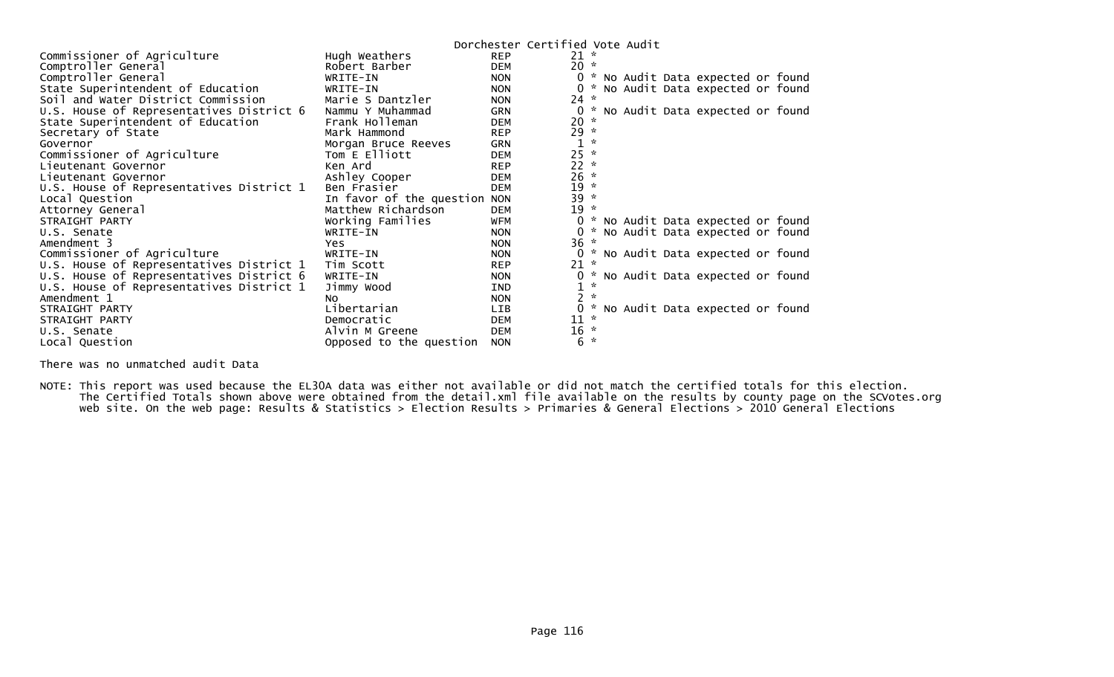|                                          |                              |            | Dorchester Certified Vote Audit   |
|------------------------------------------|------------------------------|------------|-----------------------------------|
| Commissioner of Agriculture              | Hugh Weathers                | <b>REP</b> | $21 *$                            |
| Comptroller General                      | Robert Barber                | <b>DEM</b> | $20 *$                            |
| Comptroller General                      | WRITE-IN                     | <b>NON</b> | * No Audit Data expected or found |
| State Superintendent of Education        | WRITE-IN                     | <b>NON</b> | No Audit Data expected or found   |
| Soil and Water District Commission       | Marie S Dantzler             | <b>NON</b> | $24 *$                            |
| U.S. House of Representatives District 6 | Nammu Y Muhammad             | <b>GRN</b> | No Audit Data expected or found   |
| State Superintendent of Education        | Frank Holleman               | <b>DEM</b> | 20<br>$\mathcal{R}$               |
| Secretary of State                       | Mark Hammond                 | <b>REP</b> | $29 *$                            |
| Governor                                 | Morgan Bruce Reeves          | <b>GRN</b> | $\mathcal{R}$                     |
| Commissioner of Agriculture              | Tom E Elliott                | <b>DEM</b> | 25<br>$\mathcal{R}$               |
| Lieutenant Governor                      | Ken Ard                      | <b>REP</b> | 22<br>$\mathcal{R}$               |
| Lieutenant Governor                      | Ashley Cooper                | <b>DEM</b> | 26<br>$\star$                     |
| U.S. House of Representatives District 1 | Ben Frasier                  | <b>DEM</b> | 19<br>$\mathcal{R}$               |
| Local Question                           | In favor of the question NON |            | $39 *$                            |
| Attorney General                         | Matthew Richardson           | <b>DEM</b> | 19<br>$\star$                     |
| STRAIGHT PARTY                           | Working Families             | WFM        | * No Audit Data expected or found |
| U.S. Senate                              | WRITE-IN                     | <b>NON</b> | No Audit Data expected or found   |
| Amendment 3                              | Yes                          | <b>NON</b> | 36<br>$\sim$                      |
| Commissioner of Agriculture              | WRITE-IN                     | <b>NON</b> | * No Audit Data expected or found |
| U.S. House of Representatives District 1 | Tim Scott                    | <b>REP</b> | 21<br>$\mathbf{x}$                |
| U.S. House of Representatives District 6 | WRITE-IN                     | <b>NON</b> | * No Audit Data expected or found |
| U.S. House of Representatives District 1 | Jimmy Wood                   | <b>IND</b> | $\mathcal{R}$<br>1                |
| Amendment 1                              | NO.                          | <b>NON</b> | $\mathcal{R}$                     |
| STRAIGHT PARTY                           | Libertarian                  | <b>LIB</b> | No Audit Data expected or found   |
| STRAIGHT PARTY                           | Democratic                   | <b>DEM</b> | 11                                |
| U.S. Senate                              | Alvin M Greene               | <b>DEM</b> | $16 *$                            |
| Local Question                           | Opposed to the question      | <b>NON</b> | 6<br>$\mathbf{x}$                 |

There was no unmatched audit Data

NOTE: This report was used because the EL30A data was either not available or did not match the certified totals for this election. The Certified Totals shown above were obtained from the detail.xml file available on the results by county page on the SCVotes.org web site. On the web page: Results & Statistics > Election Results > Primaries & General Elections > 2010 General Elections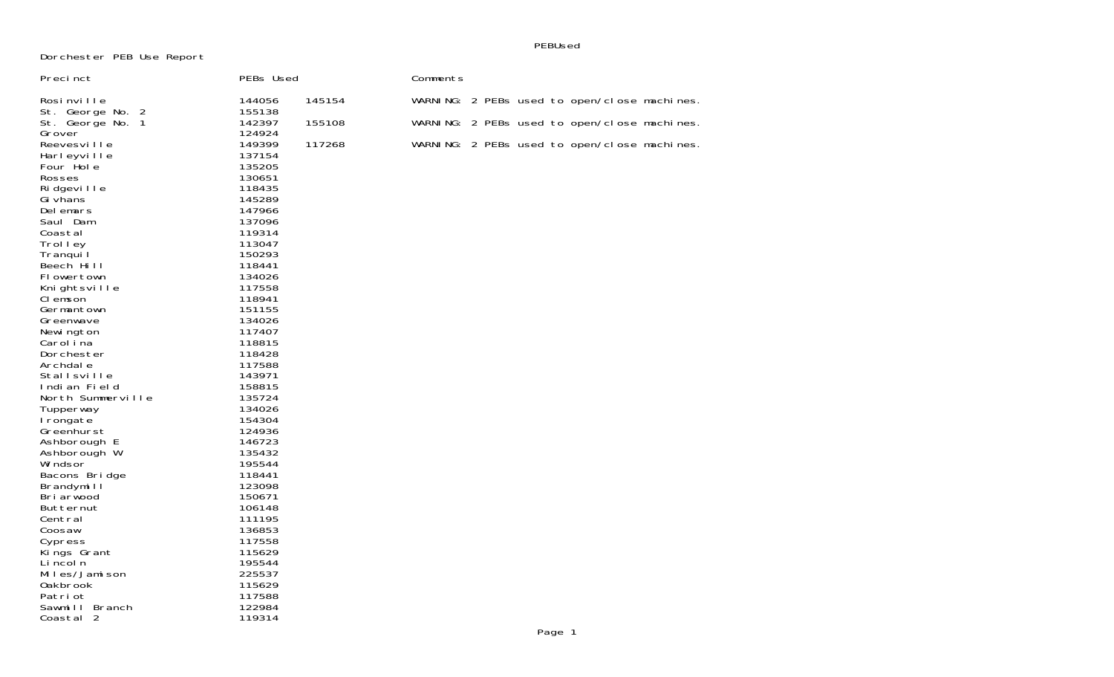Dorchester PEB Use Report

PEBUsed

| Preci nct                                                                                                                                                                                                                                                                                                                                                                                                                                                                                       | PEBs Used                                                                                                                                                                                                                                                                                                                                        |        | Comments |  |        |                                              |  |
|-------------------------------------------------------------------------------------------------------------------------------------------------------------------------------------------------------------------------------------------------------------------------------------------------------------------------------------------------------------------------------------------------------------------------------------------------------------------------------------------------|--------------------------------------------------------------------------------------------------------------------------------------------------------------------------------------------------------------------------------------------------------------------------------------------------------------------------------------------------|--------|----------|--|--------|----------------------------------------------|--|
| Rosinville                                                                                                                                                                                                                                                                                                                                                                                                                                                                                      | 144056                                                                                                                                                                                                                                                                                                                                           | 145154 |          |  |        | WARNING: 2 PEBs used to open/close machines. |  |
| St. George No. 1                                                                                                                                                                                                                                                                                                                                                                                                                                                                                | 142397                                                                                                                                                                                                                                                                                                                                           | 155108 |          |  |        | WARNING: 2 PEBs used to open/close machines. |  |
| St. George No. 2<br>Grover<br>Reevesville<br>Harleyville<br>Four Hole<br>Rosses<br>Ri dgevi I I e<br>Gi vhans<br>Delemars<br>Saul Dam<br>Coastal<br>Trolley<br>Tranqui I<br>Beech Hill<br>Flowertown<br>Knightsville<br>CI emson<br>Germantown<br>Greenwave<br>Newi ngton<br>Carol i na<br>Dorchester<br>Archdale<br><b>Stallsville</b><br>Indian Field<br>North Summerville<br>Tupperway<br>I rongate<br>Greenhurst<br>Ashborough E<br>Ashborough W<br>Wi ndsor<br>Bacons Bridge<br>Brandymill | 155138<br>124924<br>149399<br>137154<br>135205<br>130651<br>118435<br>145289<br>147966<br>137096<br>119314<br>113047<br>150293<br>118441<br>134026<br>117558<br>118941<br>151155<br>134026<br>117407<br>118815<br>118428<br>117588<br>143971<br>158815<br>135724<br>134026<br>154304<br>124936<br>146723<br>135432<br>195544<br>118441<br>123098 | 117268 |          |  |        | WARNING: 2 PEBs used to open/close machines. |  |
| Briarwood<br>Butternut<br>Central                                                                                                                                                                                                                                                                                                                                                                                                                                                               | 150671<br>106148<br>111195                                                                                                                                                                                                                                                                                                                       |        |          |  |        |                                              |  |
| Coosaw<br>Cypress                                                                                                                                                                                                                                                                                                                                                                                                                                                                               | 136853<br>117558                                                                                                                                                                                                                                                                                                                                 |        |          |  |        |                                              |  |
| Kings Grant<br>Li ncol n<br>Miles/Jamison                                                                                                                                                                                                                                                                                                                                                                                                                                                       | 115629<br>195544<br>225537                                                                                                                                                                                                                                                                                                                       |        |          |  |        |                                              |  |
| 0akbrook<br>Patri ot                                                                                                                                                                                                                                                                                                                                                                                                                                                                            | 115629<br>117588                                                                                                                                                                                                                                                                                                                                 |        |          |  |        |                                              |  |
| Sawmill Branch<br>Coastal 2                                                                                                                                                                                                                                                                                                                                                                                                                                                                     | 122984<br>119314                                                                                                                                                                                                                                                                                                                                 |        |          |  |        |                                              |  |
|                                                                                                                                                                                                                                                                                                                                                                                                                                                                                                 |                                                                                                                                                                                                                                                                                                                                                  |        |          |  | Page 1 |                                              |  |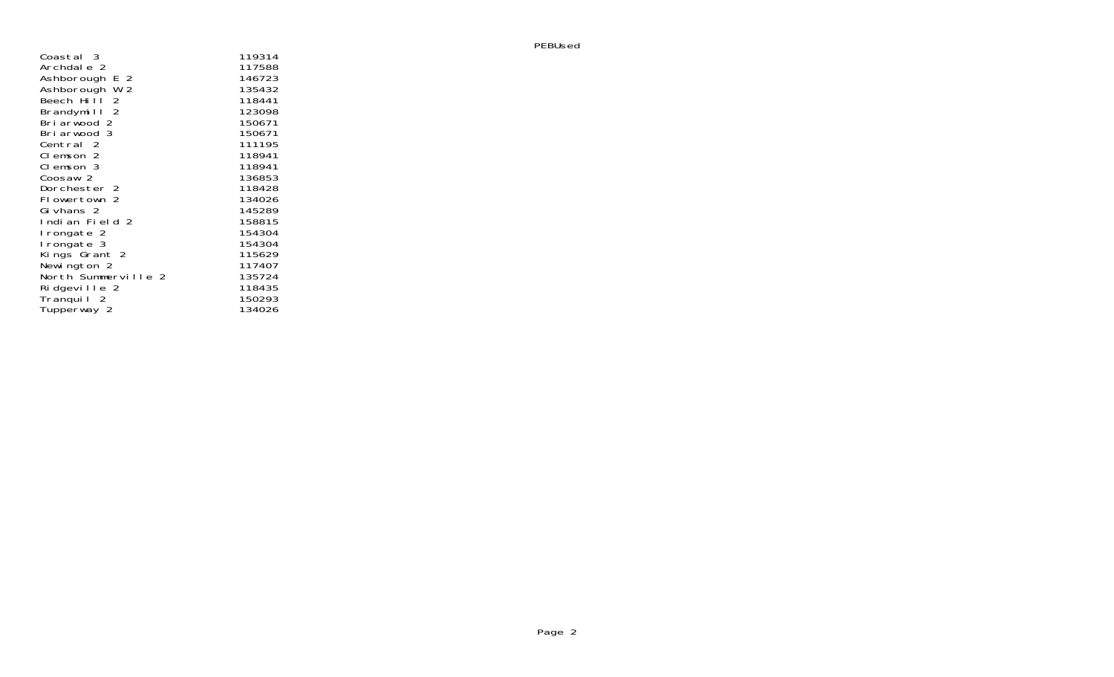| Coastal 3           | 119314           |
|---------------------|------------------|
| Archdale 2          | 117588           |
| Ashborough E 2      | 146723           |
| Ashborouğh W 2      | 135432           |
| Beech Hill 2        | 118441           |
| Brandymill 2        | 123098           |
| Briarwood 2         | 150671           |
| Briarwood 3         | 150671           |
| Central 2           | 111195           |
| Clemson 2           | 118941           |
| Clemson 3           | 118941           |
| Coosaw 2            | 136853           |
| Dorchester 2        | 118428           |
| Flowertown 2        | 134026           |
| Givhans 2           | 145289           |
| Indian Field 2      | 158815           |
| lrongate 2          | 154304           |
| I rongate 3         | 154304           |
| Kings Grant 2       | 115629           |
| Newington 2         | 117407           |
| North Summerville 2 | 135724<br>118435 |
| Ridgeville 2        | 150293           |
| Tranqui   2         | 134026           |
| Tupperway 2         |                  |

PEBUsed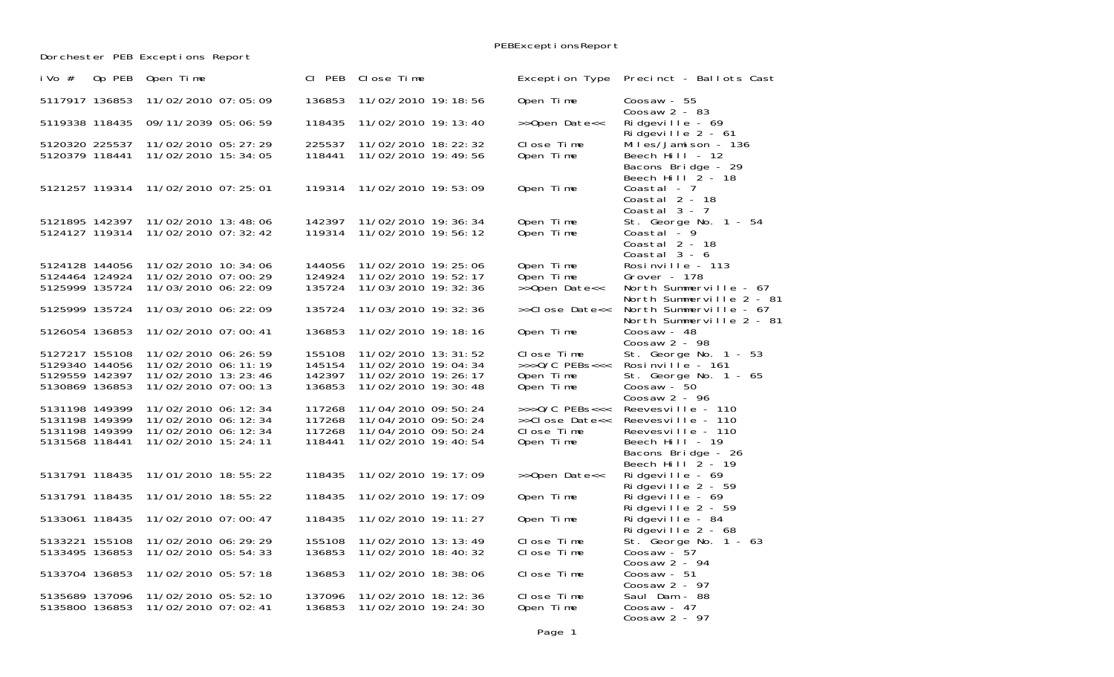PEBExceptionsReport

Dorchester PEB Exceptions Report

| i Vo $#$                         | Op PEB | Open Time                                      | CI PEB           | Close Time                                   | Exception Type                  | Precinct - Ballots Cast                                                                     |
|----------------------------------|--------|------------------------------------------------|------------------|----------------------------------------------|---------------------------------|---------------------------------------------------------------------------------------------|
| 5117917 136853                   |        | 11/02/2010 07:05:09                            | 136853           | 11/02/2010 19:18:56                          | Open Time                       | Coosaw - $55$<br>Coosaw $2 - 83$                                                            |
| 5119338 118435                   |        | 09/11/2039 05:06:59                            | 118435           | 11/02/2010 19: 13: 40                        | >>Open Date<<                   | Ridgeville - $69$<br>Ridgeville $2 - 61$                                                    |
| 5120320 225537<br>5120379 118441 |        | 11/02/2010 05: 27: 29<br>11/02/2010 15:34:05   | 225537<br>118441 | 11/02/2010 18: 22: 32<br>11/02/2010 19:49:56 | Close Time<br>Open Time         | Miles/Jamison - 136<br>Beech Hill - 12<br>Bacons Bridge - 29<br>Beech Hill $\tilde{2}$ - 18 |
| 5121257 119314                   |        | 11/02/2010 07:25:01                            | 119314           | 11/02/2010 19:53:09                          | Open Time                       | Coastal - 7<br>Coastal 2 - 18<br>Coastal $3 - 7$                                            |
| 5121895 142397<br>5124127 119314 |        | 11/02/2010 13:48:06<br>11/02/2010 07:32:42     | 142397<br>119314 | 11/02/2010 19:36:34<br>11/02/2010 19:56:12   | Open Time<br>Open Time          | St. George No. 1 - 54<br>Coastal $-9$<br>Coastal 2 - 18<br>Coastal $3 - 6$                  |
| 5124128 144056                   |        | 11/02/2010 10: 34: 06                          | 144056           | 11/02/2010 19:25:06                          | Open Time                       | Rosinville - 113                                                                            |
| 5124464 124924                   |        | 11/02/2010 07:00:29                            | 124924           | 11/02/2010 19:52:17                          | Open Time                       | Grover - 178                                                                                |
| 5125999 135724                   |        | 11/03/2010 06: 22: 09                          | 135724           | 11/03/2010 19: 32: 36                        | >>Open Date<<                   | North Summerville - 67<br>North Summerville 2 - 81                                          |
| 5125999 135724                   |        | 11/03/2010 06: 22: 09                          | 135724           | 11/03/2010 19: 32: 36                        | >>Close Date<<                  | North Summerville - 67<br>North Summerville 2 - 81                                          |
| 5126054 136853                   |        | 11/02/2010 07:00:41                            | 136853           | 11/02/2010 19:18:16                          | Open Time                       | Coosaw - $48$<br>Coosaw $2 - 98$                                                            |
| 5127217 155108<br>5129340 144056 |        | 11/02/2010 06: 26: 59<br>11/02/2010 06: 11: 19 | 155108<br>145154 | 11/02/2010 13: 31: 52<br>11/02/2010 19:04:34 | Close Time<br>$>>$ >0/C PEBs<<< | St. George No. $1 - 53$<br>Rosinville - $161$                                               |
| 5129559 142397                   |        | 11/02/2010 13: 23: 46                          | 142397           | 11/02/2010 19:26:17                          | Open Time                       | St. George No. $1 - 65$                                                                     |
| 5130869 136853                   |        | 11/02/2010 07:00:13                            | 136853           | 11/02/2010 19: 30: 48                        | Open Time                       | Coosaw $-50$<br>Coosaw $2 - 96$                                                             |
| 5131198 149399                   |        | 11/02/2010 06:12:34                            | 117268           | 11/04/2010 09:50:24                          | $>>$ >0/C PEBs<<<               | Reevesville - 110                                                                           |
| 5131198 149399                   |        | 11/02/2010 06:12:34                            | 117268           | 11/04/2010 09:50:24                          | >>Close Date<<                  | Reevesville - 110                                                                           |
| 5131198 149399                   |        | 11/02/2010 06:12:34                            | 117268           | 11/04/2010 09:50:24                          | Close Time                      | Reevesville - 110                                                                           |
| 5131568 118441                   |        | 11/02/2010 15:24:11                            | 118441           | 11/02/2010 19:40:54                          | Open Time                       | Beech Hill - 19<br>Bacons Bridge - 26                                                       |
| 5131791 118435                   |        | 11/01/2010 18:55:22                            | 118435           | 11/02/2010 19: 17: 09                        | >>Open Date<<                   | Beech Hill $\check{2}$ - 19<br>Ridgeville - $69$<br>Ridgeville $2 - 59$                     |
| 5131791 118435                   |        | 11/01/2010 18:55:22                            | 118435           | 11/02/2010 19: 17: 09                        | Open Time                       | Ridgeville - $69$<br>Ridgeville $2 - 59$                                                    |
| 5133061 118435                   |        | 11/02/2010 07:00:47                            | 118435           | 11/02/2010 19: 11: 27                        | Open Time                       | $Ri$ dgeville - 84<br>Ridgeville $2 - 68$                                                   |
| 5133221 155108                   |        | 11/02/2010 06: 29: 29                          | 155108           | 11/02/2010 13:13:49                          | Close Time                      | St. George No. $1 - 63$                                                                     |
| 5133495 136853                   |        | 11/02/2010 05:54:33                            | 136853           | 11/02/2010 18:40:32                          | Close Time                      | $Coosaw - 57$<br>Coosaw $2 - 94$                                                            |
| 5133704 136853                   |        | 11/02/2010 05:57:18                            | 136853           | 11/02/2010 18:38:06                          | Close Time                      | Coosaw - 51<br>Coosaw $2 - 97$                                                              |
| 5135689 137096                   |        | 11/02/2010 05:52:10                            | 137096           | 11/02/2010 18: 12: 36                        | Close Time                      | Saul Dam - 88                                                                               |
| 5135800 136853                   |        | 11/02/2010 07:02:41                            | 136853           | 11/02/2010 19: 24: 30                        | Open Time                       | Coosaw - $47$<br>Coosaw $2 - 97$                                                            |